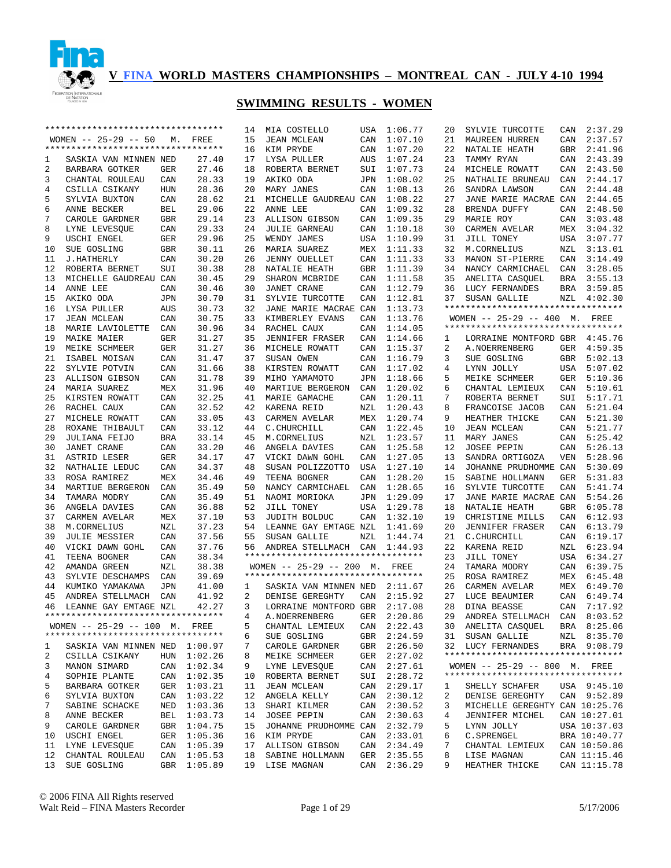

|    | ********************************** |            |         | 14 | MIA COSTELLO                       | USA        | 1:06.77     | 20 | SYLVIE TURCOTTE                    | CAN        | 2:37.29      |
|----|------------------------------------|------------|---------|----|------------------------------------|------------|-------------|----|------------------------------------|------------|--------------|
|    | WOMEN $-- 25-29 -- 50$             | М.         | FREE    | 15 | <b>JEAN MCLEAN</b>                 | CAN        | 1:07.10     | 21 | MAUREEN HURREN                     | CAN        | 2:37.57      |
|    | ********************************** |            |         | 16 | KIM PRYDE                          | CAN        | 1:07.20     | 22 | NATALIE HEATH                      | GBR        | 2:41.96      |
| 1  | SASKIA VAN MINNEN NED              |            | 27.40   | 17 | LYSA PULLER                        | AUS        | 1:07.24     | 23 | TAMMY RYAN                         | CAN        | 2:43.39      |
| 2  | BARBARA GOTKER                     | GER        | 27.46   | 18 | ROBERTA BERNET                     | SUI        | 1:07.73     | 24 | MICHELE ROWATT                     | CAN        | 2:43.50      |
| 3  | CHANTAL ROULEAU                    | CAN        | 28.33   | 19 | AKIKO ODA                          | JPN        | 1:08.02     | 25 | NATHALIE BRUNEAU                   | CAN        | 2:44.17      |
|    |                                    |            |         |    |                                    |            |             |    |                                    |            |              |
| 4  | CSILLA CSIKANY                     | <b>HUN</b> | 28.36   | 20 | MARY JANES                         | CAN        | 1:08.13     | 26 | SANDRA LAWSON                      | CAN        | 2:44.48      |
| 5  | SYLVIA BUXTON                      | CAN        | 28.62   | 21 | MICHELLE GAUDREAU CAN              |            | 1:08.22     | 27 | JANE MARIE MACRAE CAN              |            | 2:44.65      |
| 6  | ANNE BECKER                        | <b>BEL</b> | 29.06   | 22 | ANNE LEE                           | CAN        | 1:09.32     | 28 | BRENDA DUFFY                       | CAN        | 2:48.50      |
| 7  | CAROLE GARDNER                     | GBR        | 29.14   | 23 | <b>ALLISON GIBSON</b>              | CAN        | 1:09.35     | 29 | MARIE ROY                          | CAN        | 3:03.48      |
| 8  | LYNE LEVESQUE                      | CAN        | 29.33   | 24 | <b>JULIE GARNEAU</b>               | CAN        | 1:10.18     | 30 | CARMEN AVELAR                      | MEX        | 3:04.32      |
| 9  | USCHI ENGEL                        | GER        | 29.96   | 25 | WENDY JAMES                        | USA        | 1:10.99     | 31 | JILL TONEY                         | USA        | 3:07.77      |
| 10 | SUE GOSLING                        | GBR        | 30.11   | 26 | MARIA SUAREZ                       | MEX        | 1:11.33     | 32 | M.CORNELIUS                        | NZL        | 3:13.01      |
| 11 | J.HATHERLY                         | CAN        | 30.20   | 26 | <b>JENNY OUELLET</b>               | CAN        | 1:11.33     | 33 | MANON ST-PIERRE                    | CAN        | 3:14.49      |
|    |                                    |            |         |    |                                    |            |             |    |                                    |            |              |
| 12 | ROBERTA BERNET                     | SUI        | 30.38   | 28 | NATALIE HEATH                      | <b>GBR</b> | 1:11.39     | 34 | NANCY CARMICHAEL                   | CAN        | 3:28.05      |
| 13 | MICHELLE GAUDREAU CAN              |            | 30.45   | 29 | SHARON MCBRIDE                     | CAN        | 1:11.58     | 35 | ANELITA CASQUEL                    | BRA        | 3:55.13      |
| 14 | ANNE LEE                           | CAN        | 30.46   | 30 | <b>JANET CRANE</b>                 | CAN        | 1:12.79     | 36 | LUCY FERNANDES                     | <b>BRA</b> | 3:59.85      |
| 15 | AKIKO ODA                          | <b>JPN</b> | 30.70   | 31 | SYLVIE TURCOTTE                    | CAN        | 1:12.81     | 37 | SUSAN GALLIE                       | NZL        | 4:02.30      |
| 16 | LYSA PULLER                        | AUS        | 30.73   | 32 | JANE MARIE MACRAE CAN              |            | 1:13.73     |    | ********************************** |            |              |
| 17 | <b>JEAN MCLEAN</b>                 | CAN        | 30.75   | 33 | KIMBERLEY EVANS                    | CAN        | 1:13.76     |    | WOMEN -- 25-29 -- 400 M. FREE      |            |              |
| 18 | MARIE LAVIOLETTE                   | CAN        | 30.96   | 34 | RACHEL CAUX                        | CAN        | 1:14.05     |    | ********************************** |            |              |
| 19 |                                    | GER        | 31.27   | 35 |                                    | CAN        | 1:14.66     |    |                                    |            | 4:45.76      |
|    | MAIKE MAIER                        |            |         |    | <b>JENNIFER FRASER</b>             |            |             | 1  | LORRAINE MONTFORD GBR              |            |              |
| 19 | MEIKE SCHMEER                      | GER        | 31.27   | 36 | MICHELE ROWATT                     | CAN        | 1:15.37     | 2  | A. NOERRENBERG                     | GER        | 4:59.35      |
| 21 | ISABEL MOISAN                      | CAN        | 31.47   | 37 | SUSAN OWEN                         | CAN        | 1:16.79     | 3  | SUE GOSLING                        | GBR        | 5:02.13      |
| 22 | SYLVIE POTVIN                      | CAN        | 31.66   | 38 | KIRSTEN ROWATT                     | CAN        | 1:17.02     | 4  | LYNN JOLLY                         | USA        | 5:07.02      |
| 23 | ALLISON GIBSON                     | CAN        | 31.78   | 39 | MIHO YAMAMOTO                      | JPN        | 1:18.66     | 5  | MEIKE SCHMEER                      | GER        | 5:10.36      |
| 24 | MARIA SUAREZ                       | MEX        | 31.96   | 40 | MARTIUE BERGERON                   | CAN        | 1:20.02     | 6  | CHANTAL LEMIEUX                    | CAN        | 5:10.61      |
| 25 | KIRSTEN ROWATT                     | CAN        | 32.25   | 41 | MARIE GAMACHE                      | CAN        | 1:20.11     | 7  | ROBERTA BERNET                     | SUI        | 5:17.71      |
| 26 | RACHEL CAUX                        | CAN        | 32.52   | 42 | KARENA REID                        | NZL        | 1:20.43     | 8  | FRANCOISE JACOB                    | CAN        | 5:21.04      |
| 27 | MICHELE ROWATT                     | CAN        | 33.05   | 43 | CARMEN AVELAR                      | MEX        | 1:20.74     | 9  | HEATHER THICKE                     | CAN        | 5:21.30      |
|    |                                    |            |         |    |                                    |            |             |    |                                    |            |              |
| 28 | ROXANE THIBAULT                    | CAN        | 33.12   | 44 | C. CHURCHILL                       | CAN        | 1:22.45     | 10 | JEAN MCLEAN                        | CAN        | 5:21.77      |
| 29 | <b>JULIANA FEIJO</b>               | <b>BRA</b> | 33.14   | 45 | M.CORNELIUS                        | NZL        | 1:23.57     | 11 | MARY JANES                         | CAN        | 5:25.42      |
| 30 | <b>JANET CRANE</b>                 | CAN        | 33.20   | 46 | ANGELA DAVIES                      | CAN        | 1:25.58     | 12 | <b>JOSEE PEPIN</b>                 | CAN        | 5:26.13      |
| 31 | ASTRID LESER                       | GER        | 34.17   | 47 | VICKI DAWN GOHL                    | CAN        | 1:27.05     | 13 | SANDRA ORTIGOZA                    | <b>VEN</b> | 5:28.96      |
| 32 | NATHALIE LEDUC                     | CAN        | 34.37   | 48 | SUSAN POLIZZOTTO                   | USA        | 1:27.10     | 14 | JOHANNE PRUDHOMME CAN              |            | 5:30.09      |
| 33 | ROSA RAMIREZ                       | MEX        | 34.46   | 49 | TEENA BOGNER                       | CAN        | 1:28.20     | 15 | SABINE HOLLMANN                    | <b>GER</b> | 5:31.83      |
| 34 | MARTIUE BERGERON                   | CAN        | 35.49   | 50 | NANCY CARMICHAEL                   | CAN        | 1:28.65     | 16 | SYLVIE TURCOTTE                    | CAN        | 5:41.74      |
| 34 | TAMARA MODRY                       | CAN        | 35.49   | 51 | NAOMI MORIOKA                      | JPN        | 1:29.09     | 17 | JANE MARIE MACRAE CAN              |            | 5:54.26      |
|    |                                    |            |         |    |                                    |            |             |    |                                    |            |              |
| 36 | ANGELA DAVIES                      | CAN        | 36.88   | 52 | JILL TONEY                         | USA        | 1:29.78     | 18 | NATALIE HEATH                      | GBR        | 6:05.78      |
| 37 | CARMEN AVELAR                      | MEX        | 37.10   | 53 | JUDITH BOLDUC                      | CAN        | 1:32.10     | 19 | CHRISTINE MILLS                    | CAN        | 6:12.93      |
| 38 | M.CORNELIUS                        | NZL        | 37.23   | 54 | LEANNE GAY EMTAGE NZL              |            | 1:41.69     | 20 | <b>JENNIFER FRASER</b>             | CAN        | 6:13.79      |
| 39 | <b>JULIE MESSIER</b>               | CAN        | 37.56   | 55 | SUSAN GALLIE                       | NZL        | 1:44.74     | 21 | C. CHURCHILL                       | CAN        | 6:19.17      |
| 40 | VICKI DAWN GOHL                    | CAN        | 37.76   | 56 | ANDREA STELLMACH                   | CAN        | 1:44.93     | 22 | KARENA REID                        | NZL        | 6:23.94      |
| 41 | TEENA BOGNER                       | CAN        | 38.34   |    | ********************************** |            |             | 23 | JILL TONEY                         | USA        | 6:34.27      |
| 42 | AMANDA GREEN                       | NZL        | 38.38   |    | WOMEN $-- 25-29 -- 200$ M.         |            | FREE        | 24 | TAMARA MODRY                       | CAN        | 6:39.75      |
| 43 |                                    |            | 39.69   |    | ********************************** |            |             | 25 |                                    | MEX        | 6:45.48      |
|    | SYLVIE DESCHAMPS                   | CAN        |         |    |                                    |            |             |    | ROSA RAMIREZ                       |            |              |
| 44 | KUMIKO YAMAKAWA                    | JPN        | 41.00   | 1  | SASKIA VAN MINNEN NED              |            | 2:11.67     | 26 | CARMEN AVELAR                      | MEX        | 6:49.70      |
| 45 | ANDREA STELLMACH                   | CAN        | 41.92   | 2  | DENISE GEREGHTY                    | CAN        | 2:15.92     | 27 | LUCE BEAUMIER                      | CAN        | 6:49.74      |
| 46 | LEANNE GAY EMTAGE NZL              |            | 42.27   | 3  | LORRAINE MONTFORD GBR              |            | 2:17.08     | 28 | <b>DINA BEASSE</b>                 | CAN        | 7:17.92      |
|    | ********************************** |            |         | 4  | A.NOERRENBERG                      |            | GER 2:20.86 | 29 | ANDREA STELLMACH CAN 8:03.52       |            |              |
|    | WOMEN $-- 25-29 -- 100$ M.         |            | FREE    | 5  | CHANTAL LEMIEUX                    |            | CAN 2:22.43 | 30 | ANELITA CASQUEL                    |            | BRA 8:25.06  |
|    | ********************************** |            |         | 6  | SUE GOSLING                        | GBR        | 2:24.59     | 31 | SUSAN GALLIE                       |            | NZL 8:35.70  |
|    |                                    |            |         | 7  |                                    | GBR        | 2:26.50     |    | LUCY FERNANDES                     |            | BRA 9:08.79  |
| 1  | SASKIA VAN MINNEN NED              |            | 1:00.97 | 8  | CAROLE GARDNER                     |            |             | 32 | ********************************** |            |              |
| 2  |                                    |            |         |    | MEIKE SCHMEER                      | GER        | 2:27.02     |    |                                    |            |              |
| 3  | CSILLA CSIKANY                     | HUN        | 1:02.26 |    |                                    |            |             |    |                                    |            |              |
|    | MANON SIMARD                       | CAN        | 1:02.34 | 9  | LYNE LEVESQUE                      | CAN        | 2:27.61     |    | WOMEN -- 25-29 -- 800 M. FREE      |            |              |
| 4  | SOPHIE PLANTE                      | CAN        | 1:02.35 | 10 | ROBERTA BERNET                     | SUI        | 2:28.72     |    | ********************************** |            |              |
| 5  | BARBARA GOTKER                     | GER        | 1:03.21 | 11 | <b>JEAN MCLEAN</b>                 | CAN        | 2:29.17     | 1  | SHELLY SCHAFER                     |            | USA 9:45.10  |
| 6  | SYLVIA BUXTON                      | CAN        |         | 12 | ANGELA KELLY                       | CAN        |             | 2  | DENISE GEREGHTY                    |            | CAN 9:52.89  |
|    |                                    |            | 1:03.22 |    |                                    |            | 2:30.12     |    |                                    |            |              |
| 7  | SABINE SCHACKE                     | NED        | 1:03.36 | 13 | SHARI KILMER                       | CAN        | 2:30.52     | 3  | MICHELLE GEREGHTY CAN 10:25.76     |            |              |
| 8  | ANNE BECKER                        | BEL        | 1:03.73 | 14 | JOSEE PEPIN                        | CAN        | 2:30.63     | 4  | JENNIFER MICHEL                    |            | CAN 10:27.01 |
| 9  | CAROLE GARDNER                     | GBR        | 1:04.75 | 15 | JOHANNE PRUDHOMME                  | CAN        | 2:32.79     | 5  | LYNN JOLLY                         |            | USA 10:37.03 |
| 10 | USCHI ENGEL                        | GER        | 1:05.36 | 16 | KIM PRYDE                          | CAN        | 2:33.01     | 6  | C. SPRENGEL                        |            | BRA 10:40.77 |
| 11 | LYNE LEVESQUE                      | CAN        | 1:05.39 | 17 | <b>ALLISON GIBSON</b>              | CAN        | 2:34.49     | 7  | CHANTAL LEMIEUX                    |            | CAN 10:50.86 |
| 12 | CHANTAL ROULEAU                    | CAN        | 1:05.53 | 18 | SABINE HOLLMANN                    | GER        | 2:35.55     | 8  | LISE MAGNAN                        |            | CAN 11:15.46 |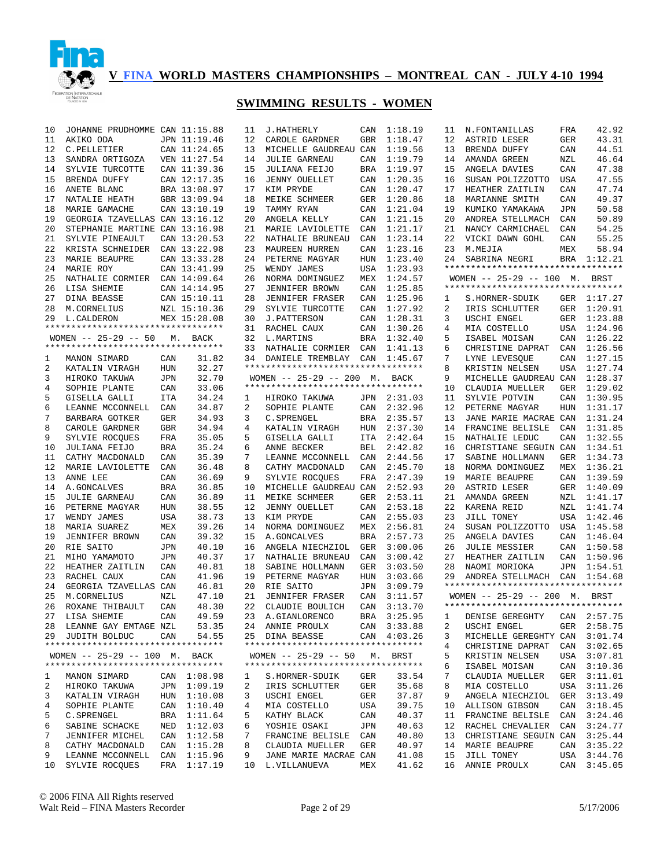

#### **SWIMMING RESULTS - WOMEN**

| 10     | JOHANNE PRUDHOMME CAN 11:15.88     |            |              | 11     | <b>J.HATHERLY</b>                  | CAN        | 1:18.19            | 11 | N. FONTANILLAS                     | FRA        | 42.92       |
|--------|------------------------------------|------------|--------------|--------|------------------------------------|------------|--------------------|----|------------------------------------|------------|-------------|
| 11     | AKIKO ODA                          |            | JPN 11:19.46 | 12     | CAROLE GARDNER                     | <b>GBR</b> | 1:18.47            | 12 | ASTRID LESER                       | <b>GER</b> | 43.31       |
| 12     | C.PELLETIER                        |            | CAN 11:24.65 | 13     | MICHELLE GAUDREAU CAN              |            | 1:19.56            | 13 | BRENDA DUFFY                       | CAN        | 44.51       |
| 13     | SANDRA ORTIGOZA                    |            | VEN 11:27.54 | 14     | <b>JULIE GARNEAU</b>               | CAN        | 1:19.79            | 14 | AMANDA GREEN                       | NZL        | 46.64       |
| 14     | SYLVIE TURCOTTE                    |            | CAN 11:39.36 | 15     | JULIANA FEIJO                      | <b>BRA</b> | 1:19.97            | 15 | ANGELA DAVIES                      | CAN        | 47.38       |
| 15     |                                    |            |              | 16     | <b>JENNY OUELLET</b>               |            |                    | 16 | SUSAN POLIZZOTTO                   |            | 47.55       |
|        | BRENDA DUFFY                       |            | CAN 12:17.35 |        |                                    | CAN        | 1:20.35            |    |                                    | <b>USA</b> |             |
| 16     | ANETE BLANC                        |            | BRA 13:08.97 | 17     | KIM PRYDE                          | CAN        | 1:20.47            | 17 | HEATHER ZAITLIN                    | CAN        | 47.74       |
| 17     | NATALIE HEATH                      |            | GBR 13:09.94 | 18     | MEIKE SCHMEER                      | GER        | 1:20.86            | 18 | MARIANNE SMITH                     | CAN        | 49.37       |
| 18     | MARIE GAMACHE                      |            | CAN 13:10.19 | 19     | TAMMY RYAN                         | CAN        | 1:21.04            | 19 | KUMIKO YAMAKAWA                    | JPN        | 50.58       |
| 19     | GEORGIA TZAVELLAS CAN 13:16.12     |            |              | 20     | ANGELA KELLY                       | CAN        | 1:21.15            | 20 | ANDREA STELLMACH                   | CAN        | 50.89       |
| 20     | STEPHANIE MARTINE CAN 13:16.98     |            |              | 21     | MARIE LAVIOLETTE                   | CAN        | 1:21.17            | 21 | NANCY CARMICHAEL                   | CAN        | 54.25       |
| 21     | SYLVIE PINEAULT                    |            | CAN 13:20.53 | 22     | NATHALIE BRUNEAU                   | CAN        | 1:23.14            | 22 | VICKI DAWN GOHL                    | CAN        | 55.25       |
| 22     | KRISTA SCHNEIDER                   |            | CAN 13:22.98 | 23     | <b>MAUREEN HURREN</b>              | CAN        | 1:23.16            | 23 | M.MEJIA                            | MEX        | 58.94       |
| 23     | MARIE BEAUPRE                      |            | CAN 13:33.28 | 24     | PETERNE MAGYAR                     | HUN        | 1:23.40            | 24 | SABRINA NEGRI                      |            | BRA 1:12.21 |
| 24     | <b>MARIE ROY</b>                   |            | CAN 13:41.99 | 25     | WENDY JAMES                        | USA        | 1:23.93            |    | *********************************  |            |             |
| 25     | NATHALIE CORMIER                   |            | CAN 14:09.64 | 26     | NORMA DOMINGUEZ                    | MEX        | 1:24.57            |    | WOMEN -- 25-29 -- 100 M. BRST      |            |             |
| 26     | LISA SHEMIE                        |            | CAN 14:14.95 | 27     | <b>JENNIFER BROWN</b>              | CAN        | 1:25.85            |    | ********************************** |            |             |
| 27     | DINA BEASSE                        |            | CAN 15:10.11 | 28     | <b>JENNIFER FRASER</b>             | CAN        | 1:25.96            | 1  | S.HORNER-SDUIK                     |            | GER 1:17.27 |
| 28     | M.CORNELIUS                        |            | NZL 15:10.36 | 29     | SYLVIE TURCOTTE                    | CAN        | 1:27.92            | 2  | IRIS SCHLUTTER                     | GER        | 1:20.91     |
| 29     | L. CALDERON                        |            | MEX 15:28.08 | 30     | <b>J. PATTERSON</b>                | CAN        | 1:28.31            | 3  | USCHI ENGEL                        |            | GER 1:23.88 |
|        | ********************************** |            |              | 31     | RACHEL CAUX                        | CAN        | 1:30.26            | 4  | MIA COSTELLO                       |            | USA 1:24.96 |
|        | $WOMEN$ -- 25-29 -- 50             | М.         | BACK         | 32     | L.MARTINS                          | BRA        | 1:32.40            | 5  | ISABEL MOISAN                      | CAN        | 1:26.22     |
|        | ********************************** |            |              | 33     | NATHALIE CORMIER CAN               |            | 1:41.13            | 6  | CHRISTINE DAPRAT                   | CAN        | 1:26.56     |
| 1      | MANON SIMARD                       | CAN        | 31.82        | 34     | DANIELE TREMBLAY                   | CAN        | 1:45.67            | 7  | LYNE LEVESQUE                      | CAN        | 1:27.15     |
| 2      | KATALIN VIRAGH                     | <b>HUN</b> | 32.27        |        | *********************************  |            |                    | 8  | KRISTIN NELSEN                     | USA        | 1:27.74     |
| 3      | HIROKO TAKUWA                      | JPN        | 32.70        |        | WOMEN -- 25-29 -- 200 M. BACK      |            |                    | 9  | MICHELLE GAUDREAU CAN              |            | 1:28.37     |
| 4      | SOPHIE PLANTE                      | CAN        | 33.06        |        | ********************************** |            |                    | 10 | CLAUDIA MUELLER                    | GER        | 1:29.02     |
| 5      |                                    | <b>ITA</b> | 34.24        | 1      |                                    |            | JPN 2:31.03        | 11 | SYLVIE POTVIN                      | CAN        | 1:30.95     |
| 6      | GISELLA GALLI<br>LEANNE MCCONNELL  | CAN        | 34.87        | 2      | HIROKO TAKUWA                      | CAN        | 2:32.96            | 12 | PETERNE MAGYAR                     | HUN        | 1:31.17     |
| 7      |                                    |            | 34.93        | 3      | SOPHIE PLANTE                      |            | 2:35.57            | 13 |                                    |            | 1:31.24     |
|        | BARBARA GOTKER                     | GER        |              |        | C. SPRENGEL                        | BRA        |                    |    | JANE MARIE MACRAE CAN              |            |             |
| 8<br>9 | CAROLE GARDNER                     | <b>GBR</b> | 34.94        | 4      | KATALIN VIRAGH                     | HUN        | 2:37.30<br>2:42.64 | 14 | FRANCINE BELISLE                   | CAN        | 1:31.85     |
|        | SYLVIE ROCOUES                     | FRA        | 35.05        | 5      | GISELLA GALLI                      | ITA        |                    | 15 | NATHALIE LEDUC                     | CAN        | 1:32.55     |
| 10     | JULIANA FEIJO                      | BRA        | 35.24        | 6<br>7 | ANNE BECKER                        | BEL        | 2:42.82            | 16 | CHRISTIANE SEGUIN CAN              |            | 1:34.51     |
| 11     | CATHY MACDONALD                    | CAN        | 35.39        |        | LEANNE MCCONNELL                   | CAN        | 2:44.56            | 17 | SABINE HOLLMANN                    | GER        | 1:34.73     |
| 12     | MARIE LAVIOLETTE                   | CAN        | 36.48        | 8      | CATHY MACDONALD                    | CAN        | 2:45.70            | 18 | NORMA DOMINGUEZ                    | MEX        | 1:36.21     |
| 13     | ANNE LEE                           | CAN        | 36.69        | 9      | SYLVIE ROCQUES                     | FRA        | 2:47.39            | 19 | MARIE BEAUPRE                      | CAN        | 1:39.59     |
| 14     | A.GONCALVES                        | <b>BRA</b> | 36.85        | 10     | MICHELLE GAUDREAU CAN              |            | 2:52.93            | 20 | ASTRID LESER                       | GER        | 1:40.09     |
| 15     | <b>JULIE GARNEAU</b>               | CAN        | 36.89        | 11     | MEIKE SCHMEER                      | GER        | 2:53.11            | 21 | AMANDA GREEN                       | NZL        | 1:41.17     |
| 16     | PETERNE MAGYAR                     | HUN        | 38.55        | 12     | <b>JENNY OUELLET</b>               | CAN        | 2:53.18            | 22 | KARENA REID                        | NZL        | 1:41.74     |
| 17     | WENDY JAMES                        | USA        | 38.73        | 13     | KIM PRYDE                          | CAN        | 2:55.03            | 23 | JILL TONEY                         |            | USA 1:42.46 |
| 18     | MARIA SUAREZ                       | MEX        | 39.26        | 14     | NORMA DOMINGUEZ                    | MEX        | 2:56.81            | 24 | SUSAN POLIZZOTTO                   | USA        | 1:45.58     |
| 19     | <b>JENNIFER BROWN</b>              | CAN        | 39.32        | 15     | A. GONCALVES                       | <b>BRA</b> | 2:57.73            | 25 | ANGELA DAVIES                      | CAN        | 1:46.04     |
| 20     | RIE SAITO                          | <b>JPN</b> | 40.10        | 16     | ANGELA NIECHZIOL                   | GER        | 3:00.06            | 26 | <b>JULIE MESSIER</b>               | CAN        | 1:50.58     |
| 21     | MIHO YAMAMOTO                      | <b>JPN</b> | 40.37        | 17     | NATHALIE BRUNEAU                   | CAN        | 3:00.42            | 27 | HEATHER ZAITLIN                    | CAN        | 1:50.96     |
| 22     | HEATHER ZAITLIN                    | CAN        | 40.81        | 18     | SABINE HOLLMANN                    | GER        | 3:03.50            | 28 | NAOMI MORIOKA                      | JPN        | 1:54.51     |
| 23     | RACHEL CAUX                        | CAN        | 41.96        | 19     | PETERNE MAGYAR                     | HUN        | 3:03.66            | 29 | ANDREA STELLMACH CAN               |            | 1:54.68     |
| 24     | GEORGIA TZAVELLAS CAN              |            | 46.81        | 20     | RIE SAITO                          | <b>JPN</b> | 3:09.79            |    | ********************************** |            |             |
| 25     | M.CORNELIUS                        | NZL        | 47.10        | 21     | <b>JENNIFER FRASER</b>             | CAN        | 3:11.57            |    | $WOMEN$ -- 25-29 -- 200 M.         |            | BRST        |
| 26     | ROXANE THIBAULT                    | CAN        | 48.30        | 22     | CLAUDIE BOULICH                    | CAN        | 3:13.70            |    | ********************************** |            |             |
|        | 27 LISA SHEMIE                     | CAN        | 49.59        |        | 23 A.GIANLORENCO                   |            | BRA 3:25.95        |    | 1 DENISE GEREGHTY CAN 2:57.75      |            |             |
|        | 28 LEANNE GAY EMTAGE NZL           |            | 53.35        |        | 24 ANNIE PROULX                    |            | CAN 3:33.88        | 2  | USCHI ENGEL                        |            | GER 2:58.75 |
|        | 29 JUDITH BOLDUC                   | CAN        | 54.55        |        | 25 DINA BEASSE                     |            | CAN 4:03.26        | 3  | MICHELLE GEREGHTY CAN 3:01.74      |            |             |
|        | ********************************** |            |              |        | ********************************** |            |                    | 4  | CHRISTINE DAPRAT                   |            | CAN 3:02.65 |
|        | WOMEN -- 25-29 -- 100 M. BACK      |            |              |        | $WOMEN$ -- 25-29 -- 50             |            | M. BRST            | 5  | KRISTIN NELSEN                     |            | USA 3:07.81 |
|        | ********************************** |            |              |        | ********************************** |            |                    | 6  | ISABEL MOISAN                      |            | CAN 3:10.36 |
| ı.     | MANON SIMARD                       |            | CAN 1:08.98  | 1      | S.HORNER-SDUIK                     | GER        | 33.54              | 7  | CLAUDIA MUELLER                    |            | GER 3:11.01 |
| 2      | HIROKO TAKUWA                      |            | JPN 1:09.19  | 2      | IRIS SCHLUTTER                     | GER        | 35.68              | 8  | MIA COSTELLO                       |            | USA 3:11.26 |
| 3      | KATALIN VIRAGH                     |            | HUN 1:10.08  | 3      | USCHI ENGEL                        | GER        | 37.87              | 9  | ANGELA NIECHZIOL                   |            | GER 3:13.49 |
| 4      | SOPHIE PLANTE                      |            | CAN 1:10.40  | 4      | MIA COSTELLO                       | USA        | 39.75              | 10 | ALLISON GIBSON                     |            | CAN 3:18.45 |
| 5      | C.SPRENGEL                         |            | BRA 1:11.64  | 5      | KATHY BLACK                        | CAN        | 40.37              | 11 | FRANCINE BELISLE                   |            | CAN 3:24.46 |
| 6      | SABINE SCHACKE                     |            | NED 1:12.03  | 6      | YOSHIE OSAKI                       | JPN        | 40.63              | 12 | RACHEL CHEVALIER                   | CAN        | 3:24.77     |
| 7      | JENNIFER MICHEL                    |            | CAN 1:12.58  | 7      | FRANCINE BELISLE CAN               |            | 40.80              | 13 | CHRISTIANE SEGUIN CAN 3:25.44      |            |             |
| 8      | CATHY MACDONALD                    |            | CAN 1:15.28  | 8      | CLAUDIA MUELLER                    | GER        | 40.97              | 14 | MARIE BEAUPRE                      |            | CAN 3:35.22 |
| 9      | LEANNE MCCONNELL                   |            | CAN 1:15.96  | 9      | JANE MARIE MACRAE CAN              |            | 41.08              | 15 | JILL TONEY                         |            | USA 3:44.76 |
| 10     | SYLVIE ROCQUES                     |            | FRA 1:17.19  |        | 10 L.VILLANUEVA                    | MEX        | 41.62              | 16 | ANNIE PROULX                       | CAN        | 3:45.05     |
|        |                                    |            |              |        |                                    |            |                    |    |                                    |            |             |

© 2006 FINA All Rights reserved Walt Reid – FINA Masters Recorder Page 2 of 29 5/17/2006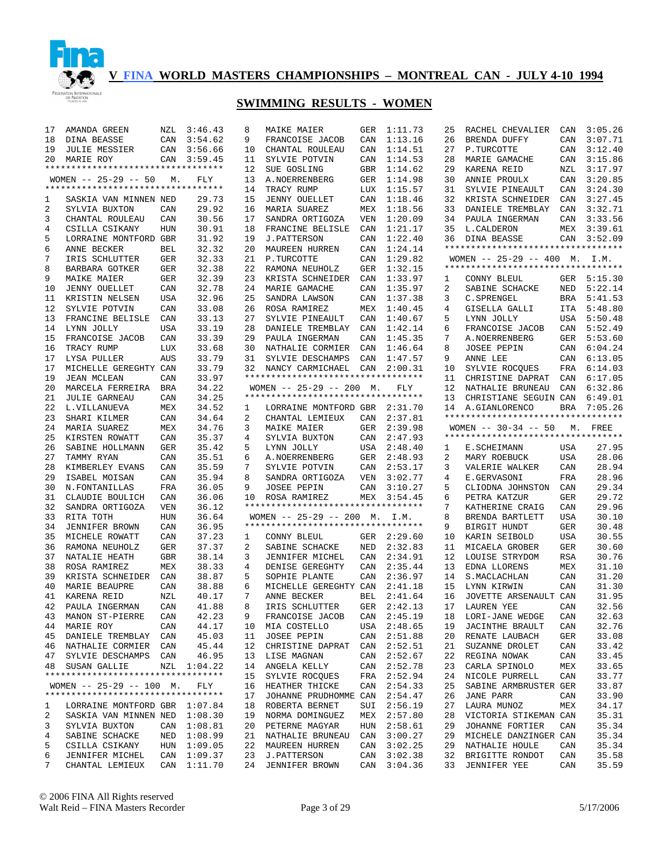

| 17     | AMANDA GREEN                                                     | NZL        | 3:46.43                | 8  | MAIKE MAIER                        | GER | 1:11.73                | 25       | RACHEL CHEVALIER                   | CAN        | 3:05.26        |
|--------|------------------------------------------------------------------|------------|------------------------|----|------------------------------------|-----|------------------------|----------|------------------------------------|------------|----------------|
| 18     | DINA BEASSE                                                      | CAN        | 3:54.62                | 9  | FRANCOISE JACOB                    | CAN | 1:13.16                | 26       | BRENDA DUFFY                       | CAN        | 3:07.71        |
| 19     | <b>JULIE MESSIER</b>                                             | CAN        | 3:56.66                | 10 | CHANTAL ROULEAU                    | CAN | 1:14.51                | 27       | P.TURCOTTE                         | CAN        | 3:12.40        |
| 20     | MARIE ROY                                                        |            | CAN 3:59.45            | 11 | SYLVIE POTVIN                      | CAN | 1:14.53                | 28       | MARIE GAMACHE                      | CAN        | 3:15.86        |
|        | *********************************                                |            |                        | 12 | SUE GOSLING                        | GBR | 1:14.62                | 29       | KARENA REID                        | NZL        | 3:17.97        |
|        | WOMEN $-- 25-29 -- 50$                                           | М.         | FLY                    | 13 | A.NOERRENBERG                      | GER | 1:14.98                | 30       | ANNIE PROULX                       | CAN        | 3:20.85        |
|        | **********************************                               |            |                        | 14 | TRACY RUMP                         | LUX | 1:15.57                | 31       | SYLVIE PINEAULT                    | CAN        | 3:24.30        |
| 1      | SASKIA VAN MINNEN NED                                            |            | 29.73                  | 15 | <b>JENNY OUELLET</b>               | CAN | 1:18.46                | 32       | KRISTA SCHNEIDER                   | CAN        | 3:27.45        |
| 2      | SYLVIA BUXTON                                                    | CAN        | 29.92                  | 16 | MARIA SUAREZ                       | MEX | 1:18.56                | 33       | DANIELE TREMBLAY                   | CAN        | 3:32.71        |
| 3      |                                                                  |            | 30.56                  | 17 |                                    | VEN |                        | 34       | PAULA INGERMAN                     | CAN        | 3:33.56        |
|        | CHANTAL ROULEAU                                                  | CAN        |                        |    | SANDRA ORTIGOZA                    |     | 1:20.09                |          |                                    |            |                |
| 4      | CSILLA CSIKANY                                                   | <b>HUN</b> | 30.91                  | 18 | FRANCINE BELISLE                   | CAN | 1:21.17                | 35       | L. CALDERON                        | MEX        | 3:39.61        |
| 5      | LORRAINE MONTFORD GBR                                            |            | 31.92                  | 19 | <b>J. PATTERSON</b>                | CAN | 1:22.40                |          | 36 DINA BEASSE                     |            | CAN 3:52.09    |
| 6      | ANNE BECKER                                                      | <b>BEL</b> | 32.32                  | 20 | MAUREEN HURREN                     | CAN | 1:24.14                |          | ********************************** |            |                |
| 7      | IRIS SCHLUTTER                                                   | GER        | 32.33                  | 21 | P.TURCOTTE                         | CAN | 1:29.82                |          | WOMEN -- 25-29 -- 400 M. I.M.      |            |                |
| 8      | BARBARA GOTKER                                                   | GER        | 32.38                  | 22 | RAMONA NEUHOLZ                     | GER | 1:32.15                |          | ********************************** |            |                |
| 9      | <b>MAIKE MAIER</b>                                               | GER        | 32.39                  | 23 | KRISTA SCHNEIDER                   | CAN | 1:33.97                | 1        | CONNY BLEUL                        | GER        | 5:15.30        |
| 10     | <b>JENNY OUELLET</b>                                             | CAN        | 32.78                  | 24 | MARIE GAMACHE                      | CAN | 1:35.97                | 2        | SABINE SCHACKE                     | NED        | 5:22.14        |
| 11     | KRISTIN NELSEN                                                   | USA        | 32.96                  | 25 | SANDRA LAWSON                      | CAN | 1:37.38                | 3        | C. SPRENGEL                        | BRA        | 5:41.53        |
| 12     | SYLVIE POTVIN                                                    | CAN        | 33.08                  | 26 | ROSA RAMIREZ                       | MEX | 1:40.45                | 4        | GISELLA GALLI                      | ITA        | 5:48.80        |
| 13     | FRANCINE BELISLE                                                 | CAN        | 33.13                  | 27 | SYLVIE PINEAULT                    | CAN | 1:40.67                | 5        | LYNN JOLLY                         | USA        | 5:50.48        |
| 14     | LYNN JOLLY                                                       | USA        | 33.19                  | 28 | DANIELE TREMBLAY                   | CAN | 1:42.14                | 6        | FRANCOISE JACOB                    | CAN        | 5:52.49        |
| 15     | FRANCOISE JACOB                                                  | CAN        | 33.39                  | 29 | PAULA INGERMAN                     | CAN | 1:45.35                | 7        | A.NOERRENBERG                      | GER        | 5:53.60        |
| 16     | TRACY RUMP                                                       | LUX        | 33.68                  | 30 | NATHALIE CORMIER                   | CAN | 1:46.64                | 8        | JOSEE PEPIN                        |            | CAN 6:04.24    |
| 17     | LYSA PULLER                                                      | AUS        | 33.79                  | 31 | SYLVIE DESCHAMPS                   | CAN | 1:47.57                | 9        | ANNE LEE                           |            | CAN 6:13.05    |
|        |                                                                  |            |                        |    |                                    |     |                        |          |                                    |            |                |
| 17     | MICHELLE GEREGHTY CAN                                            |            | 33.79                  |    | 32 NANCY CARMICHAEL                | CAN | 2:00.31                | 10       | SYLVIE ROCQUES                     | FRA        | 6:14.03        |
| 19     | <b>JEAN MCLEAN</b>                                               | CAN        | 33.97                  |    | ********************************** |     |                        | 11       | CHRISTINE DAPRAT                   | CAN        | 6:17.05        |
| 20     | MARCELA FERREIRA BRA                                             |            | 34.22                  |    | WOMEN $-- 25-29 -- 200$ M.         |     | FLY                    | 12       | NATHALIE BRUNEAU                   | CAN        | 6:32.86        |
| 21     | <b>JULIE GARNEAU</b>                                             | CAN        | 34.25                  |    | ********************************** |     |                        | 13       | CHRISTIANE SEGUIN CAN              |            | 6:49.01        |
| 22     | L.VILLANUEVA                                                     | MEX        | 34.52                  | 1  | LORRAINE MONTFORD GBR 2:31.70      |     |                        | 14       | A.GIANLORENCO                      | BRA        | 7:05.26        |
| 23     | SHARI KILMER                                                     | CAN        | 34.64                  | 2  | CHANTAL LEMIEUX                    | CAN | 2:37.81                |          | ********************************** |            |                |
| 24     | MARIA SUAREZ                                                     | MEX        | 34.76                  | 3  | <b>MAIKE MAIER</b>                 | GER | 2:39.98                |          | WOMEN $--$ 30-34 $--$ 50           | М.         | FREE           |
| 25     | KIRSTEN ROWATT                                                   | CAN        | 35.37                  | 4  | SYLVIA BUXTON                      | CAN | 2:47.93                |          | ********************************** |            |                |
|        |                                                                  |            |                        |    |                                    |     |                        |          |                                    |            |                |
| 26     | SABINE HOLLMANN                                                  | GER        | 35.42                  | 5  | LYNN JOLLY                         | USA | 2:48.40                | ı        | E.SCHEIMANN                        | USA        | 27.95          |
| 27     | TAMMY RYAN                                                       | CAN        | 35.51                  | 6  | A. NOERRENBERG                     | GER | 2:48.93                | 2        | MARY ROEBUCK                       | <b>USA</b> | 28.06          |
| 28     |                                                                  |            | 35.59                  | 7  | SYLVIE POTVIN                      | CAN | 2:53.17                | 3        |                                    | CAN        |                |
|        | KIMBERLEY EVANS                                                  | CAN        |                        |    |                                    |     |                        |          | VALERIE WALKER                     |            | 28.94          |
| 29     | ISABEL MOISAN                                                    | CAN        | 35.94                  | 8  | SANDRA ORTIGOZA                    | VEN | 3:02.77                | 4        | E.GERVASONI                        | FRA        | 28.96          |
| 30     | N. FONTANILLAS                                                   | FRA        | 36.05                  | 9  | <b>JOSEE PEPIN</b>                 | CAN | 3:10.27                | 5        | CLIODNA JOHNSTON                   | CAN        | 29.34          |
| 31     | CLAUDIE BOULICH                                                  | CAN        | 36.06                  | 10 | ROSA RAMIREZ                       | MEX | 3:54.45                | 6        | PETRA KATZUR                       | <b>GER</b> | 29.72          |
| 32     | SANDRA ORTIGOZA                                                  | VEN        | 36.12                  |    | ********************************** |     |                        | 7        | KATHERINE CRAIG                    | CAN        | 29.96          |
| 33     | RITA TOTH                                                        | HUN        | 36.64                  |    | WOMEN $-- 25-29 -- 200$ M.         |     | I.M.                   | 8        | BRENDA BARTLETT                    | <b>USA</b> | 30.10          |
| 34     | <b>JENNIFER BROWN</b>                                            | CAN        | 36.95                  |    | *********************************  |     |                        | 9        | BIRGIT HUNDT                       | <b>GER</b> | 30.48          |
| 35     | MICHELE ROWATT                                                   | CAN        | 37.23                  | 1  | CONNY BLEUL                        |     | GER 2:29.60            | 10       | KARIN SEIBOLD                      | <b>USA</b> | 30.55          |
| 36     | RAMONA NEUHOLZ                                                   | GER        | 37.37                  | 2  | SABINE SCHACKE                     | NED | 2:32.83                | 11       | MICAELA GROBER                     | <b>GER</b> | 30.60          |
| 37     | NATALIE HEATH                                                    | GBR        | 38.14                  | 3  | JENNIFER MICHEL                    | CAN | 2:34.91                | 12       | LOUISE STRYDOM                     | RSA        | 30.76          |
| 38     | ROSA RAMIREZ                                                     | MEX        | 38.33                  | 4  | DENISE GEREGHTY                    | CAN | 2:35.44                | 13       | EDNA LLORENS                       | MEX        | 31.10          |
| 39     | KRISTA SCHNEIDER                                                 | CAN        | 38.87                  | 5  | SOPHIE PLANTE                      | CAN | 2:36.97                | 14       | S. MACLACHLAN                      | CAN        | 31.20          |
| 40     | MARIE BEAUPRE                                                    | CAN        | 38.88                  | 6  | MICHELLE GEREGHTY CAN              |     | 2:41.18                | 15       | LYNN KIRWIN                        | CAN        | 31.30          |
| 41     | KARENA REID                                                      | NZL        | 40.17                  | 7  | ANNE BECKER                        | BEL | 2:41.64                | 16       | JOVETTE ARSENAULT CAN              |            | 31.95          |
| 42     | PAULA INGERMAN                                                   | CAN        | 41.88                  | 8  | IRIS SCHLUTTER                     |     | GER 2:42.13            | 17       | LAUREN YEE                         | CAN        | 32.56          |
|        | 43 MANON ST-PIERRE                                               | CAN        | 42.23                  | 9  | FRANCOISE JACOB                    |     | CAN 2:45.19            |          | 18 LORI-JANE WEDGE CAN             |            | 32.63          |
|        | 44 MARIE ROY                                                     | CAN        | 44.17                  |    | 10 MIA COSTELLO                    |     | USA 2:48.65            | 19       | JACINTHE BRAULT                    | CAN        | 32.76          |
|        | 45 DANIELE TREMBLAY CAN                                          |            | 45.03                  | 11 | JOSEE PEPIN                        |     | CAN 2:51.88            | 20       | RENATE LAUBACH                     | GER        | 33.08          |
|        |                                                                  |            |                        |    | 12 CHRISTINE DAPRAT                | CAN |                        | 21       | SUZANNE DROLET                     |            |                |
|        | 46 NATHALIE CORMIER CAN                                          |            | 45.44                  |    |                                    |     | 2:52.51                |          |                                    | CAN        | 33.42          |
|        | 47 SYLVIE DESCHAMPS CAN                                          |            | 46.95                  |    | 13 LISE MAGNAN                     | CAN | 2:52.67                | 22       | REGINA NOWAK                       | CAN        | 33.45          |
|        | 48 SUSAN GALLIE                                                  |            | NZL 1:04.22            |    | 14 ANGELA KELLY                    | CAN | 2:52.78                | 23       | CARLA SPINOLO                      | MEX        | 33.65          |
|        | **********************************                               |            |                        | 15 | SYLVIE ROCQUES                     | FRA | 2:52.94                | 24       | NICOLE PURRELL                     | CAN        | 33.77          |
|        | WOMEN $-- 25-29 -- 100$ M.<br>********************************** |            | FLY                    |    | 16 HEATHER THICKE                  |     | CAN 2:54.33            | 25       | SABINE ARMBRUSTER GER              |            | 33.87          |
|        |                                                                  |            |                        | 17 | JOHANNE PRUDHOMME CAN 2:54.47      |     |                        | 26       | JANE PARR                          | CAN        | 33.90          |
| ı.     | LORRAINE MONTFORD GBR 1:07.84                                    |            |                        |    | 18 ROBERTA BERNET                  | SUI | 2:56.19                | 27       | LAURA MUNOZ                        | MEX        | 34.17          |
| 2      | SASKIA VAN MINNEN NED 1:08.30                                    |            |                        | 19 | NORMA DOMINGUEZ                    |     | MEX 2:57.80            | 28       | VICTORIA STIKEMAN CAN              |            | 35.31          |
| 3      | SYLVIA BUXTON                                                    |            | CAN 1:08.81            |    | 20 PETERNE MAGYAR                  |     | HUN 2:58.61            | 29       | JOHANNE FORTIER                    | CAN        | 35.34          |
| 4      | SABINE SCHACKE                                                   | NED        | 1:08.99                |    | 21 NATHALIE BRUNEAU                | CAN | 3:00.27                | 29       | MICHELE DANZINGER CAN              |            | 35.34          |
| 5      | CSILLA CSIKANY                                                   | HUN        | 1:09.05                | 22 | MAUREEN HURREN                     | CAN | 3:02.25                | 29       | NATHALIE HOULE                     | CAN        | 35.34          |
| 6<br>7 | JENNIFER MICHEL<br>CHANTAL LEMIEUX                               | CAN        | 1:09.37<br>CAN 1:11.70 | 24 | 23 J.PATTERSON<br>JENNIFER BROWN   | CAN | 3:02.38<br>CAN 3:04.36 | 32<br>33 | BRIGITTE RONDOT<br>JENNIFER YEE    | CAN<br>CAN | 35.58<br>35.59 |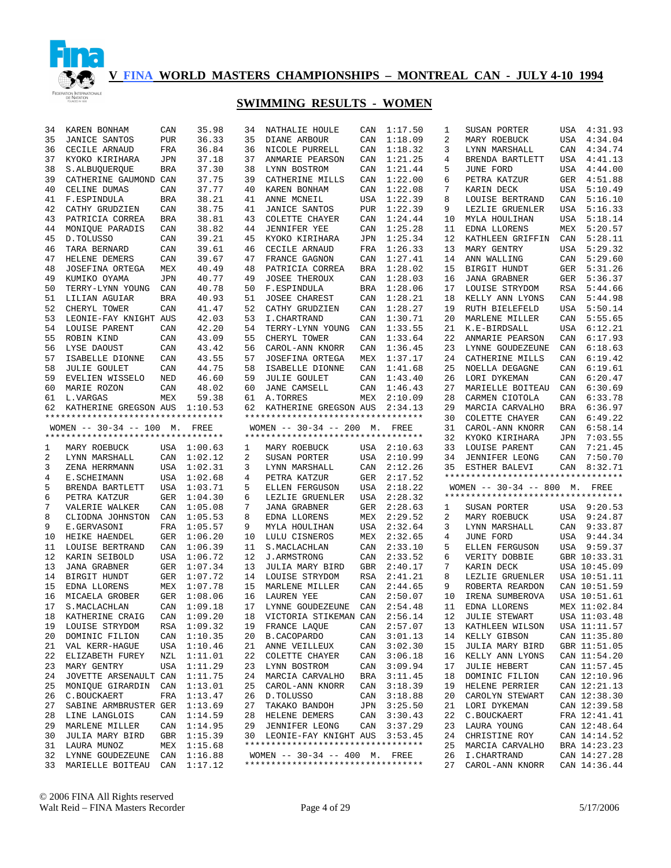

| 34 | KAREN BONHAM                                                        | CAN        | 35.98       | 34 | NATHALIE HOULE                                                   | CAN        | 1:17.50     | 1  | SUSAN PORTER                       |            | USA 4:31.93  |
|----|---------------------------------------------------------------------|------------|-------------|----|------------------------------------------------------------------|------------|-------------|----|------------------------------------|------------|--------------|
| 35 | <b>JANICE SANTOS</b>                                                | <b>PUR</b> | 36.33       | 35 | DIANE ARBOUR                                                     | CAN        | 1:18.09     | 2  | MARY ROEBUCK                       | USA        | 4:34.04      |
| 36 | CECILE ARNAUD                                                       | FRA        | 36.84       | 36 | NICOLE PURRELL                                                   | CAN        | 1:18.32     | 3  | LYNN MARSHALL                      | CAN        | 4:34.74      |
| 37 | KYOKO KIRIHARA                                                      | <b>JPN</b> | 37.18       | 37 | ANMARIE PEARSON                                                  | CAN        | 1:21.25     | 4  | BRENDA BARTLETT                    | USA        | 4:41.13      |
| 38 | S.ALBUQUERQUE                                                       | <b>BRA</b> | 37.30       | 38 | LYNN BOSTROM                                                     | CAN        | 1:21.44     | 5  | JUNE FORD                          | USA        | 4:44.00      |
| 39 | CATHERINE GAUMOND CAN                                               |            | 37.75       | 39 | CATHERINE MILLS                                                  | CAN        | 1:22.00     | 6  | PETRA KATZUR                       | GER        | 4:51.88      |
| 40 | CELINE DUMAS                                                        | CAN        | 37.77       | 40 | KAREN BONHAM                                                     | CAN        | 1:22.08     | 7  | KARIN DECK                         | USA        | 5:10.49      |
| 41 | F.ESPINDULA                                                         | BRA        | 38.21       | 41 | ANNE MCNEIL                                                      | USA        | 1:22.39     | 8  | LOUISE BERTRAND                    | CAN        | 5:16.10      |
| 42 |                                                                     | CAN        | 38.75       | 41 | JANICE SANTOS                                                    | PUR        | 1:22.39     | 9  | LEZLIE GRUENLER                    | USA        | 5:16.33      |
| 43 | CATHY GRUDZIEN                                                      |            | 38.81       | 43 |                                                                  |            |             | 10 |                                    |            | 5:18.14      |
|    | PATRICIA CORREA                                                     | BRA        |             |    | COLETTE CHAYER                                                   | CAN        | 1:24.44     |    | MYLA HOULIHAN                      | USA        |              |
| 44 | MONIQUE PARADIS                                                     | CAN        | 38.82       | 44 | <b>JENNIFER YEE</b>                                              | CAN        | 1:25.28     | 11 | EDNA LLORENS                       | MEX        | 5:20.57      |
| 45 | D.TOLUSSO                                                           | CAN        | 39.21       | 45 | KYOKO KIRIHARA                                                   | JPN        | 1:25.34     | 12 | KATHLEEN GRIFFIN                   | CAN        | 5:28.11      |
| 46 | TARA BERNARD                                                        | CAN        | 39.61       | 46 | CECILE ARNAUD                                                    | FRA        | 1:26.33     | 13 | MARY GENTRY                        | USA        | 5:29.32      |
| 47 | HELENE DEMERS                                                       | CAN        | 39.67       | 47 | FRANCE GAGNON                                                    | CAN        | 1:27.41     | 14 | ANN WALLING                        | CAN        | 5:29.60      |
| 48 | JOSEFINA ORTEGA                                                     | MEX        | 40.49       | 48 | PATRICIA CORREA                                                  | BRA        | 1:28.02     | 15 | BIRGIT HUNDT                       | GER        | 5:31.26      |
| 49 | KUMIKO OYAMA                                                        | <b>JPN</b> | 40.77       | 49 | <b>JOSEE THEROUX</b>                                             | CAN        | 1:28.03     | 16 | <b>JANA GRABNER</b>                | GER        | 5:36.37      |
| 50 | TERRY-LYNN YOUNG                                                    | CAN        | 40.78       | 50 | F.ESPINDULA                                                      | <b>BRA</b> | 1:28.06     | 17 | LOUISE STRYDOM                     | RSA        | 5:44.66      |
| 51 | LILIAN AGUIAR                                                       | <b>BRA</b> | 40.93       | 51 | JOSEE CHAREST                                                    | CAN        | 1:28.21     | 18 | KELLY ANN LYONS                    | CAN        | 5:44.98      |
| 52 | CHERYL TOWER                                                        | CAN        | 41.47       | 52 | CATHY GRUDZIEN                                                   | CAN        | 1:28.27     | 19 | RUTH BIELEFELD                     | <b>USA</b> | 5:50.14      |
| 53 | LEONIE-FAY KNIGHT AUS                                               |            | 42.03       | 53 | I.CHARTRAND                                                      | CAN        | 1:30.71     | 20 | MARLENE MILLER                     | CAN        | 5:55.65      |
| 54 | LOUISE PARENT                                                       | CAN        | 42.20       | 54 | TERRY-LYNN YOUNG                                                 | CAN        | 1:33.55     | 21 | K.E-BIRDSALL                       | USA        | 6:12.21      |
| 55 | ROBIN KIND                                                          | CAN        | 43.09       | 55 | CHERYL TOWER                                                     | CAN        | 1:33.64     | 22 | ANMARIE PEARSON                    | CAN        | 6:17.93      |
| 56 | LYSE DAOUST                                                         | CAN        | 43.42       | 56 | CAROL-ANN KNORR                                                  | CAN        | 1:36.45     | 23 | LYNNE GOUDEZEUNE                   | CAN        | 6:18.63      |
| 57 | ISABELLE DIONNE                                                     | CAN        | 43.55       | 57 | JOSEFINA ORTEGA                                                  | MEX        | 1:37.17     | 24 | CATHERINE MILLS                    | CAN        | 6:19.42      |
| 58 | <b>JULIE GOULET</b>                                                 | CAN        | 44.75       | 58 | ISABELLE DIONNE                                                  | CAN        | 1:41.68     | 25 | NOELLA DEGAGNE                     | CAN        | 6:19.61      |
| 59 | EVELIEN WISSELO                                                     | NED        | 46.60       | 59 | <b>JULIE GOULET</b>                                              | CAN        | 1:43.40     | 26 | LORI DYKEMAN                       | CAN        | 6:20.47      |
| 60 | MARIE ROZON                                                         | CAN        | 48.02       | 60 | JANE CAMSELL                                                     | CAN        | 1:46.43     | 27 | MARIELLE BOITEAU                   | CAN        | 6:30.69      |
| 61 | L.VARGAS                                                            | MEX        | 59.38       | 61 | A. TORRES                                                        | MEX        | 2:10.09     | 28 | CARMEN CIOTOLA                     | CAN        | 6:33.78      |
| 62 | KATHERINE GREGSON AUS                                               |            | 1:10.53     | 62 | KATHERINE GREGSON AUS                                            |            | 2:34.13     | 29 | MARCIA CARVALHO                    | BRA        | 6:36.97      |
|    | **********************************                                  |            |             |    | **********************************                               |            |             | 30 | COLETTE CHAYER                     | CAN        | 6:49.22      |
|    |                                                                     |            |             |    |                                                                  |            |             | 31 | CAROL-ANN KNORR                    | CAN        | 6:58.14      |
|    | WOMEN -- 30-34 -- 100 M. FREE<br>********************************** |            |             |    | WOMEN $-- 30-34 -- 200$ M.<br>********************************** |            | FREE        |    |                                    |            |              |
|    |                                                                     |            |             |    |                                                                  |            |             | 32 | KYOKO KIRIHARA                     | JPN        | 7:03.55      |
|    |                                                                     |            |             |    |                                                                  |            |             |    |                                    |            |              |
| 1  | MARY ROEBUCK                                                        |            | USA 1:00.63 | 1  | MARY ROEBUCK                                                     |            | USA 2:10.63 | 33 | LOUISE PARENT                      | CAN        | 7:21.45      |
| 2  | LYNN MARSHALL                                                       | CAN        | 1:02.12     | 2  | SUSAN PORTER                                                     | USA        | 2:10.99     | 34 | <b>JENNIFER LEONG</b>              | CAN        | 7:50.70      |
| 3  | ZENA HERRMANN                                                       |            | USA 1:02.31 | 3  | LYNN MARSHALL                                                    | CAN        | 2:12.26     | 35 | ESTHER BALEVI                      | CAN        | 8:32.71      |
| 4  | E.SCHEIMANN                                                         |            | USA 1:02.68 | 4  | PETRA KATZUR                                                     | GER        | 2:17.52     |    | *********************************  |            |              |
| 5  | BRENDA BARTLETT                                                     | USA        | 1:03.71     | 5  | ELLEN FERGUSON                                                   | USA        | 2:18.22     |    | WOMEN -- 30-34 -- 800 M. FREE      |            |              |
| 6  | PETRA KATZUR                                                        | GER        | 1:04.30     | 6  | LEZLIE GRUENLER                                                  | USA        | 2:28.32     |    | ********************************** |            |              |
| 7  | VALERIE WALKER                                                      | CAN        | 1:05.08     | 7  | <b>JANA GRABNER</b>                                              | GER        | 2:28.63     | 1  | SUSAN PORTER                       |            | USA 9:20.53  |
| 8  | CLIODNA JOHNSTON                                                    | CAN        | 1:05.53     | 8  | EDNA LLORENS                                                     | MEX        | 2:29.52     | 2  | MARY ROEBUCK                       | USA        | 9:24.87      |
| 9  | E.GERVASONI                                                         | FRA        | 1:05.57     | 9  | MYLA HOULIHAN                                                    | USA        | 2:32.64     | 3  | LYNN MARSHALL                      |            | CAN 9:33.87  |
| 10 | HEIKE HAENDEL                                                       | GER        | 1:06.20     | 10 | LULU CISNEROS                                                    | MEX        | 2:32.65     | 4  | JUNE FORD                          | USA        | 9:44.34      |
| 11 | LOUISE BERTRAND                                                     | CAN        | 1:06.39     | 11 | S. MACLACHLAN                                                    | CAN        | 2:33.10     | 5  | ELLEN FERGUSON                     |            | USA 9:59.37  |
| 12 | KARIN SEIBOLD                                                       | USA        | 1:06.72     | 12 | <b>J.ARMSTRONG</b>                                               | CAN        | 2:33.52     | 6  | VERITY DOBBIE                      |            | GBR 10:33.31 |
| 13 | <b>JANA GRABNER</b>                                                 | GER        | 1:07.34     | 13 | JULIA MARY BIRD                                                  | <b>GBR</b> | 2:40.17     | 7  | KARIN DECK                         |            | USA 10:45.09 |
| 14 | BIRGIT HUNDT                                                        | GER        | 1:07.72     | 14 | LOUISE STRYDOM                                                   | RSA        | 2:41.21     | 8  | LEZLIE GRUENLER                    |            | USA 10:51.11 |
| 15 |                                                                     |            |             | 15 | MARLENE MILLER                                                   |            |             | 9  |                                    |            | CAN 10:51.59 |
|    | EDNA LLORENS                                                        | MEX        | 1:07.78     |    |                                                                  | CAN        | 2:44.65     |    | ROBERTA REARDON                    |            |              |
| 16 | MICAELA GROBER                                                      | GER        | 1:08.06     | 16 | LAUREN YEE                                                       | CAN        | 2:50.07     | 10 | IRENA SUMBEROVA                    |            | USA 10:51.61 |
| 17 | S. MACLACHLAN                                                       |            | CAN 1:09.18 | 17 | LYNNE GOUDEZEUNE                                                 |            | CAN 2:54.48 | 11 | EDNA LLORENS                       |            | MEX 11:02.84 |
|    | 18 KATHERINE CRAIG CAN 1:09.20                                      |            |             |    | 18 VICTORIA STIKEMAN CAN 2:56.14                                 |            |             |    | 12 JULIE STEWART                   |            | USA 11:03.48 |
| 19 | LOUISE STRYDOM                                                      |            | RSA 1:09.32 | 19 | FRANCE LAQUE                                                     |            | CAN 2:57.07 | 13 | KATHLEEN WILSON                    |            | USA 11:11.57 |
| 20 | DOMINIC FILION                                                      |            | CAN 1:10.35 | 20 | B.CACOPARDO                                                      | CAN        | 3:01.13     | 14 | KELLY GIBSON                       |            | CAN 11:35.80 |
| 21 | VAL KERR-HAGUE                                                      |            | USA 1:10.46 | 21 | ANNE VEILLEUX                                                    | CAN        | 3:02.30     | 15 | JULIA MARY BIRD                    |            | GBR 11:51.05 |
| 22 | ELIZABETH FUREY                                                     | NZL        | 1:11.01     | 22 | COLETTE CHAYER                                                   | CAN        | 3:06.18     | 16 | KELLY ANN LYONS                    |            | CAN 11:54.20 |
| 23 | MARY GENTRY                                                         | USA        | 1:11.29     | 23 | LYNN BOSTROM                                                     | CAN        | 3:09.94     | 17 | <b>JULIE HEBERT</b>                |            | CAN 11:57.45 |
| 24 | JOVETTE ARSENAULT CAN                                               |            | 1:11.75     | 24 | MARCIA CARVALHO                                                  | BRA        | 3:11.45     | 18 | DOMINIC FILION                     |            | CAN 12:10.96 |
| 25 | MONIQUE GIRARDIN                                                    | CAN        | 1:13.01     | 25 | CAROL-ANN KNORR                                                  | CAN        | 3:18.39     | 19 | HELENE PERRIER                     |            | CAN 12:21.13 |
| 26 | C.BOUCKAERT                                                         | FRA        | 1:13.47     | 26 | D.TOLUSSO                                                        | CAN        | 3:18.88     | 20 | CAROLYN STEWART                    |            | CAN 12:38.30 |
| 27 | SABINE ARMBRUSTER GER                                               |            | 1:13.69     | 27 | TAKAKO BANDOH                                                    | JPN        | 3:25.50     | 21 | LORI DYKEMAN                       |            | CAN 12:39.58 |
| 28 | LINE LANGLOIS                                                       | CAN        | 1:14.59     | 28 | HELENE DEMERS                                                    | CAN        | 3:30.43     | 22 | C.BOUCKAERT                        |            | FRA 12:41.41 |
| 29 | MARLENE MILLER                                                      |            | CAN 1:14.95 | 29 | JENNIFER LEONG                                                   | CAN        | 3:37.29     | 23 | LAURA YOUNG                        |            | CAN 12:48.64 |
| 30 | JULIA MARY BIRD                                                     |            | GBR 1:15.39 |    | 30 LEONIE-FAY KNIGHT AUS                                         |            | 3:53.45     | 24 | CHRISTINE ROY                      |            | CAN 14:14.52 |
| 31 | LAURA MUNOZ                                                         |            | MEX 1:15.68 |    | **********************************                               |            |             | 25 | MARCIA CARVALHO                    |            | BRA 14:23.23 |
| 32 | LYNNE GOUDEZEUNE                                                    | CAN        | 1:16.88     |    | WOMEN $-- 30-34 -- 400$ M. FREE                                  |            |             | 26 | I. CHARTRAND                       |            | CAN 14:27.28 |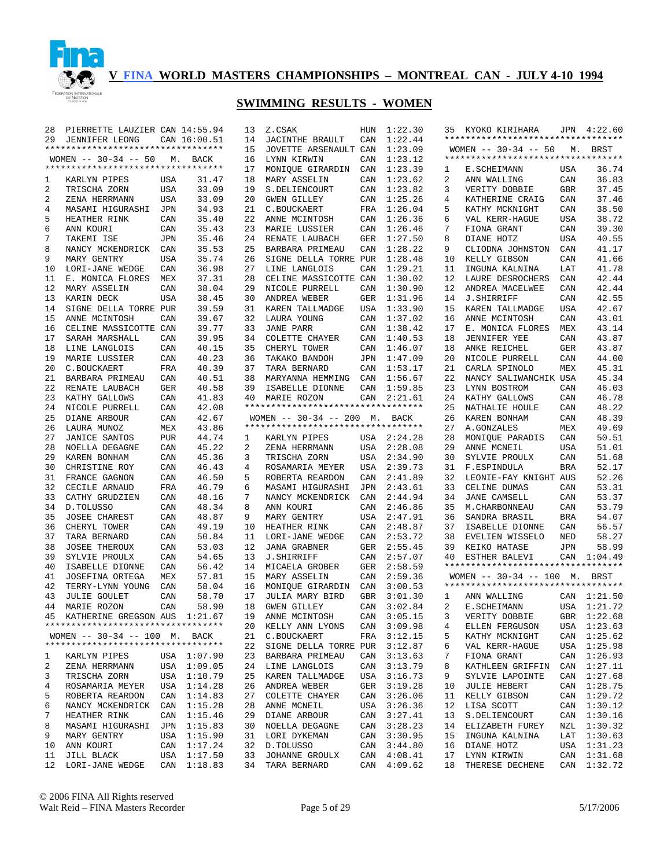

| 28 | PIERRETTE LAUZIER CAN 14:55.94     |            |              | 13 | Z.CSAK                             | HUN        | 1:22.30     |    | 35 KYOKO KIRIHARA                  |            | JPN 4:22.60 |
|----|------------------------------------|------------|--------------|----|------------------------------------|------------|-------------|----|------------------------------------|------------|-------------|
| 29 | JENNIFER LEONG                     |            | CAN 16:00.51 | 14 | <b>JACINTHE BRAULT</b>             | CAN        | 1:22.44     |    | ********************************** |            |             |
|    | ********************************** |            |              | 15 | JOVETTE ARSENAULT CAN              |            | 1:23.09     |    | WOMEN -- 30-34 -- 50 M. BRST       |            |             |
|    | WOMEN $--$ 30-34 $--$ 50           |            | M. BACK      | 16 | LYNN KIRWIN                        | CAN        | 1:23.12     |    | ********************************** |            |             |
|    | ********************************** |            |              | 17 | MONIQUE GIRARDIN                   | CAN        | 1:23.39     | 1  | E.SCHEIMANN                        | USA        | 36.74       |
| 1  | KARLYN PIPES                       | USA        | 31.47        | 18 | MARY ASSELIN                       | CAN        | 1:23.62     | 2  | ANN WALLING                        | CAN        | 36.83       |
| 2  | TRISCHA ZORN                       | USA        | 33.09        | 19 | S.DELIENCOURT                      | CAN        | 1:23.82     | 3  | VERITY DOBBIE                      | <b>GBR</b> | 37.45       |
| 2  | ZENA HERRMANN                      | USA        | 33.09        | 20 | <b>GWEN GILLEY</b>                 | CAN        | 1:25.26     | 4  | KATHERINE CRAIG                    | CAN        | 37.46       |
| 4  | MASAMI HIGURASHI                   | JPN        | 34.93        | 21 | C.BOUCKAERT                        | FRA        | 1:26.04     | 5  | KATHY MCKNIGHT                     | CAN        | 38.50       |
|    |                                    |            |              |    |                                    |            |             |    |                                    |            |             |
| 5  | HEATHER RINK                       | CAN        | 35.40        | 22 | ANNE MCINTOSH                      | CAN        | 1:26.36     | 6  | VAL KERR-HAGUE                     | <b>USA</b> | 38.72       |
| 6  | ANN KOURI                          | CAN        | 35.43        | 23 | MARIE LUSSIER                      | CAN        | 1:26.46     | 7  | FIONA GRANT                        | CAN        | 39.30       |
| 7  | TAKEMI ISE                         | JPN        | 35.46        | 24 | RENATE LAUBACH                     | GER        | 1:27.50     | 8  | DIANE HOTZ                         | <b>USA</b> | 40.55       |
| 8  | NANCY MCKENDRICK                   | CAN        | 35.53        | 25 | BARBARA PRIMEAU                    | CAN        | 1:28.22     | 9  | CLIODNA JOHNSTON                   | CAN        | 41.17       |
| 9  | MARY GENTRY                        | <b>USA</b> | 35.74        | 26 | SIGNE DELLA TORRE PUR              |            | 1:28.48     | 10 | KELLY GIBSON                       | CAN        | 41.66       |
| 10 | LORI-JANE WEDGE                    | CAN        | 36.98        | 27 | LINE LANGLOIS                      | CAN        | 1:29.21     | 11 | INGUNA KALNINA                     | LAT        | 41.78       |
| 11 | E. MONICA FLORES                   | MEX        | 37.31        | 28 | CELINE MASSICOTTE CAN              |            | 1:30.02     | 12 | LAURE DESROCHERS                   | CAN        | 42.44       |
| 12 | MARY ASSELIN                       | CAN        | 38.04        | 29 | NICOLE PURRELL                     | CAN        | 1:30.90     | 12 | ANDREA MACELWEE                    | CAN        | 42.44       |
| 13 | KARIN DECK                         | <b>USA</b> | 38.45        | 30 | ANDREA WEBER                       | GER        | 1:31.96     | 14 | J.SHIRRIFF                         | CAN        | 42.55       |
| 14 | SIGNE DELLA TORRE PUR              |            | 39.59        | 31 | KAREN TALLMADGE                    | USA        | 1:33.90     | 15 | KAREN TALLMADGE                    | <b>USA</b> | 42.67       |
| 15 | ANNE MCINTOSH                      | CAN        | 39.67        | 32 | LAURA YOUNG                        | CAN        | 1:37.02     | 16 | ANNE MCINTOSH                      | CAN        | 43.01       |
| 16 | CELINE MASSICOTTE CAN              |            | 39.77        | 33 | JANE PARR                          | CAN        | 1:38.42     | 17 | E. MONICA FLORES                   | MEX        | 43.14       |
| 17 | SARAH MARSHALL                     | CAN        | 39.95        | 34 | COLETTE CHAYER                     | CAN        | 1:40.53     | 18 | <b>JENNIFER YEE</b>                | CAN        | 43.87       |
| 18 |                                    |            | 40.15        | 35 |                                    |            |             | 18 |                                    | <b>GER</b> | 43.87       |
|    | LINE LANGLOIS                      | CAN        |              |    | CHERYL TOWER                       | CAN        | 1:46.07     |    | ANKE REICHEL                       |            |             |
| 19 | MARIE LUSSIER                      | CAN        | 40.23        | 36 | TAKAKO BANDOH                      | JPN        | 1:47.09     | 20 | NICOLE PURRELL                     | CAN        | 44.00       |
| 20 | C.BOUCKAERT                        | FRA        | 40.39        | 37 | TARA BERNARD                       | CAN        | 1:53.17     | 21 | CARLA SPINOLO                      | MEX        | 45.31       |
| 21 | BARBARA PRIMEAU                    | CAN        | 40.51        | 38 | MARYANNA HEMMING                   | CAN        | 1:56.67     | 22 | NANCY SALIWANCHIK USA              |            | 45.34       |
| 22 | RENATE LAUBACH                     | GER        | 40.58        | 39 | ISABELLE DIONNE                    | CAN        | 1:59.85     | 23 | LYNN BOSTROM                       | CAN        | 46.03       |
| 23 | KATHY GALLOWS                      | CAN        | 41.83        | 40 | MARIE ROZON                        | CAN        | 2:21.61     | 24 | KATHY GALLOWS                      | CAN        | 46.78       |
| 24 | NICOLE PURRELL                     | CAN        | 42.08        |    | ********************************** |            |             | 25 | NATHALIE HOULE                     | CAN        | 48.22       |
| 25 | DIANE ARBOUR                       | CAN        | 42.67        |    | WOMEN -- 30-34 -- 200 M. BACK      |            |             | 26 | KAREN BONHAM                       | CAN        | 48.39       |
| 26 | LAURA MUNOZ                        | MEX        | 43.86        |    | ********************************** |            |             | 27 | A.GONZALES                         | MEX        | 49.69       |
| 27 | <b>JANICE SANTOS</b>               | PUR        | 44.74        | 1  | KARLYN PIPES                       |            | USA 2:24.28 | 28 | MONIQUE PARADIS                    | CAN        | 50.51       |
| 28 | NOELLA DEGAGNE                     | CAN        | 45.22        | 2  | ZENA HERRMANN                      | USA        | 2:28.08     | 29 | ANNE MCNEIL                        | <b>USA</b> | 51.01       |
| 29 | KAREN BONHAM                       | CAN        | 45.36        | 3  | TRISCHA ZORN                       | USA        | 2:34.90     | 30 | SYLVIE PROULX                      | CAN        | 51.68       |
| 30 | CHRISTINE ROY                      | CAN        | 46.43        | 4  | ROSAMARIA MEYER                    | USA        | 2:39.73     | 31 | F.ESPINDULA                        | <b>BRA</b> | 52.17       |
|    |                                    |            |              |    |                                    |            |             |    |                                    |            |             |
| 31 | FRANCE GAGNON                      | CAN        | 46.50        | 5  | ROBERTA REARDON                    | CAN        | 2:41.89     | 32 | LEONIE-FAY KNIGHT AUS              |            | 52.26       |
| 32 | CECILE ARNAUD                      | FRA        | 46.79        | 6  | MASAMI HIGURASHI                   | JPN        | 2:43.61     | 33 | CELINE DUMAS                       | CAN        | 53.31       |
| 33 | CATHY GRUDZIEN                     | CAN        | 48.16        | 7  | NANCY MCKENDRICK                   | CAN        | 2:44.94     | 34 | <b>JANE CAMSELL</b>                | CAN        | 53.37       |
| 34 | D.TOLUSSO                          | CAN        | 48.34        | 8  | ANN KOURI                          | CAN        | 2:46.86     | 35 | M. CHARBONNEAU                     | CAN        | 53.79       |
| 35 | <b>JOSEE CHAREST</b>               | CAN        | 48.87        | 9  | MARY GENTRY                        | USA        | 2:47.91     | 36 | SANDRA BRASIL                      | <b>BRA</b> | 54.07       |
| 36 | CHERYL TOWER                       | CAN        | 49.19        | 10 | HEATHER RINK                       | CAN        | 2:48.87     | 37 | ISABELLE DIONNE                    | CAN        | 56.57       |
| 37 | TARA BERNARD                       | CAN        | 50.84        | 11 | LORI-JANE WEDGE                    | CAN        | 2:53.72     | 38 | EVELIEN WISSELO                    | <b>NED</b> | 58.27       |
| 38 | <b>JOSEE THEROUX</b>               | CAN        | 53.03        | 12 | <b>JANA GRABNER</b>                | <b>GER</b> | 2:55.45     | 39 | KEIKO HATASE                       | JPN        | 58.99       |
| 39 | SYLVIE PROULX                      | CAN        | 54.65        | 13 | J.SHIRRIFF                         | CAN        | 2:57.07     | 40 | ESTHER BALEVI                      |            | CAN 1:04.49 |
| 40 | ISABELLE DIONNE                    | CAN        | 56.42        | 14 | MICAELA GROBER                     | <b>GER</b> | 2:58.59     |    | ********************************** |            |             |
| 41 | JOSEFINA ORTEGA                    | MEX        | 57.81        | 15 | MARY ASSELIN                       | CAN        | 2:59.36     |    | WOMEN -- 30-34 -- 100 M. BRST      |            |             |
| 42 | TERRY-LYNN YOUNG                   | CAN        | 58.04        | 16 | MONIOUE GIRARDIN                   | CAN        | 3:00.53     |    | ********************************** |            |             |
| 43 | <b>JULIE GOULET</b>                | CAN        | 58.70        | 17 | JULIA MARY BIRD                    | GBR        | 3:01.30     | 1  | ANN WALLING                        |            | CAN 1:21.50 |
|    |                                    |            |              |    |                                    |            |             | 2  |                                    |            |             |
| 44 | MARIE ROZON                        | CAN        | 58.90        | 18 | <b>GWEN GILLEY</b>                 | CAN        | 3:02.84     |    | E.SCHEIMANN                        |            | USA 1:21.72 |
| 45 | KATHERINE GREGSON AUS 1:21.67      |            |              |    | 19 ANNE MCINTOSH                   |            | CAN 3:05.15 |    | 3 VERITY DOBBIE GBR 1:22.68        |            |             |
|    | ********************************** |            |              |    | 20 KELLY ANN LYONS                 |            | CAN 3:09.98 | 4  | ELLEN FERGUSON                     |            | USA 1:23.63 |
|    | WOMEN $-- 30-34 -- 100$ M. BACK    |            |              |    | 21 C.BOUCKAERT                     |            | FRA 3:12.15 | 5  | KATHY MCKNIGHT                     |            | CAN 1:25.62 |
|    | ********************************** |            |              | 22 | SIGNE DELLA TORRE PUR              |            | 3:12.87     | 6  | VAL KERR-HAGUE                     |            | USA 1:25.98 |
| 1  | KARLYN PIPES                       |            | USA 1:07.90  | 23 | BARBARA PRIMEAU                    | CAN        | 3:13.63     | 7  | FIONA GRANT                        |            | CAN 1:26.93 |
| 2  | ZENA HERRMANN                      |            | USA 1:09.05  |    | 24 LINE LANGLOIS                   | CAN        | 3:13.79     | 8  | KATHLEEN GRIFFIN                   |            | CAN 1:27.11 |
| 3  | TRISCHA ZORN                       |            | USA 1:10.79  |    | 25 KAREN TALLMADGE                 | USA        | 3:16.73     | 9  | SYLVIE LAPOINTE                    |            | CAN 1:27.68 |
| 4  | ROSAMARIA MEYER                    |            | USA 1:14.28  |    | 26 ANDREA WEBER                    | GER        | 3:19.28     | 10 | <b>JULIE HEBERT</b>                |            | CAN 1:28.75 |
| 5  | ROBERTA REARDON                    |            | CAN 1:14.83  | 27 | COLETTE CHAYER                     | CAN        | 3:26.06     | 11 | KELLY GIBSON                       |            | CAN 1:29.72 |
| 6  | NANCY MCKENDRICK CAN 1:15.28       |            |              | 28 | ANNE MCNEIL                        | USA        | 3:26.36     | 12 | LISA SCOTT                         |            | CAN 1:30.12 |
| 7  | HEATHER RINK                       |            | CAN 1:15.46  |    | 29 DIANE ARBOUR                    | CAN        | 3:27.41     | 13 | S. DELIENCOURT                     |            | CAN 1:30.16 |
| 8  |                                    |            | JPN 1:15.83  | 30 | NOELLA DEGAGNE                     | CAN        | 3:28.23     | 14 | ELIZABETH FUREY                    |            | NZL 1:30.32 |
|    | MASAMI HIGURASHI                   |            |              |    |                                    |            |             |    |                                    |            |             |
| 9  | MARY GENTRY                        |            | USA 1:15.90  |    | 31 LORI DYKEMAN                    | CAN        | 3:30.95     | 15 | INGUNA KALNINA                     |            | LAT 1:30.63 |
| 10 | ANN KOURI                          |            | CAN 1:17.24  | 32 | D.TOLUSSO                          | CAN        | 3:44.80     | 16 | DIANE HOTZ                         |            | USA 1:31.23 |
| 11 | JILL BLACK                         |            | USA 1:17.50  | 33 | JOHANNE GROULX                     | CAN        | 4:08.41     | 17 | LYNN KIRWIN                        |            | CAN 1:31.68 |
| 12 | LORI-JANE WEDGE                    |            | CAN 1:18.83  | 34 | TARA BERNARD                       |            | CAN 4:09.62 | 18 | THERESE DECHENE                    |            | CAN 1:32.72 |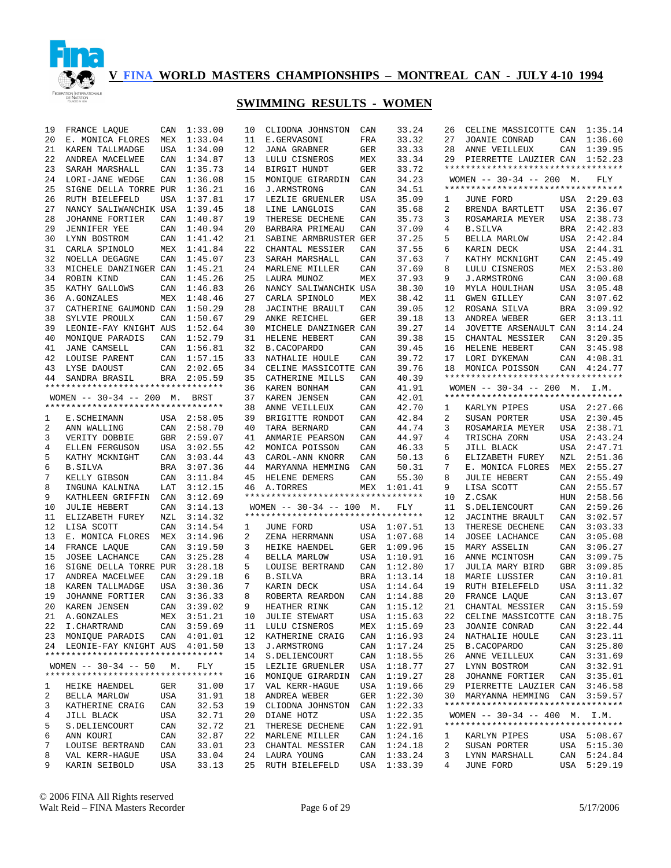

| 19      | FRANCE LAQUE                       | CAN        | 1:33.00     | 10 | CLIODNA JOHNSTON                   | CAN | 33.24       | 26 | CELINE MASSICOTTE CAN 1:35.14      |     |             |
|---------|------------------------------------|------------|-------------|----|------------------------------------|-----|-------------|----|------------------------------------|-----|-------------|
| 20      | E. MONICA FLORES                   | MEX        | 1:33.04     | 11 | E.GERVASONI                        | FRA | 33.32       | 27 | JOANIE CONRAD                      | CAN | 1:36.60     |
| 21      | KAREN TALLMADGE                    | USA        | 1:34.00     | 12 | <b>JANA GRABNER</b>                | GER | 33.33       | 28 | ANNE VEILLEUX                      | CAN | 1:39.95     |
| 22      | ANDREA MACELWEE                    | CAN        | 1:34.87     | 13 | LULU CISNEROS                      | MEX | 33.34       |    | 29 PIERRETTE LAUZIER CAN 1:52.23   |     |             |
| 23      | SARAH MARSHALL                     | CAN        | 1:35.73     | 14 | BIRGIT HUNDT                       | GER | 33.72       |    | ********************************** |     |             |
| 24      | LORI-JANE WEDGE                    | CAN        | 1:36.08     | 15 | MONIQUE GIRARDIN                   | CAN | 34.23       |    | WOMEN -- 30-34 -- 200 M.           |     | FLY         |
| 25      | SIGNE DELLA TORRE PUR              |            | 1:36.21     | 16 | <b>J.ARMSTRONG</b>                 | CAN | 34.51       |    | ********************************** |     |             |
| 26      | RUTH BIELEFELD                     | <b>USA</b> | 1:37.81     | 17 | LEZLIE GRUENLER                    | USA | 35.09       | 1  | JUNE FORD                          |     | USA 2:29.03 |
| 27      | NANCY SALIWANCHIK USA              |            | 1:39.45     | 18 | LINE LANGLOIS                      | CAN | 35.68       | 2  | BRENDA BARTLETT                    |     | USA 2:36.07 |
| 28      | JOHANNE FORTIER                    | CAN        | 1:40.87     | 19 | THERESE DECHENE                    | CAN | 35.73       | 3  | ROSAMARIA MEYER                    | USA | 2:38.73     |
| 29      | <b>JENNIFER YEE</b>                | CAN        | 1:40.94     | 20 | BARBARA PRIMEAU                    | CAN | 37.09       | 4  | <b>B.SILVA</b>                     | BRA | 2:42.83     |
| 30      | LYNN BOSTROM                       | CAN        | 1:41.42     | 21 | SABINE ARMBRUSTER GER              |     | 37.25       | 5  | BELLA MARLOW                       | USA | 2:42.84     |
| 31      | CARLA SPINOLO                      |            | MEX 1:41.84 | 22 | CHANTAL MESSIER                    | CAN | 37.55       | 6  | KARIN DECK                         | USA | 2:44.31     |
| 32      | NOELLA DEGAGNE                     | CAN        | 1:45.07     | 23 | SARAH MARSHALL                     | CAN | 37.63       | 7  | KATHY MCKNIGHT                     | CAN | 2:45.49     |
| 33      | MICHELE DANZINGER CAN              |            | 1:45.21     | 24 | MARLENE MILLER                     | CAN | 37.69       | 8  | LULU CISNEROS                      | MEX | 2:53.80     |
| 34      | ROBIN KIND                         | CAN        | 1:45.26     | 25 | LAURA MUNOZ                        | MEX | 37.93       | 9  | J.ARMSTRONG                        | CAN | 3:00.68     |
| 35      | KATHY GALLOWS                      | CAN        | 1:46.83     | 26 | NANCY SALIWANCHIK USA              |     | 38.30       | 10 | MYLA HOULIHAN                      | USA | 3:05.48     |
| 36      | A.GONZALES                         | MEX        | 1:48.46     | 27 | CARLA SPINOLO                      | MEX | 38.42       | 11 | GWEN GILLEY                        | CAN | 3:07.62     |
| 37      | CATHERINE GAUMOND CAN              |            | 1:50.29     | 28 | JACINTHE BRAULT                    | CAN | 39.05       | 12 | ROSANA SILVA                       | BRA | 3:09.92     |
| 38      | SYLVIE PROULX                      | CAN        | 1:50.67     | 29 | ANKE REICHEL                       | GER | 39.18       | 13 | ANDREA WEBER                       | GER | 3:13.11     |
| 39      | LEONIE-FAY KNIGHT AUS              |            | 1:52.64     | 30 | MICHELE DANZINGER CAN              |     | 39.27       | 14 | JOVETTE ARSENAULT CAN              |     | 3:14.24     |
| 40      | MONIQUE PARADIS                    | CAN        | 1:52.79     | 31 | HELENE HEBERT                      | CAN | 39.38       | 15 | CHANTAL MESSIER                    | CAN | 3:20.35     |
| 41      | JANE CAMSELL                       |            | CAN 1:56.81 | 32 | B.CACOPARDO                        | CAN | 39.45       | 16 | HELENE HEBERT                      | CAN | 3:45.98     |
| 42      | LOUISE PARENT                      |            | CAN 1:57.15 | 33 | NATHALIE HOULE                     | CAN | 39.72       | 17 | LORI DYKEMAN                       |     | CAN 4:08.31 |
| 43      | LYSE DAOUST                        |            | CAN 2:02.65 | 34 | CELINE MASSICOTTE CAN              |     | 39.76       | 18 | MONICA POISSON                     |     | CAN 4:24.77 |
| 44      | SANDRA BRASIL                      |            | BRA 2:05.59 | 35 | CATHERINE MILLS                    | CAN | 40.39       |    | ********************************** |     |             |
|         | ********************************** |            |             | 36 | KAREN BONHAM                       | CAN | 41.91       |    | WOMEN $-- 30-34 -- 200$ M.         |     | I.M.        |
|         | WOMEN -- 30-34 -- 200 M. BRST      |            |             | 37 | KAREN JENSEN                       | CAN | 42.01       |    | ********************************** |     |             |
|         | ********************************** |            |             | 38 | ANNE VEILLEUX                      | CAN | 42.70       | 1  | KARLYN PIPES                       |     | USA 2:27.66 |
| 1       | E.SCHEIMANN                        |            | USA 2:58.05 | 39 | BRIGITTE RONDOT                    | CAN | 42.84       | 2  | SUSAN PORTER                       |     | USA 2:30.45 |
| 2       | ANN WALLING                        | CAN        | 2:58.70     | 40 | TARA BERNARD                       | CAN | 44.74       | 3  | ROSAMARIA MEYER                    | USA | 2:38.71     |
| 3       | VERITY DOBBIE                      |            | GBR 2:59.07 | 41 | ANMARIE PEARSON                    | CAN | 44.97       | 4  | TRISCHA ZORN                       | USA | 2:43.24     |
| 4       | ELLEN FERGUSON                     | USA        | 3:02.55     | 42 | MONICA POISSON                     | CAN | 46.33       | 5  | JILL BLACK                         | USA | 2:47.71     |
| 5       | KATHY MCKNIGHT                     | CAN        | 3:03.44     | 43 | CAROL-ANN KNORR                    | CAN | 50.13       | 6  | ELIZABETH FUREY                    | NZL | 2:51.36     |
| 6       | <b>B.SILVA</b>                     | BRA        | 3:07.36     | 44 | MARYANNA HEMMING                   | CAN | 50.31       | 7  | E. MONICA FLORES                   | MEX | 2:55.27     |
| 7       | KELLY GIBSON                       | CAN        | 3:11.84     | 45 | HELENE DEMERS                      | CAN | 55.30       | 8  | <b>JULIE HEBERT</b>                | CAN | 2:55.49     |
| 8       | INGUNA KALNINA                     | LAT        | 3:12.15     | 46 | A.TORRES                           |     | MEX 1:01.41 | 9  | LISA SCOTT                         | CAN | 2:55.57     |
| 9       | KATHLEEN GRIFFIN                   | CAN        | 3:12.69     |    | ********************************** |     |             | 10 | Z.CSAK                             | HUN | 2:58.56     |
| 10      | <b>JULIE HEBERT</b>                | CAN        | 3:14.13     |    | WOMEN $--$ 30-34 $--$ 100 M.       |     | FLY         | 11 | S.DELIENCOURT                      | CAN | 2:59.26     |
| 11      | ELIZABETH FUREY                    | NZL        | 3:14.32     |    | ********************************** |     |             | 12 | <b>JACINTHE BRAULT</b>             | CAN | 3:02.57     |
| 12      | LISA SCOTT                         | CAN        | 3:14.54     | 1  | JUNE FORD                          |     | USA 1:07.51 | 13 | THERESE DECHENE                    | CAN | 3:03.33     |
| 13      | E. MONICA FLORES                   | MEX        | 3:14.96     | 2  | ZENA HERRMANN                      |     | USA 1:07.68 | 14 | JOSEE LACHANCE                     | CAN | 3:05.08     |
| 14      | FRANCE LAQUE                       | CAN        | 3:19.50     | 3  | HEIKE HAENDEL                      | GER | 1:09.96     | 15 | MARY ASSELIN                       | CAN | 3:06.27     |
| 15      | JOSEE LACHANCE                     | CAN        | 3:25.28     | 4  | BELLA MARLOW                       | USA | 1:10.91     | 16 | ANNE MCINTOSH                      | CAN | 3:09.75     |
| 16      | SIGNE DELLA TORRE PUR              |            | 3:28.18     | 5  | LOUISE BERTRAND                    | CAN | 1:12.80     | 17 | JULIA MARY BIRD                    | GBR | 3:09.85     |
| 17      | ANDREA MACELWEE                    | CAN        | 3:29.18     | 6  | <b>B.SILVA</b>                     | BRA | 1:13.14     | 18 | MARIE LUSSIER                      | CAN | 3:10.81     |
| 18      | KAREN TALLMADGE                    | USA        | 3:30.36     | 7  | KARIN DECK                         | USA | 1:14.64     | 19 | RUTH BIELEFELD                     | USA | 3:11.32     |
| 19      | JOHANNE FORTIER                    | CAN        | 3:36.33     | 8  | ROBERTA REARDON                    | CAN | 1:14.88     | 20 | FRANCE LAQUE                       | CAN | 3:13.07     |
| 20      | KAREN JENSEN                       | CAN        | 3:39.02     | 9  | HEATHER RINK                       |     | CAN 1:15.12 | 21 | CHANTAL MESSIER                    | CAN | 3:15.59     |
|         | 21 A.GONZALES                      |            | MEX 3:51.21 |    | 10 JULIE STEWART                   |     | USA 1:15.63 |    | 22 CELINE MASSICOTTE CAN 3:18.75   |     |             |
| 22      | I.CHARTRAND                        |            | CAN 3:59.69 |    | 11 LULU CISNEROS                   |     | MEX 1:15.69 | 23 | JOANIE CONRAD                      |     | CAN 3:22.44 |
|         | 23 MONIQUE PARADIS CAN 4:01.01     |            |             | 12 | KATHERINE CRAIG                    |     | CAN 1:16.93 | 24 | NATHALIE HOULE                     | CAN | 3:23.11     |
|         | 24 LEONIE-FAY KNIGHT AUS 4:01.50   |            |             | 13 | J.ARMSTRONG                        | CAN | 1:17.24     | 25 | <b>B. CACOPARDO</b>                | CAN | 3:25.80     |
|         | ********************************** |            |             | 14 | S. DELIENCOURT                     | CAN | 1:18.55     | 26 | ANNE VEILLEUX                      | CAN | 3:31.69     |
|         | WOMEN $-- 30-34 -- 50$             | М.         | FLY         | 15 | LEZLIE GRUENLER                    | USA | 1:18.77     | 27 | LYNN BOSTROM                       |     | CAN 3:32.91 |
|         | ********************************** |            |             | 16 | MONIQUE GIRARDIN                   | CAN | 1:19.27     | 28 | JOHANNE FORTIER                    | CAN | 3:35.01     |
| $\perp$ | HEIKE HAENDEL                      | GER        | 31.00       | 17 | VAL KERR-HAGUE                     | USA | 1:19.66     | 29 | PIERRETTE LAUZIER CAN 3:46.58      |     |             |
| 2       | BELLA MARLOW                       | USA        | 31.91       | 18 | ANDREA WEBER                       | GER | 1:22.30     | 30 | MARYANNA HEMMING CAN 3:59.57       |     |             |
| 3       | KATHERINE CRAIG                    | CAN        | 32.53       | 19 | CLIODNA JOHNSTON                   | CAN | 1:22.33     |    | ********************************** |     |             |
| 4       | JILL BLACK                         | USA        | 32.71       | 20 | DIANE HOTZ                         | USA | 1:22.35     |    | WOMEN $-- 30-34 -- 400$ M. I.M.    |     |             |
| 5       | S.DELIENCOURT                      | CAN        | 32.72       | 21 | THERESE DECHENE                    | CAN | 1:22.91     |    | ********************************** |     |             |
| 6       | ANN KOURI                          | CAN        | 32.87       |    | 22 MARLENE MILLER                  | CAN | 1:24.16     | 1  | KARLYN PIPES                       |     | USA 5:08.67 |
| 7       | LOUISE BERTRAND                    | CAN        | 33.01       | 23 | CHANTAL MESSIER                    | CAN | 1:24.18     | 2  | SUSAN PORTER                       |     | USA 5:15.30 |
| 8       | VAL KERR-HAGUE                     | USA        | 33.04       |    | 24 LAURA YOUNG                     | CAN | 1:33.24     | 3  | LYNN MARSHALL                      |     | CAN 5:24.84 |
| 9       | KARIN SEIBOLD                      | USA        | 33.13       | 25 | RUTH BIELEFELD                     | USA | 1:33.39     | 4  | JUNE FORD                          | USA | 5:29.19     |
|         |                                    |            |             |    |                                    |     |             |    |                                    |     |             |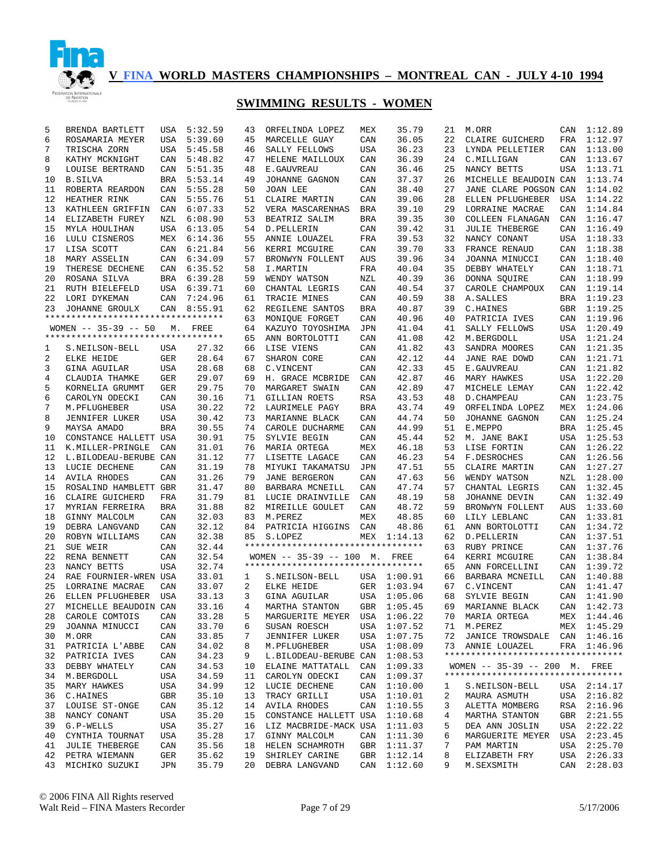

| 5  | BRENDA BARTLETT                    | USA        | 5:32.59 | 43 | ORFELINDA LOPEZ                    | MEX        | 35.79       | 21 | M.ORR                              |     | CAN 1:12.89 |
|----|------------------------------------|------------|---------|----|------------------------------------|------------|-------------|----|------------------------------------|-----|-------------|
| 6  | ROSAMARIA MEYER                    | USA        | 5:39.60 | 45 | MARCELLE GUAY                      | CAN        | 36.05       | 22 | CLAIRE GUICHERD                    | FRA | 1:12.97     |
| 7  | TRISCHA ZORN                       | USA        | 5:45.58 | 46 | SALLY FELLOWS                      | USA        | 36.23       | 23 | LYNDA PELLETIER                    | CAN | 1:13.00     |
| 8  | KATHY MCKNIGHT                     | CAN        | 5:48.82 | 47 | HELENE MAILLOUX                    | CAN        | 36.39       | 24 | C.MILLIGAN                         | CAN | 1:13.67     |
| 9  | LOUISE BERTRAND                    | CAN        | 5:51.35 | 48 | E.GAUVREAU                         | CAN        | 36.46       | 25 | NANCY BETTS                        | USA | 1:13.71     |
| 10 | <b>B.SILVA</b>                     | <b>BRA</b> | 5:53.14 | 49 | JOHANNE GAGNON                     | CAN        | 37.37       | 26 | MICHELLE BEAUDOIN CAN              |     | 1:13.74     |
| 11 | ROBERTA REARDON                    | CAN        | 5:55.28 | 50 | JOAN LEE                           | CAN        | 38.40       | 27 | JANE CLARE POGSON CAN              |     | 1:14.02     |
| 12 | HEATHER RINK                       | CAN        | 5:55.76 | 51 | CLAIRE MARTIN                      | CAN        | 39.06       | 28 | ELLEN PFLUGHEBER                   | USA | 1:14.22     |
| 13 | KATHLEEN GRIFFIN                   | CAN        | 6:07.33 | 52 | VERA MASCARENHAS                   | <b>BRA</b> | 39.10       | 29 | LORRAINE MACRAE                    | CAN | 1:14.84     |
| 14 | ELIZABETH FUREY                    | NZL        | 6:08.90 | 53 | BEATRIZ SALIM                      | <b>BRA</b> | 39.35       | 30 | COLLEEN FLANAGAN                   | CAN | 1:16.47     |
| 15 | MYLA HOULIHAN                      | <b>USA</b> | 6:13.05 | 54 | D. PELLERIN                        | CAN        | 39.42       | 31 | <b>JULIE THEBERGE</b>              | CAN | 1:16.49     |
| 16 | LULU CISNEROS                      | MEX        | 6:14.36 | 55 | ANNIE LOUAZEL                      | FRA        | 39.53       | 32 | NANCY CONANT                       | USA | 1:18.33     |
| 17 | LISA SCOTT                         | CAN        | 6:21.84 | 56 | KERRI MCGUIRE                      | CAN        | 39.70       | 33 | FRANCE RENAUD                      | CAN | 1:18.38     |
| 18 | MARY ASSELIN                       | CAN        | 6:34.09 | 57 | BRONWYN FOLLENT                    | AUS        | 39.96       | 34 | JOANNA MINUCCI                     | CAN | 1:18.40     |
| 19 | THERESE DECHENE                    | CAN        | 6:35.52 | 58 | I.MARTIN                           | FRA        | 40.04       | 35 | DEBBY WHATELY                      | CAN | 1:18.71     |
| 20 | ROSANA SILVA                       | BRA        | 6:39.28 | 59 | WENDY WATSON                       | NZL        | 40.39       | 36 | DONNA SQUIRE                       | CAN | 1:18.99     |
| 21 | RUTH BIELEFELD                     | USA        | 6:39.71 | 60 | CHANTAL LEGRIS                     | CAN        | 40.54       | 37 | CAROLE CHAMPOUX                    | CAN | 1:19.14     |
| 22 | LORI DYKEMAN                       | CAN        | 7:24.96 | 61 | TRACIE MINES                       | CAN        | 40.59       | 38 | A. SALLES                          | BRA | 1:19.23     |
| 23 | JOHANNE GROULX                     | CAN        | 8:55.91 | 62 | REGILENE SANTOS                    | BRA        | 40.87       | 39 | C.HAINES                           | GBR | 1:19.25     |
|    | ********************************** |            |         | 63 | MONIQUE FORGET                     | CAN        | 40.96       | 40 | PATRICIA IVES                      | CAN | 1:19.96     |
|    | WOMEN $-- 35-39 -- 50$             | М.         | FREE    | 64 | KAZUYO TOYOSHIMA                   | JPN        | 41.04       | 41 | SALLY FELLOWS                      | USA | 1:20.49     |
|    | ********************************** |            |         | 65 | ANN BORTOLOTTI                     | CAN        | 41.08       | 42 | M.BERGDOLL                         | USA | 1:21.24     |
| 1  | S.NEILSON-BELL                     | USA        | 27.32   | 66 | LISE VIENS                         | CAN        | 41.82       | 43 | SANDRA MOORES                      | CAN | 1:21.35     |
| 2  | ELKE HEIDE                         | GER        | 28.64   | 67 | SHARON CORE                        | CAN        | 42.12       | 44 | JANE RAE DOWD                      |     | CAN 1:21.71 |
| 3  | <b>GINA AGUILAR</b>                | USA        | 28.68   | 68 | C.VINCENT                          | CAN        | 42.33       | 45 | E.GAUVREAU                         | CAN | 1:21.82     |
| 4  | CLAUDIA THAMKE                     | GER        | 29.07   | 69 | H. GRACE MCBRIDE                   | CAN        | 42.87       | 46 | MARY HAWKES                        |     | USA 1:22.20 |
| 5  | KORNELIA GRUMMT                    | GER        | 29.75   | 70 | MARGARET SWAIN                     | CAN        | 42.89       | 47 | MICHELE LEMAY                      | CAN | 1:22.42     |
| 6  | CAROLYN ODECKI                     | CAN        | 30.16   | 71 | GILLIAN ROETS                      | <b>RSA</b> | 43.53       | 48 | D. CHAMPEAU                        | CAN | 1:23.75     |
| 7  | M.PFLUGHEBER                       | USA        | 30.22   | 72 | LAURIMELE PAGY                     | BRA        | 43.74       | 49 | ORFELINDA LOPEZ                    | MEX | 1:24.06     |
| 8  | <b>JENNIFER LUKER</b>              | <b>USA</b> | 30.42   | 73 | MARIANNE BLACK                     | CAN        | 44.74       | 50 | JOHANNE GAGNON                     | CAN | 1:25.24     |
| 9  | MAYSA AMADO                        | <b>BRA</b> | 30.55   | 74 | CAROLE DUCHARME                    | CAN        | 44.99       | 51 | E.MEPPO                            | BRA | 1:25.45     |
| 10 | CONSTANCE HALLETT USA              |            | 30.91   | 75 | SYLVIE BEGIN                       | CAN        | 45.44       | 52 | M. JANE BAKI                       | USA | 1:25.53     |
| 11 | K.MILLER-PRINGLE                   | CAN        | 31.01   | 76 | MARIA ORTEGA                       | MEX        | 46.18       | 53 | LISE FORTIN                        | CAN | 1:26.22     |
| 12 | L.BILODEAU-BERUBE CAN              |            | 31.12   | 77 | LISETTE LAGACE                     | CAN        | 46.23       | 54 | F.DESROCHES                        |     | CAN 1:26.56 |
| 13 | LUCIE DECHENE                      | CAN        | 31.19   | 78 | MIYUKI TAKAMATSU                   | JPN        | 47.51       | 55 | CLAIRE MARTIN                      | CAN | 1:27.27     |
| 14 | <b>AVILA RHODES</b>                | CAN        | 31.26   | 79 | <b>JANE BERGERON</b>               | CAN        | 47.63       | 56 | WENDY WATSON                       | NZL | 1:28.00     |
| 15 | ROSALIND HAMBLETT GBR              |            | 31.47   | 80 | BARBARA MCNEILL                    | CAN        | 47.74       | 57 | CHANTAL LEGRIS                     | CAN | 1:32.45     |
| 16 | CLAIRE GUICHERD                    | FRA        | 31.79   | 81 | LUCIE DRAINVILLE                   | CAN        | 48.19       | 58 | JOHANNE DEVIN                      | CAN | 1:32.49     |
| 17 | MYRIAN FERREIRA                    | BRA        | 31.88   | 82 | MIREILLE GOULET                    | CAN        | 48.72       | 59 | BRONWYN FOLLENT                    | AUS | 1:33.60     |
| 18 | GINNY MALCOLM                      | CAN        | 32.03   | 83 | M.PEREZ                            | MEX        | 48.85       | 60 | LILY LEBLANC                       | CAN | 1:33.81     |
| 19 | DEBRA LANGVAND                     | CAN        | 32.12   | 84 | PATRICIA HIGGINS                   | CAN        | 48.86       | 61 | ANN BORTOLOTTI                     | CAN | 1:34.72     |
| 20 | ROBYN WILLIAMS                     | CAN        | 32.38   | 85 | S.LOPEZ                            |            | MEX 1:14.13 | 62 | D. PELLERIN                        | CAN | 1:37.51     |
| 21 | SUE WEIR                           | CAN        | 32.44   |    | ********************************** |            |             | 63 | RUBY PRINCE                        | CAN | 1:37.76     |
| 22 | RENA BENNETT                       | CAN        | 32.54   |    | WOMEN $-- 35-39 -- 100$ M.         |            | FREE        | 64 | KERRI MCGUIRE                      | CAN | 1:38.84     |
| 23 | NANCY BETTS                        | USA        | 32.74   |    | ********************************** |            |             | 65 | ANN FORCELLINI                     | CAN | 1:39.72     |
| 24 | RAE FOURNIER-WREN USA              |            | 33.01   | 1  | S.NEILSON-BELL                     |            | USA 1:00.91 | 66 | BARBARA MCNEILL                    | CAN | 1:40.88     |
| 25 | LORRAINE MACRAE                    | CAN        | 33.07   | 2  | ELKE HEIDE                         | GER        | 1:03.94     | 67 | C.VINCENT                          | CAN | 1:41.47     |
| 26 | ELLEN PFLUGHEBER                   | USA        | 33.13   | 3  | GINA AGUILAR                       | USA        | 1:05.06     | 68 | SYLVIE BEGIN                       | CAN | 1:41.90     |
| 27 | MICHELLE BEAUDOIN CAN              |            | 33.16   | 4  | MARTHA STANTON                     |            | GBR 1:05.45 | 69 | MARIANNE BLACK                     | CAN | 1:42.73     |
| 28 | CAROLE COMTOIS                     | CAN        | 33.28   | 5  | MARGUERITE MEYER USA 1:06.22       |            |             |    | 70 MARIA ORTEGA                    |     | MEX 1:44.46 |
| 29 | JOANNA MINUCCI                     | CAN        | 33.70   | 6  | SUSAN ROESCH                       |            | USA 1:07.52 |    | 71 M.PEREZ                         |     | MEX 1:45.29 |
| 30 | M.ORR                              | CAN        | 33.85   | 7  | <b>JENNIFER LUKER</b>              |            | USA 1:07.75 | 72 | JANICE TROWSDALE CAN 1:46.16       |     |             |
| 31 | PATRICIA L'ABBE                    | CAN        | 34.02   | 8  | M. PFLUGHEBER                      | USA        | 1:08.09     |    | 73 ANNIE LOUAZEL                   |     | FRA 1:46.96 |
| 32 | PATRICIA IVES                      | CAN        | 34.23   | 9  | L.BILODEAU-BERUBE CAN              |            | 1:08.53     |    | ********************************** |     |             |
| 33 | DEBBY WHATELY                      | CAN        | 34.53   | 10 | ELAINE MATTATALL                   | CAN        | 1:09.33     |    | WOMEN -- 35-39 -- 200 M. FREE      |     |             |
| 34 | M.BERGDOLL                         | USA        | 34.59   | 11 | CAROLYN ODECKI                     | CAN        | 1:09.37     |    | ********************************** |     |             |
| 35 | MARY HAWKES                        | USA        | 34.99   | 12 | LUCIE DECHENE                      | CAN        | 1:10.00     | 1  | S.NEILSON-BELL                     |     | USA 2:14.17 |
| 36 | C.HAINES                           | GBR        | 35.10   | 13 | TRACY GRILLI                       | USA        | 1:10.01     | 2  | MAURA ASMUTH                       |     | USA 2:16.82 |
| 37 | LOUISE ST-ONGE                     | CAN        | 35.12   |    | 14 AVILA RHODES                    | CAN        | 1:10.55     | 3  | ALETTA MOMBERG                     |     | RSA 2:16.96 |
| 38 | NANCY CONANT                       | USA        | 35.20   | 15 | CONSTANCE HALLETT USA              |            | 1:10.68     | 4  | MARTHA STANTON                     |     | GBR 2:21.55 |
| 39 | G.P-WELLS                          | USA        | 35.27   |    | 16 LIZ MACBRIDE-MACK USA           |            | 1:11.03     | 5  | DEA ANN JOSLIN                     |     | USA 2:22.22 |
| 40 | CYNTHIA TOURNAT                    | USA        | 35.28   |    | 17 GINNY MALCOLM                   |            | CAN 1:11.30 | 6  | MARGUERITE MEYER                   |     | USA 2:23.45 |
| 41 | <b>JULIE THEBERGE</b>              | CAN        | 35.56   | 18 | HELEN SCHAMROTH                    | GBR        | 1:11.37     | 7  | PAM MARTIN                         |     | USA 2:25.70 |
| 42 | PETRA WIEMANN                      | GER        | 35.62   | 19 | SHIRLEY CARINE                     | GBR        | 1:12.14     | 8  | ELIZABETH FRY                      |     | USA 2:26.33 |
| 43 | MICHIKO SUZUKI                     | JPN        | 35.79   | 20 | DEBRA LANGVAND                     |            | CAN 1:12.60 | 9  | M.SEXSMITH                         | CAN | 2:28.03     |
|    |                                    |            |         |    |                                    |            |             |    |                                    |     |             |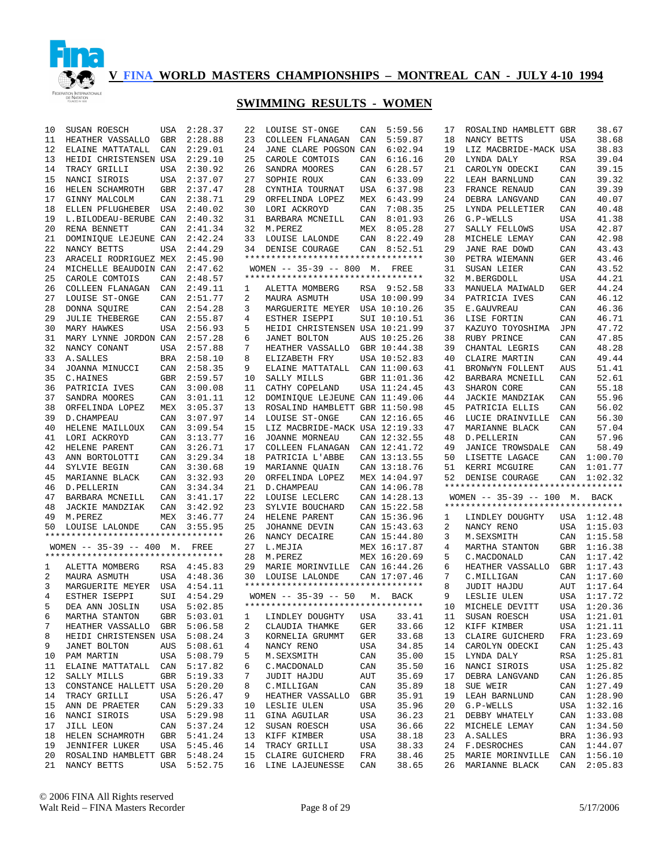

| 10       | SUSAN ROESCH                                 | USA        | 2:28.37     | 22 | LOUISE ST-ONGE                        | CAN        | 5:59.56        | 17       | ROSALIND HAMBLETT GBR              |            | 38.67                  |
|----------|----------------------------------------------|------------|-------------|----|---------------------------------------|------------|----------------|----------|------------------------------------|------------|------------------------|
| 11       | HEATHER VASSALLO                             | GBR        | 2:28.88     | 23 | COLLEEN FLANAGAN                      | CAN        | 5:59.87        | 18       | NANCY BETTS                        | USA        | 38.68                  |
| 12       | ELAINE MATTATALL                             | CAN        | 2:29.01     | 24 | JANE CLARE POGSON CAN                 |            | 6:02.94        | 19       | LIZ MACBRIDE-MACK USA              |            | 38.83                  |
| 13       | HEIDI CHRISTENSEN USA                        |            | 2:29.10     | 25 | CAROLE COMTOIS                        | CAN        | 6:16.16        | 20       | LYNDA DALY                         | <b>RSA</b> | 39.04                  |
| 14       | TRACY GRILLI                                 |            | USA 2:30.92 | 26 | SANDRA MOORES                         | CAN        | 6:28.57        | 21       | CAROLYN ODECKI                     | CAN        | 39.15                  |
| 15       | NANCI SIROIS                                 |            | USA 2:37.07 | 27 | SOPHIE ROUX                           | CAN        | 6:33.09        | 22       | LEAH BARNLUND                      | CAN        | 39.32                  |
| 16       | HELEN SCHAMROTH                              | GBR        | 2:37.47     | 28 | CYNTHIA TOURNAT                       | USA        | 6:37.98        | 23       | FRANCE RENAUD                      | CAN        | 39.39                  |
| 17       | GINNY MALCOLM                                | CAN        | 2:38.71     | 29 | ORFELINDA LOPEZ                       | MEX        | 6:43.99        | 24       | DEBRA LANGVAND                     | CAN        | 40.07                  |
| 18       | ELLEN PFLUGHEBER                             | USA        | 2:40.02     | 30 | LORI ACKROYD                          | CAN        | 7:08.35        | 25       | LYNDA PELLETIER                    | CAN        | 40.48                  |
| 19       | L.BILODEAU-BERUBE CAN                        |            | 2:40.32     | 31 | BARBARA MCNEILL                       | CAN        | 8:01.93        | 26       | G.P-WELLS                          | <b>USA</b> | 41.38                  |
| 20       | RENA BENNETT                                 | CAN        | 2:41.34     |    | 32 M.PEREZ                            | MEX        | 8:05.28        | 27       | SALLY FELLOWS                      | <b>USA</b> | 42.87                  |
| 21       | DOMINIQUE LEJEUNE CAN                        |            | 2:42.24     | 33 | LOUISE LALONDE                        | CAN        | 8:22.49        | 28       | MICHELE LEMAY                      | CAN        | 42.98                  |
| 22       | NANCY BETTS                                  | <b>USA</b> | 2:44.29     | 34 | DENISE COURAGE                        |            | CAN 8:52.51    | 29       | <b>JANE RAE DOWD</b>               | CAN        | 43.43                  |
| 23       | ARACELI RODRIGUEZ MEX                        |            | 2:45.90     |    | **********************************    |            |                | 30       | PETRA WIEMANN                      | <b>GER</b> | 43.46                  |
| 24       | MICHELLE BEAUDOIN CAN                        |            | 2:47.62     |    | WOMEN -- 35-39 -- 800 M. FREE         |            |                | 31       | SUSAN LEIER                        | CAN        | 43.52                  |
| 25       | CAROLE COMTOIS                               | CAN        | 2:48.57     |    | *********************************     |            |                | 32       | M.BERGDOLL                         | <b>USA</b> | 44.21                  |
| 26       | COLLEEN FLANAGAN                             | CAN        | 2:49.11     | 1  | ALETTA MOMBERG                        |            | RSA 9:52.58    | 33       | MANUELA MAIWALD                    | <b>GER</b> | 44.24                  |
| 27       | LOUISE ST-ONGE                               | CAN        | 2:51.77     | 2  | MAURA ASMUTH                          |            | USA 10:00.99   | 34       | PATRICIA IVES                      | CAN        | 46.12                  |
| 28       | DONNA SQUIRE                                 | CAN        | 2:54.28     | 3  | MARGUERITE MEYER USA 10:10.26         |            |                | 35       | E.GAUVREAU                         | CAN        | 46.36                  |
| 29       | <b>JULIE THEBERGE</b>                        | CAN        | 2:55.87     | 4  | ESTHER ISEPPI                         |            | SUI 10:10.51   | 36       | LISE FORTIN                        | CAN        | 46.71                  |
| 30       | MARY HAWKES                                  |            | USA 2:56.93 | 5  | HEIDI CHRISTENSEN USA 10:21.99        |            |                | 37       | KAZUYO TOYOSHIMA                   | JPN        | 47.72                  |
| 31       | MARY LYNNE JORDON CAN                        |            | 2:57.28     | 6  | <b>JANET BOLTON</b>                   |            | AUS 10:25.26   | 38       | RUBY PRINCE                        | CAN        | 47.85                  |
| 32       | NANCY CONANT                                 |            | USA 2:57.88 | 7  | HEATHER VASSALLO                      |            | GBR 10:44.38   | 39       | CHANTAL LEGRIS                     | CAN        | 48.28                  |
| 33       | A. SALLES                                    | BRA        | 2:58.10     | 8  | ELIZABETH FRY                         |            | USA 10:52.83   | 40       | CLAIRE MARTIN                      | CAN        | 49.44                  |
| 34       | JOANNA MINUCCI                               | CAN        | 2:58.35     | 9  | ELAINE MATTATALL                      |            | CAN 11:00.63   | 41       | BRONWYN FOLLENT                    | AUS        | 51.41                  |
| 35       | C.HAINES                                     | GBR        | 2:59.57     | 10 | SALLY MILLS                           |            | GBR 11:01.36   | 42       | BARBARA MCNEILL                    | CAN        | 52.61                  |
| 36       | PATRICIA IVES                                | CAN        | 3:00.08     | 11 | CATHY COPELAND                        |            | USA 11:24.45   | 43       | SHARON CORE                        | CAN        | 55.18                  |
| 37       | SANDRA MOORES                                | CAN        | 3:01.11     | 12 | DOMINIQUE LEJEUNE CAN 11:49.06        |            |                | 44       | <b>JACKIE MANDZIAK</b>             | CAN        | 55.96                  |
| 38       | ORFELINDA LOPEZ                              | MEX        | 3:05.37     | 13 | ROSALIND HAMBLETT GBR 11:50.98        |            |                | 45       | PATRICIA ELLIS                     | CAN        | 56.02                  |
| 39       | D. CHAMPEAU                                  | CAN        | 3:07.97     | 14 | LOUISE ST-ONGE                        |            | CAN 12:16.65   | 46       | LUCIE DRAINVILLE                   | CAN        | 56.30                  |
| 40       | HELENE MAILLOUX                              | CAN        | 3:09.54     | 15 | LIZ MACBRIDE-MACK USA 12:19.33        |            |                | 47       | MARIANNE BLACK                     | CAN        | 57.04                  |
| 41       | LORI ACKROYD                                 | CAN        | 3:13.77     | 16 | JOANNE MORNEAU                        |            | CAN 12:32.55   | 48       | D. PELLERIN                        | CAN        | 57.96                  |
| 42       | HELENE PARENT                                | CAN        | 3:26.71     | 17 | COLLEEN FLANAGAN                      |            | CAN 12:41.72   | 49       | JANICE TROWSDALE                   | CAN        | 58.49                  |
| 43       | ANN BORTOLOTTI                               | CAN        | 3:29.34     | 18 | PATRICIA L'ABBE                       |            | CAN 13:13.55   | 50       | LISETTE LAGACE                     | CAN        | 1:00.70                |
|          | SYLVIE BEGIN                                 | CAN        |             | 19 | MARIANNE QUAIN                        |            |                |          | KERRI MCGUIRE                      |            | CAN 1:01.77            |
|          |                                              |            |             |    |                                       |            |                |          |                                    |            |                        |
| 44       |                                              |            | 3:30.68     |    |                                       |            | CAN 13:18.76   | 51       |                                    |            |                        |
| 45       | MARIANNE BLACK                               | CAN        | 3:32.93     | 20 | ORFELINDA LOPEZ                       |            | MEX 14:04.97   | 52       | DENISE COURAGE                     |            | CAN 1:02.32            |
| 46       | D.PELLERIN                                   | CAN        | 3:34.34     | 21 | D. CHAMPEAU                           |            | CAN 14:06.78   |          | ********************************** |            |                        |
| 47       | BARBARA MCNEILL                              | CAN        | 3:41.17     | 22 | LOUISE LECLERC                        |            | CAN 14:28.13   |          | WOMEN -- 35-39 -- 100 M. BACK      |            |                        |
| 48       | JACKIE MANDZIAK                              | CAN        | 3:42.92     | 23 | SYLVIE BOUCHARD                       |            | CAN 15:22.58   |          | *********************************  |            |                        |
| 49       | M.PEREZ                                      |            | MEX 3:46.77 | 24 | HELENE PARENT                         |            | CAN 15:36.96   | 1        | LINDLEY DOUGHTY                    |            | USA 1:12.48            |
| 50       | LOUISE LALONDE                               | CAN        | 3:55.95     | 25 | JOHANNE DEVIN                         |            | CAN 15:43.63   | 2        | NANCY RENO                         |            | USA 1:15.03            |
|          | **********************************           |            |             | 26 | NANCY DECAIRE                         |            | CAN 15:44.80   | 3        | M. SEXSMITH                        |            | CAN 1:15.58            |
|          | WOMEN $-- 35-39 -- 400$ M.                   |            | FREE        | 27 | L.MEJIA                               |            | MEX 16:17.87   | 4        | MARTHA STANTON                     |            | GBR 1:16.38            |
|          | **********************************           |            |             | 28 | M.PEREZ                               |            | MEX 16:20.69   | 5        | C. MACDONALD                       |            | CAN 1:17.42            |
| 1        | ALETTA MOMBERG                               |            | RSA 4:45.83 | 29 | MARIE MORINVILLE                      |            | CAN 16:44.26   | 6        | HEATHER VASSALLO                   |            | GBR 1:17.43            |
| 2        | MAURA ASMUTH                                 |            | USA 4:48.36 | 30 | LOUISE LALONDE                        |            | CAN 17:07.46   | 7        | C. MILLIGAN                        | CAN        | 1:17.60                |
| 3        | MARGUERITE MEYER USA 4:54.11                 |            |             |    | **********************************    |            |                | 8        | JUDIT HAJDU                        | AUT        | 1:17.64                |
| 4        | ESTHER ISEPPI                                |            | SUI 4:54.29 |    | $WOMEN$ -- 35-39 -- 50                | М.         | BACK           | 9        | LESLIE ULEN                        |            | USA 1:17.72            |
| 5        | DEA ANN JOSLIN                               |            | USA 5:02.85 |    | **********************************    |            |                | 10       | MICHELE DEVITT                     |            | USA 1:20.36            |
| 6        | MARTHA STANTON                               |            | GBR 5:03.01 |    | 1 LINDLEY DOUGHTY USA 33.41           |            |                | 11       | SUSAN ROESCH                       |            | USA 1:21.01            |
| 7        | HEATHER VASSALLO GBR 5:06.58                 |            |             | 2  | CLAUDIA THAMKE                        | GER        | 33.66          | 12       | KIFF KIMBER                        |            | USA 1:21.11            |
| 8        | HEIDI CHRISTENSEN USA 5:08.24                |            |             | 3  | KORNELIA GRUMMT                       | GER        | 33.68          | 13       | CLAIRE GUICHERD                    |            | FRA 1:23.69            |
| 9        | JANET BOLTON                                 |            | AUS 5:08.61 | 4  | NANCY RENO                            | USA        | 34.85          | 14       | CAROLYN ODECKI                     |            | CAN 1:25.43            |
| 10       | PAM MARTIN                                   |            | USA 5:08.79 | 5  | M.SEXSMITH                            | CAN        | 35.00          | 15       | LYNDA DALY                         |            | RSA 1:25.81            |
| 11       | ELAINE MATTATALL CAN 5:17.82                 |            |             | 6  | C.MACDONALD                           | CAN        | 35.50          | 16       | NANCI SIROIS                       |            | USA 1:25.82            |
| 12       | SALLY MILLS                                  |            | GBR 5:19.33 | 7  | JUDIT HAJDU                           | AUT        | 35.69          | 17       | DEBRA LANGVAND                     |            | CAN 1:26.85            |
| 13       | CONSTANCE HALLETT USA 5:20.20                |            |             | 8  | C.MILLIGAN                            | CAN        | 35.89          | 18       | SUE WEIR                           |            | CAN 1:27.49            |
| 14       | TRACY GRILLI                                 |            | USA 5:26.47 | 9  | HEATHER VASSALLO                      | GBR        | 35.91          | 19       | LEAH BARNLUND                      |            | CAN 1:28.90            |
| 15       | ANN DE PRAETER                               |            | CAN 5:29.33 | 10 | LESLIE ULEN                           | USA        | 35.96          | 20       | G.P-WELLS                          |            | USA 1:32.16            |
| 16       | NANCI SIROIS                                 |            | USA 5:29.98 | 11 | GINA AGUILAR                          | USA        | 36.23          | 21       | DEBBY WHATELY                      |            | CAN 1:33.08            |
| 17       | JILL LEON                                    |            | CAN 5:37.24 | 12 | SUSAN ROESCH                          | USA        | 36.66          | 22       | MICHELE LEMAY                      |            | CAN 1:34.50            |
| 18       | HELEN SCHAMROTH                              |            | GBR 5:41.24 | 13 | KIFF KIMBER                           | USA        | 38.18          | 23       | A.SALLES                           |            | BRA 1:36.93            |
| 19       | <b>JENNIFER LUKER</b>                        |            | USA 5:45.46 | 14 | TRACY GRILLI                          | USA        | 38.33          | 24       | F.DESROCHES                        |            | CAN 1:44.07            |
| 20<br>21 | ROSALIND HAMBLETT GBR 5:48.24<br>NANCY BETTS |            | USA 5:52.75 | 15 | CLAIRE GUICHERD<br>16 LINE LAJEUNESSE | FRA<br>CAN | 38.46<br>38.65 | 25<br>26 | MARIE MORINVILLE<br>MARIANNE BLACK | CAN        | CAN 1:56.10<br>2:05.83 |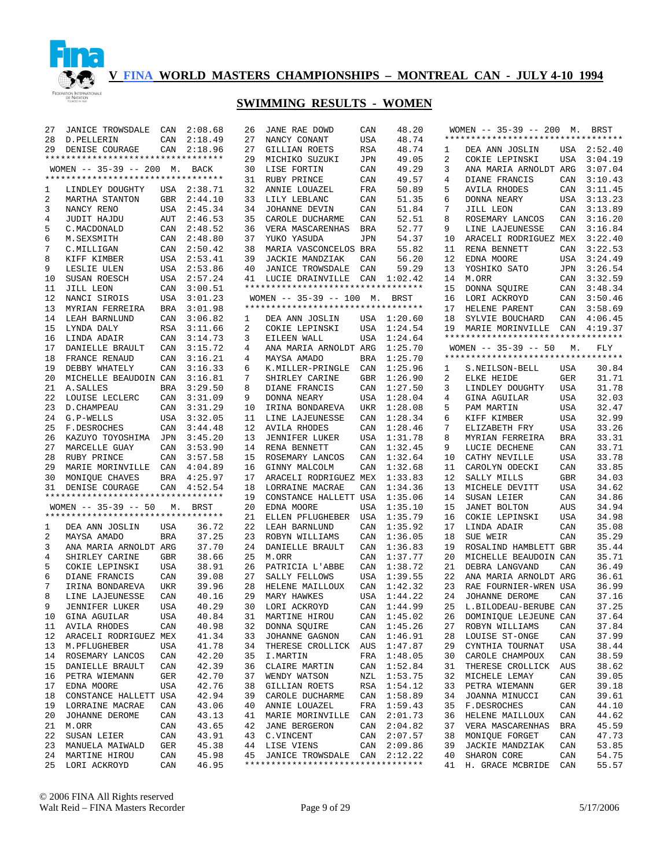

| 27 | JANICE TROWSDALE                                     | CAN        | 2:08.68     | 26 | JANE RAE DOWD                       | CAN        | 48.20       |    | WOMEN -- 35-39 -- 200 M. BRST      |            |             |
|----|------------------------------------------------------|------------|-------------|----|-------------------------------------|------------|-------------|----|------------------------------------|------------|-------------|
| 28 | D.PELLERIN                                           | CAN        | 2:18.49     | 27 | NANCY CONANT                        | USA        | 48.74       |    | ********************************** |            |             |
| 29 | DENISE COURAGE                                       |            | CAN 2:18.96 | 27 | GILLIAN ROETS                       | RSA        | 48.74       | 1  | DEA ANN JOSLIN                     |            | USA 2:52.40 |
|    | **********************************                   |            |             | 29 | MICHIKO SUZUKI                      | JPN        | 49.05       | 2  | COKIE LEPINSKI                     | USA        | 3:04.19     |
|    | WOMEN -- 35-39 -- 200 M. BACK                        |            |             | 30 | LISE FORTIN                         | CAN        | 49.29       | 3  | ANA MARIA ARNOLDT ARG              |            | 3:07.04     |
|    | **********************************                   |            |             | 31 | RUBY PRINCE                         | CAN        | 49.57       | 4  | DIANE FRANCIS                      | CAN        | 3:10.43     |
| 1  | LINDLEY DOUGHTY                                      |            | USA 2:38.71 | 32 | ANNIE LOUAZEL                       | FRA        | 50.89       | 5  | <b>AVILA RHODES</b>                | CAN        | 3:11.45     |
| 2  | MARTHA STANTON                                       |            | GBR 2:44.10 | 33 | LILY LEBLANC                        | CAN        | 51.35       | 6  | DONNA NEARY                        | USA        | 3:13.23     |
| 3  | NANCY RENO                                           |            | USA 2:45.34 | 34 | JOHANNE DEVIN                       | CAN        | 51.84       | 7  | JILL LEON                          | CAN        | 3:13.89     |
| 4  | JUDIT HAJDU                                          | AUT        | 2:46.53     | 35 | CAROLE DUCHARME                     | CAN        | 52.51       | 8  | ROSEMARY LANCOS                    | CAN        | 3:16.20     |
| 5  | C.MACDONALD                                          | CAN        | 2:48.52     | 36 | VERA MASCARENHAS                    | <b>BRA</b> | 52.77       | 9  | LINE LAJEUNESSE                    | CAN        | 3:16.84     |
| 6  | M.SEXSMITH                                           |            | CAN 2:48.80 | 37 | YUKO YASUDA                         | JPN        | 54.37       | 10 | ARACELI RODRIGUEZ MEX              |            | 3:22.40     |
| 7  | C.MILLIGAN                                           | CAN        | 2:50.42     | 38 | MARIA VASCONCELOS BRA               |            | 55.82       | 11 | RENA BENNETT                       | CAN        | 3:22.53     |
| 8  | KIFF KIMBER                                          |            | USA 2:53.41 | 39 | <b>JACKIE MANDZIAK</b>              | CAN        | 56.20       | 12 | EDNA MOORE                         | USA        | 3:24.49     |
| 9  | LESLIE ULEN                                          |            | USA 2:53.86 | 40 | <b>JANICE TROWSDALE</b>             | CAN        | 59.29       | 13 | YOSHIKO SATO                       | JPN        | 3:26.54     |
| 10 | SUSAN ROESCH                                         |            | USA 2:57.24 |    | 41 LUCIE DRAINVILLE                 | CAN        | 1:02.42     | 14 | M.ORR                              | CAN        | 3:32.59     |
|    |                                                      |            |             |    | *********************************   |            |             |    |                                    |            |             |
| 11 | JILL LEON                                            | CAN        | 3:00.51     |    |                                     |            |             | 15 | DONNA SQUIRE                       | CAN        | 3:48.34     |
| 12 | NANCI SIROIS                                         |            | USA 3:01.23 |    | WOMEN $-- 35-39 -- 100$ M.          |            | BRST        | 16 | LORI ACKROYD                       | CAN        | 3:50.46     |
| 13 | MYRIAN FERREIRA                                      | BRA        | 3:01.98     |    | **********************************  |            |             | 17 | HELENE PARENT                      | CAN        | 3:58.69     |
| 14 | LEAH BARNLUND                                        | CAN        | 3:06.82     | 1  | DEA ANN JOSLIN                      |            | USA 1:20.60 | 18 | SYLVIE BOUCHARD                    | CAN        | 4:06.45     |
| 15 | LYNDA DALY                                           | RSA        | 3:11.66     | 2  | COKIE LEPINSKI                      | USA        | 1:24.54     | 19 | MARIE MORINVILLE CAN               |            | 4:19.37     |
| 16 | LINDA ADAIR                                          | CAN        | 3:14.73     | 3  | EILEEN WALL                         | USA        | 1:24.64     |    | ********************************** |            |             |
| 17 | DANIELLE BRAULT                                      | CAN        | 3:15.72     | 4  | ANA MARIA ARNOLDT ARG               |            | 1:25.70     |    | $WOMEN$ -- 35-39 -- 50             | М.         | FLY         |
| 18 | FRANCE RENAUD                                        | CAN        | 3:16.21     | 4  | MAYSA AMADO                         | BRA        | 1:25.70     |    | ********************************** |            |             |
| 19 | DEBBY WHATELY                                        | CAN        | 3:16.33     | 6  | K.MILLER-PRINGLE                    | CAN        | 1:25.96     | 1  | S.NEILSON-BELL                     | USA        | 30.84       |
| 20 | MICHELLE BEAUDOIN CAN                                |            | 3:16.81     | 7  | SHIRLEY CARINE                      | GBR        | 1:26.90     | 2  | ELKE HEIDE                         | GER        | 31.71       |
| 21 | A.SALLES                                             | BRA        | 3:29.50     | 8  | DIANE FRANCIS                       | CAN        | 1:27.50     | 3  | LINDLEY DOUGHTY                    | USA        | 31.78       |
| 22 | LOUISE LECLERC                                       | CAN        | 3:31.09     | 9  | DONNA NEARY                         | USA        | 1:28.04     | 4  | GINA AGUILAR                       | USA        | 32.03       |
| 23 | D. CHAMPEAU                                          | CAN        | 3:31.29     | 10 | IRINA BONDAREVA                     | UKR        | 1:28.08     | 5  | PAM MARTIN                         | USA        | 32.47       |
| 24 | G.P-WELLS                                            | USA        | 3:32.05     | 11 | LINE LAJEUNESSE                     | CAN        | 1:28.34     | 6  | KIFF KIMBER                        | <b>USA</b> | 32.99       |
| 25 | F.DESROCHES                                          | CAN        | 3:44.48     | 12 | <b>AVILA RHODES</b>                 | CAN        | 1:28.46     | 7  | ELIZABETH FRY                      | USA        | 33.26       |
| 26 | KAZUYO TOYOSHIMA                                     | JPN        | 3:45.20     | 13 | <b>JENNIFER LUKER</b>               | USA        | 1:31.78     | 8  | MYRIAN FERREIRA                    | <b>BRA</b> | 33.31       |
| 27 | MARCELLE GUAY                                        | CAN        | 3:53.90     | 14 | RENA BENNETT                        | CAN        | 1:32.45     | 9  | LUCIE DECHENE                      | CAN        | 33.71       |
| 28 | RUBY PRINCE                                          | CAN        | 3:57.58     | 15 | ROSEMARY LANCOS                     | CAN        | 1:32.64     | 10 | CATHY NEVILLE                      | <b>USA</b> | 33.78       |
| 29 | MARIE MORINVILLE CAN                                 |            | 4:04.89     | 16 | GINNY MALCOLM                       | CAN        | 1:32.68     | 11 | CAROLYN ODECKI                     | CAN        | 33.85       |
|    |                                                      |            |             | 17 |                                     |            |             | 12 |                                    |            | 34.03       |
| 30 | MONIQUE CHAVES                                       |            | BRA 4:25.97 |    | ARACELI RODRIGUEZ MEX               |            | 1:33.83     |    | SALLY MILLS                        | <b>GBR</b> |             |
| 31 | DENISE COURAGE<br>********************************** | CAN        | 4:52.54     | 18 | LORRAINE MACRAE                     | CAN        | 1:34.36     | 13 | MICHELE DEVITT                     | <b>USA</b> | 34.62       |
|    |                                                      |            |             | 19 | CONSTANCE HALLETT USA               |            | 1:35.06     | 14 | SUSAN LEIER                        | CAN        | 34.86       |
|    | WOMEN $-- 35-39 -- 50$                               | М.         | BRST        | 20 | EDNA MOORE                          | USA        | 1:35.10     | 15 | <b>JANET BOLTON</b>                | AUS        | 34.94       |
|    | **********************************                   |            |             | 21 | ELLEN PFLUGHEBER                    | USA        | 1:35.79     | 16 | COKIE LEPINSKI                     | <b>USA</b> | 34.98       |
| 1  | DEA ANN JOSLIN                                       | USA        | 36.72       | 22 | LEAH BARNLUND                       | CAN        | 1:35.92     | 17 | LINDA ADAIR                        | CAN        | 35.08       |
| 2  | MAYSA AMADO                                          | <b>BRA</b> | 37.25       | 23 | ROBYN WILLIAMS                      | CAN        | 1:36.05     | 18 | SUE WEIR                           | CAN        | 35.29       |
| 3  | ANA MARIA ARNOLDT ARG                                |            | 37.70       | 24 | DANIELLE BRAULT                     | CAN        | 1:36.83     | 19 | ROSALIND HAMBLETT GBR              |            | 35.44       |
| 4  | SHIRLEY CARINE                                       | GBR        | 38.66       | 25 | M.ORR                               | CAN        | 1:37.77     | 20 | MICHELLE BEAUDOIN CAN              |            | 35.71       |
| 5  | COKIE LEPINSKI                                       | USA        | 38.91       | 26 | PATRICIA L'ABBE                     | CAN        | 1:38.72     | 21 | DEBRA LANGVAND                     | CAN        | 36.49       |
| 6  | DIANE FRANCIS                                        | CAN        | 39.08       | 27 | SALLY FELLOWS                       | USA        | 1:39.55     | 22 | ANA MARIA ARNOLDT ARG              |            | 36.61       |
| 7  | IRINA BONDAREVA                                      | UKR        | 39.96       | 28 | HELENE MAILLOUX                     | CAN        | 1:42.32     | 23 | RAE FOURNIER-WREN USA              |            | 36.99       |
| 8  | LINE LAJEUNESSE                                      | CAN        | 40.16       | 29 | MARY HAWKES                         | USA        | 1:44.22     | 24 | JOHANNE DEROME                     | CAN        | 37.16       |
| 9  | <b>JENNIFER LUKER</b>                                | USA        | 40.29       | 30 | LORI ACKROYD                        |            | CAN 1:44.99 | 25 | L.BILODEAU-BERUBE CAN              |            | 37.25       |
|    | 10 GINA AGUILAR                                      | USA        | 40.84       |    | 31 MARTINE HIROU                    |            | CAN 1:45.02 |    | 26 DOMINIQUE LEJEUNE CAN           |            | 37.64       |
|    | 11 AVILA RHODES                                      | CAN        | 40.98       |    | 32 DONNA SQUIRE                     |            | CAN 1:45.26 |    | 27 ROBYN WILLIAMS                  | CAN        | 37.84       |
| 12 | ARACELI RODRIGUEZ MEX                                |            | 41.34       | 33 | JOHANNE GAGNON                      |            | CAN 1:46.91 | 28 | LOUISE ST-ONGE                     | CAN        | 37.99       |
| 13 | M.PFLUGHEBER                                         | USA        | 41.78       | 34 | THERESE CROLLICK AUS 1:47.87        |            |             | 29 | CYNTHIA TOURNAT                    | USA        | 38.44       |
| 14 | ROSEMARY LANCOS                                      | CAN        | 42.20       | 35 | I.MARTIN                            |            | FRA 1:48.05 | 30 | CAROLE CHAMPOUX                    | CAN        | 38.59       |
|    | DANIELLE BRAULT                                      |            | 42.39       |    |                                     |            |             | 31 |                                    |            | 38.62       |
| 15 |                                                      | CAN        |             |    | 36 CLAIRE MARTIN                    |            | CAN 1:52.84 |    | THERESE CROLLICK AUS               |            |             |
| 16 | PETRA WIEMANN                                        | GER        | 42.70       | 37 | WENDY WATSON                        |            | NZL 1:53.75 | 32 | MICHELE LEMAY                      | CAN        | 39.05       |
| 17 | EDNA MOORE                                           | USA        | 42.76       | 38 | GILLIAN ROETS                       |            | RSA 1:54.12 | 33 | PETRA WIEMANN                      | GER        | 39.18       |
| 18 | CONSTANCE HALLETT USA                                |            | 42.94       |    | 39 CAROLE DUCHARME                  |            | CAN 1:58.89 | 34 | JOANNA MINUCCI                     | CAN        | 39.61       |
| 19 | LORRAINE MACRAE                                      | CAN        | 43.06       |    | 40 ANNIE LOUAZEL                    |            | FRA 1:59.43 | 35 | F.DESROCHES                        | CAN        | 44.10       |
| 20 | JOHANNE DEROME                                       | CAN        | 43.13       |    | 41 MARIE MORINVILLE CAN 2:01.73     |            |             | 36 | HELENE MAILLOUX                    | CAN        | 44.62       |
| 21 | M.ORR                                                | CAN        | 43.65       | 42 | <b>JANE BERGERON</b>                |            | CAN 2:04.82 | 37 | VERA MASCARENHAS                   | BRA        | 45.59       |
| 22 | SUSAN LEIER                                          | CAN        | 43.91       |    | 43 C.VINCENT                        |            | CAN 2:07.57 | 38 | MONIOUE FORGET                     | CAN        | 47.73       |
| 23 | MANUELA MAIWALD                                      | GER        | 45.38       |    | 44 LISE VIENS                       |            | CAN 2:09.86 | 39 | JACKIE MANDZIAK                    | CAN        | 53.85       |
|    | 24 MARTINE HIROU                                     | CAN        | 45.98       | 45 | JANICE TROWSDALE CAN 2:12.22        |            |             | 40 | SHARON CORE                        | CAN        | 54.75       |
|    | 25 LORI ACKROYD                                      | CAN        | 46.95       |    | *********************************** |            |             | 41 | H. GRACE MCBRIDE CAN               |            | 55.57       |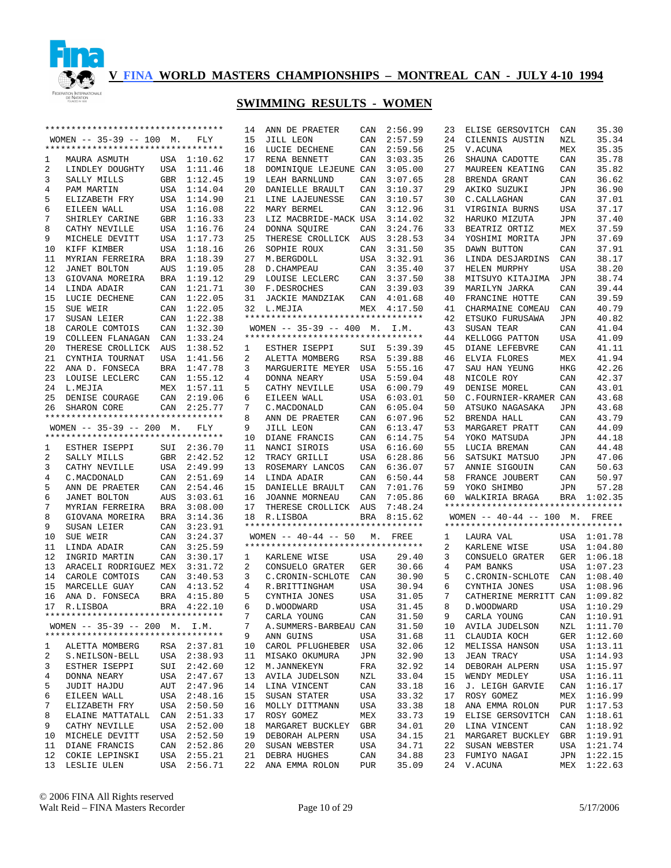

|          | *********************************  |            |                            |    | ANN DE PRAETER                       | CAN        | 2:56.99        | 23 | ELISE GERSOVITCH                   | CAN        | 35.30                      |
|----------|------------------------------------|------------|----------------------------|----|--------------------------------------|------------|----------------|----|------------------------------------|------------|----------------------------|
|          | WOMEN $-- 35-39 -- 100$ M.         |            | FLY                        | 15 | JILL LEON                            | CAN        | 2:57.59        | 24 | CILENNIS AUSTIN                    | NZL        | 35.34                      |
|          | ********************************** |            |                            | 16 | LUCIE DECHENE                        | CAN        | 2:59.56        | 25 | V.ACUNA                            | MEX        | 35.35                      |
| 1        | MAURA ASMUTH                       |            | USA 1:10.62                | 17 | RENA BENNETT                         | CAN        | 3:03.35        | 26 | SHAUNA CADOTTE                     | CAN        | 35.78                      |
| 2        | LINDLEY DOUGHTY                    |            | USA 1:11.46                | 18 | DOMINIQUE LEJEUNE CAN                |            | 3:05.00        | 27 | MAUREEN KEATING                    | CAN        | 35.82                      |
| 3        | SALLY MILLS                        |            | GBR 1:12.45                | 19 | LEAH BARNLUND                        | CAN        | 3:07.65        | 28 | BRENDA GRANT                       | CAN        | 36.62                      |
| 4        | PAM MARTIN                         |            | USA 1:14.04                | 20 | DANIELLE BRAULT                      | CAN        | 3:10.37        | 29 | AKIKO SUZUKI                       | <b>JPN</b> | 36.90                      |
| 5        | ELIZABETH FRY                      |            | USA 1:14.90                | 21 | LINE LAJEUNESSE                      | CAN        | 3:10.57        | 30 | C. CALLAGHAN                       | CAN        | 37.01                      |
| 6        | EILEEN WALL                        |            | USA 1:16.08                | 22 | MARY BERMEL                          | CAN        | 3:12.96        | 31 |                                    | <b>USA</b> | 37.17                      |
|          |                                    |            |                            |    |                                      |            |                |    | VIRGINIA BURNS                     |            |                            |
| 7        | SHIRLEY CARINE                     |            | GBR 1:16.33                | 23 | LIZ MACBRIDE-MACK USA                |            | 3:14.02        | 32 | HARUKO MIZUTA                      | <b>JPN</b> | 37.40                      |
| 8        | CATHY NEVILLE                      |            | USA 1:16.76                | 24 | DONNA SQUIRE                         | CAN        | 3:24.76        | 33 | BEATRIZ ORTIZ                      | MEX        | 37.59                      |
| 9        | MICHELE DEVITT                     | USA        | 1:17.73                    | 25 | THERESE CROLLICK AUS                 |            | 3:28.53        | 34 | YOSHIMI MORITA                     | JPN        | 37.69                      |
| 10       | KIFF KIMBER                        |            | USA 1:18.16                | 26 | SOPHIE ROUX                          | CAN        | 3:31.50        | 35 | DAWN BUTTON                        | CAN        | 37.91                      |
| 11       | MYRIAN FERREIRA                    | BRA        | 1:18.39                    | 27 | M.BERGDOLL                           | USA        | 3:32.91        | 36 | LINDA DESJARDINS                   | CAN        | 38.17                      |
| 12       | JANET BOLTON                       | AUS        | 1:19.05                    | 28 | D. CHAMPEAU                          | CAN        | 3:35.40        | 37 | HELEN MURPHY                       | <b>USA</b> | 38.20                      |
| 13       | GIOVANA MOREIRA                    | BRA        | 1:19.12                    | 29 | LOUISE LECLERC                       | CAN        | 3:37.50        | 38 | MITSUYO KITAJIMA                   | JPN        | 38.74                      |
| 14       | LINDA ADAIR                        | CAN        | 1:21.71                    | 30 | F.DESROCHES                          | CAN        | 3:39.03        | 39 | MARILYN JARKA                      | CAN        | 39.44                      |
| 15       | LUCIE DECHENE                      | CAN        | 1:22.05                    | 31 | JACKIE MANDZIAK                      | CAN        | 4:01.68        | 40 | FRANCINE HOTTE                     | CAN        | 39.59                      |
| 15       | SUE WEIR                           | CAN        | 1:22.05                    |    | 32 L.MEJIA                           | MEX        | 4:17.50        | 41 | CHARMAINE COMEAU                   | CAN        | 40.79                      |
| 17       | SUSAN LEIER                        | CAN        | 1:22.38                    |    | **********************************   |            |                | 42 | ETSUKO FURUSAWA                    | <b>JPN</b> | 40.82                      |
| 18       | CAROLE COMTOIS                     | CAN        | 1:32.30                    |    | WOMEN $-- 35-39 -- 400$ M.           |            | I.M.           | 43 | SUSAN TEAR                         | CAN        | 41.04                      |
| 19       | COLLEEN FLANAGAN                   | CAN        | 1:33.24                    |    | *********************************    |            |                | 44 | KELLOGG PATTON                     | USA        | 41.09                      |
|          |                                    |            |                            |    |                                      |            |                |    |                                    |            |                            |
| 20       | THERESE CROLLICK                   | AUS        | 1:38.52                    | 1  | ESTHER ISEPPI                        |            | SUI 5:39.39    | 45 | DIANE LEFEBVRE                     | CAN        | 41.11                      |
| 21       | CYNTHIA TOURNAT                    | <b>USA</b> | 1:41.56                    | 2  | ALETTA MOMBERG                       | RSA        | 5:39.88        | 46 | ELVIA FLORES                       | MEX        | 41.94                      |
| 22       | ANA D. FONSECA                     | <b>BRA</b> | 1:47.78                    | 3  | MARGUERITE MEYER                     | USA        | 5:55.16        | 47 | SAU HAN YEUNG                      | HKG        | 42.26                      |
| 23       | LOUISE LECLERC                     | CAN        | 1:55.12                    | 4  | DONNA NEARY                          | USA        | 5:59.04        | 48 | NICOLE ROY                         | CAN        | 42.37                      |
| 24       | L.MEJIA                            |            | MEX 1:57.11                | 5  | CATHY NEVILLE                        | USA        | 6:00.79        | 49 | DENISE MOREL                       | CAN        | 43.01                      |
| 25       | DENISE COURAGE                     |            | CAN 2:19.06                | 6  | EILEEN WALL                          | USA        | 6:03.01        | 50 | C.FOURNIER-KRAMER CAN              |            | 43.68                      |
| 26       | SHARON CORE                        | CAN        | 2:25.77                    | 7  | C. MACDONALD                         | CAN        | 6:05.04        | 50 | ATSUKO NAGASAKA                    | JPN        | 43.68                      |
|          | ********************************** |            |                            | 8  | ANN DE PRAETER                       | CAN        | 6:07.96        | 52 | BRENDA HALL                        | CAN        | 43.79                      |
|          | WOMEN $-- 35-39 -- 200$ M.         |            | FLY                        | 9  | JILL LEON                            | CAN        | 6:13.47        | 53 | MARGARET PRATT                     | CAN        | 44.09                      |
|          | ********************************** |            |                            | 10 | DIANE FRANCIS                        | CAN        | 6:14.75        | 54 | YOKO MATSUDA                       | JPN        | 44.18                      |
| 1        | ESTHER ISEPPI                      |            | SUI 2:36.70                | 11 | NANCI SIROIS                         | USA        | 6:16.60        | 55 | LUCIA BREMAN                       | CAN        | 44.48                      |
| 2        | SALLY MILLS                        |            | GBR 2:42.52                | 12 | TRACY GRILLI                         | USA        | 6:28.86        | 56 | SATSUKI MATSUO                     | <b>JPN</b> | 47.06                      |
|          | CATHY NEVILLE                      |            |                            |    | ROSEMARY LANCOS                      |            |                |    |                                    |            |                            |
|          |                                    |            |                            |    |                                      |            |                |    |                                    |            |                            |
| 3        |                                    |            | USA 2:49.99                | 13 |                                      | CAN        | 6:36.07        | 57 | ANNIE SIGOUIN                      | CAN        | 50.63                      |
| 4        | C. MACDONALD                       |            | CAN 2:51.69                |    | 14 LINDA ADAIR                       | CAN        | 6:50.44        | 58 | FRANCE JOUBERT                     | CAN        | 50.97                      |
| 5        | ANN DE PRAETER                     |            | CAN 2:54.46                | 15 | DANIELLE BRAULT                      | CAN        | 7:01.76        | 59 | YOKO SHIMBO                        | JPN        | 57.28                      |
| 6        | JANET BOLTON                       | AUS        | 3:03.61                    | 16 | JOANNE MORNEAU                       | CAN        | 7:05.86        | 60 | WALKIRIA BRAGA                     |            | BRA 1:02.35                |
| 7        | MYRIAN FERREIRA                    |            | BRA 3:08.00                | 17 | THERESE CROLLICK AUS                 |            | 7:48.24        |    | ********************************** |            |                            |
| 8        | GIOVANA MOREIRA                    | BRA        | 3:14.36                    | 18 | R.LISBOA                             |            | BRA 8:15.62    |    | WOMEN -- 40-44 -- 100 M. FREE      |            |                            |
| 9        | SUSAN LEIER                        | CAN        | 3:23.91                    |    | **********************************   |            |                |    | ********************************** |            |                            |
| 10       | SUE WEIR                           | CAN        | 3:24.37                    |    | WOMEN $-- 40-44 -- 50$ M. FREE       |            |                | 1  | LAURA VAL                          |            | USA 1:01.78                |
| 11       | LINDA ADAIR                        | CAN        | 3:25.59                    |    | **********************************   |            |                | 2  | KARLENE WISE                       |            | USA 1:04.80                |
| 12       | INGRID MARTIN                      | CAN        | 3:30.17                    | 1  | KARLENE WISE                         | USA        | 29.40          | 3  | CONSUELO GRATER                    |            | GER 1:06.18                |
| 13       | ARACELI RODRIGUEZ MEX              |            | 3:31.72                    | 2  | CONSUELO GRATER                      | GER        | 30.66          | 4  | PAM BANKS                          |            | USA 1:07.23                |
| 14       | CAROLE COMTOIS                     | CAN        |                            | 3  |                                      | CAN        |                | 5  | C. CRONIN-SCHLOTE                  |            | CAN 1:08.40                |
|          |                                    |            | 3:40.53                    |    | C. CRONIN-SCHLOTE                    |            | 30.90          |    |                                    |            |                            |
| 15       | MARCELLE GUAY                      | CAN        | 4:13.52                    | 4  | R.BRITTINGHAM                        | USA        | 30.94          | 6  | CYNTHIA JONES                      | USA        | 1:08.96                    |
| 16       | ANA D. FONSECA                     |            | BRA 4:15.80                | 5  | CYNTHIA JONES                        | USA        | 31.05          | 7  | CATHERINE MERRITT CAN 1:09.82      |            |                            |
|          | 17 R.LISBOA                        |            | BRA 4:22.10                | 6  | D. WOODWARD                          | USA        | 31.45          | 8  | D. WOODWARD                        |            | USA 1:10.29                |
|          | ********************************** |            |                            |    | CARLA YOUNG                          | CAN        | 31.50          | 9  | CARLA YOUNG                        |            | CAN 1:10.91                |
|          | WOMEN -- 35-39 -- 200 M. I.M.      |            |                            | 7  | A. SUMMERS-BARBEAU CAN               |            | 31.50          |    | 10 AVILA JUDELSON                  |            | NZL 1:11.70                |
|          | *********************************  |            |                            | 9  | ANN GUINS                            | USA        | 31.68          | 11 | CLAUDIA KOCH                       |            | GER 1:12.60                |
| 1        | ALETTA MOMBERG                     |            | RSA 2:37.81                | 10 | CAROL PFLUGHEBER USA                 |            | 32.06          | 12 | MELISSA HANSON                     |            | USA 1:13.11                |
| 2        | S.NEILSON-BELL                     |            | USA 2:38.93                |    | 11 MISAKO OKUMURA                    | JPN        | 32.90          | 13 | <b>JEAN TRACY</b>                  |            | USA 1:14.93                |
| 3        | ESTHER ISEPPI                      |            | SUI 2:42.60                | 12 | M.JANNEKEYN                          | FRA        | 32.92          | 14 | DEBORAH ALPERN                     |            | USA 1:15.97                |
| 4        | DONNA NEARY                        |            | USA 2:47.67                | 13 | AVILA JUDELSON                       | NZL        | 33.04          | 15 | WENDY MEDLEY                       |            | USA 1:16.11                |
| 5        | JUDIT HAJDU                        |            | AUT 2:47.96                |    | 14 LINA VINCENT                      | CAN        | 33.18          | 16 | J. LEIGH GARVIE                    |            | CAN 1:16.17                |
| 6        | EILEEN WALL                        |            | USA 2:48.16                | 15 | SUSAN STATER                         | USA        | 33.32          | 17 | ROSY GOMEZ                         |            | MEX 1:16.99                |
| 7        | ELIZABETH FRY                      |            | USA 2:50.50                |    | 16 MOLLY DITTMANN                    | USA        | 33.38          | 18 | ANA EMMA ROLON                     |            | PUR 1:17.53                |
| 8        | ELAINE MATTATALL                   |            | CAN 2:51.33                | 17 | ROSY GOMEZ                           | MEX        | 33.73          | 19 | ELISE GERSOVITCH CAN 1:18.61       |            |                            |
|          |                                    |            |                            |    |                                      |            |                |    |                                    |            |                            |
| 9        | CATHY NEVILLE                      |            | USA 2:52.00                | 18 | MARGARET BUCKLEY                     | GBR        | 34.01          | 20 | LINA VINCENT                       |            | CAN 1:18.92                |
| 10       | MICHELE DEVITT                     |            | USA 2:52.50                |    | 19 DEBORAH ALPERN                    | USA        | 34.15          | 21 | MARGARET BUCKLEY                   |            | GBR 1:19.91                |
| 11       | DIANE FRANCIS                      |            | CAN 2:52.86                |    | 20 SUSAN WEBSTER                     | USA        | 34.71          | 22 | SUSAN WEBSTER                      |            | USA 1:21.74                |
| 12<br>13 | COKIE LEPINSKI<br>LESLIE ULEN      |            | USA 2:55.21<br>USA 2:56.71 |    | 21 DEBRA HUGHES<br>22 ANA EMMA ROLON | CAN<br>PUR | 34.88<br>35.09 |    | 23 FUMIYO NAGAI<br>24 V.ACUNA      |            | JPN 1:22.15<br>MEX 1:22.63 |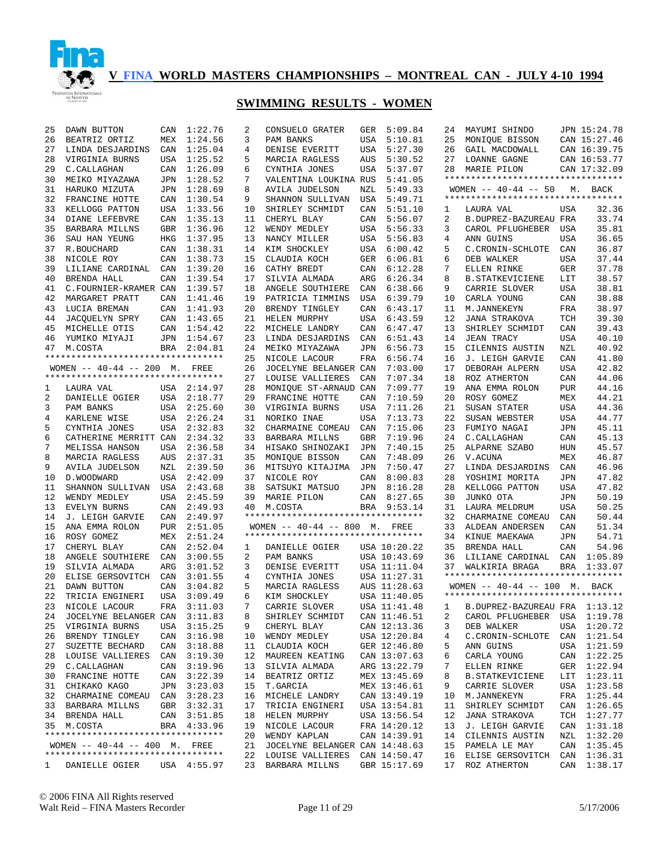

| 25           | DAWN BUTTON                        | CAN        | 1:22.76     | 2      | CONSUELO GRATER                               | GER        | 5:09.84                      | 24 | MAYUMI SHINDO                                                               |            | JPN 15:24.78 |
|--------------|------------------------------------|------------|-------------|--------|-----------------------------------------------|------------|------------------------------|----|-----------------------------------------------------------------------------|------------|--------------|
| 26           | BEATRIZ ORTIZ                      | MEX        | 1:24.56     | 3      | PAM BANKS                                     | USA        | 5:10.81                      | 25 | MONIQUE BISSON                                                              |            | CAN 15:27.46 |
| 27           | LINDA DESJARDINS                   | CAN        | 1:25.04     | 4      | DENISE EVERITT                                | USA        | 5:27.30                      | 26 | GAIL MACDOWALL                                                              |            | CAN 16:39.75 |
| 28           | VIRGINIA BURNS                     | USA        | 1:25.52     | 5      | MARCIA RAGLESS                                | AUS        | 5:30.52                      | 27 | <b>LOANNE GAGNE</b>                                                         |            | CAN 16:53.77 |
| 29           | C. CALLAGHAN                       | CAN        | 1:26.09     | 6      | CYNTHIA JONES                                 | USA        | 5:37.07                      | 28 | MARIE PILON                                                                 |            | CAN 17:32.09 |
| 30           | MEIKO MIYAZAWA                     | JPN        | 1:28.52     | 7      | VALENTINA LOUKINA RUS                         |            | 5:41.05                      |    | **********************************                                          |            |              |
| 31           | HARUKO MIZUTA                      | JPN        | 1:28.69     | 8      | AVILA JUDELSON                                | NZL        | 5:49.33                      |    | WOMEN $--$ 40-44 $--$ 50                                                    |            | M. BACK      |
| 32           | FRANCINE HOTTE                     | CAN        | 1:30.54     | 9      | SHANNON SULLIVAN                              | USA        | 5:49.71                      |    | **********************************                                          |            |              |
| 33           | KELLOGG PATTON                     | USA        | 1:33.56     | 10     | SHIRLEY SCHMIDT                               | CAN        | 5:51.10                      | 1  | LAURA VAL                                                                   | USA        | 32.36        |
| 34           | DIANE LEFEBVRE                     | CAN        | 1:35.13     | 11     | CHERYL BLAY                                   | CAN        | 5:56.07                      | 2  | B.DUPREZ-BAZUREAU FRA                                                       |            | 33.74        |
| 35           | BARBARA MILLNS                     | <b>GBR</b> | 1:36.96     | 12     | WENDY MEDLEY                                  | USA        | 5:56.33                      | 3  | CAROL PFLUGHEBER                                                            | USA        | 35.81        |
| 36           | SAU HAN YEUNG                      | HKG        | 1:37.95     | 13     | NANCY MILLER                                  | USA        | 5:56.83                      | 4  | ANN GUINS                                                                   | <b>USA</b> | 36.65        |
| 37           | R.BOUCHARD                         | CAN        | 1:38.31     | 14     | KIM SHOCKLEY                                  | USA        | 6:00.42                      | 5  | C. CRONIN-SCHLOTE                                                           | CAN        | 36.87        |
| 38           | NICOLE ROY                         | CAN        | 1:38.73     | 15     | CLAUDIA KOCH                                  | GER        | 6:06.81                      | 6  | DEB WALKER                                                                  | <b>USA</b> | 37.44        |
| 39           | LILIANE CARDINAL                   | CAN        | 1:39.20     | 16     | CATHY BREDT                                   | CAN        | 6:12.28                      | 7  | ELLEN RINKE                                                                 | <b>GER</b> | 37.78        |
| 40           | BRENDA HALL                        | CAN        | 1:39.54     | 17     | SILVIA ALMADA                                 | ARG        | 6:26.34                      | 8  | <b>B. STATKEVICIENE</b>                                                     | LIT        | 38.57        |
| 41           | C.FOURNIER-KRAMER CAN              |            | 1:39.57     | 18     | ANGELE SOUTHIERE                              | CAN        | 6:38.66                      | 9  | CARRIE SLOVER                                                               | <b>USA</b> | 38.81        |
| 42           | MARGARET PRATT                     | CAN        | 1:41.46     | 19     | PATRICIA TIMMINS                              | USA        | 6:39.79                      | 10 | CARLA YOUNG                                                                 | CAN        | 38.88        |
| 43           | LUCIA BREMAN                       | CAN        | 1:41.93     | 20     | BRENDY TINGLEY                                | CAN        | 6:43.17                      | 11 | M.JANNEKEYN                                                                 | FRA        | 38.97        |
| 44           | JACQUELYN SPRY                     | CAN        | 1:43.65     | 21     | HELEN MURPHY                                  | USA        | 6:43.59                      | 12 | <b>JANA STRAKOVA</b>                                                        | TCH        | 39.30        |
| 45           | MICHELLE OTIS                      |            | CAN 1:54.42 | 22     | MICHELE LANDRY                                | CAN        | 6:47.47                      | 13 | SHIRLEY SCHMIDT                                                             | CAN        | 39.43        |
| 46           | YUMIKO MIYAJI                      |            | JPN 1:54.67 | 23     | LINDA DESJARDINS                              | CAN        | 6:51.43                      | 14 | <b>JEAN TRACY</b>                                                           | <b>USA</b> | 40.10        |
| 47           | M.COSTA                            | BRA        | 2:04.81     | 24     | MEIKO MIYAZAWA                                | JPN        | 6:56.73                      | 15 | CILENNIS AUSTIN                                                             | NZL        | 40.92        |
|              | ********************************** |            |             | 25     | NICOLE LACOUR                                 | FRA        | 6:56.74                      | 16 | J. LEIGH GARVIE                                                             | CAN        | 41.80        |
|              | WOMEN -- 40-44 -- 200 M. FREE      |            |             | 26     | JOCELYNE BELANGER CAN                         |            | 7:03.00                      | 17 | DEBORAH ALPERN                                                              | <b>USA</b> | 42.82        |
|              | ********************************** |            |             | 27     | LOUISE VALLIERES                              | CAN        | 7:07.34                      | 18 | ROZ ATHERTON                                                                | CAN        | 44.06        |
| 1            | LAURA VAL                          |            | USA 2:14.97 | 28     | MONIQUE ST-ARNAUD CAN                         |            | 7:09.77                      | 19 | ANA EMMA ROLON                                                              | <b>PUR</b> | 44.16        |
| 2            | DANIELLE OGIER                     |            | USA 2:18.77 | 29     | FRANCINE HOTTE                                | CAN        | 7:10.59                      | 20 | ROSY GOMEZ                                                                  | MEX        | 44.21        |
| 3            | PAM BANKS                          |            | USA 2:25.60 | 30     | VIRGINIA BURNS                                | USA        | 7:11.26                      | 21 | SUSAN STATER                                                                | USA        | 44.36        |
| 4            | KARLENE WISE                       |            | USA 2:26.24 | 31     | NORIKO INAE                                   | USA        | 7:13.73                      | 22 | SUSAN WEBSTER                                                               | <b>USA</b> | 44.77        |
| 5            | CYNTHIA JONES                      | <b>USA</b> | 2:32.83     | 32     | CHARMAINE COMEAU                              | CAN        | 7:15.06                      | 23 | FUMIYO NAGAI                                                                | JPN        | 45.11        |
| 6            | CATHERINE MERRITT CAN              |            | 2:34.32     | 33     | <b>BARBARA MILLNS</b>                         | <b>GBR</b> | 7:19.96                      | 24 | C. CALLAGHAN                                                                | CAN        | 45.13        |
| 7            | MELISSA HANSON                     | <b>USA</b> | 2:36.58     | 34     | HISAKO SHINOZAKI                              | JPN        | 7:40.15                      | 25 | ALPARNE SZABO                                                               | <b>HUN</b> | 45.57        |
| 8            | MARCIA RAGLESS                     | AUS        | 2:37.31     | 35     | MONIQUE BISSON                                | CAN        | 7:48.09                      | 26 | V.ACUNA                                                                     | MEX        | 46.87        |
| 9            | AVILA JUDELSON                     | NZL        | 2:39.50     | 36     | MITSUYO KITAJIMA                              | JPN        | 7:50.47                      | 27 | LINDA DESJARDINS                                                            | CAN        | 46.96        |
| 10           | D. WOODWARD                        | USA        | 2:42.09     | 37     | NICOLE ROY                                    | CAN        | 8:00.83                      | 28 | YOSHIMI MORITA                                                              | <b>JPN</b> | 47.82        |
| 11           | SHANNON SULLIVAN                   | USA        | 2:43.68     | 38     | SATSUKI MATSUO                                | JPN        | 8:16.28                      | 28 | KELLOGG PATTON                                                              | <b>USA</b> | 47.82        |
| 12           | WENDY MEDLEY                       | USA        | 2:45.59     | 39     |                                               | CAN        | 8:27.65                      | 30 | JUNKO OTA                                                                   | <b>JPN</b> | 50.19        |
| 13           |                                    | CAN        | 2:49.93     |        | MARIE PILON                                   | <b>BRA</b> |                              | 31 | LAURA MELDRUM                                                               | <b>USA</b> | 50.25        |
| 14           | EVELYN BURNS                       | CAN        | 2:49.97     | 40     | M.COSTA<br>********************************** |            | 9:53.14                      | 32 | CHARMAINE COMEAU                                                            | CAN        | 50.44        |
| 15           | J. LEIGH GARVIE<br>ANA EMMA ROLON  | PUR        | 2:51.05     |        | WOMEN $-- 40-44 -- 800$ M.                    |            | FREE                         | 33 | ALDEAN ANDERSEN                                                             | CAN        | 51.34        |
|              |                                    |            |             |        | **********************************            |            |                              | 34 |                                                                             |            |              |
| 16           | ROSY GOMEZ                         | MEX        | 2:51.24     |        |                                               |            |                              |    | KINUE MAEKAWA                                                               | JPN        | 54.71        |
| 17           | CHERYL BLAY                        | CAN        | 2:52.04     | 1      | DANIELLE OGIER                                |            | USA 10:20.22                 | 35 | BRENDA HALL                                                                 | CAN        | 54.96        |
| 18           | ANGELE SOUTHIERE                   | CAN        | 3:00.55     | 2      | PAM BANKS                                     |            | USA 10:43.69                 | 36 | LILIANE CARDINAL CAN 1:05.89                                                |            |              |
| 19<br>20     | SILVIA ALMADA                      | ARG        | 3:01.52     | 3<br>4 | DENISE EVERITT                                |            | USA 11:11.04<br>USA 11:27.31 | 37 | WALKIRIA BRAGA<br>**********************************                        | BRA        | 1:33.07      |
|              | ELISE GERSOVITCH CAN               |            | 3:01.55     |        | CYNTHIA JONES                                 |            |                              |    |                                                                             |            |              |
| 21           | DAWN BUTTON                        | CAN        | 3:04.82     | 5      | MARCIA RAGLESS                                |            | AUS 11:28.63                 |    | WOMEN $- - 40 - 44$ $- - 100$ M. BACK<br>********************************** |            |              |
| 22           | TRICIA ENGINERI                    | USA        | 3:09.49     | 6      | KIM SHOCKLEY                                  |            | USA 11:40.05<br>USA 11:41.48 |    |                                                                             |            |              |
| 23           | NICOLE LACOUR                      |            | FRA 3:11.03 | 7      | CARRIE SLOVER                                 |            |                              | 1  | B.DUPREZ-BAZUREAU FRA 1:13.12                                               |            |              |
| 24           | JOCELYNE BELANGER CAN 3:11.83      |            |             | 8      | SHIRLEY SCHMIDT CAN 11:46.51                  |            |                              |    | 2 CAROL PFLUGHEBER USA 1:19.78                                              |            |              |
| 25           | VIRGINIA BURNS                     |            | USA 3:15.25 | 9      | CHERYL BLAY                                   |            | CAN 12:13.36                 | 3  | DEB WALKER                                                                  |            | USA 1:20.72  |
| 26           | BRENDY TINGLEY                     |            | CAN 3:16.98 | 10     | WENDY MEDLEY                                  |            | USA 12:20.84                 | 4  | C. CRONIN-SCHLOTE                                                           |            | CAN 1:21.54  |
| 27           | SUZETTE BECHARD                    |            | CAN 3:18.88 | 11     | CLAUDIA KOCH                                  |            | GER 12:46.80                 | 5  | ANN GUINS                                                                   |            | USA 1:21.59  |
| 28           | LOUISE VALLIERES                   |            | CAN 3:19.30 | 12     | MAUREEN KEATING                               |            | CAN 13:07.63                 | 6  | CARLA YOUNG                                                                 |            | CAN 1:22.25  |
| 29           | C. CALLAGHAN                       |            | CAN 3:19.96 | 13     | SILVIA ALMADA                                 |            | ARG 13:22.79                 | 7  | ELLEN RINKE                                                                 |            | GER 1:22.94  |
| 30           | FRANCINE HOTTE                     |            | CAN 3:22.39 | 14     | BEATRIZ ORTIZ                                 |            | MEX 13:45.69                 | 8  | <b>B. STATKEVICIENE</b>                                                     |            | LIT 1:23.11  |
| 31           | CHIKAKO KAGO                       |            | JPN 3:23.03 | 15     | T.GARCIA                                      |            | MEX 13:46.61                 | 9  | CARRIE SLOVER                                                               |            | USA 1:23.58  |
| 32           | CHARMAINE COMEAU                   |            | CAN 3:28.23 | 16     | MICHELE LANDRY                                |            | CAN 13:49.19                 | 10 | M.JANNEKEYN                                                                 |            | FRA 1:25.44  |
| 33           | BARBARA MILLNS                     |            | GBR 3:32.31 | 17     | TRICIA ENGINERI                               |            | USA 13:54.81                 | 11 | SHIRLEY SCHMIDT                                                             |            | CAN 1:26.65  |
|              | 34 BRENDA HALL                     |            | CAN 3:51.85 | 18     | HELEN MURPHY                                  |            | USA 13:56.54                 | 12 | JANA STRAKOVA                                                               |            | TCH 1:27.77  |
|              | 35 M.COSTA                         |            | BRA 4:33.96 | 19     | NICOLE LACOUR                                 |            | FRA 14:20.12                 | 13 | J. LEIGH GARVIE                                                             |            | CAN 1:31.18  |
|              | ********************************** |            |             | 20     | WENDY KAPLAN                                  |            | CAN 14:39.91                 | 14 | CILENNIS AUSTIN                                                             |            | NZL 1:32.20  |
|              | WOMEN $-- 40-44 -- 400$ M. FREE    |            |             |        | 21 JOCELYNE BELANGER CAN 14:48.63             |            |                              | 15 | PAMELA LE MAY                                                               |            | CAN 1:35.45  |
|              | ********************************** |            |             |        | 22 LOUISE VALLIERES                           |            | CAN 14:50.47                 | 16 | ELISE GERSOVITCH                                                            |            | CAN 1:36.31  |
| $\mathbf{1}$ | DANIELLE OGIER                     |            | USA 4:55.97 |        | 23 BARBARA MILLNS                             |            | GBR 15:17.69                 | 17 | ROZ ATHERTON                                                                |            | CAN 1:38.17  |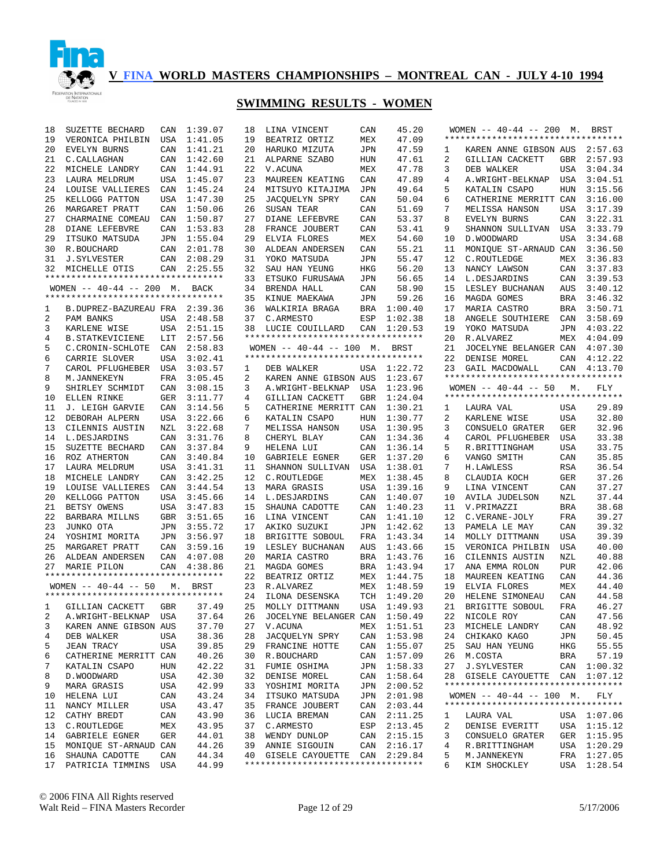

| 18 | SUZETTE BECHARD                    | CAN | 1:39.07     | 18 | LINA VINCENT                       | CAN        | 45.20       |    | WOMEN -- 40-44 -- 200 M. BRST      |            |             |
|----|------------------------------------|-----|-------------|----|------------------------------------|------------|-------------|----|------------------------------------|------------|-------------|
| 19 | VERONICA PHILBIN                   | USA | 1:41.05     | 19 | BEATRIZ ORTIZ                      | MEX        | 47.09       |    | ********************************** |            |             |
| 20 | EVELYN BURNS                       | CAN | 1:41.21     | 20 | HARUKO MIZUTA                      | JPN        | 47.59       | 1  | KAREN ANNE GIBSON AUS 2:57.63      |            |             |
| 21 | C. CALLAGHAN                       | CAN | 1:42.60     | 21 | ALPARNE SZABO                      | HUN        | 47.61       | 2  | GILLIAN CACKETT                    | GBR        | 2:57.93     |
| 22 | MICHELE LANDRY                     | CAN | 1:44.91     | 22 | V.ACUNA                            | MEX        | 47.78       | 3  | DEB WALKER                         | USA        | 3:04.34     |
| 23 | LAURA MELDRUM                      | USA | 1:45.07     | 23 | MAUREEN KEATING                    | CAN        | 47.89       | 4  | A. WRIGHT-BELKNAP                  | USA        | 3:04.51     |
| 24 | LOUISE VALLIERES                   | CAN | 1:45.24     | 24 | MITSUYO KITAJIMA                   | JPN        | 49.64       | 5  | KATALIN CSAPO                      | HUN        | 3:15.56     |
| 25 | KELLOGG PATTON                     | USA | 1:47.30     | 25 | JACQUELYN SPRY                     | CAN        | 50.04       | 6  | CATHERINE MERRITT CAN              |            | 3:16.00     |
| 26 | MARGARET PRATT                     | CAN | 1:50.06     | 26 | SUSAN TEAR                         | CAN        | 51.69       | 7  | MELISSA HANSON                     | USA        | 3:17.39     |
| 27 | CHARMAINE COMEAU                   | CAN | 1:50.87     | 27 | DIANE LEFEBVRE                     | CAN        | 53.37       | 8  | EVELYN BURNS                       | CAN        | 3:22.31     |
| 28 | DIANE LEFEBVRE                     | CAN | 1:53.83     | 28 | FRANCE JOUBERT                     | CAN        | 53.41       | 9  | SHANNON SULLIVAN                   | USA        | 3:33.79     |
| 29 | ITSUKO MATSUDA                     |     | JPN 1:55.04 | 29 | ELVIA FLORES                       | MEX        | 54.60       | 10 | D. WOODWARD                        | USA        | 3:34.68     |
| 30 | R.BOUCHARD                         |     | CAN 2:01.78 | 30 | ALDEAN ANDERSEN                    | CAN        | 55.21       | 11 | MONIQUE ST-ARNAUD CAN 3:36.50      |            |             |
| 31 | J.SYLVESTER                        |     | CAN 2:08.29 | 31 | YOKO MATSUDA                       | JPN        | 55.47       | 12 | C.ROUTLEDGE                        | MEX        | 3:36.83     |
| 32 | MICHELLE OTIS                      |     | CAN 2:25.55 | 32 | SAU HAN YEUNG                      | HKG        | 56.20       | 13 | NANCY LAWSON                       |            | CAN 3:37.83 |
|    | ********************************** |     |             | 33 | ETSUKO FURUSAWA                    | JPN        | 56.65       | 14 | L.DESJARDINS                       | CAN        | 3:39.53     |
|    | WOMEN -- 40-44 -- 200 M. BACK      |     |             | 34 | BRENDA HALL                        | CAN        | 58.90       | 15 |                                    | AUS        | 3:40.12     |
|    | ********************************** |     |             |    |                                    |            |             |    | LESLEY BUCHANAN                    |            |             |
|    |                                    |     |             | 35 | KINUE MAEKAWA                      | JPN        | 59.26       | 16 | MAGDA GOMES                        |            | BRA 3:46.32 |
| 1  | B.DUPREZ-BAZUREAU FRA 2:39.36      |     |             | 36 | WALKIRIA BRAGA                     | BRA        | 1:00.40     | 17 | MARIA CASTRO                       |            | BRA 3:50.71 |
| 2  | PAM BANKS                          |     | USA 2:48.58 | 37 | C.ARMESTO                          | ESP        | 1:02.38     | 18 | ANGELE SOUTHIERE                   | CAN        | 3:58.69     |
| 3  | KARLENE WISE                       |     | USA 2:51.15 |    | 38 LUCIE COUILLARD                 |            | CAN 1:20.53 | 19 | YOKO MATSUDA                       |            | JPN 4:03.22 |
| 4  | <b>B. STATKEVICIENE</b>            | LIT | 2:57.56     |    | ********************************** |            |             | 20 | R.ALVAREZ                          |            | MEX 4:04.09 |
| 5  | C. CRONIN-SCHLOTE                  |     | CAN 2:58.83 |    | WOMEN -- 40-44 -- 100 M. BRST      |            |             | 21 | JOCELYNE BELANGER CAN              |            | 4:07.30     |
| 6  | CARRIE SLOVER                      | USA | 3:02.41     |    | ********************************** |            |             | 22 | DENISE MOREL                       | CAN        | 4:12.22     |
| 7  | CAROL PFLUGHEBER USA               |     | 3:03.57     | 1  | DEB WALKER                         |            | USA 1:22.72 | 23 | GAIL MACDOWALL                     |            | CAN 4:13.70 |
| 8  | M.JANNEKEYN                        | FRA | 3:05.45     | 2  | KAREN ANNE GIBSON AUS              |            | 1:23.67     |    | *********************************  |            |             |
| 9  | SHIRLEY SCHMIDT                    | CAN | 3:08.15     | 3  | A. WRIGHT-BELKNAP                  | USA        | 1:23.96     |    | WOMEN $-- 40-44 -- 50$             | М.         | <b>FLY</b>  |
| 10 | ELLEN RINKE                        | GER | 3:11.77     | 4  | GILLIAN CACKETT                    | GBR        | 1:24.04     |    | ********************************** |            |             |
| 11 | J. LEIGH GARVIE                    | CAN | 3:14.56     | 5  | CATHERINE MERRITT CAN              |            | 1:30.21     | 1  | LAURA VAL                          | USA        | 29.89       |
| 12 | DEBORAH ALPERN                     | USA | 3:22.66     | 6  | KATALIN CSAPO                      | HUN        | 1:30.77     | 2  | KARLENE WISE                       | USA        | 32.80       |
| 13 | CILENNIS AUSTIN                    | NZL | 3:22.68     | 7  | MELISSA HANSON                     | USA        | 1:30.95     | 3  | CONSUELO GRATER                    | GER        | 32.96       |
| 14 | L.DESJARDINS                       | CAN | 3:31.76     | 8  | CHERYL BLAY                        | CAN        | 1:34.36     | 4  | CAROL PFLUGHEBER                   | USA        | 33.38       |
| 15 | SUZETTE BECHARD                    | CAN | 3:37.84     | 9  | HELENA LUI                         | CAN        | 1:36.14     | 5  | R.BRITTINGHAM                      | <b>USA</b> | 33.75       |
| 16 | ROZ ATHERTON                       | CAN | 3:40.84     | 10 | GABRIELE EGNER                     | GER        | 1:37.20     | 6  | VANGO SMITH                        | CAN        | 35.85       |
| 17 | LAURA MELDRUM                      |     | USA 3:41.31 | 11 | SHANNON SULLIVAN                   | USA        | 1:38.01     | 7  | <b>H.LAWLESS</b>                   | RSA        | 36.54       |
| 18 | MICHELE LANDRY                     | CAN | 3:42.25     | 12 | C.ROUTLEDGE                        | MEX        | 1:38.45     | 8  | CLAUDIA KOCH                       | <b>GER</b> | 37.26       |
|    |                                    |     |             | 13 |                                    |            |             |    |                                    |            | 37.27       |
| 19 | LOUISE VALLIERES                   | CAN | 3:44.54     |    | MARA GRASIS                        | USA        | 1:39.16     | 9  | LINA VINCENT                       | CAN        |             |
| 20 | KELLOGG PATTON                     | USA | 3:45.66     | 14 | L.DESJARDINS                       | CAN        | 1:40.07     | 10 | AVILA JUDELSON                     | NZL        | 37.44       |
| 21 | BETSY OWENS                        | USA | 3:47.83     | 15 | SHAUNA CADOTTE                     | CAN        | 1:40.23     | 11 | V.PRIMAZZI                         | <b>BRA</b> | 38.68       |
| 22 | BARBARA MILLNS                     | GBR | 3:51.65     | 16 | LINA VINCENT                       | CAN        | 1:41.10     | 12 | C.VERANE-JOLY                      | FRA        | 39.27       |
| 23 | JUNKO OTA                          | JPN | 3:55.72     | 17 | AKIKO SUZUKI                       | JPN        | 1:42.62     | 13 | PAMELA LE MAY                      | CAN        | 39.32       |
| 24 | YOSHIMI MORITA                     |     | JPN 3:56.97 | 18 | BRIGITTE SOBOUL                    | FRA        | 1:43.34     | 14 | MOLLY DITTMANN                     | <b>USA</b> | 39.39       |
| 25 | MARGARET PRATT                     |     | CAN 3:59.16 | 19 | LESLEY BUCHANAN                    | AUS        | 1:43.66     | 15 | VERONICA PHILBIN                   | USA        | 40.00       |
| 26 | ALDEAN ANDERSEN                    |     | CAN 4:07.08 | 20 | MARIA CASTRO                       | <b>BRA</b> | 1:43.76     | 16 | CILENNIS AUSTIN                    | NZL        | 40.88       |
| 27 | MARIE PILON                        |     | CAN 4:38.86 | 21 | MAGDA GOMES                        | <b>BRA</b> | 1:43.94     | 17 | ANA EMMA ROLON                     | <b>PUR</b> | 42.06       |
|    | ********************************** |     |             | 22 | BEATRIZ ORTIZ                      | MEX        | 1:44.75     | 18 | MAUREEN KEATING                    | CAN        | 44.36       |
|    | WOMEN $--$ 40-44 -- 50             | М.  | BRST        | 23 | R.ALVAREZ                          | MEX        | 1:48.59     | 19 | ELVIA FLORES                       | MEX        | 44.40       |
|    | ********************************** |     |             | 24 | ILONA DESENSKA                     | TCH        | 1:49.20     | 20 | HELENE SIMONEAU                    | CAN        | 44.58       |
| 1  | GILLIAN CACKETT                    | GBR | 37.49       | 25 | MOLLY DITTMANN                     |            | USA 1:49.93 | 21 | BRIGITTE SOBOUL                    | FRA        | 46.27       |
|    | 2 A.WRIGHT-BELKNAP USA 37.64       |     |             |    | 26 JOCELYNE BELANGER CAN 1:50.49   |            |             |    | 22 NICOLE ROY                      | CAN        | 47.56       |
| 3  | KAREN ANNE GIBSON AUS              |     | 37.70       |    | 27 V.ACUNA                         |            | MEX 1:51.51 |    | 23 MICHELE LANDRY                  | CAN        | 48.92       |
| 4  | DEB WALKER                         | USA | 38.36       | 28 | JACQUELYN SPRY                     | CAN        | 1:53.98     | 24 | CHIKAKO KAGO                       | JPN        | 50.45       |
| 5  | JEAN TRACY                         | USA | 39.85       | 29 | FRANCINE HOTTE                     | CAN        | 1:55.07     | 25 | SAU HAN YEUNG                      | HKG        | 55.55       |
|    | CATHERINE MERRITT CAN              |     | 40.26       | 30 | R. BOUCHARD                        | CAN        | 1:57.09     | 26 |                                    |            | 57.19       |
| 6  |                                    |     |             |    |                                    |            |             |    | M.COSTA                            | BRA        |             |
| 7  | KATALIN CSAPO                      | HUN | 42.22       | 31 | FUMIE OSHIMA                       | JPN        | 1:58.33     | 27 | <b>J. SYLVESTER</b>                |            | CAN 1:00.32 |
| 8  | D. WOODWARD                        | USA | 42.30       | 32 | DENISE MOREL                       | CAN        | 1:58.64     | 28 | GISELE CAYOUETTE CAN 1:07.12       |            |             |
| 9  | MARA GRASIS                        | USA | 42.99       | 33 | YOSHIMI MORITA                     | JPN        | 2:00.52     |    | ********************************** |            |             |
| 10 | HELENA LUI                         | CAN | 43.24       |    | 34 ITSUKO MATSUDA                  | JPN        | 2:01.98     |    | WOMEN $--$ 40-44 $--$ 100 M.       |            | FLY         |
| 11 | NANCY MILLER                       | USA | 43.47       |    | 35 FRANCE JOUBERT                  | CAN        | 2:03.44     |    | ********************************** |            |             |
| 12 | CATHY BREDT                        | CAN | 43.90       |    | 36 LUCIA BREMAN                    | CAN        | 2:11.25     | 1  | LAURA VAL                          |            | USA 1:07.06 |
| 13 | C.ROUTLEDGE                        | MEX | 43.95       | 37 | C.ARMESTO                          | ESP        | 2:13.45     | 2  | DENISE EVERITT                     |            | USA 1:15.12 |
| 14 | GABRIELE EGNER                     | GER | 44.01       |    | 38 WENDY DUNLOP                    |            | CAN 2:15.15 | 3  | CONSUELO GRATER                    |            | GER 1:15.95 |
| 15 | MONIQUE ST-ARNAUD CAN              |     | 44.26       | 39 | ANNIE SIGOUIN                      | CAN        | 2:16.17     | 4  | R.BRITTINGHAM                      |            | USA 1:20.29 |
| 16 | SHAUNA CADOTTE                     | CAN | 44.34       |    | 40 GISELE CAYOUETTE CAN 2:29.84    |            |             | 5  | M.JANNEKEYN                        |            | FRA 1:27.05 |
| 17 | PATRICIA TIMMINS                   | USA | 44.99       |    | ********************************** |            |             | 6  | KIM SHOCKLEY                       |            | USA 1:28.54 |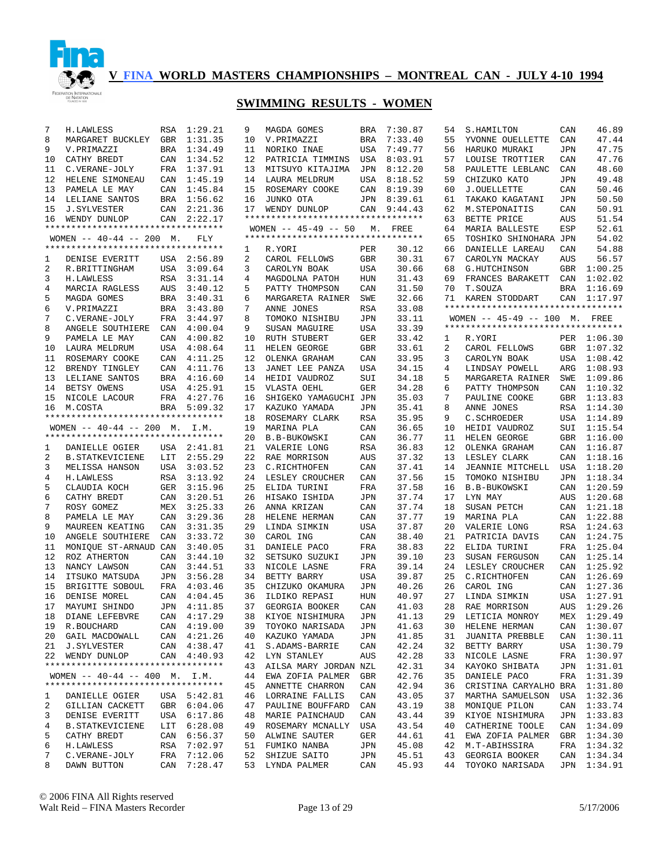

| 7  | H.LAWLESS                          | RSA | 1:29.21     | 9              | MAGDA GOMES                       | BRA        | 7:30.87     | 54 | S.HAMILTON                                                          | CAN        | 46.89       |
|----|------------------------------------|-----|-------------|----------------|-----------------------------------|------------|-------------|----|---------------------------------------------------------------------|------------|-------------|
| 8  | MARGARET BUCKLEY GBR               |     | 1:31.35     | 10             | V.PRIMAZZI                        | BRA        | 7:33.40     | 55 | YVONNE OUELLETTE                                                    | CAN        | 47.44       |
| 9  | V.PRIMAZZI                         | BRA | 1:34.49     | 11             | NORIKO INAE                       | USA        | 7:49.77     | 56 | HARUKO MURAKI                                                       | JPN        | 47.75       |
| 10 | CATHY BREDT                        | CAN | 1:34.52     | 12             | PATRICIA TIMMINS                  | USA        | 8:03.91     | 57 | LOUISE TROTTIER                                                     | CAN        | 47.76       |
| 11 | C.VERANE-JOLY                      | FRA | 1:37.91     | 13             | MITSUYO KITAJIMA                  | JPN        | 8:12.20     | 58 | PAULETTE LEBLANC                                                    | CAN        | 48.60       |
| 12 | HELENE SIMONEAU                    | CAN | 1:45.19     | 14             | LAURA MELDRUM                     | USA        | 8:18.52     | 59 | CHIZUKO KATO                                                        | <b>JPN</b> | 49.48       |
| 13 | PAMELA LE MAY                      | CAN | 1:45.84     | 15             | ROSEMARY COOKE                    | CAN        | 8:19.39     | 60 | J.OUELLETTE                                                         | CAN        | 50.46       |
| 14 | LELIANE SANTOS                     |     | BRA 1:56.62 | 16             | JUNKO OTA                         | JPN        | 8:39.61     | 61 | TAKAKO KAGATANI                                                     | <b>JPN</b> | 50.50       |
| 15 | J.SYLVESTER                        | CAN | 2:21.36     | 17             | WENDY DUNLOP                      |            | CAN 9:44.43 | 62 | M.STEPONAITIS                                                       | CAN        | 50.91       |
| 16 | WENDY DUNLOP                       | CAN | 2:22.17     |                | ********************************* |            |             | 63 | BETTE PRICE                                                         | AUS        | 51.54       |
|    | ********************************** |     |             |                | WOMEN $-- 45-49 -- 50$            |            | M. FREE     | 64 | <b>MARIA BALLESTE</b>                                               | ESP        | 52.61       |
|    | WOMEN $-- 40-44 -- 200$ M.         |     | FLY         |                | ********************************* |            |             | 65 | TOSHIKO SHINOHARA JPN                                               |            | 54.02       |
|    | ********************************** |     |             | 1              | R.YORI                            | PER        | 30.12       | 66 | DANIELLE LAREAU                                                     | CAN        | 54.88       |
| 1  | DENISE EVERITT                     |     | USA 2:56.89 | $\overline{2}$ | CAROL FELLOWS                     | <b>GBR</b> | 30.31       | 67 | CAROLYN MACKAY                                                      | AUS        | 56.57       |
| 2  | R.BRITTINGHAM                      | USA | 3:09.64     | 3              | CAROLYN BOAK                      | USA        | 30.66       | 68 | G.HUTCHINSON                                                        | GBR        | 1:00.25     |
| 3  | <b>H.LAWLESS</b>                   | RSA | 3:31.14     | 4              | MAGDOLNA PATOH                    | HUN        | 31.43       | 69 | FRANCES BARAKETT                                                    | CAN        | 1:02.02     |
| 4  | MARCIA RAGLESS                     | AUS | 3:40.12     | 5              | PATTY THOMPSON                    | CAN        | 31.50       | 70 | T.SOUZA                                                             |            | BRA 1:16.69 |
| 5  | MAGDA GOMES                        | BRA | 3:40.31     | 6              | MARGARETA RAINER                  | SWE        | 32.66       | 71 | KAREN STODDART                                                      |            | CAN 1:17.97 |
| 6  |                                    | BRA | 3:43.80     | 7              |                                   | RSA        | 33.08       |    | **********************************                                  |            |             |
| 7  | V.PRIMAZZI                         | FRA | 3:44.97     | 8              | ANNE JONES<br>TOMOKO NISHIBU      | JPN        | 33.11       |    |                                                                     |            |             |
|    | C.VERANE-JOLY                      |     |             |                |                                   |            |             |    | WOMEN -- 45-49 -- 100 M. FREE<br>********************************** |            |             |
| 8  | ANGELE SOUTHIERE                   | CAN | 4:00.04     | 9              | SUSAN MAGUIRE                     | USA        | 33.39       |    |                                                                     |            |             |
| 9  | PAMELA LE MAY                      | CAN | 4:00.82     | 10             | RUTH STUBERT                      | GER        | 33.42       | 1  | R.YORI                                                              |            | PER 1:06.30 |
| 10 | LAURA MELDRUM                      |     | USA 4:08.64 | 11             | HELEN GEORGE                      | GBR        | 33.61       | 2  | CAROL FELLOWS                                                       |            | GBR 1:07.32 |
| 11 | ROSEMARY COOKE                     | CAN | 4:11.25     | 12             | OLENKA GRAHAM                     | CAN        | 33.95       | 3  | CAROLYN BOAK                                                        |            | USA 1:08.42 |
| 12 | BRENDY TINGLEY                     |     | CAN 4:11.76 | 13             | JANET LEE PANZA                   | USA        | 34.15       | 4  | LINDSAY POWELL                                                      | ARG        | 1:08.93     |
| 13 | LELIANE SANTOS                     |     | BRA 4:16.60 | 14             | HEIDI VAUDROZ                     | SUI        | 34.18       | 5  | MARGARETA RAINER                                                    | SWE        | 1:09.86     |
| 14 | BETSY OWENS                        |     | USA 4:25.91 | 15             | VLASTA OEHL                       | GER        | 34.28       | 6  | PATTY THOMPSON                                                      |            | CAN 1:10.32 |
| 15 | NICOLE LACOUR                      |     | FRA 4:27.76 | 16             | SHIGEKO YAMAGUCHI JPN             |            | 35.03       | 7  | PAULINE COOKE                                                       | GBR        | 1:13.83     |
| 16 | M.COSTA                            |     | BRA 5:09.32 | 17             | KAZUKO YAMADA                     | JPN        | 35.41       | 8  | ANNE JONES                                                          |            | RSA 1:14.30 |
|    | ********************************** |     |             | 18             | ROSEMARY CLARK                    | RSA        | 35.95       | 9  | C. SCHROEDER                                                        |            | USA 1:14.89 |
|    | WOMEN $- - 40 - 44$ $- - 200$ M.   |     | I.M.        | 19             | MARINA PLA                        | CAN        | 36.65       | 10 | HEIDI VAUDROZ                                                       | SUI        | 1:15.54     |
|    | ********************************** |     |             | 20             | <b>B.B-BUKOWSKI</b>               | CAN        | 36.77       | 11 | HELEN GEORGE                                                        |            | GBR 1:16.00 |
| 1  | DANIELLE OGIER                     |     | USA 2:41.81 | 21             | VALERIE LONG                      | <b>RSA</b> | 36.83       | 12 | OLENKA GRAHAM                                                       | CAN        | 1:16.87     |
| 2  | <b>B. STATKEVICIENE</b>            | LIT | 2:55.29     | 22             | RAE MORRISON                      | AUS        | 37.32       | 13 | LESLEY CLARK                                                        |            | CAN 1:18.16 |
| 3  | MELISSA HANSON                     | USA | 3:03.52     | 23             | C.RICHTHOFEN                      | CAN        | 37.41       | 14 | JEANNIE MITCHELL                                                    | USA        | 1:18.20     |
| 4  | <b>H.LAWLESS</b>                   | RSA | 3:13.92     | 24             | LESLEY CROUCHER                   | CAN        | 37.56       | 15 | TOMOKO NISHIBU                                                      | JPN        | 1:18.34     |
| 5  | CLAUDIA KOCH                       | GER | 3:15.96     | 25             | ELIDA TURINI                      | FRA        | 37.58       | 16 | <b>B.B-BUKOWSKI</b>                                                 | CAN        | 1:20.59     |
| 6  | CATHY BREDT                        | CAN | 3:20.51     | 26             | HISAKO ISHIDA                     | JPN        | 37.74       | 17 | LYN MAY                                                             | AUS        | 1:20.68     |
| 7  | ROSY GOMEZ                         |     | MEX 3:25.33 | 26             | ANNA KRIZAN                       | CAN        | 37.74       | 18 | SUSAN PETCH                                                         |            | CAN 1:21.18 |
| 8  | PAMELA LE MAY                      | CAN | 3:29.36     | 28             | HELENE HERMAN                     | CAN        | 37.77       | 19 | MARINA PLA                                                          |            | CAN 1:22.88 |
| 9  | MAUREEN KEATING                    | CAN | 3:31.35     | 29             | LINDA SIMKIN                      | USA        | 37.87       | 20 | VALERIE LONG                                                        |            | RSA 1:24.63 |
| 10 | ANGELE SOUTHIERE                   | CAN | 3:33.72     | 30             | CAROL ING                         | CAN        | 38.40       | 21 | PATRICIA DAVIS                                                      |            | CAN 1:24.75 |
| 11 | MONIQUE ST-ARNAUD CAN              |     | 3:40.05     | 31             | DANIELE PACO                      | FRA        | 38.83       | 22 | ELIDA TURINI                                                        | FRA        | 1:25.04     |
| 12 | ROZ ATHERTON                       | CAN | 3:44.10     | 32             | SETSUKO SUZUKI                    | JPN        | 39.10       | 23 | SUSAN FERGUSON                                                      |            | CAN 1:25.14 |
| 13 | NANCY LAWSON                       | CAN | 3:44.51     | 33             | NICOLE LASNE                      | FRA        | 39.14       | 24 | LESLEY CROUCHER                                                     |            | CAN 1:25.92 |
| 14 | ITSUKO MATSUDA                     | JPN | 3:56.28     | 34             | BETTY BARRY                       | USA        | 39.87       | 25 | C.RICHTHOFEN                                                        |            | CAN 1:26.69 |
| 15 | BRIGITTE SOBOUL                    |     | FRA 4:03.46 | 35             | CHIZUKO OKAMURA                   | JPN        | 40.26       | 26 | CAROL ING                                                           | CAN        | 1:27.36     |
| 16 | DENISE MOREL                       |     | CAN 4:04.45 | 36             | ILDIKO REPASI                     | HUN        | 40.97       | 27 | LINDA SIMKIN                                                        |            | USA 1:27.91 |
| 17 | MAYUMI SHINDO                      |     | JPN 4:11.85 | 37             | GEORGIA BOOKER                    | CAN        | 41.03       | 28 | RAE MORRISON                                                        |            | AUS 1:29.26 |
|    | 18 DIANE LEFEBVRE                  |     | CAN 4:17.29 |                | 38 KIYOE NISHIMURA                | JPN        | 41.13       |    | 29 LETICIA MONROY MEX 1:29.49                                       |            |             |
|    |                                    |     |             |                |                                   |            | 41.63       |    | HELENE HERMAN                                                       |            |             |
|    | 19 R.BOUCHARD                      |     | CAN 4:19.00 | 39             | TOYOKO NARISADA                   | JPN        |             | 30 |                                                                     |            | CAN 1:30.07 |
|    | 20 GAIL MACDOWALL                  |     | CAN 4:21.26 | 40             | KAZUKO YAMADA                     | JPN        | 41.85       | 31 | JUANITA PREBBLE                                                     |            | CAN 1:30.11 |
|    | 21 J.SYLVESTER                     |     | CAN 4:38.47 | 41             | S.ADAMS-BARRIE                    | CAN        | 42.24       | 32 | BETTY BARRY                                                         |            | USA 1:30.79 |
|    | 22 WENDY DUNLOP                    |     | CAN 4:40.93 | 42             | LYN STANLEY                       | AUS        | 42.28       | 33 | NICOLE LASNE                                                        |            | FRA 1:30.97 |
|    | ********************************** |     |             | 43             | AILSA MARY JORDAN NZL             |            | 42.31       | 34 | KAYOKO SHIBATA                                                      |            | JPN 1:31.01 |
|    | WOMEN $-- 40-44 -- 400$ M. I.M.    |     |             | 44             | EWA ZOFIA PALMER                  | GBR        | 42.76       | 35 | DANIELE PACO                                                        |            | FRA 1:31.39 |
|    | ********************************** |     |             | 45             | ANNETTE CHARRON                   | CAN        | 42.94       | 36 | CRISTINA CARYALHO BRA 1:31.80                                       |            |             |
| 1  | DANIELLE OGIER                     |     | USA 5:42.81 | 46             | LORRAINE FALLIS                   | CAN        | 43.05       | 37 | MARTHA SAMUELSON                                                    |            | USA 1:32.36 |
| 2  | GILLIAN CACKETT                    |     | GBR 6:04.06 | 47             | PAULINE BOUFFARD                  | CAN        | 43.19       | 38 | MONIQUE PILON                                                       |            | CAN 1:33.74 |
| 3  | DENISE EVERITT                     |     | USA 6:17.86 | 48             | MARIE PAINCHAUD                   | CAN        | 43.44       | 39 | KIYOE NISHIMURA                                                     |            | JPN 1:33.83 |
| 4  | <b>B. STATKEVICIENE</b>            |     | LIT 6:28.08 | 49             | ROSEMARY MCNALLY                  | USA        | 43.54       | 40 | CATHERINE TOOLE                                                     |            | CAN 1:34.09 |
| 5  | CATHY BREDT                        |     | CAN 6:56.37 | 50             | ALWINE SAUTER                     | GER        | 44.61       | 41 | EWA ZOFIA PALMER                                                    |            | GBR 1:34.30 |
| 6  | H.LAWLESS                          |     | RSA 7:02.97 |                | 51 FUMIKO NANBA                   | JPN        | 45.08       | 42 | M.T-ABIHSSIRA                                                       |            | FRA 1:34.32 |
| 7  | C.VERANE-JOLY                      |     | FRA 7:12.06 | 52             | SHIZUE SAITO                      | JPN        | 45.51       | 43 | GEORGIA BOOKER                                                      |            | CAN 1:34.34 |
| 8  | DAWN BUTTON                        |     | CAN 7:28.47 |                | 53 LYNDA PALMER                   | CAN        | 45.93       | 44 | TOYOKO NARISADA                                                     |            | JPN 1:34.91 |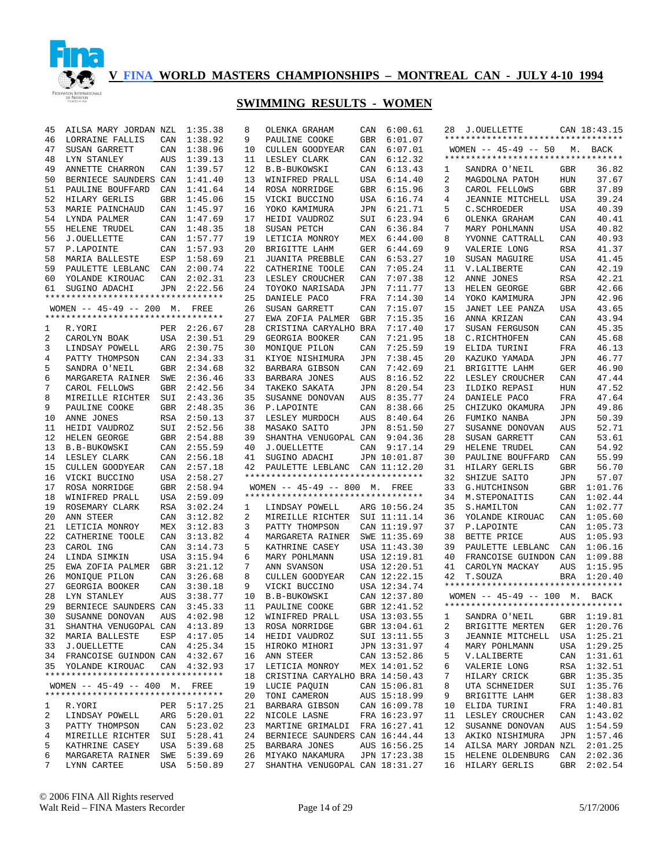

| 45              | AILSA MARY JORDAN NZL                                               |            | 1:35.38                    | 8        | OLENKA GRAHAM                                      | CAN | 6:00.61                      | 28       | J.OUELLETTE                              |            | CAN 18:43.15               |
|-----------------|---------------------------------------------------------------------|------------|----------------------------|----------|----------------------------------------------------|-----|------------------------------|----------|------------------------------------------|------------|----------------------------|
| 46              | LORRAINE FALLIS                                                     | CAN        | 1:38.92                    | 9        | PAULINE COOKE                                      | GBR | 6:01.07                      |          | **********************************       |            |                            |
| 47              | SUSAN GARRETT                                                       | CAN        | 1:38.96                    | 10       | CULLEN GOODYEAR                                    | CAN | 6:07.01                      |          | WOMEN $-- 45-49 -- 50$                   |            | M. BACK                    |
| 48              | LYN STANLEY                                                         | <b>AUS</b> | 1:39.13                    | 11       | LESLEY CLARK                                       | CAN | 6:12.32                      |          | **********************************       |            |                            |
| 49              | ANNETTE CHARRON                                                     | CAN        | 1:39.57                    | 12       | <b>B.B-BUKOWSKI</b>                                | CAN | 6:13.43                      | 1        | SANDRA O'NEIL                            | GBR        | 36.82                      |
| 50              | BERNIECE SAUNDERS CAN                                               |            | 1:41.40                    | 13       | WINIFRED PRALL                                     | USA | 6:14.40                      | 2        | MAGDOLNA PATOH                           | HUN        | 37.67                      |
| 51              | PAULINE BOUFFARD                                                    | CAN        | 1:41.64                    | 14       | ROSA NORRIDGE                                      | GBR | 6:15.96                      | 3        | CAROL FELLOWS                            | <b>GBR</b> | 37.89                      |
| 52              | HILARY GERLIS                                                       | <b>GBR</b> | 1:45.06                    | 15       | VICKI BUCCINO                                      | USA | 6:16.74                      | 4        | JEANNIE MITCHELL                         | USA        | 39.24                      |
| 53              | MARIE PAINCHAUD                                                     | CAN        | 1:45.97                    | 16       | YOKO KAMIMURA                                      | JPN | 6:21.71                      | 5        | C.SCHROEDER                              | <b>USA</b> | 40.39                      |
| 54              | LYNDA PALMER                                                        | CAN        | 1:47.69                    | 17       | HEIDI VAUDROZ                                      | SUI | 6:23.94                      | 6        | OLENKA GRAHAM                            | CAN        | 40.41                      |
| 55              | HELENE TRUDEL                                                       | CAN        | 1:48.35                    | 18       | SUSAN PETCH                                        | CAN | 6:36.84                      | 7        | MARY POHLMANN                            | <b>USA</b> | 40.82                      |
| 56              | <b>J.OUELLETTE</b>                                                  | CAN        | 1:57.77                    | 19       | LETICIA MONROY                                     | MEX | 6:44.00                      | 8        | YVONNE CATTRALL                          | CAN        | 40.93                      |
| 57              | P.LAPOINTE                                                          | CAN        | 1:57.93                    | 20       | BRIGITTE LAHM                                      | GER | 6:44.69                      | 9        | VALERIE LONG                             | <b>RSA</b> | 41.37                      |
| 58              | MARIA BALLESTE                                                      | ESP        | 1:58.69                    | 21       | <b>JUANITA PREBBLE</b>                             | CAN | 6:53.27                      | 10       | SUSAN MAGUIRE                            | <b>USA</b> | 41.45                      |
| 59              | PAULETTE LEBLANC CAN                                                |            | 2:00.74                    | 22       | CATHERINE TOOLE                                    | CAN | 7:05.24                      | 11       | V.LALIBERTE                              | CAN        | 42.19                      |
| 60              | YOLANDE KIROUAC                                                     | CAN        | 2:02.31                    | 23       | LESLEY CROUCHER                                    | CAN | 7:07.38                      | 12       | ANNE JONES                               | <b>RSA</b> | 42.21                      |
| 61              | SUGINO ADACHI                                                       | JPN        | 2:22.56                    | 24       | TOYOKO NARISADA                                    | JPN | 7:11.77                      | 13       | HELEN GEORGE                             | <b>GBR</b> | 42.66                      |
|                 | *********************************                                   |            |                            | 25       | DANIELE PACO                                       | FRA | 7:14.30                      | 14       | YOKO KAMIMURA                            | <b>JPN</b> | 42.96                      |
|                 | WOMEN $-- 45-49 -- 200$ M.                                          |            | FREE                       | 26       | SUSAN GARRETT                                      | CAN | 7:15.07                      | 15       | JANET LEE PANZA                          | <b>USA</b> | 43.65                      |
|                 | **********************************                                  |            |                            | 27       | EWA ZOFIA PALMER                                   | GBR | 7:15.35                      | 16       | ANNA KRIZAN                              | CAN        | 43.94                      |
| 1               | R.YORI                                                              |            | PER 2:26.67                | 28       | CRISTINA CARYALHO                                  | BRA | 7:17.40                      | 17       | SUSAN FERGUSON                           | CAN        | 45.35                      |
| 2               | CAROLYN BOAK                                                        |            | USA 2:30.51                | 29       | GEORGIA BOOKER                                     | CAN | 7:21.95                      | 18       | C.RICHTHOFEN                             | CAN        | 45.68                      |
| 3               | LINDSAY POWELL                                                      | ARG        | 2:30.75                    | 30       | MONIQUE PILON                                      | CAN | 7:25.59                      | 19       | ELIDA TURINI                             | FRA        | 46.13                      |
| 4               | PATTY THOMPSON                                                      | CAN        | 2:34.33                    | 31       | KIYOE NISHIMURA                                    | JPN | 7:38.45                      | 20       | KAZUKO YAMADA                            | <b>JPN</b> | 46.77                      |
| 5               | SANDRA O'NEIL                                                       | GBR        | 2:34.68                    | 32       | BARBARA GIBSON                                     | CAN | 7:42.69                      | 21       | BRIGITTE LAHM                            | <b>GER</b> | 46.90                      |
| 6               | MARGARETA RAINER                                                    | SWE        | 2:36.46                    | 33       | <b>BARBARA JONES</b>                               | AUS | 8:16.52                      | 22       | LESLEY CROUCHER                          | CAN        | 47.44                      |
| 7               | CAROL FELLOWS                                                       | <b>GBR</b> | 2:42.56                    | 34       | TAKEKO SAKATA                                      | JPN | 8:20.54                      | 23       | ILDIKO REPASI                            | HUN        | 47.52                      |
| 8               | MIREILLE RICHTER                                                    | SUI        | 2:43.36                    | 35       | SUSANNE DONOVAN                                    | AUS | 8:35.77                      | 24       | DANIELE PACO                             | FRA        | 47.64                      |
| 9               | PAULINE COOKE                                                       | GBR        | 2:48.35                    | 36       | P.LAPOINTE                                         | CAN | 8:38.66                      | 25       | CHIZUKO OKAMURA                          | <b>JPN</b> | 49.86                      |
| 10              | ANNE JONES                                                          |            | RSA 2:50.13                | 37       | LESLEY MURDOCH                                     | AUS | 8:40.64                      | 26       | FUMIKO NANBA                             | <b>JPN</b> | 50.39                      |
| 11              | HEIDI VAUDROZ                                                       | SUI        | 2:52.56                    | 38       | MASAKO SAITO                                       | JPN | 8:51.50                      | 27       | SUSANNE DONOVAN                          | AUS        | 52.71                      |
| 12              | HELEN GEORGE                                                        |            | GBR 2:54.88                | 39       | SHANTHA VENUGOPAL CAN                              |     | 9:04.36                      | 28       | SUSAN GARRETT                            | CAN        | 53.61                      |
| 13              | B.B-BUKOWSKI                                                        |            | CAN 2:55.59                | 40       | <b>J.OUELLETTE</b>                                 | CAN | 9:17.14                      | 29       | HELENE TRUDEL                            | CAN        | 54.92                      |
| 14              | LESLEY CLARK                                                        | CAN        | 2:56.18                    | 41       | SUGINO ADACHI                                      |     | JPN 10:01.87                 | 30       | PAULINE BOUFFARD                         | CAN        | 55.99                      |
| 15              | CULLEN GOODYEAR                                                     |            | CAN 2:57.18                | 42       | PAULETTE LEBLANC                                   |     | CAN 11:12.20                 | 31       | HILARY GERLIS                            | GBR        | 56.70                      |
| 16              | VICKI BUCCINO                                                       |            | USA 2:58.27                |          | **********************************                 |     |                              | 32       | SHIZUE SAITO                             | JPN        | 57.07                      |
| 17              | ROSA NORRIDGE                                                       |            | GBR 2:58.94                |          | WOMEN -- 45-49 -- 800 M. FREE                      |     |                              | 33       | G.HUTCHINSON                             |            | GBR 1:01.76                |
| 18              | WINIFRED PRALL                                                      |            | USA 2:59.09                |          | **********************************                 |     |                              | 34       | M.STEPONAITIS                            |            | CAN 1:02.44                |
| 19              | ROSEMARY CLARK                                                      | RSA        | 3:02.24                    | 1        | LINDSAY POWELL                                     |     | ARG 10:56.24                 | 35       | S.HAMILTON                               | CAN        | 1:02.77                    |
| 20              | ANN STEER                                                           | CAN        | 3:12.82                    | 2        | MIREILLE RICHTER                                   |     | SUI 11:11.14                 | 36       | YOLANDE KIROUAC                          | CAN        | 1:05.60                    |
| 21              | LETICIA MONROY                                                      | MEX        | 3:12.83                    | 3        | PATTY THOMPSON                                     |     | CAN 11:19.97                 | 37       | P.LAPOINTE                               | CAN        | 1:05.73                    |
| 22              | CATHERINE TOOLE                                                     | CAN        | 3:13.82                    | 4        | MARGARETA RAINER                                   |     | SWE 11:35.69                 | 38       | BETTE PRICE                              | AUS        | 1:05.93                    |
| 23              | CAROL ING                                                           | CAN        | 3:14.73                    | 5        | KATHRINE CASEY                                     |     | USA 11:43.30                 | 39       | PAULETTE LEBLANC                         | CAN        | 1:06.16                    |
| 24              | LINDA SIMKIN                                                        | USA        | 3:15.94                    | 6        | MARY POHLMANN                                      |     | USA 12:19.81                 | 40       | FRANCOISE GUINDON CAN                    |            | 1:09.88                    |
| 25              | EWA ZOFIA PALMER                                                    | GBR        | 3:21.12                    | 7        | ANN SVANSON                                        |     | USA 12:20.51                 | 41       | CAROLYN MACKAY                           | AUS        | 1:15.95                    |
| 26              | MONIQUE PILON                                                       | CAN        | 3:26.68                    | 8        | CULLEN GOODYEAR                                    |     | CAN 12:22.15                 | 42       | T.SOUZA                                  |            | BRA 1:20.40                |
| 27              | GEORGIA BOOKER                                                      | CAN        | 3:30.18                    | 9        | VICKI BUCCINO                                      |     | USA 12:34.74                 |          | **********************************       |            |                            |
| 28              | LYN STANLEY                                                         | AUS        | 3:38.77                    | 10       | B.B-BUKOWSKI                                       |     | CAN 12:37.80                 |          | WOMEN -- 45-49 -- 100 M. BACK            |            |                            |
| 29              | BERNIECE SAUNDERS CAN 3:45.33                                       |            |                            |          | 11 PAULINE COOKE                                   |     | GBR 12:41.52                 |          | **********************************       |            |                            |
| 30 <sup>2</sup> | SUSANNE DONOVAN AUS 4:02.98                                         |            |                            |          | 12 WINIFRED PRALL                                  |     | USA 13:03.55                 |          | 1 SANDRA O'NEIL GBR 1:19.81              |            |                            |
| 31              | SHANTHA VENUGOPAL CAN 4:13.89                                       |            |                            |          | 13 ROSA NORRIDGE                                   |     | GBR 13:04.61                 | 2        | BRIGITTE MERTEN                          |            | GER 1:20.76                |
|                 | 32 MARIA BALLESTE                                                   |            | ESP 4:17.05                | 14       | HEIDI VAUDROZ                                      |     | SUI 13:11.55                 | 3        | JEANNIE MITCHELL                         |            | USA 1:25.21                |
|                 | 33 J.OUELLETTE                                                      |            | CAN 4:25.34                | 15       | HIROKO MIHORI                                      |     | JPN 13:31.97                 | 4        | MARY POHLMANN                            |            | USA 1:29.25                |
|                 | 34 FRANCOISE GUINDON CAN 4:32.67                                    |            |                            | 16       | ANN STEER                                          |     | CAN 13:52.86                 | 5        |                                          |            | CAN 1:31.61                |
|                 | 35 YOLANDE KIROUAC                                                  |            | CAN 4:32.93                | 17       | LETICIA MONROY                                     |     | MEX 14:01.52                 | 6        | V.LALIBERTE                              |            | RSA 1:32.51                |
|                 | **********************************                                  |            |                            | 18       | CRISTINA CARYALHO BRA 14:50.43                     |     |                              | 7        | VALERIE LONG<br>HILARY CRICK             |            | GBR 1:35.35                |
|                 |                                                                     |            |                            |          |                                                    |     | CAN 15:06.81                 |          |                                          |            |                            |
|                 | WOMEN -- 45-49 -- 400 M. FREE<br>********************************** |            |                            | 19       | LUCIE PAQUIN<br>TONI CAMERON                       |     | AUS 15:18.99                 | 8        | UTA SCHNEIDER                            |            | SUI 1:35.76                |
|                 |                                                                     |            |                            | 20       |                                                    |     | CAN 16:09.78                 | 9        | BRIGITTE LAHM                            |            | GER 1:38.83                |
| 1<br>2          | R.YORI<br>LINDSAY POWELL                                            |            | PER 5:17.25                | 21<br>22 | BARBARA GIBSON<br>NICOLE LASNE                     |     |                              | 10<br>11 | ELIDA TURINI                             |            | FRA 1:40.81                |
|                 |                                                                     |            | ARG 5:20.01<br>CAN 5:23.02 |          |                                                    |     | FRA 16:23.97<br>FRA 16:27.41 |          | LESLEY CROUCHER                          |            | CAN 1:43.02<br>AUS 1:54.59 |
| 3               | PATTY THOMPSON                                                      |            |                            | 23       | MARTINE GRIMALDI<br>BERNIECE SAUNDERS CAN 16:44.44 |     |                              | 12       | SUSANNE DONOVAN                          |            |                            |
| 4               | MIREILLE RICHTER                                                    |            | SUI 5:28.41                | 24       |                                                    |     | AUS 16:56.25                 | 13       | AKIKO NISHIMURA<br>AILSA MARY JORDAN NZL |            | JPN 1:57.46                |
| 5<br>6          | KATHRINE CASEY<br>MARGARETA RAINER                                  | SWE        | USA 5:39.68<br>5:39.69     | 25       | BARBARA JONES<br>26 MIYAKO NAKAMURA                |     | JPN 17:23.38                 | 14<br>15 | HELENE OLDENBURG                         | CAN        | 2:01.25<br>2:02.36         |
| 7               | LYNN CARTEE                                                         |            | USA 5:50.89                | 27       | SHANTHA VENUGOPAL CAN 18:31.27                     |     |                              | 16       | HILARY GERLIS                            | GBR        | 2:02.54                    |
|                 |                                                                     |            |                            |          |                                                    |     |                              |          |                                          |            |                            |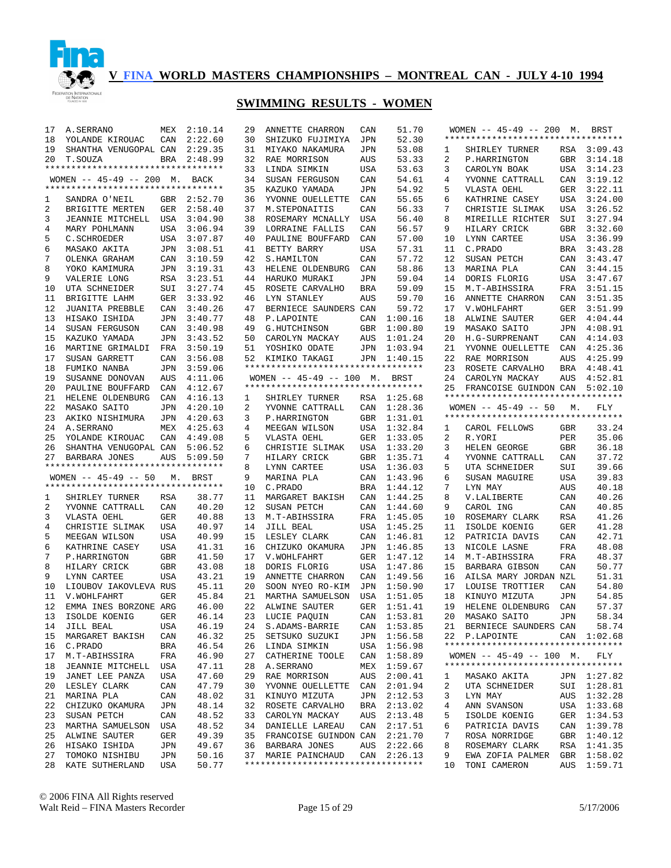

| 17       | A.SERRANO                          |            | MEX 2:10.14    | 29 | ANNETTE CHARRON                                           | CAN        | 51.70       |    | WOMEN -- 45-49 -- 200 M. BRST      |            |             |
|----------|------------------------------------|------------|----------------|----|-----------------------------------------------------------|------------|-------------|----|------------------------------------|------------|-------------|
| 18       | YOLANDE KIROUAC                    | CAN        | 2:22.60        | 30 | SHIZUKO FUJIMIYA                                          | JPN        | 52.30       |    | ********************************** |            |             |
| 19       | SHANTHA VENUGOPAL CAN              |            | 2:29.35        | 31 | MIYAKO NAKAMURA                                           | JPN        | 53.08       | 1  | SHIRLEY TURNER                     |            | RSA 3:09.43 |
| 20       | T.SOUZA                            |            | BRA 2:48.99    | 32 | RAE MORRISON                                              | AUS        | 53.33       | 2  | P.HARRINGTON                       | GBR        | 3:14.18     |
|          | ********************************** |            |                | 33 | LINDA SIMKIN                                              | USA        | 53.63       | 3  | CAROLYN BOAK                       |            | USA 3:14.23 |
|          | WOMEN -- 45-49 -- 200 M. BACK      |            |                | 34 | SUSAN FERGUSON                                            | CAN        | 54.61       | 4  | YVONNE CATTRALL                    | CAN        | 3:19.12     |
|          | ********************************** |            |                | 35 | KAZUKO YAMADA                                             | JPN        | 54.92       | 5  | VLASTA OEHL                        | GER        | 3:22.11     |
| 1        | SANDRA O'NEIL                      |            | GBR 2:52.70    | 36 | YVONNE OUELLETTE                                          | CAN        | 55.65       | 6  | KATHRINE CASEY                     | USA        | 3:24.00     |
| 2        | BRIGITTE MERTEN                    |            | GER 2:58.40    | 37 | M. STEPONAITIS                                            | CAN        | 56.33       | 7  | CHRISTIE SLIMAK                    | USA        | 3:26.52     |
| 3        | JEANNIE MITCHELL USA               |            | 3:04.90        | 38 | ROSEMARY MCNALLY                                          | USA        | 56.40       | 8  | MIREILLE RICHTER                   | SUI        | 3:27.94     |
| 4        | MARY POHLMANN                      |            | USA 3:06.94    | 39 | LORRAINE FALLIS                                           | CAN        | 56.57       | 9  | HILARY CRICK                       | GBR        | 3:32.60     |
| 5        | C.SCHROEDER                        |            | USA 3:07.87    | 40 | PAULINE BOUFFARD                                          | CAN        | 57.00       | 10 | LYNN CARTEE                        |            | USA 3:36.99 |
| 6        | MASAKO AKITA                       | JPN        | 3:08.51        | 41 | BETTY BARRY                                               | USA        | 57.31       | 11 | C.PRADO                            |            | BRA 3:43.28 |
| 7        | OLENKA GRAHAM                      | CAN        | 3:10.59        | 42 | S.HAMILTON                                                | CAN        | 57.72       | 12 | SUSAN PETCH                        | CAN        | 3:43.47     |
| 8        | YOKO KAMIMURA                      | JPN        | 3:19.31        | 43 | HELENE OLDENBURG                                          | CAN        | 58.86       | 13 | MARINA PLA                         | CAN        | 3:44.15     |
| 9        | VALERIE LONG                       | RSA        | 3:23.51        | 44 | HARUKO MURAKI                                             | JPN        | 59.04       | 14 | DORIS FLORIG                       |            | USA 3:47.67 |
| 10       | UTA SCHNEIDER                      | SUI        | 3:27.74        | 45 | ROSETE CARVALHO                                           | BRA        | 59.09       | 15 | M.T-ABIHSSIRA                      | FRA        | 3:51.15     |
| 11       | BRIGITTE LAHM                      | GER        | 3:33.92        | 46 | LYN STANLEY                                               | AUS        | 59.70       | 16 | ANNETTE CHARRON                    | CAN        | 3:51.35     |
| 12       | <b>JUANITA PREBBLE</b>             | CAN        | 3:40.26        | 47 | BERNIECE SAUNDERS CAN                                     |            | 59.72       | 17 | V. WOHLFAHRT                       | GER        | 3:51.99     |
| 13       | HISAKO ISHIDA                      | JPN        | 3:40.77        | 48 | P.LAPOINTE                                                | CAN        | 1:00.16     | 18 | ALWINE SAUTER                      | GER        | 4:04.44     |
| 14       | SUSAN FERGUSON                     | CAN        | 3:40.98        | 49 | G.HUTCHINSON                                              | GBR        | 1:00.80     | 19 | MASAKO SAITO                       | JPN        | 4:08.91     |
| 15       | KAZUKO YAMADA                      | JPN        | 3:43.52        | 50 | CAROLYN MACKAY                                            | AUS        | 1:01.24     | 20 | H.G-SURPRENANT                     | CAN        | 4:14.03     |
| 16       | MARTINE GRIMALDI                   |            | FRA 3:50.19    | 51 | YOSHIKO ODATE                                             | JPN        | 1:03.94     | 21 | YVONNE OUELLETTE                   | CAN        | 4:25.36     |
| 17       | SUSAN GARRETT                      | CAN        | 3:56.08        | 52 | KIMIKO TAKAGI                                             |            | JPN 1:40.15 | 22 | RAE MORRISON                       | AUS        | 4:25.99     |
| 18       | FUMIKO NANBA                       | JPN        | 3:59.06        |    | *********************************                         |            |             | 23 | ROSETE CARVALHO                    | BRA        | 4:48.41     |
| 19       | SUSANNE DONOVAN                    | AUS        | 4:11.06        |    | WOMEN -- 45-49 -- 100 M. BRST                             |            |             | 24 | CAROLYN MACKAY                     | AUS        | 4:52.81     |
| 20       | PAULINE BOUFFARD                   | CAN        | 4:12.67        |    | **********************************                        |            |             | 25 | FRANCOISE GUINDON CAN              |            | 5:02.10     |
| 21       | HELENE OLDENBURG                   | CAN        | 4:16.13        | 1  | SHIRLEY TURNER                                            |            | RSA 1:25.68 |    | ********************************** |            |             |
| 22       | MASAKO SAITO                       | JPN        | 4:20.10        | 2  | YVONNE CATTRALL                                           | CAN        | 1:28.36     |    | WOMEN $-- 45-49 -- 50$             | М.         | FLY         |
| 23       | AKIKO NISHIMURA                    |            | JPN 4:20.63    | 3  | P.HARRINGTON                                              | GBR        | 1:31.01     |    | ********************************** |            |             |
| 24       | A. SERRANO                         |            | MEX 4:25.63    | 4  | MEEGAN WILSON                                             | USA        | 1:32.84     | 1  | CAROL FELLOWS                      | GBR        | 33.24       |
| 25       | YOLANDE KIROUAC                    | CAN        | 4:49.08        | 5  | VLASTA OEHL                                               | GER        | 1:33.05     | 2  | R.YORI                             | PER        | 35.06       |
| 26       | SHANTHA VENUGOPAL CAN              |            |                |    |                                                           |            |             |    |                                    |            |             |
|          |                                    |            | 5:06.52        | 6  | CHRISTIE SLIMAK                                           | USA        | 1:33.20     | 3  | HELEN GEORGE                       | <b>GBR</b> | 36.18       |
| 27       | BARBARA JONES                      | AUS        | 5:09.50        | 7  | HILARY CRICK                                              | GBR        | 1:35.71     | 4  | YVONNE CATTRALL                    | CAN        | 37.72       |
|          | ********************************** |            |                | 8  | LYNN CARTEE                                               | USA        | 1:36.03     | 5  | UTA SCHNEIDER                      | SUI        | 39.66       |
|          | WOMEN $-- 45-49 -- 50$             | М.         | BRST           | 9  | MARINA PLA                                                | CAN        | 1:43.96     | 6  | SUSAN MAGUIRE                      | <b>USA</b> | 39.83       |
|          | ********************************** |            |                | 10 | C.PRADO                                                   | <b>BRA</b> | 1:44.12     | 7  | LYN MAY                            | AUS        | 40.18       |
| 1        | SHIRLEY TURNER                     | RSA        | 38.77          | 11 | MARGARET BAKISH                                           | CAN        | 1:44.25     | 8  | V.LALIBERTE                        | CAN        | 40.26       |
| 2        | YVONNE CATTRALL                    | CAN        | 40.20          | 12 | SUSAN PETCH                                               | CAN        | 1:44.60     | 9  | CAROL ING                          | CAN        | 40.85       |
| 3        | VLASTA OEHL                        | GER        | 40.88          | 13 | M.T-ABIHSSIRA                                             | FRA        | 1:45.05     | 10 | ROSEMARY CLARK                     | <b>RSA</b> | 41.26       |
| 4        | CHRISTIE SLIMAK                    | <b>USA</b> | 40.97          | 14 | JILL BEAL                                                 | USA        | 1:45.25     | 11 | ISOLDE KOENIG                      | <b>GER</b> | 41.28       |
| 5        | MEEGAN WILSON                      | <b>USA</b> | 40.99          | 15 | LESLEY CLARK                                              | CAN        | 1:46.81     | 12 | PATRICIA DAVIS                     | CAN        | 42.71       |
| 6        | KATHRINE CASEY                     | USA        | 41.31          | 16 | CHIZUKO OKAMURA                                           | JPN        | 1:46.85     | 13 | NICOLE LASNE                       | FRA        | 48.08       |
| 7        | P.HARRINGTON                       | GBR        | 41.50          | 17 | V. WOHLFAHRT                                              | GER        | 1:47.12     | 14 | M.T-ABIHSSIRA                      | FRA        | 48.37       |
| 8        | HILARY CRICK                       | GBR        | 43.08          | 18 | DORIS FLORIG                                              | USA        | 1:47.86     | 15 | BARBARA GIBSON                     | CAN        | 50.77       |
| 9        | LYNN CARTEE                        | USA        | 43.21          | 19 | ANNETTE CHARRON                                           | CAN        | 1:49.56     | 16 | AILSA MARY JORDAN NZL              |            | 51.31       |
| 10       | LIOUBOV IAKOVLEVA RUS              |            | 45.11          | 20 | SOON NYEO RO-KIM                                          | JPN        | 1:50.90     | 17 | LOUISE TROTTIER                    | CAN        | 54.80       |
| 11       | V. WOHLFAHRT                       | GER        | 45.84          | 21 | MARTHA SAMUELSON                                          | USA        | 1:51.05     | 18 | KINUYO MIZUTA                      | JPN        | 54.85       |
| 12       | EMMA INES BORZONE ARG              |            | 46.00          |    | 22 ALWINE SAUTER                                          |            | GER 1:51.41 | 19 | HELENE OLDENBURG                   | CAN        | 57.37       |
|          | 13 ISOLDE KOENIG                   | GER        | 46.14          |    | 23 LUCIE PAQUIN                                           |            | CAN 1:53.81 |    | 20 MASAKO SAITO JPN                |            | 58.34       |
| 14       | JILL BEAL                          | USA        | 46.19          |    | 24 S.ADAMS-BARRIE                                         |            | CAN 1:53.85 |    | 21 BERNIECE SAUNDERS CAN           |            | 58.74       |
| 15       | MARGARET BAKISH                    | CAN        | 46.32          | 25 | SETSUKO SUZUKI                                            |            | JPN 1:56.58 |    | 22 P.LAPOINTE                      |            | CAN 1:02.68 |
| 16       | C.PRADO                            | BRA        | 46.54          |    | 26 LINDA SIMKIN                                           |            | USA 1:56.98 |    | ********************************** |            |             |
| 17       | M.T-ABIHSSIRA                      | FRA        | 46.90          |    | 27 CATHERINE TOOLE                                        |            | CAN 1:58.89 |    | WOMEN $-- 45-49 -- 100$ M.         |            | FLY         |
| 18       | JEANNIE MITCHELL                   | USA        | 47.11          |    | 28 A. SERRANO                                             |            | MEX 1:59.67 |    | ********************************** |            |             |
| 19       | JANET LEE PANZA                    | USA        | 47.60          |    | 29 RAE MORRISON                                           |            | AUS 2:00.41 | ı  | MASAKO AKITA                       |            | JPN 1:27.82 |
| 20       | LESLEY CLARK                       | CAN        | 47.79          |    | 30 YVONNE OUELLETTE                                       |            | CAN 2:01.94 | 2  | UTA SCHNEIDER                      |            | SUI 1:28.81 |
| 21       | MARINA PLA                         | CAN        | 48.02          |    | 31 KINUYO MIZUTA                                          |            | JPN 2:12.53 | 3  | LYN MAY                            |            | AUS 1:32.28 |
| 22       | CHIZUKO OKAMURA                    | JPN        | 48.14          |    | 32 ROSETE CARVALHO                                        | BRA        | 2:13.02     | 4  | ANN SVANSON                        |            | USA 1:33.68 |
| 23       | SUSAN PETCH                        | CAN        | 48.52          |    | 33 CAROLYN MACKAY                                         |            | AUS 2:13.48 | 5  | ISOLDE KOENIG                      |            | GER 1:34.53 |
| 23       | MARTHA SAMUELSON                   | USA        | 48.52          |    | 34 DANIELLE LAREAU                                        |            | CAN 2:17.51 | 6  | PATRICIA DAVIS                     |            | CAN 1:39.78 |
| 25       | ALWINE SAUTER                      | GER        | 49.39          |    | 35 FRANCOISE GUINDON CAN 2:21.70                          |            |             | 7  | ROSA NORRIDGE                      |            | GBR 1:40.12 |
| 26       | HISAKO ISHIDA                      | JPN        | 49.67          |    | 36 BARBARA JONES                                          |            | AUS 2:22.66 | 8  | ROSEMARY CLARK                     |            | RSA 1:41.35 |
| 27<br>28 | TOMOKO NISHIBU                     | JPN        | 50.16<br>50.77 |    | 37 MARIE PAINCHAUD<br>*********************************** |            | CAN 2:26.13 | 9  | EWA ZOFIA PALMER GBR 1:58.02       |            |             |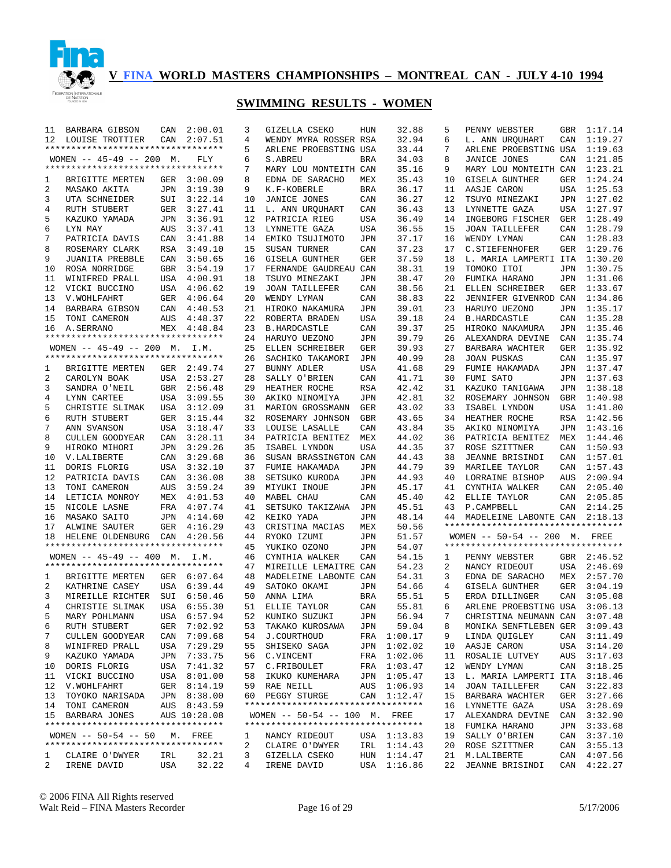

| 11 | BARBARA GIBSON                     | CAN        | 2:00.01      | 3  | GIZELLA CSEKO                      | HUN        | 32.88       | 5  | PENNY WEBSTER                      | GBR        | 1:17.14     |
|----|------------------------------------|------------|--------------|----|------------------------------------|------------|-------------|----|------------------------------------|------------|-------------|
| 12 | LOUISE TROTTIER                    | CAN        | 2:07.51      | 4  | WENDY MYRA ROSSER RSA              |            | 32.94       | 6  | L. ANN URQUHART                    | CAN        | 1:19.27     |
|    | ********************************** |            |              | 5  | ARLENE PROEBSTING USA              |            | 33.44       | 7  | ARLENE PROEBSTING USA              |            | 1:19.63     |
|    | WOMEN $-- 45-49 -- 200$ M.         |            | FLY          | 6  | S. ABREU                           | <b>BRA</b> | 34.03       | 8  | JANICE JONES                       | CAN        | 1:21.85     |
|    | ********************************** |            |              | 7  | MARY LOU MONTEITH CAN              |            | 35.16       | 9  | MARY LOU MONTEITH CAN              |            | 1:23.21     |
| 1  | BRIGITTE MERTEN                    | GER        | 3:00.09      | 8  | EDNA DE SARACHO                    | MEX        | 35.43       | 10 | GISELA GUNTHER                     | GER        | 1:24.24     |
| 2  | MASAKO AKITA                       | JPN        | 3:19.30      | 9  | K.F-KOBERLE                        | <b>BRA</b> | 36.17       | 11 | AASJE CARON                        | USA        | 1:25.53     |
| 3  | UTA SCHNEIDER                      | SUI        | 3:22.14      | 10 | <b>JANICE JONES</b>                | CAN        | 36.27       | 12 | TSUYO MINEZAKI                     | JPN        | 1:27.02     |
| 4  | RUTH STUBERT                       | GER        | 3:27.41      | 11 | L. ANN URQUHART                    | CAN        | 36.43       | 13 | LYNNETTE GAZA                      | USA        | 1:27.97     |
| 5  | KAZUKO YAMADA                      | JPN        | 3:36.91      | 12 | PATRICIA RIEG                      | USA        | 36.49       | 14 | INGEBORG FISCHER                   | GER        | 1:28.49     |
| 6  | LYN MAY                            | AUS        | 3:37.41      | 13 | LYNNETTE GAZA                      | USA        | 36.55       | 15 | <b>JOAN TAILLEFER</b>              | CAN        | 1:28.79     |
| 7  | PATRICIA DAVIS                     |            | 3:41.88      | 14 | EMIKO TSUJIMOTO                    | JPN        | 37.17       | 16 | WENDY LYMAN                        | CAN        | 1:28.83     |
|    |                                    | CAN        |              |    |                                    |            |             |    |                                    |            |             |
| 8  | ROSEMARY CLARK                     | <b>RSA</b> | 3:49.10      | 15 | SUSAN TURNER                       | CAN        | 37.23       | 17 | C. STIEFENHOFER                    | GER        | 1:29.76     |
| 9  | JUANITA PREBBLE                    | CAN        | 3:50.65      | 16 | <b>GISELA GUNTHER</b>              | GER        | 37.59       | 18 | L. MARIA LAMPERTI ITA              |            | 1:30.20     |
| 10 | ROSA NORRIDGE                      | <b>GBR</b> | 3:54.19      | 17 | FERNANDE GAUDREAU CAN              |            | 38.31       | 19 | TOMOKO ITOI                        | JPN        | 1:30.75     |
| 11 | WINIFRED PRALL                     | USA        | 4:00.91      | 18 | TSUYO MINEZAKI                     | JPN        | 38.47       | 20 | FUMIKA HARANO                      | JPN        | 1:31.06     |
| 12 | VICKI BUCCINO                      |            | USA 4:06.62  | 19 | <b>JOAN TAILLEFER</b>              | CAN        | 38.56       | 21 | ELLEN SCHREIBER                    | GER        | 1:33.67     |
| 13 | V. WOHLFAHRT                       |            | GER 4:06.64  | 20 | WENDY LYMAN                        | CAN        | 38.83       | 22 | JENNIFER GIVENROD CAN              |            | 1:34.86     |
| 14 | BARBARA GIBSON                     | CAN        | 4:40.53      | 21 | HIROKO NAKAMURA                    | JPN        | 39.01       | 23 | HARUYO UEZONO                      | JPN        | 1:35.17     |
| 15 | TONI CAMERON                       | AUS        | 4:48.37      | 22 | ROBERTA BRADEN                     | USA        | 39.18       | 24 | <b>B.HARDCASTLE</b>                | CAN        | 1:35.28     |
| 16 | A.SERRANO                          |            | MEX 4:48.84  | 23 | <b>B.HARDCASTLE</b>                | CAN        | 39.37       | 25 | HIROKO NAKAMURA                    | JPN        | 1:35.46     |
|    | ********************************** |            |              | 24 | HARUYO UEZONO                      | JPN        | 39.79       | 26 | ALEXANDRA DEVINE                   | CAN        | 1:35.74     |
|    | WOMEN $-- 45-49 -- 200$ M.         |            | I.M.         | 25 | ELLEN SCHREIBER                    | GER        | 39.93       | 27 | BARBARA WACHTER                    | GER        | 1:35.92     |
|    | ********************************** |            |              | 26 | SACHIKO TAKAMORI                   | JPN        | 40.99       | 28 | <b>JOAN PUSKAS</b>                 | CAN        | 1:35.97     |
|    | BRIGITTE MERTEN                    |            |              |    |                                    |            | 41.68       | 29 |                                    |            | 1:37.47     |
| 1  |                                    |            | GER 2:49.74  | 27 | BUNNY ADLER                        | USA        |             |    | FUMIE HAKAMADA                     | JPN        |             |
| 2  | CAROLYN BOAK                       | USA        | 2:53.27      | 28 | SALLY O'BRIEN                      | CAN        | 41.71       | 30 | FUMI SATO                          | JPN        | 1:37.63     |
| 3  | SANDRA O'NEIL                      | GBR        | 2:56.48      | 29 | HEATHER ROCHE                      | RSA        | 42.42       | 31 | KAZUKO TANIGAWA                    | JPN        | 1:38.18     |
| 4  | LYNN CARTEE                        | USA        | 3:09.55      | 30 | AKIKO NINOMIYA                     | JPN        | 42.81       | 32 | ROSEMARY JOHNSON                   | GBR        | 1:40.98     |
| 5  | CHRISTIE SLIMAK                    | USA        | 3:12.09      | 31 | MARION GROSSMANN                   | GER        | 43.02       | 33 | ISABEL LYNDON                      | USA        | 1:41.80     |
| 6  | RUTH STUBERT                       | GER        | 3:15.44      | 32 | ROSEMARY JOHNSON                   | <b>GBR</b> | 43.65       | 34 | HEATHER ROCHE                      | RSA        | 1:42.56     |
| 7  | ANN SVANSON                        | USA        | 3:18.47      | 33 | LOUISE LASALLE                     | CAN        | 43.84       | 35 | AKIKO NINOMIYA                     | JPN        | 1:43.16     |
| 8  | CULLEN GOODYEAR                    | CAN        | 3:28.11      | 34 | PATRICIA BENITEZ                   | MEX        | 44.02       | 36 | PATRICIA BENITEZ                   | MEX        | 1:44.46     |
| 9  | HIROKO MIHORI                      | JPN        | 3:29.26      | 35 | ISABEL LYNDON                      | USA        | 44.35       | 37 | ROSE SZITTNER                      | CAN        | 1:50.93     |
| 10 | V.LALIBERTE                        | CAN        | 3:29.68      | 36 | SUSAN BRASSINGTON CAN              |            | 44.43       | 38 | JEANNE BRISINDI                    | CAN        | 1:57.01     |
| 11 | DORIS FLORIG                       | USA        | 3:32.10      | 37 | FUMIE HAKAMADA                     | JPN        | 44.79       | 39 | MARILEE TAYLOR                     | CAN        | 1:57.43     |
| 12 | PATRICIA DAVIS                     | CAN        | 3:36.08      | 38 | SETSUKO KURODA                     | JPN        | 44.93       | 40 | LORRAINE BISHOP                    | AUS        | 2:00.94     |
| 13 | TONI CAMERON                       | AUS        | 3:59.24      | 39 | MIYUKI INOUE                       | JPN        | 45.17       | 41 | CYNTHIA WALKER                     | CAN        | 2:05.40     |
| 14 | LETICIA MONROY                     |            | MEX 4:01.53  | 40 | MABEL CHAU                         | CAN        | 45.40       | 42 | ELLIE TAYLOR                       | CAN        | 2:05.85     |
|    |                                    |            |              |    |                                    |            |             |    |                                    |            |             |
| 15 | NICOLE LASNE                       |            | FRA 4:07.74  | 41 | SETSUKO TAKIZAWA                   | JPN        | 45.51       | 43 | P. CAMPBELL                        | CAN        | 2:14.25     |
| 16 | MASAKO SAITO                       | JPN        | 4:14.60      | 42 | KEIKO YADA                         | JPN        | 48.14       | 44 | MADELEINE LABONTE CAN              |            | 2:18.13     |
| 17 | ALWINE SAUTER                      | GER        | 4:16.29      | 43 | CRISTINA MACIAS                    | MEX        | 50.56       |    | ********************************** |            |             |
| 18 | HELENE OLDENBURG                   | CAN        | 4:20.56      | 44 | RYOKO IZUMI                        | JPN        | 51.57       |    | WOMEN -- 50-54 -- 200 M. FREE      |            |             |
|    | ********************************** |            |              | 45 | YUKIKO OZONO                       | JPN        | 54.07       |    | ********************************** |            |             |
|    | WOMEN $-- 45-49 -- 400$ M.         |            | I.M.         | 46 | CYNTHIA WALKER                     | CAN        | 54.15       | 1  | PENNY WEBSTER                      |            | GBR 2:46.52 |
|    | ********************************** |            |              | 47 | MIREILLE LEMAITRE                  | CAN        | 54.23       | 2  | NANCY RIDEOUT                      | USA        | 2:46.69     |
| 1  | BRIGITTE MERTEN                    |            | GER 6:07.64  | 48 | MADELEINE LABONTE CAN              |            | 54.31       | 3  | EDNA DE SARACHO                    | MEX        | 2:57.70     |
| 2  | KATHRINE CASEY                     | USA        | 6:39.44      | 49 | SATOKO OKAMI                       | JPN        | 54.66       | 4  | <b>GISELA GUNTHER</b>              | <b>GER</b> | 3:04.19     |
| 3  | MIREILLE RICHTER                   | SUI        | 6:50.46      | 50 | ANNA LIMA                          | <b>BRA</b> | 55.51       | 5  | ERDA DILLINGER                     | CAN        | 3:05.08     |
| 4  | CHRISTIE SLIMAK                    |            | USA 6:55.30  | 51 | ELLIE TAYLOR                       | CAN        | 55.81       | 6  | ARLENE PROEBSTING USA              |            | 3:06.13     |
| 5  | MARY POHLMANN                      |            | USA 6:57.94  | 52 | KUNIKO SUZUKI                      | JPN        | 56.94       | 7  | CHRISTINA NEUMANN CAN 3:07.48      |            |             |
| 6  | RUTH STUBERT                       |            | GER 7:02.92  | 53 | TAKAKO KUROSAWA                    | JPN        | 59.04       | 8  | MONIKA SENFTLEBEN GER 3:09.43      |            |             |
| 7  |                                    |            |              |    | J.COURTHOUD                        |            |             | 9  |                                    |            |             |
|    | CULLEN GOODYEAR                    |            | CAN 7:09.68  | 54 |                                    |            | FRA 1:00.17 |    | LINDA QUIGLEY                      |            | CAN 3:11.49 |
| 8  | WINIFRED PRALL                     |            | USA 7:29.29  | 55 | SHISEKO SAGA                       | JPN        | 1:02.02     | 10 | AASJE CARON                        | USA        | 3:14.20     |
| 9  | KAZUKO YAMADA                      |            | JPN 7:33.75  | 56 | C.VINCENT                          | FRA        | 1:02.06     | 11 | ROSALIE LUTVEY                     | AUS        | 3:17.03     |
| 10 | DORIS FLORIG                       |            | USA 7:41.32  |    | 57 C.FRIBOULET                     | FRA        | 1:03.47     | 12 | WENDY LYMAN                        | CAN        | 3:18.25     |
| 11 | VICKI BUCCINO                      |            | USA 8:01.00  | 58 | IKUKO KUMEHARA                     |            | JPN 1:05.47 | 13 | L. MARIA LAMPERTI ITA              |            | 3:18.46     |
| 12 | V.WOHLFAHRT                        |            | GER 8:14.19  |    | 59 RAE NEILL                       |            | AUS 1:06.93 | 14 | <b>JOAN TAILLEFER</b>              | CAN        | 3:22.83     |
| 13 | TOYOKO NARISADA                    |            | JPN 8:38.00  |    | 60 PEGGY STURGE                    |            | CAN 1:12.47 | 15 | BARBARA WACHTER                    | GER        | 3:27.66     |
| 14 | TONI CAMERON                       |            | AUS 8:43.59  |    | ********************************** |            |             | 16 | LYNNETTE GAZA                      | USA        | 3:28.69     |
|    | 15 BARBARA JONES                   |            | AUS 10:28.08 |    | WOMEN -- 50-54 -- 100 M. FREE      |            |             | 17 | ALEXANDRA DEVINE                   |            | CAN 3:32.90 |
|    | ********************************** |            |              |    | *********************************  |            |             | 18 | FUMIKA HARANO                      | JPN        | 3:33.68     |
|    | WOMEN $--$ 50-54 -- 50             | М.         | FREE         | 1  | NANCY RIDEOUT                      |            | USA 1:13.83 | 19 | SALLY O'BRIEN                      | CAN        | 3:37.10     |
|    | ********************************** |            |              | 2  | CLAIRE O'DWYER                     |            | IRL 1:14.43 | 20 | ROSE SZITTNER                      | CAN        | 3:55.13     |
| 1  | CLAIRE O'DWYER                     | IRL        | 32.21        | 3  | GIZELLA CSEKO                      | HUN        | 1:14.47     | 21 | M.LALIBERTE                        | CAN        | 4:07.56     |
| 2  | IRENE DAVID                        | USA        | 32.22        | 4  | IRENE DAVID                        | USA        | 1:16.86     | 22 | JEANNE BRISINDI                    | CAN        | 4:22.27     |
|    |                                    |            |              |    |                                    |            |             |    |                                    |            |             |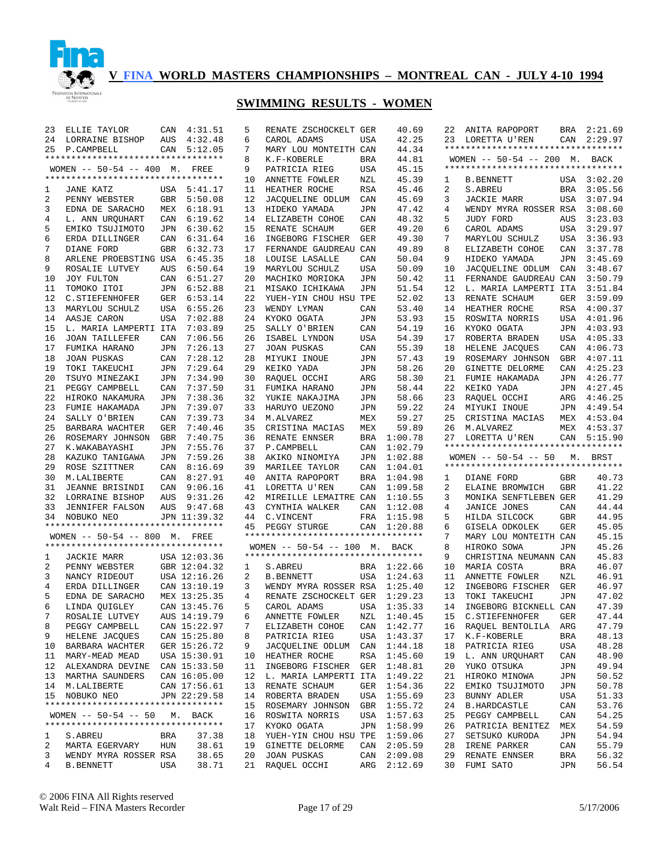

| AUS<br>4:32.48<br>6<br>42.25<br>2:29.97<br>24<br>LORRAINE BISHOP<br>CAROL ADAMS<br>USA<br>23<br>LORETTA U'REN<br>CAN<br>**********************************<br>7<br>CAN 5:12.05<br>MARY LOU MONTEITH CAN<br>44.34<br>25<br>P.CAMPBELL<br>**********************************<br>44.81<br>8<br>K.F-KOBERLE<br><b>BRA</b><br>WOMEN -- 50-54 -- 200 M. BACK<br>**********************************<br>45.15<br>WOMEN -- 50-54 -- 400 M. FREE<br>9<br>PATRICIA RIEG<br>USA<br>**********************************<br>10<br>ANNETTE FOWLER<br>NZL<br>45.39<br>USA 3:02.20<br><b>B.BENNETT</b><br>1<br>11<br>HEATHER ROCHE<br><b>RSA</b><br>45.46<br>2<br>3:05.56<br>JANE KATZ<br>USA 5:41.17<br>S.ABREU<br>BRA<br>1<br>2<br>PENNY WEBSTER<br>GBR 5:50.08<br>12<br>JACQUELINE ODLUM<br>CAN<br>45.69<br>3<br>JACKIE MARR<br>USA<br>3:07.94<br>3<br>EDNA DE SARACHO<br>MEX 6:18.91<br>13<br>JPN<br>47.42<br>WENDY MYRA ROSSER RSA<br>3:08.60<br>HIDEKO YAMADA<br>4<br>6:19.62<br>48.32<br>3:23.03<br>4<br>L. ANN URQUHART<br>CAN<br>14<br>ELIZABETH COHOE<br>CAN<br>5<br>JUDY FORD<br>AUS<br>5<br>6:30.62<br>49.20<br>6<br>USA<br>3:29.97<br>EMIKO TSUJIMOTO<br>JPN<br>15<br>RENATE SCHAUM<br>GER<br>CAROL ADAMS<br>6:31.64<br>49.30<br>7<br>USA<br>3:36.93<br>6<br>ERDA DILLINGER<br>CAN<br>16<br>INGEBORG FISCHER<br>GER<br>MARYLOU SCHULZ<br>7<br>DIANE FORD<br>GBR 6:32.73<br>17<br>FERNANDE GAUDREAU CAN<br>49.89<br>8<br>ELIZABETH COHOE<br>CAN<br>3:37.78<br>3:45.69<br>8<br>ARLENE PROEBSTING USA<br>6:45.35<br>18<br>LOUISE LASALLE<br>CAN<br>50.04<br>9<br>HIDEKO YAMADA<br>JPN<br>9<br>ROSALIE LUTVEY<br>6:50.64<br>19<br>MARYLOU SCHULZ<br>USA<br>50.09<br>3:48.67<br>AUS<br>10<br>JACOUELINE ODLUM<br>CAN<br>JOY FULTON<br>CAN 6:51.27<br>20<br>MACHIKO MORIOKA<br>50.42<br>FERNANDE GAUDREAU CAN<br>3:50.79<br>10<br>JPN<br>11<br>TOMOKO ITOI<br>JPN 6:52.88<br>21<br>51.54<br>12<br>3:51.84<br>11<br>MISAKO ICHIKAWA<br>JPN<br>L. MARIA LAMPERTI ITA<br>12<br>GER 6:53.14<br>22<br>YUEH-YIN CHOU HSU TPE<br>52.02<br>13<br>RENATE SCHAUM<br>3:59.09<br>C.STIEFENHOFER<br>GER<br>13<br>MARYLOU SCHULZ<br>USA 6:55.26<br>23<br>WENDY LYMAN<br>53.40<br>14<br>HEATHER ROCHE<br>RSA<br>4:00.37<br>CAN<br>14<br>AASJE CARON<br><b>USA</b><br>7:02.88<br>24<br>KYOKO OGATA<br>JPN<br>53.93<br>15<br>ROSWITA NORRIS<br>USA<br>4:01.96<br>15<br>L. MARIA LAMPERTI ITA<br>7:03.89<br>25<br>SALLY O'BRIEN<br>CAN<br>54.19<br>16<br>KYOKO OGATA<br>JPN<br>4:03.93<br>16<br><b>JOAN TAILLEFER</b><br>CAN<br>7:06.56<br>26<br>ISABEL LYNDON<br>USA<br>54.39<br>17<br>ROBERTA BRADEN<br>USA<br>4:05.33<br>17<br>FUMIKA HARANO<br>JPN<br>7:26.13<br>27<br><b>JOAN PUSKAS</b><br>CAN<br>55.39<br>18<br>HELENE JACQUES<br>CAN<br>4:06.73<br>7:28.12<br>4:07.11<br>18<br><b>JOAN PUSKAS</b><br>CAN<br>28<br>MIYUKI INOUE<br>JPN<br>57.43<br>19<br>ROSEMARY JOHNSON<br><b>GBR</b><br>29<br>58.26<br>4:25.23<br>19<br>TOKI TAKEUCHI<br>JPN<br>7:29.64<br>KEIKO YADA<br>JPN<br>20<br><b>GINETTE DELORME</b><br>CAN<br>58.30<br>4:26.77<br>20<br>TSUYO MINEZAKI<br>JPN<br>7:34.90<br>30<br>RAQUEL OCCHI<br>ARG<br>21<br>FUMIE HAKAMADA<br>JPN<br>22<br>KEIKO YADA<br>4:27.45<br>21<br>PEGGY CAMPBELL<br>CAN<br>7:37.50<br>31<br>FUMIKA HARANO<br>58.44<br>JPN<br>JPN<br>22<br>58.66<br>4:46.25<br>HIROKO NAKAMURA<br><b>JPN</b><br>7:38.36<br>32<br>YUKIE NAKAJIMA<br>23<br>RAQUEL OCCHI<br>ARG<br>JPN<br>59.22<br>23<br>FUMIE HAKAMADA<br>7:39.07<br>33<br>HARUYO UEZONO<br>24<br>MIYUKI INOUE<br>4:49.54<br>JPN<br>JPN<br>JPN<br>59.27<br>24<br>SALLY O'BRIEN<br>CAN<br>7:39.73<br>M.ALVAREZ<br>MEX<br>25<br>CRISTINA MACIAS<br>MEX<br>4:53.04<br>34<br>59.89<br>25<br>BARBARA WACHTER<br><b>GER</b><br>7:40.46<br>35<br>CRISTINA MACIAS<br>M.ALVAREZ<br>MEX<br>4:53.37<br>MEX<br>26<br>1:00.78<br>26<br>ROSEMARY JOHNSON<br><b>GBR</b><br>7:40.75<br>36<br>RENATE ENNSER<br><b>BRA</b><br>CAN 5:15.90<br>27<br>LORETTA U'REN<br>**********************************<br>1:02.79<br>27<br>7:55.76<br>37<br>P. CAMPBELL<br>K.WAKABAYASHI<br>JPN<br>CAN<br>28<br>7:59.26<br>38<br>1:02.88<br>KAZUKO TANIGAWA<br>JPN<br>AKIKO NINOMIYA<br>JPN<br>WOMEN $--$ 50-54 -- 50<br>M. BRST<br>**********************************<br>29<br>ROSE SZITTNER<br>CAN 8:16.69<br>39<br>1:04.01<br>MARILEE TAYLOR<br>CAN<br>30<br>M.LALIBERTE<br>CAN<br>8:27.91<br>40<br>ANITA RAPOPORT<br>1:04.98<br>BRA<br>DIANE FORD<br>GBR<br>40.73<br>1<br>41.22<br>31<br>JEANNE BRISINDI<br>CAN<br>9:06.16<br>LORETTA U'REN<br>CAN<br>1:09.58<br>ELAINE BROMWICH<br><b>GBR</b><br>41<br>2<br>41.29<br>32<br>LORRAINE BISHOP<br>AUS<br>9:31.26<br>MIREILLE LEMAITRE CAN<br>1:10.55<br>MONIKA SENFTLEBEN GER<br>42<br>3<br>44.44<br>33<br>AUS<br>9:47.68<br>43<br>CYNTHIA WALKER<br>1:12.08<br>JANICE JONES<br><b>JENNIFER FALSON</b><br>CAN<br>4<br>CAN<br>44.95<br>NOBUKO NEO<br>JPN 11:39.32<br>C.VINCENT<br>FRA<br>1:15.98<br>5<br>HILDA SILCOCK<br><b>GBR</b><br>34<br>44<br>**********************************<br>GISELA ODKOLEK<br><b>GER</b><br>45.05<br>45<br>PEGGY STURGE<br>CAN<br>1:20.88<br>6<br>*********************************<br>45.15<br>WOMEN -- 50-54 -- 800 M. FREE<br>7<br>MARY LOU MONTEITH CAN<br>**********************************<br>45.26<br>WOMEN $-- 50-54 -- 100$ M.<br>8<br>HIROKO SOWA<br><b>JPN</b><br>BACK<br>**********************************<br>45.83<br><b>JACKIE MARR</b><br>USA 12:03.36<br>9<br>CHRISTINA NEUMANN CAN<br>1<br>46.07<br>2<br>PENNY WEBSTER<br>GBR 12:04.32<br>BRA 1:22.66<br>MARIA COSTA<br><b>BRA</b><br>S. ABREU<br>10<br>1<br>46.91<br>3<br>NANCY RIDEOUT<br>USA 12:16.26<br>2<br>USA<br>1:24.63<br>ANNETTE FOWLER<br>NZL<br><b>B. BENNETT</b><br>11<br>46.97<br>4<br>ERDA DILLINGER<br>CAN 13:10.19<br>3<br>WENDY MYRA ROSSER RSA<br>1:25.40<br>12<br>INGEBORG FISCHER<br>GER<br>5<br>47.02<br>EDNA DE SARACHO<br>MEX 13:25.35<br>4<br>RENATE ZSCHOCKELT GER<br>1:29.23<br>13<br>TOKI TAKEUCHI<br><b>JPN</b><br>47.39<br>6<br>CAN 13:45.76<br>5<br>USA 1:35.33<br>14<br>INGEBORG BICKNELL CAN<br>LINDA OUIGLEY<br>CAROL ADAMS<br>ROSALIE LUTVEY<br>AUS 14:19.79<br>ANNETTE FOWLER<br>NZL 1:40.45<br>15 C.STIEFENHOFER<br>GER<br>47.44<br>7<br>6<br>47.79<br>8<br>CAN 15:22.97<br>7<br>CAN 1:42.77<br>RAQUEL BENTOLILA ARG<br>PEGGY CAMPBELL<br>ELIZABETH COHOE<br>16<br>HELENE JACQUES<br>CAN 15:25.80<br>USA 1:43.37<br>17<br>BRA<br>48.13<br>9<br>8<br>PATRICIA RIEG<br>K.F-KOBERLE<br>BARBARA WACHTER<br>GER 15:26.72<br>CAN<br>1:44.18<br>USA<br>48.28<br>10<br>9<br>JACOUELINE ODLUM<br>18<br>PATRICIA RIEG<br>USA 15:30.91<br>RSA 1:45.60<br>L. ANN URQUHART<br>48.90<br>MARY-MEAD MEAD<br>10<br>HEATHER ROCHE<br>19<br>CAN<br>11<br>ALEXANDRA DEVINE CAN 15:33.50<br>1:48.81<br>YUKO OTSUKA<br>49.94<br>12<br>11<br>INGEBORG FISCHER<br>GER<br>20<br>JPN<br>CAN 16:05.00<br>L. MARIA LAMPERTI ITA 1:49.22<br>50.52<br>13 MARTHA SAUNDERS<br>12<br>21<br>HIROKO MINOWA<br>JPN<br>M.LALIBERTE<br>CAN 17:56.61<br>GER 1:54.36<br>50.78<br>14<br>13<br>RENATE SCHAUM<br>22<br>EMIKO TSUJIMOTO<br>JPN<br>15 NOBUKO NEO<br>JPN 22:29.58<br>USA 1:55.69<br>51.33<br>14<br>ROBERTA BRADEN<br>23<br>BUNNY ADLER<br>USA<br>**********************************<br>1:55.72<br>53.76<br>15<br>ROSEMARY JOHNSON<br>GBR<br>24<br><b>B.HARDCASTLE</b><br>CAN<br>WOMEN -- 50-54 -- 50 M. BACK<br>USA 1:57.63<br>54.25<br>16<br>ROSWITA NORRIS<br>25<br>PEGGY CAMPBELL<br>CAN<br>**********************************<br>17<br>KYOKO OGATA<br>1:58.99<br>MEX<br>54.59<br>JPN<br>26<br>PATRICIA BENITEZ<br>37.38<br>18<br>YUEH-YIN CHOU HSU TPE<br>1:59.06<br>27<br>SETSUKO KURODA<br>54.94<br>S.ABREU<br>BRA<br>JPN<br>1<br>MARTA EGERVARY<br>38.61<br>19<br>2:05.59<br>IRENE PARKER<br>55.79<br>2<br>HUN<br><b>GINETTE DELORME</b><br>CAN<br>28<br>CAN<br>3<br>38.65<br>20<br>JOAN PUSKAS<br>2:09.08<br><b>BRA</b><br>56.32<br>WENDY MYRA ROSSER RSA<br>CAN<br>29<br>RENATE ENNSER<br>38.71<br>RAQUEL OCCHI<br>2:12.69<br>FUMI SATO<br>56.54<br>4<br><b>B.BENNETT</b><br>USA<br>21<br>ARG<br>30<br>JPN | 23 | ELLIE TAYLOR | CAN | 4:31.51 | 5 | RENATE ZSCHOCKELT GER | 40.69 | 22 | ANITA RAPOPORT | BRA 2:21.69 |
|---------------------------------------------------------------------------------------------------------------------------------------------------------------------------------------------------------------------------------------------------------------------------------------------------------------------------------------------------------------------------------------------------------------------------------------------------------------------------------------------------------------------------------------------------------------------------------------------------------------------------------------------------------------------------------------------------------------------------------------------------------------------------------------------------------------------------------------------------------------------------------------------------------------------------------------------------------------------------------------------------------------------------------------------------------------------------------------------------------------------------------------------------------------------------------------------------------------------------------------------------------------------------------------------------------------------------------------------------------------------------------------------------------------------------------------------------------------------------------------------------------------------------------------------------------------------------------------------------------------------------------------------------------------------------------------------------------------------------------------------------------------------------------------------------------------------------------------------------------------------------------------------------------------------------------------------------------------------------------------------------------------------------------------------------------------------------------------------------------------------------------------------------------------------------------------------------------------------------------------------------------------------------------------------------------------------------------------------------------------------------------------------------------------------------------------------------------------------------------------------------------------------------------------------------------------------------------------------------------------------------------------------------------------------------------------------------------------------------------------------------------------------------------------------------------------------------------------------------------------------------------------------------------------------------------------------------------------------------------------------------------------------------------------------------------------------------------------------------------------------------------------------------------------------------------------------------------------------------------------------------------------------------------------------------------------------------------------------------------------------------------------------------------------------------------------------------------------------------------------------------------------------------------------------------------------------------------------------------------------------------------------------------------------------------------------------------------------------------------------------------------------------------------------------------------------------------------------------------------------------------------------------------------------------------------------------------------------------------------------------------------------------------------------------------------------------------------------------------------------------------------------------------------------------------------------------------------------------------------------------------------------------------------------------------------------------------------------------------------------------------------------------------------------------------------------------------------------------------------------------------------------------------------------------------------------------------------------------------------------------------------------------------------------------------------------------------------------------------------------------------------------------------------------------------------------------------------------------------------------------------------------------------------------------------------------------------------------------------------------------------------------------------------------------------------------------------------------------------------------------------------------------------------------------------------------------------------------------------------------------------------------------------------------------------------------------------------------------------------------------------------------------------------------------------------------------------------------------------------------------------------------------------------------------------------------------------------------------------------------------------------------------------------------------------------------------------------------------------------------------------------------------------------------------------------------------------------------------------------------------------------------------------------------------------------------------------------------------------------------------------------------------------------------------------------------------------------------------------------------------------------------------------------------------------------------------------------------------------------------------------------------------------------------------------------------------------------------------------------------------------------------------------------------------------------------------------------------------------------------------------------------------------------------------------------------------------------------------------------------------------------------------------------------------------------------------------------------------------------------------------------------------------------------------------------------------------------------------------------------------------------------------------------------------------------------------------------------------------------------------------------------------------------------------------------------------------------------------------------------------------------------------------------------------------------------------------------------------------------------------------------------------------------------------------------------------------------------------------------------------------------------------------------------------------------------------------------------------------------------------------------------------------------------------------------------------------------------------------------------------------------------------------------------------------------------------------------------------------------------------------------------------------------------------------------------------------------------------------------------------------------------------------------------------------------------------------------------------------------------------------------|----|--------------|-----|---------|---|-----------------------|-------|----|----------------|-------------|
|                                                                                                                                                                                                                                                                                                                                                                                                                                                                                                                                                                                                                                                                                                                                                                                                                                                                                                                                                                                                                                                                                                                                                                                                                                                                                                                                                                                                                                                                                                                                                                                                                                                                                                                                                                                                                                                                                                                                                                                                                                                                                                                                                                                                                                                                                                                                                                                                                                                                                                                                                                                                                                                                                                                                                                                                                                                                                                                                                                                                                                                                                                                                                                                                                                                                                                                                                                                                                                                                                                                                                                                                                                                                                                                                                                                                                                                                                                                                                                                                                                                                                                                                                                                                                                                                                                                                                                                                                                                                                                                                                                                                                                                                                                                                                                                                                                                                                                                                                                                                                                                                                                                                                                                                                                                                                                                                                                                                                                                                                                                                                                                                                                                                                                                                                                                                                                                                                                                                                                                                                                                                                                                                                                                                                                                                                                                                                                                                                                                                                                                                                                                                                                                                                                                                                                                                                                                                                                                                                                                                                                                                                                                                                                                                                                                                                                                                                                                                                                                                                                                                                                                                                                                                                                                                                                                                                                                                                                                                                                                                         |    |              |     |         |   |                       |       |    |                |             |
|                                                                                                                                                                                                                                                                                                                                                                                                                                                                                                                                                                                                                                                                                                                                                                                                                                                                                                                                                                                                                                                                                                                                                                                                                                                                                                                                                                                                                                                                                                                                                                                                                                                                                                                                                                                                                                                                                                                                                                                                                                                                                                                                                                                                                                                                                                                                                                                                                                                                                                                                                                                                                                                                                                                                                                                                                                                                                                                                                                                                                                                                                                                                                                                                                                                                                                                                                                                                                                                                                                                                                                                                                                                                                                                                                                                                                                                                                                                                                                                                                                                                                                                                                                                                                                                                                                                                                                                                                                                                                                                                                                                                                                                                                                                                                                                                                                                                                                                                                                                                                                                                                                                                                                                                                                                                                                                                                                                                                                                                                                                                                                                                                                                                                                                                                                                                                                                                                                                                                                                                                                                                                                                                                                                                                                                                                                                                                                                                                                                                                                                                                                                                                                                                                                                                                                                                                                                                                                                                                                                                                                                                                                                                                                                                                                                                                                                                                                                                                                                                                                                                                                                                                                                                                                                                                                                                                                                                                                                                                                                                         |    |              |     |         |   |                       |       |    |                |             |
|                                                                                                                                                                                                                                                                                                                                                                                                                                                                                                                                                                                                                                                                                                                                                                                                                                                                                                                                                                                                                                                                                                                                                                                                                                                                                                                                                                                                                                                                                                                                                                                                                                                                                                                                                                                                                                                                                                                                                                                                                                                                                                                                                                                                                                                                                                                                                                                                                                                                                                                                                                                                                                                                                                                                                                                                                                                                                                                                                                                                                                                                                                                                                                                                                                                                                                                                                                                                                                                                                                                                                                                                                                                                                                                                                                                                                                                                                                                                                                                                                                                                                                                                                                                                                                                                                                                                                                                                                                                                                                                                                                                                                                                                                                                                                                                                                                                                                                                                                                                                                                                                                                                                                                                                                                                                                                                                                                                                                                                                                                                                                                                                                                                                                                                                                                                                                                                                                                                                                                                                                                                                                                                                                                                                                                                                                                                                                                                                                                                                                                                                                                                                                                                                                                                                                                                                                                                                                                                                                                                                                                                                                                                                                                                                                                                                                                                                                                                                                                                                                                                                                                                                                                                                                                                                                                                                                                                                                                                                                                                                         |    |              |     |         |   |                       |       |    |                |             |
|                                                                                                                                                                                                                                                                                                                                                                                                                                                                                                                                                                                                                                                                                                                                                                                                                                                                                                                                                                                                                                                                                                                                                                                                                                                                                                                                                                                                                                                                                                                                                                                                                                                                                                                                                                                                                                                                                                                                                                                                                                                                                                                                                                                                                                                                                                                                                                                                                                                                                                                                                                                                                                                                                                                                                                                                                                                                                                                                                                                                                                                                                                                                                                                                                                                                                                                                                                                                                                                                                                                                                                                                                                                                                                                                                                                                                                                                                                                                                                                                                                                                                                                                                                                                                                                                                                                                                                                                                                                                                                                                                                                                                                                                                                                                                                                                                                                                                                                                                                                                                                                                                                                                                                                                                                                                                                                                                                                                                                                                                                                                                                                                                                                                                                                                                                                                                                                                                                                                                                                                                                                                                                                                                                                                                                                                                                                                                                                                                                                                                                                                                                                                                                                                                                                                                                                                                                                                                                                                                                                                                                                                                                                                                                                                                                                                                                                                                                                                                                                                                                                                                                                                                                                                                                                                                                                                                                                                                                                                                                                                         |    |              |     |         |   |                       |       |    |                |             |
|                                                                                                                                                                                                                                                                                                                                                                                                                                                                                                                                                                                                                                                                                                                                                                                                                                                                                                                                                                                                                                                                                                                                                                                                                                                                                                                                                                                                                                                                                                                                                                                                                                                                                                                                                                                                                                                                                                                                                                                                                                                                                                                                                                                                                                                                                                                                                                                                                                                                                                                                                                                                                                                                                                                                                                                                                                                                                                                                                                                                                                                                                                                                                                                                                                                                                                                                                                                                                                                                                                                                                                                                                                                                                                                                                                                                                                                                                                                                                                                                                                                                                                                                                                                                                                                                                                                                                                                                                                                                                                                                                                                                                                                                                                                                                                                                                                                                                                                                                                                                                                                                                                                                                                                                                                                                                                                                                                                                                                                                                                                                                                                                                                                                                                                                                                                                                                                                                                                                                                                                                                                                                                                                                                                                                                                                                                                                                                                                                                                                                                                                                                                                                                                                                                                                                                                                                                                                                                                                                                                                                                                                                                                                                                                                                                                                                                                                                                                                                                                                                                                                                                                                                                                                                                                                                                                                                                                                                                                                                                                                         |    |              |     |         |   |                       |       |    |                |             |
|                                                                                                                                                                                                                                                                                                                                                                                                                                                                                                                                                                                                                                                                                                                                                                                                                                                                                                                                                                                                                                                                                                                                                                                                                                                                                                                                                                                                                                                                                                                                                                                                                                                                                                                                                                                                                                                                                                                                                                                                                                                                                                                                                                                                                                                                                                                                                                                                                                                                                                                                                                                                                                                                                                                                                                                                                                                                                                                                                                                                                                                                                                                                                                                                                                                                                                                                                                                                                                                                                                                                                                                                                                                                                                                                                                                                                                                                                                                                                                                                                                                                                                                                                                                                                                                                                                                                                                                                                                                                                                                                                                                                                                                                                                                                                                                                                                                                                                                                                                                                                                                                                                                                                                                                                                                                                                                                                                                                                                                                                                                                                                                                                                                                                                                                                                                                                                                                                                                                                                                                                                                                                                                                                                                                                                                                                                                                                                                                                                                                                                                                                                                                                                                                                                                                                                                                                                                                                                                                                                                                                                                                                                                                                                                                                                                                                                                                                                                                                                                                                                                                                                                                                                                                                                                                                                                                                                                                                                                                                                                                         |    |              |     |         |   |                       |       |    |                |             |
|                                                                                                                                                                                                                                                                                                                                                                                                                                                                                                                                                                                                                                                                                                                                                                                                                                                                                                                                                                                                                                                                                                                                                                                                                                                                                                                                                                                                                                                                                                                                                                                                                                                                                                                                                                                                                                                                                                                                                                                                                                                                                                                                                                                                                                                                                                                                                                                                                                                                                                                                                                                                                                                                                                                                                                                                                                                                                                                                                                                                                                                                                                                                                                                                                                                                                                                                                                                                                                                                                                                                                                                                                                                                                                                                                                                                                                                                                                                                                                                                                                                                                                                                                                                                                                                                                                                                                                                                                                                                                                                                                                                                                                                                                                                                                                                                                                                                                                                                                                                                                                                                                                                                                                                                                                                                                                                                                                                                                                                                                                                                                                                                                                                                                                                                                                                                                                                                                                                                                                                                                                                                                                                                                                                                                                                                                                                                                                                                                                                                                                                                                                                                                                                                                                                                                                                                                                                                                                                                                                                                                                                                                                                                                                                                                                                                                                                                                                                                                                                                                                                                                                                                                                                                                                                                                                                                                                                                                                                                                                                                         |    |              |     |         |   |                       |       |    |                |             |
|                                                                                                                                                                                                                                                                                                                                                                                                                                                                                                                                                                                                                                                                                                                                                                                                                                                                                                                                                                                                                                                                                                                                                                                                                                                                                                                                                                                                                                                                                                                                                                                                                                                                                                                                                                                                                                                                                                                                                                                                                                                                                                                                                                                                                                                                                                                                                                                                                                                                                                                                                                                                                                                                                                                                                                                                                                                                                                                                                                                                                                                                                                                                                                                                                                                                                                                                                                                                                                                                                                                                                                                                                                                                                                                                                                                                                                                                                                                                                                                                                                                                                                                                                                                                                                                                                                                                                                                                                                                                                                                                                                                                                                                                                                                                                                                                                                                                                                                                                                                                                                                                                                                                                                                                                                                                                                                                                                                                                                                                                                                                                                                                                                                                                                                                                                                                                                                                                                                                                                                                                                                                                                                                                                                                                                                                                                                                                                                                                                                                                                                                                                                                                                                                                                                                                                                                                                                                                                                                                                                                                                                                                                                                                                                                                                                                                                                                                                                                                                                                                                                                                                                                                                                                                                                                                                                                                                                                                                                                                                                                         |    |              |     |         |   |                       |       |    |                |             |
|                                                                                                                                                                                                                                                                                                                                                                                                                                                                                                                                                                                                                                                                                                                                                                                                                                                                                                                                                                                                                                                                                                                                                                                                                                                                                                                                                                                                                                                                                                                                                                                                                                                                                                                                                                                                                                                                                                                                                                                                                                                                                                                                                                                                                                                                                                                                                                                                                                                                                                                                                                                                                                                                                                                                                                                                                                                                                                                                                                                                                                                                                                                                                                                                                                                                                                                                                                                                                                                                                                                                                                                                                                                                                                                                                                                                                                                                                                                                                                                                                                                                                                                                                                                                                                                                                                                                                                                                                                                                                                                                                                                                                                                                                                                                                                                                                                                                                                                                                                                                                                                                                                                                                                                                                                                                                                                                                                                                                                                                                                                                                                                                                                                                                                                                                                                                                                                                                                                                                                                                                                                                                                                                                                                                                                                                                                                                                                                                                                                                                                                                                                                                                                                                                                                                                                                                                                                                                                                                                                                                                                                                                                                                                                                                                                                                                                                                                                                                                                                                                                                                                                                                                                                                                                                                                                                                                                                                                                                                                                                                         |    |              |     |         |   |                       |       |    |                |             |
|                                                                                                                                                                                                                                                                                                                                                                                                                                                                                                                                                                                                                                                                                                                                                                                                                                                                                                                                                                                                                                                                                                                                                                                                                                                                                                                                                                                                                                                                                                                                                                                                                                                                                                                                                                                                                                                                                                                                                                                                                                                                                                                                                                                                                                                                                                                                                                                                                                                                                                                                                                                                                                                                                                                                                                                                                                                                                                                                                                                                                                                                                                                                                                                                                                                                                                                                                                                                                                                                                                                                                                                                                                                                                                                                                                                                                                                                                                                                                                                                                                                                                                                                                                                                                                                                                                                                                                                                                                                                                                                                                                                                                                                                                                                                                                                                                                                                                                                                                                                                                                                                                                                                                                                                                                                                                                                                                                                                                                                                                                                                                                                                                                                                                                                                                                                                                                                                                                                                                                                                                                                                                                                                                                                                                                                                                                                                                                                                                                                                                                                                                                                                                                                                                                                                                                                                                                                                                                                                                                                                                                                                                                                                                                                                                                                                                                                                                                                                                                                                                                                                                                                                                                                                                                                                                                                                                                                                                                                                                                                                         |    |              |     |         |   |                       |       |    |                |             |
|                                                                                                                                                                                                                                                                                                                                                                                                                                                                                                                                                                                                                                                                                                                                                                                                                                                                                                                                                                                                                                                                                                                                                                                                                                                                                                                                                                                                                                                                                                                                                                                                                                                                                                                                                                                                                                                                                                                                                                                                                                                                                                                                                                                                                                                                                                                                                                                                                                                                                                                                                                                                                                                                                                                                                                                                                                                                                                                                                                                                                                                                                                                                                                                                                                                                                                                                                                                                                                                                                                                                                                                                                                                                                                                                                                                                                                                                                                                                                                                                                                                                                                                                                                                                                                                                                                                                                                                                                                                                                                                                                                                                                                                                                                                                                                                                                                                                                                                                                                                                                                                                                                                                                                                                                                                                                                                                                                                                                                                                                                                                                                                                                                                                                                                                                                                                                                                                                                                                                                                                                                                                                                                                                                                                                                                                                                                                                                                                                                                                                                                                                                                                                                                                                                                                                                                                                                                                                                                                                                                                                                                                                                                                                                                                                                                                                                                                                                                                                                                                                                                                                                                                                                                                                                                                                                                                                                                                                                                                                                                                         |    |              |     |         |   |                       |       |    |                |             |
|                                                                                                                                                                                                                                                                                                                                                                                                                                                                                                                                                                                                                                                                                                                                                                                                                                                                                                                                                                                                                                                                                                                                                                                                                                                                                                                                                                                                                                                                                                                                                                                                                                                                                                                                                                                                                                                                                                                                                                                                                                                                                                                                                                                                                                                                                                                                                                                                                                                                                                                                                                                                                                                                                                                                                                                                                                                                                                                                                                                                                                                                                                                                                                                                                                                                                                                                                                                                                                                                                                                                                                                                                                                                                                                                                                                                                                                                                                                                                                                                                                                                                                                                                                                                                                                                                                                                                                                                                                                                                                                                                                                                                                                                                                                                                                                                                                                                                                                                                                                                                                                                                                                                                                                                                                                                                                                                                                                                                                                                                                                                                                                                                                                                                                                                                                                                                                                                                                                                                                                                                                                                                                                                                                                                                                                                                                                                                                                                                                                                                                                                                                                                                                                                                                                                                                                                                                                                                                                                                                                                                                                                                                                                                                                                                                                                                                                                                                                                                                                                                                                                                                                                                                                                                                                                                                                                                                                                                                                                                                                                         |    |              |     |         |   |                       |       |    |                |             |
|                                                                                                                                                                                                                                                                                                                                                                                                                                                                                                                                                                                                                                                                                                                                                                                                                                                                                                                                                                                                                                                                                                                                                                                                                                                                                                                                                                                                                                                                                                                                                                                                                                                                                                                                                                                                                                                                                                                                                                                                                                                                                                                                                                                                                                                                                                                                                                                                                                                                                                                                                                                                                                                                                                                                                                                                                                                                                                                                                                                                                                                                                                                                                                                                                                                                                                                                                                                                                                                                                                                                                                                                                                                                                                                                                                                                                                                                                                                                                                                                                                                                                                                                                                                                                                                                                                                                                                                                                                                                                                                                                                                                                                                                                                                                                                                                                                                                                                                                                                                                                                                                                                                                                                                                                                                                                                                                                                                                                                                                                                                                                                                                                                                                                                                                                                                                                                                                                                                                                                                                                                                                                                                                                                                                                                                                                                                                                                                                                                                                                                                                                                                                                                                                                                                                                                                                                                                                                                                                                                                                                                                                                                                                                                                                                                                                                                                                                                                                                                                                                                                                                                                                                                                                                                                                                                                                                                                                                                                                                                                                         |    |              |     |         |   |                       |       |    |                |             |
|                                                                                                                                                                                                                                                                                                                                                                                                                                                                                                                                                                                                                                                                                                                                                                                                                                                                                                                                                                                                                                                                                                                                                                                                                                                                                                                                                                                                                                                                                                                                                                                                                                                                                                                                                                                                                                                                                                                                                                                                                                                                                                                                                                                                                                                                                                                                                                                                                                                                                                                                                                                                                                                                                                                                                                                                                                                                                                                                                                                                                                                                                                                                                                                                                                                                                                                                                                                                                                                                                                                                                                                                                                                                                                                                                                                                                                                                                                                                                                                                                                                                                                                                                                                                                                                                                                                                                                                                                                                                                                                                                                                                                                                                                                                                                                                                                                                                                                                                                                                                                                                                                                                                                                                                                                                                                                                                                                                                                                                                                                                                                                                                                                                                                                                                                                                                                                                                                                                                                                                                                                                                                                                                                                                                                                                                                                                                                                                                                                                                                                                                                                                                                                                                                                                                                                                                                                                                                                                                                                                                                                                                                                                                                                                                                                                                                                                                                                                                                                                                                                                                                                                                                                                                                                                                                                                                                                                                                                                                                                                                         |    |              |     |         |   |                       |       |    |                |             |
|                                                                                                                                                                                                                                                                                                                                                                                                                                                                                                                                                                                                                                                                                                                                                                                                                                                                                                                                                                                                                                                                                                                                                                                                                                                                                                                                                                                                                                                                                                                                                                                                                                                                                                                                                                                                                                                                                                                                                                                                                                                                                                                                                                                                                                                                                                                                                                                                                                                                                                                                                                                                                                                                                                                                                                                                                                                                                                                                                                                                                                                                                                                                                                                                                                                                                                                                                                                                                                                                                                                                                                                                                                                                                                                                                                                                                                                                                                                                                                                                                                                                                                                                                                                                                                                                                                                                                                                                                                                                                                                                                                                                                                                                                                                                                                                                                                                                                                                                                                                                                                                                                                                                                                                                                                                                                                                                                                                                                                                                                                                                                                                                                                                                                                                                                                                                                                                                                                                                                                                                                                                                                                                                                                                                                                                                                                                                                                                                                                                                                                                                                                                                                                                                                                                                                                                                                                                                                                                                                                                                                                                                                                                                                                                                                                                                                                                                                                                                                                                                                                                                                                                                                                                                                                                                                                                                                                                                                                                                                                                                         |    |              |     |         |   |                       |       |    |                |             |
|                                                                                                                                                                                                                                                                                                                                                                                                                                                                                                                                                                                                                                                                                                                                                                                                                                                                                                                                                                                                                                                                                                                                                                                                                                                                                                                                                                                                                                                                                                                                                                                                                                                                                                                                                                                                                                                                                                                                                                                                                                                                                                                                                                                                                                                                                                                                                                                                                                                                                                                                                                                                                                                                                                                                                                                                                                                                                                                                                                                                                                                                                                                                                                                                                                                                                                                                                                                                                                                                                                                                                                                                                                                                                                                                                                                                                                                                                                                                                                                                                                                                                                                                                                                                                                                                                                                                                                                                                                                                                                                                                                                                                                                                                                                                                                                                                                                                                                                                                                                                                                                                                                                                                                                                                                                                                                                                                                                                                                                                                                                                                                                                                                                                                                                                                                                                                                                                                                                                                                                                                                                                                                                                                                                                                                                                                                                                                                                                                                                                                                                                                                                                                                                                                                                                                                                                                                                                                                                                                                                                                                                                                                                                                                                                                                                                                                                                                                                                                                                                                                                                                                                                                                                                                                                                                                                                                                                                                                                                                                                                         |    |              |     |         |   |                       |       |    |                |             |
|                                                                                                                                                                                                                                                                                                                                                                                                                                                                                                                                                                                                                                                                                                                                                                                                                                                                                                                                                                                                                                                                                                                                                                                                                                                                                                                                                                                                                                                                                                                                                                                                                                                                                                                                                                                                                                                                                                                                                                                                                                                                                                                                                                                                                                                                                                                                                                                                                                                                                                                                                                                                                                                                                                                                                                                                                                                                                                                                                                                                                                                                                                                                                                                                                                                                                                                                                                                                                                                                                                                                                                                                                                                                                                                                                                                                                                                                                                                                                                                                                                                                                                                                                                                                                                                                                                                                                                                                                                                                                                                                                                                                                                                                                                                                                                                                                                                                                                                                                                                                                                                                                                                                                                                                                                                                                                                                                                                                                                                                                                                                                                                                                                                                                                                                                                                                                                                                                                                                                                                                                                                                                                                                                                                                                                                                                                                                                                                                                                                                                                                                                                                                                                                                                                                                                                                                                                                                                                                                                                                                                                                                                                                                                                                                                                                                                                                                                                                                                                                                                                                                                                                                                                                                                                                                                                                                                                                                                                                                                                                                         |    |              |     |         |   |                       |       |    |                |             |
|                                                                                                                                                                                                                                                                                                                                                                                                                                                                                                                                                                                                                                                                                                                                                                                                                                                                                                                                                                                                                                                                                                                                                                                                                                                                                                                                                                                                                                                                                                                                                                                                                                                                                                                                                                                                                                                                                                                                                                                                                                                                                                                                                                                                                                                                                                                                                                                                                                                                                                                                                                                                                                                                                                                                                                                                                                                                                                                                                                                                                                                                                                                                                                                                                                                                                                                                                                                                                                                                                                                                                                                                                                                                                                                                                                                                                                                                                                                                                                                                                                                                                                                                                                                                                                                                                                                                                                                                                                                                                                                                                                                                                                                                                                                                                                                                                                                                                                                                                                                                                                                                                                                                                                                                                                                                                                                                                                                                                                                                                                                                                                                                                                                                                                                                                                                                                                                                                                                                                                                                                                                                                                                                                                                                                                                                                                                                                                                                                                                                                                                                                                                                                                                                                                                                                                                                                                                                                                                                                                                                                                                                                                                                                                                                                                                                                                                                                                                                                                                                                                                                                                                                                                                                                                                                                                                                                                                                                                                                                                                                         |    |              |     |         |   |                       |       |    |                |             |
|                                                                                                                                                                                                                                                                                                                                                                                                                                                                                                                                                                                                                                                                                                                                                                                                                                                                                                                                                                                                                                                                                                                                                                                                                                                                                                                                                                                                                                                                                                                                                                                                                                                                                                                                                                                                                                                                                                                                                                                                                                                                                                                                                                                                                                                                                                                                                                                                                                                                                                                                                                                                                                                                                                                                                                                                                                                                                                                                                                                                                                                                                                                                                                                                                                                                                                                                                                                                                                                                                                                                                                                                                                                                                                                                                                                                                                                                                                                                                                                                                                                                                                                                                                                                                                                                                                                                                                                                                                                                                                                                                                                                                                                                                                                                                                                                                                                                                                                                                                                                                                                                                                                                                                                                                                                                                                                                                                                                                                                                                                                                                                                                                                                                                                                                                                                                                                                                                                                                                                                                                                                                                                                                                                                                                                                                                                                                                                                                                                                                                                                                                                                                                                                                                                                                                                                                                                                                                                                                                                                                                                                                                                                                                                                                                                                                                                                                                                                                                                                                                                                                                                                                                                                                                                                                                                                                                                                                                                                                                                                                         |    |              |     |         |   |                       |       |    |                |             |
|                                                                                                                                                                                                                                                                                                                                                                                                                                                                                                                                                                                                                                                                                                                                                                                                                                                                                                                                                                                                                                                                                                                                                                                                                                                                                                                                                                                                                                                                                                                                                                                                                                                                                                                                                                                                                                                                                                                                                                                                                                                                                                                                                                                                                                                                                                                                                                                                                                                                                                                                                                                                                                                                                                                                                                                                                                                                                                                                                                                                                                                                                                                                                                                                                                                                                                                                                                                                                                                                                                                                                                                                                                                                                                                                                                                                                                                                                                                                                                                                                                                                                                                                                                                                                                                                                                                                                                                                                                                                                                                                                                                                                                                                                                                                                                                                                                                                                                                                                                                                                                                                                                                                                                                                                                                                                                                                                                                                                                                                                                                                                                                                                                                                                                                                                                                                                                                                                                                                                                                                                                                                                                                                                                                                                                                                                                                                                                                                                                                                                                                                                                                                                                                                                                                                                                                                                                                                                                                                                                                                                                                                                                                                                                                                                                                                                                                                                                                                                                                                                                                                                                                                                                                                                                                                                                                                                                                                                                                                                                                                         |    |              |     |         |   |                       |       |    |                |             |
|                                                                                                                                                                                                                                                                                                                                                                                                                                                                                                                                                                                                                                                                                                                                                                                                                                                                                                                                                                                                                                                                                                                                                                                                                                                                                                                                                                                                                                                                                                                                                                                                                                                                                                                                                                                                                                                                                                                                                                                                                                                                                                                                                                                                                                                                                                                                                                                                                                                                                                                                                                                                                                                                                                                                                                                                                                                                                                                                                                                                                                                                                                                                                                                                                                                                                                                                                                                                                                                                                                                                                                                                                                                                                                                                                                                                                                                                                                                                                                                                                                                                                                                                                                                                                                                                                                                                                                                                                                                                                                                                                                                                                                                                                                                                                                                                                                                                                                                                                                                                                                                                                                                                                                                                                                                                                                                                                                                                                                                                                                                                                                                                                                                                                                                                                                                                                                                                                                                                                                                                                                                                                                                                                                                                                                                                                                                                                                                                                                                                                                                                                                                                                                                                                                                                                                                                                                                                                                                                                                                                                                                                                                                                                                                                                                                                                                                                                                                                                                                                                                                                                                                                                                                                                                                                                                                                                                                                                                                                                                                                         |    |              |     |         |   |                       |       |    |                |             |
|                                                                                                                                                                                                                                                                                                                                                                                                                                                                                                                                                                                                                                                                                                                                                                                                                                                                                                                                                                                                                                                                                                                                                                                                                                                                                                                                                                                                                                                                                                                                                                                                                                                                                                                                                                                                                                                                                                                                                                                                                                                                                                                                                                                                                                                                                                                                                                                                                                                                                                                                                                                                                                                                                                                                                                                                                                                                                                                                                                                                                                                                                                                                                                                                                                                                                                                                                                                                                                                                                                                                                                                                                                                                                                                                                                                                                                                                                                                                                                                                                                                                                                                                                                                                                                                                                                                                                                                                                                                                                                                                                                                                                                                                                                                                                                                                                                                                                                                                                                                                                                                                                                                                                                                                                                                                                                                                                                                                                                                                                                                                                                                                                                                                                                                                                                                                                                                                                                                                                                                                                                                                                                                                                                                                                                                                                                                                                                                                                                                                                                                                                                                                                                                                                                                                                                                                                                                                                                                                                                                                                                                                                                                                                                                                                                                                                                                                                                                                                                                                                                                                                                                                                                                                                                                                                                                                                                                                                                                                                                                                         |    |              |     |         |   |                       |       |    |                |             |
|                                                                                                                                                                                                                                                                                                                                                                                                                                                                                                                                                                                                                                                                                                                                                                                                                                                                                                                                                                                                                                                                                                                                                                                                                                                                                                                                                                                                                                                                                                                                                                                                                                                                                                                                                                                                                                                                                                                                                                                                                                                                                                                                                                                                                                                                                                                                                                                                                                                                                                                                                                                                                                                                                                                                                                                                                                                                                                                                                                                                                                                                                                                                                                                                                                                                                                                                                                                                                                                                                                                                                                                                                                                                                                                                                                                                                                                                                                                                                                                                                                                                                                                                                                                                                                                                                                                                                                                                                                                                                                                                                                                                                                                                                                                                                                                                                                                                                                                                                                                                                                                                                                                                                                                                                                                                                                                                                                                                                                                                                                                                                                                                                                                                                                                                                                                                                                                                                                                                                                                                                                                                                                                                                                                                                                                                                                                                                                                                                                                                                                                                                                                                                                                                                                                                                                                                                                                                                                                                                                                                                                                                                                                                                                                                                                                                                                                                                                                                                                                                                                                                                                                                                                                                                                                                                                                                                                                                                                                                                                                                         |    |              |     |         |   |                       |       |    |                |             |
|                                                                                                                                                                                                                                                                                                                                                                                                                                                                                                                                                                                                                                                                                                                                                                                                                                                                                                                                                                                                                                                                                                                                                                                                                                                                                                                                                                                                                                                                                                                                                                                                                                                                                                                                                                                                                                                                                                                                                                                                                                                                                                                                                                                                                                                                                                                                                                                                                                                                                                                                                                                                                                                                                                                                                                                                                                                                                                                                                                                                                                                                                                                                                                                                                                                                                                                                                                                                                                                                                                                                                                                                                                                                                                                                                                                                                                                                                                                                                                                                                                                                                                                                                                                                                                                                                                                                                                                                                                                                                                                                                                                                                                                                                                                                                                                                                                                                                                                                                                                                                                                                                                                                                                                                                                                                                                                                                                                                                                                                                                                                                                                                                                                                                                                                                                                                                                                                                                                                                                                                                                                                                                                                                                                                                                                                                                                                                                                                                                                                                                                                                                                                                                                                                                                                                                                                                                                                                                                                                                                                                                                                                                                                                                                                                                                                                                                                                                                                                                                                                                                                                                                                                                                                                                                                                                                                                                                                                                                                                                                                         |    |              |     |         |   |                       |       |    |                |             |
|                                                                                                                                                                                                                                                                                                                                                                                                                                                                                                                                                                                                                                                                                                                                                                                                                                                                                                                                                                                                                                                                                                                                                                                                                                                                                                                                                                                                                                                                                                                                                                                                                                                                                                                                                                                                                                                                                                                                                                                                                                                                                                                                                                                                                                                                                                                                                                                                                                                                                                                                                                                                                                                                                                                                                                                                                                                                                                                                                                                                                                                                                                                                                                                                                                                                                                                                                                                                                                                                                                                                                                                                                                                                                                                                                                                                                                                                                                                                                                                                                                                                                                                                                                                                                                                                                                                                                                                                                                                                                                                                                                                                                                                                                                                                                                                                                                                                                                                                                                                                                                                                                                                                                                                                                                                                                                                                                                                                                                                                                                                                                                                                                                                                                                                                                                                                                                                                                                                                                                                                                                                                                                                                                                                                                                                                                                                                                                                                                                                                                                                                                                                                                                                                                                                                                                                                                                                                                                                                                                                                                                                                                                                                                                                                                                                                                                                                                                                                                                                                                                                                                                                                                                                                                                                                                                                                                                                                                                                                                                                                         |    |              |     |         |   |                       |       |    |                |             |
|                                                                                                                                                                                                                                                                                                                                                                                                                                                                                                                                                                                                                                                                                                                                                                                                                                                                                                                                                                                                                                                                                                                                                                                                                                                                                                                                                                                                                                                                                                                                                                                                                                                                                                                                                                                                                                                                                                                                                                                                                                                                                                                                                                                                                                                                                                                                                                                                                                                                                                                                                                                                                                                                                                                                                                                                                                                                                                                                                                                                                                                                                                                                                                                                                                                                                                                                                                                                                                                                                                                                                                                                                                                                                                                                                                                                                                                                                                                                                                                                                                                                                                                                                                                                                                                                                                                                                                                                                                                                                                                                                                                                                                                                                                                                                                                                                                                                                                                                                                                                                                                                                                                                                                                                                                                                                                                                                                                                                                                                                                                                                                                                                                                                                                                                                                                                                                                                                                                                                                                                                                                                                                                                                                                                                                                                                                                                                                                                                                                                                                                                                                                                                                                                                                                                                                                                                                                                                                                                                                                                                                                                                                                                                                                                                                                                                                                                                                                                                                                                                                                                                                                                                                                                                                                                                                                                                                                                                                                                                                                                         |    |              |     |         |   |                       |       |    |                |             |
|                                                                                                                                                                                                                                                                                                                                                                                                                                                                                                                                                                                                                                                                                                                                                                                                                                                                                                                                                                                                                                                                                                                                                                                                                                                                                                                                                                                                                                                                                                                                                                                                                                                                                                                                                                                                                                                                                                                                                                                                                                                                                                                                                                                                                                                                                                                                                                                                                                                                                                                                                                                                                                                                                                                                                                                                                                                                                                                                                                                                                                                                                                                                                                                                                                                                                                                                                                                                                                                                                                                                                                                                                                                                                                                                                                                                                                                                                                                                                                                                                                                                                                                                                                                                                                                                                                                                                                                                                                                                                                                                                                                                                                                                                                                                                                                                                                                                                                                                                                                                                                                                                                                                                                                                                                                                                                                                                                                                                                                                                                                                                                                                                                                                                                                                                                                                                                                                                                                                                                                                                                                                                                                                                                                                                                                                                                                                                                                                                                                                                                                                                                                                                                                                                                                                                                                                                                                                                                                                                                                                                                                                                                                                                                                                                                                                                                                                                                                                                                                                                                                                                                                                                                                                                                                                                                                                                                                                                                                                                                                                         |    |              |     |         |   |                       |       |    |                |             |
|                                                                                                                                                                                                                                                                                                                                                                                                                                                                                                                                                                                                                                                                                                                                                                                                                                                                                                                                                                                                                                                                                                                                                                                                                                                                                                                                                                                                                                                                                                                                                                                                                                                                                                                                                                                                                                                                                                                                                                                                                                                                                                                                                                                                                                                                                                                                                                                                                                                                                                                                                                                                                                                                                                                                                                                                                                                                                                                                                                                                                                                                                                                                                                                                                                                                                                                                                                                                                                                                                                                                                                                                                                                                                                                                                                                                                                                                                                                                                                                                                                                                                                                                                                                                                                                                                                                                                                                                                                                                                                                                                                                                                                                                                                                                                                                                                                                                                                                                                                                                                                                                                                                                                                                                                                                                                                                                                                                                                                                                                                                                                                                                                                                                                                                                                                                                                                                                                                                                                                                                                                                                                                                                                                                                                                                                                                                                                                                                                                                                                                                                                                                                                                                                                                                                                                                                                                                                                                                                                                                                                                                                                                                                                                                                                                                                                                                                                                                                                                                                                                                                                                                                                                                                                                                                                                                                                                                                                                                                                                                                         |    |              |     |         |   |                       |       |    |                |             |
|                                                                                                                                                                                                                                                                                                                                                                                                                                                                                                                                                                                                                                                                                                                                                                                                                                                                                                                                                                                                                                                                                                                                                                                                                                                                                                                                                                                                                                                                                                                                                                                                                                                                                                                                                                                                                                                                                                                                                                                                                                                                                                                                                                                                                                                                                                                                                                                                                                                                                                                                                                                                                                                                                                                                                                                                                                                                                                                                                                                                                                                                                                                                                                                                                                                                                                                                                                                                                                                                                                                                                                                                                                                                                                                                                                                                                                                                                                                                                                                                                                                                                                                                                                                                                                                                                                                                                                                                                                                                                                                                                                                                                                                                                                                                                                                                                                                                                                                                                                                                                                                                                                                                                                                                                                                                                                                                                                                                                                                                                                                                                                                                                                                                                                                                                                                                                                                                                                                                                                                                                                                                                                                                                                                                                                                                                                                                                                                                                                                                                                                                                                                                                                                                                                                                                                                                                                                                                                                                                                                                                                                                                                                                                                                                                                                                                                                                                                                                                                                                                                                                                                                                                                                                                                                                                                                                                                                                                                                                                                                                         |    |              |     |         |   |                       |       |    |                |             |
|                                                                                                                                                                                                                                                                                                                                                                                                                                                                                                                                                                                                                                                                                                                                                                                                                                                                                                                                                                                                                                                                                                                                                                                                                                                                                                                                                                                                                                                                                                                                                                                                                                                                                                                                                                                                                                                                                                                                                                                                                                                                                                                                                                                                                                                                                                                                                                                                                                                                                                                                                                                                                                                                                                                                                                                                                                                                                                                                                                                                                                                                                                                                                                                                                                                                                                                                                                                                                                                                                                                                                                                                                                                                                                                                                                                                                                                                                                                                                                                                                                                                                                                                                                                                                                                                                                                                                                                                                                                                                                                                                                                                                                                                                                                                                                                                                                                                                                                                                                                                                                                                                                                                                                                                                                                                                                                                                                                                                                                                                                                                                                                                                                                                                                                                                                                                                                                                                                                                                                                                                                                                                                                                                                                                                                                                                                                                                                                                                                                                                                                                                                                                                                                                                                                                                                                                                                                                                                                                                                                                                                                                                                                                                                                                                                                                                                                                                                                                                                                                                                                                                                                                                                                                                                                                                                                                                                                                                                                                                                                                         |    |              |     |         |   |                       |       |    |                |             |
|                                                                                                                                                                                                                                                                                                                                                                                                                                                                                                                                                                                                                                                                                                                                                                                                                                                                                                                                                                                                                                                                                                                                                                                                                                                                                                                                                                                                                                                                                                                                                                                                                                                                                                                                                                                                                                                                                                                                                                                                                                                                                                                                                                                                                                                                                                                                                                                                                                                                                                                                                                                                                                                                                                                                                                                                                                                                                                                                                                                                                                                                                                                                                                                                                                                                                                                                                                                                                                                                                                                                                                                                                                                                                                                                                                                                                                                                                                                                                                                                                                                                                                                                                                                                                                                                                                                                                                                                                                                                                                                                                                                                                                                                                                                                                                                                                                                                                                                                                                                                                                                                                                                                                                                                                                                                                                                                                                                                                                                                                                                                                                                                                                                                                                                                                                                                                                                                                                                                                                                                                                                                                                                                                                                                                                                                                                                                                                                                                                                                                                                                                                                                                                                                                                                                                                                                                                                                                                                                                                                                                                                                                                                                                                                                                                                                                                                                                                                                                                                                                                                                                                                                                                                                                                                                                                                                                                                                                                                                                                                                         |    |              |     |         |   |                       |       |    |                |             |
|                                                                                                                                                                                                                                                                                                                                                                                                                                                                                                                                                                                                                                                                                                                                                                                                                                                                                                                                                                                                                                                                                                                                                                                                                                                                                                                                                                                                                                                                                                                                                                                                                                                                                                                                                                                                                                                                                                                                                                                                                                                                                                                                                                                                                                                                                                                                                                                                                                                                                                                                                                                                                                                                                                                                                                                                                                                                                                                                                                                                                                                                                                                                                                                                                                                                                                                                                                                                                                                                                                                                                                                                                                                                                                                                                                                                                                                                                                                                                                                                                                                                                                                                                                                                                                                                                                                                                                                                                                                                                                                                                                                                                                                                                                                                                                                                                                                                                                                                                                                                                                                                                                                                                                                                                                                                                                                                                                                                                                                                                                                                                                                                                                                                                                                                                                                                                                                                                                                                                                                                                                                                                                                                                                                                                                                                                                                                                                                                                                                                                                                                                                                                                                                                                                                                                                                                                                                                                                                                                                                                                                                                                                                                                                                                                                                                                                                                                                                                                                                                                                                                                                                                                                                                                                                                                                                                                                                                                                                                                                                                         |    |              |     |         |   |                       |       |    |                |             |
|                                                                                                                                                                                                                                                                                                                                                                                                                                                                                                                                                                                                                                                                                                                                                                                                                                                                                                                                                                                                                                                                                                                                                                                                                                                                                                                                                                                                                                                                                                                                                                                                                                                                                                                                                                                                                                                                                                                                                                                                                                                                                                                                                                                                                                                                                                                                                                                                                                                                                                                                                                                                                                                                                                                                                                                                                                                                                                                                                                                                                                                                                                                                                                                                                                                                                                                                                                                                                                                                                                                                                                                                                                                                                                                                                                                                                                                                                                                                                                                                                                                                                                                                                                                                                                                                                                                                                                                                                                                                                                                                                                                                                                                                                                                                                                                                                                                                                                                                                                                                                                                                                                                                                                                                                                                                                                                                                                                                                                                                                                                                                                                                                                                                                                                                                                                                                                                                                                                                                                                                                                                                                                                                                                                                                                                                                                                                                                                                                                                                                                                                                                                                                                                                                                                                                                                                                                                                                                                                                                                                                                                                                                                                                                                                                                                                                                                                                                                                                                                                                                                                                                                                                                                                                                                                                                                                                                                                                                                                                                                                         |    |              |     |         |   |                       |       |    |                |             |
|                                                                                                                                                                                                                                                                                                                                                                                                                                                                                                                                                                                                                                                                                                                                                                                                                                                                                                                                                                                                                                                                                                                                                                                                                                                                                                                                                                                                                                                                                                                                                                                                                                                                                                                                                                                                                                                                                                                                                                                                                                                                                                                                                                                                                                                                                                                                                                                                                                                                                                                                                                                                                                                                                                                                                                                                                                                                                                                                                                                                                                                                                                                                                                                                                                                                                                                                                                                                                                                                                                                                                                                                                                                                                                                                                                                                                                                                                                                                                                                                                                                                                                                                                                                                                                                                                                                                                                                                                                                                                                                                                                                                                                                                                                                                                                                                                                                                                                                                                                                                                                                                                                                                                                                                                                                                                                                                                                                                                                                                                                                                                                                                                                                                                                                                                                                                                                                                                                                                                                                                                                                                                                                                                                                                                                                                                                                                                                                                                                                                                                                                                                                                                                                                                                                                                                                                                                                                                                                                                                                                                                                                                                                                                                                                                                                                                                                                                                                                                                                                                                                                                                                                                                                                                                                                                                                                                                                                                                                                                                                                         |    |              |     |         |   |                       |       |    |                |             |
|                                                                                                                                                                                                                                                                                                                                                                                                                                                                                                                                                                                                                                                                                                                                                                                                                                                                                                                                                                                                                                                                                                                                                                                                                                                                                                                                                                                                                                                                                                                                                                                                                                                                                                                                                                                                                                                                                                                                                                                                                                                                                                                                                                                                                                                                                                                                                                                                                                                                                                                                                                                                                                                                                                                                                                                                                                                                                                                                                                                                                                                                                                                                                                                                                                                                                                                                                                                                                                                                                                                                                                                                                                                                                                                                                                                                                                                                                                                                                                                                                                                                                                                                                                                                                                                                                                                                                                                                                                                                                                                                                                                                                                                                                                                                                                                                                                                                                                                                                                                                                                                                                                                                                                                                                                                                                                                                                                                                                                                                                                                                                                                                                                                                                                                                                                                                                                                                                                                                                                                                                                                                                                                                                                                                                                                                                                                                                                                                                                                                                                                                                                                                                                                                                                                                                                                                                                                                                                                                                                                                                                                                                                                                                                                                                                                                                                                                                                                                                                                                                                                                                                                                                                                                                                                                                                                                                                                                                                                                                                                                         |    |              |     |         |   |                       |       |    |                |             |
|                                                                                                                                                                                                                                                                                                                                                                                                                                                                                                                                                                                                                                                                                                                                                                                                                                                                                                                                                                                                                                                                                                                                                                                                                                                                                                                                                                                                                                                                                                                                                                                                                                                                                                                                                                                                                                                                                                                                                                                                                                                                                                                                                                                                                                                                                                                                                                                                                                                                                                                                                                                                                                                                                                                                                                                                                                                                                                                                                                                                                                                                                                                                                                                                                                                                                                                                                                                                                                                                                                                                                                                                                                                                                                                                                                                                                                                                                                                                                                                                                                                                                                                                                                                                                                                                                                                                                                                                                                                                                                                                                                                                                                                                                                                                                                                                                                                                                                                                                                                                                                                                                                                                                                                                                                                                                                                                                                                                                                                                                                                                                                                                                                                                                                                                                                                                                                                                                                                                                                                                                                                                                                                                                                                                                                                                                                                                                                                                                                                                                                                                                                                                                                                                                                                                                                                                                                                                                                                                                                                                                                                                                                                                                                                                                                                                                                                                                                                                                                                                                                                                                                                                                                                                                                                                                                                                                                                                                                                                                                                                         |    |              |     |         |   |                       |       |    |                |             |
|                                                                                                                                                                                                                                                                                                                                                                                                                                                                                                                                                                                                                                                                                                                                                                                                                                                                                                                                                                                                                                                                                                                                                                                                                                                                                                                                                                                                                                                                                                                                                                                                                                                                                                                                                                                                                                                                                                                                                                                                                                                                                                                                                                                                                                                                                                                                                                                                                                                                                                                                                                                                                                                                                                                                                                                                                                                                                                                                                                                                                                                                                                                                                                                                                                                                                                                                                                                                                                                                                                                                                                                                                                                                                                                                                                                                                                                                                                                                                                                                                                                                                                                                                                                                                                                                                                                                                                                                                                                                                                                                                                                                                                                                                                                                                                                                                                                                                                                                                                                                                                                                                                                                                                                                                                                                                                                                                                                                                                                                                                                                                                                                                                                                                                                                                                                                                                                                                                                                                                                                                                                                                                                                                                                                                                                                                                                                                                                                                                                                                                                                                                                                                                                                                                                                                                                                                                                                                                                                                                                                                                                                                                                                                                                                                                                                                                                                                                                                                                                                                                                                                                                                                                                                                                                                                                                                                                                                                                                                                                                                         |    |              |     |         |   |                       |       |    |                |             |
|                                                                                                                                                                                                                                                                                                                                                                                                                                                                                                                                                                                                                                                                                                                                                                                                                                                                                                                                                                                                                                                                                                                                                                                                                                                                                                                                                                                                                                                                                                                                                                                                                                                                                                                                                                                                                                                                                                                                                                                                                                                                                                                                                                                                                                                                                                                                                                                                                                                                                                                                                                                                                                                                                                                                                                                                                                                                                                                                                                                                                                                                                                                                                                                                                                                                                                                                                                                                                                                                                                                                                                                                                                                                                                                                                                                                                                                                                                                                                                                                                                                                                                                                                                                                                                                                                                                                                                                                                                                                                                                                                                                                                                                                                                                                                                                                                                                                                                                                                                                                                                                                                                                                                                                                                                                                                                                                                                                                                                                                                                                                                                                                                                                                                                                                                                                                                                                                                                                                                                                                                                                                                                                                                                                                                                                                                                                                                                                                                                                                                                                                                                                                                                                                                                                                                                                                                                                                                                                                                                                                                                                                                                                                                                                                                                                                                                                                                                                                                                                                                                                                                                                                                                                                                                                                                                                                                                                                                                                                                                                                         |    |              |     |         |   |                       |       |    |                |             |
|                                                                                                                                                                                                                                                                                                                                                                                                                                                                                                                                                                                                                                                                                                                                                                                                                                                                                                                                                                                                                                                                                                                                                                                                                                                                                                                                                                                                                                                                                                                                                                                                                                                                                                                                                                                                                                                                                                                                                                                                                                                                                                                                                                                                                                                                                                                                                                                                                                                                                                                                                                                                                                                                                                                                                                                                                                                                                                                                                                                                                                                                                                                                                                                                                                                                                                                                                                                                                                                                                                                                                                                                                                                                                                                                                                                                                                                                                                                                                                                                                                                                                                                                                                                                                                                                                                                                                                                                                                                                                                                                                                                                                                                                                                                                                                                                                                                                                                                                                                                                                                                                                                                                                                                                                                                                                                                                                                                                                                                                                                                                                                                                                                                                                                                                                                                                                                                                                                                                                                                                                                                                                                                                                                                                                                                                                                                                                                                                                                                                                                                                                                                                                                                                                                                                                                                                                                                                                                                                                                                                                                                                                                                                                                                                                                                                                                                                                                                                                                                                                                                                                                                                                                                                                                                                                                                                                                                                                                                                                                                                         |    |              |     |         |   |                       |       |    |                |             |
|                                                                                                                                                                                                                                                                                                                                                                                                                                                                                                                                                                                                                                                                                                                                                                                                                                                                                                                                                                                                                                                                                                                                                                                                                                                                                                                                                                                                                                                                                                                                                                                                                                                                                                                                                                                                                                                                                                                                                                                                                                                                                                                                                                                                                                                                                                                                                                                                                                                                                                                                                                                                                                                                                                                                                                                                                                                                                                                                                                                                                                                                                                                                                                                                                                                                                                                                                                                                                                                                                                                                                                                                                                                                                                                                                                                                                                                                                                                                                                                                                                                                                                                                                                                                                                                                                                                                                                                                                                                                                                                                                                                                                                                                                                                                                                                                                                                                                                                                                                                                                                                                                                                                                                                                                                                                                                                                                                                                                                                                                                                                                                                                                                                                                                                                                                                                                                                                                                                                                                                                                                                                                                                                                                                                                                                                                                                                                                                                                                                                                                                                                                                                                                                                                                                                                                                                                                                                                                                                                                                                                                                                                                                                                                                                                                                                                                                                                                                                                                                                                                                                                                                                                                                                                                                                                                                                                                                                                                                                                                                                         |    |              |     |         |   |                       |       |    |                |             |
|                                                                                                                                                                                                                                                                                                                                                                                                                                                                                                                                                                                                                                                                                                                                                                                                                                                                                                                                                                                                                                                                                                                                                                                                                                                                                                                                                                                                                                                                                                                                                                                                                                                                                                                                                                                                                                                                                                                                                                                                                                                                                                                                                                                                                                                                                                                                                                                                                                                                                                                                                                                                                                                                                                                                                                                                                                                                                                                                                                                                                                                                                                                                                                                                                                                                                                                                                                                                                                                                                                                                                                                                                                                                                                                                                                                                                                                                                                                                                                                                                                                                                                                                                                                                                                                                                                                                                                                                                                                                                                                                                                                                                                                                                                                                                                                                                                                                                                                                                                                                                                                                                                                                                                                                                                                                                                                                                                                                                                                                                                                                                                                                                                                                                                                                                                                                                                                                                                                                                                                                                                                                                                                                                                                                                                                                                                                                                                                                                                                                                                                                                                                                                                                                                                                                                                                                                                                                                                                                                                                                                                                                                                                                                                                                                                                                                                                                                                                                                                                                                                                                                                                                                                                                                                                                                                                                                                                                                                                                                                                                         |    |              |     |         |   |                       |       |    |                |             |
|                                                                                                                                                                                                                                                                                                                                                                                                                                                                                                                                                                                                                                                                                                                                                                                                                                                                                                                                                                                                                                                                                                                                                                                                                                                                                                                                                                                                                                                                                                                                                                                                                                                                                                                                                                                                                                                                                                                                                                                                                                                                                                                                                                                                                                                                                                                                                                                                                                                                                                                                                                                                                                                                                                                                                                                                                                                                                                                                                                                                                                                                                                                                                                                                                                                                                                                                                                                                                                                                                                                                                                                                                                                                                                                                                                                                                                                                                                                                                                                                                                                                                                                                                                                                                                                                                                                                                                                                                                                                                                                                                                                                                                                                                                                                                                                                                                                                                                                                                                                                                                                                                                                                                                                                                                                                                                                                                                                                                                                                                                                                                                                                                                                                                                                                                                                                                                                                                                                                                                                                                                                                                                                                                                                                                                                                                                                                                                                                                                                                                                                                                                                                                                                                                                                                                                                                                                                                                                                                                                                                                                                                                                                                                                                                                                                                                                                                                                                                                                                                                                                                                                                                                                                                                                                                                                                                                                                                                                                                                                                                         |    |              |     |         |   |                       |       |    |                |             |
|                                                                                                                                                                                                                                                                                                                                                                                                                                                                                                                                                                                                                                                                                                                                                                                                                                                                                                                                                                                                                                                                                                                                                                                                                                                                                                                                                                                                                                                                                                                                                                                                                                                                                                                                                                                                                                                                                                                                                                                                                                                                                                                                                                                                                                                                                                                                                                                                                                                                                                                                                                                                                                                                                                                                                                                                                                                                                                                                                                                                                                                                                                                                                                                                                                                                                                                                                                                                                                                                                                                                                                                                                                                                                                                                                                                                                                                                                                                                                                                                                                                                                                                                                                                                                                                                                                                                                                                                                                                                                                                                                                                                                                                                                                                                                                                                                                                                                                                                                                                                                                                                                                                                                                                                                                                                                                                                                                                                                                                                                                                                                                                                                                                                                                                                                                                                                                                                                                                                                                                                                                                                                                                                                                                                                                                                                                                                                                                                                                                                                                                                                                                                                                                                                                                                                                                                                                                                                                                                                                                                                                                                                                                                                                                                                                                                                                                                                                                                                                                                                                                                                                                                                                                                                                                                                                                                                                                                                                                                                                                                         |    |              |     |         |   |                       |       |    |                |             |
|                                                                                                                                                                                                                                                                                                                                                                                                                                                                                                                                                                                                                                                                                                                                                                                                                                                                                                                                                                                                                                                                                                                                                                                                                                                                                                                                                                                                                                                                                                                                                                                                                                                                                                                                                                                                                                                                                                                                                                                                                                                                                                                                                                                                                                                                                                                                                                                                                                                                                                                                                                                                                                                                                                                                                                                                                                                                                                                                                                                                                                                                                                                                                                                                                                                                                                                                                                                                                                                                                                                                                                                                                                                                                                                                                                                                                                                                                                                                                                                                                                                                                                                                                                                                                                                                                                                                                                                                                                                                                                                                                                                                                                                                                                                                                                                                                                                                                                                                                                                                                                                                                                                                                                                                                                                                                                                                                                                                                                                                                                                                                                                                                                                                                                                                                                                                                                                                                                                                                                                                                                                                                                                                                                                                                                                                                                                                                                                                                                                                                                                                                                                                                                                                                                                                                                                                                                                                                                                                                                                                                                                                                                                                                                                                                                                                                                                                                                                                                                                                                                                                                                                                                                                                                                                                                                                                                                                                                                                                                                                                         |    |              |     |         |   |                       |       |    |                |             |
|                                                                                                                                                                                                                                                                                                                                                                                                                                                                                                                                                                                                                                                                                                                                                                                                                                                                                                                                                                                                                                                                                                                                                                                                                                                                                                                                                                                                                                                                                                                                                                                                                                                                                                                                                                                                                                                                                                                                                                                                                                                                                                                                                                                                                                                                                                                                                                                                                                                                                                                                                                                                                                                                                                                                                                                                                                                                                                                                                                                                                                                                                                                                                                                                                                                                                                                                                                                                                                                                                                                                                                                                                                                                                                                                                                                                                                                                                                                                                                                                                                                                                                                                                                                                                                                                                                                                                                                                                                                                                                                                                                                                                                                                                                                                                                                                                                                                                                                                                                                                                                                                                                                                                                                                                                                                                                                                                                                                                                                                                                                                                                                                                                                                                                                                                                                                                                                                                                                                                                                                                                                                                                                                                                                                                                                                                                                                                                                                                                                                                                                                                                                                                                                                                                                                                                                                                                                                                                                                                                                                                                                                                                                                                                                                                                                                                                                                                                                                                                                                                                                                                                                                                                                                                                                                                                                                                                                                                                                                                                                                         |    |              |     |         |   |                       |       |    |                |             |
|                                                                                                                                                                                                                                                                                                                                                                                                                                                                                                                                                                                                                                                                                                                                                                                                                                                                                                                                                                                                                                                                                                                                                                                                                                                                                                                                                                                                                                                                                                                                                                                                                                                                                                                                                                                                                                                                                                                                                                                                                                                                                                                                                                                                                                                                                                                                                                                                                                                                                                                                                                                                                                                                                                                                                                                                                                                                                                                                                                                                                                                                                                                                                                                                                                                                                                                                                                                                                                                                                                                                                                                                                                                                                                                                                                                                                                                                                                                                                                                                                                                                                                                                                                                                                                                                                                                                                                                                                                                                                                                                                                                                                                                                                                                                                                                                                                                                                                                                                                                                                                                                                                                                                                                                                                                                                                                                                                                                                                                                                                                                                                                                                                                                                                                                                                                                                                                                                                                                                                                                                                                                                                                                                                                                                                                                                                                                                                                                                                                                                                                                                                                                                                                                                                                                                                                                                                                                                                                                                                                                                                                                                                                                                                                                                                                                                                                                                                                                                                                                                                                                                                                                                                                                                                                                                                                                                                                                                                                                                                                                         |    |              |     |         |   |                       |       |    |                |             |
|                                                                                                                                                                                                                                                                                                                                                                                                                                                                                                                                                                                                                                                                                                                                                                                                                                                                                                                                                                                                                                                                                                                                                                                                                                                                                                                                                                                                                                                                                                                                                                                                                                                                                                                                                                                                                                                                                                                                                                                                                                                                                                                                                                                                                                                                                                                                                                                                                                                                                                                                                                                                                                                                                                                                                                                                                                                                                                                                                                                                                                                                                                                                                                                                                                                                                                                                                                                                                                                                                                                                                                                                                                                                                                                                                                                                                                                                                                                                                                                                                                                                                                                                                                                                                                                                                                                                                                                                                                                                                                                                                                                                                                                                                                                                                                                                                                                                                                                                                                                                                                                                                                                                                                                                                                                                                                                                                                                                                                                                                                                                                                                                                                                                                                                                                                                                                                                                                                                                                                                                                                                                                                                                                                                                                                                                                                                                                                                                                                                                                                                                                                                                                                                                                                                                                                                                                                                                                                                                                                                                                                                                                                                                                                                                                                                                                                                                                                                                                                                                                                                                                                                                                                                                                                                                                                                                                                                                                                                                                                                                         |    |              |     |         |   |                       |       |    |                |             |
|                                                                                                                                                                                                                                                                                                                                                                                                                                                                                                                                                                                                                                                                                                                                                                                                                                                                                                                                                                                                                                                                                                                                                                                                                                                                                                                                                                                                                                                                                                                                                                                                                                                                                                                                                                                                                                                                                                                                                                                                                                                                                                                                                                                                                                                                                                                                                                                                                                                                                                                                                                                                                                                                                                                                                                                                                                                                                                                                                                                                                                                                                                                                                                                                                                                                                                                                                                                                                                                                                                                                                                                                                                                                                                                                                                                                                                                                                                                                                                                                                                                                                                                                                                                                                                                                                                                                                                                                                                                                                                                                                                                                                                                                                                                                                                                                                                                                                                                                                                                                                                                                                                                                                                                                                                                                                                                                                                                                                                                                                                                                                                                                                                                                                                                                                                                                                                                                                                                                                                                                                                                                                                                                                                                                                                                                                                                                                                                                                                                                                                                                                                                                                                                                                                                                                                                                                                                                                                                                                                                                                                                                                                                                                                                                                                                                                                                                                                                                                                                                                                                                                                                                                                                                                                                                                                                                                                                                                                                                                                                                         |    |              |     |         |   |                       |       |    |                |             |
|                                                                                                                                                                                                                                                                                                                                                                                                                                                                                                                                                                                                                                                                                                                                                                                                                                                                                                                                                                                                                                                                                                                                                                                                                                                                                                                                                                                                                                                                                                                                                                                                                                                                                                                                                                                                                                                                                                                                                                                                                                                                                                                                                                                                                                                                                                                                                                                                                                                                                                                                                                                                                                                                                                                                                                                                                                                                                                                                                                                                                                                                                                                                                                                                                                                                                                                                                                                                                                                                                                                                                                                                                                                                                                                                                                                                                                                                                                                                                                                                                                                                                                                                                                                                                                                                                                                                                                                                                                                                                                                                                                                                                                                                                                                                                                                                                                                                                                                                                                                                                                                                                                                                                                                                                                                                                                                                                                                                                                                                                                                                                                                                                                                                                                                                                                                                                                                                                                                                                                                                                                                                                                                                                                                                                                                                                                                                                                                                                                                                                                                                                                                                                                                                                                                                                                                                                                                                                                                                                                                                                                                                                                                                                                                                                                                                                                                                                                                                                                                                                                                                                                                                                                                                                                                                                                                                                                                                                                                                                                                                         |    |              |     |         |   |                       |       |    |                |             |
|                                                                                                                                                                                                                                                                                                                                                                                                                                                                                                                                                                                                                                                                                                                                                                                                                                                                                                                                                                                                                                                                                                                                                                                                                                                                                                                                                                                                                                                                                                                                                                                                                                                                                                                                                                                                                                                                                                                                                                                                                                                                                                                                                                                                                                                                                                                                                                                                                                                                                                                                                                                                                                                                                                                                                                                                                                                                                                                                                                                                                                                                                                                                                                                                                                                                                                                                                                                                                                                                                                                                                                                                                                                                                                                                                                                                                                                                                                                                                                                                                                                                                                                                                                                                                                                                                                                                                                                                                                                                                                                                                                                                                                                                                                                                                                                                                                                                                                                                                                                                                                                                                                                                                                                                                                                                                                                                                                                                                                                                                                                                                                                                                                                                                                                                                                                                                                                                                                                                                                                                                                                                                                                                                                                                                                                                                                                                                                                                                                                                                                                                                                                                                                                                                                                                                                                                                                                                                                                                                                                                                                                                                                                                                                                                                                                                                                                                                                                                                                                                                                                                                                                                                                                                                                                                                                                                                                                                                                                                                                                                         |    |              |     |         |   |                       |       |    |                |             |
|                                                                                                                                                                                                                                                                                                                                                                                                                                                                                                                                                                                                                                                                                                                                                                                                                                                                                                                                                                                                                                                                                                                                                                                                                                                                                                                                                                                                                                                                                                                                                                                                                                                                                                                                                                                                                                                                                                                                                                                                                                                                                                                                                                                                                                                                                                                                                                                                                                                                                                                                                                                                                                                                                                                                                                                                                                                                                                                                                                                                                                                                                                                                                                                                                                                                                                                                                                                                                                                                                                                                                                                                                                                                                                                                                                                                                                                                                                                                                                                                                                                                                                                                                                                                                                                                                                                                                                                                                                                                                                                                                                                                                                                                                                                                                                                                                                                                                                                                                                                                                                                                                                                                                                                                                                                                                                                                                                                                                                                                                                                                                                                                                                                                                                                                                                                                                                                                                                                                                                                                                                                                                                                                                                                                                                                                                                                                                                                                                                                                                                                                                                                                                                                                                                                                                                                                                                                                                                                                                                                                                                                                                                                                                                                                                                                                                                                                                                                                                                                                                                                                                                                                                                                                                                                                                                                                                                                                                                                                                                                                         |    |              |     |         |   |                       |       |    |                |             |
|                                                                                                                                                                                                                                                                                                                                                                                                                                                                                                                                                                                                                                                                                                                                                                                                                                                                                                                                                                                                                                                                                                                                                                                                                                                                                                                                                                                                                                                                                                                                                                                                                                                                                                                                                                                                                                                                                                                                                                                                                                                                                                                                                                                                                                                                                                                                                                                                                                                                                                                                                                                                                                                                                                                                                                                                                                                                                                                                                                                                                                                                                                                                                                                                                                                                                                                                                                                                                                                                                                                                                                                                                                                                                                                                                                                                                                                                                                                                                                                                                                                                                                                                                                                                                                                                                                                                                                                                                                                                                                                                                                                                                                                                                                                                                                                                                                                                                                                                                                                                                                                                                                                                                                                                                                                                                                                                                                                                                                                                                                                                                                                                                                                                                                                                                                                                                                                                                                                                                                                                                                                                                                                                                                                                                                                                                                                                                                                                                                                                                                                                                                                                                                                                                                                                                                                                                                                                                                                                                                                                                                                                                                                                                                                                                                                                                                                                                                                                                                                                                                                                                                                                                                                                                                                                                                                                                                                                                                                                                                                                         |    |              |     |         |   |                       |       |    |                |             |
|                                                                                                                                                                                                                                                                                                                                                                                                                                                                                                                                                                                                                                                                                                                                                                                                                                                                                                                                                                                                                                                                                                                                                                                                                                                                                                                                                                                                                                                                                                                                                                                                                                                                                                                                                                                                                                                                                                                                                                                                                                                                                                                                                                                                                                                                                                                                                                                                                                                                                                                                                                                                                                                                                                                                                                                                                                                                                                                                                                                                                                                                                                                                                                                                                                                                                                                                                                                                                                                                                                                                                                                                                                                                                                                                                                                                                                                                                                                                                                                                                                                                                                                                                                                                                                                                                                                                                                                                                                                                                                                                                                                                                                                                                                                                                                                                                                                                                                                                                                                                                                                                                                                                                                                                                                                                                                                                                                                                                                                                                                                                                                                                                                                                                                                                                                                                                                                                                                                                                                                                                                                                                                                                                                                                                                                                                                                                                                                                                                                                                                                                                                                                                                                                                                                                                                                                                                                                                                                                                                                                                                                                                                                                                                                                                                                                                                                                                                                                                                                                                                                                                                                                                                                                                                                                                                                                                                                                                                                                                                                                         |    |              |     |         |   |                       |       |    |                |             |
|                                                                                                                                                                                                                                                                                                                                                                                                                                                                                                                                                                                                                                                                                                                                                                                                                                                                                                                                                                                                                                                                                                                                                                                                                                                                                                                                                                                                                                                                                                                                                                                                                                                                                                                                                                                                                                                                                                                                                                                                                                                                                                                                                                                                                                                                                                                                                                                                                                                                                                                                                                                                                                                                                                                                                                                                                                                                                                                                                                                                                                                                                                                                                                                                                                                                                                                                                                                                                                                                                                                                                                                                                                                                                                                                                                                                                                                                                                                                                                                                                                                                                                                                                                                                                                                                                                                                                                                                                                                                                                                                                                                                                                                                                                                                                                                                                                                                                                                                                                                                                                                                                                                                                                                                                                                                                                                                                                                                                                                                                                                                                                                                                                                                                                                                                                                                                                                                                                                                                                                                                                                                                                                                                                                                                                                                                                                                                                                                                                                                                                                                                                                                                                                                                                                                                                                                                                                                                                                                                                                                                                                                                                                                                                                                                                                                                                                                                                                                                                                                                                                                                                                                                                                                                                                                                                                                                                                                                                                                                                                                         |    |              |     |         |   |                       |       |    |                |             |
|                                                                                                                                                                                                                                                                                                                                                                                                                                                                                                                                                                                                                                                                                                                                                                                                                                                                                                                                                                                                                                                                                                                                                                                                                                                                                                                                                                                                                                                                                                                                                                                                                                                                                                                                                                                                                                                                                                                                                                                                                                                                                                                                                                                                                                                                                                                                                                                                                                                                                                                                                                                                                                                                                                                                                                                                                                                                                                                                                                                                                                                                                                                                                                                                                                                                                                                                                                                                                                                                                                                                                                                                                                                                                                                                                                                                                                                                                                                                                                                                                                                                                                                                                                                                                                                                                                                                                                                                                                                                                                                                                                                                                                                                                                                                                                                                                                                                                                                                                                                                                                                                                                                                                                                                                                                                                                                                                                                                                                                                                                                                                                                                                                                                                                                                                                                                                                                                                                                                                                                                                                                                                                                                                                                                                                                                                                                                                                                                                                                                                                                                                                                                                                                                                                                                                                                                                                                                                                                                                                                                                                                                                                                                                                                                                                                                                                                                                                                                                                                                                                                                                                                                                                                                                                                                                                                                                                                                                                                                                                                                         |    |              |     |         |   |                       |       |    |                |             |
|                                                                                                                                                                                                                                                                                                                                                                                                                                                                                                                                                                                                                                                                                                                                                                                                                                                                                                                                                                                                                                                                                                                                                                                                                                                                                                                                                                                                                                                                                                                                                                                                                                                                                                                                                                                                                                                                                                                                                                                                                                                                                                                                                                                                                                                                                                                                                                                                                                                                                                                                                                                                                                                                                                                                                                                                                                                                                                                                                                                                                                                                                                                                                                                                                                                                                                                                                                                                                                                                                                                                                                                                                                                                                                                                                                                                                                                                                                                                                                                                                                                                                                                                                                                                                                                                                                                                                                                                                                                                                                                                                                                                                                                                                                                                                                                                                                                                                                                                                                                                                                                                                                                                                                                                                                                                                                                                                                                                                                                                                                                                                                                                                                                                                                                                                                                                                                                                                                                                                                                                                                                                                                                                                                                                                                                                                                                                                                                                                                                                                                                                                                                                                                                                                                                                                                                                                                                                                                                                                                                                                                                                                                                                                                                                                                                                                                                                                                                                                                                                                                                                                                                                                                                                                                                                                                                                                                                                                                                                                                                                         |    |              |     |         |   |                       |       |    |                |             |
|                                                                                                                                                                                                                                                                                                                                                                                                                                                                                                                                                                                                                                                                                                                                                                                                                                                                                                                                                                                                                                                                                                                                                                                                                                                                                                                                                                                                                                                                                                                                                                                                                                                                                                                                                                                                                                                                                                                                                                                                                                                                                                                                                                                                                                                                                                                                                                                                                                                                                                                                                                                                                                                                                                                                                                                                                                                                                                                                                                                                                                                                                                                                                                                                                                                                                                                                                                                                                                                                                                                                                                                                                                                                                                                                                                                                                                                                                                                                                                                                                                                                                                                                                                                                                                                                                                                                                                                                                                                                                                                                                                                                                                                                                                                                                                                                                                                                                                                                                                                                                                                                                                                                                                                                                                                                                                                                                                                                                                                                                                                                                                                                                                                                                                                                                                                                                                                                                                                                                                                                                                                                                                                                                                                                                                                                                                                                                                                                                                                                                                                                                                                                                                                                                                                                                                                                                                                                                                                                                                                                                                                                                                                                                                                                                                                                                                                                                                                                                                                                                                                                                                                                                                                                                                                                                                                                                                                                                                                                                                                                         |    |              |     |         |   |                       |       |    |                |             |
|                                                                                                                                                                                                                                                                                                                                                                                                                                                                                                                                                                                                                                                                                                                                                                                                                                                                                                                                                                                                                                                                                                                                                                                                                                                                                                                                                                                                                                                                                                                                                                                                                                                                                                                                                                                                                                                                                                                                                                                                                                                                                                                                                                                                                                                                                                                                                                                                                                                                                                                                                                                                                                                                                                                                                                                                                                                                                                                                                                                                                                                                                                                                                                                                                                                                                                                                                                                                                                                                                                                                                                                                                                                                                                                                                                                                                                                                                                                                                                                                                                                                                                                                                                                                                                                                                                                                                                                                                                                                                                                                                                                                                                                                                                                                                                                                                                                                                                                                                                                                                                                                                                                                                                                                                                                                                                                                                                                                                                                                                                                                                                                                                                                                                                                                                                                                                                                                                                                                                                                                                                                                                                                                                                                                                                                                                                                                                                                                                                                                                                                                                                                                                                                                                                                                                                                                                                                                                                                                                                                                                                                                                                                                                                                                                                                                                                                                                                                                                                                                                                                                                                                                                                                                                                                                                                                                                                                                                                                                                                                                         |    |              |     |         |   |                       |       |    |                |             |
|                                                                                                                                                                                                                                                                                                                                                                                                                                                                                                                                                                                                                                                                                                                                                                                                                                                                                                                                                                                                                                                                                                                                                                                                                                                                                                                                                                                                                                                                                                                                                                                                                                                                                                                                                                                                                                                                                                                                                                                                                                                                                                                                                                                                                                                                                                                                                                                                                                                                                                                                                                                                                                                                                                                                                                                                                                                                                                                                                                                                                                                                                                                                                                                                                                                                                                                                                                                                                                                                                                                                                                                                                                                                                                                                                                                                                                                                                                                                                                                                                                                                                                                                                                                                                                                                                                                                                                                                                                                                                                                                                                                                                                                                                                                                                                                                                                                                                                                                                                                                                                                                                                                                                                                                                                                                                                                                                                                                                                                                                                                                                                                                                                                                                                                                                                                                                                                                                                                                                                                                                                                                                                                                                                                                                                                                                                                                                                                                                                                                                                                                                                                                                                                                                                                                                                                                                                                                                                                                                                                                                                                                                                                                                                                                                                                                                                                                                                                                                                                                                                                                                                                                                                                                                                                                                                                                                                                                                                                                                                                                         |    |              |     |         |   |                       |       |    |                |             |
|                                                                                                                                                                                                                                                                                                                                                                                                                                                                                                                                                                                                                                                                                                                                                                                                                                                                                                                                                                                                                                                                                                                                                                                                                                                                                                                                                                                                                                                                                                                                                                                                                                                                                                                                                                                                                                                                                                                                                                                                                                                                                                                                                                                                                                                                                                                                                                                                                                                                                                                                                                                                                                                                                                                                                                                                                                                                                                                                                                                                                                                                                                                                                                                                                                                                                                                                                                                                                                                                                                                                                                                                                                                                                                                                                                                                                                                                                                                                                                                                                                                                                                                                                                                                                                                                                                                                                                                                                                                                                                                                                                                                                                                                                                                                                                                                                                                                                                                                                                                                                                                                                                                                                                                                                                                                                                                                                                                                                                                                                                                                                                                                                                                                                                                                                                                                                                                                                                                                                                                                                                                                                                                                                                                                                                                                                                                                                                                                                                                                                                                                                                                                                                                                                                                                                                                                                                                                                                                                                                                                                                                                                                                                                                                                                                                                                                                                                                                                                                                                                                                                                                                                                                                                                                                                                                                                                                                                                                                                                                                                         |    |              |     |         |   |                       |       |    |                |             |
|                                                                                                                                                                                                                                                                                                                                                                                                                                                                                                                                                                                                                                                                                                                                                                                                                                                                                                                                                                                                                                                                                                                                                                                                                                                                                                                                                                                                                                                                                                                                                                                                                                                                                                                                                                                                                                                                                                                                                                                                                                                                                                                                                                                                                                                                                                                                                                                                                                                                                                                                                                                                                                                                                                                                                                                                                                                                                                                                                                                                                                                                                                                                                                                                                                                                                                                                                                                                                                                                                                                                                                                                                                                                                                                                                                                                                                                                                                                                                                                                                                                                                                                                                                                                                                                                                                                                                                                                                                                                                                                                                                                                                                                                                                                                                                                                                                                                                                                                                                                                                                                                                                                                                                                                                                                                                                                                                                                                                                                                                                                                                                                                                                                                                                                                                                                                                                                                                                                                                                                                                                                                                                                                                                                                                                                                                                                                                                                                                                                                                                                                                                                                                                                                                                                                                                                                                                                                                                                                                                                                                                                                                                                                                                                                                                                                                                                                                                                                                                                                                                                                                                                                                                                                                                                                                                                                                                                                                                                                                                                                         |    |              |     |         |   |                       |       |    |                |             |
|                                                                                                                                                                                                                                                                                                                                                                                                                                                                                                                                                                                                                                                                                                                                                                                                                                                                                                                                                                                                                                                                                                                                                                                                                                                                                                                                                                                                                                                                                                                                                                                                                                                                                                                                                                                                                                                                                                                                                                                                                                                                                                                                                                                                                                                                                                                                                                                                                                                                                                                                                                                                                                                                                                                                                                                                                                                                                                                                                                                                                                                                                                                                                                                                                                                                                                                                                                                                                                                                                                                                                                                                                                                                                                                                                                                                                                                                                                                                                                                                                                                                                                                                                                                                                                                                                                                                                                                                                                                                                                                                                                                                                                                                                                                                                                                                                                                                                                                                                                                                                                                                                                                                                                                                                                                                                                                                                                                                                                                                                                                                                                                                                                                                                                                                                                                                                                                                                                                                                                                                                                                                                                                                                                                                                                                                                                                                                                                                                                                                                                                                                                                                                                                                                                                                                                                                                                                                                                                                                                                                                                                                                                                                                                                                                                                                                                                                                                                                                                                                                                                                                                                                                                                                                                                                                                                                                                                                                                                                                                                                         |    |              |     |         |   |                       |       |    |                |             |
|                                                                                                                                                                                                                                                                                                                                                                                                                                                                                                                                                                                                                                                                                                                                                                                                                                                                                                                                                                                                                                                                                                                                                                                                                                                                                                                                                                                                                                                                                                                                                                                                                                                                                                                                                                                                                                                                                                                                                                                                                                                                                                                                                                                                                                                                                                                                                                                                                                                                                                                                                                                                                                                                                                                                                                                                                                                                                                                                                                                                                                                                                                                                                                                                                                                                                                                                                                                                                                                                                                                                                                                                                                                                                                                                                                                                                                                                                                                                                                                                                                                                                                                                                                                                                                                                                                                                                                                                                                                                                                                                                                                                                                                                                                                                                                                                                                                                                                                                                                                                                                                                                                                                                                                                                                                                                                                                                                                                                                                                                                                                                                                                                                                                                                                                                                                                                                                                                                                                                                                                                                                                                                                                                                                                                                                                                                                                                                                                                                                                                                                                                                                                                                                                                                                                                                                                                                                                                                                                                                                                                                                                                                                                                                                                                                                                                                                                                                                                                                                                                                                                                                                                                                                                                                                                                                                                                                                                                                                                                                                                         |    |              |     |         |   |                       |       |    |                |             |
|                                                                                                                                                                                                                                                                                                                                                                                                                                                                                                                                                                                                                                                                                                                                                                                                                                                                                                                                                                                                                                                                                                                                                                                                                                                                                                                                                                                                                                                                                                                                                                                                                                                                                                                                                                                                                                                                                                                                                                                                                                                                                                                                                                                                                                                                                                                                                                                                                                                                                                                                                                                                                                                                                                                                                                                                                                                                                                                                                                                                                                                                                                                                                                                                                                                                                                                                                                                                                                                                                                                                                                                                                                                                                                                                                                                                                                                                                                                                                                                                                                                                                                                                                                                                                                                                                                                                                                                                                                                                                                                                                                                                                                                                                                                                                                                                                                                                                                                                                                                                                                                                                                                                                                                                                                                                                                                                                                                                                                                                                                                                                                                                                                                                                                                                                                                                                                                                                                                                                                                                                                                                                                                                                                                                                                                                                                                                                                                                                                                                                                                                                                                                                                                                                                                                                                                                                                                                                                                                                                                                                                                                                                                                                                                                                                                                                                                                                                                                                                                                                                                                                                                                                                                                                                                                                                                                                                                                                                                                                                                                         |    |              |     |         |   |                       |       |    |                |             |
|                                                                                                                                                                                                                                                                                                                                                                                                                                                                                                                                                                                                                                                                                                                                                                                                                                                                                                                                                                                                                                                                                                                                                                                                                                                                                                                                                                                                                                                                                                                                                                                                                                                                                                                                                                                                                                                                                                                                                                                                                                                                                                                                                                                                                                                                                                                                                                                                                                                                                                                                                                                                                                                                                                                                                                                                                                                                                                                                                                                                                                                                                                                                                                                                                                                                                                                                                                                                                                                                                                                                                                                                                                                                                                                                                                                                                                                                                                                                                                                                                                                                                                                                                                                                                                                                                                                                                                                                                                                                                                                                                                                                                                                                                                                                                                                                                                                                                                                                                                                                                                                                                                                                                                                                                                                                                                                                                                                                                                                                                                                                                                                                                                                                                                                                                                                                                                                                                                                                                                                                                                                                                                                                                                                                                                                                                                                                                                                                                                                                                                                                                                                                                                                                                                                                                                                                                                                                                                                                                                                                                                                                                                                                                                                                                                                                                                                                                                                                                                                                                                                                                                                                                                                                                                                                                                                                                                                                                                                                                                                                         |    |              |     |         |   |                       |       |    |                |             |
|                                                                                                                                                                                                                                                                                                                                                                                                                                                                                                                                                                                                                                                                                                                                                                                                                                                                                                                                                                                                                                                                                                                                                                                                                                                                                                                                                                                                                                                                                                                                                                                                                                                                                                                                                                                                                                                                                                                                                                                                                                                                                                                                                                                                                                                                                                                                                                                                                                                                                                                                                                                                                                                                                                                                                                                                                                                                                                                                                                                                                                                                                                                                                                                                                                                                                                                                                                                                                                                                                                                                                                                                                                                                                                                                                                                                                                                                                                                                                                                                                                                                                                                                                                                                                                                                                                                                                                                                                                                                                                                                                                                                                                                                                                                                                                                                                                                                                                                                                                                                                                                                                                                                                                                                                                                                                                                                                                                                                                                                                                                                                                                                                                                                                                                                                                                                                                                                                                                                                                                                                                                                                                                                                                                                                                                                                                                                                                                                                                                                                                                                                                                                                                                                                                                                                                                                                                                                                                                                                                                                                                                                                                                                                                                                                                                                                                                                                                                                                                                                                                                                                                                                                                                                                                                                                                                                                                                                                                                                                                                                         |    |              |     |         |   |                       |       |    |                |             |
|                                                                                                                                                                                                                                                                                                                                                                                                                                                                                                                                                                                                                                                                                                                                                                                                                                                                                                                                                                                                                                                                                                                                                                                                                                                                                                                                                                                                                                                                                                                                                                                                                                                                                                                                                                                                                                                                                                                                                                                                                                                                                                                                                                                                                                                                                                                                                                                                                                                                                                                                                                                                                                                                                                                                                                                                                                                                                                                                                                                                                                                                                                                                                                                                                                                                                                                                                                                                                                                                                                                                                                                                                                                                                                                                                                                                                                                                                                                                                                                                                                                                                                                                                                                                                                                                                                                                                                                                                                                                                                                                                                                                                                                                                                                                                                                                                                                                                                                                                                                                                                                                                                                                                                                                                                                                                                                                                                                                                                                                                                                                                                                                                                                                                                                                                                                                                                                                                                                                                                                                                                                                                                                                                                                                                                                                                                                                                                                                                                                                                                                                                                                                                                                                                                                                                                                                                                                                                                                                                                                                                                                                                                                                                                                                                                                                                                                                                                                                                                                                                                                                                                                                                                                                                                                                                                                                                                                                                                                                                                                                         |    |              |     |         |   |                       |       |    |                |             |
|                                                                                                                                                                                                                                                                                                                                                                                                                                                                                                                                                                                                                                                                                                                                                                                                                                                                                                                                                                                                                                                                                                                                                                                                                                                                                                                                                                                                                                                                                                                                                                                                                                                                                                                                                                                                                                                                                                                                                                                                                                                                                                                                                                                                                                                                                                                                                                                                                                                                                                                                                                                                                                                                                                                                                                                                                                                                                                                                                                                                                                                                                                                                                                                                                                                                                                                                                                                                                                                                                                                                                                                                                                                                                                                                                                                                                                                                                                                                                                                                                                                                                                                                                                                                                                                                                                                                                                                                                                                                                                                                                                                                                                                                                                                                                                                                                                                                                                                                                                                                                                                                                                                                                                                                                                                                                                                                                                                                                                                                                                                                                                                                                                                                                                                                                                                                                                                                                                                                                                                                                                                                                                                                                                                                                                                                                                                                                                                                                                                                                                                                                                                                                                                                                                                                                                                                                                                                                                                                                                                                                                                                                                                                                                                                                                                                                                                                                                                                                                                                                                                                                                                                                                                                                                                                                                                                                                                                                                                                                                                                         |    |              |     |         |   |                       |       |    |                |             |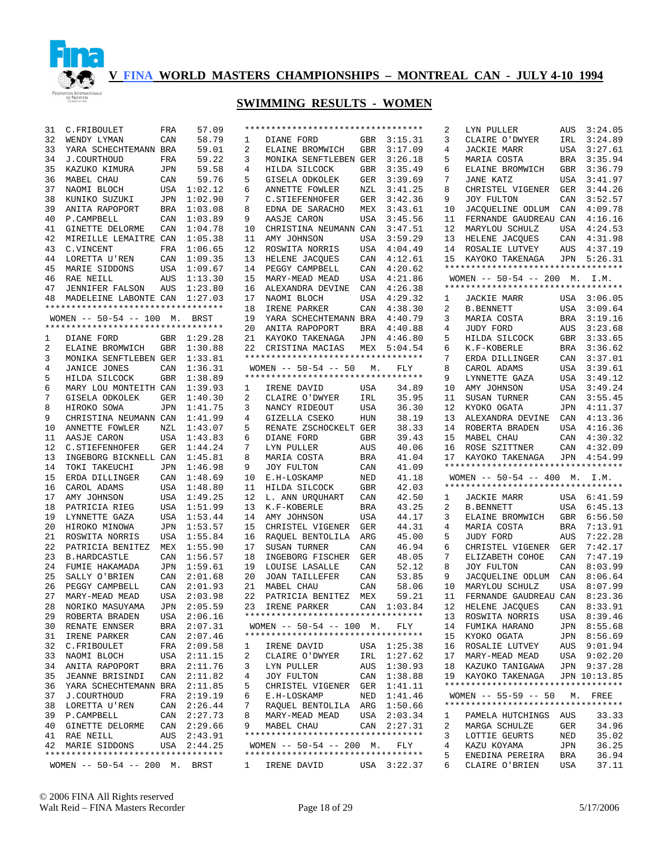

# **SWIMMING RESULTS - WOMEN**

| 31 | C.FRIBOULET                                                      | FRA        | 57.09       |    |                                                   |            |             | 2      | LYN PULLER                                            | AUS        | 3:24.05        |
|----|------------------------------------------------------------------|------------|-------------|----|---------------------------------------------------|------------|-------------|--------|-------------------------------------------------------|------------|----------------|
| 32 | WENDY LYMAN                                                      | CAN        | 58.79       | 1  | DIANE FORD                                        | GBR        | 3:15.31     | 3      | CLAIRE O'DWYER                                        | IRL        | 3:24.89        |
| 33 | YARA SCHECHTEMANN BRA                                            |            | 59.01       | 2  | ELAINE BROMWICH                                   | <b>GBR</b> | 3:17.09     | 4      | <b>JACKIE MARR</b>                                    | USA        | 3:27.61        |
| 34 | J.COURTHOUD                                                      | FRA        | 59.22       | 3  | MONIKA SENFTLEBEN GER                             |            | 3:26.18     | 5      | MARIA COSTA                                           | BRA        | 3:35.94        |
|    |                                                                  |            |             |    |                                                   |            |             |        |                                                       |            |                |
| 35 | KAZUKO KIMURA                                                    | JPN        | 59.58       | 4  | HILDA SILCOCK                                     | <b>GBR</b> | 3:35.49     | 6      | ELAINE BROMWICH                                       | GBR        | 3:36.79        |
| 36 | MABEL CHAU                                                       | CAN        | 59.76       | 5  | GISELA ODKOLEK                                    | GER        | 3:39.69     | 7      | <b>JANE KATZ</b>                                      | USA        | 3:41.97        |
| 37 | NAOMI BLOCH                                                      | <b>USA</b> | 1:02.12     | 6  | ANNETTE FOWLER                                    | NZL        | 3:41.25     | 8      | CHRISTEL VIGENER                                      | GER        | 3:44.26        |
| 38 | KUNIKO SUZUKI                                                    | JPN        | 1:02.90     | 7  | C. STIEFENHOFER                                   | GER        | 3:42.36     | 9      | JOY FULTON                                            | CAN        | 3:52.57        |
| 39 | ANITA RAPOPORT                                                   | <b>BRA</b> | 1:03.08     | 8  | EDNA DE SARACHO                                   | MEX        | 3:43.61     | 10     | JACQUELINE ODLUM                                      | CAN        | 4:09.78        |
| 40 | P.CAMPBELL                                                       | CAN        | 1:03.89     | 9  | AASJE CARON                                       | USA        | 3:45.56     | 11     | FERNANDE GAUDREAU CAN                                 |            | 4:16.16        |
|    |                                                                  |            |             |    |                                                   |            |             |        |                                                       |            |                |
| 41 | GINETTE DELORME                                                  | CAN        | 1:04.78     | 10 | CHRISTINA NEUMANN CAN                             |            | 3:47.51     | 12     | MARYLOU SCHULZ                                        | USA        | 4:24.53        |
| 42 | MIREILLE LEMAITRE CAN                                            |            | 1:05.38     | 11 | AMY JOHNSON                                       | USA        | 3:59.29     | 13     | HELENE JACQUES                                        | CAN        | 4:31.98        |
| 43 | C.VINCENT                                                        | FRA        | 1:06.65     | 12 | ROSWITA NORRIS                                    | USA        | 4:04.49     | 14     | ROSALIE LUTVEY                                        | AUS        | 4:37.19        |
| 44 | LORETTA U'REN                                                    | CAN        | 1:09.35     | 13 | HELENE JACQUES                                    | CAN        | 4:12.61     | 15     | KAYOKO TAKENAGA                                       | JPN        | 5:26.31        |
| 45 | MARIE SIDDONS                                                    | USA        | 1:09.67     | 14 | PEGGY CAMPBELL                                    | CAN        | 4:20.62     |        | **********************************                    |            |                |
| 46 | RAE NEILL                                                        | AUS        | 1:13.30     | 15 | MARY-MEAD MEAD                                    | USA        | 4:21.86     |        | WOMEN $-- 50-54 -- 200$ M.                            |            | I.M.           |
|    |                                                                  |            |             |    |                                                   |            |             |        | **********************************                    |            |                |
| 47 | <b>JENNIFER FALSON</b>                                           | AUS        | 1:23.80     | 16 | ALEXANDRA DEVINE                                  | CAN        | 4:26.38     |        |                                                       |            |                |
| 48 | MADELEINE LABONTE CAN                                            |            | 1:27.03     | 17 | NAOMI BLOCH                                       | USA        | 4:29.32     | 1      | JACKIE MARR                                           |            | USA 3:06.05    |
|    | **********************************                               |            |             | 18 | IRENE PARKER                                      | CAN        | 4:38.30     | 2      | <b>B. BENNETT</b>                                     | USA        | 3:09.64        |
|    | WOMEN $--$ 50-54 $--$ 100 M.                                     |            | BRST        | 19 | YARA SCHECHTEMANN BRA                             |            | 4:40.79     | 3      | MARIA COSTA                                           | <b>BRA</b> | 3:19.16        |
|    | **********************************                               |            |             | 20 | ANITA RAPOPORT                                    | <b>BRA</b> | 4:40.88     | 4      | JUDY FORD                                             | AUS        | 3:23.68        |
|    | DIANE FORD                                                       |            | GBR 1:29.28 | 21 |                                                   | JPN        | 4:46.80     | 5      |                                                       | GBR        | 3:33.65        |
| 1  |                                                                  |            |             |    | KAYOKO TAKENAGA                                   |            |             |        | HILDA SILCOCK                                         |            |                |
| 2  | ELAINE BROMWICH                                                  | <b>GBR</b> | 1:30.88     | 22 | CRISTINA MACIAS                                   |            | MEX 5:04.54 | 6      | K.F-KOBERLE                                           | BRA        | 3:36.62        |
| 3  | MONIKA SENFTLEBEN GER                                            |            | 1:33.81     |    | **********************************                |            |             | 7      | ERDA DILLINGER                                        | CAN        | 3:37.01        |
| 4  | JANICE JONES                                                     | CAN        | 1:36.31     |    | WOMEN $-- 50-54 -- 50$                            | М.         | <b>FLY</b>  | 8      | CAROL ADAMS                                           | USA        | 3:39.61        |
| 5  | HILDA SILCOCK                                                    | <b>GBR</b> | 1:38.89     |    | **********************************                |            |             | 9      | LYNNETTE GAZA                                         | USA        | 3:49.12        |
| 6  | MARY LOU MONTEITH CAN                                            |            | 1:39.93     | 1  | IRENE DAVID                                       | USA        | 34.89       | 10     | AMY JOHNSON                                           | USA        | 3:49.24        |
| 7  |                                                                  | GER        |             | 2  | CLAIRE O'DWYER                                    | IRL        | 35.95       | 11     |                                                       | CAN        | 3:55.45        |
|    | GISELA ODKOLEK                                                   |            | 1:40.30     |    |                                                   |            |             |        | SUSAN TURNER                                          |            |                |
| 8  | HIROKO SOWA                                                      | JPN        | 1:41.75     | 3  | NANCY RIDEOUT                                     | USA        | 36.30       | 12     | KYOKO OGATA                                           | JPN        | 4:11.37        |
| 9  | CHRISTINA NEUMANN CAN                                            |            | 1:41.99     | 4  | GIZELLA CSEKO                                     | HUN        | 38.19       | 13     | ALEXANDRA DEVINE                                      | CAN        | 4:13.36        |
| 10 | ANNETTE FOWLER                                                   | NZL        | 1:43.07     | 5  | RENATE ZSCHOCKELT GER                             |            | 38.33       | 14     | ROBERTA BRADEN                                        | USA        | 4:16.36        |
| 11 | AASJE CARON                                                      | <b>USA</b> | 1:43.83     | 6  | DIANE FORD                                        | <b>GBR</b> | 39.43       | 15     | MABEL CHAU                                            | CAN        | 4:30.32        |
| 12 | C. STIEFENHOFER                                                  | GER        | 1:44.24     | 7  | LYN PULLER                                        | AUS        | 40.06       | 16     | ROSE SZITTNER                                         | CAN        | 4:32.09        |
| 13 | INGEBORG BICKNELL CAN                                            |            | 1:45.81     | 8  | MARIA COSTA                                       | <b>BRA</b> | 41.04       | 17     | KAYOKO TAKENAGA                                       | JPN        | 4:54.99        |
|    |                                                                  |            |             |    |                                                   |            |             |        | **********************************                    |            |                |
| 14 | TOKI TAKEUCHI                                                    | JPN        | 1:46.98     | 9  | JOY FULTON                                        | CAN        | 41.09       |        |                                                       |            |                |
| 15 | ERDA DILLINGER                                                   | CAN        | 1:48.69     | 10 | E.H-LOSKAMP                                       | NED        | 41.18       |        | WOMEN -- 50-54 -- 400 M. I.M.                         |            |                |
| 16 | CAROL ADAMS                                                      | USA        | 1:48.80     | 11 | HILDA SILCOCK                                     | <b>GBR</b> | 42.03       |        | **********************************                    |            |                |
| 17 | AMY JOHNSON                                                      | USA        | 1:49.25     | 12 | L. ANN URQUHART                                   | CAN        | 42.50       | 1      | JACKIE MARR                                           |            | USA 6:41.59    |
| 18 | PATRICIA RIEG                                                    | <b>USA</b> | 1:51.99     | 13 | K.F-KOBERLE                                       | <b>BRA</b> | 43.25       | 2      | <b>B. BENNETT</b>                                     | USA        | 6:45.13        |
| 19 | LYNNETTE GAZA                                                    | USA        | 1:53.44     | 14 | AMY JOHNSON                                       | USA        | 44.17       | 3      | ELAINE BROMWICH                                       | GBR        | 6:56.50        |
|    |                                                                  |            |             |    |                                                   |            |             |        |                                                       |            |                |
| 20 | HIROKO MINOWA                                                    | JPN        | 1:53.57     | 15 | CHRISTEL VIGENER                                  | GER        | 44.31       | 4      | MARIA COSTA                                           | BRA        | 7:13.91        |
| 21 | ROSWITA NORRIS                                                   | <b>USA</b> | 1:55.84     | 16 | RAQUEL BENTOLILA                                  | ARG        | 45.00       | 5      | JUDY FORD                                             | AUS        | 7:22.28        |
| 22 | PATRICIA BENITEZ                                                 | MEX        | 1:55.90     | 17 | SUSAN TURNER                                      | CAN        | 46.94       | 6      | CHRISTEL VIGENER                                      | GER        | 7:42.17        |
| 23 | <b>B.HARDCASTLE</b>                                              | CAN        | 1:56.57     | 18 | INGEBORG FISCHER                                  | GER        | 48.05       | 7      | ELIZABETH COHOE                                       | CAN        | 7:47.19        |
| 24 | FUMIE HAKAMADA                                                   | JPN        | 1:59.61     | 19 | LOUISE LASALLE                                    | CAN        | 52.12       | 8      | JOY FULTON                                            | CAN        | 8:03.99        |
| 25 | SALLY O'BRIEN                                                    | CAN        | 2:01.68     | 20 | <b>JOAN TAILLEFER</b>                             | CAN        | 53.85       | 9      | JACQUELINE ODLUM                                      | CAN        | 8:06.64        |
|    |                                                                  |            |             |    |                                                   |            |             |        |                                                       |            |                |
| 26 | PEGGY CAMPBELL                                                   | CAN        | 2:01.93     | 21 | MABEL CHAU                                        | CAN        | 58.06       |        | MARYLOU SCHULZ                                        | <b>USA</b> | 8:07.99        |
| 27 |                                                                  |            |             |    |                                                   |            |             | 10     |                                                       |            |                |
| 28 | MARY-MEAD MEAD                                                   | USA        | 2:03.98     | 22 | PATRICIA BENITEZ                                  | MEX        | 59.21       | 11     | FERNANDE GAUDREAU CAN                                 |            | 8:23.36        |
|    | NORIKO MASUYAMA                                                  | JPN        | 2:05.59     | 23 | IRENE PARKER                                      |            | CAN 1:03.84 | 12     | HELENE JACQUES                                        | CAN        | 8:33.91        |
|    |                                                                  |            |             |    | **********************************                |            |             |        |                                                       |            |                |
| 29 | ROBERTA BRADEN                                                   |            | USA 2:06.16 |    |                                                   |            |             |        | 13 ROSWITA NORRIS                                     |            | USA 8:39.46    |
| 30 | RENATE ENNSER                                                    |            | BRA 2:07.31 |    | WOMEN $-- 50-54 -- 100$ M.                        |            | FLY         | 14     | FUMIKA HARANO                                         |            | JPN 8:55.68    |
| 31 | IRENE PARKER                                                     | CAN        | 2:07.46     |    | *********************************                 |            |             | 15     | KYOKO OGATA                                           |            | JPN 8:56.69    |
| 32 | C.FRIBOULET                                                      | FRA        | 2:09.58     | ı  | IRENE DAVID                                       |            | USA 1:25.38 | 16     | ROSALIE LUTVEY                                        | AUS        | 9:01.94        |
| 33 | NAOMI BLOCH                                                      | USA        | 2:11.15     | 2  | CLAIRE O'DWYER                                    | IRL        | 1:27.62     | 17     | MARY-MEAD MEAD                                        |            | USA 9:02.20    |
| 34 | ANITA RAPOPORT                                                   | BRA        | 2:11.76     | 3  | LYN PULLER                                        | AUS        | 1:30.93     | 18     | KAZUKO TANIGAWA                                       |            | JPN 9:37.28    |
| 35 |                                                                  | CAN        |             | 4  |                                                   | CAN        |             | 19     |                                                       |            | JPN 10:13.85   |
|    | <b>JEANNE BRISINDI</b>                                           |            | 2:11.82     |    | JOY FULTON                                        |            | 1:38.88     |        | KAYOKO TAKENAGA<br>********************************** |            |                |
| 36 | YARA SCHECHTEMANN BRA                                            |            | 2:11.85     | 5  | CHRISTEL VIGENER                                  | GER        | 1:41.11     |        |                                                       |            |                |
| 37 | J.COURTHOUD                                                      | FRA        | 2:19.19     | 6  | E.H-LOSKAMP                                       | NED        | 1:41.46     |        | $WOMEN$ -- 55-59 -- 50                                |            | M. FREE        |
| 38 | LORETTA U'REN                                                    | CAN        | 2:26.44     | 7  | RAQUEL BENTOLILA                                  | ARG        | 1:50.66     |        | **********************************                    |            |                |
| 39 | P.CAMPBELL                                                       | CAN        | 2:27.73     | 8  | MARY-MEAD MEAD                                    | USA        | 2:03.34     | ı      | PAMELA HUTCHINGS                                      | AUS        | 33.33          |
| 40 | <b>GINETTE DELORME</b>                                           |            | CAN 2:29.66 | 9  | MABEL CHAU                                        | CAN        | 2:27.31     | 2      | MARGA SCHULZE                                         | GER        | 34.96          |
|    |                                                                  |            |             |    | **********************************                |            |             | 3      |                                                       |            |                |
| 41 | RAE NEILL                                                        |            | AUS 2:43.91 |    |                                                   |            |             |        | LOTTIE GEURTS                                         | NED        | 35.02          |
| 42 | MARIE SIDDONS                                                    |            | USA 2:44.25 |    | WOMEN $-- 50-54 -- 200$ M.                        |            | FLY         | 4      | KAZU KOYAMA                                           | JPN        | 36.25          |
|    | **********************************<br>WOMEN $-- 50-54 -- 200$ M. |            | BRST        | 1  | **********************************<br>IRENE DAVID |            | USA 3:22.37 | 5<br>6 | ENEDINA PEREIRA<br>CLAIRE O'BRIEN                     | BRA<br>USA | 36.94<br>37.11 |

© 2006 FINA All Rights reserved Walt Reid – FINA Masters Recorder Page 18 of 29 5/17/2006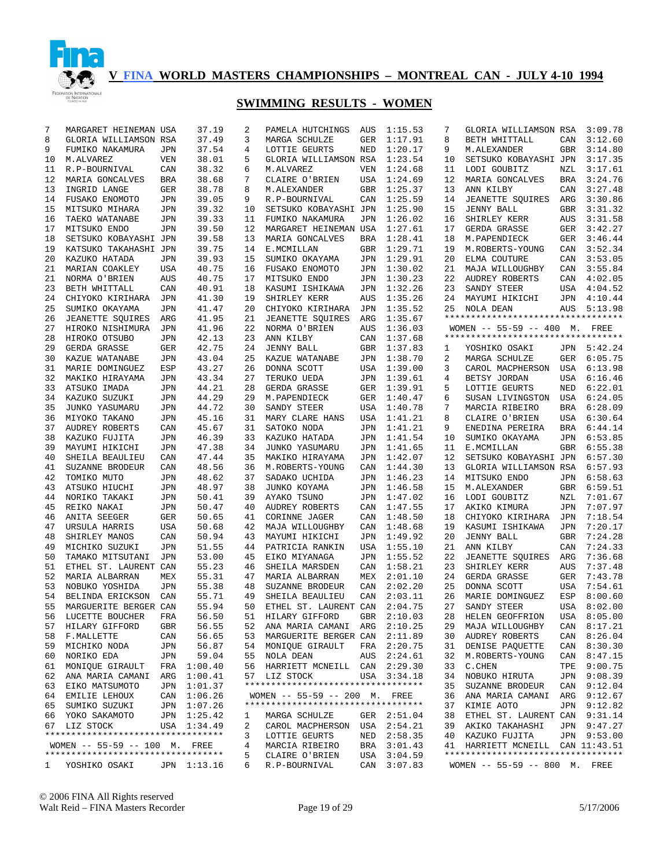

| 7        | MARGARET HEINEMAN USA              |                   | 37.19          | 2        | PAMELA HUTCHINGS                   | AUS        | 1:15.53            | 7        | GLORIA WILLIAMSON RSA                                                 |            | 3:09.78            |
|----------|------------------------------------|-------------------|----------------|----------|------------------------------------|------------|--------------------|----------|-----------------------------------------------------------------------|------------|--------------------|
| 8        | GLORIA WILLIAMSON RSA              |                   | 37.49          | 3        | MARGA SCHULZE                      | GER        | 1:17.91            | 8        | BETH WHITTALL                                                         | CAN        | 3:12.60            |
| 9        | FUMIKO NAKAMURA                    | JPN               | 37.54          | 4        | LOTTIE GEURTS                      | NED        | 1:20.17            | 9        | M.ALEXANDER                                                           | GBR        | 3:14.80            |
| 10       | M.ALVAREZ                          | VEN               | 38.01          | 5        | GLORIA WILLIAMSON RSA              |            | 1:23.54            | 10       | SETSUKO KOBAYASHI JPN                                                 |            | 3:17.35            |
| 11       | R.P-BOURNIVAL                      | CAN               | 38.32          | 6        | M.ALVAREZ                          | VEN        | 1:24.68            | 11       | LODI GOUBITZ                                                          | NZL        | 3:17.61            |
| 12       | MARIA GONCALVES                    | BRA               | 38.68          | 7        | CLAIRE O'BRIEN                     | USA        | 1:24.69            | 12       | MARIA GONCALVES                                                       | <b>BRA</b> | 3:24.76            |
| 13       | INGRID LANGE                       | GER               | 38.78          | 8        | M. ALEXANDER                       | <b>GBR</b> | 1:25.37            | 13       | ANN KILBY                                                             | CAN        | 3:27.48            |
| 14       | FUSAKO ENOMOTO                     | JPN               | 39.05          | 9        | R.P-BOURNIVAL                      | CAN        | 1:25.59            | 14       | <b>JEANETTE SOUIRES</b>                                               | ARG        | 3:30.86            |
| 15       | MITSUKO MIHARA                     | JPN               | 39.32          | 10       | SETSUKO KOBAYASHI JPN              |            | 1:25.90            | 15       | <b>JENNY BALL</b>                                                     | GBR        | 3:31.32            |
| 16       | TAEKO WATANABE                     | JPN               | 39.33          | 11       | FUMIKO NAKAMURA                    | JPN        | 1:26.02            | 16       | SHIRLEY KERR                                                          | AUS        | 3:31.58            |
| 17       | MITSUKO ENDO                       | <b>JPN</b>        | 39.50          | 12       | MARGARET HEINEMAN USA              |            | 1:27.61            | 17       | GERDA GRASSE                                                          | GER        | 3:42.27            |
| 18       | SETSUKO KOBAYASHI JPN              |                   | 39.58          | 13       | MARIA GONCALVES                    | BRA        | 1:28.41            | 18       | M. PAPENDIECK                                                         | GER        | 3:46.44            |
| 19       | KATSUKO TAKAHASHI JPN              |                   | 39.75          | 14       | E.MCMILLAN                         | <b>GBR</b> | 1:29.71            | 19       | M.ROBERTS-YOUNG                                                       | CAN        | 3:52.34            |
| 20       | KAZUKO HATADA                      | <b>JPN</b>        | 39.93          | 15       | SUMIKO OKAYAMA                     | JPN        | 1:29.91            | 20       | ELMA COUTURE                                                          | CAN        | 3:53.05            |
| 21       | MARIAN COAKLEY                     | USA               | 40.75          | 16       | FUSAKO ENOMOTO                     | JPN        | 1:30.02            | 21       | MAJA WILLOUGHBY                                                       | CAN        | 3:55.84            |
| 21       | NORMA O'BRIEN                      | <b>AUS</b>        | 40.75          | 17       | MITSUKO ENDO                       | JPN        | 1:30.23            | 22       | AUDREY ROBERTS                                                        | CAN        | 4:02.05            |
| 23       | BETH WHITTALL                      | CAN               | 40.91          | 18       | KASUMI ISHIKAWA                    | JPN        | 1:32.26            | 23       | SANDY STEER                                                           | USA        | 4:04.52            |
| 24       | CHIYOKO KIRIHARA                   | JPN               | 41.30          | 19       | SHIRLEY KERR                       | AUS        | 1:35.26            | 24       | MAYUMI HIKICHI                                                        | JPN        | 4:10.44            |
| 25       | SUMIKO OKAYAMA                     | JPN               | 41.47          | 20       | CHIYOKO KIRIHARA                   | JPN        | 1:35.52            | 25       | NOLA DEAN                                                             | AUS        | 5:13.98            |
| 26       | JEANETTE SQUIRES                   | ARG               | 41.95          | 21       | <b>JEANETTE SQUIRES</b>            | ARG        | 1:35.67            |          | **********************************                                    |            |                    |
| 27       | HIROKO NISHIMURA                   | JPN               | 41.96          | 22       | NORMA O'BRIEN                      | AUS        | 1:36.03            |          | WOMEN $-- 55-59 -- 400$ M. FREE<br>********************************** |            |                    |
| 28       | HIROKO OTSUBO                      | JPN               | 42.13          | 23       | ANN KILBY                          | CAN        | 1:37.68            |          |                                                                       |            |                    |
| 29       | GERDA GRASSE                       | GER               | 42.75          | 24       | <b>JENNY BALL</b>                  | <b>GBR</b> | 1:37.83            | 1        | YOSHIKO OSAKI                                                         | JPN        | 5:42.24            |
| 30       | KAZUE WATANABE                     | JPN               | 43.04          | 25       | KAZUE WATANABE                     | JPN        | 1:38.70            | 2        | MARGA SCHULZE                                                         | GER        | 6:05.75            |
| 31       | MARIE DOMINGUEZ                    | ESP               | 43.27          | 26       | DONNA SCOTT                        | USA        | 1:39.00            | 3        | CAROL MACPHERSON                                                      | USA        | 6:13.98            |
| 32       | MAKIKO HIRAYAMA                    | JPN               | 43.34          | 27       | TERUKO UEDA                        | JPN        | 1:39.61            | 4        | BETSY JORDAN                                                          | USA        | 6:16.46            |
| 33       | ATSUKO IMADA                       | JPN               | 44.21          | 28       | GERDA GRASSE                       | GER        | 1:39.91            | 5        | LOTTIE GEURTS                                                         | NED        | 6:22.01            |
| 34       | KAZUKO SUZUKI                      | JPN               | 44.29          | 29       | M. PAPENDIECK                      | GER        | 1:40.47            | 6        | SUSAN LIVINGSTON                                                      | USA        | 6:24.05            |
| 35       | JUNKO YASUMARU                     | JPN               | 44.72          | 30       | SANDY STEER                        | USA        | 1:40.78            | 7        | MARCIA RIBEIRO                                                        | <b>BRA</b> | 6:28.09            |
| 36       | MIYOKO TAKANO                      | <b>JPN</b>        | 45.16          | 31       | MARY CLARE HANS                    | USA        | 1:41.21            | 8        | CLAIRE O'BRIEN                                                        | USA        | 6:30.64            |
| 37       | AUDREY ROBERTS                     | CAN               | 45.67          | 31       | SATOKO NODA                        | JPN        | 1:41.21            | 9        | ENEDINA PEREIRA                                                       | <b>BRA</b> | 6:44.14            |
| 38       | KAZUKO FUJITA                      | JPN               | 46.39          | 33       | KAZUKO HATADA                      | JPN        | 1:41.54            | 10       | SUMIKO OKAYAMA                                                        | JPN        | 6:53.85            |
| 39       | MAYUMI HIKICHI                     | JPN               | 47.38          | 34       | JUNKO YASUMARU                     | JPN        | 1:41.65            | 11       | E.MCMILLAN                                                            | GBR        | 6:55.38            |
| 40       | SHEILA BEAULIEU                    | CAN               | 47.44          | 35       | MAKIKO HIRAYAMA                    | JPN        | 1:42.07            | 12       | SETSUKO KOBAYASHI JPN                                                 |            | 6:57.30            |
| 41       | SUZANNE BRODEUR                    | CAN               | 48.56          | 36       | M.ROBERTS-YOUNG                    | CAN        | 1:44.30            | 13       | GLORIA WILLIAMSON RSA                                                 |            | 6:57.93            |
| 42       | TOMIKO MUTO                        | <b>JPN</b>        | 48.62          | 37       | SADAKO UCHIDA                      | JPN        | 1:46.23            | 14       | MITSUKO ENDO                                                          | JPN        | 6:58.63            |
| 43<br>44 | ATSUKO HIUCHI<br>NORIKO TAKAKI     | JPN<br><b>JPN</b> | 48.97<br>50.41 | 38<br>39 | JUNKO KOYAMA<br>AYAKO TSUNO        | JPN<br>JPN | 1:46.58<br>1:47.02 | 15<br>16 | M.ALEXANDER                                                           | GBR<br>NZL | 6:59.51<br>7:01.67 |
| 45       | REIKO NAKAI                        | JPN               | 50.47          | 40       | AUDREY ROBERTS                     | CAN        | 1:47.55            | 17       | LODI GOUBITZ<br>AKIKO KIMURA                                          | JPN        | 7:07.97            |
| 46       | ANITA SEEGER                       | GER               | 50.65          | 41       | CORINNE JAGER                      | CAN        | 1:48.50            | 18       | CHIYOKO KIRIHARA                                                      | JPN        | 7:18.54            |
| 47       | URSULA HARRIS                      | USA               | 50.68          | 42       | MAJA WILLOUGHBY                    | CAN        | 1:48.68            | 19       | KASUMI ISHIKAWA                                                       | <b>JPN</b> | 7:20.17            |
| 48       | SHIRLEY MANOS                      | CAN               | 50.94          | 43       | MAYUMI HIKICHI                     | JPN        | 1:49.92            | 20       | <b>JENNY BALL</b>                                                     | GBR        | 7:24.28            |
| 49       | MICHIKO SUZUKI                     | JPN               | 51.55          | 44       | PATRICIA RANKIN                    | USA        | 1:55.10            | 21       | ANN KILBY                                                             | CAN        | 7:24.33            |
| 50       | TAMAKO MITSUTANI                   | JPN               | 53.00          | 45       | EIKO MIYANAGA                      | JPN        | 1:55.52            | 22       | JEANETTE SQUIRES                                                      | ARG        | 7:36.68            |
| 51       | ETHEL ST. LAURENT CAN              |                   | 55.23          | 46       | SHEILA MARSDEN                     | CAN        | 1:58.21            | 23       | SHIRLEY KERR                                                          | AUS        | 7:37.48            |
| 52       | MARIA ALBARRAN                     | MEX               | 55.31          | 47       | MARIA ALBARRAN                     | MEX        | 2:01.10            | 24       | GERDA GRASSE                                                          | GER        | 7:43.78            |
| 53       | NOBUKO YOSHIDA                     | JPN               | 55.38          | 48       | SUZANNE BRODEUR                    | CAN        | 2:02.20            | 25       | DONNA SCOTT                                                           | USA        | 7:54.61            |
| 54       | BELINDA ERICKSON                   | CAN               | 55.71          | 49       | SHEILA BEAULIEU                    | CAN        | 2:03.11            | 26       | MARIE DOMINGUEZ                                                       | ESP        | 8:00.60            |
| 55       | MARGUERITE BERGER CAN              |                   | 55.94          | 50       | ETHEL ST. LAURENT CAN              |            | 2:04.75            | 27       | SANDY STEER                                                           | USA        | 8:02.00            |
|          | 56 LUCETTE BOUCHER                 | FRA               | 56.50          | 51       | HILARY GIFFORD                     |            | GBR 2:10.03        |          | 28 HELEN GEOFFRION USA 8:05.00                                        |            |                    |
| 57       | HILARY GIFFORD                     | GBR               | 56.55          |          | 52 ANA MARIA CAMANI ARG 2:10.25    |            |                    | 29       | MAJA WILLOUGHBY                                                       |            | CAN 8:17.21        |
| 58       | F.MALLETTE                         | CAN               | 56.65          |          | 53 MARGUERITE BERGER CAN 2:11.89   |            |                    | 30       | AUDREY ROBERTS                                                        |            | CAN 8:26.04        |
| 59       | MICHIKO NODA                       | JPN               | 56.87          | 54       | MONIQUE GIRAULT                    | FRA        | 2:20.75            | 31       | DENISE PAOUETTE                                                       | CAN        | 8:30.30            |
| 60       | NORIKO EDA                         | JPN               | 59.04          | 55       | NOLA DEAN                          | AUS        | 2:24.61            | 32       | M.ROBERTS-YOUNG                                                       |            | CAN 8:47.15        |
| 61       | MONIQUE GIRAULT                    |                   | FRA 1:00.40    | 56       | HARRIETT MCNEILL CAN               |            | 2:29.30            | 33       | C.CHEN                                                                | TPE        | 9:00.75            |
| 62       | ANA MARIA CAMANI                   |                   | ARG 1:00.41    |          | 57 LIZ STOCK                       |            | USA 3:34.18        | 34       | NOBUKO HIRUTA                                                         |            | JPN 9:08.39        |
| 63       | EIKO MATSUMOTO                     |                   | JPN 1:01.37    |          | ********************************** |            |                    | 35       | SUZANNE BRODEUR                                                       |            | CAN 9:12.04        |
|          | 64 EMILIE LEHOUX                   |                   | CAN 1:06.26    |          | WOMEN -- 55-59 -- 200 M. FREE      |            |                    | 36       | ANA MARIA CAMANI                                                      |            | ARG 9:12.67        |
| 65       | SUMIKO SUZUKI                      |                   | JPN 1:07.26    |          | ********************************** |            |                    | 37       | KIMIE AOTO                                                            |            | JPN 9:12.82        |
| 66       | YOKO SAKAMOTO                      |                   | JPN 1:25.42    | 1        | MARGA SCHULZE                      |            | GER 2:51.04        | 38       | ETHEL ST. LAURENT CAN 9:31.14                                         |            |                    |
|          | 67 LIZ STOCK                       |                   | USA 1:34.49    | 2        | CAROL MACPHERSON                   |            | USA 2:54.21        | 39       | AKIKO TAKAHASHI                                                       |            | JPN 9:47.27        |
|          | ********************************** |                   |                | 3        | LOTTIE GEURTS                      |            | NED 2:58.35        | 40       | KAZUKO FUJITA                                                         |            | JPN 9:53.00        |
|          | WOMEN -- 55-59 -- 100 M. FREE      |                   |                | 4        | MARCIA RIBEIRO                     | BRA        | 3:01.43            |          | 41 HARRIETT MCNEILL CAN 11:43.51                                      |            |                    |
|          | ********************************** |                   |                | 5        | CLAIRE O'BRIEN                     | USA        | 3:04.59            |          | **********************************                                    |            |                    |
|          | 1 YOSHIKO OSAKI                    |                   | JPN 1:13.16    | 6        | R.P-BOURNIVAL                      |            | CAN 3:07.83        |          | WOMEN -- 55-59 -- 800 M. FREE                                         |            |                    |
|          |                                    |                   |                |          |                                    |            |                    |          |                                                                       |            |                    |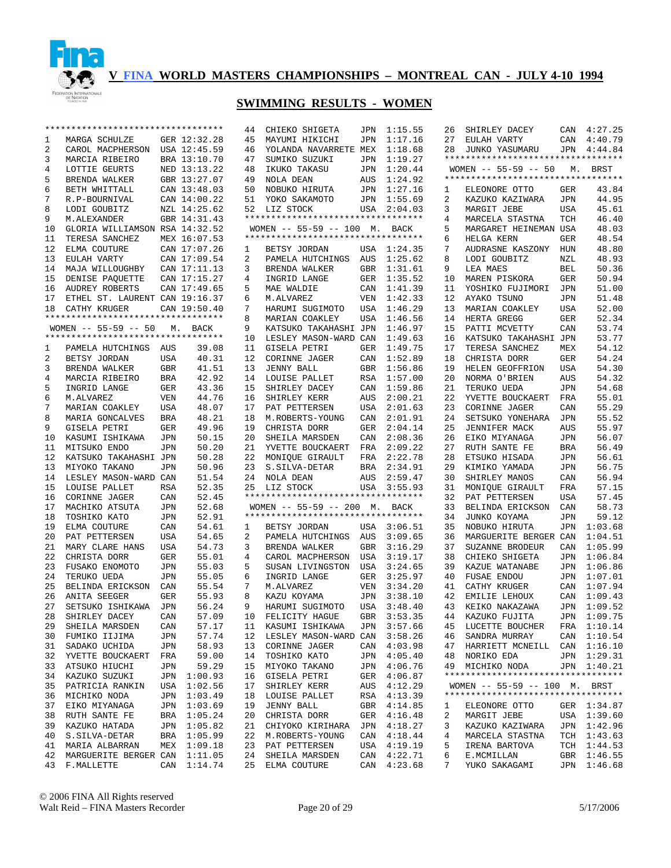

|    | **********************************                 |            |              | 44 | CHIEKO SHIGETA                     | JPN        | 1:15.55      | 26 | SHIRLEY DACEY                      | CAN        | 4:27.25     |
|----|----------------------------------------------------|------------|--------------|----|------------------------------------|------------|--------------|----|------------------------------------|------------|-------------|
| ı  | MARGA SCHULZE                                      |            | GER 12:32.28 | 45 | MAYUMI HIKICHI                     | JPN        | 1:17.16      | 27 | EULAH VARTY                        | CAN        | 4:40.79     |
| 2  | CAROL MACPHERSON USA 12:45.59                      |            |              | 46 | YOLANDA NAVARRETE MEX              |            | 1:18.68      | 28 | JUNKO YASUMARU                     |            | JPN 4:44.84 |
| 3  | MARCIA RIBEIRO                                     |            | BRA 13:10.70 | 47 | SUMIKO SUZUKI                      | JPN        | 1:19.27      |    | ********************************** |            |             |
| 4  | LOTTIE GEURTS                                      |            | NED 13:13.22 | 48 | IKUKO TAKASU                       | JPN        | 1:20.44      |    | WOMEN $-- 55-59 -- 50$             | М.         | BRST        |
| 5  | BRENDA WALKER                                      |            | GBR 13:27.07 | 49 | NOLA DEAN                          | AUS        | 1:24.92      |    | ********************************** |            |             |
| 6  | BETH WHITTALL                                      |            | CAN 13:48.03 | 50 | NOBUKO HIRUTA                      | JPN        | 1:27.16      | 1  | ELEONORE OTTO                      | <b>GER</b> | 43.84       |
|    |                                                    |            |              |    |                                    |            |              |    |                                    |            |             |
| 7  | R.P-BOURNIVAL                                      |            | CAN 14:00.22 | 51 | YOKO SAKAMOTO                      | JPN        | 1:55.69      | 2  | KAZUKO KAZIWARA                    | JPN        | 44.95       |
| 8  | LODI GOUBITZ                                       |            | NZL 14:25.62 | 52 | LIZ STOCK                          |            | USA 2:04.03  | 3  | MARGIT JEBE                        | <b>USA</b> | 45.61       |
| 9  | M.ALEXANDER                                        |            | GBR 14:31.43 |    | ********************************** |            |              | 4  | MARCELA STASTNA                    | TCH        | 46.40       |
| 10 | GLORIA WILLIAMSON RSA 14:32.52                     |            |              |    | WOMEN $-- 55-59 -- 100$ M.         |            | BACK         | 5  | MARGARET HEINEMAN USA              |            | 48.03       |
| 11 | TERESA SANCHEZ                                     |            | MEX 16:07.53 |    | ********************************** |            |              | 6  | HELGA KERN                         | <b>GER</b> | 48.54       |
| 12 | ELMA COUTURE                                       |            | CAN 17:07.26 | 1  | BETSY JORDAN                       |            | USA 1:24.35  | 7  | AUDRASNE KASZONY                   | HUN        | 48.80       |
| 13 | EULAH VARTY                                        |            | CAN 17:09.54 | 2  | PAMELA HUTCHINGS                   | AUS        | 1:25.62      | 8  | LODI GOUBITZ                       | NZL        | 48.93       |
| 14 | MAJA WILLOUGHBY                                    |            | CAN 17:11.13 | 3  | BRENDA WALKER                      | GBR        | 1:31.61      | 9  | LEA MAES                           | <b>BEL</b> | 50.36       |
| 15 | DENISE PAQUETTE                                    |            | CAN 17:15.27 | 4  | INGRID LANGE                       | GER        | 1:35.52      | 10 | MAREN PISKORA                      | <b>GER</b> | 50.94       |
| 16 | AUDREY ROBERTS                                     |            | CAN 17:49.65 | 5  | MAE WALDIE                         | CAN        | 1:41.39      | 11 | YOSHIKO FUJIMORI                   | JPN        | 51.00       |
| 17 | ETHEL ST. LAURENT CAN 19:16.37                     |            |              | 6  | M.ALVAREZ                          | VEN        | 1:42.33      | 12 | AYAKO TSUNO                        | JPN        | 51.48       |
|    |                                                    |            |              | 7  |                                    | USA        | 1:46.29      | 13 | MARIAN COAKLEY                     | <b>USA</b> | 52.00       |
| 18 | CATHY KRUGER<br>********************************** |            | CAN 19:50.40 |    | HARUMI SUGIMOTO                    |            |              |    |                                    |            |             |
|    |                                                    |            |              | 8  | MARIAN COAKLEY                     | USA        | 1:46.56      | 14 | HERTA GREGG                        | GER        | 52.34       |
|    | WOMEN -- 55-59 -- 50 M. BACK                       |            |              | 9  | KATSUKO TAKAHASHI JPN              |            | 1:46.97      | 15 | PATTI MCVETTY                      | CAN        | 53.74       |
|    | **********************************                 |            |              | 10 | LESLEY MASON-WARD CAN              |            | 1:49.63      | 16 | KATSUKO TAKAHASHI JPN              |            | 53.77       |
| 1  | PAMELA HUTCHINGS AUS                               |            | 39.08        | 11 | GISELA PETRI                       | GER        | 1:49.75      | 17 | TERESA SANCHEZ                     | MEX        | 54.12       |
| 2  | BETSY JORDAN                                       | USA        | 40.31        | 12 | CORINNE JAGER                      | CAN        | 1:52.89      | 18 | CHRISTA DORR                       | <b>GER</b> | 54.24       |
| 3  | BRENDA WALKER                                      | GBR        | 41.51        | 13 | <b>JENNY BALL</b>                  | GBR        | 1:56.86      | 19 | HELEN GEOFFRION                    | <b>USA</b> | 54.30       |
| 4  | MARCIA RIBEIRO                                     | BRA        | 42.92        | 14 | LOUISE PALLET                      | RSA        | 1:57.00      | 20 | NORMA O'BRIEN                      | AUS        | 54.32       |
| 5  | INGRID LANGE                                       | GER        | 43.36        | 15 | SHIRLEY DACEY                      | CAN        | 1:59.86      | 21 | TERUKO UEDA                        | <b>JPN</b> | 54.68       |
| 6  | M.ALVAREZ                                          | <b>VEN</b> | 44.76        | 16 | SHIRLEY KERR                       | AUS        | 2:00.21      | 22 | YVETTE BOUCKAERT                   | FRA        | 55.01       |
| 7  | MARIAN COAKLEY                                     | <b>USA</b> | 48.07        | 17 | PAT PETTERSEN                      | USA        | 2:01.63      | 23 | CORINNE JAGER                      | CAN        | 55.29       |
| 8  | MARIA GONCALVES                                    | <b>BRA</b> | 48.21        | 18 | M.ROBERTS-YOUNG                    | CAN        | 2:01.91      | 24 | SETSUKO YONEHARA                   | JPN        | 55.52       |
|    |                                                    |            |              |    |                                    |            |              |    |                                    |            |             |
| 9  | GISELA PETRI                                       | <b>GER</b> | 49.96        | 19 | CHRISTA DORR                       | GER        | 2:04.14      | 25 | <b>JENNIFER MACK</b>               | AUS        | 55.97       |
| 10 | KASUMI ISHIKAWA                                    | JPN        | 50.15        | 20 | SHEILA MARSDEN                     | CAN        | 2:08.36      | 26 | EIKO MIYANAGA                      | JPN        | 56.07       |
| 11 | MITSUKO ENDO                                       | JPN        | 50.20        | 21 | YVETTE BOUCKAERT FRA               |            | 2:09.22      | 27 | RUTH SANTE FE                      | <b>BRA</b> | 56.49       |
| 12 | KATSUKO TAKAHASHI JPN                              |            | 50.28        | 22 | MONIQUE GIRAULT                    | FRA        | 2:22.78      | 28 | ETSUKO HISADA                      | JPN        | 56.61       |
| 13 | MIYOKO TAKANO                                      | JPN        | 50.96        | 23 | S.SILVA-DETAR                      | BRA        | 2:34.91      | 29 | KIMIKO YAMADA                      | <b>JPN</b> | 56.75       |
| 14 | LESLEY MASON-WARD CAN                              |            | 51.54        | 24 | NOLA DEAN                          | AUS        | 2:59.47      | 30 | SHIRLEY MANOS                      | CAN        | 56.94       |
| 15 | LOUISE PALLET                                      | RSA        | 52.35        | 25 | LIZ STOCK                          | USA        | 3:55.93      | 31 | MONIQUE GIRAULT                    | FRA        | 57.15       |
| 16 | CORINNE JAGER                                      | CAN        | 52.45        |    | ********************************** |            |              | 32 | PAT PETTERSEN                      | <b>USA</b> | 57.45       |
| 17 | MACHIKO ATSUTA                                     | JPN        | 52.68        |    | WOMEN $-- 55-59 -- 200$ M.         |            | BACK         | 33 | BELINDA ERICKSON                   | CAN        | 58.73       |
| 18 | TOSHIKO KATO                                       | JPN        | 52.91        |    | ********************************** |            |              | 34 | JUNKO KOYAMA                       | JPN        | 59.12       |
| 19 | ELMA COUTURE                                       | CAN        | 54.61        | 1  | BETSY JORDAN                       |            | USA 3:06.51  | 35 | NOBUKO HIRUTA                      |            | JPN 1:03.68 |
|    |                                                    |            |              |    |                                    |            |              | 36 |                                    |            | 1:04.51     |
| 20 | PAT PETTERSEN                                      | <b>USA</b> | 54.65        | 2  | PAMELA HUTCHINGS                   | AUS        | 3:09.65      |    | MARGUERITE BERGER CAN              |            |             |
| 21 | MARY CLARE HANS                                    | <b>USA</b> | 54.73        | 3  | BRENDA WALKER                      | <b>GBR</b> | 3:16.29      | 37 | SUZANNE BRODEUR                    | CAN        | 1:05.99     |
| 22 | CHRISTA DORR                                       | GER        | 55.01        | 4  | CAROL MACPHERSON                   | USA        | 3:19.17      | 38 | CHIEKO SHIGETA                     | JPN        | 1:06.84     |
| 23 | FUSAKO ENOMOTO                                     | JPN        | 55.03        | 5  | SUSAN LIVINGSTON                   | USA        | 3:24.65      | 39 | KAZUE WATANABE                     | JPN        | 1:06.86     |
| 24 | TERUKO UEDA                                        | <b>JPN</b> | 55.05        | 6  | INGRID LANGE                       | GER        | 3:25.97      | 40 | FUSAE ENDOU                        | JPN        | 1:07.01     |
| 25 | BELINDA ERICKSON                                   | CAN        | 55.54        | 7  | M.ALVAREZ                          | VEN        | 3:34.20      | 41 | CATHY KRUGER                       | CAN        | 1:07.94     |
| 26 | ANITA SEEGER                                       | <b>GER</b> | 55.93        | 8  | KAZU KOYAMA                        | JPN        | 3:38.10      | 42 | EMILIE LEHOUX                      | CAN        | 1:09.43     |
| 27 | SETSUKO ISHIKAWA                                   | <b>JPN</b> | 56.24        | 9  | HARUMI SUGIMOTO                    | USA        | 3:48.40      | 43 | KEIKO NAKAZAWA                     |            | JPN 1:09.52 |
| 28 | SHIRLEY DACEY                                      | CAN        | 57.09        | 10 | FELICITY HAGUE                     |            | GBR 3:53.35  |    | 44 KAZUKO FUJITA                   |            | JPN 1:09.75 |
| 29 | SHEILA MARSDEN                                     | CAN        | 57.17        |    | 11 KASUMI ISHIKAWA                 |            | JPN 3:57.66  |    | 45 LUCETTE BOUCHER                 |            | FRA 1:10.14 |
| 30 | FUMIKO IIJIMA                                      | JPN        | 57.74        |    | 12 LESLEY MASON-WARD CAN           |            | 3:58.26      | 46 | SANDRA MURRAY                      |            | CAN 1:10.54 |
| 31 | SADAKO UCHIDA                                      | JPN        | 58.93        | 13 | CORINNE JAGER                      |            | CAN 4:03.98  | 47 | HARRIETT MCNEILL CAN 1:16.10       |            |             |
|    |                                                    |            |              |    |                                    |            |              |    | NORIKO EDA                         |            |             |
| 32 | YVETTE BOUCKAERT                                   | FRA        | 59.00        |    | 14 TOSHIKO KATO                    |            | JPN 4:05.40  | 48 |                                    |            | JPN 1:29.31 |
| 33 | ATSUKO HIUCHI                                      | JPN        | 59.29        | 15 | MIYOKO TAKANO                      | JPN        | 4:06.76      | 49 | MICHIKO NODA                       |            | JPN 1:40.21 |
| 34 | KAZUKO SUZUKI                                      |            | JPN 1:00.93  | 16 | GISELA PETRI                       |            | GER 4:06.87  |    | ********************************** |            |             |
| 35 | PATRICIA RANKIN                                    |            | USA 1:02.56  | 17 | SHIRLEY KERR                       |            | AUS  4:12.29 |    | WOMEN -- 55-59 -- 100 M. BRST      |            |             |
| 36 | MICHIKO NODA                                       |            | JPN 1:03.49  | 18 | LOUISE PALLET                      |            | RSA 4:13.39  |    | ********************************** |            |             |
| 37 | EIKO MIYANAGA                                      |            | JPN 1:03.69  | 19 | <b>JENNY BALL</b>                  | GBR        | 4:14.85      | 1  | ELEONORE OTTO                      |            | GER 1:34.87 |
| 38 | RUTH SANTE FE                                      |            | BRA 1:05.24  | 20 | CHRISTA DORR                       |            | GER 4:16.48  | 2  | MARGIT JEBE                        |            | USA 1:39.60 |
| 39 | KAZUKO HATADA                                      |            | JPN 1:05.82  | 21 | CHIYOKO KIRIHARA                   | JPN        | 4:18.27      | 3  | KAZUKO KAZIWARA                    |            | JPN 1:42.96 |
| 40 | S.SILVA-DETAR                                      |            | BRA 1:05.99  |    | 22 M.ROBERTS-YOUNG                 |            | CAN 4:18.44  | 4  | MARCELA STASTNA                    |            | TCH 1:43.63 |
| 41 | MARIA ALBARRAN                                     |            | MEX 1:09.18  |    | 23 PAT PETTERSEN                   | USA        | 4:19.19      | 5  | IRENA BARTOVA                      |            | TCH 1:44.53 |
| 42 | MARGUERITE BERGER CAN 1:11.05                      |            |              |    | 24 SHEILA MARSDEN                  | CAN        | 4:22.71      | 6  | E.MCMILLAN                         |            | GBR 1:46.55 |
|    |                                                    |            |              |    |                                    |            |              |    |                                    |            |             |
| 43 | F.MALLETTE                                         |            | CAN 1:14.74  |    | 25 ELMA COUTURE                    | CAN        | 4:23.68      | 7  | YUKO SAKAGAMI                      |            | JPN 1:46.68 |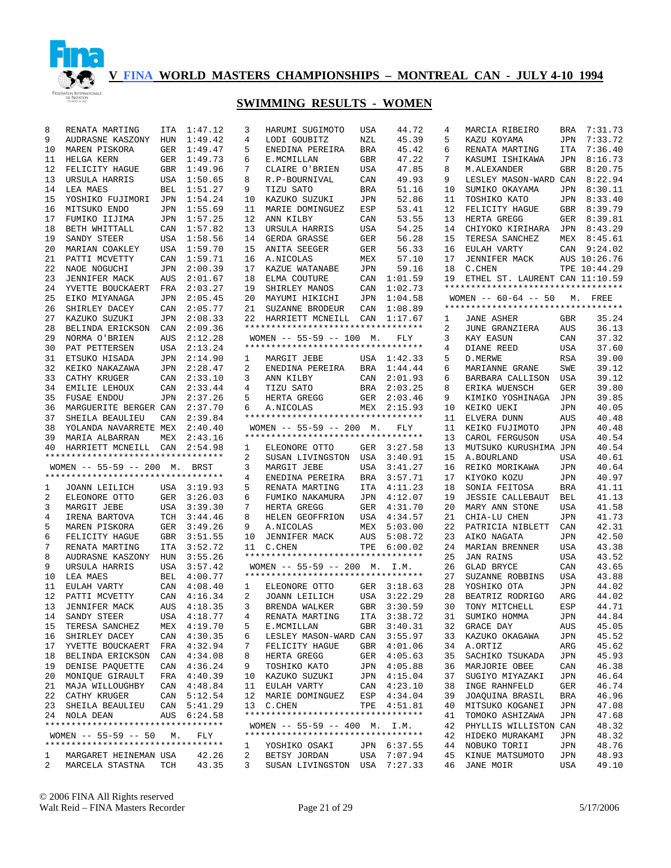

#### **SWIMMING RESULTS - WOMEN**

| 8      | RENATA MARTING                               | ITA        | 1:47.12        | 3<br>HARUMI SUGIM                      |
|--------|----------------------------------------------|------------|----------------|----------------------------------------|
| 9      | AUDRASNE KASZONY                             | HUN        | 1:49.42        | 4<br>LODI GOUBITZ                      |
| 10     | MAREN PISKORA                                | GER        | 1:49.47        | 5<br>ENEDINA PERE                      |
| 11     | HELGA KERN                                   | GER        | 1:49.73        | 6<br>E.MCMILLAN                        |
| 12     | FELICITY HAGUE                               | GBR        | 1:49.96        | 7<br>CLAIRE O'BRI                      |
| 13     | URSULA HARRIS                                | USA        | 1:50.65        | 8<br>R.P-BOURNIVA                      |
| 14     | LEA MAES                                     | BEL        | 1:51.27        | 9<br>TIZU SATO                         |
| 15     | YOSHIKO FUJIMORI                             | JPN        | 1:54.24        | 10<br>KAZUKO SUZUK                     |
| 16     | MITSUKO ENDO                                 | JPN        | 1:55.69        | 11<br>MARIE DOMING                     |
| 17     | FUMIKO IIJIMA                                | JPN        | 1:57.25        | 12<br>ANN KILBY                        |
| 18     | BETH WHITTALL                                | CAN        | 1:57.82        | 13<br>URSULA HARRI                     |
| 19     | SANDY STEER                                  | USA        | 1:58.56        | 14<br>GERDA GRASSE                     |
| 20     | MARIAN COAKLEY                               | <b>USA</b> | 1:59.70        | 15<br><b>ANITA SEEGER</b>              |
| 21     | PATTI MCVETTY                                | CAN        | 1:59.71        | 16<br>A.NICOLAS                        |
| 22     | NAOE NOGUCHI                                 | JPN        | 2:00.39        | 17<br>KAZUE WATANA                     |
| 23     | <b>JENNIFER MACK</b>                         | AUS        | 2:01.67        | 18<br>ELMA COUTURE                     |
| 24     | YVETTE BOUCKAERT                             | FRA        | 2:03.27        | 19<br>SHIRLEY MANO                     |
| 25     | EIKO MIYANAGA                                | JPN        | 2:05.45        | 20<br>MAYUMI HIKIC                     |
| 26     | SHIRLEY DACEY                                | CAN        | 2:05.77        | 21<br>SUZANNE BROD                     |
| 27     | KAZUKO SUZUKI                                | JPN        | 2:08.33        | 22<br>HARRIETT MCN                     |
| 28     | BELINDA ERICKSON                             | CAN        | 2:09.36        | ****************                       |
| 29     | NORMA O'BRIEN                                | AUS        | 2:12.28        | WOMEN $-- 55-59$                       |
| 30     | PAT PETTERSEN                                | USA        | 2:13.24        | ****************                       |
| 31     | ETSUKO HISADA                                | JPN        | 2:14.90        | $\mathbf{1}$<br>MARGIT JEBE            |
| 32     | KEIKO NAKAZAWA                               | JPN        | 2:28.47        | 2<br>ENEDINA PERE                      |
| 33     | CATHY KRUGER                                 | CAN        | 2:33.10        | 3<br>ANN KILBY                         |
| 34     | EMILIE LEHOUX                                | CAN        | 2:33.44        | 4<br>TIZU SATO                         |
| 35     | <b>FUSAE ENDOU</b>                           | JPN        | 2:37.26        | 5<br>HERTA GREGG                       |
| 36     | MARGUERITE BERGER CAN                        |            | 2:37.70        | A.NICOLAS<br>6                         |
| 37     | SHEILA BEAULIEU                              | CAN        | 2:39.84        | * * * * * * * * * * * * * * * *        |
| 38     | YOLANDA NAVARRETE MEX                        |            | 2:40.40        | WOMEN -- 55-59                         |
| 39     | MARIA ALBARRAN                               | MEX        | 2:43.16        | * * * * * * * * * * * * * * * *        |
| 40     | HARRIETT MCNEILL                             | CAN        | 2:54.98        | $\mathbf{1}$<br>ELEONORE OTT           |
|        | **********************************           |            |                | 2<br>SUSAN LIVING                      |
|        |                                              |            |                |                                        |
|        | WOMEN $-- 55-59 -- 200$                      | М.         | BRST           | 3<br>MARGIT JEBE                       |
|        | **********************************           |            |                | 4<br>ENEDINA PERE                      |
| 1      | JOANN LEILICH                                | USA        | 3:19.93        | 5<br>RENATA MARTI                      |
| 2      | ELEONORE OTTO                                | GER        | 3:26.03        | 6<br>FUMIKO NAKAM                      |
| 3      | MARGIT JEBE                                  | USA        | 3:39.30        | 7<br>HERTA GREGG                       |
| 4      | IRENA BARTOVA                                | TCH        | 3:44.46        | 8<br>HELEN GEOFFR                      |
| 5      | MAREN PISKORA                                | GER        | 3:49.26        | 9<br>A.NICOLAS                         |
| 6      | FELICITY HAGUE                               | GBR        | 3:51.55        | 10<br><b>JENNIFER MAC</b>              |
| 7      | RENATA MARTING                               | ITA        | 3:52.72        | 11<br>C.CHEN                           |
| 8      | AUDRASNE KASZONY                             | HUN        | 3:55.26        | * * * * * * * * * * * * * * * *        |
| 9      | URSULA HARRIS                                | USA        | 3:57.42        | WOMEN $-- 55-59$                       |
| 10     | LEA MAES                                     | BEL        | 4:00.77        | ****************                       |
| 11     | EULAH VARTY                                  | CAN        | 4:08.40        | $\mathbf{1}$<br>ELEONORE OTT           |
| 12     | PATTI MCVETTY                                | CAN        | 4:16.34        | 2<br>JOANN LEILIC                      |
| 13     | <b>JENNIFER MACK</b>                         | AUS        | 4:18.35        | 3<br>BRENDA WALKE                      |
| 14     | SANDY STEER                                  |            | USA 4:18.77    | $4\overline{ }$<br>RENATA MARTI        |
| 15     | TERESA SANCHEZ                               |            | MEX 4:19.70    | 5<br>E.MCMILLAN                        |
| 16     | SHIRLEY DACEY                                |            | CAN 4:30.35    | 6<br>LESLEY MASON                      |
| 17     | YVETTE BOUCKAERT FRA 4:32.94                 |            |                | 7<br>FELICITY HAG                      |
| 18     | BELINDA ERICKSON CAN 4:34.08                 |            |                | 8<br>HERTA GREGG                       |
| 19     | DENISE PAQUETTE CAN 4:36.24                  |            |                | 9<br>TOSHIKO KATO                      |
| 20     | MONIQUE GIRAULT                              |            | FRA 4:40.39    | 10<br>KAZUKO SUZUK                     |
| 21     | MAJA WILLOUGHBY                              |            | CAN 4:48.84    | 11 EULAH VARTY                         |
| 22     | CATHY KRUGER                                 |            | CAN 5:12.54    | 12<br>MARIE DOMING                     |
| 23     | SHEILA BEAULIEU                              |            | CAN 5:41.29    | 13<br>C.CHEN                           |
| 24     | NOLA DEAN                                    |            | AUS 6:24.58    | ****************                       |
|        | **********************************           |            |                | WOMEN -- 55-59                         |
|        | WOMEN $-- 55-59 -- 50 M$ .                   |            | FLY            | ****************                       |
|        | **********************************           |            |                | YOSHIKO OSAK<br>1                      |
| 1<br>2 | MARGARET HEINEMAN USA<br>MARCELA STASTNA TCH |            | 42.26<br>43.35 | 2<br>BETSY JORDAN<br>3<br>SUSAN LIVING |

| 3  | HARUMI SUGIMOTO                                                  | USA        | 44.72       | 4  | MARCIA RIBEIRO                     | BRA        | 7:31.73      |
|----|------------------------------------------------------------------|------------|-------------|----|------------------------------------|------------|--------------|
| 4  | LODI GOUBITZ                                                     | NZL        | 45.39       | 5  | KAZU KOYAMA                        | JPN        | 7:33.72      |
| 5  | ENEDINA PEREIRA                                                  | BRA        | 45.42       | 6  | RENATA MARTING                     | ITA        | 7:36.40      |
| 6  | E.MCMILLAN                                                       | GBR        | 47.22       | 7  | KASUMI ISHIKAWA                    | JPN        | 8:16.73      |
| 7  | CLAIRE O'BRIEN                                                   | USA        | 47.85       | 8  | M.ALEXANDER                        | GBR        | 8:20.75      |
| 8  | R.P-BOURNIVAL                                                    | CAN        | 49.93       | 9  | LESLEY MASON-WARD CAN              |            | 8:22.94      |
| 9  | TIZU SATO                                                        | <b>BRA</b> | 51.16       | 10 | SUMIKO OKAYAMA                     | JPN        | 8:30.11      |
| 10 | KAZUKO SUZUKI                                                    | JPN        | 52.86       | 11 | TOSHIKO KATO                       | JPN        | 8:33.40      |
| 11 | MARIE DOMINGUEZ                                                  | ESP        | 53.41       | 12 | FELICITY HAGUE                     | GBR        | 8:39.79      |
| 12 | ANN KILBY                                                        | CAN        | 53.55       | 13 | HERTA GREGG                        | GER        | 8:39.81      |
| 13 | URSULA HARRIS                                                    | USA        | 54.25       | 14 | CHIYOKO KIRIHARA                   | JPN        | 8:43.29      |
| 14 | GERDA GRASSE                                                     | GER        | 56.28       | 15 | TERESA SANCHEZ                     | MEX        | 8:45.61      |
|    |                                                                  | <b>GER</b> |             |    |                                    |            |              |
| 15 | ANITA SEEGER                                                     |            | 56.33       | 16 | EULAH VARTY                        | CAN        | 9:24.02      |
| 16 | A.NICOLAS                                                        | MEX        | 57.10       | 17 | <b>JENNIFER MACK</b>               |            | AUS 10:26.76 |
| 17 | KAZUE WATANABE                                                   | <b>JPN</b> | 59.16       | 18 | C.CHEN                             |            | TPE 10:44.29 |
| 18 | ELMA COUTURE                                                     | CAN        | 1:01.59     | 19 | ETHEL ST. LAURENT CAN 11:10.59     |            |              |
| 19 | SHIRLEY MANOS                                                    | CAN        | 1:02.73     |    | ********************************** |            |              |
| 20 | MAYUMI HIKICHI                                                   | JPN        | 1:04.58     |    | WOMEN $--$ 60-64 -- 50             | М.         | FREE         |
| 21 | SUZANNE BRODEUR                                                  | CAN        | 1:08.89     |    | ********************************** |            |              |
| 22 | HARRIETT MCNEILL                                                 | CAN        | 1:17.67     | 1  | JANE ASHER                         | GBR        | 35.24        |
|    | *********************************                                |            |             | 2  | JUNE GRANZIERA                     | AUS        | 36.13        |
|    | $WOMEN$ -- 55-59 -- 100                                          | М.         | FLY         | 3  | KAY EASUN                          | CAN        | 37.32        |
|    | **********************************                               |            |             | 4  | DIANE REED                         | USA        | 37.60        |
| 1  | MARGIT JEBE                                                      | USA        | 1:42.33     | 5  | D. MERWE                           | RSA        | 39.00        |
| 2  | ENEDINA PEREIRA                                                  | BRA        | 1:44.44     | 6  | MARIANNE GRANE                     | SWE        | 39.12        |
| 3  | ANN KILBY                                                        | CAN        | 2:01.93     | 6  | BARBARA CALLISON                   | USA        | 39.12        |
| 4  | TIZU SATO                                                        | BRA        | 2:03.25     | 8  | ERIKA WUENSCH                      | GER        | 39.80        |
| 5  | HERTA GREGG                                                      | GER        | 2:03.46     | 9  | KIMIKO YOSHINAGA                   | JPN        | 39.85        |
| 6  | A.NICOLAS                                                        | MEX        | 2:15.93     | 10 | KEIKO UEKI                         | JPN        | 40.05        |
|    | *********************************                                |            |             | 11 | ELVERA DUNN                        | AUS        | 40.48        |
|    | $WOMEN$ -- 55-59 -- 200                                          | М.         | FLY         | 11 | KEIKO FUJIMOTO                     | JPN        | 40.48        |
|    | *********************************                                |            |             | 13 | CAROL FERGUSON                     | USA        | 40.54        |
| 1  | ELEONORE OTTO                                                    | GER        | 3:27.58     | 13 | MUTSUKO KURUSHIMA JPN              |            | 40.54        |
| 2  | SUSAN LIVINGSTON                                                 | USA        | 3:40.91     | 15 | A.BOURLAND                         | USA        | 40.61        |
| 3  | MARGIT JEBE                                                      | USA        | 3:41.27     | 16 | REIKO MORIKAWA                     | JPN        | 40.64        |
| 4  | ENEDINA PEREIRA                                                  | BRA        | 3:57.71     | 17 | KIYOKO KOZU                        | JPN        | 40.97        |
| 5  | RENATA MARTING                                                   | ITA        | 4:11.23     | 18 | SONIA FEITOSA                      | BRA        | 41.11        |
| 6  | FUMIKO NAKAMURA                                                  | JPN        | 4:12.07     | 19 | <b>JESSIE CALLEBAUT</b>            | BEL        | 41.13        |
| 7  | HERTA GREGG                                                      | GER        | 4:31.70     | 20 | MARY ANN STONE                     | USA        | 41.58        |
|    |                                                                  |            |             |    |                                    |            |              |
| 8  | HELEN GEOFFRION                                                  | USA        | 4:34.57     | 21 | CHIA-LU CHEN                       | JPN        | 41.73        |
| 9  | A.NICOLAS                                                        | MEX        | 5:03.00     | 22 | PATRICIA NIBLETT                   | CAN        | 42.31        |
| 10 | <b>JENNIFER MACK</b>                                             | AUS        | 5:08.72     | 23 | AIKO NAGATA                        | JPN        | 42.50        |
| 11 | C.CHEN                                                           | TPE        | 6:00.02     | 24 | MARIAN BRENNER                     | USA        | 43.38        |
|    | *********************************                                |            |             | 25 | JAN RAINS                          | <b>USA</b> | 43.52        |
|    | $WOMEN$ -- 55-59 -- 200                                          | М.         | I.M.        | 26 | <b>GLAD BRYCE</b>                  | CAN        | 43.65        |
|    | **********************************                               |            |             | 27 | SUZANNE ROBBINS                    | USA        | 43.88        |
| 1  | ELEONORE OTTO                                                    | GER        | 3:18.63     | 28 | YOSHIKO OTA                        | JPN        | 44.02        |
| 2  | JOANN LEILICH                                                    | USA        | 3:22.29     | 28 | BEATRIZ RODRIGO                    | ARG        | 44.02        |
| 3  | BRENDA WALKER                                                    | <b>GBR</b> | 3:30.59     | 30 | TONY MITCHELL                      | ESP        | 44.71        |
| 4  | RENATA MARTING                                                   |            | ITA 3:38.72 | 31 | SUMIKO HOMMA                       | JPN        | 44.84        |
| 5  | E.MCMILLAN                                                       | GBR        | 3:40.31     | 32 | GRACE DAY                          | AUS        | 45.05        |
| 6  | LESLEY MASON-WARD CAN                                            |            | 3:55.97     | 33 | KAZUKO OKAGAWA                     | JPN        | 45.52        |
| 7  | FELICITY HAGUE                                                   | GBR        | 4:01.06     | 34 | A.ORTIZ                            | ARG        | 45.62        |
| 8  | HERTA GREGG                                                      | GER        | 4:05.63     | 35 | SACHIKO TSUKADA                    | JPN        | 45.93        |
| 9  | TOSHIKO KATO                                                     | JPN        | 4:05.88     | 36 | MARJORIE OBEE                      | CAN        | 46.38        |
| 10 | KAZUKO SUZUKI                                                    | JPN        | 4:15.04     | 37 | SUGIYO MIYAZAKI                    | JPN        | 46.64        |
| 11 | EULAH VARTY                                                      | CAN        | 4:23.10     | 38 | INGE RAHNFELD                      | GER        | 46.74        |
| 12 | MARIE DOMINGUEZ                                                  | ESP        | 4:34.04     | 39 | JOAQUINA BRASIL                    | BRA        | 46.96        |
| 13 | C.CHEN                                                           | TPE        | 4:51.81     | 40 | MITSUKO KOGANEI                    | JPN        | 47.08        |
|    | **********************************                               |            |             | 41 |                                    |            |              |
|    |                                                                  |            |             |    | TOMOKO ASHIZAWA                    | JPN        | 47.68        |
|    | WOMEN $-- 55-59 -- 400$ M.<br>********************************** |            | I.M.        | 42 | PHYLLIS WILLISTON CAN              |            | 48.32        |
|    |                                                                  |            |             | 42 | HIDEKO MURAKAMI                    | JPN        | 48.32        |
| 1  | YOSHIKO OSAKI                                                    | JPN        | 6:37.55     | 44 | NOBUKO TORII                       | JPN        | 48.76        |
| 2  | BETSY JORDAN                                                     | USA        | 7:07.94     | 45 | KINUE MATSUMOTO                    | JPN        | 48.93        |
| 3  | SUSAN LIVINGSTON                                                 | USA        | 7:27.33     | 46 | JANE MOIR                          | USA        | 49.10        |

© 2006 FINA All Rights reserved Walt Reid – FINA Masters Recorder Page 21 of 29 5/17/2006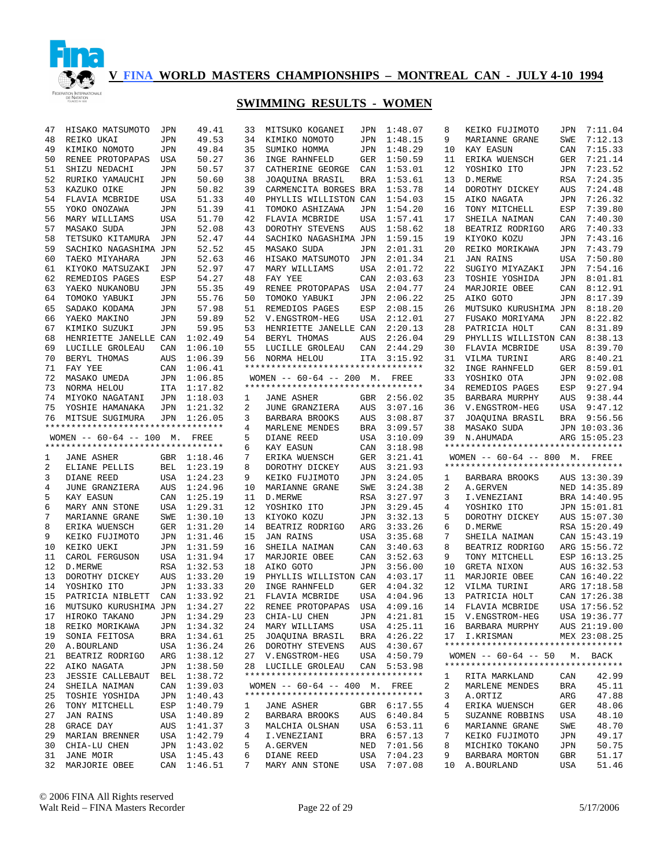

| 47 | HISAKO MATSUMOTO                   | JPN        | 49.41       | 33 | MITSUKO KOGANEI                    | JPN        | 1:48.07     | 8  | KEIKO FUJIMOTO                                     | JPN        | 7:11.04      |
|----|------------------------------------|------------|-------------|----|------------------------------------|------------|-------------|----|----------------------------------------------------|------------|--------------|
| 48 | REIKO UKAI                         | JPN        | 49.53       | 34 | KIMIKO NOMOTO                      | JPN        | 1:48.15     | 9  | MARIANNE GRANE                                     | SWE        | 7:12.13      |
| 49 | KIMIKO NOMOTO                      | <b>JPN</b> | 49.84       | 35 | SUMIKO HOMMA                       | JPN        | 1:48.29     | 10 | KAY EASUN                                          | CAN        | 7:15.33      |
| 50 | RENEE PROTOPAPAS                   | USA        | 50.27       | 36 | INGE RAHNFELD                      | GER        | 1:50.59     | 11 | ERIKA WUENSCH                                      | GER        | 7:21.14      |
| 51 | SHIZU NEDACHI                      | <b>JPN</b> | 50.57       | 37 | CATHERINE GEORGE                   | CAN        | 1:53.01     | 12 | YOSHIKO ITO                                        | JPN        | 7:23.52      |
| 52 | RURIKO YAMAUCHI                    | <b>JPN</b> | 50.60       | 38 | JOAQUINA BRASIL                    | <b>BRA</b> | 1:53.61     | 13 | D.MERWE                                            | RSA        | 7:24.35      |
| 53 | KAZUKO OIKE                        | <b>JPN</b> | 50.82       | 39 | CARMENCITA BORGES BRA              |            | 1:53.78     | 14 | DOROTHY DICKEY                                     | AUS        | 7:24.48      |
| 54 | FLAVIA MCBRIDE                     | USA        | 51.33       | 40 | PHYLLIS WILLISTON CAN              |            | 1:54.03     | 15 | AIKO NAGATA                                        | JPN        | 7:26.32      |
| 55 | YOKO ONOZAWA                       | <b>JPN</b> | 51.39       | 41 | TOMOKO ASHIZAWA                    | JPN        | 1:54.20     | 16 | TONY MITCHELL                                      | ESP        | 7:39.80      |
| 56 | MARY WILLIAMS                      | USA        | 51.70       | 42 | FLAVIA MCBRIDE                     | USA        | 1:57.41     | 17 | SHEILA NAIMAN                                      | CAN        | 7:40.30      |
| 57 | MASAKO SUDA                        | <b>JPN</b> | 52.08       | 43 | DOROTHY STEVENS                    | AUS        | 1:58.62     | 18 | BEATRIZ RODRIGO                                    | ARG        | 7:40.33      |
| 58 | TETSUKO KITAMURA                   | JPN        |             | 44 | SACHIKO NAGASHIMA JPN              |            |             | 19 |                                                    | JPN        | 7:43.16      |
|    |                                    |            | 52.47       |    |                                    |            | 1:59.15     |    | KIYOKO KOZU                                        |            |              |
| 59 | SACHIKO NAGASHIMA JPN              |            | 52.52       | 45 | <b>MASAKO SUDA</b>                 | JPN        | 2:01.31     | 20 | REIKO MORIKAWA                                     | JPN        | 7:43.79      |
| 60 | TAEKO MIYAHARA                     | JPN        | 52.63       | 46 | HISAKO MATSUMOTO                   | JPN        | 2:01.34     | 21 | <b>JAN RAINS</b>                                   | <b>USA</b> | 7:50.80      |
| 61 | KIYOKO MATSUZAKI                   | <b>JPN</b> | 52.97       | 47 | MARY WILLIAMS                      | USA        | 2:01.72     | 22 | SUGIYO MIYAZAKI                                    | JPN        | 7:54.16      |
| 62 | REMEDIOS PAGES                     | ESP        | 54.27       | 48 | FAY YEE                            | CAN        | 2:03.63     | 23 | TOSHIE YOSHIDA                                     | JPN        | 8:01.81      |
| 63 | YAEKO NUKANOBU                     | JPN        | 55.35       | 49 | RENEE PROTOPAPAS                   | USA        | 2:04.77     | 24 | MARJORIE OBEE                                      | CAN        | 8:12.91      |
| 64 | TOMOKO YABUKI                      | JPN        | 55.76       | 50 | TOMOKO YABUKI                      | JPN        | 2:06.22     | 25 | AIKO GOTO                                          | JPN        | 8:17.39      |
| 65 | SADAKO KODAMA                      | JPN        | 57.98       | 51 | REMEDIOS PAGES                     | ESP        | 2:08.15     | 26 | MUTSUKO KURUSHIMA JPN                              |            | 8:18.20      |
| 66 | YAEKO MAKINO                       | JPN        | 59.89       | 52 | V.ENGSTROM-HEG                     | USA        | 2:12.01     | 27 | FUSAKO MORIYAMA                                    | JPN        | 8:22.82      |
| 67 | KIMIKO SUZUKI                      | JPN        | 59.95       | 53 | HENRIETTE JANELLE CAN              |            | 2:20.13     | 28 | PATRICIA HOLT                                      | CAN        | 8:31.89      |
| 68 | HENRIETTE JANELLE CAN              |            | 1:02.49     | 54 | BERYL THOMAS                       | AUS        | 2:26.04     | 29 | PHYLLIS WILLISTON CAN                              |            | 8:38.13      |
| 69 | LUCILLE GROLEAU                    | CAN        | 1:06.10     | 55 | LUCILLE GROLEAU                    | CAN        | 2:44.29     | 30 | FLAVIA MCBRIDE                                     | USA        | 8:39.70      |
| 70 | BERYL THOMAS                       | AUS        | 1:06.39     | 56 | NORMA HELOU                        | ITA        | 3:15.92     | 31 | VILMA TURINI                                       | ARG        | 8:40.21      |
| 71 | FAY YEE                            | CAN        | 1:06.41     |    | ********************************** |            |             | 32 | INGE RAHNFELD                                      | GER        | 8:59.01      |
| 72 | MASAKO UMEDA                       | JPN        | 1:06.85     |    | WOMEN -- 60-64 -- 200 M. FREE      |            |             | 33 | YOSHIKO OTA                                        | JPN        | 9:02.08      |
|    |                                    |            |             |    | *********************************  |            |             |    |                                                    |            |              |
| 73 | NORMA HELOU                        | ITA        | 1:17.82     |    |                                    |            |             | 34 | REMEDIOS PAGES                                     | ESP        | 9:27.94      |
| 74 | MIYOKO NAGATANI                    | JPN        | 1:18.03     | 1  | <b>JANE ASHER</b>                  | GBR        | 2:56.02     | 35 | BARBARA MURPHY                                     | AUS        | 9:38.44      |
| 75 | YOSHIE HAMANAKA                    | JPN        | 1:21.32     | 2  | JUNE GRANZIERA                     | AUS        | 3:07.16     | 36 | V.ENGSTROM-HEG                                     | USA        | 9:47.12      |
| 76 | MITSUE SUGIMURA                    | <b>JPN</b> | 1:26.05     | 3  | BARBARA BROOKS                     | AUS        | 3:08.87     | 37 | JOAQUINA BRASIL                                    | BRA        | 9:56.56      |
|    | ********************************** |            |             | 4  | MARLENE MENDES                     | BRA        | 3:09.57     | 38 | MASAKO SUDA                                        |            | JPN 10:03.36 |
|    | WOMEN $-- 60-64 -- 100$ M.         |            | FREE        | 5  | DIANE REED                         | USA        | 3:10.09     | 39 | N.AHUMADA                                          |            | ARG 15:05.23 |
|    |                                    |            |             |    |                                    |            |             |    |                                                    |            |              |
|    | ********************************** |            |             | 6  | <b>KAY EASUN</b>                   | CAN        | 3:18.98     |    | **********************************                 |            |              |
| 1  | <b>JANE ASHER</b>                  | GBR        | 1:18.46     | 7  | ERIKA WUENSCH                      | GER        | 3:21.41     |    | WOMEN -- 60-64 -- 800 M. FREE                      |            |              |
| 2  | ELIANE PELLIS                      | BEL        | 1:23.19     | 8  | DOROTHY DICKEY                     | AUS        | 3:21.93     |    | **********************************                 |            |              |
| 3  | DIANE REED                         | USA        |             | 9  |                                    | JPN        |             | 1  |                                                    |            |              |
|    |                                    |            | 1:24.23     | 10 | KEIKO FUJIMOTO                     |            | 3:24.05     |    | BARBARA BROOKS                                     |            | AUS 13:30.39 |
| 4  | JUNE GRANZIERA                     | AUS        | 1:24.96     |    | MARIANNE GRANE                     | SWE        | 3:24.38     | 2  | A.GERVEN                                           |            | NED 14:35.89 |
| 5  | KAY EASUN                          | CAN        | 1:25.19     | 11 | D. MERWE                           | RSA        | 3:27.97     | 3  | I.VENEZIANI                                        |            | BRA 14:40.95 |
| 6  | MARY ANN STONE                     | <b>USA</b> | 1:29.31     | 12 | YOSHIKO ITO                        | JPN        | 3:29.45     | 4  | YOSHIKO ITO                                        |            | JPN 15:01.81 |
| 7  | MARIANNE GRANE                     | SWE        | 1:30.10     | 13 | KIYOKO KOZU                        | JPN        | 3:32.13     | 5  | DOROTHY DICKEY                                     |            | AUS 15:07.30 |
| 8  | ERIKA WUENSCH                      | GER        | 1:31.20     | 14 | BEATRIZ RODRIGO                    | ARG        | 3:33.26     | 6  | D. MERWE                                           |            | RSA 15:20.49 |
| 9  | KEIKO FUJIMOTO                     | JPN        | 1:31.46     | 15 | <b>JAN RAINS</b>                   | USA        | 3:35.68     | 7  | SHEILA NAIMAN                                      |            | CAN 15:43.19 |
| 10 | KEIKO UEKI                         | JPN        | 1:31.59     | 16 | SHEILA NAIMAN                      | CAN        | 3:40.63     | 8  | BEATRIZ RODRIGO                                    |            | ARG 15:56.72 |
| 11 | CAROL FERGUSON                     | USA        | 1:31.94     | 17 | MARJORIE OBEE                      | CAN        | 3:52.63     | 9  | TONY MITCHELL                                      |            | ESP 16:13.25 |
| 12 | D.MERWE                            | RSA        | 1:32.53     | 18 | AIKO GOTO                          | JPN        | 3:56.00     | 10 | GRETA NIXON                                        |            | AUS 16:32.53 |
| 13 | DOROTHY DICKEY                     | AUS        | 1:33.20     | 19 | PHYLLIS WILLISTON CAN              |            | 4:03.17     | 11 | MARJORIE OBEE                                      |            | CAN 16:40.22 |
| 14 | YOSHIKO ITO                        | JPN        | 1:33.33     | 20 | INGE RAHNFELD                      | GER        | 4:04.32     | 12 | VILMA TURINI                                       |            | ARG 17:18.58 |
| 15 | PATRICIA NIBLETT                   | CAN        | 1:33.92     | 21 | FLAVIA MCBRIDE                     | USA        | 4:04.96     | 13 | PATRICIA HOLT                                      |            | CAN 17:26.38 |
| 16 | MUTSUKO KURUSHIMA JPN              |            | 1:34.27     | 22 | RENEE PROTOPAPAS                   |            | USA 4:09.16 | 14 | FLAVIA MCBRIDE                                     |            | USA 17:56.52 |
| 17 |                                    |            |             |    |                                    |            |             |    | 15 V.ENGSTROM-HEG                                  |            |              |
|    | HIROKO TAKANO JPN 1:34.29          |            |             |    | 23 CHIA-LU CHEN                    |            | JPN 4:21.81 |    |                                                    |            | USA 19:36.77 |
| 18 | REIKO MORIKAWA                     |            | JPN 1:34.32 |    | 24 MARY WILLIAMS                   |            | USA 4:25.11 |    | 16 BARBARA MURPHY                                  |            | AUS 21:19.00 |
| 19 | SONIA FEITOSA                      |            | BRA 1:34.61 |    | 25 JOAQUINA BRASIL                 |            | BRA 4:26.22 |    | 17 I.KRISMAN<br>********************************** |            | MEX 23:08.25 |
| 20 | A.BOURLAND                         |            | USA 1:36.24 |    | 26 DOROTHY STEVENS                 |            | AUS 4:30.67 |    |                                                    |            |              |
| 21 | BEATRIZ RODRIGO                    |            | ARG 1:38.12 |    | 27 V.ENGSTROM-HEG                  |            | USA 4:50.79 |    | WOMEN $-- 60-64 -- 50$ M. BACK                     |            |              |
| 22 | AIKO NAGATA                        |            | JPN 1:38.50 |    | 28 LUCILLE GROLEAU                 |            | CAN 5:53.98 |    | **********************************                 |            |              |
| 23 | <b>JESSIE CALLEBAUT</b>            |            | BEL 1:38.72 |    | ********************************** |            |             | 1  | RITA MARKLAND                                      | CAN        | 42.99        |
| 24 | SHEILA NAIMAN                      |            | CAN 1:39.03 |    | WOMEN -- 60-64 -- 400 M. FREE      |            |             | 2  | MARLENE MENDES                                     | BRA        | 45.11        |
| 25 | TOSHIE YOSHIDA                     |            | JPN 1:40.43 |    | ********************************** |            |             | 3  | A.ORTIZ                                            | ARG        | 47.88        |
| 26 | TONY MITCHELL                      |            | ESP 1:40.79 | ı. | JANE ASHER                         |            | GBR 6:17.55 | 4  | ERIKA WUENSCH                                      | GER        | 48.06        |
| 27 | JAN RAINS                          |            | USA 1:40.89 | 2  | BARBARA BROOKS                     |            | AUS 6:40.84 | 5  | SUZANNE ROBBINS                                    | USA        | 48.10        |
| 28 | GRACE DAY                          |            | AUS 1:41.37 | 3  | MALCHIA OLSHAN                     |            | USA 6:53.11 | 6  | MARIANNE GRANE                                     | SWE        | 48.70        |
| 29 | MARIAN BRENNER                     |            | USA 1:42.79 | 4  | I.VENEZIANI                        |            | BRA 6:57.13 | 7  | KEIKO FUJIMOTO                                     | JPN        | 49.17        |
| 30 | CHIA-LU CHEN                       |            | JPN 1:43.02 | 5  | A.GERVEN                           | NED        | 7:01.56     | 8  | MICHIKO TOKANO                                     | JPN        | 50.75        |
| 31 | JANE MOIR                          |            | USA 1:45.43 | 6  | DIANE REED                         | USA        | 7:04.23     | 9  | BARBARA MORTON                                     | GBR        | 51.17        |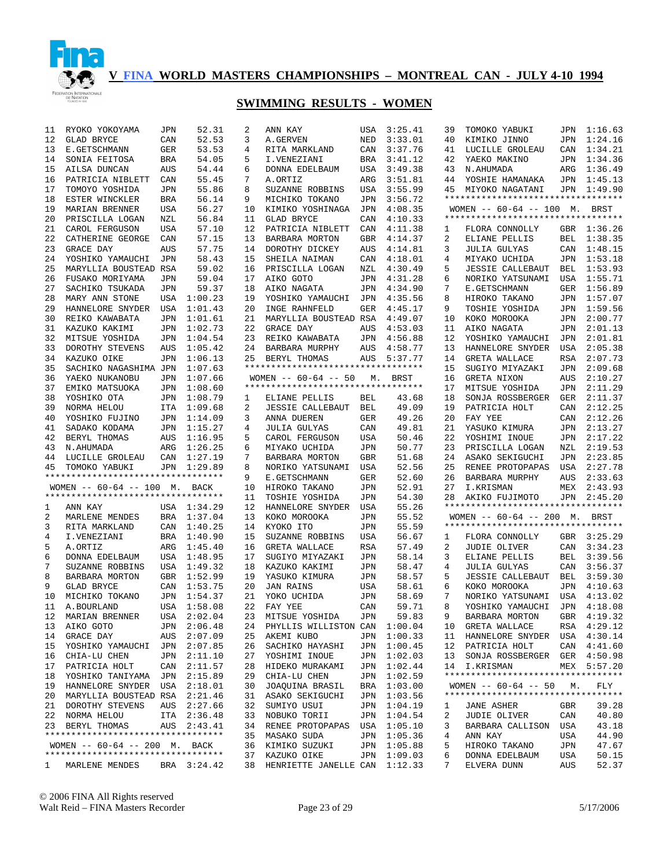

| 11           | RYOKO YOKOYAMA                     | JPN        | 52.31       | 2  | ANN KAY                           | USA        | 3:25.41     | 39 | TOMOKO YABUKI                                                       | JPN | 1:16.63     |
|--------------|------------------------------------|------------|-------------|----|-----------------------------------|------------|-------------|----|---------------------------------------------------------------------|-----|-------------|
| 12           | GLAD BRYCE                         | CAN        | 52.53       | 3  | A.GERVEN                          | NED        | 3:33.01     | 40 | KIMIKO JINNO                                                        | JPN | 1:24.16     |
| 13           | E.GETSCHMANN                       | GER        | 53.53       | 4  | RITA MARKLAND                     | CAN        | 3:37.76     | 41 | LUCILLE GROLEAU                                                     | CAN | 1:34.21     |
| 14           | SONIA FEITOSA                      | BRA        | 54.05       | 5  | I.VENEZIANI                       | <b>BRA</b> | 3:41.12     | 42 | YAEKO MAKINO                                                        | JPN | 1:34.36     |
| 15           | AILSA DUNCAN                       | AUS        | 54.44       | 6  | DONNA EDELBAUM                    | USA        | 3:49.38     | 43 | N.AHUMADA                                                           | ARG | 1:36.49     |
| 16           | PATRICIA NIBLETT                   | CAN        | 55.45       | 7  | A.ORTIZ                           | ARG        | 3:51.81     | 44 | YOSHIE HAMANAKA                                                     | JPN | 1:45.13     |
| 17           | TOMOYO YOSHIDA                     | JPN        | 55.86       | 8  | SUZANNE ROBBINS                   | USA        | 3:55.99     | 45 | MIYOKO NAGATANI                                                     |     | JPN 1:49.90 |
| 18           | ESTER WINCKLER                     | BRA        | 56.14       | 9  | MICHIKO TOKANO                    | JPN        | 3:56.72     |    | **********************************                                  |     |             |
| 19           | MARIAN BRENNER                     | USA        | 56.27       | 10 | KIMIKO YOSHINAGA                  | JPN        | 4:08.35     |    | WOMEN $-- 60-64 -- 100$ M. BRST                                     |     |             |
| 20           | PRISCILLA LOGAN                    | NZL        | 56.84       | 11 | <b>GLAD BRYCE</b>                 | CAN        | 4:10.33     |    | **********************************                                  |     |             |
| 21           | CAROL FERGUSON                     | USA        | 57.10       | 12 | PATRICIA NIBLETT                  | CAN        | 4:11.38     | 1  | FLORA CONNOLLY                                                      |     | GBR 1:36.26 |
| 22           | CATHERINE GEORGE                   |            |             | 13 |                                   |            |             | 2  | ELIANE PELLIS                                                       |     | 1:38.35     |
|              |                                    | CAN        | 57.15       |    | BARBARA MORTON                    | GBR        | 4:14.37     |    |                                                                     | BEL |             |
| 23           | GRACE DAY                          | AUS        | 57.75       | 14 | DOROTHY DICKEY                    | AUS        | 4:14.81     | 3  | <b>JULIA GULYAS</b>                                                 |     | CAN 1:48.15 |
| 24           | YOSHIKO YAMAUCHI                   | JPN        | 58.43       | 15 | SHEILA NAIMAN                     | CAN        | 4:18.01     | 4  | MIYAKO UCHIDA                                                       | JPN | 1:53.18     |
| 25           | MARYLLIA BOUSTEAD RSA              |            | 59.02       | 16 | PRISCILLA LOGAN                   | NZL        | 4:30.49     | 5  | <b>JESSIE CALLEBAUT</b>                                             | BEL | 1:53.93     |
| 26           | FUSAKO MORIYAMA                    | JPN        | 59.04       | 17 | AIKO GOTO                         | JPN        | 4:31.28     | 6  | NORIKO YATSUNAMI                                                    | USA | 1:55.71     |
| 27           | SACHIKO TSUKADA                    | JPN        | 59.37       | 18 | AIKO NAGATA                       | JPN        | 4:34.90     | 7  | E.GETSCHMANN                                                        | GER | 1:56.89     |
| 28           | MARY ANN STONE                     | USA        | 1:00.23     | 19 | YOSHIKO YAMAUCHI                  | JPN        | 4:35.56     | 8  | HIROKO TAKANO                                                       | JPN | 1:57.07     |
| 29           | HANNELORE SNYDER                   | USA        | 1:01.43     | 20 | INGE RAHNFELD                     | GER        | 4:45.17     | 9  | TOSHIE YOSHIDA                                                      | JPN | 1:59.56     |
| 30           | REIKO KAWABATA                     | <b>JPN</b> | 1:01.61     | 21 | MARYLLIA BOUSTEAD RSA             |            | 4:49.07     | 10 | KOKO MOROOKA                                                        | JPN | 2:00.77     |
| 31           | KAZUKO KAKIMI                      | JPN        | 1:02.73     | 22 | GRACE DAY                         | AUS        | 4:53.03     | 11 | AIKO NAGATA                                                         | JPN | 2:01.13     |
| 32           | MITSUE YOSHIDA                     | <b>JPN</b> | 1:04.54     | 23 | REIKO KAWABATA                    | JPN        | 4:56.88     | 12 | YOSHIKO YAMAUCHI                                                    | JPN | 2:01.81     |
| 33           | DOROTHY STEVENS                    | AUS        | 1:05.42     | 24 | BARBARA MURPHY                    | AUS        | 4:58.77     | 13 | HANNELORE SNYDER                                                    | USA | 2:05.38     |
| 34           | KAZUKO OIKE                        | JPN        | 1:06.13     | 25 | BERYL THOMAS                      | AUS        | 5:37.77     | 14 | GRETA WALLACE                                                       | RSA | 2:07.73     |
| 35           |                                    |            |             |    | ********************************* |            |             |    |                                                                     |     |             |
|              | SACHIKO NAGASHIMA JPN              |            | 1:07.63     |    |                                   |            |             | 15 | SUGIYO MIYAZAKI                                                     | JPN | 2:09.68     |
| 36           | YAEKO NUKANOBU                     | <b>JPN</b> | 1:07.66     |    | WOMEN $--$ 60-64 -- 50            | М.         | BRST        | 16 | GRETA NIXON                                                         | AUS | 2:10.27     |
| 37           | EMIKO MATSUOKA                     | JPN        | 1:08.60     |    | ********************************* |            |             | 17 | MITSUE YOSHIDA                                                      | JPN | 2:11.29     |
| 38           | YOSHIKO OTA                        | JPN        | 1:08.79     | 1  | ELIANE PELLIS                     | BEL        | 43.68       | 18 | SONJA ROSSBERGER                                                    | GER | 2:11.37     |
| 39           | NORMA HELOU                        | ITA        | 1:09.68     | 2  | <b>JESSIE CALLEBAUT</b>           | BEL        | 49.09       | 19 | PATRICIA HOLT                                                       | CAN | 2:12.25     |
| 40           | YOSHIKO FUJINO                     | JPN        | 1:14.09     | 3  | ANNA DUEREN                       | GER        | 49.26       | 20 | FAY YEE                                                             | CAN | 2:12.26     |
| 41           | SADAKO KODAMA                      | JPN        | 1:15.27     | 4  | <b>JULIA GULYAS</b>               | CAN        | 49.81       | 21 | YASUKO KIMURA                                                       | JPN | 2:13.27     |
| 42           | BERYL THOMAS                       | AUS        | 1:16.95     | 5  | CAROL FERGUSON                    | USA        | 50.46       | 22 | YOSHIMI INOUE                                                       | JPN | 2:17.22     |
| 43           | N.AHUMADA                          | ARG        | 1:26.25     | 6  | MIYAKO UCHIDA                     | JPN        | 50.77       | 23 | PRISCILLA LOGAN                                                     | NZL | 2:19.53     |
| 44           | LUCILLE GROLEAU                    | CAN        | 1:27.19     | 7  | BARBARA MORTON                    | GBR        | 51.68       | 24 | ASAKO SEKIGUCHI                                                     | JPN | 2:23.85     |
| 45           | TOMOKO YABUKI                      | JPN        | 1:29.89     | 8  | NORIKO YATSUNAMI                  | USA        | 52.56       | 25 | RENEE PROTOPAPAS                                                    | USA | 2:27.78     |
|              | ********************************** |            |             | 9  | E.GETSCHMANN                      | GER        | 52.60       | 26 | BARBARA MURPHY                                                      | AUS | 2:33.63     |
|              | WOMEN $-- 60-64 -- 100$ M. BACK    |            |             | 10 | HIROKO TAKANO                     | JPN        | 52.91       | 27 | I.KRISMAN                                                           | MEX | 2:43.93     |
|              | ********************************** |            |             | 11 | TOSHIE YOSHIDA                    | JPN        | 54.30       | 28 | AKIKO FUJIMOTO                                                      | JPN | 2:45.20     |
|              |                                    |            |             | 12 |                                   |            |             |    | **********************************                                  |     |             |
| 1            | ANN KAY                            |            | USA 1:34.29 |    | HANNELORE SNYDER                  | USA        | 55.26       |    |                                                                     |     |             |
| 2            | MARLENE MENDES                     | BRA        | 1:37.04     | 13 | KOKO MOROOKA                      | JPN        | 55.52       |    | WOMEN -- 60-64 -- 200 M. BRST<br>********************************** |     |             |
| 3            | RITA MARKLAND                      | CAN        | 1:40.25     | 14 | KYOKO ITO                         | JPN        | 55.59       |    |                                                                     |     |             |
| 4            | I.VENEZIANI                        | <b>BRA</b> | 1:40.90     | 15 | SUZANNE ROBBINS                   | USA        | 56.67       | 1  | FLORA CONNOLLY                                                      | GBR | 3:25.29     |
| 5            | A.ORTIZ                            | ARG        | 1:45.40     | 16 | GRETA WALLACE                     | RSA        | 57.49       | 2  | <b>JUDIE OLIVER</b>                                                 | CAN | 3:34.23     |
| 6            | DONNA EDELBAUM                     | <b>USA</b> | 1:48.95     | 17 | SUGIYO MIYAZAKI                   | JPN        | 58.14       | 3  | ELIANE PELLIS                                                       | BEL | 3:39.56     |
| 7            | SUZANNE ROBBINS                    | <b>USA</b> | 1:49.32     | 18 | KAZUKO KAKIMI                     | JPN        | 58.47       | 4  | <b>JULIA GULYAS</b>                                                 | CAN | 3:56.37     |
| 8            | BARBARA MORTON                     | <b>GBR</b> | 1:52.99     | 19 | YASUKO KIMURA                     | JPN        | 58.57       | 5  | <b>JESSIE CALLEBAUT</b>                                             | BEL | 3:59.30     |
| 9            | <b>GLAD BRYCE</b>                  | CAN        | 1:53.75     | 20 | <b>JAN RAINS</b>                  | USA        | 58.61       | 6  | KOKO MOROOKA                                                        | JPN | 4:10.63     |
| 10           | MICHIKO TOKANO                     | <b>JPN</b> | 1:54.37     | 21 | YOKO UCHIDA                       | JPN        | 58.69       | 7  | NORIKO YATSUNAMI                                                    | USA | 4:13.02     |
| 11           | A.BOURLAND                         | USA        | 1:58.08     | 22 | FAY YEE                           | CAN        | 59.71       | 8  | YOSHIKO YAMAUCHI                                                    | JPN | 4:18.08     |
| 12           | MARIAN BRENNER                     |            | USA 2:02.04 |    | 23 MITSUE YOSHIDA                 | JPN        | 59.83       | q  | BARBARA MORTON                                                      |     | GBR 4:19.32 |
|              | 13 AIKO GOTO                       |            | JPN 2:06.48 |    | 24 PHYLLIS WILLISTON CAN 1:00.04  |            |             |    | 10 GRETA WALLACE                                                    |     | RSA 4:29.12 |
|              | 14 GRACE DAY                       |            | AUS 2:07.09 | 25 | AKEMI KUBO                        |            | JPN 1:00.33 | 11 | HANNELORE SNYDER USA 4:30.14                                        |     |             |
|              |                                    |            |             |    |                                   |            |             |    |                                                                     |     |             |
| 15           | YOSHIKO YAMAUCHI JPN 2:07.85       |            |             | 26 | SACHIKO HAYASHI                   |            | JPN 1:00.45 | 12 | PATRICIA HOLT                                                       |     | CAN 4:41.60 |
|              | 16 CHIA-LU CHEN                    |            | JPN 2:11.10 | 27 | YOSHIMI INOUE                     |            | JPN 1:02.03 | 13 | SONJA ROSSBERGER GER 4:50.98                                        |     |             |
| 17           | PATRICIA HOLT                      |            | CAN 2:11.57 | 28 | HIDEKO MURAKAMI                   | JPN        | 1:02.44     | 14 | I.KRISMAN                                                           |     | MEX 5:57.20 |
|              | 18 YOSHIKO TANIYAMA JPN 2:15.89    |            |             | 29 | CHIA-LU CHEN                      |            | JPN 1:02.59 |    | **********************************                                  |     |             |
|              | 19 HANNELORE SNYDER USA 2:18.01    |            |             | 30 | JOAQUINA BRASIL                   | BRA        | 1:03.00     |    | WOMEN $- - 60 - 64$ $- - 50$ M.                                     |     | FLY         |
|              | 20 MARYLLIA BOUSTEAD RSA 2:21.46   |            |             |    | 31 ASAKO SEKIGUCHI                |            | JPN 1:03.56 |    | **********************************                                  |     |             |
|              | 21 DOROTHY STEVENS                 |            | AUS 2:27.66 |    | 32 SUMIYO USUI                    | JPN        | 1:04.19     | ı  | JANE ASHER                                                          | GBR | 39.28       |
|              | 22 NORMA HELOU                     |            | ITA 2:36.48 |    | 33 NOBUKO TORII                   |            | JPN 1:04.54 | 2  | JUDIE OLIVER                                                        | CAN | 40.80       |
|              | 23 BERYL THOMAS                    |            | AUS 2:43.41 |    | 34 RENEE PROTOPAPAS               | USA        | 1:05.10     | 3  | BARBARA CALLISON                                                    | USA | 43.18       |
|              | ********************************** |            |             |    | 35 MASAKO SUDA                    |            | JPN 1:05.36 | 4  | ANN KAY                                                             | USA | 44.90       |
|              | WOMEN $-- 60-64 -- 200$ M. BACK    |            |             |    | 36 KIMIKO SUZUKI                  | JPN        | 1:05.88     | 5  | HIROKO TAKANO                                                       | JPN | 47.67       |
|              | ********************************** |            |             |    | 37 KAZUKO OIKE                    | JPN        | 1:09.03     | 6  | DONNA EDELBAUM                                                      | USA | 50.15       |
| $\mathbf{1}$ | MARLENE MENDES                     |            | BRA 3:24.42 |    | 38 HENRIETTE JANELLE CAN 1:12.33  |            |             | 7  | ELVERA DUNN                                                         | AUS | 52.37       |
|              |                                    |            |             |    |                                   |            |             |    |                                                                     |     |             |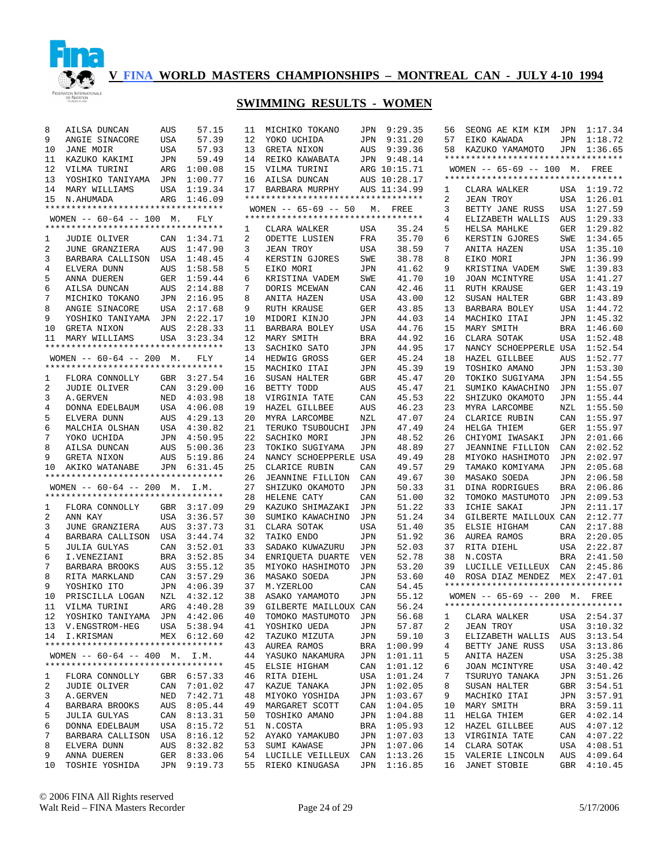

| 8      | AILSA DUNCAN                                                     | AUS        | 57.15              | 11       | MICHIKO TOKANO                       |            | JPN 9:29.35    | 56       | SEONG AE KIM KIM                                 |            | JPN 1:17.34            |
|--------|------------------------------------------------------------------|------------|--------------------|----------|--------------------------------------|------------|----------------|----------|--------------------------------------------------|------------|------------------------|
| 9      | ANGIE SINACORE                                                   | USA        | 57.39              | 12       | YOKO UCHIDA                          | JPN        | 9:31.20        | 57       | EIKO KAWADA                                      |            | JPN 1:18.72            |
| 10     | <b>JANE MOIR</b>                                                 | <b>USA</b> | 57.93              | 13       | GRETA NIXON                          | AUS        | 9:39.36        | 58       | KAZUKO YAMAMOTO                                  |            | JPN 1:36.65            |
| 11     | KAZUKO KAKIMI                                                    | JPN        | 59.49              |          | 14 REIKO KAWABATA                    | JPN        | 9:48.14        |          | **********************************               |            |                        |
| 12     | VILMA TURINI                                                     | ARG        | 1:00.08            | 15       | VILMA TURINI                         |            | ARG 10:15.71   |          | WOMEN -- 65-69 -- 100 M. FREE                    |            |                        |
| 13     | YOSHIKO TANIYAMA JPN                                             |            | 1:00.77            | 16       | AILSA DUNCAN                         |            | AUS 10:28.17   |          | **********************************               |            |                        |
| 14     | MARY WILLIAMS                                                    | USA        | 1:19.34            | 17       | BARBARA MURPHY                       |            | AUS 11:34.99   | 1        | CLARA WALKER                                     |            | USA 1:19.72            |
|        | 15 N.AHUMADA                                                     | ARG        | 1:46.09            |          | **********************************   |            |                | 2        | <b>JEAN TROY</b>                                 |            | USA 1:26.01            |
|        | **********************************                               |            |                    |          | $WOMEN$ -- 65-69 -- 50               |            | M. FREE        | 3        | BETTY JANE RUSS                                  | USA        | 1:27.59                |
|        | WOMEN $-- 60-64 -- 100$ M.<br>********************************** |            | FLY                |          | **********************************   |            |                | 4        | ELIZABETH WALLIS                                 | AUS        | 1:29.33                |
|        | <b>JUDIE OLIVER</b>                                              |            |                    | 1        | CLARA WALKER<br><b>ODETTE LUSIEN</b> | USA        | 35.24          | 5        | HELSA MAHLKE                                     |            | GER 1:29.82            |
| 1<br>2 |                                                                  |            | CAN 1:34.71        | 2        | JEAN TROY                            | FRA        | 35.70          | 6<br>7   | KERSTIN GJORES                                   | SWE        | 1:34.65                |
| 3      | JUNE GRANZIERA<br>BARBARA CALLISON USA                           | AUS        | 1:47.90<br>1:48.45 | 3<br>4   | KERSTIN GJORES                       | USA<br>SWE | 38.59<br>38.78 | 8        | ANITA HAZEN<br>EIKO MORI                         | JPN        | USA 1:35.10<br>1:36.99 |
| 4      | ELVERA DUNN                                                      | AUS        | 1:58.58            | 5        | EIKO MORI                            | JPN        | 41.62          | 9        | KRISTINA VADEM                                   | SWE        | 1:39.83                |
| 5      | ANNA DUEREN                                                      | GER        | 1:59.44            | 6        | KRISTINA VADEM                       | SWE        | 41.70          | 10       | JOAN MCINTYRE                                    | USA        | 1:41.27                |
| 6      | AILSA DUNCAN                                                     | AUS        | 2:14.88            | 7        | DORIS MCEWAN                         | CAN        | 42.46          | 11       | RUTH KRAUSE                                      |            | GER 1:43.19            |
| 7      | MICHIKO TOKANO                                                   | JPN        | 2:16.95            | 8        | ANITA HAZEN                          | USA        | 43.00          | 12       | SUSAN HALTER                                     | <b>GBR</b> | 1:43.89                |
| 8      | ANGIE SINACORE                                                   | USA        | 2:17.68            | 9        | RUTH KRAUSE                          | GER        | 43.85          | 13       | BARBARA BOLEY                                    | USA        | 1:44.72                |
| 9      | YOSHIKO TANIYAMA                                                 | JPN        | 2:22.17            | 10       | MIDORI KINJO                         | JPN        | 44.03          | 14       | MACHIKO ITAI                                     |            | JPN 1:45.32            |
| 10     | GRETA NIXON                                                      | AUS        | 2:28.33            | 11       | BARBARA BOLEY                        | USA        | 44.76          | 15       | MARY SMITH                                       | BRA        | 1:46.60                |
| 11     | MARY WILLIAMS                                                    |            | USA 3:23.34        | 12       | MARY SMITH                           | <b>BRA</b> | 44.92          | 16       | CLARA SOTAK                                      | USA        | 1:52.48                |
|        | **********************************                               |            |                    | 13       | SACHIKO SATO                         | JPN        | 44.95          | 17       | NANCY SCHOEPPERLE USA                            |            | 1:52.54                |
|        | WOMEN $-- 60-64 -- 200$ M.                                       |            | <b>FLY</b>         | 14       | HEDWIG GROSS                         | GER        | 45.24          | 18       | HAZEL GILLBEE                                    | AUS        | 1:52.77                |
|        | **********************************                               |            |                    | 15       | MACHIKO ITAI                         | JPN        | 45.39          | 19       | TOSHIKO AMANO                                    | JPN        | 1:53.30                |
| 1      | FLORA CONNOLLY                                                   |            | GBR 3:27.54        | 16       | SUSAN HALTER                         | <b>GBR</b> | 45.47          | 20       | TOKIKO SUGIYAMA                                  | JPN        | 1:54.55                |
| 2      | <b>JUDIE OLIVER</b>                                              | CAN        | 3:29.00            | 16       | BETTY TODD                           | AUS        | 45.47          | 21       | SUMIKO KAWACHINO                                 | JPN        | 1:55.07                |
| 3      | A.GERVEN                                                         | NED        | 4:03.98            | 18       | VIRGINIA TATE                        | CAN        | 45.53          | 22       | SHIZUKO OKAMOTO                                  | JPN        | 1:55.44                |
| 4      | DONNA EDELBAUM                                                   |            | USA 4:06.08        | 19       | HAZEL GILLBEE                        | AUS        | 46.23          | 23       | MYRA LARCOMBE                                    | NZL        | 1:55.50                |
| 5      | ELVERA DUNN                                                      | AUS        | 4:29.13            | 20       | MYRA LARCOMBE                        | NZL        | 47.07          | 24       | CLARICE RUBIN                                    |            | CAN 1:55.97            |
| 6      | MALCHIA OLSHAN                                                   |            | USA 4:30.82        | 21       | TERUKO TSUBOUCHI                     | JPN        | 47.49          | 24       | HELGA THIEM                                      | GER        | 1:55.97                |
| 7      | YOKO UCHIDA                                                      |            | JPN 4:50.95        | 22       | SACHIKO MORI                         | JPN        | 48.52          | 26       | CHIYOMI IWASAKI                                  | JPN        | 2:01.66                |
| 8      | AILSA DUNCAN                                                     | AUS        | 5:00.36            | 23       | TOKIKO SUGIYAMA                      | JPN        | 48.89          | 27       | <b>JEANNINE FILLION</b>                          | CAN        | 2:02.52                |
| 9      | GRETA NIXON                                                      | AUS        | 5:19.86            | 24       | NANCY SCHOEPPERLE USA                |            | 49.49          | 28       | MIYOKO HASHIMOTO                                 | JPN        | 2:02.97                |
| 10     | AKIKO WATANABE                                                   | JPN        | 6:31.45            | 25       | CLARICE RUBIN                        | CAN        | 49.57          | 29       | TAMAKO KOMIYAMA                                  | JPN        | 2:05.68                |
|        | **********************************                               |            |                    | 26       | <b>JEANNINE FILLION</b>              | CAN        | 49.67          | 30       | MASAKO SOEDA                                     | JPN        | 2:06.58                |
|        | WOMEN $-- 60-64 -- 200$ M. I.M.                                  |            |                    | 27       | SHIZUKO OKAMOTO                      | JPN        | 50.33          | 31       | DINA RODRIGUES                                   | BRA        | 2:06.86                |
|        | **********************************                               |            |                    | 28       | HELENE CATY                          | CAN        | 51.00          | 32       | TOMOKO MASTUMOTO                                 | JPN        | 2:09.53                |
| 1      | FLORA CONNOLLY                                                   |            | GBR 3:17.09        | 29       | KAZUKO SHIMAZAKI                     | JPN        | 51.22          | 33       | ICHIE SAKAI                                      | <b>JPN</b> | 2:11.17                |
| 2      | ANN KAY                                                          | USA        | 3:36.57            | 30       | SUMIKO KAWACHINO                     | JPN        | 51.24          | 34       | GILBERTE MAILLOUX CAN                            |            | 2:12.77                |
| 3      | JUNE GRANZIERA                                                   | <b>AUS</b> | 3:37.73            | 31       | CLARA SOTAK                          | USA        | 51.40          | 35       | ELSIE HIGHAM                                     | CAN        | 2:17.88                |
| 4      | BARBARA CALLISON USA 3:44.74                                     |            |                    | 32       | TAIKO ENDO                           | JPN        | 51.92          | 36       | AUREA RAMOS                                      |            | BRA 2:20.05            |
| 5      | <b>JULIA GULYAS</b>                                              | CAN        | 3:52.01            | 33       | SADAKO KUWAZURU                      | JPN        | 52.03          | 37       | RITA DIEHL                                       | USA        | 2:22.87                |
| 6      | I.VENEZIANI                                                      |            | BRA 3:52.85        | 34       | ENRIOUETA DUARTE                     | VEN        | 52.78          | 38       | N.COSTA                                          | BRA        | 2:41.50                |
| 7<br>8 | BARBARA BROOKS                                                   | AUS        | 3:55.12<br>3:57.29 | 35<br>36 | MIYOKO HASHIMOTO                     | JPN        | 53.20<br>53.60 | 39<br>40 | LUCILLE VEILLEUX<br>ROSA DIAZ MENDEZ MEX 2:47.01 | CAN        | 2:45.86                |
| 9      | RITA MARKLAND                                                    | CAN        | JPN 4:06.39        | 37       | MASAKO SOEDA<br>M.YZERLOO            | JPN<br>CAN | 54.45          |          | **********************************               |            |                        |
| 10     | YOSHIKO ITO<br>PRISCILLA LOGAN                                   | NZL        | 4:32.12            | 38       | ASAKO YAMAMOTO                       | JPN        | 55.12          |          | WOMEN -- 65-69 -- 200 M. FREE                    |            |                        |
| 11     | VILMA TURINI                                                     |            | ARG 4:40.28        | 39       | GILBERTE MAILLOUX CAN                |            | 56.24          |          | **********************************               |            |                        |
|        | 12 YOSHIKO TANIYAMA JPN 4:42.06                                  |            |                    | 40       | TOMOKO MASTUMOTO JPN                 |            | 56.68          |          | 1 CLARA WALKER USA 2:54.37                       |            |                        |
|        | 13 V.ENGSTROM-HEG                                                |            | USA 5:38.94        |          | 41 YOSHIKO UEDA                      | JPN        | 57.87          | 2        | JEAN TROY                                        |            | USA 3:10.32            |
|        | 14 I.KRISMAN                                                     |            | MEX 6:12.60        | 42       | TAZUKO MIZUTA                        | JPN        | 59.10          | 3        | ELIZABETH WALLIS                                 |            | AUS 3:13.54            |
|        | **********************************                               |            |                    |          | 43 AUREA RAMOS                       | BRA        | 1:00.99        | 4        | BETTY JANE RUSS                                  |            | USA 3:13.86            |
|        | WOMEN $--$ 60-64 -- 400 M. I.M.                                  |            |                    |          | 44 YASUKO NAKAMURA                   | JPN        | 1:01.11        | 5        | ANITA HAZEN                                      |            | USA 3:25.38            |
|        | **********************************                               |            |                    |          | 45 ELSIE HIGHAM                      | CAN        | 1:01.12        | 6        | JOAN MCINTYRE                                    |            | USA 3:40.42            |
| 1      | FLORA CONNOLLY                                                   |            | GBR 6:57.33        |          | 46 RITA DIEHL                        | USA        | 1:01.24        | 7        | TSURUYO TANAKA                                   |            | JPN 3:51.26            |
| 2      | JUDIE OLIVER                                                     |            | CAN 7:01.02        |          | 47 KAZUE TANAKA                      | JPN        | 1:02.05        | 8        | SUSAN HALTER                                     |            | GBR 3:54.51            |
| 3      | A.GERVEN                                                         |            | NED 7:42.71        |          | 48 MIYOKO YOSHIDA                    | JPN        | 1:03.67        | 9        | MACHIKO ITAI                                     |            | JPN 3:57.91            |
| 4      | BARBARA BROOKS                                                   |            | AUS 8:05.44        | 49       | MARGARET SCOTT                       | CAN        | 1:04.05        | 10       | MARY SMITH                                       | BRA        | 3:59.11                |
| 5      | <b>JULIA GULYAS</b>                                              |            | CAN 8:13.31        | 50       | TOSHIKO AMANO                        |            | JPN 1:04.88    | 11       | HELGA THIEM                                      | GER        | 4:02.14                |
| 6      | DONNA EDELBAUM                                                   |            | USA 8:15.72        |          | 51 N.COSTA                           |            | BRA 1:05.93    | 12       | HAZEL GILLBEE                                    | AUS        | 4:07.12                |
| 7      | BARBARA CALLISON                                                 |            | USA 8:16.12        |          | 52 AYAKO YAMAKUBO                    | JPN        | 1:07.03        | 13       | VIRGINIA TATE                                    |            | CAN 4:07.22            |
| 8      | ELVERA DUNN                                                      |            | AUS 8:32.82        |          | 53 SUMI KAWASE                       | JPN        | 1:07.06        | 14       | CLARA SOTAK                                      |            | USA 4:08.51            |
| 9      | ANNA DUEREN                                                      |            | GER 8:33.06        |          | 54 LUCILLE VEILLEUX CAN 1:13.26      |            |                | 15       | VALERIE LINCOLN                                  |            | AUS 4:09.64            |
| 10     | TOSHIE YOSHIDA                                                   |            | JPN 9:19.73        |          | 55 RIEKO KINUGASA                    |            | JPN 1:16.85    | 16       | JANET STOBIE                                     |            | GBR 4:10.45            |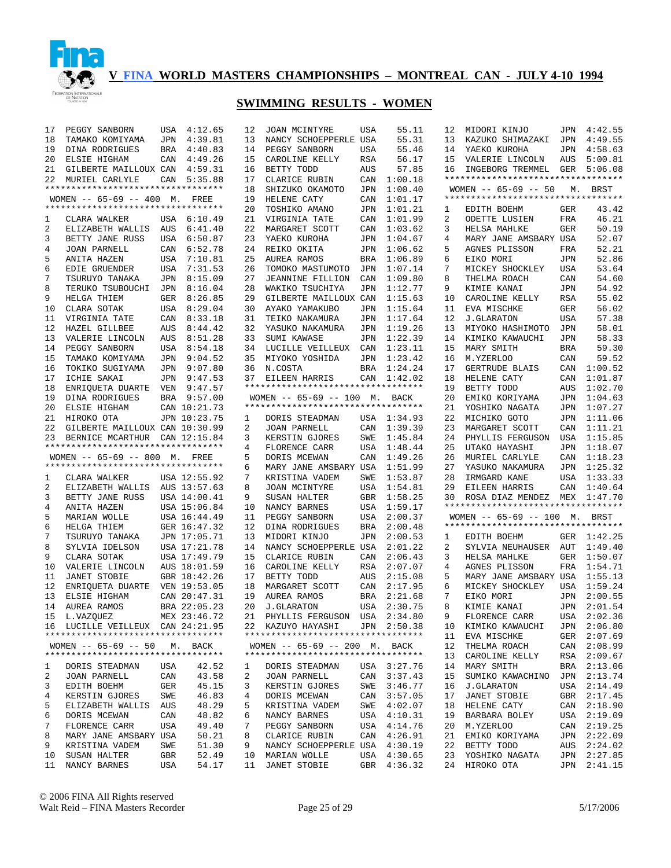

# **SWIMMING RESULTS - WOMEN**

| 17 | PEGGY SANBORN                      |     | USA 4:12.65  | 12 | JOAN MCINTYRE                      | USA        | 55.11       | 12 | MIDORI KINJO                       | JPN        | 4:42.55     |
|----|------------------------------------|-----|--------------|----|------------------------------------|------------|-------------|----|------------------------------------|------------|-------------|
| 18 | TAMAKO KOMIYAMA                    |     | JPN 4:39.81  | 13 | NANCY SCHOEPPERLE USA              |            | 55.31       | 13 | KAZUKO SHIMAZAKI                   | JPN        | 4:49.55     |
| 19 | DINA RODRIGUES                     |     | BRA 4:40.83  | 14 | PEGGY SANBORN                      | USA        | 55.46       | 14 | YAEKO KUROHA                       | JPN        | 4:58.63     |
| 20 | ELSIE HIGHAM                       |     | CAN 4:49.26  | 15 | CAROLINE KELLY                     | RSA        | 56.17       | 15 | VALERIE LINCOLN                    | AUS        | 5:00.81     |
| 21 | GILBERTE MAILLOUX CAN 4:59.31      |     |              | 16 | BETTY TODD                         | AUS        | 57.85       | 16 | INGEBORG TREMMEL GER 5:06.08       |            |             |
| 22 | MURIEL CARLYLE                     |     | CAN 5:35.88  | 17 | CLARICE RUBIN                      | CAN        | 1:00.18     |    | ********************************** |            |             |
|    | ********************************** |     |              | 18 | SHIZUKO OKAMOTO                    | JPN        | 1:00.40     |    | WOMEN -- 65-69 -- 50 M. BRST       |            |             |
|    | WOMEN -- 65-69 -- 400 M. FREE      |     |              | 19 | HELENE CATY                        | CAN        | 1:01.17     |    | ********************************** |            |             |
|    | ********************************** |     |              | 20 | TOSHIKO AMANO                      | JPN        | 1:01.21     | 1  | EDITH BOEHM                        | GER        | 43.42       |
| 1  | CLARA WALKER                       |     | USA 6:10.49  | 21 | VIRGINIA TATE                      | CAN        | 1:01.99     | 2  | ODETTE LUSIEN                      | FRA        | 46.21       |
| 2  | ELIZABETH WALLIS AUS               |     | 6:41.40      | 22 | MARGARET SCOTT                     | CAN        | 1:03.62     | 3  | HELSA MAHLKE                       | GER        | 50.19       |
| 3  | BETTY JANE RUSS                    |     | USA 6:50.87  | 23 | YAEKO KUROHA                       | JPN        | 1:04.67     | 4  | MARY JANE AMSBARY USA              |            | 52.07       |
| 4  | <b>JOAN PARNELL</b>                |     | CAN 6:52.78  | 24 | REIKO OKITA                        | JPN        | 1:06.62     | 5  | AGNES PLISSON                      | FRA        | 52.21       |
| 5  | ANITA HAZEN                        | USA | 7:10.81      | 25 | AUREA RAMOS                        | <b>BRA</b> | 1:06.89     | 6  | EIKO MORI                          | JPN        | 52.86       |
| 6  | EDIE GRUENDER                      | USA | 7:31.53      | 26 | TOMOKO MASTUMOTO                   | JPN        | 1:07.14     | 7  | MICKEY SHOCKLEY                    | USA        | 53.64       |
| 7  | TSURUYO TANAKA                     |     | JPN 8:15.09  | 27 | <b>JEANNINE FILLION</b>            | CAN        | 1:09.80     | 8  | THELMA ROACH                       | CAN        | 54.60       |
| 8  | TERUKO TSUBOUCHI                   | JPN | 8:16.04      | 28 | WAKIKO TSUCHIYA                    | JPN        | 1:12.77     | 9  | KIMIE KANAI                        | JPN        | 54.92       |
| 9  | HELGA THIEM                        | GER | 8:26.85      | 29 | GILBERTE MAILLOUX CAN              |            | 1:15.63     | 10 | CAROLINE KELLY                     | <b>RSA</b> | 55.02       |
| 10 | CLARA SOTAK                        |     | USA 8:29.04  | 30 | AYAKO YAMAKUBO                     | JPN        | 1:15.64     | 11 | EVA MISCHKE                        | <b>GER</b> | 56.02       |
| 11 | VIRGINIA TATE                      | CAN | 8:33.18      | 31 | TEIKO NAKAMURA                     | JPN        | 1:17.64     | 12 | <b>J.GLARATON</b>                  | <b>USA</b> | 57.38       |
| 12 | HAZEL GILLBEE                      | AUS | 8:44.42      | 32 | YASUKO NAKAMURA                    | JPN        | 1:19.26     | 13 | MIYOKO HASHIMOTO                   | JPN        | 58.01       |
| 13 | VALERIE LINCOLN                    | AUS | 8:51.28      | 33 | SUMI KAWASE                        | JPN        | 1:22.39     | 14 | KIMIKO KAWAUCHI                    | JPN        | 58.33       |
| 14 | PEGGY SANBORN                      |     | USA 8:54.18  | 34 | LUCILLE VEILLEUX CAN               |            | 1:23.11     | 15 | MARY SMITH                         | <b>BRA</b> | 59.30       |
| 15 | TAMAKO KOMIYAMA                    | JPN | 9:04.52      | 35 | MIYOKO YOSHIDA                     | JPN        | 1:23.42     | 16 | M.YZERLOO                          | CAN        | 59.52       |
| 16 | TOKIKO SUGIYAMA                    | JPN | 9:07.80      | 36 | N.COSTA                            | BRA        | 1:24.24     | 17 | GERTRUDE BLAIS                     |            | CAN 1:00.52 |
| 17 | ICHIE SAKAI                        | JPN | 9:47.53      | 37 | EILEEN HARRIS                      | CAN        | 1:42.02     | 18 | HELENE CATY                        | CAN        | 1:01.87     |
| 18 | ENRIQUETA DUARTE                   | VEN | 9:47.57      |    | ********************************** |            |             | 19 | BETTY TODD                         | AUS        | 1:02.70     |
| 19 | DINA RODRIGUES                     |     | BRA 9:57.00  |    | WOMEN -- 65-69 -- 100 M. BACK      |            |             | 20 | EMIKO KORIYAMA                     |            | JPN 1:04.63 |
| 20 | ELSIE HIGHAM                       |     | CAN 10:21.73 |    | ********************************** |            |             | 21 | YOSHIKO NAGATA                     | JPN        | 1:07.27     |
| 21 | HIROKO OTA                         |     | JPN 10:23.75 | 1  | DORIS STEADMAN                     |            | USA 1:34.93 | 22 | MICHIKO GOTO                       |            | JPN 1:11.06 |
| 22 | GILBERTE MAILLOUX CAN 10:30.99     |     |              | 2  | <b>JOAN PARNELL</b>                |            | CAN 1:39.39 | 23 | MARGARET SCOTT                     | CAN        | 1:11.21     |
| 23 | BERNICE MCARTHUR CAN 12:15.84      |     |              | 3  | KERSTIN GJORES                     | SWE        | 1:45.84     | 24 | PHYLLIS FERGUSON                   |            | USA 1:15.85 |
|    |                                    |     |              |    |                                    |            |             |    |                                    |            |             |
|    | ********************************** |     |              | 4  | FLORENCE CARR                      | USA        | 1:48.44     | 25 | UTAKO HAYASHI                      | JPN        | 1:18.07     |
|    | WOMEN -- 65-69 -- 800 M. FREE      |     |              | 5  | DORIS MCEWAN                       | CAN        | 1:49.26     | 26 | MURIEL CARLYLE                     |            | CAN 1:18.23 |
|    | ********************************** |     |              | 6  | MARY JANE AMSBARY USA              |            | 1:51.99     | 27 | YASUKO NAKAMURA                    | JPN        | 1:25.32     |
| 1  | CLARA WALKER                       |     | USA 12:55.92 | 7  | KRISTINA VADEM                     | SWE        | 1:53.87     | 28 | IRMGARD KANE                       |            | USA 1:33.33 |
| 2  | ELIZABETH WALLIS AUS 13:57.63      |     |              | 8  | JOAN MCINTYRE                      | USA        | 1:54.81     | 29 | EILEEN HARRIS                      | CAN        | 1:40.64     |
| 3  | BETTY JANE RUSS                    |     | USA 14:00.41 | 9  | SUSAN HALTER                       | GBR        | 1:58.25     | 30 | ROSA DIAZ MENDEZ MEX 1:47.70       |            |             |
| 4  | ANITA HAZEN                        |     | USA 15:06.84 | 10 | NANCY BARNES                       | USA        | 1:59.17     |    | ********************************** |            |             |
| 5  | MARIAN WOLLE                       |     | USA 16:44.49 | 11 | PEGGY SANBORN                      | USA        | 2:00.37     |    | WOMEN -- 65-69 -- 100 M. BRST      |            |             |
| 6  | HELGA THIEM                        |     | GER 16:47.32 | 12 | DINA RODRIGUES                     | BRA        | 2:00.48     |    | ********************************** |            |             |
| 7  | TSURUYO TANAKA                     |     | JPN 17:05.71 | 13 | MIDORI KINJO                       | JPN        | 2:00.53     | 1  | EDITH BOEHM                        |            | GER 1:42.25 |
| 8  | SYLVIA IDELSON                     |     | USA 17:21.78 | 14 | NANCY SCHOEPPERLE USA              |            | 2:01.22     | 2  | SYLVIA NEUHAUSER AUT 1:49.40       |            |             |
| 9  | CLARA SOTAK                        |     | USA 17:49.79 | 15 | CLARICE RUBIN                      | CAN        | 2:06.43     | 3  | HELSA MAHLKE                       |            | GER 1:50.07 |
| 10 | VALERIE LINCOLN                    |     | AUS 18:01.59 | 16 | CAROLINE KELLY                     | RSA        | 2:07.07     | 4  | AGNES PLISSON                      | FRA        | 1:54.71     |
| 11 | <b>JANET STOBIE</b>                |     | GBR 18:42.26 | 17 | BETTY TODD                         | AUS        | 2:15.08     | 5  | MARY JANE AMSBARY USA              |            | 1:55.13     |
| 12 | ENRIQUETA DUARTE                   |     | VEN 19:53.05 | 18 | MARGARET SCOTT                     | CAN        | 2:17.95     | 6  | MICKEY SHOCKLEY                    | USA        | 1:59.24     |
| 13 | ELSIE HIGHAM                       |     | CAN 20:47.31 | 19 | AUREA RAMOS                        | BRA        | 2:21.68     | 7  | EIKO MORI                          | JPN        | 2:00.55     |
| 14 | AUREA RAMOS                        |     | BRA 22:05.23 | 20 | <b>J.GLARATON</b>                  |            | USA 2:30.75 | 8  | KIMIE KANAI                        | JPN        | 2:01.54     |
|    | 15 L.VAZQUEZ                       |     | MEX 23:46.72 | 21 | PHYLLIS FERGUSON USA 2:34.80       |            |             | 9  | FLORENCE CARR                      |            | USA 2:02.36 |
|    | 16 LUCILLE VEILLEUX CAN 24:21.95   |     |              |    | 22 KAZUYO HAYASHI                  |            | JPN 2:50.38 | 10 | KIMIKO KAWAUCHI                    |            | JPN 2:06.80 |
|    | ********************************** |     |              |    | ********************************** |            |             | 11 | EVA MISCHKE                        | GER        | 2:07.69     |
|    | WOMEN -- 65-69 -- 50 M. BACK       |     |              |    | WOMEN -- 65-69 -- 200 M. BACK      |            |             | 12 | THELMA ROACH                       | CAN        | 2:08.99     |
|    | ********************************** |     |              |    | ********************************** |            |             | 13 | CAROLINE KELLY                     |            | RSA 2:09.67 |
| 1  | DORIS STEADMAN                     | USA | 42.52        | 1  | DORIS STEADMAN                     |            | USA 3:27.76 | 14 | MARY SMITH                         | BRA        | 2:13.06     |
| 2  | JOAN PARNELL                       | CAN | 43.58        | 2  | JOAN PARNELL                       |            | CAN 3:37.43 | 15 | SUMIKO KAWACHINO                   |            | JPN 2:13.74 |
| 3  | EDITH BOEHM                        | GER | 45.15        | 3  | KERSTIN GJORES                     | SWE        | 3:46.77     | 16 | <b>J.GLARATON</b>                  | USA        | 2:14.49     |
| 4  | KERSTIN GJORES                     | SWE | 46.83        | 4  | DORIS MCEWAN                       |            | CAN 3:57.05 | 17 | JANET STOBIE                       |            | GBR 2:17.45 |
| 5  | ELIZABETH WALLIS                   | AUS | 48.29        | 5  | KRISTINA VADEM                     | SWE        | 4:02.07     | 18 | HELENE CATY                        |            | CAN 2:18.90 |
| 6  | DORIS MCEWAN                       | CAN | 48.82        | 6  | NANCY BARNES                       |            | USA 4:10.31 | 19 | BARBARA BOLEY                      |            | USA 2:19.09 |
| 7  | FLORENCE CARR                      | USA | 49.40        | 7  | PEGGY SANBORN                      |            | USA 4:14.76 | 20 | M.YZERLOO                          | CAN        | 2:19.25     |
| 8  | MARY JANE AMSBARY USA              |     | 50.21        | 8  | CLARICE RUBIN                      |            | CAN 4:26.91 | 21 | EMIKO KORIYAMA                     |            | JPN 2:22.09 |
| 9  | KRISTINA VADEM                     | SWE | 51.30        | 9  | NANCY SCHOEPPERLE USA              |            | 4:30.19     | 22 | BETTY TODD                         | AUS        | 2:24.02     |
| 10 | SUSAN HALTER                       | GBR | 52.49        | 10 | MARIAN WOLLE                       |            | USA 4:30.65 | 23 | YOSHIKO NAGATA                     |            | JPN 2:27.85 |

© 2006 FINA All Rights reserved Walt Reid – FINA Masters Recorder Page 25 of 29 5/17/2006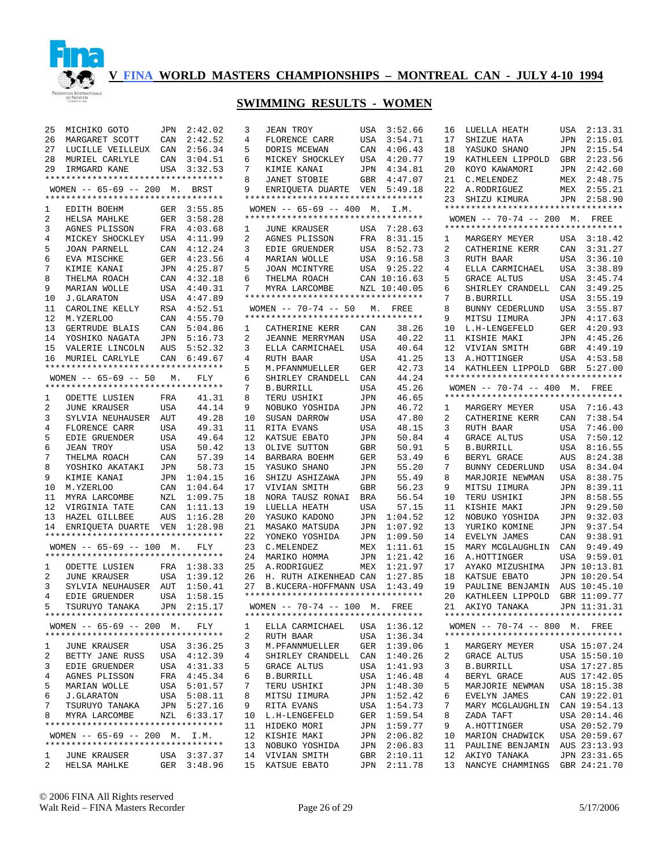

### **SWIMMING RESULTS - WOMEN**

3 JEAN TROY USA 3:52.66

|                                 | 25 MICHIKO GOTO JPN 2:42.02                                                             |     |                            |
|---------------------------------|-----------------------------------------------------------------------------------------|-----|----------------------------|
|                                 | 26 MARGARET SCOTT CAN 2:42.52<br>27 LUCILLE VEILLEUX CAN 2:56.34                        |     |                            |
|                                 |                                                                                         |     |                            |
|                                 |                                                                                         |     |                            |
|                                 | 28 MURIEL CARLYLE CAN 3:04.51<br>29 IRMGARD KANE USA 3:32.53                            |     |                            |
|                                 | **********************************                                                      |     |                            |
|                                 | WOMEN -- 65-69 -- 200 M. BRST                                                           |     |                            |
|                                 | *********************************                                                       |     |                            |
|                                 |                                                                                         |     |                            |
|                                 |                                                                                         |     |                            |
|                                 | 1 EDITH BOEHM GER 3:55.85<br>2 HELSA MAHLKE GER 3:58.28<br>3 AGNES PLISSON FRA 4:03.68  |     |                            |
|                                 |                                                                                         |     |                            |
| 4                               | MICKEY SHOCKLEY USA 4:11.99<br>JOAN PARNELL CAN 4:12.24                                 |     |                            |
| 5                               | JOAN PARNELL<br>EVA MISCHKE<br>KIMIE KANAI                                              |     |                            |
| б.                              |                                                                                         |     |                            |
| 7                               | KIMIE KANAI                                                                             |     | GER 4:23.56<br>JPN 4:25.87 |
| 8                               |                                                                                         |     |                            |
|                                 | THELMA ROACH                                                                            |     | CAN 4:32.18<br>USA 4:40.31 |
| 9                               | MARIAN WOLLE                                                                            |     |                            |
| 10                              | <b>J.GLARATON</b>                                                                       |     | USA 4:47.89<br>RSA 4:52.51 |
| 11                              | CAROLINE KELLY                                                                          |     |                            |
|                                 | 12 M.YZERLOO                                                                            |     | CAN 4:55.70                |
| 13                              | GERTRUDE BLAIS                                                                          | CAN | 5:04.86                    |
|                                 |                                                                                         |     | JPN 5:16.73                |
|                                 | 14 YOSHIKO NAGATA<br>15 VALERIE LINCOLN                                                 | AUS | 5:52.32                    |
|                                 | 16 MURIEL CARLYLE CAN 6:49.67                                                           |     |                            |
|                                 | *********************************                                                       |     |                            |
|                                 |                                                                                         |     |                            |
|                                 | WOMEN -- 65-69 -- 50 M. FLY                                                             |     |                            |
|                                 | *********************************                                                       |     |                            |
| $\mathbf{1}$                    | ODETTE LUSIEN FRA<br>JUNE KRAUSER USA                                                   |     | 41.31                      |
| 2                               |                                                                                         |     | 44.14                      |
| $\overline{3}$                  | SYLVIA NEUHAUSER AUT                                                                    |     | 49.28                      |
| 4                               | FLORENCE CARR                                                                           | USA | 49.31                      |
| 5                               | EDIE GRUENDER USA                                                                       |     | 49.64                      |
|                                 |                                                                                         |     |                            |
| б.                              | JEAN TROY                                                                               | USA | 50.42                      |
| 7                               | THELMA ROACH                                                                            | CAN | 57.39                      |
| 8                               | YOSHIKO AKATAKI                                                                         | JPN | 58.73                      |
| 9                               | KIMIE KANAI                                                                             |     | JPN 1:04.15                |
| 10                              | M.YZERLOO                                                                               | CAN | 1:04.64                    |
|                                 | 11 MYRA LARCOMBE NZL 1:09.75                                                            |     |                            |
|                                 |                                                                                         |     | CAN 1:11.13                |
|                                 | 12 VIRGINIA TATE<br>13 HAZEL GILLBEE                                                    |     | AUS 1:16.28                |
|                                 |                                                                                         |     |                            |
|                                 | 14 ENRIQUETA DUARTE VEN 1:28.98                                                         |     |                            |
|                                 | **********************************                                                      |     |                            |
|                                 | WOMEN -- 65-69 -- 100 M. FLY                                                            |     |                            |
|                                 | *********************************                                                       |     |                            |
|                                 | 1 ODETTE LUSIEN FRA 1:38.33<br>2 JUNE KRAUSER USA 1:39.12                               |     |                            |
|                                 |                                                                                         |     |                            |
|                                 |                                                                                         |     |                            |
| $\frac{2}{3}$<br>$\overline{4}$ | SYLVIA NEUHAUSER AUT 1:50.41<br>EDIE GRUENDER USA 1:58.15<br>TSURUYO TANAKA JPN 2:15.17 |     |                            |
| 5                               |                                                                                         |     |                            |
|                                 |                                                                                         |     |                            |
|                                 | *********************************                                                       |     |                            |
|                                 | WOMEN $-- 65-69 -- 200$ M.                                                              |     | FLY                        |
|                                 | **********************************                                                      |     |                            |
| $\mathbf{1}$                    | <b>JUNE KRAUSER</b>                                                                     |     | USA 3:36.25<br>USA 4:12.39 |
| $\overline{2}$                  | <b>BETTY JANE RUSS</b>                                                                  |     |                            |
| 3                               | EDIE GRUENDER                                                                           |     |                            |
| 4                               | AGNES PLISSON                                                                           |     | USA 4:31.33<br>FRA 4:45.34 |
|                                 |                                                                                         |     |                            |
| 5                               | MARIAN WOLLE                                                                            |     | USA 5:01.57<br>USA 5:08.11 |
| 6                               | <b>J.GLARATON</b>                                                                       |     |                            |
| 7                               |                                                                                         |     |                            |
| 8                               | TSURUYO TANAKA<br>MYRA LARCOMBE                                                         |     | JPN 5:27.16<br>NZL 6:33.17 |
|                                 | **********************************                                                      |     |                            |
|                                 |                                                                                         |     |                            |
|                                 | WOMEN -- 65-69 -- 200 M. I.M.                                                           |     |                            |
|                                 | **********************************                                                      |     |                            |
|                                 |                                                                                         |     |                            |
| $\mathbf{1}$<br>$\overline{2}$  | JUNE KRAUSER<br>HELSA MAHLKE                                                            |     | USA 3:37.37<br>GER 3:48.96 |

| 4              | FLORENCE CARR                      | USA        | 3:54.71          |
|----------------|------------------------------------|------------|------------------|
| 5              | DORIS MCEWAN                       | CAN        | 4:06.43          |
| 6              | MICKEY SHOCKLEY                    | USA        | 4:20.77          |
| 7              | KIMIE KANAI                        | JPN        | 4:34.81          |
| 8              | JANET STOBIE                       | GBR        | 4:47.07          |
| 9              | ENRIOUETA DUARTE                   |            | VEN 5:49.18      |
|                | ********************************** |            |                  |
|                | WOMEN -- $65-69$ -- $400$ M. I.M.  |            |                  |
|                | *********************************  |            |                  |
| $\mathbf{1}$   | JUNE KRAUSER USA                   |            | 7:28.63          |
| $\overline{2}$ | AGNES PLISSON                      | FRA        | 8:31.15          |
| 3              | EDIE GRUENDER                      | USA        | 8:52.73          |
| 4              | MARIAN WOLLE                       | USA        | 9:16.58          |
| 5              | JOAN MCINTYRE                      |            | USA 9:25.22      |
| 6              | THELMA ROACH                       |            | CAN 10:16.63     |
| 7              | MYRA LARCOMBE                      |            | NZL 10:40.05     |
|                | ********************************** |            |                  |
|                | WOMEN -- $70-74$ -- 50 M. FREE     |            |                  |
|                | ********************************** |            |                  |
| 1              | CATHERINE KERR                     | CAN        | 38.26            |
| $\overline{2}$ | JEANNE MERRYMAN                    | USA        | 40.22            |
| 3              | ELLA CARMICHAEL                    | USA        | 40.64            |
| $\overline{4}$ | RUTH BAAR                          | USA        | 41.25            |
| 5              | M.PFANNMUELLER                     | GER        | 42.73            |
| 6              | SHIRLEY CRANDELL                   | CAN        | 44.24            |
| 7              | <b>B.BURRILL</b>                   | USA        | 45.26            |
| 8              | TERU USHIKI                        | JPN        | 46.65            |
| 9              | NOBUKO YOSHIDA                     | JPN        | 46.72            |
| 10             | SUSAN DARROW                       | USA        | 47.80            |
| 11             | RITA EVANS                         | USA        | 48.15            |
| 12             | KATSUE EBATO                       | JPN        | 50.84            |
| 13             | OLIVE SUTTON                       | GBR        | 50.91            |
| 14             | BARBARA BOEHM                      | GER        | 53.49            |
| 15             | YASUKO SHANO                       | JPN        | 55.20            |
| 16             | SHIZU ASHIZAWA                     | JPN        | 55.49            |
| 17             | VIVIAN SMITH                       | GBR        | 56.23            |
| 18             | NORA TAUSZ RONAI                   | BRA        | 56.54            |
| 19<br>20       | LUELLA HEATH<br>YASUKO KADONO      | USA        | 57.15<br>1:04.52 |
| 21             | MASAKO MATSUDA                     | JPN<br>JPN | 1:07.92          |
| 22             | YONEKO YOSHIDA                     | JPN        | 1:09.50          |
| 23             | C.MELENDEZ                         | MEX        | 1:11.61          |
| 24             | MARIKO HOMMA                       | JPN        | 1:21.42          |
| 25             | A.RODRIGUEZ                        | MEX        | 1:21.97          |
| 26             | H. RUTH AIKENHEAD CAN              |            | 1:27.85          |
| 27             | B.KUCERA-HOFFMANN USA              |            | 1:43.49          |
|                | ********************************** |            |                  |
|                | WOMEN -- 70-74 -- 100 M. FREE      |            |                  |
|                | ********************************** |            |                  |
|                | 1 ELLA CARMICHAEL USA 1:36.12      |            |                  |
| 2              | RUTH BAAR                          | USA        | 1:36.34          |
| 3              | M. PFANNMUELLER                    | GER        | 1:39.06          |
| 4              | SHIRLEY CRANDELL                   | CAN        | 1:40.26          |
| 5              | GRACE ALTUS                        | USA        | 1:41.93          |
| 6              | B.BURRILL                          | USA        | 1:46.48          |
| 7              | TERU USHIKI                        | JPN        | 1:48.30          |
| 8              | MITSU IIMURA                       | JPN        | 1:52.42          |
| 9              | RITA EVANS                         | USA        | 1:54.73          |
| 10             | L.H-LENGEFELD                      | GER        | 1:59.54          |
| 11             | HIDEKO MORI                        | JPN        | 1:59.77          |
| 12             | KISHIE MAKI                        | JPN        | 2:06.82          |
| 13             | NOBUKO YOSHIDA                     | JPN        | 2:06.83          |
| 14             | VIVIAN SMITH                       | GBR        | 2:10.11          |
| 15             | KATSUE EBATO                       | JPN        | 2:11.78          |
|                |                                    |            |                  |

| 16           | LUELLA HEATH                       | USA | 2:13.31      |
|--------------|------------------------------------|-----|--------------|
| 17           |                                    |     | 2:15.01      |
|              | SHIZUE HATA                        | JPN |              |
| 18           | YASUKO SHANO                       | JPN | 2:15.54      |
| 19           | KATHLEEN LIPPOLD                   | GBR | 2:23.56      |
|              |                                    |     |              |
| 20           | KOYO KAWAMORI                      | JPN | 2:42.60      |
| 21           | C.MELENDEZ                         | MEX | 2:48.75      |
|              |                                    |     |              |
| 22           | A.RODRIGUEZ                        | MEX | 2:55.21      |
| 23           | SHIZU KIMURA                       | JPN | 2:58.90      |
|              |                                    |     |              |
|              |                                    |     |              |
|              | WOMEN $-- 70-74 -- 200$ M.         |     | FREE         |
|              | ********************************** |     |              |
|              |                                    |     |              |
| $\mathbf{1}$ | MARGERY MEYER                      | USA | 3:18.42      |
| 2            | CATHERINE KERR                     | CAN | 3:31.27      |
|              |                                    |     |              |
| 3            | RUTH BAAR                          | USA | 3:36.10      |
| 4            | ELLA CARMICHAEL                    | USA | 3:38.89      |
|              |                                    |     |              |
| 5            | <b>GRACE ALTUS</b>                 | USA | 3:45.74      |
| 6            | SHIRLEY CRANDELL                   | CAN | 3:49.25      |
|              |                                    |     |              |
| 7            | B.BURRILL                          | USA | 3:55.19      |
| 8            | BUNNY CEDERLUND                    | USA | 3:55.87      |
| 9            | MITSU IIMURA                       | JPN | 4:17.63      |
|              |                                    |     |              |
| 10           | L.H-LENGEFELD                      | GER | 4:20.93      |
| 11           | KISHIE MAKI                        | JPN | 4:45.26      |
|              |                                    |     |              |
| 12           | VIVIAN SMITH                       | GBR | 4:49.19      |
| 13           | A.HOTTINGER                        | USA | 4:53.58      |
|              |                                    |     |              |
| 14           | KATHLEEN LIPPOLD                   | GBR | 5:27.00      |
|              | ********************************** |     |              |
|              | WOMEN -- 70-74 -- 400 M. FREE      |     |              |
|              |                                    |     |              |
|              | ********************************** |     |              |
| 1            | MARGERY MEYER                      | USA | 7:16.43      |
|              |                                    |     |              |
| 2            | CATHERINE KERR                     | CAN | 7:38.54      |
| 3            | RUTH BAAR                          | USA | 7:46.00      |
|              |                                    |     |              |
| 4            | <b>GRACE ALTUS</b>                 | USA | 7:50.12      |
| 5            | <b>B.BURRILL</b>                   | USA | 8:16.55      |
|              |                                    |     | 8:24.38      |
| 6            | BERYL GRACE                        | AUS |              |
| 7            | BUNNY CEDERLUND                    | USA | 8:34.04      |
| 8            | MARJORIE NEWMAN                    | USA | 8:38.75      |
|              |                                    |     |              |
| 9            | MITSU IIMURA                       | JPN | 8:39.11      |
| 10           | TERU USHIKI                        | JPN | 8:58.55      |
|              |                                    |     |              |
| 11           | KISHIE MAKI                        | JPN | 9:29.50      |
| 12           | NOBUKO YOSHIDA                     | JPN | 9:32.03      |
| 13           | YURIKO KOMINE                      | JPN | 9:37.54      |
|              |                                    |     |              |
| 14           | EVELYN JAMES                       | CAN | 9:38.91      |
| 15           | MARY MCGLAUGHLIN                   | CAN | 9:49.49      |
|              |                                    |     |              |
| 16           | A. HOTTINGER                       | USA | 9:59.01      |
| 17           | AYAKO MIZUSHIMA                    | JPN | 10:13.81     |
| 18           | KATSUE EBATO                       | JPN | 10:20.54     |
|              |                                    |     |              |
| 19           | PAULINE BENJAMIN                   | AUS | 10:45.10     |
| 20           | KATHLEEN LIPPOLD                   | GBR | 11:09.77     |
|              |                                    |     |              |
| 21           | AKIYO TANAKA                       | JPN | 11:31.31     |
|              | ********************************** |     |              |
|              |                                    |     |              |
|              | WOMEN $-- 70-74 -- 800$ M.         |     | FREE         |
|              | ********************************** |     |              |
| 1            | MARGERY MEYER                      |     | USA 15:07.24 |
|              |                                    |     |              |
| 2            | GRACE ALTUS                        |     | USA 15:50.10 |
| 3            | <b>B.BURRILL</b>                   |     | USA 17:27.85 |
|              |                                    |     |              |
| 4            | BERYL GRACE                        |     | AUS 17:42.05 |
| 5            | MARJORIE NEWMAN                    |     | USA 18:15.38 |
| 6            | EVELYN JAMES                       |     | CAN 19:22.01 |
|              |                                    |     |              |
| 7            |                                    |     |              |
|              | MARY MCGLAUGHLIN                   |     | CAN 19:54.13 |
|              |                                    |     |              |
| 8            | ZADA TAFT                          |     | USA 20:14.46 |
| 9            | A.HOTTINGER                        |     | USA 20:52.79 |
| 10           | MARION CHADWICK                    |     |              |
|              |                                    |     | USA 20:59.67 |
| 11           | PAULINE BENJAMIN                   |     | AUS 23:13.93 |
| 12           | AKIYO TANAKA                       |     | JPN 23:31.65 |
| 13           | NANCYE CHAMMINGS                   |     | GBR 24:21.70 |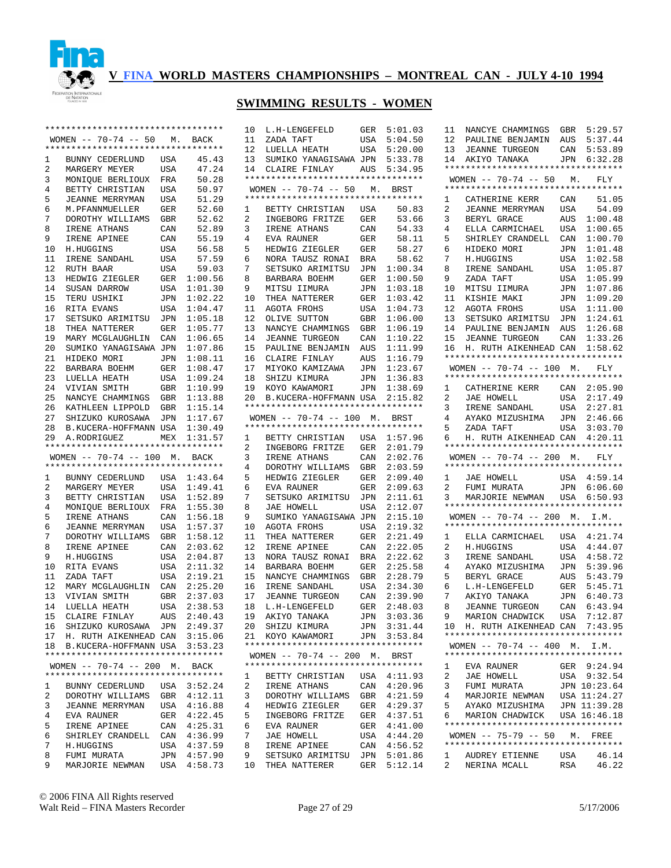

# **SWIMMING RESULTS - WOMEN**

|        | *********************************                           |            |                    | 10      | L.H-LENGEFELD                                       | GER        | 5:01.03            |
|--------|-------------------------------------------------------------|------------|--------------------|---------|-----------------------------------------------------|------------|--------------------|
|        | $WOMEN$ -- 70-74 -- 50                                      | М.         | BACK               | 11      | ZADA TAFT                                           | USA        | 5:04.50            |
|        | **********************************                          |            |                    | 12      | LUELLA HEATH                                        | USA        | 5:20.00            |
| 1      | BUNNY CEDERLUND                                             | USA        | 45.43              | 13      | SUMIKO YANAGISAWA JPN                               |            | 5:33.78            |
| 2      | MARGERY MEYER                                               | USA        | 47.24              | 14      | CLAIRE FINLAY                                       | AUS        | 5:34.95            |
| 3      | MONIQUE BERLIOUX                                            | FRA        | 50.28              |         | **********************************                  |            |                    |
| 4      | BETTY CHRISTIAN                                             | USA        | 50.97              |         | WOMEN $-- 70-74 -- 50$                              | М.         | BRST               |
| 5      | <b>JEANNE MERRYMAN</b>                                      | USA        | 51.29              |         | **********************************                  |            |                    |
| 6      | M.PFANNMUELLER                                              | GER        | 52.60              | 1       | BETTY CHRISTIAN                                     | USA        | 50.83              |
| 7      | DOROTHY WILLIAMS                                            | GBR        | 52.62              | 2       | INGEBORG FRITZE                                     | GER        | 53.66              |
| 8      | IRENE ATHANS                                                | CAN        | 52.89              | 3       | IRENE ATHANS                                        | CAN        | 54.33              |
| 9      |                                                             |            |                    | 4       |                                                     |            |                    |
|        | IRENE APINEE                                                | CAN        | 55.19              |         | EVA RAUNER                                          | GER        | 58.11              |
| 10     | H.HUGGINS                                                   | USA        | 56.58              | 5       | HEDWIG ZIEGLER                                      | GER        | 58.27              |
| 11     | IRENE SANDAHL                                               | USA        | 57.59              | 6       | NORA TAUSZ RONAI                                    | BRA        | 58.62              |
| 12     | RUTH BAAR                                                   | <b>USA</b> | 59.03              | 7       | SETSUKO ARIMITSU                                    | JPN        | 1:00.34            |
| 13     | HEDWIG ZIEGLER                                              | GER        | 1:00.56            | 8       | BARBARA BOEHM                                       | GER        | 1:00.50            |
| 14     | SUSAN DARROW                                                | USA        | 1:01.30            | 9       | MITSU IIMURA                                        | JPN        | 1:03.18            |
| 15     | TERU USHIKI                                                 | JPN        | 1:02.22            | 10      | THEA NATTERER                                       | GER        | 1:03.42            |
| 16     | RITA EVANS                                                  | USA        | 1:04.47            | 11      | AGOTA FROHS                                         | USA        | 1:04.73            |
| 17     | SETSUKO ARIMITSU                                            | JPN        | 1:05.18            | 12      | OLIVE SUTTON                                        | GBR        | 1:06.00            |
| 18     | THEA NATTERER                                               | GER        | 1:05.77            | 13      | NANCYE CHAMMINGS                                    | GBR        | 1:06.19            |
| 19     | MARY MCGLAUGHLIN                                            | CAN        | 1:06.65            | 14      | <b>JEANNE TURGEON</b>                               | CAN        | 1:10.22            |
| 20     | SUMIKO YANAGISAWA JPN                                       |            | 1:07.86            | 15      | PAULINE BENJAMIN                                    | AUS        | 1:11.99            |
| 21     | HIDEKO MORI                                                 | JPN        | 1:08.11            | 16      | CLAIRE FINLAY                                       | AUS        | 1:16.79            |
| 22     | BARBARA BOEHM                                               | GER        | 1:08.47            | 17      | MIYOKO KAMIZAWA                                     | JPN        | 1:23.67            |
| 23     | LUELLA HEATH                                                | USA        | 1:09.24            | 18      | SHIZU KIMURA                                        | JPN        | 1:36.83            |
| 24     | VIVIAN SMITH                                                | <b>GBR</b> | 1:10.99            | 19      | KOYO KAWAMORI                                       | JPN        | 1:38.69            |
| 25     | NANCYE CHAMMINGS                                            | GBR        | 1:13.88            | 20      | B.KUCERA-HOFFMANN USA                               |            | 2:15.82            |
| 26     | KATHLEEN LIPPOLD                                            | GBR        | 1:15.14            |         | **********************************                  |            |                    |
| 27     | SHIZUKO KUROSAWA                                            | JPN        | 1:17.67            |         | WOMEN $-- 70-74 -- 100$                             | м.         | BRST               |
| 28     | B.KUCERA-HOFFMANN USA                                       |            | 1:30.49            |         | **********************************                  |            |                    |
| 29     | A.RODRIGUEZ                                                 | MEX        | 1:31.57            | 1       | BETTY CHRISTIAN                                     | USA        | 1:57.96            |
|        | **********************************                          |            |                    |         |                                                     |            |                    |
|        |                                                             |            |                    |         |                                                     |            |                    |
|        |                                                             |            |                    | 2       | INGEBORG FRITZE                                     | GER        | 2:01.79            |
|        | WOMEN $-- 70-74 -- 100$ M.                                  |            | BACK               | 3       | IRENE ATHANS                                        | CAN        | 2:02.76            |
|        | *********************************                           |            |                    | 4       | DOROTHY WILLIAMS                                    | GBR        | 2:03.59            |
| 1      | BUNNY CEDERLUND                                             | USA        | 1:43.64            | 5       | HEDWIG ZIEGLER                                      | GER        | 2:09.40            |
| 2      | MARGERY MEYER                                               | USA        | 1:49.41            | 6       | EVA RAUNER                                          | GER        | 2:09.63            |
| 3      | BETTY CHRISTIAN                                             | <b>USA</b> | 1:52.89            | 7       | SETSUKO ARIMITSU                                    | JPN        | 2:11.61            |
| 4      | MONIQUE BERLIOUX                                            | FRA        | 1:55.30            | 8       | JAE HOWELL                                          | USA        | 2:12.07            |
| 5      | IRENE ATHANS                                                | CAN        | 1:56.18            | 9       | SUMIKO YANAGISAWA JPN                               |            | 2:15.10            |
| 6      | JEANNE MERRYMAN                                             | USA        | 1:57.37            | 10      | AGOTA FROHS                                         | USA        | 2:19.32            |
| 7      | DOROTHY WILLIAMS                                            | <b>GBR</b> | 1:58.12            | 11      | THEA NATTERER                                       | GER        | 2:21.49            |
| 8      | IRENE APINEE                                                | CAN        | 2:03.62            | 12      | IRENE APINEE                                        | CAN        | 2:22.05            |
| 9      | H.HUGGINS                                                   | USA        | 2:04.87            | 13      | NORA TAUSZ RONAI                                    | BRA        | 2:22.62            |
| 10     | RITA EVANS                                                  | USA        | 2:11.32            | 14      | BARBARA BOEHM                                       | GER        | 2:25.58            |
| 11     | ZADA TAFT                                                   | USA        | 2:19.21            | 15      | NANCYE CHAMMINGS                                    | GBR        | 2:28.79            |
| 12     | MARY MCGLAUGHLIN                                            | CAN        | 2:25.20            | 16      | IRENE SANDAHL                                       | USA        | 2:34.30            |
| 13     | VIVIAN SMITH                                                | GBR        | 2:37.03            | 17      | <b>JEANNE TURGEON</b>                               | CAN        | 2:39.90            |
| 14     | LUELLA HEATH                                                | USA        | 2:38.53            | 18      | L.H-LENGEFELD                                       | GER        | 2:48.03            |
| 15     |                                                             |            |                    | 19      |                                                     |            | 3:03.36            |
|        | CLAIRE FINLAY                                               | AUS        | 2:40.43            |         | AKIYO TANAKA                                        | JPN        |                    |
| 16     | SHIZUKO KUROSAWA JPN                                        |            | 2:49.37            | 20      | SHIZU KIMURA                                        |            | JPN 3:31.44        |
| 17     | H. RUTH AIKENHEAD CAN 3:15.06                               |            |                    | 21      | KOYO KAWAMORI<br>********************************** | JPN        | 3:53.84            |
| 18     | B.KUCERA-HOFFMANN USA<br>********************************** |            | 3:53.23            |         |                                                     |            |                    |
|        |                                                             |            |                    |         | WOMEN $-- 70-74 -- 200$ M.                          |            | BRST               |
|        | WOMEN $-- 70-74 -- 200$ M.                                  |            | BACK               |         | **********************************                  |            |                    |
|        | **********************************                          |            |                    | 1       | BETTY CHRISTIAN                                     | USA        | 4:11.93            |
| 1      | BUNNY CEDERLUND                                             | USA        | 3:52.24            | 2       | IRENE ATHANS                                        | CAN        | 4:20.96            |
| 2      | DOROTHY WILLIAMS                                            | GBR        | 4:12.11            | 3       | DOROTHY WILLIAMS                                    | GBR        | 4:21.59            |
| 3      | <b>JEANNE MERRYMAN</b>                                      | USA        | 4:16.88            | 4       | HEDWIG ZIEGLER                                      | GER        | 4:29.37            |
| 4      | EVA RAUNER                                                  | GER        | 4:22.45            | 5       | INGEBORG FRITZE                                     | GER        | 4:37.51            |
| 5      | IRENE APINEE                                                | CAN        | 4:25.31            | 6       | EVA RAUNER                                          | GER        | 4:41.00            |
| 6      | SHIRLEY CRANDELL                                            | CAN        | 4:36.99            | 7       | JAE HOWELL                                          | USA        | 4:44.20            |
| 7      | H.HUGGINS                                                   | USA        | 4:37.59            | 8       | IRENE APINEE                                        | CAN        | 4:56.52            |
| 8<br>9 | FUMI MURATA<br>MARJORIE NEWMAN                              | JPN<br>USA | 4:57.90<br>4:58.73 | 9<br>10 | SETSUKO ARIMITSU<br>THEA NATTERER                   | JPN<br>GER | 5:01.86<br>5:12.14 |

|                         | 11 NANCYE CHAMMINGS GBR 5:29.57                                    |            |              |
|-------------------------|--------------------------------------------------------------------|------------|--------------|
|                         | 12 PAULINE BENJAMIN AUS 5:37.44                                    |            |              |
| 13                      | JEANNE TURGEON                                                     | CAN        | 5:53.89      |
|                         | 14 AKIYO TANAKA JPN 6:32.28                                        |            |              |
|                         | *********************************                                  |            |              |
|                         | WOMEN -- $70-74$ -- 50 M. FLY                                      |            |              |
|                         | *********************************                                  |            |              |
|                         |                                                                    |            |              |
|                         | 1 CATHERINE KERR CAN                                               |            | 51.05        |
| 2                       | JEANNE MERRYMAN                                                    | USA        | 54.09        |
| $\overline{\mathbf{3}}$ | BERYL GRACE                                                        |            | AUS 1:00.48  |
| $\overline{4}$          | ELLA CARMICHAEL                                                    | USA        | 1:00.65      |
| 5                       | SHIRLEY CRANDELL CAN                                               |            | 1:00.70      |
| б.                      | HIDEKO MORI                                                        | JPN        | 1:01.48      |
| $7^{\circ}$             | H.HUGGINS                                                          | USA        | 1:02.58      |
| 8                       | IRENE SANDAHL                                                      | USA        | 1:05.87      |
| 9                       |                                                                    | USA        | 1:05.99      |
| 10                      | ZADA TAFT<br>MITSU IIMURA                                          | JPN        | 1:07.86      |
|                         | 11 KISHIE MAKI                                                     | JPN        | 1:09.20      |
| 12 <sup>°</sup>         |                                                                    |            |              |
|                         | AGOTA FROHS                                                        | USA        | 1:11.00      |
| 13                      | SETSUKO ARIMITSU JPN                                               |            | 1:24.61      |
| 14                      | PAULINE BENJAMIN                                                   | AUS        | 1:26.68      |
| 15                      | <b>JEANNE TURGEON</b>                                              | CAN        | 1:33.26      |
| 16                      | H. RUTH AIKENHEAD CAN 1:58.62                                      |            |              |
|                         | **********************************                                 |            |              |
|                         | WOMEN -- 70-74 -- 100 M. FLY                                       |            |              |
|                         | *********************************                                  |            |              |
| 1                       |                                                                    |            |              |
|                         | CATHERINE KERR CAN 2:05.90<br>JAE HOWELL USA 2:17.49               |            |              |
| $\mathbf{2}$            |                                                                    |            |              |
| 3                       | IRENE SANDAHL                                                      | USA        | 2:27.81      |
| $\overline{4}$          | AYAKO MIZUSHIMA JPN 2:46.66                                        |            |              |
| 5                       | ZADA TAFT                                                          | USA        | 3:03.70      |
| 6                       | H. RUTH AIKENHEAD CAN 4:20.11                                      |            |              |
|                         | *********************************                                  |            |              |
|                         |                                                                    |            |              |
|                         |                                                                    |            |              |
|                         | WOMEN -- 70-74 -- 200 M. FLY                                       |            |              |
|                         | *********************************                                  |            |              |
| $\mathbf{1}$            | JAE HOWELL                                                         |            | USA 4:59.14  |
| $\overline{a}$          | FUMI MURATA                                                        |            |              |
| 3                       | FUMI MURATA JPN 6:06.60<br>MARJORIE NEWMAN USA 6:50.93             |            |              |
|                         | **********************************                                 |            |              |
|                         | WOMEN -- 70-74 -- 200 M. I.M.                                      |            |              |
|                         | **********************************                                 |            |              |
| 1                       |                                                                    |            |              |
| $\overline{a}$          | ELLA CARMICHAEL USA 4:21.74<br>H.HUGGINS                           |            | 4:44.07      |
|                         |                                                                    | USA        |              |
| 3                       | IRENE SANDAHL                                                      | USA        | 4:58.72      |
| $\overline{4}$          | AYAKO MIZUSHIMA                                                    | JPN        | 5:39.96      |
| 5                       | BERYL GRACE                                                        | AUS        | 5:43.79      |
| б.                      | L.H-LENGEFELD                                                      | GER        | 5:45.71      |
| 7                       | AKIYO TANAKA                                                       | JPN        | 6:40.73      |
| 8                       | <b>JEANNE TURGEON</b>                                              | CAN        | 6:43.94      |
| 9                       | MARION CHADWICK USA                                                |            | 7:12.87      |
|                         | 10 H. RUTH AIKENHEAD CAN 7:43.95                                   |            |              |
|                         | **********************************                                 |            |              |
|                         |                                                                    |            |              |
|                         | WOMEN -- 70-74 -- 400 M. I.M.<br>********************************* |            |              |
|                         |                                                                    |            |              |
| $\mathbf{1}$            | EVA RAUNER                                                         |            | GER 9:24.94  |
| 2                       | JAE HOWELL                                                         | USA        | 9:32.54      |
| 3                       | FUMI MURATA                                                        |            | JPN 10:23.64 |
| 4                       | MARJORIE NEWMAN                                                    |            | USA 11:24.27 |
| 5                       | AYAKO MIZUSHIMA                                                    |            | JPN 11:39.28 |
| 6                       | MARION CHADWICK USA 16:46.18                                       |            |              |
|                         | **********************************                                 |            |              |
|                         | WOMEN $-- 75-79 -- 50$ M. FREE                                     |            |              |
|                         | **********************************                                 |            |              |
| $\mathbf{1}$            |                                                                    |            | 46.14        |
| $\overline{a}$          | AUDREY ETIENNE<br>NERINA MCALL                                     | USA<br>RSA | 46.22        |

© 2006 FINA All Rights reserved Walt Reid – FINA Masters Recorder Page 27 of 29 5/17/2006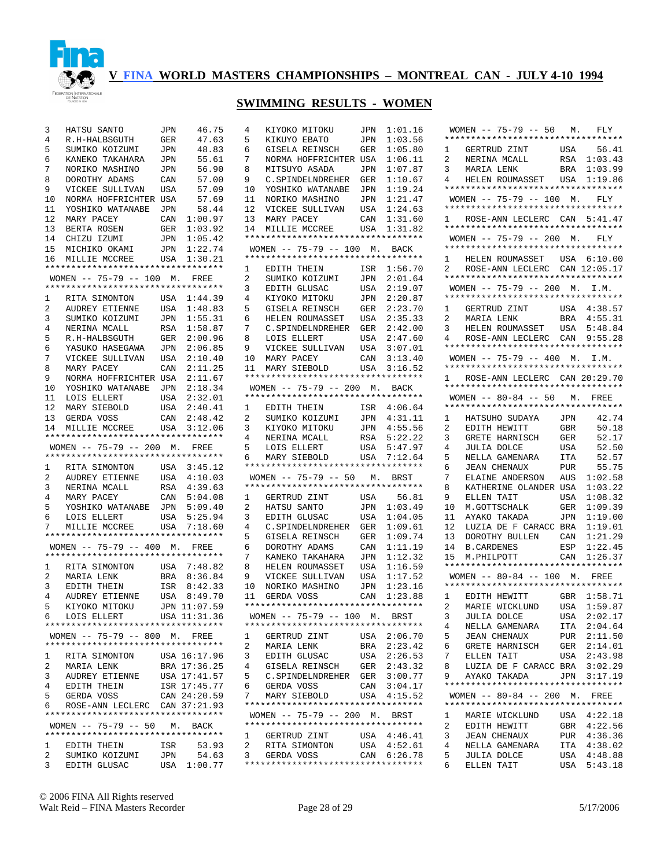

#### **SWIMMING RESULTS - WOMEN**

4 KIYOKO MITOKU JPN 1:01.16

| 3              | HATSU SANTO                                         | JPN         | 46.75                  |
|----------------|-----------------------------------------------------|-------------|------------------------|
| 4              | R.H-HALBSGUTH                                       | GER         | 47.63                  |
| 5              | SUMIKO KOIZUMI                                      | JPN         | 48.83                  |
| б              | KANEKO TAKAHARA                                     | JPN         | 55.61                  |
| 7              | NORIKO MASHINO                                      | JPN         | 56.90                  |
| 8              | DOROTHY ADAMS                                       | CAN         | 57.00                  |
| 9              | VICKEE SULLIVAN                                     | USA         | 57.09                  |
| 10             | NORMA HOFFRICHTER                                   | USA         | 57.69                  |
| 11             | YOSHIKO WATANABE                                    | JPN         | 58.44                  |
| 12             | MARY PACEY                                          | CAN         | 1:00.97                |
| 13             | BERTA ROSEN                                         | GER         | 1:03.92                |
| 14             | CHIZU IZUMI                                         | JPN         | 1:05.42                |
| 15             | MICHIKO OKAMI                                       | JPN         | 1:22.74                |
|                | 16 MILLIE MCCREE                                    |             | USA 1:30.21            |
|                | **********************************                  |             |                        |
|                | WOMEN -- 75-79 -- 100 M. FREE                       |             |                        |
|                | **********************************                  |             |                        |
| $\mathbf{1}$   | RITA SIMONTON USA                                   |             | 1:44.39                |
| $\overline{2}$ | AUDREY ETIENNE                                      | USA         | 1:48.83                |
| 3              | SUMIKO KOIZUMI                                      | JPN         | 1:55.31                |
| $\overline{4}$ | NERINA MCALL                                        | RSA         | 1:58.87                |
| 5              | R.H-HALBSGUTH                                       | ${\tt GER}$ | 2:00.96                |
| б              | YASUKO HASEGAWA                                     | JPN         | 2:06.85                |
| 7              | VICKEE SULLIVAN USA                                 |             | 2:10.40                |
| 8              | MARY PACEY                                          | CAN         | 2:11.25                |
| 9              |                                                     |             | 2:11.67                |
| 10             | NORMA HOFFRICHTER USA<br>YOSHIKO WATANABE JPN       |             | 2:18.34                |
| 11             |                                                     |             |                        |
| 12             | LOIS ELLERT                                         | USA         | 2:32.01                |
|                | MARY SIEBOLD                                        | USA         | 2:40.41                |
| 13             | GERDA VOSS                                          |             | CAN 2:48.42            |
| 14             | MILLIE MCCREE<br>********************************** | USA         | 3:12.06                |
|                | WOMEN -- 75-79 -- 200 M. FREE                       |             |                        |
|                |                                                     |             |                        |
|                |                                                     |             |                        |
|                | *********************************                   |             |                        |
| 1              | RITA SIMONTON                                       |             | USA 3:45.12            |
| 2              | AUDREY ETIENNE USA                                  |             | 4:10.03                |
| 3              |                                                     | RSA         | 4:39.63                |
| $\overline{4}$ | NERINA MCALL<br>MARY PACEY                          | CAN         | 5:04.08                |
| 5              | YOSHIKO WATANABE JPN                                |             | 5:09.40                |
| б.             | LOIS ELLERT                                         | USA         | 5:25.94                |
| 7              | MILLIE MCCREE                                       |             | USA 7:18.60            |
|                | **********************************                  |             |                        |
|                | WOMEN -- 75-79 -- 400 M. FREE                       |             |                        |
|                | **********************************                  |             |                        |
| $\mathbf{1}$   | RITA SIMONTON                                       |             | USA 7:48.82            |
| $\overline{a}$ | MARIA LENK                                          | BRA         | 8:36.84                |
| 3              | EDITH THEIN                                         |             |                        |
| 4              | AUDREY ETIENNE                                      | USA         | ISR 8:42.33<br>8:49.70 |
| 5              | KIYOKO MITOKU                                       |             | JPN 11:07.59           |
| б.             | LOIS ELLERT                                         |             | USA 11:31.36           |
|                | **********************************                  |             |                        |
|                | WOMEN -- 75-79 -- 800 M. FREE                       |             |                        |
|                | *********************************                   |             |                        |
| 1              | RITA SIMONTON                                       |             | USA 16:17.96           |
| 2              | MARIA LENK                                          |             | BRA 17:36.25           |
| 3              | AUDREY ETIENNE                                      |             | USA 17:41.57           |
| 4              | EDITH THEIN                                         |             | ISR 17:45.77           |
| 5              | GERDA VOSS                                          |             | CAN 24:20.59           |
| 6 —            | ROSE-ANN LECLERC CAN 37:21.93                       |             |                        |
|                | **********************************                  |             |                        |
|                | WOMEN -- 75-79 -- 50 M. BACK                        |             |                        |
|                | **********************************                  |             |                        |
| $\mathbf{1}$   | EDITH THEIN                                         | ISR         | 53.93                  |
| 2              | SUMIKO KOIZUMI                                      | JPN         | 54.63<br>USA 1:00.77   |

| 5              | KIKUYO EBATO                                                       | JPN | 1:03.56                |
|----------------|--------------------------------------------------------------------|-----|------------------------|
| б.             | GISELA REINSCH                                                     | GER | 1:05.80                |
| 7              | NORMA HOFFRICHTER USA                                              |     | 1:06.11                |
| 8              | MITSUYO ASADA                                                      | JPN | 1:07.87                |
| 9              | C. SPINDELNDREHER                                                  | GER | 1:10.67                |
| 10             | YOSHIKO WATANABE                                                   | JPN | 1:19.24                |
| 11             | NORIKO MASHINO                                                     | JPN | 1:21.47                |
| 12             | VICKEE SULLIVAN                                                    | USA | 1:24.63                |
| 13             | MARY PACEY                                                         | CAN | 1:31.60                |
| 14             | MILLIE MCCREE                                                      | USA | 1:31.82                |
|                | **********************************                                 |     |                        |
|                | WOMEN -- 75-79 -- 100 M.                                           |     | BACK                   |
|                | *********************************                                  |     |                        |
| $\mathbf{1}$   | EDITH THEIN                                                        | ISR | 1:56.70                |
| 2              | SUMIKO KOIZUMI                                                     | JPN | 2:01.64                |
| 3              | EDITH GLUSAC                                                       | USA | 2:19.07                |
| 4              | KIYOKO MITOKU                                                      | JPN | 2:20.87                |
| 5              | GISELA REINSCH                                                     | GER | 2:23.70                |
| 6              | HELEN ROUMASSET                                                    | USA | 2:35.33                |
| 7              | C. SPINDELNDREHER GER                                              |     | 2:42.00                |
| 8              | LOIS ELLERT                                                        | USA | 2:47.60                |
| 9              | VICKEE SULLIVAN                                                    | USA | 3:07.01                |
| 10             | MARY PACEY                                                         | CAN | 3:13.40                |
| 11             | MARY SIEBOLD                                                       | USA | 3:16.52                |
|                | *********************************                                  |     |                        |
|                | WOMEN $-- 75-79 -- 200$ M.                                         |     | <b>BACK</b>            |
|                | **********************************                                 |     |                        |
| 1              | EDITH THEIN                                                        | ISR | 4:06.64                |
| 2              | SUMIKO KOIZUMI                                                     | JPN | 4:31.11                |
| 3              | KIYOKO MITOKU                                                      | JPN | 4:55.56                |
| 4              | NERINA MCALL<br>LOIS ELLERT                                        | RSA | 5:22.22                |
| 5              |                                                                    | USA | 5:47.97                |
| 6              | MARY SIEBOLD                                                       | USA | 7:12.64                |
|                | **********************************                                 |     |                        |
|                | WOMEN -- 75-79 -- 50 M. BRST<br>********************************** |     |                        |
|                |                                                                    |     |                        |
| 1              | GERTRUD ZINT                                                       | USA | 56.81                  |
| 2              | HATSU SANTO                                                        | JPN | 1:03.49                |
| 3              | EDITH GLUSAC                                                       | USA | 1:04.05                |
| 4              | C.SPINDELNDREHER                                                   | GER | 1:09.61                |
| 5              | GISELA REINSCH                                                     | GER | 1:09.74                |
| 6              | DOROTHY ADAMS                                                      | CAN | 1:11.19                |
| 7<br>8         | KANEKO TAKAHARA                                                    | JPN | 1:12.32                |
| 9              | HELEN ROUMASSET                                                    | USA | 1:16.59                |
|                | VICKEE SULLIVAN                                                    | USA | 1:17.52                |
| 10             | NORIKO MASHINO                                                     | JPN | 1:23.16                |
| 11             | GERDA VOSS<br>**********************************                   | CAN | 1:23.88                |
|                | WOMEN -- 75-79 -- 100 M. BRST                                      |     |                        |
|                |                                                                    |     |                        |
|                | GERTRUD ZINT                                                       |     |                        |
| 1              |                                                                    | USA | 2:06.70                |
| 2              | MARIA LENK                                                         | BRA | 2:23.42                |
| 3              | EDITH GLUSAC                                                       | USA | 2:26.53                |
| 4              | GISELA REINSCH                                                     | GER | 2:43.32                |
| 5<br>6         | C.SPINDELNDREHER GER<br>GERDA VOSS                                 | CAN | 3:00.77                |
| 7              | MARY SIEBOLD                                                       |     | 3:04.17<br>USA 4:15.52 |
|                | *********************************                                  |     |                        |
|                |                                                                    |     |                        |
|                |                                                                    |     |                        |
|                | WOMEN -- 75-79 -- 200 M. BRST                                      |     |                        |
|                | *********************************                                  |     |                        |
| $\mathbf{1}$   | GERTRUD ZINT                                                       | USA | 4:46.41                |
| $\overline{a}$ | RITA SIMONTON                                                      | USA | 4:52.61                |
| 3              | GERDA VOSS<br>**********************************                   |     | CAN 6:26.78            |

|                | WOMEN $-- 75-79 -- 50 M$ .         |            | FLY         |
|----------------|------------------------------------|------------|-------------|
|                | ********************************** |            |             |
| $\mathbf{1}$   | GERTRUD ZINT                       | USA        | 56.41       |
| 2              | NERINA MCALL                       |            | RSA 1:03.43 |
| 3              | MARIA LENK                         | BRA        | 1:03.99     |
| 4              | HELEN ROUMASSET USA                |            | 1:19.86     |
|                | ********************************** |            |             |
|                |                                    |            |             |
|                | WOMEN -- 75-79 -- 100 M. FLY       |            |             |
|                | ********************************** |            |             |
|                | 1 ROSE-ANN LECLERC CAN 5:41.47     |            |             |
|                | ********************************** |            |             |
|                | WOMEN -- 75-79 -- 200 M. FLY       |            |             |
|                | ********************************** |            |             |
| $\mathbf{1}$   | HELEN ROUMASSET USA 6:10.00        |            |             |
| $\overline{a}$ |                                    |            |             |
|                | ROSE-ANN LECLERC CAN 12:05.17      |            |             |
|                | ********************************** |            |             |
|                | WOMEN -- 75-79 -- 200 M. I.M.      |            |             |
|                | ********************************** |            |             |
| 1              | GERTRUD ZINT<br>""""" LENK         |            | USA 4:38.57 |
| 2              | MARIA LENK                         | BRA        | 4:55.31     |
| 3              | HELEN ROUMASSET                    | USA        | 5:48.84     |
| $\overline{4}$ | ROSE-ANN LECLERC CAN 9:55.28       |            |             |
|                | ********************************** |            |             |
|                |                                    |            |             |
|                | WOMEN -- 75-79 -- 400 M. I.M.      |            |             |
|                | ********************************** |            |             |
|                | 1 ROSE-ANN LECLERC CAN 20:29.70    |            |             |
|                | ********************************** |            |             |
|                | WOMEN -- 80-84 -- 50 M. FREE       |            |             |
|                | *********************************  |            |             |
| 1              |                                    |            | 42.74       |
|                | HATSUHO SUDAYA                     | <b>JPN</b> |             |
| $\overline{2}$ | EDITH HEWITT                       | GBR        | 50.18       |
| 3              | GRETE HARNISCH                     | GER        | 52.17       |
| 4              | JULIA DOLCE                        | USA        | 52.50       |
| 5              | NELLA GAMENARA                     | ITA        | 52.57       |
| б              | <b>JEAN CHENAUX</b>                | PUR        | 55.75       |
| 7              | ELAINE ANDERSON                    | AUS        | 1:02.58     |
| 8              | KATHERINE OLANDER USA              |            | 1:03.22     |
| 9              |                                    |            | 1:08.32     |
|                | ELLEN TAIT                         | USA        |             |
| 10             | M.GOTTSCHALK<br>AVAKO TAKADA       | GER        | 1:09.39     |
| 11             | AYAKO TAKADA                       | JPN        | 1:19.00     |
| 12             | LUZIA DE F CARACC BRA              |            | 1:19.01     |
| 13             | DOROTHY BULLEN                     | CAN        | 1:21.29     |
| 14             | B.CARDENES                         | ESP        | 1:22.45     |
| 15             | M.PHILPOTT                         | CAN        | 1:26.37     |
|                | ********************************** |            |             |
|                | WOMEN -- 80-84 -- 100 M. FREE      |            |             |
|                | ********************************** |            |             |
|                |                                    |            |             |
| 1              | EDITH HEWITT                       |            | GBR 1:58.71 |
| 2              | MARIE WICKLUND                     | USA        | 1:59.87     |
| 3              | <b>JULIA DOLCE</b>                 | USA        | 2:02.17     |
| 4              | NELLA GAMENARA                     | ITA        | 2:04.64     |
| 5              | <b>JEAN CHENAUX</b>                | PUR        | 2:11.50     |
| 6              | GRETE HARNISCH                     | GER        | 2:14.01     |
|                |                                    |            |             |
| 7              | ELLEN TAIT                         | USA        | 2:43.98     |
| 8              | LUZIA DE F CARACC                  | BRA        | 3:02.29     |
| 9              | AYAKO TAKADA                       | JPN        | 3:17.19     |
|                | ********************************** |            |             |
|                | WOMEN -- 80-84 -- 200 M. FREE      |            |             |
|                | ********************************** |            |             |
| 1              | MARIE WICKLUND                     | USA        | 4:22.18     |
| 2              | EDITH HEWITT                       | GBR        | 4:22.56     |
| 3              | <b>JEAN CHENAUX</b>                |            | 4:36.36     |
|                |                                    | PUR        |             |
| 4              | NELLA GAMENARA                     | ITA        | 4:38.02     |
| 5              | JULIA DOLCE                        | USA        | 4:48.88     |
| 6              | ELLEN TAIT                         | USA        | 5:43.18     |

© 2006 FINA All Rights reserved Walt Reid – FINA Masters Recorder Page 28 of 29 5/17/2006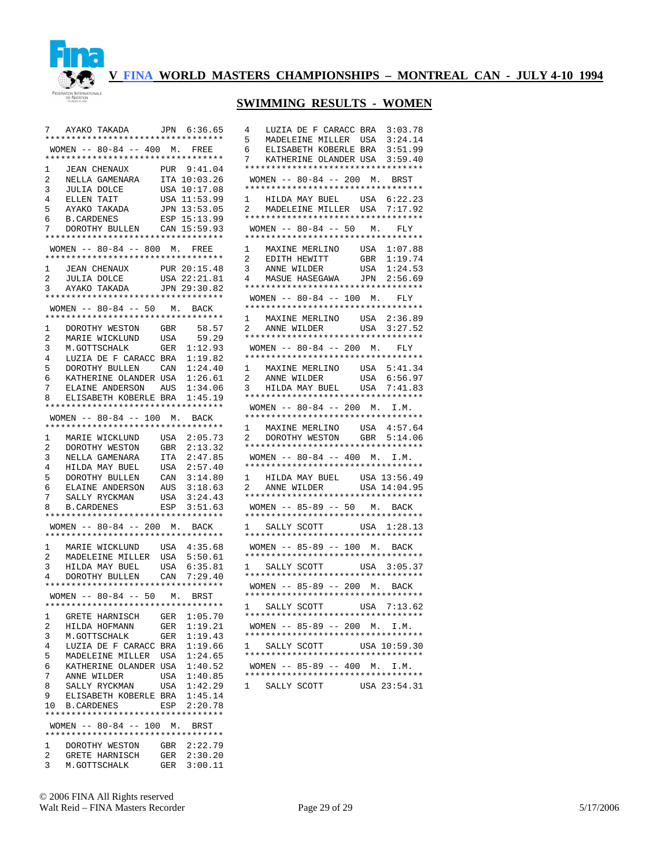

# **SWIMMING RESULTS - WOMEN**

| 7                   | AYAKO TAKADA JPN 6:36.65                                                                                                                                                                        |            |                            |
|---------------------|-------------------------------------------------------------------------------------------------------------------------------------------------------------------------------------------------|------------|----------------------------|
|                     | **********************************                                                                                                                                                              |            |                            |
|                     | WOMEN -- 80-84 -- 400 M. FREE                                                                                                                                                                   |            |                            |
|                     | *********************************                                                                                                                                                               |            |                            |
| 1                   | JEAN CHENAUX PUR 9:41.04<br>NELLA GAMENARA ITA 10:03.26                                                                                                                                         |            |                            |
| $\overline{2}$<br>3 |                                                                                                                                                                                                 |            |                            |
| $\overline{4}$      |                                                                                                                                                                                                 |            |                            |
| 5                   |                                                                                                                                                                                                 |            |                            |
| б.                  | NELLA GARDERENT USA 10:17.00<br>JULIA DOLCE USA 10:17.00<br>ELLEN TAIT USA 11:53.99<br>TRIXADA JPN 13:53.05<br>AYAKO TAKADA<br>B.CARDENES                                                       |            | ESP 15:13.99               |
| 7                   | DOROTHY BULLEN CAN 15:59.93                                                                                                                                                                     |            |                            |
|                     | *********************************                                                                                                                                                               |            |                            |
|                     | WOMEN -- 80-84 -- 800 M. FREE                                                                                                                                                                   |            |                            |
|                     | **********************************                                                                                                                                                              |            |                            |
| 1                   | JEAN CHENAUX PUR 20:15.48<br>JULIA DOLCE USA 22:21.81<br>AYAKO TAKADA JPN 29:30.82                                                                                                              |            |                            |
| 2                   |                                                                                                                                                                                                 |            |                            |
| 3                   |                                                                                                                                                                                                 |            |                            |
|                     | *********************************                                                                                                                                                               |            |                            |
|                     | WOMEN -- 80-84 -- 50 M. BACK<br>**********************************                                                                                                                              |            |                            |
| 1                   | DOROTHY WESTON                                                                                                                                                                                  | GBR        | 58.57                      |
| 2                   | MARIE WICKLUND                                                                                                                                                                                  |            | USA 59.29                  |
| 3                   | M.GOTTSCHALK                                                                                                                                                                                    | GER        | 1:12.93                    |
| 4                   | LUZIA DE F CARACC BRA                                                                                                                                                                           |            | 1:19.82                    |
| 5                   | DOROTHY BULLEN CAN                                                                                                                                                                              |            | 1:24.40                    |
| 6                   | KATHERINE OLANDER USA                                                                                                                                                                           |            | 1:26.61                    |
| 7                   | ELAINE ANDERSON AUS                                                                                                                                                                             |            | 1:34.06                    |
| 8                   | ELISABETH KOBERLE BRA                                                                                                                                                                           |            | 1:45.19                    |
|                     | *********************************                                                                                                                                                               |            |                            |
|                     | WOMEN -- 80-84 -- 100 M. BACK                                                                                                                                                                   |            |                            |
|                     | **********************************                                                                                                                                                              |            |                            |
| 1                   | MARIE WICKLUND                                                                                                                                                                                  | USA        | 2:05.73                    |
| $\mathbf{2}$        | DOROTHY WESTON                                                                                                                                                                                  | GBR        | 2:13.32                    |
| 3<br>4              | NELLA GAMENARA<br>HILDA MAY BUEL                                                                                                                                                                | ITA        | 2:47.85<br>2:57.40         |
| 5                   | DOROTHY BULLEN                                                                                                                                                                                  | USA<br>CAN | 3:14.80                    |
| б.                  |                                                                                                                                                                                                 |            |                            |
| 7                   |                                                                                                                                                                                                 |            |                            |
| 8                   | $\begin{tabular}{llllll} \texttt{ELAINE ANDERSON} & \texttt{AUS} & 3:18.63 \\ \texttt{SALLY RYCKMAN} & \texttt{USA} & 3:24.43 \\ \texttt{B.CARDENES} & \texttt{ESP} & 3:51.63 \\ \end{tabular}$ |            |                            |
|                     | **********************************                                                                                                                                                              |            |                            |
|                     | WOMEN -- 80-84 -- 200 M. BACK                                                                                                                                                                   |            |                            |
|                     | **********************************                                                                                                                                                              |            |                            |
| $\mathbf{1}$        | MARIE WICKLUND USA 4:35.68<br>MADELEINE MILLER USA 5:50.61                                                                                                                                      |            |                            |
| $\mathbf{2}$        |                                                                                                                                                                                                 |            |                            |
| 3                   | HILDA MAY BUEL<br>DOROTHY BULLEN                                                                                                                                                                |            | USA 6:35.81<br>CAN 7:29.40 |
| 4                   | *********************************                                                                                                                                                               |            |                            |
|                     | WOMEN -- 80-84 -- 50 M. BRST                                                                                                                                                                    |            |                            |
|                     | *********************************                                                                                                                                                               |            |                            |
|                     | 1 GRETE HARNISCH GER 1:05.70                                                                                                                                                                    |            |                            |
| 2                   | HILDA HOFMANN                                                                                                                                                                                   | GER        | 1:19.21                    |
| 3                   | M.GOTTSCHALK                                                                                                                                                                                    | GER        | 1:19.43                    |
| 4                   | LUZIA DE F CARACC BRA 1:19.66                                                                                                                                                                   |            |                            |
| 5                   | MADELEINE MILLER USA                                                                                                                                                                            |            | 1:24.65                    |
| 6                   | KATHERINE OLANDER USA 1:40.52                                                                                                                                                                   |            |                            |
| 7                   | ANNE WILDER                                                                                                                                                                                     | USA        | 1:40.85                    |
| 8                   | SALLY RYCKMAN                                                                                                                                                                                   |            | USA 1:42.29                |
| 9                   | ELISABETH KOBERLE BRA                                                                                                                                                                           |            | 1:45.14                    |
|                     | 10 B.CARDENES<br>**********************************                                                                                                                                             |            | ESP 2:20.78                |
|                     | WOMEN -- 80-84 -- 100 M. BRST                                                                                                                                                                   |            |                            |
|                     | **********************************                                                                                                                                                              |            |                            |
| $\mathbf{1}$        | DOROTHY WESTON GBR 2:22.79                                                                                                                                                                      |            |                            |
| $\overline{2}$      | GRETE HARNISCH                                                                                                                                                                                  | GER        | 2:30.20                    |
| 3                   | M.GOTTSCHALK                                                                                                                                                                                    |            | GER 3:00.11                |

| 4<br>LUZIA DE F CARACC BRA                                               | 3:03.78      |
|--------------------------------------------------------------------------|--------------|
| 5<br>MADELEINE MILLER<br>USA                                             | 3:24.14      |
| ELISABETH KOBERLE BRA<br>6                                               | 3:51.99      |
| KATHERINE OLANDER USA<br>7                                               | 3:59.40      |
| **********************************                                       |              |
| WOMEN -- 80-84 -- 200 M. BRST<br>**********************************      |              |
| $\mathbf{1}$<br>HILDA MAY BUEL<br>USA                                    | 6:22.23      |
| MADELEINE MILLER USA<br>$\overline{2}$                                   | 7:17.92      |
| **********************************                                       |              |
| WOMEN $-- 80-84 -- 50$ M.                                                | FLY          |
|                                                                          |              |
| MAXINE MERLINO USA<br>EDITH HEWITT GBR<br>ANNE WILDER USA<br>$\mathbf 1$ | 1:07.88      |
| $\overline{2}$                                                           | 1:19.74      |
| 3<br>MASUE HASEGAWA JPN 2:56.69                                          | 1:24.53      |
| 4<br>**********************************                                  |              |
|                                                                          |              |
| WOMEN $-- 80-84 -- 100$ M.<br>**********************************         | FLY          |
| $\mathbf 1$<br>USA                                                       | 2:36.89      |
| MAXINE MERLINO<br>ANNE WILDER<br>$_{\rm USA}$<br>$\overline{2}$          | 3:27.52      |
| **********************************                                       |              |
| WOMEN -- 80-84 -- 200 M.<br>**********************************           | FLY          |
| 1                                                                        | USA 5:41.34  |
| MAXINE MERLINO<br>USA<br>$\overline{a}$<br>ANNE WILDER                   | 6:56.97      |
| HILDA MAY BUEL USA<br>3                                                  | 7:41.83      |
|                                                                          |              |
| WOMEN -- $80-84$ -- 200 M. I.M.                                          |              |
| **********************************                                       |              |
| 1<br>MAXINE MERLINO<br>USA                                               | 4:57.64      |
| DOROTHY WESTON GBR<br>$\overline{2}$                                     | 5:14.06      |
| **********************************                                       |              |
| WOMEN -- 80-84 -- 400 M. I.M.<br>**********************************      |              |
| 1                                                                        |              |
| HILDA MAY BUEL USA 13:56.49<br>ANNE WILDER USA 14:04.95<br>2             |              |
| **********************************                                       |              |
| WOMEN -- 85-89 -- 50 M. BACK                                             |              |
| **********************************<br>SALLY SCOTT                        |              |
| $\mathbf{1}$                                                             | USA 1:28.13  |
|                                                                          |              |
| WOMEN -- 85-89 -- 100 M. BACK                                            |              |
| SALLY SCOTT USA 3:05.37<br>1                                             |              |
| *********************************                                        |              |
| WOMEN -- 85-89 -- 200 M. BACK<br>**********************************      |              |
| SALLY SCOTT<br>$1 \quad$                                                 | USA 7:13.62  |
| *********************************                                        |              |
| WOMEN -- 85-89 -- 200 M. I.M.<br>*********************************       |              |
| 1 SALLY SCOTT USA 10:59.30                                               |              |
|                                                                          |              |
| WOMEN -- 85-89 -- 400 M. I.M.                                            |              |
|                                                                          |              |
| 1<br>SALLY SCOTT                                                         | USA 23:54.31 |

© 2006 FINA All Rights reserved Walt Reid – FINA Masters Recorder Page 29 of 29 5/17/2006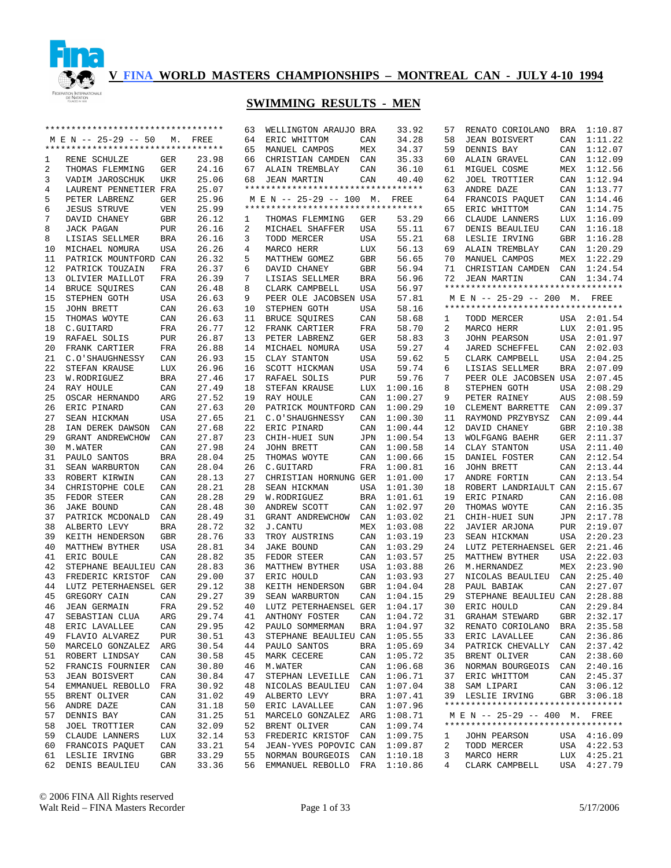

|    | ********************************** |            |       | 63 | WELLINGTON ARAUJO BRA              |            | 33.92       | 57 | RENATO CORIOLANO                   | BRA        | 1:10.87     |
|----|------------------------------------|------------|-------|----|------------------------------------|------------|-------------|----|------------------------------------|------------|-------------|
|    | M E N -- 25-29 -- 50               | М.         | FREE  | 64 | ERIC WHITTOM                       | CAN        | 34.28       | 58 | <b>JEAN BOISVERT</b>               | CAN        | 1:11.22     |
|    | ********************************** |            |       | 65 | MANUEL CAMPOS                      | MEX        | 34.37       | 59 | DENNIS BAY                         | CAN        | 1:12.07     |
| 1  | RENE SCHULZE                       | GER        | 23.98 | 66 | CHRISTIAN CAMDEN                   | CAN        | 35.33       | 60 | ALAIN GRAVEL                       | CAN        | 1:12.09     |
| 2  | THOMAS FLEMMING                    | GER        | 24.16 | 67 | ALAIN TREMBLAY                     | CAN        | 36.10       | 61 | MIGUEL COSME                       |            | MEX 1:12.56 |
| 3  | VADIM JAROSCHUK                    | UKR        | 25.06 | 68 | <b>JEAN MARTIN</b>                 | CAN        | 40.40       | 62 | JOEL TROTTIER                      | CAN        | 1:12.94     |
| 4  | LAURENT PENNETIER FRA              |            | 25.07 |    | ********************************** |            |             | 63 | ANDRE DAZE                         | CAN        | 1:13.77     |
| 5  | PETER LABRENZ                      | <b>GER</b> | 25.96 |    | M E N -- 25-29 -- 100 M.           |            | FREE        | 64 | FRANCOIS PAQUET                    | CAN        | 1:14.46     |
| 6  | <b>JESUS STRUVE</b>                | VEN        | 25.99 |    | ********************************** |            |             | 65 | ERIC WHITTOM                       | CAN        | 1:14.75     |
| 7  | DAVID CHANEY                       | GBR        | 26.12 | 1  | THOMAS FLEMMING                    | GER        | 53.29       | 66 | CLAUDE LANNERS                     | LUX        | 1:16.09     |
| 8  | JACK PAGAN                         | PUR        | 26.16 | 2  | MICHAEL SHAFFER                    | USA        | 55.11       | 67 | DENIS BEAULIEU                     | CAN        | 1:16.18     |
| 8  | LISIAS SELLMER                     | BRA        | 26.16 | 3  | TODD MERCER                        | USA        | 55.21       | 68 | LESLIE IRVING                      | GBR        | 1:16.28     |
| 10 | MICHAEL NOMURA                     | USA        | 26.26 | 4  | MARCO HERR                         | LUX        | 56.13       | 69 | ALAIN TREMBLAY                     |            | CAN 1:20.29 |
| 11 | PATRICK MOUNTFORD CAN              |            | 26.32 | 5  | MATTHEW GOMEZ                      | GBR        | 56.65       | 70 | MANUEL CAMPOS                      | MEX        | 1:22.29     |
| 12 | PATRICK TOUZAIN                    | FRA        | 26.37 | 6  | DAVID CHANEY                       | GBR        | 56.94       | 71 | CHRISTIAN CAMDEN                   | CAN        | 1:24.54     |
| 13 | OLIVIER MAILLOT                    | FRA        | 26.39 | 7  | LISIAS SELLMER                     | <b>BRA</b> | 56.96       | 72 | <b>JEAN MARTIN</b>                 |            | CAN 1:34.74 |
| 14 | BRUCE SQUIRES                      | CAN        | 26.48 | 8  | CLARK CAMPBELL                     | USA        | 56.97       |    | ********************************** |            |             |
| 15 | STEPHEN GOTH                       | USA        | 26.63 | 9  | PEER OLE JACOBSEN USA              |            | 57.81       |    | M E N -- 25-29 -- 200 M. FREE      |            |             |
| 15 | JOHN BRETT                         | CAN        | 26.63 | 10 | STEPHEN GOTH                       | USA        | 58.16       |    | ********************************** |            |             |
| 15 | THOMAS WOYTE                       | CAN        | 26.63 | 11 | BRUCE SQUIRES                      | CAN        | 58.68       | 1  | TODD MERCER                        |            | USA 2:01.54 |
| 18 | C.GUITARD                          | FRA        | 26.77 | 12 | FRANK CARTIER                      | FRA        | 58.70       | 2  | MARCO HERR                         | LUX        | 2:01.95     |
| 19 | RAFAEL SOLIS                       | PUR        | 26.87 | 13 | PETER LABRENZ                      | GER        | 58.83       | 3  | JOHN PEARSON                       | USA        | 2:01.97     |
| 20 | FRANK CARTIER                      | FRA        | 26.88 | 14 | MICHAEL NOMURA                     | USA        | 59.27       | 4  | JARED SCHEFFEL                     | CAN        | 2:02.03     |
| 21 | C.O'SHAUGHNESSY                    | CAN        | 26.93 | 15 | CLAY STANTON                       | USA        | 59.62       | 5  | CLARK CAMPBELL                     | USA        | 2:04.25     |
| 22 | STEFAN KRAUSE                      | <b>LUX</b> | 26.96 | 16 | SCOTT HICKMAN                      | USA        | 59.74       | 6  | LISIAS SELLMER                     | <b>BRA</b> | 2:07.09     |
| 23 | W.RODRIGUEZ                        | <b>BRA</b> | 27.46 | 17 | RAFAEL SOLIS                       | <b>PUR</b> | 59.76       | 7  | PEER OLE JACOBSEN USA              |            | 2:07.45     |
| 24 | RAY HOULE                          | CAN        | 27.49 | 18 | STEFAN KRAUSE                      | LUX        | 1:00.16     | 8  | STEPHEN GOTH                       | <b>USA</b> | 2:08.29     |
| 25 | OSCAR HERNANDO                     | ARG        | 27.52 | 19 | RAY HOULE                          | CAN        | 1:00.27     | 9  | PETER RAINEY                       | AUS        | 2:08.59     |
| 26 | ERIC PINARD                        | CAN        | 27.63 | 20 | PATRICK MOUNTFORD CAN              |            | 1:00.29     | 10 | CLEMENT BARRETTE                   | CAN        | 2:09.37     |
| 27 | SEAN HICKMAN                       | USA        | 27.65 | 21 | C.O'SHAUGHNESSY                    | CAN        | 1:00.30     | 11 | RAYMOND PRZYBYSZ                   | CAN        | 2:09.44     |
| 28 | IAN DEREK DAWSON                   | CAN        | 27.68 | 22 | ERIC PINARD                        | CAN        | 1:00.44     | 12 | DAVID CHANEY                       | GBR        | 2:10.38     |
| 29 | GRANT ANDREWCHOW                   | CAN        | 27.87 | 23 | CHIH-HUEI SUN                      | JPN        | 1:00.54     | 13 | WOLFGANG BAEHR                     | GER        | 2:11.37     |
| 30 | M.WATER                            | CAN        | 27.98 | 24 | JOHN BRETT                         | CAN        | 1:00.58     | 14 | CLAY STANTON                       | USA        | 2:11.40     |
| 31 | PAULO SANTOS                       | BRA        | 28.04 | 25 | THOMAS WOYTE                       | CAN        | 1:00.66     | 15 | DANIEL FOSTER                      | CAN        | 2:12.54     |
| 31 | SEAN WARBURTON                     | CAN        | 28.04 | 26 | C.GUITARD                          | FRA        | 1:00.81     | 16 | JOHN BRETT                         | CAN        | 2:13.44     |
| 33 | ROBERT KIRWIN                      | CAN        | 28.13 | 27 | CHRISTIAN HORNUNG GER              |            | 1:01.00     | 17 | ANDRE FORTIN                       | CAN        | 2:13.54     |
| 34 | CHRISTOPHE COLE                    | CAN        | 28.21 | 28 | SEAN HICKMAN                       | USA        | 1:01.30     | 18 | ROBERT LANDRIAULT CAN              |            | 2:15.67     |
| 35 | FEDOR STEER                        | CAN        | 28.28 | 29 | W.RODRIGUEZ                        | <b>BRA</b> | 1:01.61     | 19 | ERIC PINARD                        | CAN        | 2:16.08     |
| 36 | <b>JAKE BOUND</b>                  | CAN        | 28.48 | 30 | ANDREW SCOTT                       | CAN        | 1:02.97     | 20 | THOMAS WOYTE                       | CAN        | 2:16.35     |
| 37 | PATRICK MCDONALD                   | CAN        | 28.49 | 31 | GRANT ANDREWCHOW                   | CAN        | 1:03.02     | 21 | CHIH-HUEI SUN                      | JPN        | 2:17.78     |
| 38 | ALBERTO LEVY                       | <b>BRA</b> | 28.72 | 32 | <b>J.CANTU</b>                     | MEX        | 1:03.08     | 22 | JAVIER ARJONA                      | <b>PUR</b> | 2:19.07     |
| 39 | KEITH HENDERSON                    | <b>GBR</b> | 28.76 | 33 | TROY AUSTRINS                      | CAN        | 1:03.19     | 23 | SEAN HICKMAN                       | USA        | 2:20.23     |
| 40 | MATTHEW BYTHER                     | <b>USA</b> | 28.81 | 34 | <b>JAKE BOUND</b>                  | CAN        | 1:03.29     | 24 | LUTZ PETERHAENSEL GER              |            | 2:21.46     |
| 41 | ERIC BOULE                         | CAN        | 28.82 | 35 | FEDOR STEER                        | CAN        | 1:03.57     | 25 | MATTHEW BYTHER                     | <b>USA</b> | 2:22.03     |
| 42 | STEPHANE BEAULIEU CAN              |            | 28.83 | 36 | MATTHEW BYTHER                     | USA        | 1:03.88     | 26 | M. HERNANDEZ                       | MEX        | 2:23.90     |
| 43 | FREDERIC KRISTOF                   | CAN        | 29.00 | 37 | ERIC HOULD                         | CAN        | 1:03.93     | 27 | NICOLAS BEAULIEU                   | CAN        | 2:25.40     |
| 44 | LUTZ PETERHAENSEL GER              |            | 29.12 | 38 | KEITH HENDERSON                    | <b>GBR</b> | 1:04.04     | 28 | PAUL BABIAK                        | CAN        | 2:27.07     |
| 45 | GREGORY CAIN                       | CAN        | 29.27 | 39 | SEAN WARBURTON                     | CAN        | 1:04.15     | 29 | STEPHANE BEAULIEU CAN              |            | 2:28.88     |
| 46 | <b>JEAN GERMAIN</b>                | FRA        | 29.52 | 40 | LUTZ PETERHAENSEL GER              |            | 1:04.17     | 30 | ERIC HOULD                         | CAN        | 2:29.84     |
| 47 | SEBASTIAN CLUA                     | ARG        | 29.74 | 41 | ANTHONY FOSTER                     |            | CAN 1:04.72 |    | 31 GRAHAM STEWARD                  |            | GBR 2:32.17 |
| 48 | ERIC LAVALLEE                      | CAN        | 29.95 | 42 | PAULO SOMMERMAN                    |            | BRA 1:04.97 | 32 | RENATO CORIOLANO BRA 2:35.58       |            |             |
| 49 | FLAVIO ALVAREZ                     | PUR        | 30.51 | 43 | STEPHANE BEAULIEU CAN 1:05.55      |            |             | 33 | ERIC LAVALLEE                      |            | CAN 2:36.86 |
| 50 | MARCELO GONZALEZ                   | ARG        | 30.54 | 44 | PAULO SANTOS                       |            | BRA 1:05.69 | 34 | PATRICK CHEVALLY CAN 2:37.42       |            |             |
| 51 | ROBERT LINDSAY                     | CAN        | 30.58 | 45 | MARK CECERE                        | CAN        | 1:05.72     | 35 | BRENT OLIVER                       |            | CAN 2:38.60 |
| 52 | FRANCIS FOURNIER                   | CAN        | 30.80 | 46 | M.WATER                            | CAN        | 1:06.68     | 36 | NORMAN BOURGEOIS                   |            | CAN 2:40.16 |
| 53 | <b>JEAN BOISVERT</b>               | CAN        | 30.84 | 47 | STEPHAN LEVEILLE                   | CAN        | 1:06.71     | 37 | ERIC WHITTOM                       |            | CAN 2:45.37 |
| 54 | EMMANUEL REBOLLO                   | FRA        | 30.92 | 48 | NICOLAS BEAULIEU                   | CAN        | 1:07.04     | 38 | SAM LIPARI                         |            | CAN 3:06.12 |
| 55 | BRENT OLIVER                       | CAN        | 31.02 | 49 | ALBERTO LEVY                       | BRA        | 1:07.41     | 39 | LESLIE IRVING                      |            | GBR 3:06.18 |
| 56 | ANDRE DAZE                         | CAN        | 31.18 | 50 | ERIC LAVALLEE                      | CAN        | 1:07.96     |    | ********************************** |            |             |
| 57 | DENNIS BAY                         | CAN        | 31.25 | 51 | MARCELO GONZALEZ                   | ARG        | 1:08.71     |    | M E N -- 25-29 -- 400 M. FREE      |            |             |
| 58 | JOEL TROTTIER                      | CAN        | 32.09 | 52 | BRENT OLIVER                       | CAN        | 1:09.74     |    | ********************************** |            |             |
| 59 | CLAUDE LANNERS                     | LUX        | 32.14 |    | 53 FREDERIC KRISTOF                | CAN        | 1:09.75     | 1  | JOHN PEARSON                       |            | USA 4:16.09 |
| 60 | FRANCOIS PAOUET                    | CAN        | 33.21 | 54 | JEAN-YVES POPOVIC CAN              |            | 1:09.87     | 2  | TODD MERCER                        |            | USA 4:22.53 |
| 61 | LESLIE IRVING                      | GBR        | 33.29 |    | 55 NORMAN BOURGEOIS CAN            |            | 1:10.18     | 3  | MARCO HERR                         |            | LUX 4:25.21 |
| 62 | DENIS BEAULIEU                     | CAN        | 33.36 | 56 | EMMANUEL REBOLLO                   | FRA        | 1:10.86     | 4  | CLARK CAMPBELL                     |            | USA 4:27.79 |
|    |                                    |            |       |    |                                    |            |             |    |                                    |            |             |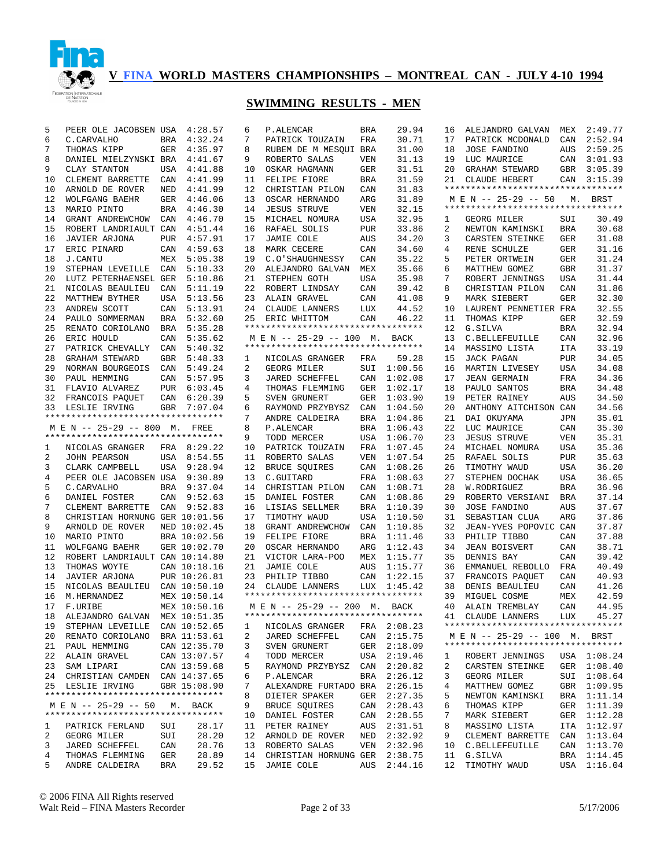

# **SWIMMING RESULTS - MEN**

| 5  | PEER OLE JACOBSEN USA              |            | 4:28.57      | 6  | P.ALENCAR                          | <b>BRA</b> | 29.94       | 16 | ALEJANDRO GALVAN                   | MEX        | 2:49.77     |
|----|------------------------------------|------------|--------------|----|------------------------------------|------------|-------------|----|------------------------------------|------------|-------------|
| 6  | C. CARVALHO                        | BRA        | 4:32.24      | 7  | PATRICK TOUZAIN                    | FRA        | 30.71       | 17 | PATRICK MCDONALD                   | CAN        | 2:52.94     |
| 7  | THOMAS KIPP                        |            | GER 4:35.97  | 8  | RUBEM DE M MESQUI BRA              |            | 31.00       | 18 | <b>JOSE FANDINO</b>                | AUS        | 2:59.25     |
| 8  | DANIEL MIELZYNSKI BRA 4:41.67      |            |              | 9  | ROBERTO SALAS                      | VEN        | 31.13       | 19 | LUC MAURICE                        | CAN        | 3:01.93     |
| 9  | CLAY STANTON                       |            | USA 4:41.88  | 10 | OSKAR HAGMANN                      | GER        | 31.51       | 20 | GRAHAM STEWARD                     | GBR        | 3:05.39     |
| 10 | CLEMENT BARRETTE                   | CAN        | 4:41.99      | 11 | FELIPE FIORE                       | <b>BRA</b> | 31.59       | 21 | CLAUDE HEBERT                      | CAN        | 3:15.39     |
| 10 | ARNOLD DE ROVER                    | NED        | 4:41.99      | 12 | CHRISTIAN PILON                    | CAN        | 31.83       |    | ********************************** |            |             |
| 12 | WOLFGANG BAEHR                     | GER        | 4:46.06      | 13 | OSCAR HERNANDO                     | ARG        | 31.89       |    | M E N -- 25-29 -- 50               |            | M. BRST     |
| 13 | MARIO PINTO                        | BRA        | 4:46.30      | 14 | <b>JESUS STRUVE</b>                | VEN        | 32.15       |    | ********************************** |            |             |
| 14 | GRANT ANDREWCHOW                   | CAN        | 4:46.70      | 15 | MICHAEL NOMURA                     | USA        | 32.95       | 1  | GEORG MILER                        | SUI        | 30.49       |
| 15 | ROBERT LANDRIAULT CAN              |            | 4:51.44      | 16 | RAFAEL SOLIS                       | <b>PUR</b> | 33.86       | 2  | NEWTON KAMINSKI                    | <b>BRA</b> | 30.68       |
| 16 | JAVIER ARJONA                      | <b>PUR</b> | 4:57.91      | 17 | JAMIE COLE                         | AUS        | 34.20       | 3  | CARSTEN STEINKE                    | <b>GER</b> | 31.08       |
| 17 | ERIC PINARD                        | CAN        | 4:59.63      | 18 | MARK CECERE                        | CAN        | 34.60       | 4  | RENE SCHULZE                       | <b>GER</b> | 31.16       |
| 18 | J.CANTU                            | MEX        | 5:05.38      | 19 | C.O'SHAUGHNESSY                    | CAN        | 35.22       | 5  | PETER ORTWEIN                      | <b>GER</b> | 31.24       |
| 19 |                                    | CAN        |              |    |                                    |            | 35.66       | 6  | MATTHEW GOMEZ                      | <b>GBR</b> | 31.37       |
|    | STEPHAN LEVEILLE                   |            | 5:10.33      | 20 | ALEJANDRO GALVAN                   | MEX        |             |    |                                    |            |             |
| 20 | LUTZ PETERHAENSEL GER              |            | 5:10.86      | 21 | STEPHEN GOTH                       | USA        | 35.98       | 7  | ROBERT JENNINGS                    | <b>USA</b> | 31.44       |
| 21 | NICOLAS BEAULIEU                   | CAN        | 5:11.19      | 22 | ROBERT LINDSAY                     | CAN        | 39.42       | 8  | CHRISTIAN PILON                    | CAN        | 31.86       |
| 22 | MATTHEW BYTHER                     | USA        | 5:13.56      | 23 | ALAIN GRAVEL                       | CAN        | 41.08       | 9  | MARK SIEBERT                       | <b>GER</b> | 32.30       |
| 23 | ANDREW SCOTT                       | CAN        | 5:13.91      | 24 | CLAUDE LANNERS                     | LUX        | 44.52       | 10 | LAURENT PENNETIER FRA              |            | 32.55       |
| 24 | PAULO SOMMERMAN                    | BRA        | 5:32.60      | 25 | ERIC WHITTOM                       | CAN        | 46.22       | 11 | THOMAS KIPP                        | <b>GER</b> | 32.59       |
| 25 | RENATO CORIOLANO                   | BRA        | 5:35.28      |    | ********************************** |            |             | 12 | G.SILVA                            | <b>BRA</b> | 32.94       |
| 26 | ERIC HOULD                         | CAN        | 5:35.62      |    | M E N -- 25-29 -- 100 M.           |            | BACK        | 13 | C.BELLEFEUILLE                     | CAN        | 32.96       |
| 27 | PATRICK CHEVALLY                   | CAN        | 5:40.32      |    | ********************************** |            |             | 14 | MASSIMO LISTA                      | <b>ITA</b> | 33.19       |
| 28 | <b>GRAHAM STEWARD</b>              | GBR        | 5:48.33      | 1  | NICOLAS GRANGER                    | FRA        | 59.28       | 15 | JACK PAGAN                         | <b>PUR</b> | 34.05       |
| 29 | NORMAN BOURGEOIS                   | CAN        | 5:49.24      | 2  | GEORG MILER                        | SUI        | 1:00.56     | 16 | MARTIN LIVESEY                     | USA        | 34.08       |
| 30 | PAUL HEMMING                       | CAN        | 5:57.95      | 3  | JARED SCHEFFEL                     | CAN        | 1:02.08     | 17 | <b>JEAN GERMAIN</b>                | FRA        | 34.36       |
| 31 | FLAVIO ALVAREZ                     |            | PUR 6:03.45  | 4  | THOMAS FLEMMING                    | GER        | 1:02.17     | 18 | PAULO SANTOS                       | <b>BRA</b> | 34.48       |
| 32 | FRANCOIS PAQUET                    |            | CAN 6:20.39  | 5  | SVEN GRUNERT                       | GER        | 1:03.90     | 19 | PETER RAINEY                       | AUS        | 34.50       |
| 33 | LESLIE IRVING                      | <b>GBR</b> | 7:07.04      | 6  | RAYMOND PRZYBYSZ                   | CAN        | 1:04.50     | 20 | ANTHONY AITCHISON CAN              |            | 34.56       |
|    | ********************************** |            |              | 7  | ANDRE CALDEIRA                     | <b>BRA</b> | 1:04.86     | 21 | DAI OKUYAMA                        | JPN        | 35.01       |
|    | M E N -- 25-29 -- 800 M.           |            | FREE         | 8  | P.ALENCAR                          | <b>BRA</b> | 1:06.43     | 22 | LUC MAURICE                        | CAN        | 35.30       |
|    | ********************************** |            |              | 9  | TODD MERCER                        | USA        | 1:06.70     | 23 | <b>JESUS STRUVE</b>                | <b>VEN</b> | 35.31       |
| 1  | NICOLAS GRANGER                    |            | FRA 8:29.22  | 10 | PATRICK TOUZAIN                    | FRA        | 1:07.45     | 24 | MICHAEL NOMURA                     | <b>USA</b> | 35.36       |
| 2  | <b>JOHN PEARSON</b>                |            | USA 8:54.55  | 11 | ROBERTO SALAS                      | VEN        | 1:07.54     | 25 | RAFAEL SOLIS                       | <b>PUR</b> | 35.63       |
| 3  | CLARK CAMPBELL                     |            | USA 9:28.94  | 12 | BRUCE SQUIRES                      | CAN        | 1:08.26     | 26 | TIMOTHY WAUD                       | <b>USA</b> | 36.20       |
| 4  | PEER OLE JACOBSEN USA 9:30.89      |            |              | 13 |                                    | FRA        | 1:08.63     | 27 |                                    |            | 36.65       |
|    |                                    |            |              |    | C.GUITARD                          |            |             |    | STEPHEN DOCHAK                     | <b>USA</b> |             |
| 5  | C. CARVALHO                        |            | BRA 9:37.04  | 14 | CHRISTIAN PILON                    | CAN        | 1:08.71     | 28 | W.RODRIGUEZ                        | <b>BRA</b> | 36.96       |
| 6  | DANIEL FOSTER                      | CAN        | 9:52.63      | 15 | DANIEL FOSTER                      | CAN        | 1:08.86     | 29 | ROBERTO VERSIANI                   | <b>BRA</b> | 37.14       |
| 7  | CLEMENT BARRETTE                   | CAN        | 9:52.83      | 16 | LISIAS SELLMER                     | <b>BRA</b> | 1:10.39     | 30 | <b>JOSE FANDINO</b>                | AUS        | 37.67       |
| 8  | CHRISTIAN HORNUNG GER 10:01.56     |            |              | 17 | TIMOTHY WAUD                       | USA        | 1:10.50     | 31 | SEBASTIAN CLUA                     | ARG        | 37.86       |
| 9  | ARNOLD DE ROVER                    |            | NED 10:02.45 | 18 | GRANT ANDREWCHOW                   | CAN        | 1:10.85     | 32 | JEAN-YVES POPOVIC CAN              |            | 37.87       |
| 10 | MARIO PINTO                        |            | BRA 10:02.56 | 19 | FELIPE FIORE                       | BRA        | 1:11.46     | 33 | PHILIP TIBBO                       | CAN        | 37.88       |
| 11 | WOLFGANG BAEHR                     |            | GER 10:02.70 | 20 | OSCAR HERNANDO                     | ARG        | 1:12.43     | 34 | <b>JEAN BOISVERT</b>               | CAN        | 38.71       |
| 12 | ROBERT LANDRIAULT CAN 10:14.80     |            |              | 21 | VICTOR LARA-POO                    | MEX        | 1:15.77     | 35 | DENNIS BAY                         | CAN        | 39.42       |
| 13 | THOMAS WOYTE                       |            | CAN 10:18.16 | 21 | JAMIE COLE                         | AUS        | 1:15.77     | 36 | EMMANUEL REBOLLO                   | FRA        | 40.49       |
| 14 | JAVIER ARJONA                      |            | PUR 10:26.81 | 23 | PHILIP TIBBO                       | CAN        | 1:22.15     | 37 | FRANCOIS PAQUET                    | CAN        | 40.93       |
| 15 | NICOLAS BEAULIEU CAN 10:50.10      |            |              | 24 | CLAUDE LANNERS                     | LUX        | 1:45.42     | 38 | DENIS BEAULIEU                     | CAN        | 41.26       |
| 16 | M.HERNANDEZ                        |            | MEX 10:50.14 |    | ********************************** |            |             | 39 | MIGUEL COSME                       | MEX        | 42.59       |
| 17 | F.URIBE                            |            | MEX 10:50.16 |    | M E N -- 25-29 -- 200 M. BACK      |            |             | 40 | ALAIN TREMBLAY                     | CAN        | 44.95       |
|    | 18 ALEJANDRO GALVAN MEX 10:51.35   |            |              |    | ********************************** |            |             |    | 41 CLAUDE LANNERS                  | LUX        | 45.27       |
| 19 | STEPHAN LEVEILLE                   |            | CAN 10:52.65 | 1  | NICOLAS GRANGER                    |            | FRA 2:08.23 |    | ********************************** |            |             |
|    | 20 RENATO CORIOLANO BRA 11:53.61   |            |              | 2  | JARED SCHEFFEL                     |            | CAN 2:15.75 |    | M E N -- 25-29 -- 100 M. BRST      |            |             |
|    | 21 PAUL HEMMING                    |            | CAN 12:35.70 | 3  | SVEN GRUNERT                       |            | GER 2:18.09 |    | ********************************** |            |             |
|    | 22 ALAIN GRAVEL                    |            | CAN 13:07.57 | 4  | TODD MERCER                        |            | USA 2:19.46 | 1  | ROBERT JENNINGS                    |            | USA 1:08.24 |
| 23 |                                    |            | CAN 13:59.68 | 5  |                                    |            |             | 2  | CARSTEN STEINKE                    |            | GER 1:08.40 |
|    | SAM LIPARI                         |            |              |    | RAYMOND PRZYBYSZ                   | CAN        | 2:20.82     |    |                                    |            |             |
|    | 24 CHRISTIAN CAMDEN CAN 14:37.65   |            |              | 6  | P.ALENCAR                          | BRA        | 2:26.12     | 3  | GEORG MILER                        |            | SUI 1:08.64 |
|    | 25 LESLIE IRVING                   |            | GBR 15:08.90 | 7  | ALEXANDRE FURTADO BRA              |            | 2:26.15     | 4  | MATTHEW GOMEZ                      |            | GBR 1:09.95 |
|    | ********************************** |            |              | 8  | DIETER SPAKER                      |            | GER 2:27.35 | 5  | NEWTON KAMINSKI                    |            | BRA 1:11.14 |
|    | M E N -- 25-29 -- 50 M. BACK       |            |              | 9  | BRUCE SQUIRES                      | CAN        | 2:28.43     | 6  | THOMAS KIPP                        |            | GER 1:11.39 |
|    | ********************************** |            |              | 10 | DANIEL FOSTER                      |            | CAN 2:28.55 | 7  | MARK SIEBERT                       |            | GER 1:12.28 |
| 1  | PATRICK FERLAND                    | SUI        | 28.17        |    | 11 PETER RAINEY                    |            | AUS 2:31.51 | 8  | MASSIMO LISTA                      |            | ITA 1:12.97 |
| 2  | GEORG MILER                        | SUI        | 28.20        |    | 12 ARNOLD DE ROVER                 |            | NED 2:32.92 | 9  | CLEMENT BARRETTE                   |            | CAN 1:13.04 |
| 3  | JARED SCHEFFEL                     | CAN        | 28.76        |    | 13 ROBERTO SALAS                   | VEN        | 2:32.96     | 10 | C.BELLEFEUILLE                     |            | CAN 1:13.70 |
| 4  | THOMAS FLEMMING                    | GER        | 28.89        |    | 14 CHRISTIAN HORNUNG GER 2:38.75   |            |             | 11 | G.SILVA                            |            | BRA 1:14.45 |
|    |                                    |            |              |    |                                    |            |             |    |                                    |            |             |

© 2006 FINA All Rights reserved Walt Reid – FINA Masters Recorder Page 2 of 33 5/17/2006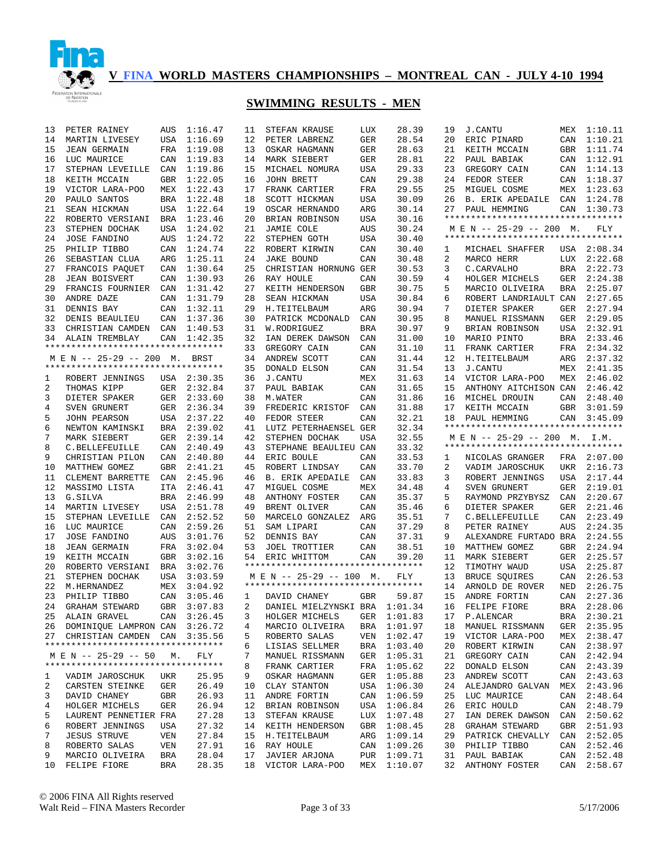

| 13 | PETER RAINEY                                               | AUS        | 1:16.47     | 11             | STEFAN KRAUSE                     | LUX        | 28.39       | 19 | <b>J.CANTU</b>                     | MEX        | 1:10.11     |
|----|------------------------------------------------------------|------------|-------------|----------------|-----------------------------------|------------|-------------|----|------------------------------------|------------|-------------|
| 14 | MARTIN LIVESEY                                             | <b>USA</b> | 1:16.69     | 12             | PETER LABRENZ                     | GER        | 28.54       | 20 | ERIC PINARD                        | CAN        | 1:10.21     |
| 15 | <b>JEAN GERMAIN</b>                                        | FRA        | 1:19.08     | 13             | OSKAR HAGMANN                     | GER        | 28.63       | 21 | KEITH MCCAIN                       | GBR        | 1:11.74     |
| 16 | LUC MAURICE                                                | CAN        | 1:19.83     | 14             | MARK SIEBERT                      | GER        | 28.81       | 22 | PAUL BABIAK                        | CAN        | 1:12.91     |
| 17 | STEPHAN LEVEILLE                                           | CAN        | 1:19.86     | 15             | MICHAEL NOMURA                    | USA        | 29.33       | 23 | GREGORY CAIN                       | CAN        | 1:14.13     |
| 18 | KEITH MCCAIN                                               | <b>GBR</b> | 1:22.05     | 16             | JOHN BRETT                        | CAN        | 29.38       | 24 | FEDOR STEER                        | CAN        | 1:18.37     |
| 19 | VICTOR LARA-POO                                            | MEX        | 1:22.43     | 17             | FRANK CARTIER                     | FRA        | 29.55       | 25 | MIGUEL COSME                       | MEX        | 1:23.63     |
| 20 | PAULO SANTOS                                               | <b>BRA</b> | 1:22.48     | 18             | SCOTT HICKMAN                     | USA        | 30.09       | 26 | <b>B. ERIK APEDAILE</b>            | CAN        | 1:24.78     |
| 21 | SEAN HICKMAN                                               | USA        | 1:22.64     | 19             | OSCAR HERNANDO                    | ARG        | 30.14       | 27 | PAUL HEMMING                       | CAN        | 1:30.73     |
| 22 | ROBERTO VERSIANI                                           | BRA        | 1:23.46     | 20             | BRIAN ROBINSON                    | USA        | 30.16       |    | ********************************** |            |             |
| 23 | STEPHEN DOCHAK                                             | USA        | 1:24.02     | 21             | JAMIE COLE                        | AUS        | 30.24       |    | M E N -- 25-29 -- 200 M.           |            | FLY         |
| 24 | <b>JOSE FANDINO</b>                                        | AUS        | 1:24.72     | 22             | STEPHEN GOTH                      | USA        | 30.40       |    | ********************************** |            |             |
|    |                                                            |            |             |                |                                   |            |             |    |                                    |            |             |
| 25 | PHILIP TIBBO                                               | CAN        | 1:24.74     | 22             | ROBERT KIRWIN                     | CAN        | 30.40       | 1  | MICHAEL SHAFFER                    |            | USA 2:08.34 |
| 26 | SEBASTIAN CLUA                                             | ARG        | 1:25.11     | 24             | <b>JAKE BOUND</b>                 | CAN        | 30.48       | 2  | MARCO HERR                         | LUX        | 2:22.68     |
| 27 | FRANCOIS PAQUET                                            | CAN        | 1:30.64     | 25             | CHRISTIAN HORNUNG GER             |            | 30.53       | 3  | C. CARVALHO                        | BRA        | 2:22.73     |
| 28 | <b>JEAN BOISVERT</b>                                       | CAN        | 1:30.93     | 26             | RAY HOULE                         | CAN        | 30.59       | 4  | HOLGER MICHELS                     | GER        | 2:24.38     |
| 29 | FRANCIS FOURNIER                                           | CAN        | 1:31.42     | 27             | KEITH HENDERSON                   | GBR        | 30.75       | 5  | MARCIO OLIVEIRA                    | <b>BRA</b> | 2:25.07     |
| 30 | ANDRE DAZE                                                 | CAN        | 1:31.79     | 28             | SEAN HICKMAN                      | USA        | 30.84       | 6  | ROBERT LANDRIAULT CAN              |            | 2:27.65     |
| 31 | DENNIS BAY                                                 | CAN        | 1:32.11     | 29             | H.TEITELBAUM                      | ARG        | 30.94       | 7  | DIETER SPAKER                      | GER        | 2:27.94     |
| 32 | DENIS BEAULIEU                                             | CAN        | 1:37.36     | 30             | PATRICK MCDONALD                  | CAN        | 30.95       | 8  | MANUEL RISSMANN                    | GER        | 2:29.05     |
| 33 | CHRISTIAN CAMDEN                                           | CAN        | 1:40.53     | 31             | W.RODRIGUEZ                       | <b>BRA</b> | 30.97       | 9  | BRIAN ROBINSON                     | USA        | 2:32.91     |
| 34 | ALAIN TREMBLAY                                             | CAN        | 1:42.35     | 32             | IAN DEREK DAWSON                  | CAN        | 31.00       | 10 | MARIO PINTO                        | BRA        | 2:33.46     |
|    | **********************************                         |            |             | 33             | GREGORY CAIN                      | CAN        | 31.10       | 11 | FRANK CARTIER                      | FRA        | 2:34.32     |
|    | M E N -- 25-29 -- 200 M.                                   |            | <b>BRST</b> | 34             | ANDREW SCOTT                      | CAN        | 31.44       | 12 | H.TEITELBAUM                       | ARG        | 2:37.32     |
|    | **********************************                         |            |             | 35             | DONALD ELSON                      | CAN        | 31.54       | 13 | <b>J.CANTU</b>                     | MEX        | 2:41.35     |
| 1  | ROBERT JENNINGS                                            |            | USA 2:30.35 | 36             | <b>J.CANTU</b>                    | MEX        | 31.63       | 14 | VICTOR LARA-POO                    | MEX        | 2:46.02     |
| 2  | THOMAS KIPP                                                | GER        | 2:32.84     | 37             | PAUL BABIAK                       | CAN        | 31.65       | 15 | ANTHONY AITCHISON CAN              |            | 2:46.42     |
| 3  | DIETER SPAKER                                              | GER        | 2:33.60     | 38             | M.WATER                           | CAN        | 31.86       | 16 | MICHEL DROUIN                      | CAN        | 2:48.40     |
| 4  | SVEN GRUNERT                                               |            | GER 2:36.34 | 39             | FREDERIC KRISTOF                  | CAN        | 31.88       | 17 | KEITH MCCAIN                       | GBR        | 3:01.59     |
| 5  | <b>JOHN PEARSON</b>                                        |            | USA 2:37.22 | 40             | FEDOR STEER                       | CAN        | 32.21       | 18 | PAUL HEMMING                       |            | CAN 3:45.09 |
| 6  | NEWTON KAMINSKI                                            |            | BRA 2:39.02 | 41             | LUTZ PETERHAENSEL GER             |            | 32.34       |    | ********************************** |            |             |
| 7  | MARK SIEBERT                                               | GER        | 2:39.14     | 42             | STEPHEN DOCHAK                    | USA        | 32.55       |    | M E N -- 25-29 -- 200 M. I.M.      |            |             |
| 8  |                                                            |            | 2:40.49     | 43             |                                   |            | 33.32       |    | ********************************** |            |             |
|    | C.BELLEFEUILLE                                             | CAN        | 2:40.80     |                | STEPHANE BEAULIEU CAN             |            |             |    |                                    |            |             |
| 9  | CHRISTIAN PILON                                            | CAN        |             | 44             | ERIC BOULE                        | CAN        | 33.53       | 1  | NICOLAS GRANGER                    |            | FRA 2:07.00 |
| 10 | MATTHEW GOMEZ                                              | GBR        | 2:41.21     | 45             | ROBERT LINDSAY                    | CAN        | 33.70       | 2  | VADIM JAROSCHUK                    | UKR        | 2:16.73     |
| 11 | CLEMENT BARRETTE                                           | CAN        | 2:45.96     | 46             | <b>B. ERIK APEDAILE</b>           | CAN        | 33.83       | 3  | ROBERT JENNINGS                    | USA        | 2:17.44     |
| 12 | MASSIMO LISTA                                              | <b>ITA</b> | 2:46.41     | 47             | MIGUEL COSME                      | MEX        | 34.48       | 4  | SVEN GRUNERT                       | GER        | 2:19.01     |
| 13 | G.SILVA                                                    | <b>BRA</b> | 2:46.99     | 48             | ANTHONY FOSTER                    | CAN        | 35.37       | 5  | RAYMOND PRZYBYSZ                   | CAN        | 2:20.67     |
| 14 | MARTIN LIVESEY                                             | <b>USA</b> | 2:51.78     | 49             | BRENT OLIVER                      | CAN        | 35.46       | 6  | DIETER SPAKER                      | GER        | 2:21.46     |
| 15 | STEPHAN LEVEILLE                                           | CAN        | 2:52.52     | 50             | MARCELO GONZALEZ                  | ARG        | 35.51       | 7  | C.BELLEFEUILLE                     | CAN        | 2:23.49     |
| 16 | LUC MAURICE                                                | CAN        | 2:59.26     | 51             | SAM LIPARI                        | CAN        | 37.29       | 8  | PETER RAINEY                       | AUS        | 2:24.35     |
| 17 | <b>JOSE FANDINO</b>                                        | AUS        | 3:01.76     | 52             | DENNIS BAY                        | CAN        | 37.31       | 9  | ALEXANDRE FURTADO BRA              |            | 2:24.55     |
| 18 | <b>JEAN GERMAIN</b>                                        | FRA        | 3:02.04     | 53             | JOEL TROTTIER                     | CAN        | 38.51       | 10 | MATTHEW GOMEZ                      | GBR        | 2:24.94     |
| 19 | KEITH MCCAIN                                               | GBR        | 3:02.16     | 54             | ERIC WHITTOM                      | CAN        | 39.20       | 11 | MARK SIEBERT                       | GER        | 2:25.57     |
| 20 | ROBERTO VERSIANI                                           | BRA        | 3:02.76     |                | ********************************* |            |             | 12 | TIMOTHY WAUD                       | USA        | 2:25.87     |
| 21 | STEPHEN DOCHAK                                             | USA        | 3:03.59     |                | M E N -- 25-29 -- 100 M.          |            | FLY         | 13 | BRUCE SQUIRES                      | CAN        | 2:26.53     |
| 22 | M.HERNANDEZ                                                | MEX        | 3:04.92     |                | ********************************* |            |             | 14 | ARNOLD DE ROVER                    | NED        | 2:26.75     |
| 23 | PHILIP TIBBO                                               | CAN        | 3:05.46     | 1              | DAVID CHANEY                      | GBR        | 59.87       | 15 | ANDRE FORTIN                       | CAN        | 2:27.36     |
| 24 | GRAHAM STEWARD                                             | GBR        | 3:07.83     | $\overline{a}$ | DANIEL MIELZYNSKI BRA 1:01.34     |            |             | 16 | FELIPE FIORE                       | <b>BRA</b> | 2:28.06     |
|    | 25 ALAIN GRAVEL                                            |            | CAN 3:26.45 | $3^{\circ}$    | HOLGER MICHELS GER 1:01.83        |            |             |    | 17 P.ALENCAR                       |            | BRA 2:30.21 |
|    | 26 DOMINIQUE LAMPRON CAN 3:26.72                           |            |             | 4              | MARCIO OLIVEIRA                   |            | BRA 1:01.97 | 18 | MANUEL RISSMANN                    |            | GER 2:35.95 |
|    | 27 CHRISTIAN CAMDEN CAN 3:35.56                            |            |             | 5              | ROBERTO SALAS                     |            | VEN 1:02.47 | 19 | VICTOR LARA-POO                    |            | MEX 2:38.47 |
|    | **********************************                         |            |             | 6              | LISIAS SELLMER                    |            | BRA 1:03.40 | 20 | ROBERT KIRWIN                      |            | CAN 2:38.97 |
|    |                                                            |            |             |                | MANUEL RISSMANN                   |            |             |    |                                    |            |             |
|    | M E N -- 25-29 -- 50<br>********************************** | М.         | FLY         | 7              |                                   |            | GER 1:05.31 | 21 | GREGORY CAIN                       |            | CAN 2:42.94 |
|    |                                                            |            |             | 8              | FRANK CARTIER                     |            | FRA 1:05.62 | 22 | DONALD ELSON                       |            | CAN 2:43.39 |
| ı  | VADIM JAROSCHUK                                            | UKR        | 25.95       | 9              | OSKAR HAGMANN                     |            | GER 1:05.88 | 23 | ANDREW SCOTT                       |            | CAN 2:43.63 |
| 2  | CARSTEN STEINKE                                            | GER        | 26.49       | 10             | CLAY STANTON                      |            | USA 1:06.30 | 24 | ALEJANDRO GALVAN                   |            | MEX 2:43.96 |
| 3  | DAVID CHANEY                                               | GBR        | 26.93       | 11             | ANDRE FORTIN                      |            | CAN 1:06.59 | 25 | LUC MAURICE                        |            | CAN 2:48.64 |
| 4  | HOLGER MICHELS                                             | GER        | 26.94       | 12             | BRIAN ROBINSON                    |            | USA 1:06.84 | 26 | ERIC HOULD                         |            | CAN 2:48.79 |
| 5  | LAURENT PENNETIER FRA                                      |            | 27.28       | 13             | STEFAN KRAUSE                     |            | LUX 1:07.48 | 27 | IAN DEREK DAWSON                   |            | CAN 2:50.62 |
| 6  | ROBERT JENNINGS                                            | USA        | 27.32       |                | 14 KEITH HENDERSON                |            | GBR 1:08.45 | 28 | GRAHAM STEWARD                     | GBR        | 2:51.93     |
| 7  | <b>JESUS STRUVE</b>                                        | VEN        | 27.84       | 15             | H.TEITELBAUM                      |            | ARG 1:09.14 | 29 | PATRICK CHEVALLY                   | CAN        | 2:52.05     |
| 8  | ROBERTO SALAS                                              | VEN        | 27.91       | 16             | RAY HOULE                         | CAN        | 1:09.26     | 30 | PHILIP TIBBO                       | CAN        | 2:52.46     |
| 9  | MARCIO OLIVEIRA                                            | BRA        | 28.04       | 17             | JAVIER ARJONA                     | PUR        | 1:09.71     | 31 | PAUL BABIAK                        | CAN        | 2:52.48     |
| 10 | FELIPE FIORE                                               | BRA        | 28.35       | 18             | VICTOR LARA-POO                   |            | MEX 1:10.07 | 32 | ANTHONY FOSTER                     | CAN        | 2:58.67     |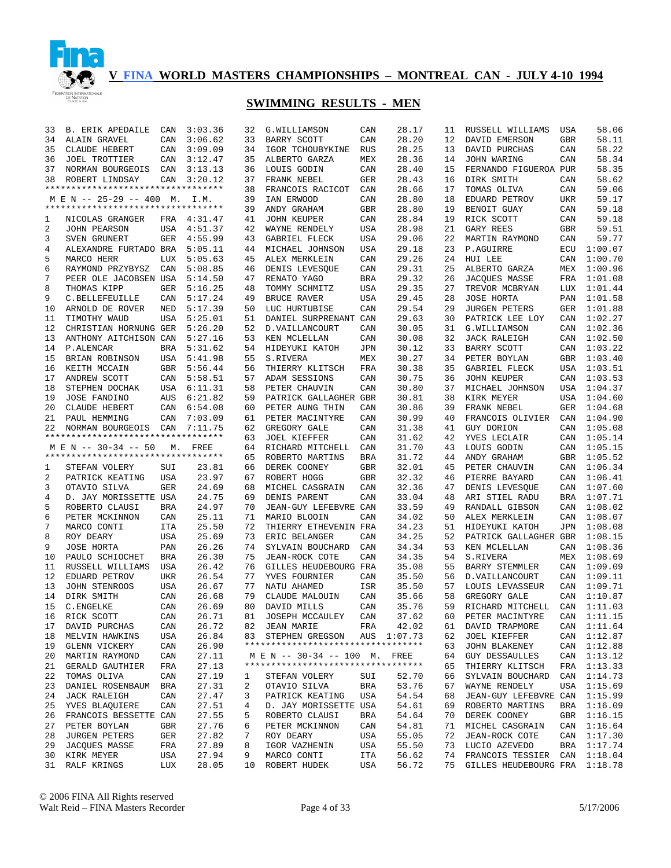

| 33 | <b>B. ERIK APEDAILE</b>            | CAN        | 3:03.36 | 32 | G.WILLIAMSON                       | CAN        | 28.17 | 11 | RUSSELL WILLIAMS              | USA        | 58.06       |
|----|------------------------------------|------------|---------|----|------------------------------------|------------|-------|----|-------------------------------|------------|-------------|
| 34 | ALAIN GRAVEL                       | CAN        | 3:06.62 | 33 | BARRY SCOTT                        | CAN        | 28.20 | 12 | DAVID EMERSON                 | GBR        | 58.11       |
| 35 | CLAUDE HEBERT                      | CAN        | 3:09.09 | 34 | IGOR TCHOUBYKINE                   | <b>RUS</b> | 28.25 | 13 | DAVID PURCHAS                 | CAN        | 58.22       |
| 36 | <b>JOEL TROTTIER</b>               | CAN        | 3:12.47 | 35 | ALBERTO GARZA                      | MEX        | 28.36 | 14 | <b>JOHN WARING</b>            | CAN        | 58.34       |
| 37 | NORMAN BOURGEOIS                   | CAN        | 3:13.13 | 36 | LOUIS GODIN                        | CAN        | 28.40 | 15 | FERNANDO FIGUEROA PUR         |            | 58.35       |
| 38 | ROBERT LINDSAY                     | CAN        | 3:20.12 | 37 | FRANK NEBEL                        | <b>GER</b> | 28.43 | 16 | DIRK SMITH                    | CAN        | 58.62       |
|    | ********************************** |            |         | 38 | FRANCOIS RACICOT                   | CAN        | 28.66 | 17 | TOMAS OLIVA                   | CAN        | 59.06       |
|    | M E N -- 25-29 -- 400 M.           |            | I.M.    | 39 | IAN ERWOOD                         | CAN        | 28.80 | 18 | EDUARD PETROV                 | <b>UKR</b> | 59.17       |
|    | ********************************** |            |         | 39 | ANDY GRAHAM                        | <b>GBR</b> | 28.80 | 19 | BENOIT GUAY                   | CAN        | 59.18       |
| 1  | NICOLAS GRANGER                    | FRA        | 4:31.47 | 41 | <b>JOHN KEUPER</b>                 | CAN        | 28.84 | 19 | RICK SCOTT                    | CAN        | 59.18       |
| 2  | <b>JOHN PEARSON</b>                | USA        | 4:51.37 | 42 | WAYNE RENDELY                      | USA        | 28.98 | 21 | GARY REES                     | <b>GBR</b> | 59.51       |
| 3  | SVEN GRUNERT                       | <b>GER</b> | 4:55.99 | 43 | GABRIEL FLECK                      | USA        | 29.06 | 22 | MARTIN RAYMOND                | CAN        | 59.77       |
|    |                                    |            |         |    |                                    |            |       | 23 |                               |            | 1:00.07     |
| 4  | ALEXANDRE FURTADO BRA              |            | 5:05.11 | 44 | MICHAEL JOHNSON                    | USA        | 29.18 |    | P.AGUIRRE                     | ECU        |             |
| 5  | MARCO HERR                         | LUX        | 5:05.63 | 45 | ALEX MERKLEIN                      | CAN        | 29.26 | 24 | HUI LEE                       | CAN        | 1:00.70     |
| 6  | RAYMOND PRZYBYSZ                   | CAN        | 5:08.85 | 46 | DENIS LEVESOUE                     | CAN        | 29.31 | 25 | ALBERTO GARZA                 | MEX        | 1:00.96     |
| 7  | PEER OLE JACOBSEN USA              |            | 5:14.50 | 47 | RENATO YAGO                        | BRA        | 29.32 | 26 | JACQUES MASSE                 | FRA        | 1:01.08     |
| 8  | THOMAS KIPP                        | GER        | 5:16.25 | 48 | TOMMY SCHMITZ                      | USA        | 29.35 | 27 | TREVOR MCBRYAN                | LUX        | 1:01.44     |
| 9  | C.BELLEFEUILLE                     | CAN        | 5:17.24 | 49 | BRUCE RAVER                        | USA        | 29.45 | 28 | JOSE HORTA                    | PAN        | 1:01.58     |
| 10 | ARNOLD DE ROVER                    | NED        | 5:17.39 | 50 | LUC HURTUBISE                      | CAN        | 29.54 | 29 | <b>JURGEN PETERS</b>          | GER        | 1:01.88     |
| 11 | TIMOTHY WAUD                       | <b>USA</b> | 5:25.01 | 51 | DANIEL SURPRENANT                  | CAN        | 29.63 | 30 | PATRICK LEE LOY               | CAN        | 1:02.27     |
| 12 | CHRISTIAN HORNUNG GER              |            | 5:26.20 | 52 | D. VAILLANCOURT                    | CAN        | 30.05 | 31 | G. WILLIAMSON                 | CAN        | 1:02.36     |
| 13 | ANTHONY AITCHISON CAN              |            | 5:27.16 | 53 | KEN MCLELLAN                       | CAN        | 30.08 | 32 | <b>JACK RALEIGH</b>           | CAN        | 1:02.50     |
| 14 | P.ALENCAR                          | <b>BRA</b> | 5:31.62 | 54 | HIDEYUKI KATOH                     | JPN        | 30.12 | 33 | BARRY SCOTT                   | CAN        | 1:03.22     |
| 15 | BRIAN ROBINSON                     | USA        | 5:41.98 | 55 | S.RIVERA                           | MEX        | 30.27 | 34 | PETER BOYLAN                  | GBR        | 1:03.40     |
| 16 | KEITH MCCAIN                       | <b>GBR</b> | 5:56.44 | 56 | THIERRY KLITSCH                    | FRA        | 30.38 | 35 | GABRIEL FLECK                 | USA        | 1:03.51     |
| 17 | ANDREW SCOTT                       | CAN        | 5:58.51 | 57 | ADAM SESSIONS                      | CAN        | 30.75 | 36 | <b>JOHN KEUPER</b>            | CAN        | 1:03.53     |
| 18 | STEPHEN DOCHAK                     | USA        | 6:11.31 | 58 | PETER CHAUVIN                      | CAN        | 30.80 | 37 | MICHAEL JOHNSON               | USA        | 1:04.37     |
| 19 | <b>JOSE FANDINO</b>                | AUS        | 6:21.82 | 59 | PATRICK GALLAGHER GBR              |            | 30.81 | 38 | KIRK MEYER                    | USA        | 1:04.60     |
| 20 | CLAUDE HEBERT                      | CAN        | 6:54.08 | 60 | PETER AUNG THIN                    | CAN        | 30.86 | 39 | FRANK NEBEL                   | GER        | 1:04.68     |
| 21 | PAUL HEMMING                       | CAN        | 7:03.09 | 61 | PETER MACINTYRE                    | CAN        | 30.99 | 40 | FRANCOIS OLIVIER              | CAN        | 1:04.90     |
| 22 | NORMAN BOURGEOIS                   | CAN        | 7:11.75 | 62 | GREGORY GALE                       | CAN        | 31.38 | 41 | GUY DORION                    | CAN        | 1:05.08     |
|    | ********************************** |            |         | 63 | <b>JOEL KIEFFER</b>                | CAN        | 31.62 | 42 | YVES LECLAIR                  | CAN        | 1:05.14     |
|    | M E N -- 30-34 -- 50               | М.         | FREE    | 64 | RICHARD MITCHELL                   | CAN        | 31.70 | 43 | LOUIS GODIN                   | CAN        | 1:05.15     |
|    | ********************************** |            |         | 65 | ROBERTO MARTINS                    | <b>BRA</b> | 31.72 | 44 | ANDY GRAHAM                   | GBR        | 1:05.52     |
| 1  |                                    |            | 23.81   | 66 | DEREK COONEY                       | GBR        | 32.01 | 45 | PETER CHAUVIN                 | CAN        | 1:06.34     |
|    | STEFAN VOLERY                      | SUI        |         |    |                                    |            |       |    |                               |            |             |
| 2  | PATRICK KEATING                    | <b>USA</b> | 23.97   | 67 | ROBERT HOGG                        | <b>GBR</b> | 32.32 | 46 | PIERRE BAYARD                 | CAN        | 1:06.41     |
| 3  | OTAVIO SILVA                       | GER        | 24.69   | 68 | MICHEL CASGRAIN                    | CAN        | 32.36 | 47 | DENIS LEVESQUE                | CAN        | 1:07.60     |
| 4  | D. JAY MORISSETTE USA              |            | 24.75   | 69 | DENIS PARENT                       | CAN        | 33.04 | 48 | ARI STIEL RADU                | <b>BRA</b> | 1:07.71     |
| 5  | ROBERTO CLAUSI                     | BRA        | 24.97   | 70 | JEAN-GUY LEFEBVRE CAN              |            | 33.59 | 49 | RANDALL GIBSON                | CAN        | 1:08.02     |
| 6  | PETER MCKINNON                     | CAN        | 25.11   | 71 | MARIO BLOOIN                       | CAN        | 34.02 | 50 | ALEX MERKLEIN                 | CAN        | 1:08.07     |
| 7  | MARCO CONTI                        | ITA        | 25.50   | 72 | THIERRY ETHEVENIN FRA              |            | 34.23 | 51 | HIDEYUKI KATOH                | JPN        | 1:08.08     |
| 8  | ROY DEARY                          | <b>USA</b> | 25.69   | 73 | ERIC BELANGER                      | CAN        | 34.25 | 52 | PATRICK GALLAGHER GBR         |            | 1:08.15     |
| 9  | <b>JOSE HORTA</b>                  | PAN        | 26.26   | 74 | SYLVAIN BOUCHARD                   | CAN        | 34.34 | 53 | KEN MCLELLAN                  | CAN        | 1:08.36     |
| 10 | PAULO SCHIOCHET                    | <b>BRA</b> | 26.30   | 75 | <b>JEAN-ROCK COTE</b>              | CAN        | 34.35 | 54 | S.RIVERA                      | MEX        | 1:08.69     |
| 11 | RUSSELL WILLIAMS                   | USA        | 26.42   | 76 | GILLES HEUDEBOURG FRA              |            | 35.08 | 55 | <b>BARRY STEMMLER</b>         | CAN        | 1:09.09     |
| 12 | EDUARD PETROV                      | <b>UKR</b> | 26.54   | 77 | YVES FOURNIER                      | CAN        | 35.50 | 56 | D. VAILLANCOURT               | CAN        | 1:09.11     |
| 13 | <b>JOHN STENROOS</b>               | <b>USA</b> | 26.67   | 77 | NATU AHAMED                        | ISR        | 35.50 | 57 | LOUIS LEVASSEUR               | CAN        | 1:09.71     |
| 14 | DIRK SMITH                         | CAN        | 26.68   | 79 | CLAUDE MALOUIN                     | CAN        | 35.66 | 58 | GREGORY GALE                  | CAN        | 1:10.87     |
| 15 | C.ENGELKE                          | CAN        | 26.69   | 80 | DAVID MILLS                        | CAN        | 35.76 | 59 | RICHARD MITCHELL              | CAN        | 1:11.03     |
| 16 | RICK SCOTT                         | CAN        | 26.71   | 81 | JOSEPH MCCAULEY                    | CAN        | 37.62 | 60 | PETER MACINTYRE               |            | CAN 1:11.15 |
| 17 | DAVID PURCHAS                      | CAN        | 26.72   |    | 82 JEAN MARIE                      | FRA        | 42.02 | 61 | DAVID TRAPMORE                |            | CAN 1:11.64 |
| 18 | MELVIN HAWKINS                     | USA        | 26.84   |    | 83 STEPHEN GREGSON AUS 1:07.73     |            |       | 62 | JOEL KIEFFER                  |            | CAN 1:12.87 |
| 19 | GLENN VICKERY                      | CAN        | 26.90   |    | ********************************** |            |       | 63 | JOHN BLAKENEY                 |            | CAN 1:12.88 |
| 20 | MARTIN RAYMOND                     | CAN        | 27.11   |    | M E N -- 30-34 -- 100 M. FREE      |            |       | 64 | <b>GUY DESSAULLES</b>         |            | CAN 1:13.12 |
| 21 | GERALD GAUTHIER                    | FRA        | 27.13   |    | ********************************** |            |       | 65 | THIERRY KLITSCH               |            | FRA 1:13.33 |
|    |                                    |            |         |    |                                    |            |       |    |                               |            |             |
| 22 | TOMAS OLIVA                        | CAN        | 27.19   | 1  | STEFAN VOLERY                      | SUI        | 52.70 | 66 | SYLVAIN BOUCHARD              |            | CAN 1:14.73 |
| 23 | DANIEL ROSENBAUM                   | BRA        | 27.31   | 2  | OTAVIO SILVA                       | BRA        | 53.76 | 67 | WAYNE RENDELY                 |            | USA 1:15.69 |
| 24 | <b>JACK RALEIGH</b>                | CAN        | 27.47   | 3  | PATRICK KEATING                    | USA        | 54.54 | 68 | JEAN-GUY LEFEBVRE CAN 1:15.99 |            |             |
| 25 | YVES BLAQUIERE                     | CAN        | 27.51   | 4  | D. JAY MORISSETTE USA              |            | 54.61 | 69 | ROBERTO MARTINS               |            | BRA 1:16.09 |
| 26 | FRANCOIS BESSETTE CAN              |            | 27.55   | 5  | ROBERTO CLAUSI                     | BRA        | 54.64 | 70 | DEREK COONEY                  |            | GBR 1:16.15 |
| 27 | PETER BOYLAN                       | GBR        | 27.76   | 6  | PETER MCKINNON                     | CAN        | 54.81 | 71 | MICHEL CASGRAIN               |            | CAN 1:16.64 |
| 28 | <b>JURGEN PETERS</b>               | GER        | 27.82   | 7  | ROY DEARY                          | USA        | 55.05 | 72 | JEAN-ROCK COTE                |            | CAN 1:17.30 |
| 29 | JACQUES MASSE                      | FRA        | 27.89   | 8  | IGOR VAZHENIN                      | USA        | 55.50 | 73 | LUCIO AZEVEDO                 |            | BRA 1:17.74 |
| 30 | KIRK MEYER                         | USA        | 27.94   | 9  | MARCO CONTI                        | ITA        | 56.62 | 74 | FRANCOIS TESSIER CAN 1:18.04  |            |             |
|    | RALF KRINGS                        | LUX        | 28.05   | 10 | ROBERT HUDEK                       | USA        | 56.72 | 75 | GILLES HEUDEBOURG FRA 1:18.78 |            |             |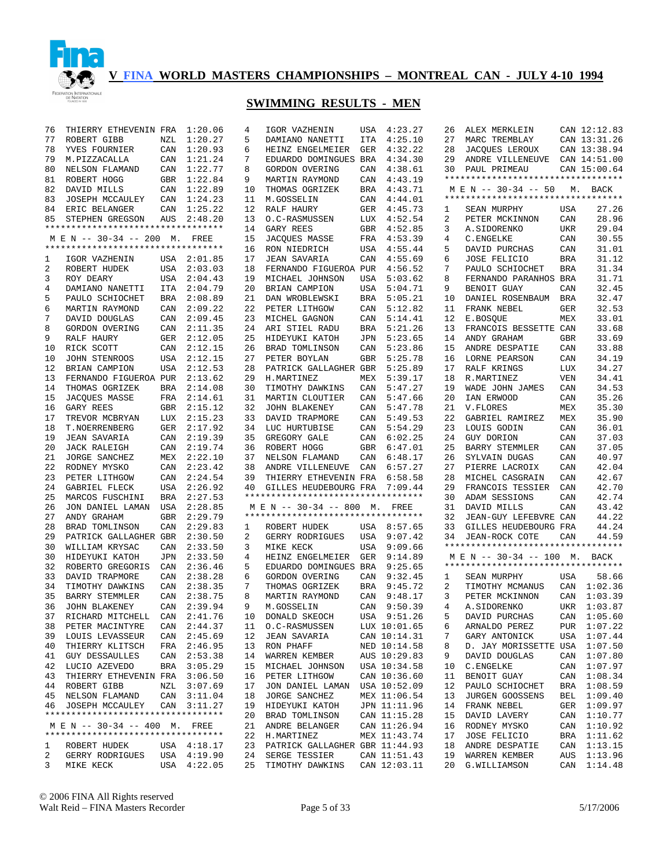

| 76       | THIERRY ETHEVENIN FRA                   |            | 1:20.06            | 4              | IGOR VAZHENIN                       | USA        | 4:23.27            | 26       | ALEX MERKLEIN                      |                   | CAN 12:12.83   |
|----------|-----------------------------------------|------------|--------------------|----------------|-------------------------------------|------------|--------------------|----------|------------------------------------|-------------------|----------------|
| 77       | <b>ROBERT GIBB</b>                      | NZL        | 1:20.27            | 5              | DAMIANO NANETTI                     | ITA        | 4:25.10            | 27       | MARC TREMBLAY                      |                   | CAN 13:31.26   |
| 78       | YVES FOURNIER                           | CAN        | 1:20.93            | 6              | HEINZ ENGELMEIER                    | GER        | 4:32.22            | 28       | JACQUES LEROUX                     |                   | CAN 13:38.94   |
| 79       | M.PIZZACALLA                            | CAN        | 1:21.24            | 7              | EDUARDO DOMINGUES BRA               |            | 4:34.30            | 29       | ANDRE VILLENEUVE                   |                   | CAN 14:51.00   |
| 80       | NELSON FLAMAND                          | CAN        | 1:22.77            | 8              | GORDON OVERING                      | CAN        | 4:38.61            | 30       | PAUL PRIMEAU                       |                   | CAN 15:00.64   |
| 81       | ROBERT HOGG                             | GBR        | 1:22.84            | 9              | MARTIN RAYMOND                      | CAN        | 4:43.19            |          | ********************************** |                   |                |
| 82       | DAVID MILLS                             | CAN        | 1:22.89            | 10             | THOMAS OGRIZEK                      | BRA        | 4:43.71            |          | M E N -- 30-34 -- 50               |                   | M. BACK        |
| 83       | JOSEPH MCCAULEY                         | CAN        | 1:24.23            | 11             | M.GOSSELIN                          | CAN        | 4:44.01            |          | ********************************** |                   |                |
| 84       | ERIC BELANGER                           | CAN        | 1:25.22            | 12             | RALF HAURY                          | GER        | 4:45.73            | 1        | SEAN MURPHY                        | USA               | 27.26          |
| 85       | STEPHEN GREGSON                         | AUS        | 2:48.20            | 13             | O.C-RASMUSSEN                       | LUX        | 4:52.54            | 2        | PETER MCKINNON                     | CAN               | 28.96          |
|          | **********************************      |            |                    | 14             | GARY REES                           | GBR        | 4:52.85            | 3        | A.SIDORENKO                        | UKR               | 29.04          |
|          | M E N -- 30-34 -- 200 M. FREE           |            |                    | 15             | JACQUES MASSE                       | FRA        | 4:53.39            | 4        | C.ENGELKE                          | CAN               | 30.55          |
|          | **********************************      |            |                    | 16             | RON NIEDRICH                        | USA        | 4:55.44            | 5        | DAVID PURCHAS                      | CAN               | 31.01          |
| 1        | IGOR VAZHENIN                           |            | USA 2:01.85        | 17             | <b>JEAN SAVARIA</b>                 | CAN        | 4:55.69            | 6        | <b>JOSE FELICIO</b>                | <b>BRA</b>        | 31.12          |
| 2        | ROBERT HUDEK                            | USA        | 2:03.03            | 18             | FERNANDO FIGUEROA PUR               |            | 4:56.52            | 7        | PAULO SCHIOCHET                    | <b>BRA</b>        | 31.34          |
| 3        | ROY DEARY                               | USA        | 2:04.43            | 19             | MICHAEL JOHNSON                     | USA        | 5:03.62            | 8        | FERNANDO PARANHOS BRA              |                   | 31.71          |
| 4        | DAMIANO NANETTI                         | ITA        | 2:04.79            | 20             | BRIAN CAMPION                       | USA        | 5:04.71            | 9        | BENOIT GUAY                        | CAN               | 32.45          |
| 5        | PAULO SCHIOCHET                         | BRA        | 2:08.89            | 21             | DAN WROBLEWSKI                      | <b>BRA</b> | 5:05.21            | 10       | DANIEL ROSENBAUM                   | <b>BRA</b>        | 32.47          |
| 6        | MARTIN RAYMOND                          | CAN        | 2:09.22            | 22             | PETER LITHGOW                       | CAN        | 5:12.82            | 11       | FRANK NEBEL                        | <b>GER</b>        | 32.53          |
| 7        | DAVID DOUGLAS                           | CAN        | 2:09.45            | 23             | MICHEL GAGNON                       | CAN        | 5:14.41            | 12       | E.BOSQUE                           | MEX               | 33.01          |
| 8        | GORDON OVERING                          | CAN        | 2:11.35            | 24             | ARI STIEL RADU                      | BRA        | 5:21.26            | 13       | FRANCOIS BESSETTE CAN              | <b>GBR</b>        | 33.68          |
| 9        | RALF HAURY                              | <b>GER</b> | 2:12.05            | 25             | HIDEYUKI KATOH<br>BRAD TOMLINSON    | JPN        | 5:23.65            | 14       | ANDY GRAHAM<br>ANDRE DESPATIE      |                   | 33.69          |
| 10       | RICK SCOTT                              | CAN        | 2:12.15            | 26<br>27       |                                     | CAN        | 5:23.86            | 15       |                                    | CAN               | 33.88          |
| 10       | JOHN STENROOS                           | USA        | 2:12.15<br>2:12.53 |                | PETER BOYLAN                        | GBR        | 5:25.78            | 16       | LORNE PEARSON                      | CAN               | 34.19<br>34.27 |
| 12<br>13 | BRIAN CAMPION                           | USA        |                    | 28<br>29       | PATRICK GALLAGHER GBR<br>H.MARTINEZ |            | 5:25.89            | 17       | RALF KRINGS<br>R.MARTINEZ          | LUX<br><b>VEN</b> | 34.41          |
| 14       | FERNANDO FIGUEROA PUR<br>THOMAS OGRIZEK | BRA        | 2:13.62<br>2:14.08 | 30             | TIMOTHY DAWKINS                     | MEX<br>CAN | 5:39.17<br>5:47.27 | 18<br>19 | WADE JOHN JAMES                    | CAN               | 34.53          |
| 15       | JACQUES MASSE                           | FRA        | 2:14.61            | 31             | MARTIN CLOUTIER                     | CAN        | 5:47.66            | 20       | IAN ERWOOD                         | CAN               | 35.26          |
| 16       | GARY REES                               | GBR        | 2:15.12            | 32             | JOHN BLAKENEY                       | CAN        | 5:47.78            | 21       | V.FLORES                           | MEX               | 35.30          |
| 17       | TREVOR MCBRYAN                          |            | LUX 2:15.23        | 33             | DAVID TRAPMORE                      | CAN        | 5:49.53            | 22       | GABRIEL RAMIREZ                    | MEX               | 35.90          |
| 18       | T.NOERRENBERG                           |            | GER 2:17.92        | 34             | LUC HURTUBISE                       | CAN        | 5:54.29            | 23       | LOUIS GODIN                        | CAN               | 36.01          |
| 19       | <b>JEAN SAVARIA</b>                     |            | CAN 2:19.39        | 35             | GREGORY GALE                        | CAN        | 6:02.25            | 24       | GUY DORION                         | CAN               | 37.03          |
| 20       | JACK RALEIGH                            |            | CAN 2:19.74        | 36             | ROBERT HOGG                         | GBR        | 6:47.01            | 25       | BARRY STEMMLER                     | CAN               | 37.05          |
| 21       | JORGE SANCHEZ                           |            | MEX 2:22.10        | 37             | NELSON FLAMAND                      | CAN        | 6:48.17            | 26       | SYLVAIN DUGAS                      | CAN               | 40.97          |
| 22       | RODNEY MYSKO                            |            | CAN 2:23.42        | 38             | ANDRE VILLENEUVE                    | CAN        | 6:57.27            | 27       | PIERRE LACROIX                     | CAN               | 42.04          |
| 23       | PETER LITHGOW                           | CAN        | 2:24.54            | 39             | THIERRY ETHEVENIN FRA               |            | 6:58.58            | 28       | MICHEL CASGRAIN                    | CAN               | 42.67          |
| 24       | GABRIEL FLECK                           | USA        | 2:26.92            | 40             | GILLES HEUDEBOURG FRA               |            | 7:09.44            | 29       | FRANCOIS TESSIER                   | CAN               | 42.70          |
| 25       | MARCOS FUSCHINI                         | BRA        | 2:27.53            |                | *********************************   |            |                    | 30       | ADAM SESSIONS                      | CAN               | 42.74          |
| 26       | JON DANIEL LAMAN                        | USA        | 2:28.85            |                | M E N -- 30-34 -- 800 M. FREE       |            |                    | 31       | DAVID MILLS                        | CAN               | 43.42          |
| 27       | ANDY GRAHAM                             | GBR        | 2:29.79            |                | *********************************   |            |                    | 32       | JEAN-GUY LEFEBVRE CAN              |                   | 44.22          |
| 28       | BRAD TOMLINSON                          | CAN        | 2:29.83            | 1              | ROBERT HUDEK                        |            | USA 8:57.65        | 33       | GILLES HEUDEBOURG FRA              |                   | 44.24          |
| 29       | PATRICK GALLAGHER GBR                   |            | 2:30.50            | $\overline{2}$ | GERRY RODRIGUES                     |            | USA 9:07.42        | 34       | <b>JEAN-ROCK COTE</b>              | CAN               | 44.59          |
| 30       | WILLIAM KRYSAC                          | CAN        | 2:33.50            | 3              | MIKE KECK                           | USA        | 9:09.66            |          | ********************************** |                   |                |
| 30       | HIDEYUKI KATOH                          | <b>JPN</b> | 2:33.50            | 4              | HEINZ ENGELMEIER                    | GER        | 9:14.89            |          | M E N -- 30-34 -- 100 M.           |                   | BACK           |
| 32       | ROBERTO GREGORIS                        | CAN        | 2:36.46            | 5              | EDUARDO DOMINGUES BRA               |            | 9:25.65            |          | ********************************** |                   |                |
| 33       | DAVID TRAPMORE                          | CAN        | 2:38.28            | 6              | GORDON OVERING                      | CAN        | 9:32.45            | 1        | SEAN MURPHY                        | USA               | 58.66          |
| 34       | TIMOTHY DAWKINS                         | CAN        | 2:38.35            | 7              | THOMAS OGRIZEK                      | <b>BRA</b> | 9:45.72            | 2        | TIMOTHY MCMANUS                    |                   | CAN 1:02.36    |
| 35       | BARRY STEMMLER                          | CAN        | 2:38.75            | 8              | MARTIN RAYMOND                      | CAN        | 9:48.17            | 3        | PETER MCKINNON                     |                   | CAN 1:03.39    |
| 36       | JOHN BLAKENEY                           |            | CAN 2:39.94        | 9              | M.GOSSELIN                          |            | CAN 9:50.39        | 4        | A.SIDORENKO                        |                   | UKR 1:03.87    |
| 37       | RICHARD MITCHELL CAN 2:41.76            |            |                    |                | 10 DONALD SKEOCH                    |            | USA 9:51.26        | 5        | DAVID PURCHAS                      |                   | CAN 1:05.60    |
| 38       | PETER MACINTYRE                         | CAN        | 2:44.37            |                | 11 O.C-RASMUSSEN                    |            | LUX 10:01.65       | 6        | ARNALDO PEREZ                      |                   | PUR 1:07.22    |
| 39       | LOUIS LEVASSEUR                         | CAN        | 2:45.69            | 12             | <b>JEAN SAVARIA</b>                 |            | CAN 10:14.31       | 7        | GARY ANTONICK                      |                   | USA 1:07.44    |
| 40       | THIERRY KLITSCH                         |            | FRA 2:46.95        | 13             | RON PHAFF                           |            | NED 10:14.58       | 8        | D. JAY MORISSETTE USA 1:07.50      |                   |                |
| 41       | <b>GUY DESSAULLES</b>                   | CAN        | 2:53.38            | 14             | WARREN KEMBER                       |            | AUS 10:29.83       | 9        | DAVID DOUGLAS                      |                   | CAN 1:07.80    |
| 42       | LUCIO AZEVEDO                           |            | BRA 3:05.29        | 15             | MICHAEL JOHNSON                     |            | USA 10:34.58       | 10       | C. ENGELKE                         |                   | CAN 1:07.97    |
| 43       | THIERRY ETHEVENIN FRA                   |            | 3:06.50            | 16             | PETER LITHGOW                       |            | CAN 10:36.60       | 11       | BENOIT GUAY                        |                   | CAN 1:08.34    |
|          | 44 ROBERT GIBB                          | NZL        | 3:07.69            | 17             | JON DANIEL LAMAN                    |            | USA 10:52.09       | 12       | PAULO SCHIOCHET                    |                   | BRA 1:08.59    |
| 45       | NELSON FLAMAND                          |            | CAN 3:11.04        | 18             | JORGE SANCHEZ                       |            | MEX 11:06.54       | 13       | JURGEN GOOSSENS                    |                   | BEL 1:09.40    |
| 46       | JOSEPH MCCAULEY                         |            | CAN 3:11.27        | 19             | HIDEYUKI KATOH                      |            | JPN 11:11.96       | 14       | FRANK NEBEL                        |                   | GER 1:09.97    |
|          | **********************************      |            |                    | 20             | BRAD TOMLINSON                      |            | CAN 11:15.28       | 15       | DAVID LAVERY                       |                   | CAN 1:10.77    |
|          | M E N -- 30-34 -- 400 M. FREE           |            |                    | 21             | ANDRE BELANGER                      |            | CAN 11:26.94       | 16       | RODNEY MYSKO                       |                   | CAN 1:10.92    |
|          | **********************************      |            |                    | 22             | H.MARTINEZ                          |            | MEX 11:43.74       | 17       | <b>JOSE FELICIO</b>                |                   | BRA 1:11.62    |
| 1        | ROBERT HUDEK                            |            | USA 4:18.17        | 23             | PATRICK GALLAGHER GBR 11:44.93      |            |                    | 18       | ANDRE DESPATIE                     |                   | CAN 1:13.15    |
| 2        | GERRY RODRIGUES                         |            | USA 4:19.90        | 24             | SERGE TESSIER                       |            | CAN 11:51.43       | 19       | WARREN KEMBER                      | AUS               | 1:13.96        |
| 3        | MIKE KECK                               |            | USA 4:22.05        | 25             | TIMOTHY DAWKINS                     |            | CAN 12:03.11       | 20       | G. WILLIAMSON                      |                   | CAN 1:14.48    |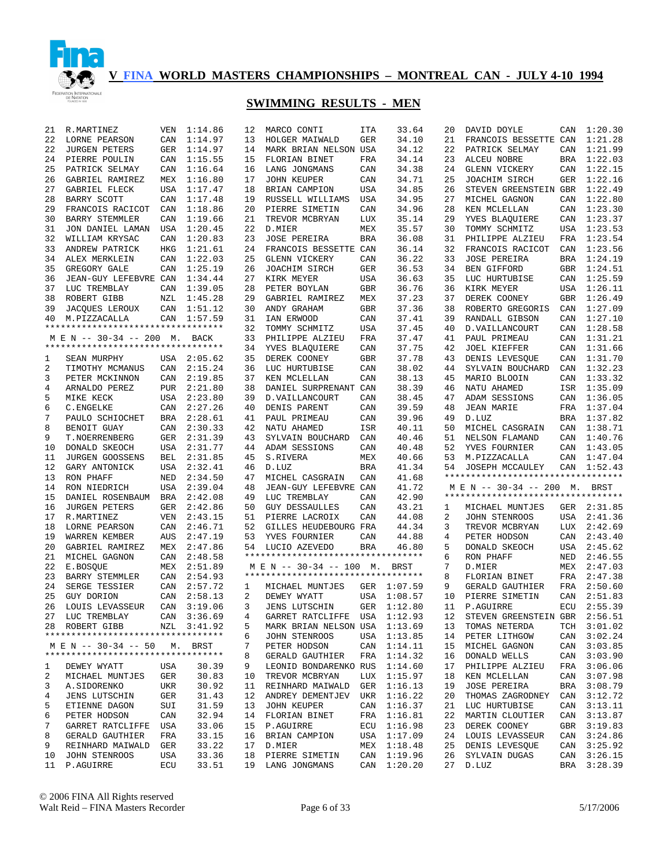

| 21     | R.MARTINEZ                         | <b>VEN</b> | 1:14.86     | 12             | MARCO CONTI                        | <b>ITA</b> | 33.64          | 20       | DAVID DOYLE                        | CAN        | 1:20.30     |
|--------|------------------------------------|------------|-------------|----------------|------------------------------------|------------|----------------|----------|------------------------------------|------------|-------------|
| 22     | LORNE PEARSON                      | CAN        | 1:14.97     | 13             | HOLGER MAIWALD                     | GER        | 34.10          | 21       | FRANCOIS BESSETTE CAN              |            | 1:21.28     |
| 22     | <b>JURGEN PETERS</b>               | GER        | 1:14.97     | 14             | MARK BRIAN NELSON USA              |            | 34.12          | 22       | PATRICK SELMAY                     | CAN        | 1:21.99     |
| 24     | PIERRE POULIN                      | CAN        | 1:15.55     | 15             | FLORIAN BINET                      | FRA        | 34.14          | 23       | ALCEU NOBRE                        | BRA        | 1:22.03     |
| 25     | PATRICK SELMAY                     | CAN        | 1:16.64     | 16             | LANG JONGMANS                      | CAN        | 34.38          | 24       | <b>GLENN VICKERY</b>               | CAN        | 1:22.15     |
| 26     | GABRIEL RAMIREZ                    | MEX        | 1:16.80     | 17             | <b>JOHN KEUPER</b>                 | CAN        | 34.71          | 25       | JOACHIM SIRCH                      | GER        | 1:22.16     |
| 27     | GABRIEL FLECK                      | <b>USA</b> | 1:17.47     | 18             | BRIAN CAMPION                      | USA        | 34.85          | 26       | STEVEN GREENSTEIN GBR              |            | 1:22.49     |
| 28     | BARRY SCOTT                        | CAN        | 1:17.48     | 19             | RUSSELL WILLIAMS                   | USA        | 34.95          | 27       | MICHEL GAGNON                      | CAN        | 1:22.80     |
| 29     | FRANCOIS RACICOT                   | CAN        | 1:18.86     | 20             | PIERRE SIMETIN                     | CAN        | 34.96          | 28       | KEN MCLELLAN                       | CAN        | 1:23.30     |
| 30     | <b>BARRY STEMMLER</b>              | CAN        | 1:19.66     | 21             | TREVOR MCBRYAN                     | LUX        | 35.14          | 29       | YVES BLAQUIERE                     | CAN        | 1:23.37     |
| 31     | JON DANIEL LAMAN                   | USA        | 1:20.45     | 22             | D.MIER                             | MEX        | 35.57          | 30       | TOMMY SCHMITZ                      | USA        | 1:23.53     |
| 32     | WILLIAM KRYSAC                     | CAN        | 1:20.83     | 23             | <b>JOSE PEREIRA</b>                | <b>BRA</b> | 36.08          | 31       | PHILIPPE ALZIEU                    | FRA        | 1:23.54     |
| 33     | ANDREW PATRICK                     | HKG        | 1:21.61     | 24             | FRANCOIS BESSETTE CAN              |            | 36.14          | 32       | FRANCOIS RACICOT                   | CAN        | 1:23.56     |
| 34     | ALEX MERKLEIN                      | CAN        | 1:22.03     | 25             | GLENN VICKERY                      | CAN        | 36.22          | 33       | <b>JOSE PEREIRA</b>                | BRA        | 1:24.19     |
| 35     | GREGORY GALE                       | CAN        | 1:25.19     | 26             | JOACHIM SIRCH                      | GER        | 36.53          | 34       | BEN GIFFORD                        | GBR        | 1:24.51     |
| 36     | JEAN-GUY LEFEBVRE CAN              |            | 1:34.44     | 27             | KIRK MEYER                         | USA        | 36.63          | 35       | LUC HURTUBISE                      | CAN        | 1:25.59     |
| 37     | LUC TREMBLAY                       | CAN        | 1:39.05     | 28             | PETER BOYLAN                       | GBR        | 36.76          | 36       | KIRK MEYER                         | USA        | 1:26.11     |
| 38     | ROBERT GIBB                        | NZL        | 1:45.28     | 29             | GABRIEL RAMIREZ                    | MEX        | 37.23          | 37       | DEREK COONEY                       | GBR        | 1:26.49     |
| 39     | JACQUES LEROUX                     | CAN        | 1:51.12     | 30             | ANDY GRAHAM                        | <b>GBR</b> | 37.36          | 38       | ROBERTO GREGORIS                   | CAN        | 1:27.09     |
| 40     | M.PIZZACALLA                       | CAN        | 1:57.59     | 31             | IAN ERWOOD                         | CAN        | 37.41          | 39       | RANDALL GIBSON                     | CAN        | 1:27.10     |
|        | ********************************** |            |             | 32             | TOMMY SCHMITZ                      | USA        | 37.45          | 40       | D. VAILLANCOURT                    | CAN        | 1:28.58     |
|        | M E N -- 30-34 -- 200 M. BACK      |            |             | 33             | PHILIPPE ALZIEU                    | FRA        | 37.47          | 41       | PAUL PRIMEAU                       | CAN        | 1:31.21     |
|        | ********************************** |            |             | 34             | YVES BLAOUIERE                     | CAN        | 37.75          | 42       | <b>JOEL KIEFFER</b>                | CAN        | 1:31.66     |
| 1      | SEAN MURPHY                        | USA        | 2:05.62     | 35             | DEREK COONEY                       | <b>GBR</b> | 37.78          | 43       | DENIS LEVESQUE                     | CAN        | 1:31.70     |
| 2      | TIMOTHY MCMANUS                    | CAN        | 2:15.24     | 36             | LUC HURTUBISE                      | CAN        | 38.02          | 44       | SYLVAIN BOUCHARD                   | CAN        | 1:32.23     |
| 3      | PETER MCKINNON                     | CAN        | 2:19.85     | 37             | KEN MCLELLAN                       | CAN        | 38.13          | 45       | MARIO BLOOIN                       | CAN        | 1:33.32     |
| 4      | ARNALDO PEREZ                      | <b>PUR</b> | 2:21.80     | 38             | DANIEL SURPRENANT CAN              |            | 38.39          | 46       | NATU AHAMED                        | ISR        | 1:35.09     |
| 5      | MIKE KECK                          | USA        | 2:23.80     | 39             | D. VAILLANCOURT                    | CAN        | 38.45          | 47       | ADAM SESSIONS                      | CAN        | 1:36.05     |
| 6      | C.ENGELKE                          | CAN        | 2:27.26     | 40             | DENIS PARENT                       | CAN        | 39.59          | 48       | <b>JEAN MARIE</b>                  | FRA        | 1:37.04     |
| 7      | PAULO SCHIOCHET                    |            | 2:28.61     | 41             | PAUL PRIMEAU                       |            | 39.96          | 49       |                                    |            | BRA 1:37.82 |
|        |                                    | BRA        |             |                |                                    | CAN        |                |          | D.LUZ<br>MICHEL CASGRAIN           |            | 1:38.71     |
| 8<br>9 | BENOIT GUAY                        | CAN        | 2:30.33     | 42             | NATU AHAMED                        | ISR<br>CAN | 40.11<br>40.46 | 50<br>51 | NELSON FLAMAND                     | CAN<br>CAN | 1:40.76     |
|        |                                    |            |             |                |                                    |            |                |          |                                    |            |             |
|        | T.NOERRENBERG                      | <b>GER</b> | 2:31.39     | 43             | SYLVAIN BOUCHARD                   |            |                |          |                                    |            |             |
| 10     | DONALD SKEOCH                      | <b>USA</b> | 2:31.77     | 44             | ADAM SESSIONS                      | CAN        | 40.48          | 52       | YVES FOURNIER                      | CAN        | 1:43.05     |
| 11     | JURGEN GOOSSENS                    | <b>BEL</b> | 2:31.85     | 45             | S.RIVERA                           | MEX        | 40.66          | 53       | M.PIZZACALLA                       | CAN        | 1:47.04     |
| 12     | GARY ANTONICK                      | <b>USA</b> | 2:32.41     | 46             | D.LUZ                              | BRA        | 41.34          | 54       | JOSEPH MCCAULEY                    | CAN        | 1:52.43     |
| 13     | RON PHAFF                          | NED        | 2:34.50     | 47             | MICHEL CASGRAIN                    | CAN        | 41.68          |          | ********************************** |            |             |
| 14     | RON NIEDRICH                       | <b>USA</b> | 2:39.04     | 48             | JEAN-GUY LEFEBVRE CAN              |            | 41.72          |          | M E N -- 30-34 -- 200 M. BRST      |            |             |
| 15     | DANIEL ROSENBAUM                   | BRA        | 2:42.08     | 49             | LUC TREMBLAY                       | CAN        | 42.90          |          | ********************************** |            |             |
| 16     | <b>JURGEN PETERS</b>               | GER        | 2:42.86     | 50             | <b>GUY DESSAULLES</b>              | CAN        | 43.21          | 1        | MICHAEL MUNTJES                    | GER        | 2:31.85     |
| 17     | R.MARTINEZ                         | VEN        | 2:43.15     | 51             | PIERRE LACROIX                     | CAN        | 44.08          | 2        | JOHN STENROOS                      | USA        | 2:41.36     |
| 18     | LORNE PEARSON                      | CAN        | 2:46.71     | 52             | GILLES HEUDEBOURG FRA              |            | 44.34          | 3        | TREVOR MCBRYAN                     | LUX        | 2:42.69     |
| 19     | WARREN KEMBER                      | AUS        | 2:47.19     | 53             | YVES FOURNIER                      | CAN        | 44.88          | 4        | PETER HODSON                       | CAN        | 2:43.40     |
| 20     | GABRIEL RAMIREZ                    | MEX        | 2:47.86     | 54             | LUCIO AZEVEDO                      | BRA        | 46.80          | 5        | DONALD SKEOCH                      | USA        | 2:45.62     |
| 21     | MICHEL GAGNON                      | CAN        | 2:48.58     |                | ********************************** |            |                | 6        | RON PHAFF                          | NED        | 2:46.55     |
| 22     | E.BOSQUE                           |            | MEX 2:51.89 |                | M E N -- 30-34 -- 100 M.           |            | BRST           | 7        | D.MIER                             | MEX        | 2:47.03     |
| 23     | BARRY STEMMLER                     | CAN        | 2:54.93     |                | ********************************** |            |                | 8        | FLORIAN BINET                      | FRA        | 2:47.38     |
| 24     | SERGE TESSIER                      | CAN        | 2:57.72     | 1              | MICHAEL MUNTJES                    | GER        | 1:07.59        | 9        | GERALD GAUTHIER                    | FRA        | 2:50.60     |
| 25     | GUY DORION                         | CAN        | 2:58.13     | 2              | DEWEY WYATT                        | USA        | 1:08.57        | 10       | PIERRE SIMETIN                     | CAN        | 2:51.83     |
| 26     | LOUIS LEVASSEUR                    | CAN        | 3:19.06     | 3              | <b>JENS LUTSCHIN</b>               | GER        | 1:12.80        | 11       | P.AGUIRRE                          | ECU        | 2:55.39     |
|        | 27 LUC TREMBLAY                    |            | CAN 3:36.69 | $\overline{4}$ | GARRET RATCLIFFE USA 1:12.93       |            |                |          | 12 STEVEN GREENSTEIN GBR 2:56.51   |            |             |
|        | 28 ROBERT GIBB                     |            | NZL 3:41.92 | 5              | MARK BRIAN NELSON USA 1:13.69      |            |                | 13       | TOMAS NETERDA                      |            | TCH 3:01.02 |
|        | ********************************** |            |             | 6              | JOHN STENROOS                      |            | USA 1:13.85    | 14       | PETER LITHGOW                      |            | CAN 3:02.24 |
|        | M E N -- 30-34 -- 50 M. BRST       |            |             | 7              | PETER HODSON                       |            | CAN 1:14.11    | 15       | MICHEL GAGNON                      |            | CAN 3:03.85 |
|        | ********************************** |            |             | 8              | GERALD GAUTHIER                    |            | FRA 1:14.32    | 16       | DONALD WELLS                       |            | CAN 3:03.90 |
| 1      | DEWEY WYATT                        | USA        | 30.39       | 9              | LEONID BONDARENKO RUS 1:14.60      |            |                | 17       | PHILIPPE ALZIEU                    |            | FRA 3:06.06 |
| 2      | MICHAEL MUNTJES                    | GER        | 30.83       | 10             | TREVOR MCBRYAN                     |            | LUX 1:15.97    | 18       | KEN MCLELLAN                       |            | CAN 3:07.98 |
| 3      | A.SIDORENKO                        | UKR        | 30.92       | 11             | REINHARD MAIWALD                   |            | GER 1:16.13    | 19       | JOSE PEREIRA                       |            | BRA 3:08.79 |
| 4      | <b>JENS LUTSCHIN</b>               | GER        | 31.43       | 12             | ANDREY DEMENTJEV                   |            | UKR 1:16.22    | 20       | THOMAS ZAGRODNEY                   |            | CAN 3:12.72 |
| 5      | ETIENNE DAGON                      | SUI        | 31.59       | 13             | JOHN KEUPER                        |            | CAN 1:16.37    | 21       | LUC HURTUBISE                      |            | CAN 3:13.11 |
| 6      | PETER HODSON                       | CAN        | 32.94       | 14             | FLORIAN BINET                      |            | FRA 1:16.81    | 22       | MARTIN CLOUTIER                    |            | CAN 3:13.87 |
| 7      | GARRET RATCLIFFE                   | USA        | 33.06       | 15             | P.AGUIRRE                          |            | ECU 1:16.98    | 23       | DEREK COONEY                       |            | GBR 3:19.83 |
| 8      | GERALD GAUTHIER                    | FRA        | 33.15       | 16             | BRIAN CAMPION                      |            | USA 1:17.09    | 24       | LOUIS LEVASSEUR                    |            | CAN 3:24.86 |
| 9      | REINHARD MAIWALD                   | GER        | 33.22       |                | 17 D.MIER                          | MEX        | 1:18.48        | 25       | DENIS LEVESOUE                     |            | CAN 3:25.92 |
| 10     | <b>JOHN STENROOS</b>               | USA        | 33.36       | 18             | PIERRE SIMETIN                     |            | CAN 1:19.96    | 26       | SYLVAIN DUGAS                      |            | CAN 3:26.15 |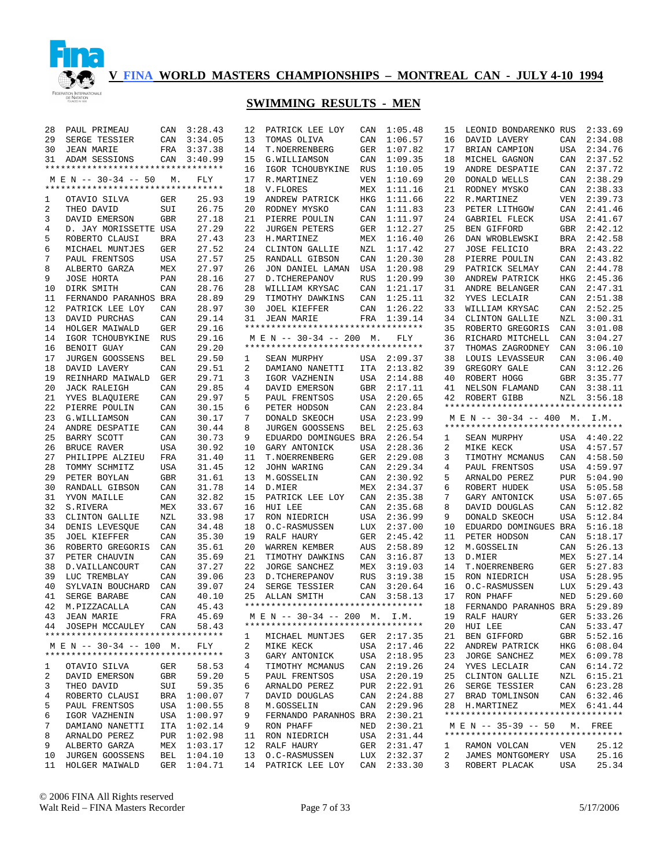

# **SWIMMING RESULTS - MEN**

| 28       | PAUL PRIMEAU                       | CAN        | 3:28.43                    | 12       | PATRICK LEE LOY                          | CAN        | 1:05.48                    | 15     | LEONID BONDARENKO RUS                                               |            | 2:33.69        |
|----------|------------------------------------|------------|----------------------------|----------|------------------------------------------|------------|----------------------------|--------|---------------------------------------------------------------------|------------|----------------|
| 29       | SERGE TESSIER                      | CAN        | 3:34.05                    | 13       | TOMAS OLIVA                              | CAN        | 1:06.57                    | 16     | DAVID LAVERY                                                        | CAN        | 2:34.08        |
| 30       | <b>JEAN MARIE</b>                  | FRA        | 3:37.38                    | 14       | T.NOERRENBERG                            | GER        | 1:07.82                    | 17     | BRIAN CAMPION                                                       | USA        | 2:34.76        |
| 31       | ADAM SESSIONS                      | CAN        | 3:40.99                    | 15       | G. WILLIAMSON                            | CAN        | 1:09.35                    | 18     | MICHEL GAGNON                                                       | CAN        | 2:37.52        |
|          | ********************************** |            |                            | 16       | IGOR TCHOUBYKINE                         | <b>RUS</b> | 1:10.05                    | 19     | ANDRE DESPATIE                                                      | CAN        | 2:37.72        |
|          | M E N -- 30-34 -- 50               | М.         | FLY                        | 17       | R.MARTINEZ                               | VEN        | 1:10.69                    | 20     | DONALD WELLS                                                        | CAN        | 2:38.29        |
|          | ********************************** |            |                            | 18       | V. FLORES                                | MEX        | 1:11.16                    | 21     | RODNEY MYSKO                                                        | CAN        | 2:38.33        |
| 1        | OTAVIO SILVA                       | GER        | 25.93                      | 19       | ANDREW PATRICK                           | HKG        | 1:11.66                    | 22     | R.MARTINEZ                                                          | VEN        | 2:39.73        |
| 2        | THEO DAVID                         | SUI        | 26.75                      | 20       | RODNEY MYSKO                             | CAN        | 1:11.83                    | 23     | PETER LITHGOW                                                       | CAN        | 2:41.46        |
| 3        | DAVID EMERSON                      | <b>GBR</b> | 27.18                      | 21       | PIERRE POULIN                            | CAN        | 1:11.97                    | 24     | GABRIEL FLECK                                                       | USA        | 2:41.67        |
| 4        | D. JAY MORISSETTE USA              |            | 27.29                      | 22       | <b>JURGEN PETERS</b>                     | GER        | 1:12.27                    | 25     | BEN GIFFORD                                                         | GBR        | 2:42.12        |
| 5        | ROBERTO CLAUSI                     | <b>BRA</b> | 27.43                      | 23       | H.MARTINEZ                               | MEX        | 1:16.40                    | 26     | DAN WROBLEWSKI                                                      | <b>BRA</b> | 2:42.58        |
| 6        | MICHAEL MUNTJES                    | GER        | 27.52                      | 24       | CLINTON GALLIE                           | NZL        | 1:17.42                    | 27     | <b>JOSE FELICIO</b>                                                 | BRA        | 2:43.22        |
| 7        | PAUL FRENTSOS                      | USA        | 27.57                      | 25       | RANDALL GIBSON                           | CAN        | 1:20.30                    | 28     | PIERRE POULIN                                                       | CAN        | 2:43.82        |
| 8        | ALBERTO GARZA                      | MEX        | 27.97                      | 26       | JON DANIEL LAMAN                         | USA        | 1:20.98                    | 29     | PATRICK SELMAY                                                      | CAN        | 2:44.78        |
| 9        | <b>JOSE HORTA</b>                  | PAN        | 28.16                      | 27       | D. TCHEREPANOV                           | <b>RUS</b> | 1:20.99                    | 30     | ANDREW PATRICK                                                      | HKG        | 2:45.36        |
| 10       | DIRK SMITH                         | CAN        | 28.76                      | 28       | WILLIAM KRYSAC                           | CAN        | 1:21.17                    | 31     | ANDRE BELANGER                                                      | CAN        | 2:47.31        |
| 11       | FERNANDO PARANHOS BRA              |            | 28.89                      | 29       | TIMOTHY DAWKINS                          | CAN        | 1:25.11                    | 32     | YVES LECLAIR                                                        | CAN        | 2:51.38        |
| 12       | PATRICK LEE LOY                    | CAN        | 28.97                      | 30       | <b>JOEL KIEFFER</b>                      | CAN        | 1:26.22                    | 33     | WILLIAM KRYSAC                                                      | CAN        | 2:52.25        |
| 13       | DAVID PURCHAS                      | CAN        | 29.14                      | 31       | <b>JEAN MARIE</b>                        | FRA        | 1:39.14                    | 34     | CLINTON GALLIE                                                      | NZL        | 3:00.31        |
| 14       | HOLGER MAIWALD                     | GER        | 29.16                      |          | **********************************       |            |                            | 35     | ROBERTO GREGORIS                                                    | CAN        | 3:01.08        |
| 14       | IGOR TCHOUBYKINE                   | RUS        | 29.16                      |          | M E N -- 30-34 -- 200 M.                 |            | FLY                        | 36     | RICHARD MITCHELL                                                    | CAN        | 3:04.27        |
| 16       | BENOIT GUAY                        | CAN        | 29.20                      |          | **********************************       |            |                            | 37     | THOMAS ZAGRODNEY                                                    | CAN        | 3:06.10        |
| 17       | JURGEN GOOSSENS                    | BEL        | 29.50                      | 1        | SEAN MURPHY                              |            | USA 2:09.37                | 38     | LOUIS LEVASSEUR                                                     | CAN        | 3:06.40        |
| 18       | DAVID LAVERY                       | CAN        | 29.51                      | 2        | DAMIANO NANETTI                          | ITA        | 2:13.82                    | 39     | GREGORY GALE                                                        | CAN        | 3:12.26        |
| 19       | REINHARD MAIWALD                   | GER        | 29.71                      | 3        | IGOR VAZHENIN                            | USA        | 2:14.88                    | 40     | ROBERT HOGG                                                         | GBR        | 3:35.77        |
| 20       | <b>JACK RALEIGH</b>                | CAN        | 29.85                      | 4        | DAVID EMERSON                            | GBR        | 2:17.11                    | 41     | NELSON FLAMAND                                                      | CAN        | 3:38.11        |
| 21       | YVES BLAQUIERE                     | CAN        | 29.97                      | 5        | PAUL FRENTSOS                            | USA        | 2:20.65                    | 42     | ROBERT GIBB<br>**********************************                   | NZL        | 3:56.18        |
| 22       | PIERRE POULIN                      | CAN        | 30.15                      | 6        | PETER HODSON                             | CAN        | 2:23.84                    |        |                                                                     |            |                |
| 23<br>24 | G. WILLIAMSON                      | CAN        | 30.17                      | 7        | DONALD SKEOCH                            | USA        | 2:23.99                    |        | M E N -- 30-34 -- 400 M. I.M.<br>********************************** |            |                |
| 25       | ANDRE DESPATIE<br>BARRY SCOTT      | CAN<br>CAN | 30.44<br>30.73             | 8<br>9   | JURGEN GOOSSENS<br>EDUARDO DOMINGUES BRA | BEL        | 2:25.63<br>2:26.54         |        | SEAN MURPHY                                                         | USA        | 4:40.22        |
| 26       | BRUCE RAVER                        | USA        | 30.92                      | 10       | GARY ANTONICK                            | USA        | 2:28.36                    | 1<br>2 | MIKE KECK                                                           | <b>USA</b> | 4:57.57        |
| 27       | PHILIPPE ALZIEU                    | FRA        | 31.40                      | 11       | T. NOERRENBERG                           | GER        | 2:29.08                    | 3      | TIMOTHY MCMANUS                                                     | CAN        | 4:58.50        |
| 28       | TOMMY SCHMITZ                      | USA        | 31.45                      | 12       | JOHN WARING                              | CAN        | 2:29.34                    | 4      | PAUL FRENTSOS                                                       | USA        | 4:59.97        |
| 29       | PETER BOYLAN                       | <b>GBR</b> | 31.61                      | 13       | M.GOSSELIN                               | CAN        | 2:30.92                    | 5      | ARNALDO PEREZ                                                       | <b>PUR</b> | 5:04.90        |
| 30       | RANDALL GIBSON                     | CAN        | 31.78                      | 14       | D.MIER                                   | MEX        | 2:34.37                    | 6      | ROBERT HUDEK                                                        | USA        | 5:05.58        |
| 31       | YVON MAILLE                        | CAN        | 32.82                      | 15       | PATRICK LEE LOY                          | CAN        | 2:35.38                    | 7      | GARY ANTONICK                                                       | USA        | 5:07.65        |
| 32       | S.RIVERA                           | MEX        | 33.67                      | 16       | HUI LEE                                  | CAN        | 2:35.68                    | 8      | DAVID DOUGLAS                                                       | CAN        | 5:12.82        |
| 33       | CLINTON GALLIE                     | NZL        | 33.98                      | 17       | RON NIEDRICH                             | USA        | 2:36.99                    | 9      | DONALD SKEOCH                                                       | USA        | 5:12.84        |
| 34       | DENIS LEVESQUE                     | CAN        | 34.48                      | 18       | O.C-RASMUSSEN                            | LUX        | 2:37.00                    | 10     | EDUARDO DOMINGUES BRA                                               |            | 5:16.18        |
| 35       | <b>JOEL KIEFFER</b>                | CAN        | 35.30                      | 19       | RALF HAURY                               | GER        | 2:45.42                    | 11     | PETER HODSON                                                        | CAN        | 5:18.17        |
| 36       | ROBERTO GREGORIS                   | CAN        | 35.61                      | 20       | WARREN KEMBER                            | AUS        | 2:58.89                    | 12     | M.GOSSELIN                                                          | CAN        | 5:26.13        |
| 37       | PETER CHAUVIN                      | CAN        | 35.69                      | 21       | TIMOTHY DAWKINS                          | CAN        | 3:16.87                    | 13     | D.MIER                                                              | MEX        | 5:27.14        |
| 38       | D. VAILLANCOURT                    | CAN        | 37.27                      | 22       | JORGE SANCHEZ                            | MEX        | 3:19.03                    | 14     | T.NOERRENBERG                                                       | GER        | 5:27.83        |
| 39       | LUC TREMBLAY                       | CAN        | 39.06                      | 23       | D.TCHEREPANOV                            | RUS        | 3:19.38                    | 15     | RON NIEDRICH                                                        | USA        | 5:28.95        |
| 40       | SYLVAIN BOUCHARD                   | CAN        | 39.07                      | 24       | SERGE TESSIER                            | CAN        | 3:20.64                    | 16     | O.C-RASMUSSEN                                                       | LUX        | 5:29.43        |
| 41       | SERGE BARABE                       | CAN        | 40.10                      | 25       | ALLAN SMITH                              | CAN        | 3:58.13                    | 17     | RON PHAFF                                                           | NED        | 5:29.60        |
| 42       | M.PIZZACALLA                       | CAN        | 45.43                      |          | **********************************       |            |                            | 18     | FERNANDO PARANHOS BRA                                               |            | 5:29.89        |
|          | 43 JEAN MARIE                      | FRA        | 45.69                      |          | M E N -- 30-34 -- 200 M. I.M.            |            |                            |        | 19 RALF HAURY                                                       |            | GER 5:33.26    |
|          | 44 JOSEPH MCCAULEY CAN             |            | 58.43                      |          | **********************************       |            |                            |        | 20 HUI LEE                                                          |            | CAN 5:33.47    |
|          | ********************************** |            |                            | 1        | MICHAEL MUNTJES                          |            | GER 2:17.35                | 21     | BEN GIFFORD                                                         |            | GBR 5:52.16    |
|          | M E N -- 30-34 -- 100 M.           |            | FLY                        | 2        | MIKE KECK                                |            | USA 2:17.46                | 22     | ANDREW PATRICK                                                      |            | HKG 6:08.04    |
|          | ********************************** |            |                            | 3        | GARY ANTONICK                            |            | USA 2:18.95                | 23     | JORGE SANCHEZ                                                       |            | MEX 6:09.78    |
| ı.       | OTAVIO SILVA                       | GER        | 58.53                      | 4        | TIMOTHY MCMANUS                          |            | CAN 2:19.26                | 24     | YVES LECLAIR                                                        |            | CAN 6:14.72    |
| 2        | DAVID EMERSON                      | GBR        | 59.20                      | 5        | PAUL FRENTSOS                            |            | USA 2:20.19                | 25     | CLINTON GALLIE                                                      |            | NZL 6:15.21    |
| 3        | THEO DAVID                         | SUI        | 59.35                      | 6        | ARNALDO PEREZ                            |            | PUR 2:22.91                | 26     | SERGE TESSIER                                                       |            | CAN 6:23.28    |
| 4        | ROBERTO CLAUSI                     |            | BRA 1:00.07                | 7        | DAVID DOUGLAS                            |            | CAN 2:24.88                | 27     | BRAD TOMLINSON                                                      |            | CAN 6:32.46    |
| 5        | PAUL FRENTSOS                      |            | USA 1:00.55                | 8        | M.GOSSELIN                               |            | CAN 2:29.96                |        | 28 H.MARTINEZ                                                       |            | MEX 6:41.44    |
| 6        | IGOR VAZHENIN                      |            | USA 1:00.97                | 9        | FERNANDO PARANHOS BRA 2:30.21            |            |                            |        | **********************************                                  |            |                |
| 7        | DAMIANO NANETTI                    |            | ITA 1:02.14                | 9        | RON PHAFF                                |            | NED 2:30.21                |        | M E N -- 35-39 -- 50 M. FREE<br>**********************************  |            |                |
| 8        | ARNALDO PEREZ                      |            | PUR 1:02.98                | 11       | RON NIEDRICH                             |            | USA 2:31.44                |        |                                                                     |            |                |
| 9        | ALBERTO GARZA<br>JURGEN GOOSSENS   |            | MEX 1:03.17<br>BEL 1:04.10 | 12<br>13 | RALF HAURY                               |            | GER 2:31.47<br>LUX 2:32.37 | 1<br>2 | RAMON VOLCAN<br>JAMES MONTGOMERY USA                                | VEN        | 25.12<br>25.16 |
| 10<br>11 | HOLGER MAIWALD                     |            | GER 1:04.71                | 14       | O.C-RASMUSSEN<br>PATRICK LEE LOY         |            | CAN 2:33.30                | 3      | ROBERT PLACAK                                                       | USA        | 25.34          |
|          |                                    |            |                            |          |                                          |            |                            |        |                                                                     |            |                |

© 2006 FINA All Rights reserved Walt Reid – FINA Masters Recorder Page 7 of 33 5/17/2006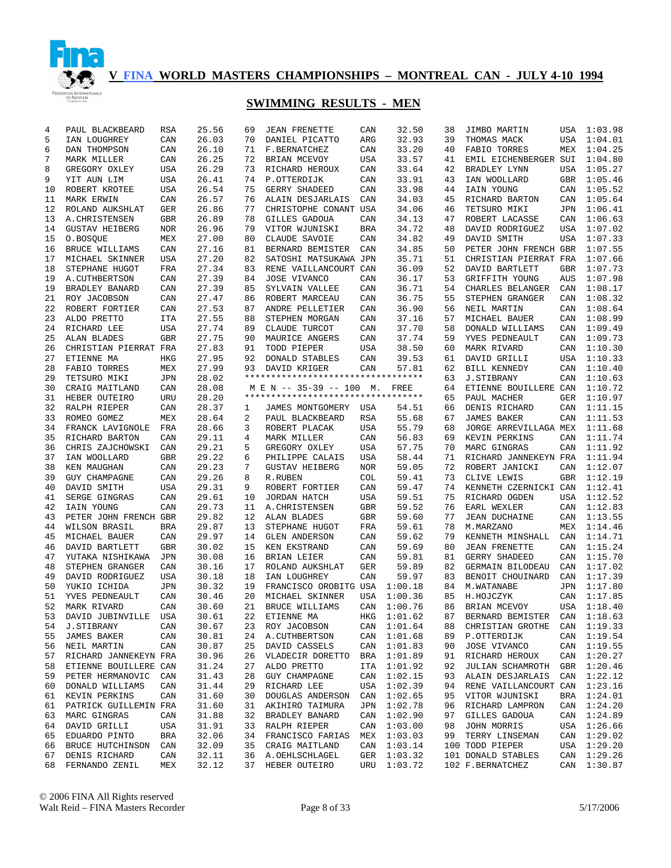

| 4  | PAUL BLACKBEARD       | RSA        |       | 25.56 | 69 | <b>JEAN FRENETTE</b>                                           | CAN | 32.50       | 38 | JIMBO MARTIN                    |            | USA 1:03.98 |
|----|-----------------------|------------|-------|-------|----|----------------------------------------------------------------|-----|-------------|----|---------------------------------|------------|-------------|
| 5  | IAN LOUGHREY          | CAN        |       | 26.03 | 70 | DANIEL PICATTO                                                 | ARG | 32.93       | 39 | THOMAS MACK                     | USA        | 1:04.01     |
| 6  | DAN THOMPSON          | CAN        |       | 26.10 | 71 | F.BERNATCHEZ                                                   | CAN | 33.20       | 40 | FABIO TORRES                    | MEX        | 1:04.25     |
| 7  | MARK MILLER           | CAN        |       | 26.25 | 72 | BRIAN MCEVOY                                                   | USA | 33.57       | 41 | EMIL EICHENBERGER SUI           |            | 1:04.80     |
| 8  | GREGORY OXLEY         | USA        |       | 26.29 | 73 | RICHARD HEROUX                                                 | CAN | 33.64       | 42 | BRADLEY LYNN                    | USA        | 1:05.27     |
| 9  | YIT AUN LIM           | USA        |       | 26.41 | 74 | P.OTTERDIJK                                                    | CAN | 33.91       | 43 | IAN WOOLLARD                    | GBR        | 1:05.46     |
| 10 | ROBERT KROTEE         | USA        |       | 26.54 | 75 | GERRY SHADEED                                                  | CAN | 33.98       | 44 | IAIN YOUNG                      | CAN        | 1:05.52     |
| 11 | MARK ERWIN            | CAN        |       | 26.57 | 76 | ALAIN DESJARLAIS                                               | CAN | 34.03       | 45 | RICHARD BARTON                  | CAN        | 1:05.64     |
| 12 | ROLAND AUKSHLAT       | GER        |       | 26.86 | 77 | CHRISTOPHE CONANT USA                                          |     | 34.06       | 46 | TETSURO MIKI                    | JPN        | 1:06.41     |
| 13 |                       | GBR        |       | 26.89 | 78 |                                                                | CAN | 34.13       | 47 |                                 | CAN        | 1:06.63     |
|    | A. CHRISTENSEN        |            |       |       |    | GILLES GADOUA                                                  |     | 34.72       |    | ROBERT LACASSE                  |            |             |
| 14 | <b>GUSTAV HEIBERG</b> | NOR        |       | 26.96 | 79 | VITOR WJUNISKI                                                 | BRA |             | 48 | DAVID RODRIGUEZ                 | USA        | 1:07.02     |
| 15 | O.BOSQUE              | MEX        |       | 27.00 | 80 | CLAUDE SAVOIE                                                  | CAN | 34.82       | 49 | DAVID SMITH                     | USA        | 1:07.33     |
| 16 | BRUCE WILLIAMS        | CAN        |       | 27.16 | 81 | BERNARD BEMISTER                                               | CAN | 34.85       | 50 | PETER JOHN FRENCH GBR           |            | 1:07.55     |
| 17 | MICHAEL SKINNER       | USA        |       | 27.20 | 82 | SATOSHI MATSUKAWA JPN                                          |     | 35.71       | 51 | CHRISTIAN PIERRAT FRA           |            | 1:07.66     |
| 18 | STEPHANE HUGOT        | FRA        |       | 27.34 | 83 | RENE VAILLANCOURT CAN                                          |     | 36.09       | 52 | DAVID BARTLETT                  | GBR        | 1:07.73     |
| 19 | A. CUTHBERTSON        | CAN        |       | 27.39 | 84 | JOSE VIVANCO                                                   | CAN | 36.17       | 53 | GRIFFITH YOUNG                  | AUS        | 1:07.98     |
| 19 | BRADLEY BANARD        | CAN        |       | 27.39 | 85 | SYLVAIN VALLEE                                                 | CAN | 36.71       | 54 | CHARLES BELANGER                | CAN        | 1:08.17     |
| 21 | ROY JACOBSON          | CAN        |       | 27.47 | 86 | ROBERT MARCEAU                                                 | CAN | 36.75       | 55 | STEPHEN GRANGER                 | CAN        | 1:08.32     |
| 22 | ROBERT FORTIER        | CAN        |       | 27.53 | 87 | ANDRE PELLETIER                                                | CAN | 36.90       | 56 | NEIL MARTIN                     | CAN        | 1:08.64     |
| 23 | ALDO PRETTO           | <b>ITA</b> |       | 27.55 | 88 | STEPHEN MORGAN                                                 | CAN | 37.16       | 57 | MICHAEL BAUER                   | CAN        | 1:08.99     |
| 24 | RICHARD LEE           | USA        |       | 27.74 | 89 | CLAUDE TURCOT                                                  | CAN | 37.70       | 58 | DONALD WILLIAMS                 | CAN        | 1:09.49     |
| 25 | <b>ALAN BLADES</b>    | <b>GBR</b> |       | 27.75 | 90 | MAURICE ANGERS                                                 | CAN | 37.74       | 59 | YVES PEDNEAULT                  | CAN        | 1:09.73     |
| 26 | CHRISTIAN PIERRAT FRA |            |       | 27.83 | 91 | TODD PIEPER                                                    | USA | 38.50       | 60 | MARK RIVARD                     | CAN        | 1:10.30     |
| 27 | ETIENNE MA            | HKG        |       | 27.95 | 92 | DONALD STABLES                                                 | CAN | 39.53       | 61 | DAVID GRILLI                    | USA        | 1:10.33     |
| 28 | FABIO TORRES          | MEX        |       | 27.99 | 93 | DAVID KRIGER                                                   | CAN | 57.81       | 62 | BILL KENNEDY                    | CAN        | 1:10.40     |
| 29 | TETSURO MIKI          |            |       | 28.02 |    | **********************************                             |     |             | 63 | <b>J.STIBRANY</b>               | CAN        | 1:10.63     |
|    |                       | JPN        |       |       |    |                                                                |     |             |    |                                 |            |             |
| 30 | CRAIG MAITLAND        | CAN        |       | 28.08 |    | M E N -- 35-39 -- 100 M.<br>********************************** |     | FREE        | 64 | ETIENNE BOUILLERE CAN           |            | 1:10.72     |
| 31 | HEBER OUTEIRO         | URU        |       | 28.20 |    |                                                                |     |             | 65 | PAUL MACHER                     | GER        | 1:10.97     |
| 32 | RALPH RIEPER          | CAN        |       | 28.37 | 1  | JAMES MONTGOMERY USA                                           |     | 54.51       | 66 | DENIS RICHARD                   | CAN        | 1:11.15     |
| 33 | ROMEO GOMEZ           | MEX        |       | 28.64 | 2  | PAUL BLACKBEARD                                                | RSA | 55.68       | 67 | <b>JAMES BAKER</b>              | CAN        | 1:11.53     |
| 34 | FRANCK LAVIGNOLE      | FRA        |       | 28.66 | 3  | ROBERT PLACAK                                                  | USA | 55.79       | 68 | JORGE ARREVILLAGA MEX           |            | 1:11.68     |
| 35 | RICHARD BARTON        | CAN        |       | 29.11 | 4  | MARK MILLER                                                    | CAN | 56.83       | 69 | KEVIN PERKINS                   | CAN        | 1:11.74     |
| 36 | CHRIS ZAJCHOWSKI      | CAN        |       | 29.21 | 5  | GREGORY OXLEY                                                  | USA | 57.75       | 70 | MARC GINGRAS                    | CAN        | 1:11.92     |
| 37 | IAN WOOLLARD          | GBR        |       | 29.22 | 6  | PHILIPPE CALAIS                                                | USA | 58.44       | 71 | RICHARD JANNEKEYN FRA           |            | 1:11.94     |
| 38 | KEN MAUGHAN           | CAN        |       | 29.23 | 7  | <b>GUSTAV HEIBERG</b>                                          | NOR | 59.05       | 72 | ROBERT JANICKI                  | CAN        | 1:12.07     |
| 39 | <b>GUY CHAMPAGNE</b>  | CAN        |       | 29.26 | 8  | R.RUBEN                                                        | COL | 59.41       | 73 | CLIVE LEWIS                     | GBR        | 1:12.19     |
| 40 | DAVID SMITH           | USA        |       | 29.31 | 9  | ROBERT FORTIER                                                 | CAN | 59.47       | 74 | KENNETH CZERNICKI CAN           |            | 1:12.41     |
| 41 | SERGE GINGRAS         | CAN        |       | 29.61 | 10 | JORDAN HATCH                                                   | USA | 59.51       | 75 | RICHARD OGDEN                   | USA        | 1:12.52     |
| 42 | IAIN YOUNG            | CAN        |       | 29.73 | 11 | A. CHRISTENSEN                                                 | GBR | 59.52       | 76 | EARL WEXLER                     | CAN        | 1:12.83     |
| 43 | PETER JOHN FRENCH GBR |            |       | 29.82 | 12 | ALAN BLADES                                                    | GBR | 59.60       | 77 | <b>JEAN DUCHAINE</b>            | CAN        | 1:13.55     |
| 44 | WILSON BRASIL         | BRA        |       | 29.87 | 13 | STEPHANE HUGOT                                                 | FRA | 59.61       | 78 | M.MARZANO                       | MEX        | 1:14.46     |
| 45 | MICHAEL BAUER         | CAN        |       | 29.97 | 14 | <b>GLEN ANDERSON</b>                                           | CAN | 59.62       | 79 | KENNETH MINSHALL                | CAN        | 1:14.71     |
| 46 | DAVID BARTLETT        | <b>GBR</b> |       | 30.02 | 15 | KEN EKSTRAND                                                   | CAN | 59.69       | 80 | <b>JEAN FRENETTE</b>            | CAN        | 1:15.24     |
| 47 | YUTAKA NISHIKAWA      | JPN        |       | 30.08 | 16 | BRIAN LEIER                                                    | CAN | 59.81       | 81 | GERRY SHADEED                   | CAN        | 1:15.70     |
| 48 | STEPHEN GRANGER       | CAN        |       | 30.16 | 17 | ROLAND AUKSHLAT                                                | GER | 59.89       | 82 | <b>GERMAIN BILODEAU</b>         | CAN        | 1:17.02     |
| 49 |                       |            |       |       | 18 |                                                                | CAN | 59.97       | 83 | BENOIT CHOUINARD                | CAN        | 1:17.39     |
|    | DAVID RODRIGUEZ       | USA        |       | 30.18 |    | IAN LOUGHREY                                                   |     |             |    |                                 |            |             |
| 50 | YUKIO ICHIDA          | JPN        |       | 30.32 | 19 | FRANCISCO OROBITG USA                                          |     | 1:00.18     | 84 | M. WATANABE                     | <b>JPN</b> | 1:17.80     |
| 51 | YVES PEDNEAULT        | CAN        |       | 30.46 | 20 | MICHAEL SKINNER                                                | USA | 1:00.36     | 85 | H.HOJCZYK                       | CAN        | 1:17.85     |
| 52 | MARK RIVARD           | CAN        |       | 30.60 | 21 | BRUCE WILLIAMS                                                 | CAN | 1:00.76     | 86 | BRIAN MCEVOY                    |            | USA 1:18.40 |
| 53 | DAVID JUBINVILLE USA  |            | 30.61 |       |    | 22 ETIENNE MA                                                  |     | HKG 1:01.62 |    | 87 BERNARD BEMISTER CAN 1:18.63 |            |             |
| 54 | J.STIBRANY            | CAN        |       | 30.67 | 23 | ROY JACOBSON                                                   |     | CAN 1:01.64 | 88 | CHRISTIAN GROTHE CAN 1:19.33    |            |             |
| 55 | JAMES BAKER           | CAN        |       | 30.81 | 24 | A.CUTHBERTSON                                                  |     | CAN 1:01.68 | 89 | P.OTTERDIJK                     |            | CAN 1:19.54 |
| 56 | NEIL MARTIN           | CAN        |       | 30.87 | 25 | DAVID CASSELS                                                  | CAN | 1:01.83     | 90 | JOSE VIVANCO                    |            | CAN 1:19.55 |
| 57 | RICHARD JANNEKEYN FRA |            |       | 30.96 | 26 | VLADECIR DORETTO                                               | BRA | 1:01.89     | 91 | RICHARD HEROUX                  |            | CAN 1:20.27 |
| 58 | ETIENNE BOUILLERE CAN |            |       | 31.24 | 27 | ALDO PRETTO                                                    | ITA | 1:01.92     | 92 | JULIAN SCHAMROTH                |            | GBR 1:20.46 |
| 59 | PETER HERMANOVIC CAN  |            |       | 31.43 | 28 | GUY CHAMPAGNE                                                  | CAN | 1:02.15     | 93 | ALAIN DESJARLAIS                |            | CAN 1:22.12 |
| 60 | DONALD WILLIAMS       | CAN        |       | 31.44 | 29 | RICHARD LEE                                                    | USA | 1:02.39     | 94 | RENE VAILLANCOURT CAN 1:23.16   |            |             |
| 61 | KEVIN PERKINS         | CAN        |       | 31.60 | 30 | DOUGLAS ANDERSON                                               | CAN | 1:02.65     | 95 | VITOR WJUNISKI                  |            | BRA 1:24.01 |
| 61 | PATRICK GUILLEMIN FRA |            |       | 31.60 | 31 | AKIHIRO TAIMURA                                                | JPN | 1:02.78     | 96 | RICHARD LAMPRON                 |            | CAN 1:24.20 |
| 63 | MARC GINGRAS          | CAN        |       | 31.88 | 32 | BRADLEY BANARD                                                 | CAN | 1:02.90     | 97 | GILLES GADOUA                   |            | CAN 1:24.89 |
| 64 | DAVID GRILLI          | USA        |       | 31.91 | 33 | RALPH RIEPER                                                   | CAN | 1:03.00     | 98 | JOHN MORRIS                     |            | USA 1:26.66 |
| 65 | EDUARDO PINTO         | BRA        |       | 32.06 |    | 34 FRANCISCO FARIAS                                            | MEX | 1:03.03     | 99 | TERRY LINSEMAN                  |            | CAN 1:29.02 |
|    |                       |            |       |       |    |                                                                |     |             |    | 100 TODD PIEPER                 |            |             |
| 66 | BRUCE HUTCHINSON CAN  |            |       | 32.09 |    | 35 CRAIG MAITLAND<br>36 A.OEHLSCHLAGEL                         | CAN | 1:03.14     |    |                                 |            | USA 1:29.20 |
| 67 | DENIS RICHARD         | CAN        |       | 32.11 |    |                                                                | GER | 1:03.32     |    | 101 DONALD STABLES              |            | CAN 1:29.26 |
|    | 68 FERNANDO ZENIL     | MEX        |       | 32.12 |    | 37 HEBER OUTEIRO                                               |     | URU 1:03.72 |    | 102 F. BERNATCHEZ               |            | CAN 1:30.87 |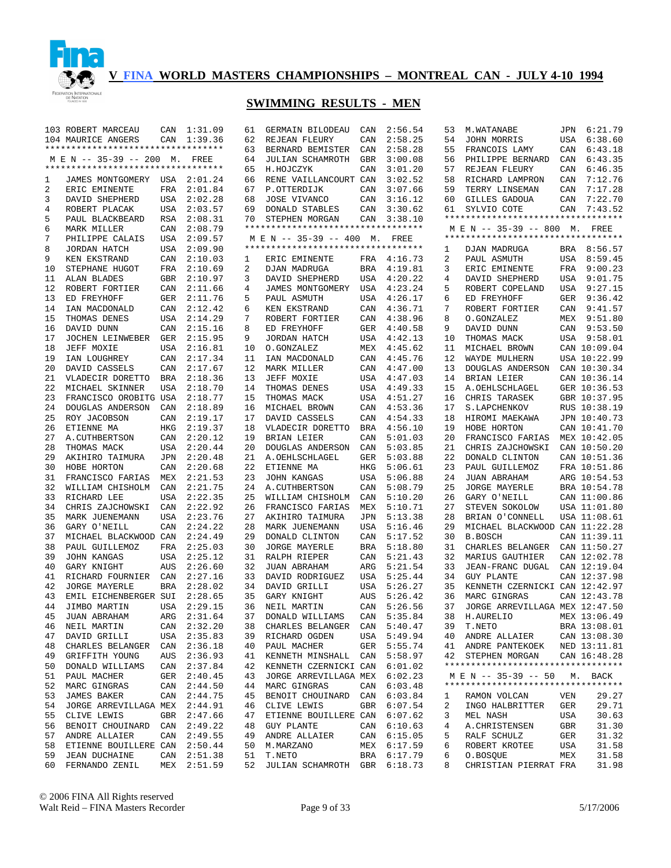

|    | 103 ROBERT MARCEAU                 | CAN        | 1:31.09     | 61 | GERMAIN BILODEAU                  | CAN        | 2:56.54     | 53 | M. WATANABE                        |            | JPN 6:21.79  |
|----|------------------------------------|------------|-------------|----|-----------------------------------|------------|-------------|----|------------------------------------|------------|--------------|
|    | 104 MAURICE ANGERS                 | CAN        | 1:39.36     | 62 | REJEAN FLEURY                     | CAN        | 2:58.25     | 54 | JOHN MORRIS                        | USA        | 6:38.60      |
|    | ********************************** |            |             | 63 | BERNARD BEMISTER                  | CAN        | 2:58.28     | 55 | FRANCOIS LAMY                      | CAN        | 6:43.18      |
|    | M E N -- 35-39 -- 200 M. FREE      |            |             | 64 | JULIAN SCHAMROTH                  | GBR        | 3:00.08     | 56 | PHILIPPE BERNARD                   | CAN        | 6:43.35      |
|    | ********************************** |            |             | 65 | H.HOJCZYK                         | CAN        | 3:01.20     | 57 | REJEAN FLEURY                      | CAN        | 6:46.35      |
| 1  | JAMES MONTGOMERY USA 2:01.24       |            |             | 66 | RENE VAILLANCOURT CAN             |            | 3:02.52     | 58 | RICHARD LAMPRON                    | CAN        | 7:12.76      |
| 2  | ERIC EMINENTE                      | FRA        | 2:01.84     | 67 | P.OTTERDIJK                       | CAN        | 3:07.66     | 59 | TERRY LINSEMAN                     | CAN        | 7:17.28      |
| 3  | DAVID SHEPHERD                     | USA        | 2:02.28     | 68 | JOSE VIVANCO                      | CAN        | 3:16.12     | 60 | GILLES GADOUA                      | CAN        | 7:22.70      |
| 4  | ROBERT PLACAK                      | USA        | 2:03.57     | 69 | DONALD STABLES                    | CAN        | 3:30.62     | 61 | SYLVIO COTE                        | CAN        | 7:43.52      |
| 5  | PAUL BLACKBEARD                    | RSA        | 2:08.31     | 70 | STEPHEN MORGAN                    | CAN        | 3:38.10     |    | ********************************** |            |              |
| 6  | MARK MILLER                        | CAN        | 2:08.79     |    | ********************************* |            |             |    | M E N -- 35-39 -- 800 M. FREE      |            |              |
| 7  | PHILIPPE CALAIS                    | USA        | 2:09.57     |    | M E N -- 35-39 -- 400 M. FREE     |            |             |    | ********************************** |            |              |
|    | JORDAN HATCH                       |            |             |    | ********************************* |            |             |    |                                    |            |              |
| 8  |                                    | USA        | 2:09.90     |    |                                   |            |             | 1  | DJAN MADRUGA                       |            | BRA 8:56.57  |
| 9  | KEN EKSTRAND                       | CAN        | 2:10.03     | 1  | ERIC EMINENTE                     | FRA        | 4:16.73     | 2  | PAUL ASMUTH                        | USA        | 8:59.45      |
| 10 | STEPHANE HUGOT                     | FRA        | 2:10.69     | 2  | DJAN MADRUGA                      | <b>BRA</b> | 4:19.81     | 3  | ERIC EMINENTE                      | FRA        | 9:00.23      |
| 11 | ALAN BLADES                        | GBR        | 2:10.97     | 3  | DAVID SHEPHERD                    | USA        | 4:20.22     | 4  | DAVID SHEPHERD                     | USA        | 9:01.75      |
| 12 | ROBERT FORTIER                     | CAN        | 2:11.66     | 4  | JAMES MONTGOMERY                  | USA        | 4:23.24     | 5  | ROBERT COPELAND                    | USA        | 9:27.15      |
| 13 | ED FREYHOFF                        | GER        | 2:11.76     | 5  | PAUL ASMUTH                       | USA        | 4:26.17     | 6  | ED FREYHOFF                        | GER        | 9:36.42      |
| 14 | IAN MACDONALD                      | CAN        | 2:12.42     | 6  | KEN EKSTRAND                      | CAN        | 4:36.71     | 7  | ROBERT FORTIER                     | CAN        | 9:41.57      |
| 15 | THOMAS DENES                       | USA        | 2:14.29     | 7  | ROBERT FORTIER                    | CAN        | 4:38.96     | 8  | O.GONZALEZ                         | MEX        | 9:51.80      |
| 16 | DAVID DUNN                         | CAN        | 2:15.16     | 8  | ED FREYHOFF                       | GER        | 4:40.58     | 9  | DAVID DUNN                         |            | CAN 9:53.50  |
| 17 | JOCHEN LEINWEBER                   | GER        | 2:15.95     | 9  | JORDAN HATCH                      | USA        | 4:42.13     | 10 | THOMAS MACK                        |            | USA 9:58.01  |
| 18 | JEFF MOXIE                         | USA        | 2:16.81     | 10 | O.GONZALEZ                        | MEX        | 4:45.62     | 11 | MICHAEL BROWN                      |            | CAN 10:09.04 |
| 19 | IAN LOUGHREY                       | CAN        | 2:17.34     | 11 | IAN MACDONALD                     | CAN        | 4:45.76     | 12 | WAYDE MULHERN                      |            | USA 10:22.99 |
| 20 | DAVID CASSELS                      | CAN        | 2:17.67     | 12 | MARK MILLER                       | CAN        | 4:47.00     | 13 | DOUGLAS ANDERSON                   |            | CAN 10:30.34 |
| 21 | VLADECIR DORETTO                   | <b>BRA</b> | 2:18.36     | 13 | JEFF MOXIE                        | USA        | 4:47.03     | 14 | BRIAN LEIER                        |            | CAN 10:36.14 |
| 22 |                                    | <b>USA</b> | 2:18.70     | 14 |                                   |            | 4:49.33     | 15 | A. OEHLSCHLAGEL                    |            | GER 10:36.53 |
|    | MICHAEL SKINNER                    |            |             |    | THOMAS DENES                      | USA        |             |    |                                    |            |              |
| 23 | FRANCISCO OROBITG USA              |            | 2:18.77     | 15 | THOMAS MACK                       | USA        | 4:51.27     | 16 | CHRIS TARASEK                      |            | GBR 10:37.95 |
| 24 | DOUGLAS ANDERSON                   | CAN        | 2:18.89     | 16 | MICHAEL BROWN                     | CAN        | 4:53.36     | 17 | S.LAPCHENKOV                       |            | RUS 10:38.19 |
| 25 | ROY JACOBSON                       | CAN        | 2:19.17     | 17 | DAVID CASSELS                     | CAN        | 4:54.33     | 18 | HIROMI MAEKAWA                     |            | JPN 10:40.73 |
| 26 | ETIENNE MA                         | HKG        | 2:19.37     | 18 | VLADECIR DORETTO                  | <b>BRA</b> | 4:56.10     | 19 | HOBE HORTON                        |            | CAN 10:41.70 |
| 27 | A. CUTHBERTSON                     | CAN        | 2:20.12     | 19 | BRIAN LEIER                       | CAN        | 5:01.03     | 20 | FRANCISCO FARIAS                   |            | MEX 10:42.05 |
| 28 | THOMAS MACK                        | USA        | 2:20.44     | 20 | DOUGLAS ANDERSON                  | CAN        | 5:03.85     | 21 | CHRIS ZAJCHOWSKI                   |            | CAN 10:50.20 |
| 29 | AKIHIRO TAIMURA                    | JPN        | 2:20.48     | 21 | A. OEHLSCHLAGEL                   | GER        | 5:03.88     | 22 | DONALD CLINTON                     |            | CAN 10:51.36 |
| 30 | HOBE HORTON                        | CAN        | 2:20.68     | 22 | ETIENNE MA                        | HKG        | 5:06.61     | 23 | PAUL GUILLEMOZ                     |            | FRA 10:51.86 |
| 31 | FRANCISCO FARIAS                   | MEX        | 2:21.53     | 23 | <b>JOHN KANGAS</b>                | USA        | 5:06.88     | 24 | JUAN ABRAHAM                       |            | ARG 10:54.53 |
| 32 | WILLIAM CHISHOLM                   | CAN        | 2:21.75     | 24 | A. CUTHBERTSON                    | CAN        | 5:08.79     | 25 | <b>JORGE MAYERLE</b>               |            | BRA 10:54.78 |
| 33 | RICHARD LEE                        | <b>USA</b> | 2:22.35     | 25 | WILLIAM CHISHOLM                  | CAN        | 5:10.20     | 26 | GARY O'NEILL                       |            | CAN 11:00.86 |
| 34 | CHRIS ZAJCHOWSKI                   | CAN        | 2:22.92     | 26 | FRANCISCO FARIAS                  | MEX        | 5:10.71     | 27 | STEVEN SOKOLOW                     |            | USA 11:01.80 |
| 35 | MARK JUENEMANN                     | <b>USA</b> | 2:23.76     | 27 | AKIHIRO TAIMURA                   | JPN        | 5:13.38     | 28 | BRIAN O'CONNELL                    |            | USA 11:08.61 |
| 36 | GARY O'NEILL                       | CAN        | 2:24.22     | 28 | MARK JUENEMANN                    | USA        | 5:16.46     | 29 | MICHAEL BLACKWOOD CAN 11:22.28     |            |              |
| 37 | MICHAEL BLACKWOOD CAN              |            | 2:24.49     | 29 | DONALD CLINTON                    | CAN        | 5:17.52     | 30 | <b>B.BOSCH</b>                     |            | CAN 11:39.11 |
| 38 | PAUL GUILLEMOZ                     | FRA        | 2:25.03     | 30 | <b>JORGE MAYERLE</b>              |            | 5:18.80     | 31 | CHARLES BELANGER                   |            | CAN 11:50.27 |
|    |                                    |            |             |    |                                   | BRA        |             |    |                                    |            |              |
| 39 | <b>JOHN KANGAS</b>                 | <b>USA</b> | 2:25.12     | 31 | RALPH RIEPER                      | CAN        | 5:21.43     | 32 | MARIUS GAUTHIER                    |            | CAN 12:02.78 |
| 40 | GARY KNIGHT                        | AUS        | 2:26.60     | 32 | JUAN ABRAHAM                      | ARG        | 5:21.54     | 33 | JEAN-FRANC DUGAL                   |            | CAN 12:19.04 |
| 41 | RICHARD FOURNIER                   | CAN        | 2:27.16     | 33 | DAVID RODRIGUEZ                   | USA        | 5:25.44     | 34 | <b>GUY PLANTE</b>                  |            | CAN 12:37.98 |
| 42 | <b>JORGE MAYERLE</b>               | <b>BRA</b> | 2:28.02     | 34 | DAVID GRILLI                      | USA        | 5:26.27     | 35 | KENNETH CZERNICKI CAN 12:42.97     |            |              |
| 43 | EMIL EICHENBERGER SUI              |            | 2:28.65     | 35 | GARY KNIGHT                       | AUS        | 5:26.42     | 36 | MARC GINGRAS                       |            | CAN 12:43.78 |
| 44 | JIMBO MARTIN                       | <b>USA</b> | 2:29.15     | 36 | NEIL MARTIN                       | CAN        | 5:26.56     | 37 | JORGE ARREVILLAGA MEX 12:47.50     |            |              |
| 45 | JUAN ABRAHAM                       |            | ARG 2:31.64 |    | 37 DONALD WILLIAMS                |            | CAN 5:35.84 |    | 38 H.AURELIO                       |            | MEX 13:06.49 |
| 46 | NEIL MARTIN                        |            | CAN 2:32.20 | 38 | CHARLES BELANGER CAN 5:40.47      |            |             | 39 | T.NETO                             |            | BRA 13:08.01 |
| 47 | DAVID GRILLI                       |            | USA 2:35.83 | 39 | RICHARD OGDEN                     |            | USA 5:49.94 | 40 | ANDRE ALLAIER                      |            | CAN 13:08.30 |
| 48 | CHARLES BELANGER                   |            | CAN 2:36.18 | 40 | PAUL MACHER                       | GER        | 5:55.74     | 41 | ANDRE PANTEKOEK                    |            | NED 13:11.81 |
| 49 | GRIFFITH YOUNG                     |            | AUS 2:36.93 | 41 | KENNETH MINSHALL CAN              |            | 5:58.97     | 42 | STEPHEN MORGAN                     |            | CAN 16:48.28 |
| 50 | DONALD WILLIAMS                    |            | CAN 2:37.84 | 42 | KENNETH CZERNICKI CAN             |            | 6:01.02     |    | ********************************** |            |              |
| 51 | PAUL MACHER                        |            | GER 2:40.45 | 43 | JORGE ARREVILLAGA MEX             |            | 6:02.23     |    | M E N -- 35-39 -- 50               |            | M. BACK      |
| 52 | MARC GINGRAS                       |            | CAN 2:44.50 | 44 | MARC GINGRAS                      | CAN        | 6:03.48     |    | ********************************** |            |              |
| 53 |                                    | CAN        | 2:44.75     | 45 | BENOIT CHOUINARD                  | CAN        | 6:03.84     | 1  | RAMON VOLCAN                       | VEN        | 29.27        |
|    | JAMES BAKER                        |            |             |    |                                   |            |             |    |                                    |            | 29.71        |
| 54 | JORGE ARREVILLAGA MEX 2:44.91      |            |             | 46 | CLIVE LEWIS                       | GBR        | 6:07.54     | 2  | INGO HALBRITTER                    | GER        |              |
| 55 | CLIVE LEWIS                        |            | GBR 2:47.66 | 47 | ETIENNE BOUILLERE CAN             |            | 6:07.62     | 3  | MEL NASH                           | USA        | 30.63        |
| 56 | BENOIT CHOUINARD                   | CAN        | 2:49.22     | 48 | <b>GUY PLANTE</b>                 | CAN        | 6:10.63     | 4  | A. CHRISTENSEN                     | GBR        | 31.30        |
| 57 | ANDRE ALLAIER                      | CAN        | 2:49.55     | 49 | ANDRE ALLAIER                     | CAN        | 6:15.05     | 5  | RALF SCHULZ                        | <b>GER</b> | 31.32        |
| 58 | ETIENNE BOUILLERE CAN              |            | 2:50.44     | 50 | M. MARZANO                        | MEX        | 6:17.59     | 6  | ROBERT KROTEE                      | USA        | 31.58        |
| 59 | <b>JEAN DUCHAINE</b>               | CAN        | 2:51.38     | 51 | T.NETO                            | BRA        | 6:17.79     | 6  | O.BOSQUE                           | MEX        | 31.58        |
| 60 | FERNANDO ZENIL                     | MEX        | 2:51.59     | 52 | JULIAN SCHAMROTH                  |            | GBR 6:18.73 | 8  | CHRISTIAN PIERRAT FRA              |            | 31.98        |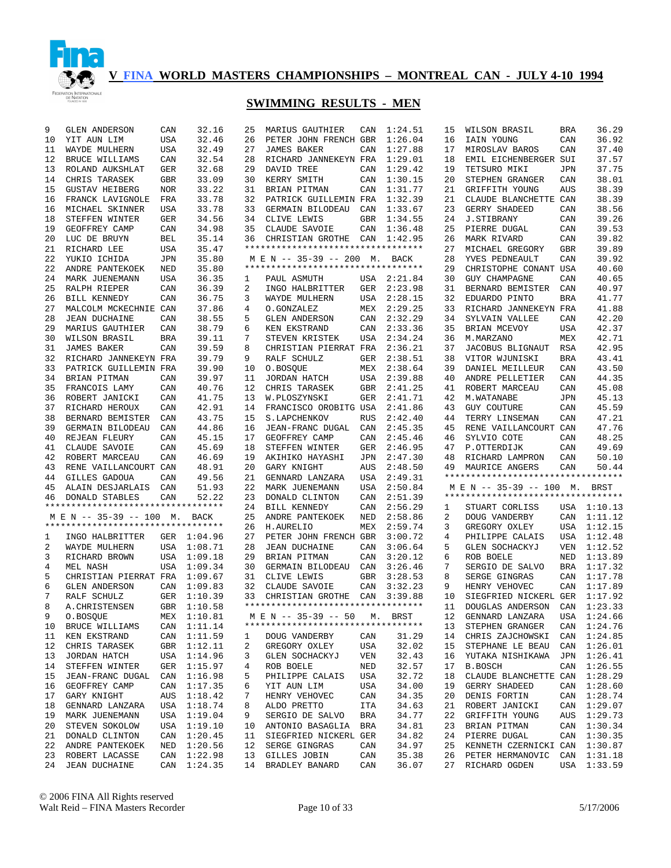

| YIT AUN LIM<br><b>USA</b><br>32.46<br>26<br>PETER JOHN FRENCH GBR<br>1:26.04<br>IAIN YOUNG<br>CAN<br>36.92<br>10<br>16<br>WAYDE MULHERN<br><b>USA</b><br>32.49<br>27<br><b>JAMES BAKER</b><br>CAN<br>1:27.88<br>17<br>MIROSLAV BAROS<br>CAN<br>37.40<br>11<br>12<br>BRUCE WILLIAMS<br>CAN<br>32.54<br>28<br>RICHARD JANNEKEYN FRA<br>1:29.01<br>EMIL EICHENBERGER SUI<br>37.57<br>18<br>32.68<br>DAVID TREE<br>1:29.42<br>TETSURO MIKI<br>37.75<br>13<br>ROLAND AUKSHLAT<br>GER<br>29<br>CAN<br>19<br><b>JPN</b><br>33.09<br>KERRY SMITH<br>38.01<br>14<br>CHRIS TARASEK<br><b>GBR</b><br>30<br>CAN<br>1:30.15<br>20<br>STEPHEN GRANGER<br>CAN<br>33.22<br>1:31.77<br>38.39<br>15<br><b>GUSTAV HEIBERG</b><br><b>NOR</b><br>31<br>BRIAN PITMAN<br>CAN<br>21<br>GRIFFITH YOUNG<br>AUS<br>33.78<br>1:32.39<br>38.39<br>16<br>FRANCK LAVIGNOLE<br>FRA<br>32<br>PATRICK GUILLEMIN FRA<br>21<br>CLAUDE BLANCHETTE CAN<br>33.78<br>38.56<br>16<br>MICHAEL SKINNER<br><b>USA</b><br>33<br>GERMAIN BILODEAU<br>1:33.67<br>23<br>GERRY SHADEED<br>CAN<br>CAN<br>34.56<br>1:34.55<br>39.26<br>18<br>STEFFEN WINTER<br><b>GER</b><br>34<br>CLIVE LEWIS<br><b>GBR</b><br>24<br><b>J.STIBRANY</b><br>CAN<br>34.98<br>35<br>39.53<br>19<br>GEOFFREY CAMP<br>CLAUDE SAVOIE<br>CAN<br>1:36.48<br>25<br>PIERRE DUGAL<br>CAN<br>CAN<br>35.14<br>39.82<br>20<br>LUC DE BRUYN<br><b>BEL</b><br>CHRISTIAN GROTHE<br>CAN<br>1:42.95<br>26<br><b>MARK RIVARD</b><br>CAN<br>36<br>*********************************<br>35.47<br>27<br>39.89<br>21<br>RICHARD LEE<br>USA<br>MICHAEL GREGORY<br><b>GBR</b><br>22<br>35.80<br>39.92<br>YUKIO ICHIDA<br>JPN<br>28<br>YVES PEDNEAULT<br>CAN<br>M E N -- 35-39 -- 200 M.<br>BACK<br>**********************************<br>22<br>ANDRE PANTEKOEK<br><b>NED</b><br>35.80<br>29<br>CHRISTOPHE CONANT USA<br>40.60<br>40.65<br>24<br>36.35<br>30<br>CAN<br>MARK JUENEMANN<br>USA<br>1<br>PAUL ASMUTH<br>USA<br>2:21.84<br><b>GUY CHAMPAGNE</b><br>40.97<br>25<br>RALPH RIEPER<br>36.39<br>2<br>2:23.98<br>BERNARD BEMISTER<br>CAN<br>CAN<br>INGO HALBRITTER<br>GER<br>31<br>36.75<br>41.77<br>26<br>USA<br>2:28.15<br>32<br>EDUARDO PINTO<br><b>BRA</b><br>BILL KENNEDY<br>CAN<br>3<br>WAYDE MULHERN<br>41.88<br>27<br>37.86<br>4<br>MEX<br>2:29.25<br>33<br>RICHARD JANNEKEYN FRA<br>MALCOLM MCKECHNIE CAN<br>O.GONZALEZ<br>42.20<br>28<br>38.55<br>5<br>CAN<br>2:32.29<br>SYLVAIN VALLEE<br>CAN<br><b>JEAN DUCHAINE</b><br>CAN<br><b>GLEN ANDERSON</b><br>34<br>42.37<br>29<br>MARIUS GAUTHIER<br>38.79<br>6<br>CAN<br>2:33.36<br>BRIAN MCEVOY<br><b>USA</b><br>CAN<br>KEN EKSTRAND<br>35<br>30<br>WILSON BRASIL<br>39.11<br>7<br>USA<br>2:34.24<br>M. MARZANO<br>MEX<br>42.71<br>BRA<br>STEVEN KRISTEK<br>36<br>42.95<br>31<br><b>JAMES BAKER</b><br>39.59<br>8<br>CHRISTIAN PIERRAT FRA<br>2:36.21<br>JACOBUS BLIGNAUT<br>RSA<br>CAN<br>37<br>32<br>RICHARD JANNEKEYN FRA<br>39.79<br>9<br>RALF SCHULZ<br>GER<br>2:38.51<br>38<br>VITOR WJUNISKI<br><b>BRA</b><br>43.41<br>33<br>PATRICK GUILLEMIN FRA<br>39.90<br>O.BOSQUE<br>MEX<br>2:38.64<br>39<br>DANIEL MEILLEUR<br>CAN<br>43.50<br>10<br>44.35<br>34<br>BRIAN PITMAN<br>CAN<br>39.97<br>11<br>JORDAN HATCH<br>USA<br>2:39.88<br>40<br>ANDRE PELLETIER<br>CAN<br>35<br>FRANCOIS LAMY<br>40.76<br>12<br>CHRIS TARASEK<br><b>GBR</b><br>2:41.25<br>ROBERT MARCEAU<br>CAN<br>45.08<br>CAN<br>41<br>36<br>ROBERT JANICKI<br>41.75<br>13<br>W.PLOSZYNSKI<br>GER<br>2:41.71<br>42<br>M. WATANABE<br><b>JPN</b><br>45.13<br>CAN<br>37<br>RICHARD HEROUX<br>42.91<br>14<br>FRANCISCO OROBITG USA<br>2:41.86<br>43<br><b>GUY COUTURE</b><br>CAN<br>45.59<br>CAN<br>43.75<br>2:42.40<br>47.21<br>38<br>BERNARD BEMISTER<br>15<br>S. LAPCHENKOV<br><b>RUS</b><br>44<br>TERRY LINSEMAN<br>CAN<br>CAN<br>47.76<br>39<br><b>GERMAIN BILODEAU</b><br>44.86<br>16<br>CAN<br>2:45.35<br>45<br>RENE VAILLANCOURT CAN<br>CAN<br>JEAN-FRANC DUGAL<br>2:45.46<br>48.25<br>40<br>REJEAN FLEURY<br>CAN<br>45.15<br>17<br>GEOFFREY CAMP<br>CAN<br>46<br>SYLVIO COTE<br>CAN<br>49.69<br>41<br>CLAUDE SAVOIE<br>45.69<br>18<br>STEFFEN WINTER<br><b>GER</b><br>2:46.95<br>47<br>P.OTTERDIJK<br>CAN<br>CAN<br>46.69<br>50.10<br>42<br>ROBERT MARCEAU<br>19<br>AKIHIKO HAYASHI<br>2:47.30<br>48<br>RICHARD LAMPRON<br>CAN<br>CAN<br>JPN<br>43<br>48.91<br>20<br>GARY KNIGHT<br>2:48.50<br>CAN<br>50.44<br>RENE VAILLANCOURT CAN<br>AUS<br>49<br>MAURICE ANGERS<br>**********************************<br>49.56<br>44<br>GILLES GADOUA<br>CAN<br>21<br>GENNARD LANZARA<br>USA<br>2:49.31<br>45<br>ALAIN DESJARLAIS<br>51.93<br>22<br>MARK JUENEMANN<br>2:50.84<br>CAN<br>USA<br>M E N -- 35-39 -- 100 M. BRST<br>**********************************<br>52.22<br>23<br>2:51.39<br>46<br>DONALD STABLES<br>CAN<br>DONALD CLINTON<br>CAN<br>**********************************<br>24<br>2:56.29<br>BILL KENNEDY<br>CAN<br>STUART CORLISS<br>USA 1:10.13<br>1<br>25<br>2:58.86<br>2<br>M E N -- 35-39 -- 100 M.<br>ANDRE PANTEKOEK<br>NED<br>DOUG VANDERBY<br>CAN<br>1:11.12<br>BACK<br>*********************************<br>26<br>2:59.74<br>1:12.15<br>H.AURELIO<br>MEX<br>3<br>GREGORY OXLEY<br>USA<br>GER 1:04.96<br>27<br>PETER JOHN FRENCH GBR<br>3:00.72<br>USA 1:12.48<br>INGO HALBRITTER<br>4<br>PHILIPPE CALAIS<br>1<br>USA 1:08.71<br>28<br><b>JEAN DUCHAINE</b><br>3:06.64<br><b>GLEN SOCHACKYJ</b><br>VEN<br>1:12.52<br>2<br>WAYDE MULHERN<br>CAN<br>5<br>3<br>USA 1:09.18<br>29<br>CAN<br>3:20.12<br>ROB BOELE<br>1:13.89<br>RICHARD BROWN<br>BRIAN PITMAN<br>6<br>NED<br>USA<br>1:09.34<br>30<br>CAN<br>3:26.46<br>7<br>SERGIO DE SALVO<br>1:17.32<br>4<br>MEL NASH<br>GERMAIN BILODEAU<br>BRA<br>5<br>CHRISTIAN PIERRAT FRA<br>1:09.67<br>31<br><b>GBR</b><br>3:28.53<br>8<br>1:17.78<br>CLIVE LEWIS<br>SERGE GINGRAS<br>CAN<br>1:17.89<br><b>GLEN ANDERSON</b><br>CAN<br>1:09.83<br>32<br>CLAUDE SAVOIE<br>CAN<br>3:32.23<br>9<br>HENRY VEHOVEC<br>CAN<br>6<br>7<br>RALF SCHULZ<br>GER 1:10.39<br>CAN<br>SIEGFRIED NICKERL GER<br>1:17.92<br>33<br>CHRISTIAN GROTHE<br>3:39.88<br>10<br>**********************************<br>8<br>A. CHRISTENSEN<br>GBR 1:10.58<br>DOUGLAS ANDERSON<br>CAN<br>1:23.33<br>11<br>MEX 1:10.81<br>M E N -- 35-39 -- 50 M. BRST<br>12 GENNARD LANZARA USA 1:24.66<br>9<br>O.BOSQUE<br>**********************************<br>10 BRUCE WILLIAMS<br>CAN 1:11.14<br>13 STEPHEN GRANGER<br>CAN 1:24.76<br>KEN EKSTRAND<br>CAN 1:11.59<br>DOUG VANDERBY<br>CAN<br>31.29<br>14 CHRIS ZAJCHOWSKI CAN 1:24.85<br>11<br>1<br>GBR 1:12.11<br>32.02<br>CAN 1:26.01<br>12<br>CHRIS TARASEK<br>2<br>GREGORY OXLEY<br>USA<br>15<br>STEPHANE LE BEAU<br>USA 1:14.96<br>32.43<br>JORDAN HATCH<br>GLEN SOCHACKYJ<br>VEN<br>YUTAKA NISHIKAWA<br>JPN 1:26.41<br>13<br>3<br>16<br>GER 1:15.97<br>32.57<br>STEFFEN WINTER<br>ROB BOELE<br>NED<br>17<br>B.BOSCH<br>CAN 1:26.55<br>14<br>4<br>32.72<br>CLAUDE BLANCHETTE CAN 1:28.29<br>JEAN-FRANC DUGAL<br>CAN 1:16.98<br>PHILIPPE CALAIS<br>USA<br>18<br>15<br>5<br>34.00<br>GEOFFREY CAMP<br>CAN 1:17.35<br>USA<br>19<br>GERRY SHADEED<br>CAN 1:28.60<br>16<br>6<br>YIT AUN LIM<br>34.35<br>GARY KNIGHT<br>AUS 1:18.42<br>7<br>HENRY VEHOVEC<br>CAN<br>20<br>DENIS FORTIN<br>CAN 1:28.74<br>17<br>34.63<br>GENNARD LANZARA<br>USA 1:18.74<br>ALDO PRETTO<br>ITA<br>21<br>ROBERT JANICKI<br>CAN 1:29.07<br>18<br>8<br>34.77<br>MARK JUENEMANN<br>USA 1:19.04<br>SERGIO DE SALVO<br>BRA<br>22<br>GRIFFITH YOUNG<br>AUS 1:29.73<br>19<br>9<br>34.81<br>STEVEN SOKOLOW<br>USA 1:19.10<br>ANTONIO BASAGLIA BRA<br>23<br>BRIAN PITMAN<br>CAN 1:30.34<br>20<br>10<br>34.82<br>21 DONALD CLINTON<br>CAN 1:20.45<br>11 SIEGFRIED NICKERL GER<br>24 PIERRE DUGAL<br>CAN 1:30.35<br>34.97<br>ANDRE PANTEKOEK<br>NED 1:20.56<br>12 SERGE GINGRAS<br>25<br>KENNETH CZERNICKI CAN 1:30.87<br>22<br>CAN<br>35.38<br>ROBERT LACASSE<br>CAN 1:22.98<br>13 GILLES JOBIN<br>CAN<br>26 PETER HERMANOVIC CAN 1:31.18<br>23<br>36.07<br>24 JEAN DUCHAINE<br>CAN 1:24.35<br>14 BRADLEY BANARD<br>CAN<br>27 RICHARD OGDEN<br>USA 1:33.59 | 9 | <b>GLEN ANDERSON</b> | CAN | 32.16 | 25 | MARIUS GAUTHIER | CAN | 1:24.51 | 15 | WILSON BRASIL | <b>BRA</b> | 36.29 |
|--------------------------------------------------------------------------------------------------------------------------------------------------------------------------------------------------------------------------------------------------------------------------------------------------------------------------------------------------------------------------------------------------------------------------------------------------------------------------------------------------------------------------------------------------------------------------------------------------------------------------------------------------------------------------------------------------------------------------------------------------------------------------------------------------------------------------------------------------------------------------------------------------------------------------------------------------------------------------------------------------------------------------------------------------------------------------------------------------------------------------------------------------------------------------------------------------------------------------------------------------------------------------------------------------------------------------------------------------------------------------------------------------------------------------------------------------------------------------------------------------------------------------------------------------------------------------------------------------------------------------------------------------------------------------------------------------------------------------------------------------------------------------------------------------------------------------------------------------------------------------------------------------------------------------------------------------------------------------------------------------------------------------------------------------------------------------------------------------------------------------------------------------------------------------------------------------------------------------------------------------------------------------------------------------------------------------------------------------------------------------------------------------------------------------------------------------------------------------------------------------------------------------------------------------------------------------------------------------------------------------------------------------------------------------------------------------------------------------------------------------------------------------------------------------------------------------------------------------------------------------------------------------------------------------------------------------------------------------------------------------------------------------------------------------------------------------------------------------------------------------------------------------------------------------------------------------------------------------------------------------------------------------------------------------------------------------------------------------------------------------------------------------------------------------------------------------------------------------------------------------------------------------------------------------------------------------------------------------------------------------------------------------------------------------------------------------------------------------------------------------------------------------------------------------------------------------------------------------------------------------------------------------------------------------------------------------------------------------------------------------------------------------------------------------------------------------------------------------------------------------------------------------------------------------------------------------------------------------------------------------------------------------------------------------------------------------------------------------------------------------------------------------------------------------------------------------------------------------------------------------------------------------------------------------------------------------------------------------------------------------------------------------------------------------------------------------------------------------------------------------------------------------------------------------------------------------------------------------------------------------------------------------------------------------------------------------------------------------------------------------------------------------------------------------------------------------------------------------------------------------------------------------------------------------------------------------------------------------------------------------------------------------------------------------------------------------------------------------------------------------------------------------------------------------------------------------------------------------------------------------------------------------------------------------------------------------------------------------------------------------------------------------------------------------------------------------------------------------------------------------------------------------------------------------------------------------------------------------------------------------------------------------------------------------------------------------------------------------------------------------------------------------------------------------------------------------------------------------------------------------------------------------------------------------------------------------------------------------------------------------------------------------------------------------------------------------------------------------------------------------------------------------------------------------------------------------------------------------------------------------------------------------------------------------------------------------------------------------------------------------------------------------------------------------------------------------------------------------------------------------------------------------------------------------------------------------------------------------------------------------------------------------------------------------------------------------------------------------------------------------------------------------------------------------------------------------------------------------------------------------------------------------------------------------------------------------------------------------------------------------------------------------------------------------------------------------------------------------------------------------------------------------------------------------------------------------------------------------------------------------------------------------------------------------------------------------------------------------------------------------------------------------------------------------------------------------------------------------------------------------------------------------------------------------------------------------------------------------------------------------------------------------------------------------------------------------------------------------------------------------------------------------------|---|----------------------|-----|-------|----|-----------------|-----|---------|----|---------------|------------|-------|
|                                                                                                                                                                                                                                                                                                                                                                                                                                                                                                                                                                                                                                                                                                                                                                                                                                                                                                                                                                                                                                                                                                                                                                                                                                                                                                                                                                                                                                                                                                                                                                                                                                                                                                                                                                                                                                                                                                                                                                                                                                                                                                                                                                                                                                                                                                                                                                                                                                                                                                                                                                                                                                                                                                                                                                                                                                                                                                                                                                                                                                                                                                                                                                                                                                                                                                                                                                                                                                                                                                                                                                                                                                                                                                                                                                                                                                                                                                                                                                                                                                                                                                                                                                                                                                                                                                                                                                                                                                                                                                                                                                                                                                                                                                                                                                                                                                                                                                                                                                                                                                                                                                                                                                                                                                                                                                                                                                                                                                                                                                                                                                                                                                                                                                                                                                                                                                                                                                                                                                                                                                                                                                                                                                                                                                                                                                                                                                                                                                                                                                                                                                                                                                                                                                                                                                                                                                                                                                                                                                                                                                                                                                                                                                                                                                                                                                                                                                                                                                                                                                                                                                                                                                                                                                                                                                                                                                                                                                                                                                                                                                |   |                      |     |       |    |                 |     |         |    |               |            |       |
|                                                                                                                                                                                                                                                                                                                                                                                                                                                                                                                                                                                                                                                                                                                                                                                                                                                                                                                                                                                                                                                                                                                                                                                                                                                                                                                                                                                                                                                                                                                                                                                                                                                                                                                                                                                                                                                                                                                                                                                                                                                                                                                                                                                                                                                                                                                                                                                                                                                                                                                                                                                                                                                                                                                                                                                                                                                                                                                                                                                                                                                                                                                                                                                                                                                                                                                                                                                                                                                                                                                                                                                                                                                                                                                                                                                                                                                                                                                                                                                                                                                                                                                                                                                                                                                                                                                                                                                                                                                                                                                                                                                                                                                                                                                                                                                                                                                                                                                                                                                                                                                                                                                                                                                                                                                                                                                                                                                                                                                                                                                                                                                                                                                                                                                                                                                                                                                                                                                                                                                                                                                                                                                                                                                                                                                                                                                                                                                                                                                                                                                                                                                                                                                                                                                                                                                                                                                                                                                                                                                                                                                                                                                                                                                                                                                                                                                                                                                                                                                                                                                                                                                                                                                                                                                                                                                                                                                                                                                                                                                                                                |   |                      |     |       |    |                 |     |         |    |               |            |       |
|                                                                                                                                                                                                                                                                                                                                                                                                                                                                                                                                                                                                                                                                                                                                                                                                                                                                                                                                                                                                                                                                                                                                                                                                                                                                                                                                                                                                                                                                                                                                                                                                                                                                                                                                                                                                                                                                                                                                                                                                                                                                                                                                                                                                                                                                                                                                                                                                                                                                                                                                                                                                                                                                                                                                                                                                                                                                                                                                                                                                                                                                                                                                                                                                                                                                                                                                                                                                                                                                                                                                                                                                                                                                                                                                                                                                                                                                                                                                                                                                                                                                                                                                                                                                                                                                                                                                                                                                                                                                                                                                                                                                                                                                                                                                                                                                                                                                                                                                                                                                                                                                                                                                                                                                                                                                                                                                                                                                                                                                                                                                                                                                                                                                                                                                                                                                                                                                                                                                                                                                                                                                                                                                                                                                                                                                                                                                                                                                                                                                                                                                                                                                                                                                                                                                                                                                                                                                                                                                                                                                                                                                                                                                                                                                                                                                                                                                                                                                                                                                                                                                                                                                                                                                                                                                                                                                                                                                                                                                                                                                                                |   |                      |     |       |    |                 |     |         |    |               |            |       |
|                                                                                                                                                                                                                                                                                                                                                                                                                                                                                                                                                                                                                                                                                                                                                                                                                                                                                                                                                                                                                                                                                                                                                                                                                                                                                                                                                                                                                                                                                                                                                                                                                                                                                                                                                                                                                                                                                                                                                                                                                                                                                                                                                                                                                                                                                                                                                                                                                                                                                                                                                                                                                                                                                                                                                                                                                                                                                                                                                                                                                                                                                                                                                                                                                                                                                                                                                                                                                                                                                                                                                                                                                                                                                                                                                                                                                                                                                                                                                                                                                                                                                                                                                                                                                                                                                                                                                                                                                                                                                                                                                                                                                                                                                                                                                                                                                                                                                                                                                                                                                                                                                                                                                                                                                                                                                                                                                                                                                                                                                                                                                                                                                                                                                                                                                                                                                                                                                                                                                                                                                                                                                                                                                                                                                                                                                                                                                                                                                                                                                                                                                                                                                                                                                                                                                                                                                                                                                                                                                                                                                                                                                                                                                                                                                                                                                                                                                                                                                                                                                                                                                                                                                                                                                                                                                                                                                                                                                                                                                                                                                                |   |                      |     |       |    |                 |     |         |    |               |            |       |
|                                                                                                                                                                                                                                                                                                                                                                                                                                                                                                                                                                                                                                                                                                                                                                                                                                                                                                                                                                                                                                                                                                                                                                                                                                                                                                                                                                                                                                                                                                                                                                                                                                                                                                                                                                                                                                                                                                                                                                                                                                                                                                                                                                                                                                                                                                                                                                                                                                                                                                                                                                                                                                                                                                                                                                                                                                                                                                                                                                                                                                                                                                                                                                                                                                                                                                                                                                                                                                                                                                                                                                                                                                                                                                                                                                                                                                                                                                                                                                                                                                                                                                                                                                                                                                                                                                                                                                                                                                                                                                                                                                                                                                                                                                                                                                                                                                                                                                                                                                                                                                                                                                                                                                                                                                                                                                                                                                                                                                                                                                                                                                                                                                                                                                                                                                                                                                                                                                                                                                                                                                                                                                                                                                                                                                                                                                                                                                                                                                                                                                                                                                                                                                                                                                                                                                                                                                                                                                                                                                                                                                                                                                                                                                                                                                                                                                                                                                                                                                                                                                                                                                                                                                                                                                                                                                                                                                                                                                                                                                                                                                |   |                      |     |       |    |                 |     |         |    |               |            |       |
|                                                                                                                                                                                                                                                                                                                                                                                                                                                                                                                                                                                                                                                                                                                                                                                                                                                                                                                                                                                                                                                                                                                                                                                                                                                                                                                                                                                                                                                                                                                                                                                                                                                                                                                                                                                                                                                                                                                                                                                                                                                                                                                                                                                                                                                                                                                                                                                                                                                                                                                                                                                                                                                                                                                                                                                                                                                                                                                                                                                                                                                                                                                                                                                                                                                                                                                                                                                                                                                                                                                                                                                                                                                                                                                                                                                                                                                                                                                                                                                                                                                                                                                                                                                                                                                                                                                                                                                                                                                                                                                                                                                                                                                                                                                                                                                                                                                                                                                                                                                                                                                                                                                                                                                                                                                                                                                                                                                                                                                                                                                                                                                                                                                                                                                                                                                                                                                                                                                                                                                                                                                                                                                                                                                                                                                                                                                                                                                                                                                                                                                                                                                                                                                                                                                                                                                                                                                                                                                                                                                                                                                                                                                                                                                                                                                                                                                                                                                                                                                                                                                                                                                                                                                                                                                                                                                                                                                                                                                                                                                                                                |   |                      |     |       |    |                 |     |         |    |               |            |       |
|                                                                                                                                                                                                                                                                                                                                                                                                                                                                                                                                                                                                                                                                                                                                                                                                                                                                                                                                                                                                                                                                                                                                                                                                                                                                                                                                                                                                                                                                                                                                                                                                                                                                                                                                                                                                                                                                                                                                                                                                                                                                                                                                                                                                                                                                                                                                                                                                                                                                                                                                                                                                                                                                                                                                                                                                                                                                                                                                                                                                                                                                                                                                                                                                                                                                                                                                                                                                                                                                                                                                                                                                                                                                                                                                                                                                                                                                                                                                                                                                                                                                                                                                                                                                                                                                                                                                                                                                                                                                                                                                                                                                                                                                                                                                                                                                                                                                                                                                                                                                                                                                                                                                                                                                                                                                                                                                                                                                                                                                                                                                                                                                                                                                                                                                                                                                                                                                                                                                                                                                                                                                                                                                                                                                                                                                                                                                                                                                                                                                                                                                                                                                                                                                                                                                                                                                                                                                                                                                                                                                                                                                                                                                                                                                                                                                                                                                                                                                                                                                                                                                                                                                                                                                                                                                                                                                                                                                                                                                                                                                                                |   |                      |     |       |    |                 |     |         |    |               |            |       |
|                                                                                                                                                                                                                                                                                                                                                                                                                                                                                                                                                                                                                                                                                                                                                                                                                                                                                                                                                                                                                                                                                                                                                                                                                                                                                                                                                                                                                                                                                                                                                                                                                                                                                                                                                                                                                                                                                                                                                                                                                                                                                                                                                                                                                                                                                                                                                                                                                                                                                                                                                                                                                                                                                                                                                                                                                                                                                                                                                                                                                                                                                                                                                                                                                                                                                                                                                                                                                                                                                                                                                                                                                                                                                                                                                                                                                                                                                                                                                                                                                                                                                                                                                                                                                                                                                                                                                                                                                                                                                                                                                                                                                                                                                                                                                                                                                                                                                                                                                                                                                                                                                                                                                                                                                                                                                                                                                                                                                                                                                                                                                                                                                                                                                                                                                                                                                                                                                                                                                                                                                                                                                                                                                                                                                                                                                                                                                                                                                                                                                                                                                                                                                                                                                                                                                                                                                                                                                                                                                                                                                                                                                                                                                                                                                                                                                                                                                                                                                                                                                                                                                                                                                                                                                                                                                                                                                                                                                                                                                                                                                                |   |                      |     |       |    |                 |     |         |    |               |            |       |
|                                                                                                                                                                                                                                                                                                                                                                                                                                                                                                                                                                                                                                                                                                                                                                                                                                                                                                                                                                                                                                                                                                                                                                                                                                                                                                                                                                                                                                                                                                                                                                                                                                                                                                                                                                                                                                                                                                                                                                                                                                                                                                                                                                                                                                                                                                                                                                                                                                                                                                                                                                                                                                                                                                                                                                                                                                                                                                                                                                                                                                                                                                                                                                                                                                                                                                                                                                                                                                                                                                                                                                                                                                                                                                                                                                                                                                                                                                                                                                                                                                                                                                                                                                                                                                                                                                                                                                                                                                                                                                                                                                                                                                                                                                                                                                                                                                                                                                                                                                                                                                                                                                                                                                                                                                                                                                                                                                                                                                                                                                                                                                                                                                                                                                                                                                                                                                                                                                                                                                                                                                                                                                                                                                                                                                                                                                                                                                                                                                                                                                                                                                                                                                                                                                                                                                                                                                                                                                                                                                                                                                                                                                                                                                                                                                                                                                                                                                                                                                                                                                                                                                                                                                                                                                                                                                                                                                                                                                                                                                                                                                |   |                      |     |       |    |                 |     |         |    |               |            |       |
|                                                                                                                                                                                                                                                                                                                                                                                                                                                                                                                                                                                                                                                                                                                                                                                                                                                                                                                                                                                                                                                                                                                                                                                                                                                                                                                                                                                                                                                                                                                                                                                                                                                                                                                                                                                                                                                                                                                                                                                                                                                                                                                                                                                                                                                                                                                                                                                                                                                                                                                                                                                                                                                                                                                                                                                                                                                                                                                                                                                                                                                                                                                                                                                                                                                                                                                                                                                                                                                                                                                                                                                                                                                                                                                                                                                                                                                                                                                                                                                                                                                                                                                                                                                                                                                                                                                                                                                                                                                                                                                                                                                                                                                                                                                                                                                                                                                                                                                                                                                                                                                                                                                                                                                                                                                                                                                                                                                                                                                                                                                                                                                                                                                                                                                                                                                                                                                                                                                                                                                                                                                                                                                                                                                                                                                                                                                                                                                                                                                                                                                                                                                                                                                                                                                                                                                                                                                                                                                                                                                                                                                                                                                                                                                                                                                                                                                                                                                                                                                                                                                                                                                                                                                                                                                                                                                                                                                                                                                                                                                                                                |   |                      |     |       |    |                 |     |         |    |               |            |       |
|                                                                                                                                                                                                                                                                                                                                                                                                                                                                                                                                                                                                                                                                                                                                                                                                                                                                                                                                                                                                                                                                                                                                                                                                                                                                                                                                                                                                                                                                                                                                                                                                                                                                                                                                                                                                                                                                                                                                                                                                                                                                                                                                                                                                                                                                                                                                                                                                                                                                                                                                                                                                                                                                                                                                                                                                                                                                                                                                                                                                                                                                                                                                                                                                                                                                                                                                                                                                                                                                                                                                                                                                                                                                                                                                                                                                                                                                                                                                                                                                                                                                                                                                                                                                                                                                                                                                                                                                                                                                                                                                                                                                                                                                                                                                                                                                                                                                                                                                                                                                                                                                                                                                                                                                                                                                                                                                                                                                                                                                                                                                                                                                                                                                                                                                                                                                                                                                                                                                                                                                                                                                                                                                                                                                                                                                                                                                                                                                                                                                                                                                                                                                                                                                                                                                                                                                                                                                                                                                                                                                                                                                                                                                                                                                                                                                                                                                                                                                                                                                                                                                                                                                                                                                                                                                                                                                                                                                                                                                                                                                                                |   |                      |     |       |    |                 |     |         |    |               |            |       |
|                                                                                                                                                                                                                                                                                                                                                                                                                                                                                                                                                                                                                                                                                                                                                                                                                                                                                                                                                                                                                                                                                                                                                                                                                                                                                                                                                                                                                                                                                                                                                                                                                                                                                                                                                                                                                                                                                                                                                                                                                                                                                                                                                                                                                                                                                                                                                                                                                                                                                                                                                                                                                                                                                                                                                                                                                                                                                                                                                                                                                                                                                                                                                                                                                                                                                                                                                                                                                                                                                                                                                                                                                                                                                                                                                                                                                                                                                                                                                                                                                                                                                                                                                                                                                                                                                                                                                                                                                                                                                                                                                                                                                                                                                                                                                                                                                                                                                                                                                                                                                                                                                                                                                                                                                                                                                                                                                                                                                                                                                                                                                                                                                                                                                                                                                                                                                                                                                                                                                                                                                                                                                                                                                                                                                                                                                                                                                                                                                                                                                                                                                                                                                                                                                                                                                                                                                                                                                                                                                                                                                                                                                                                                                                                                                                                                                                                                                                                                                                                                                                                                                                                                                                                                                                                                                                                                                                                                                                                                                                                                                                |   |                      |     |       |    |                 |     |         |    |               |            |       |
|                                                                                                                                                                                                                                                                                                                                                                                                                                                                                                                                                                                                                                                                                                                                                                                                                                                                                                                                                                                                                                                                                                                                                                                                                                                                                                                                                                                                                                                                                                                                                                                                                                                                                                                                                                                                                                                                                                                                                                                                                                                                                                                                                                                                                                                                                                                                                                                                                                                                                                                                                                                                                                                                                                                                                                                                                                                                                                                                                                                                                                                                                                                                                                                                                                                                                                                                                                                                                                                                                                                                                                                                                                                                                                                                                                                                                                                                                                                                                                                                                                                                                                                                                                                                                                                                                                                                                                                                                                                                                                                                                                                                                                                                                                                                                                                                                                                                                                                                                                                                                                                                                                                                                                                                                                                                                                                                                                                                                                                                                                                                                                                                                                                                                                                                                                                                                                                                                                                                                                                                                                                                                                                                                                                                                                                                                                                                                                                                                                                                                                                                                                                                                                                                                                                                                                                                                                                                                                                                                                                                                                                                                                                                                                                                                                                                                                                                                                                                                                                                                                                                                                                                                                                                                                                                                                                                                                                                                                                                                                                                                                |   |                      |     |       |    |                 |     |         |    |               |            |       |
|                                                                                                                                                                                                                                                                                                                                                                                                                                                                                                                                                                                                                                                                                                                                                                                                                                                                                                                                                                                                                                                                                                                                                                                                                                                                                                                                                                                                                                                                                                                                                                                                                                                                                                                                                                                                                                                                                                                                                                                                                                                                                                                                                                                                                                                                                                                                                                                                                                                                                                                                                                                                                                                                                                                                                                                                                                                                                                                                                                                                                                                                                                                                                                                                                                                                                                                                                                                                                                                                                                                                                                                                                                                                                                                                                                                                                                                                                                                                                                                                                                                                                                                                                                                                                                                                                                                                                                                                                                                                                                                                                                                                                                                                                                                                                                                                                                                                                                                                                                                                                                                                                                                                                                                                                                                                                                                                                                                                                                                                                                                                                                                                                                                                                                                                                                                                                                                                                                                                                                                                                                                                                                                                                                                                                                                                                                                                                                                                                                                                                                                                                                                                                                                                                                                                                                                                                                                                                                                                                                                                                                                                                                                                                                                                                                                                                                                                                                                                                                                                                                                                                                                                                                                                                                                                                                                                                                                                                                                                                                                                                                |   |                      |     |       |    |                 |     |         |    |               |            |       |
|                                                                                                                                                                                                                                                                                                                                                                                                                                                                                                                                                                                                                                                                                                                                                                                                                                                                                                                                                                                                                                                                                                                                                                                                                                                                                                                                                                                                                                                                                                                                                                                                                                                                                                                                                                                                                                                                                                                                                                                                                                                                                                                                                                                                                                                                                                                                                                                                                                                                                                                                                                                                                                                                                                                                                                                                                                                                                                                                                                                                                                                                                                                                                                                                                                                                                                                                                                                                                                                                                                                                                                                                                                                                                                                                                                                                                                                                                                                                                                                                                                                                                                                                                                                                                                                                                                                                                                                                                                                                                                                                                                                                                                                                                                                                                                                                                                                                                                                                                                                                                                                                                                                                                                                                                                                                                                                                                                                                                                                                                                                                                                                                                                                                                                                                                                                                                                                                                                                                                                                                                                                                                                                                                                                                                                                                                                                                                                                                                                                                                                                                                                                                                                                                                                                                                                                                                                                                                                                                                                                                                                                                                                                                                                                                                                                                                                                                                                                                                                                                                                                                                                                                                                                                                                                                                                                                                                                                                                                                                                                                                                |   |                      |     |       |    |                 |     |         |    |               |            |       |
|                                                                                                                                                                                                                                                                                                                                                                                                                                                                                                                                                                                                                                                                                                                                                                                                                                                                                                                                                                                                                                                                                                                                                                                                                                                                                                                                                                                                                                                                                                                                                                                                                                                                                                                                                                                                                                                                                                                                                                                                                                                                                                                                                                                                                                                                                                                                                                                                                                                                                                                                                                                                                                                                                                                                                                                                                                                                                                                                                                                                                                                                                                                                                                                                                                                                                                                                                                                                                                                                                                                                                                                                                                                                                                                                                                                                                                                                                                                                                                                                                                                                                                                                                                                                                                                                                                                                                                                                                                                                                                                                                                                                                                                                                                                                                                                                                                                                                                                                                                                                                                                                                                                                                                                                                                                                                                                                                                                                                                                                                                                                                                                                                                                                                                                                                                                                                                                                                                                                                                                                                                                                                                                                                                                                                                                                                                                                                                                                                                                                                                                                                                                                                                                                                                                                                                                                                                                                                                                                                                                                                                                                                                                                                                                                                                                                                                                                                                                                                                                                                                                                                                                                                                                                                                                                                                                                                                                                                                                                                                                                                                |   |                      |     |       |    |                 |     |         |    |               |            |       |
|                                                                                                                                                                                                                                                                                                                                                                                                                                                                                                                                                                                                                                                                                                                                                                                                                                                                                                                                                                                                                                                                                                                                                                                                                                                                                                                                                                                                                                                                                                                                                                                                                                                                                                                                                                                                                                                                                                                                                                                                                                                                                                                                                                                                                                                                                                                                                                                                                                                                                                                                                                                                                                                                                                                                                                                                                                                                                                                                                                                                                                                                                                                                                                                                                                                                                                                                                                                                                                                                                                                                                                                                                                                                                                                                                                                                                                                                                                                                                                                                                                                                                                                                                                                                                                                                                                                                                                                                                                                                                                                                                                                                                                                                                                                                                                                                                                                                                                                                                                                                                                                                                                                                                                                                                                                                                                                                                                                                                                                                                                                                                                                                                                                                                                                                                                                                                                                                                                                                                                                                                                                                                                                                                                                                                                                                                                                                                                                                                                                                                                                                                                                                                                                                                                                                                                                                                                                                                                                                                                                                                                                                                                                                                                                                                                                                                                                                                                                                                                                                                                                                                                                                                                                                                                                                                                                                                                                                                                                                                                                                                                |   |                      |     |       |    |                 |     |         |    |               |            |       |
|                                                                                                                                                                                                                                                                                                                                                                                                                                                                                                                                                                                                                                                                                                                                                                                                                                                                                                                                                                                                                                                                                                                                                                                                                                                                                                                                                                                                                                                                                                                                                                                                                                                                                                                                                                                                                                                                                                                                                                                                                                                                                                                                                                                                                                                                                                                                                                                                                                                                                                                                                                                                                                                                                                                                                                                                                                                                                                                                                                                                                                                                                                                                                                                                                                                                                                                                                                                                                                                                                                                                                                                                                                                                                                                                                                                                                                                                                                                                                                                                                                                                                                                                                                                                                                                                                                                                                                                                                                                                                                                                                                                                                                                                                                                                                                                                                                                                                                                                                                                                                                                                                                                                                                                                                                                                                                                                                                                                                                                                                                                                                                                                                                                                                                                                                                                                                                                                                                                                                                                                                                                                                                                                                                                                                                                                                                                                                                                                                                                                                                                                                                                                                                                                                                                                                                                                                                                                                                                                                                                                                                                                                                                                                                                                                                                                                                                                                                                                                                                                                                                                                                                                                                                                                                                                                                                                                                                                                                                                                                                                                                |   |                      |     |       |    |                 |     |         |    |               |            |       |
|                                                                                                                                                                                                                                                                                                                                                                                                                                                                                                                                                                                                                                                                                                                                                                                                                                                                                                                                                                                                                                                                                                                                                                                                                                                                                                                                                                                                                                                                                                                                                                                                                                                                                                                                                                                                                                                                                                                                                                                                                                                                                                                                                                                                                                                                                                                                                                                                                                                                                                                                                                                                                                                                                                                                                                                                                                                                                                                                                                                                                                                                                                                                                                                                                                                                                                                                                                                                                                                                                                                                                                                                                                                                                                                                                                                                                                                                                                                                                                                                                                                                                                                                                                                                                                                                                                                                                                                                                                                                                                                                                                                                                                                                                                                                                                                                                                                                                                                                                                                                                                                                                                                                                                                                                                                                                                                                                                                                                                                                                                                                                                                                                                                                                                                                                                                                                                                                                                                                                                                                                                                                                                                                                                                                                                                                                                                                                                                                                                                                                                                                                                                                                                                                                                                                                                                                                                                                                                                                                                                                                                                                                                                                                                                                                                                                                                                                                                                                                                                                                                                                                                                                                                                                                                                                                                                                                                                                                                                                                                                                                                |   |                      |     |       |    |                 |     |         |    |               |            |       |
|                                                                                                                                                                                                                                                                                                                                                                                                                                                                                                                                                                                                                                                                                                                                                                                                                                                                                                                                                                                                                                                                                                                                                                                                                                                                                                                                                                                                                                                                                                                                                                                                                                                                                                                                                                                                                                                                                                                                                                                                                                                                                                                                                                                                                                                                                                                                                                                                                                                                                                                                                                                                                                                                                                                                                                                                                                                                                                                                                                                                                                                                                                                                                                                                                                                                                                                                                                                                                                                                                                                                                                                                                                                                                                                                                                                                                                                                                                                                                                                                                                                                                                                                                                                                                                                                                                                                                                                                                                                                                                                                                                                                                                                                                                                                                                                                                                                                                                                                                                                                                                                                                                                                                                                                                                                                                                                                                                                                                                                                                                                                                                                                                                                                                                                                                                                                                                                                                                                                                                                                                                                                                                                                                                                                                                                                                                                                                                                                                                                                                                                                                                                                                                                                                                                                                                                                                                                                                                                                                                                                                                                                                                                                                                                                                                                                                                                                                                                                                                                                                                                                                                                                                                                                                                                                                                                                                                                                                                                                                                                                                                |   |                      |     |       |    |                 |     |         |    |               |            |       |
|                                                                                                                                                                                                                                                                                                                                                                                                                                                                                                                                                                                                                                                                                                                                                                                                                                                                                                                                                                                                                                                                                                                                                                                                                                                                                                                                                                                                                                                                                                                                                                                                                                                                                                                                                                                                                                                                                                                                                                                                                                                                                                                                                                                                                                                                                                                                                                                                                                                                                                                                                                                                                                                                                                                                                                                                                                                                                                                                                                                                                                                                                                                                                                                                                                                                                                                                                                                                                                                                                                                                                                                                                                                                                                                                                                                                                                                                                                                                                                                                                                                                                                                                                                                                                                                                                                                                                                                                                                                                                                                                                                                                                                                                                                                                                                                                                                                                                                                                                                                                                                                                                                                                                                                                                                                                                                                                                                                                                                                                                                                                                                                                                                                                                                                                                                                                                                                                                                                                                                                                                                                                                                                                                                                                                                                                                                                                                                                                                                                                                                                                                                                                                                                                                                                                                                                                                                                                                                                                                                                                                                                                                                                                                                                                                                                                                                                                                                                                                                                                                                                                                                                                                                                                                                                                                                                                                                                                                                                                                                                                                                |   |                      |     |       |    |                 |     |         |    |               |            |       |
|                                                                                                                                                                                                                                                                                                                                                                                                                                                                                                                                                                                                                                                                                                                                                                                                                                                                                                                                                                                                                                                                                                                                                                                                                                                                                                                                                                                                                                                                                                                                                                                                                                                                                                                                                                                                                                                                                                                                                                                                                                                                                                                                                                                                                                                                                                                                                                                                                                                                                                                                                                                                                                                                                                                                                                                                                                                                                                                                                                                                                                                                                                                                                                                                                                                                                                                                                                                                                                                                                                                                                                                                                                                                                                                                                                                                                                                                                                                                                                                                                                                                                                                                                                                                                                                                                                                                                                                                                                                                                                                                                                                                                                                                                                                                                                                                                                                                                                                                                                                                                                                                                                                                                                                                                                                                                                                                                                                                                                                                                                                                                                                                                                                                                                                                                                                                                                                                                                                                                                                                                                                                                                                                                                                                                                                                                                                                                                                                                                                                                                                                                                                                                                                                                                                                                                                                                                                                                                                                                                                                                                                                                                                                                                                                                                                                                                                                                                                                                                                                                                                                                                                                                                                                                                                                                                                                                                                                                                                                                                                                                                |   |                      |     |       |    |                 |     |         |    |               |            |       |
|                                                                                                                                                                                                                                                                                                                                                                                                                                                                                                                                                                                                                                                                                                                                                                                                                                                                                                                                                                                                                                                                                                                                                                                                                                                                                                                                                                                                                                                                                                                                                                                                                                                                                                                                                                                                                                                                                                                                                                                                                                                                                                                                                                                                                                                                                                                                                                                                                                                                                                                                                                                                                                                                                                                                                                                                                                                                                                                                                                                                                                                                                                                                                                                                                                                                                                                                                                                                                                                                                                                                                                                                                                                                                                                                                                                                                                                                                                                                                                                                                                                                                                                                                                                                                                                                                                                                                                                                                                                                                                                                                                                                                                                                                                                                                                                                                                                                                                                                                                                                                                                                                                                                                                                                                                                                                                                                                                                                                                                                                                                                                                                                                                                                                                                                                                                                                                                                                                                                                                                                                                                                                                                                                                                                                                                                                                                                                                                                                                                                                                                                                                                                                                                                                                                                                                                                                                                                                                                                                                                                                                                                                                                                                                                                                                                                                                                                                                                                                                                                                                                                                                                                                                                                                                                                                                                                                                                                                                                                                                                                                                |   |                      |     |       |    |                 |     |         |    |               |            |       |
|                                                                                                                                                                                                                                                                                                                                                                                                                                                                                                                                                                                                                                                                                                                                                                                                                                                                                                                                                                                                                                                                                                                                                                                                                                                                                                                                                                                                                                                                                                                                                                                                                                                                                                                                                                                                                                                                                                                                                                                                                                                                                                                                                                                                                                                                                                                                                                                                                                                                                                                                                                                                                                                                                                                                                                                                                                                                                                                                                                                                                                                                                                                                                                                                                                                                                                                                                                                                                                                                                                                                                                                                                                                                                                                                                                                                                                                                                                                                                                                                                                                                                                                                                                                                                                                                                                                                                                                                                                                                                                                                                                                                                                                                                                                                                                                                                                                                                                                                                                                                                                                                                                                                                                                                                                                                                                                                                                                                                                                                                                                                                                                                                                                                                                                                                                                                                                                                                                                                                                                                                                                                                                                                                                                                                                                                                                                                                                                                                                                                                                                                                                                                                                                                                                                                                                                                                                                                                                                                                                                                                                                                                                                                                                                                                                                                                                                                                                                                                                                                                                                                                                                                                                                                                                                                                                                                                                                                                                                                                                                                                                |   |                      |     |       |    |                 |     |         |    |               |            |       |
|                                                                                                                                                                                                                                                                                                                                                                                                                                                                                                                                                                                                                                                                                                                                                                                                                                                                                                                                                                                                                                                                                                                                                                                                                                                                                                                                                                                                                                                                                                                                                                                                                                                                                                                                                                                                                                                                                                                                                                                                                                                                                                                                                                                                                                                                                                                                                                                                                                                                                                                                                                                                                                                                                                                                                                                                                                                                                                                                                                                                                                                                                                                                                                                                                                                                                                                                                                                                                                                                                                                                                                                                                                                                                                                                                                                                                                                                                                                                                                                                                                                                                                                                                                                                                                                                                                                                                                                                                                                                                                                                                                                                                                                                                                                                                                                                                                                                                                                                                                                                                                                                                                                                                                                                                                                                                                                                                                                                                                                                                                                                                                                                                                                                                                                                                                                                                                                                                                                                                                                                                                                                                                                                                                                                                                                                                                                                                                                                                                                                                                                                                                                                                                                                                                                                                                                                                                                                                                                                                                                                                                                                                                                                                                                                                                                                                                                                                                                                                                                                                                                                                                                                                                                                                                                                                                                                                                                                                                                                                                                                                                |   |                      |     |       |    |                 |     |         |    |               |            |       |
|                                                                                                                                                                                                                                                                                                                                                                                                                                                                                                                                                                                                                                                                                                                                                                                                                                                                                                                                                                                                                                                                                                                                                                                                                                                                                                                                                                                                                                                                                                                                                                                                                                                                                                                                                                                                                                                                                                                                                                                                                                                                                                                                                                                                                                                                                                                                                                                                                                                                                                                                                                                                                                                                                                                                                                                                                                                                                                                                                                                                                                                                                                                                                                                                                                                                                                                                                                                                                                                                                                                                                                                                                                                                                                                                                                                                                                                                                                                                                                                                                                                                                                                                                                                                                                                                                                                                                                                                                                                                                                                                                                                                                                                                                                                                                                                                                                                                                                                                                                                                                                                                                                                                                                                                                                                                                                                                                                                                                                                                                                                                                                                                                                                                                                                                                                                                                                                                                                                                                                                                                                                                                                                                                                                                                                                                                                                                                                                                                                                                                                                                                                                                                                                                                                                                                                                                                                                                                                                                                                                                                                                                                                                                                                                                                                                                                                                                                                                                                                                                                                                                                                                                                                                                                                                                                                                                                                                                                                                                                                                                                                |   |                      |     |       |    |                 |     |         |    |               |            |       |
|                                                                                                                                                                                                                                                                                                                                                                                                                                                                                                                                                                                                                                                                                                                                                                                                                                                                                                                                                                                                                                                                                                                                                                                                                                                                                                                                                                                                                                                                                                                                                                                                                                                                                                                                                                                                                                                                                                                                                                                                                                                                                                                                                                                                                                                                                                                                                                                                                                                                                                                                                                                                                                                                                                                                                                                                                                                                                                                                                                                                                                                                                                                                                                                                                                                                                                                                                                                                                                                                                                                                                                                                                                                                                                                                                                                                                                                                                                                                                                                                                                                                                                                                                                                                                                                                                                                                                                                                                                                                                                                                                                                                                                                                                                                                                                                                                                                                                                                                                                                                                                                                                                                                                                                                                                                                                                                                                                                                                                                                                                                                                                                                                                                                                                                                                                                                                                                                                                                                                                                                                                                                                                                                                                                                                                                                                                                                                                                                                                                                                                                                                                                                                                                                                                                                                                                                                                                                                                                                                                                                                                                                                                                                                                                                                                                                                                                                                                                                                                                                                                                                                                                                                                                                                                                                                                                                                                                                                                                                                                                                                                |   |                      |     |       |    |                 |     |         |    |               |            |       |
|                                                                                                                                                                                                                                                                                                                                                                                                                                                                                                                                                                                                                                                                                                                                                                                                                                                                                                                                                                                                                                                                                                                                                                                                                                                                                                                                                                                                                                                                                                                                                                                                                                                                                                                                                                                                                                                                                                                                                                                                                                                                                                                                                                                                                                                                                                                                                                                                                                                                                                                                                                                                                                                                                                                                                                                                                                                                                                                                                                                                                                                                                                                                                                                                                                                                                                                                                                                                                                                                                                                                                                                                                                                                                                                                                                                                                                                                                                                                                                                                                                                                                                                                                                                                                                                                                                                                                                                                                                                                                                                                                                                                                                                                                                                                                                                                                                                                                                                                                                                                                                                                                                                                                                                                                                                                                                                                                                                                                                                                                                                                                                                                                                                                                                                                                                                                                                                                                                                                                                                                                                                                                                                                                                                                                                                                                                                                                                                                                                                                                                                                                                                                                                                                                                                                                                                                                                                                                                                                                                                                                                                                                                                                                                                                                                                                                                                                                                                                                                                                                                                                                                                                                                                                                                                                                                                                                                                                                                                                                                                                                                |   |                      |     |       |    |                 |     |         |    |               |            |       |
|                                                                                                                                                                                                                                                                                                                                                                                                                                                                                                                                                                                                                                                                                                                                                                                                                                                                                                                                                                                                                                                                                                                                                                                                                                                                                                                                                                                                                                                                                                                                                                                                                                                                                                                                                                                                                                                                                                                                                                                                                                                                                                                                                                                                                                                                                                                                                                                                                                                                                                                                                                                                                                                                                                                                                                                                                                                                                                                                                                                                                                                                                                                                                                                                                                                                                                                                                                                                                                                                                                                                                                                                                                                                                                                                                                                                                                                                                                                                                                                                                                                                                                                                                                                                                                                                                                                                                                                                                                                                                                                                                                                                                                                                                                                                                                                                                                                                                                                                                                                                                                                                                                                                                                                                                                                                                                                                                                                                                                                                                                                                                                                                                                                                                                                                                                                                                                                                                                                                                                                                                                                                                                                                                                                                                                                                                                                                                                                                                                                                                                                                                                                                                                                                                                                                                                                                                                                                                                                                                                                                                                                                                                                                                                                                                                                                                                                                                                                                                                                                                                                                                                                                                                                                                                                                                                                                                                                                                                                                                                                                                                |   |                      |     |       |    |                 |     |         |    |               |            |       |
|                                                                                                                                                                                                                                                                                                                                                                                                                                                                                                                                                                                                                                                                                                                                                                                                                                                                                                                                                                                                                                                                                                                                                                                                                                                                                                                                                                                                                                                                                                                                                                                                                                                                                                                                                                                                                                                                                                                                                                                                                                                                                                                                                                                                                                                                                                                                                                                                                                                                                                                                                                                                                                                                                                                                                                                                                                                                                                                                                                                                                                                                                                                                                                                                                                                                                                                                                                                                                                                                                                                                                                                                                                                                                                                                                                                                                                                                                                                                                                                                                                                                                                                                                                                                                                                                                                                                                                                                                                                                                                                                                                                                                                                                                                                                                                                                                                                                                                                                                                                                                                                                                                                                                                                                                                                                                                                                                                                                                                                                                                                                                                                                                                                                                                                                                                                                                                                                                                                                                                                                                                                                                                                                                                                                                                                                                                                                                                                                                                                                                                                                                                                                                                                                                                                                                                                                                                                                                                                                                                                                                                                                                                                                                                                                                                                                                                                                                                                                                                                                                                                                                                                                                                                                                                                                                                                                                                                                                                                                                                                                                                |   |                      |     |       |    |                 |     |         |    |               |            |       |
|                                                                                                                                                                                                                                                                                                                                                                                                                                                                                                                                                                                                                                                                                                                                                                                                                                                                                                                                                                                                                                                                                                                                                                                                                                                                                                                                                                                                                                                                                                                                                                                                                                                                                                                                                                                                                                                                                                                                                                                                                                                                                                                                                                                                                                                                                                                                                                                                                                                                                                                                                                                                                                                                                                                                                                                                                                                                                                                                                                                                                                                                                                                                                                                                                                                                                                                                                                                                                                                                                                                                                                                                                                                                                                                                                                                                                                                                                                                                                                                                                                                                                                                                                                                                                                                                                                                                                                                                                                                                                                                                                                                                                                                                                                                                                                                                                                                                                                                                                                                                                                                                                                                                                                                                                                                                                                                                                                                                                                                                                                                                                                                                                                                                                                                                                                                                                                                                                                                                                                                                                                                                                                                                                                                                                                                                                                                                                                                                                                                                                                                                                                                                                                                                                                                                                                                                                                                                                                                                                                                                                                                                                                                                                                                                                                                                                                                                                                                                                                                                                                                                                                                                                                                                                                                                                                                                                                                                                                                                                                                                                                |   |                      |     |       |    |                 |     |         |    |               |            |       |
|                                                                                                                                                                                                                                                                                                                                                                                                                                                                                                                                                                                                                                                                                                                                                                                                                                                                                                                                                                                                                                                                                                                                                                                                                                                                                                                                                                                                                                                                                                                                                                                                                                                                                                                                                                                                                                                                                                                                                                                                                                                                                                                                                                                                                                                                                                                                                                                                                                                                                                                                                                                                                                                                                                                                                                                                                                                                                                                                                                                                                                                                                                                                                                                                                                                                                                                                                                                                                                                                                                                                                                                                                                                                                                                                                                                                                                                                                                                                                                                                                                                                                                                                                                                                                                                                                                                                                                                                                                                                                                                                                                                                                                                                                                                                                                                                                                                                                                                                                                                                                                                                                                                                                                                                                                                                                                                                                                                                                                                                                                                                                                                                                                                                                                                                                                                                                                                                                                                                                                                                                                                                                                                                                                                                                                                                                                                                                                                                                                                                                                                                                                                                                                                                                                                                                                                                                                                                                                                                                                                                                                                                                                                                                                                                                                                                                                                                                                                                                                                                                                                                                                                                                                                                                                                                                                                                                                                                                                                                                                                                                                |   |                      |     |       |    |                 |     |         |    |               |            |       |
|                                                                                                                                                                                                                                                                                                                                                                                                                                                                                                                                                                                                                                                                                                                                                                                                                                                                                                                                                                                                                                                                                                                                                                                                                                                                                                                                                                                                                                                                                                                                                                                                                                                                                                                                                                                                                                                                                                                                                                                                                                                                                                                                                                                                                                                                                                                                                                                                                                                                                                                                                                                                                                                                                                                                                                                                                                                                                                                                                                                                                                                                                                                                                                                                                                                                                                                                                                                                                                                                                                                                                                                                                                                                                                                                                                                                                                                                                                                                                                                                                                                                                                                                                                                                                                                                                                                                                                                                                                                                                                                                                                                                                                                                                                                                                                                                                                                                                                                                                                                                                                                                                                                                                                                                                                                                                                                                                                                                                                                                                                                                                                                                                                                                                                                                                                                                                                                                                                                                                                                                                                                                                                                                                                                                                                                                                                                                                                                                                                                                                                                                                                                                                                                                                                                                                                                                                                                                                                                                                                                                                                                                                                                                                                                                                                                                                                                                                                                                                                                                                                                                                                                                                                                                                                                                                                                                                                                                                                                                                                                                                                |   |                      |     |       |    |                 |     |         |    |               |            |       |
|                                                                                                                                                                                                                                                                                                                                                                                                                                                                                                                                                                                                                                                                                                                                                                                                                                                                                                                                                                                                                                                                                                                                                                                                                                                                                                                                                                                                                                                                                                                                                                                                                                                                                                                                                                                                                                                                                                                                                                                                                                                                                                                                                                                                                                                                                                                                                                                                                                                                                                                                                                                                                                                                                                                                                                                                                                                                                                                                                                                                                                                                                                                                                                                                                                                                                                                                                                                                                                                                                                                                                                                                                                                                                                                                                                                                                                                                                                                                                                                                                                                                                                                                                                                                                                                                                                                                                                                                                                                                                                                                                                                                                                                                                                                                                                                                                                                                                                                                                                                                                                                                                                                                                                                                                                                                                                                                                                                                                                                                                                                                                                                                                                                                                                                                                                                                                                                                                                                                                                                                                                                                                                                                                                                                                                                                                                                                                                                                                                                                                                                                                                                                                                                                                                                                                                                                                                                                                                                                                                                                                                                                                                                                                                                                                                                                                                                                                                                                                                                                                                                                                                                                                                                                                                                                                                                                                                                                                                                                                                                                                                |   |                      |     |       |    |                 |     |         |    |               |            |       |
|                                                                                                                                                                                                                                                                                                                                                                                                                                                                                                                                                                                                                                                                                                                                                                                                                                                                                                                                                                                                                                                                                                                                                                                                                                                                                                                                                                                                                                                                                                                                                                                                                                                                                                                                                                                                                                                                                                                                                                                                                                                                                                                                                                                                                                                                                                                                                                                                                                                                                                                                                                                                                                                                                                                                                                                                                                                                                                                                                                                                                                                                                                                                                                                                                                                                                                                                                                                                                                                                                                                                                                                                                                                                                                                                                                                                                                                                                                                                                                                                                                                                                                                                                                                                                                                                                                                                                                                                                                                                                                                                                                                                                                                                                                                                                                                                                                                                                                                                                                                                                                                                                                                                                                                                                                                                                                                                                                                                                                                                                                                                                                                                                                                                                                                                                                                                                                                                                                                                                                                                                                                                                                                                                                                                                                                                                                                                                                                                                                                                                                                                                                                                                                                                                                                                                                                                                                                                                                                                                                                                                                                                                                                                                                                                                                                                                                                                                                                                                                                                                                                                                                                                                                                                                                                                                                                                                                                                                                                                                                                                                                |   |                      |     |       |    |                 |     |         |    |               |            |       |
|                                                                                                                                                                                                                                                                                                                                                                                                                                                                                                                                                                                                                                                                                                                                                                                                                                                                                                                                                                                                                                                                                                                                                                                                                                                                                                                                                                                                                                                                                                                                                                                                                                                                                                                                                                                                                                                                                                                                                                                                                                                                                                                                                                                                                                                                                                                                                                                                                                                                                                                                                                                                                                                                                                                                                                                                                                                                                                                                                                                                                                                                                                                                                                                                                                                                                                                                                                                                                                                                                                                                                                                                                                                                                                                                                                                                                                                                                                                                                                                                                                                                                                                                                                                                                                                                                                                                                                                                                                                                                                                                                                                                                                                                                                                                                                                                                                                                                                                                                                                                                                                                                                                                                                                                                                                                                                                                                                                                                                                                                                                                                                                                                                                                                                                                                                                                                                                                                                                                                                                                                                                                                                                                                                                                                                                                                                                                                                                                                                                                                                                                                                                                                                                                                                                                                                                                                                                                                                                                                                                                                                                                                                                                                                                                                                                                                                                                                                                                                                                                                                                                                                                                                                                                                                                                                                                                                                                                                                                                                                                                                                |   |                      |     |       |    |                 |     |         |    |               |            |       |
|                                                                                                                                                                                                                                                                                                                                                                                                                                                                                                                                                                                                                                                                                                                                                                                                                                                                                                                                                                                                                                                                                                                                                                                                                                                                                                                                                                                                                                                                                                                                                                                                                                                                                                                                                                                                                                                                                                                                                                                                                                                                                                                                                                                                                                                                                                                                                                                                                                                                                                                                                                                                                                                                                                                                                                                                                                                                                                                                                                                                                                                                                                                                                                                                                                                                                                                                                                                                                                                                                                                                                                                                                                                                                                                                                                                                                                                                                                                                                                                                                                                                                                                                                                                                                                                                                                                                                                                                                                                                                                                                                                                                                                                                                                                                                                                                                                                                                                                                                                                                                                                                                                                                                                                                                                                                                                                                                                                                                                                                                                                                                                                                                                                                                                                                                                                                                                                                                                                                                                                                                                                                                                                                                                                                                                                                                                                                                                                                                                                                                                                                                                                                                                                                                                                                                                                                                                                                                                                                                                                                                                                                                                                                                                                                                                                                                                                                                                                                                                                                                                                                                                                                                                                                                                                                                                                                                                                                                                                                                                                                                                |   |                      |     |       |    |                 |     |         |    |               |            |       |
|                                                                                                                                                                                                                                                                                                                                                                                                                                                                                                                                                                                                                                                                                                                                                                                                                                                                                                                                                                                                                                                                                                                                                                                                                                                                                                                                                                                                                                                                                                                                                                                                                                                                                                                                                                                                                                                                                                                                                                                                                                                                                                                                                                                                                                                                                                                                                                                                                                                                                                                                                                                                                                                                                                                                                                                                                                                                                                                                                                                                                                                                                                                                                                                                                                                                                                                                                                                                                                                                                                                                                                                                                                                                                                                                                                                                                                                                                                                                                                                                                                                                                                                                                                                                                                                                                                                                                                                                                                                                                                                                                                                                                                                                                                                                                                                                                                                                                                                                                                                                                                                                                                                                                                                                                                                                                                                                                                                                                                                                                                                                                                                                                                                                                                                                                                                                                                                                                                                                                                                                                                                                                                                                                                                                                                                                                                                                                                                                                                                                                                                                                                                                                                                                                                                                                                                                                                                                                                                                                                                                                                                                                                                                                                                                                                                                                                                                                                                                                                                                                                                                                                                                                                                                                                                                                                                                                                                                                                                                                                                                                                |   |                      |     |       |    |                 |     |         |    |               |            |       |
|                                                                                                                                                                                                                                                                                                                                                                                                                                                                                                                                                                                                                                                                                                                                                                                                                                                                                                                                                                                                                                                                                                                                                                                                                                                                                                                                                                                                                                                                                                                                                                                                                                                                                                                                                                                                                                                                                                                                                                                                                                                                                                                                                                                                                                                                                                                                                                                                                                                                                                                                                                                                                                                                                                                                                                                                                                                                                                                                                                                                                                                                                                                                                                                                                                                                                                                                                                                                                                                                                                                                                                                                                                                                                                                                                                                                                                                                                                                                                                                                                                                                                                                                                                                                                                                                                                                                                                                                                                                                                                                                                                                                                                                                                                                                                                                                                                                                                                                                                                                                                                                                                                                                                                                                                                                                                                                                                                                                                                                                                                                                                                                                                                                                                                                                                                                                                                                                                                                                                                                                                                                                                                                                                                                                                                                                                                                                                                                                                                                                                                                                                                                                                                                                                                                                                                                                                                                                                                                                                                                                                                                                                                                                                                                                                                                                                                                                                                                                                                                                                                                                                                                                                                                                                                                                                                                                                                                                                                                                                                                                                                |   |                      |     |       |    |                 |     |         |    |               |            |       |
|                                                                                                                                                                                                                                                                                                                                                                                                                                                                                                                                                                                                                                                                                                                                                                                                                                                                                                                                                                                                                                                                                                                                                                                                                                                                                                                                                                                                                                                                                                                                                                                                                                                                                                                                                                                                                                                                                                                                                                                                                                                                                                                                                                                                                                                                                                                                                                                                                                                                                                                                                                                                                                                                                                                                                                                                                                                                                                                                                                                                                                                                                                                                                                                                                                                                                                                                                                                                                                                                                                                                                                                                                                                                                                                                                                                                                                                                                                                                                                                                                                                                                                                                                                                                                                                                                                                                                                                                                                                                                                                                                                                                                                                                                                                                                                                                                                                                                                                                                                                                                                                                                                                                                                                                                                                                                                                                                                                                                                                                                                                                                                                                                                                                                                                                                                                                                                                                                                                                                                                                                                                                                                                                                                                                                                                                                                                                                                                                                                                                                                                                                                                                                                                                                                                                                                                                                                                                                                                                                                                                                                                                                                                                                                                                                                                                                                                                                                                                                                                                                                                                                                                                                                                                                                                                                                                                                                                                                                                                                                                                                                |   |                      |     |       |    |                 |     |         |    |               |            |       |
|                                                                                                                                                                                                                                                                                                                                                                                                                                                                                                                                                                                                                                                                                                                                                                                                                                                                                                                                                                                                                                                                                                                                                                                                                                                                                                                                                                                                                                                                                                                                                                                                                                                                                                                                                                                                                                                                                                                                                                                                                                                                                                                                                                                                                                                                                                                                                                                                                                                                                                                                                                                                                                                                                                                                                                                                                                                                                                                                                                                                                                                                                                                                                                                                                                                                                                                                                                                                                                                                                                                                                                                                                                                                                                                                                                                                                                                                                                                                                                                                                                                                                                                                                                                                                                                                                                                                                                                                                                                                                                                                                                                                                                                                                                                                                                                                                                                                                                                                                                                                                                                                                                                                                                                                                                                                                                                                                                                                                                                                                                                                                                                                                                                                                                                                                                                                                                                                                                                                                                                                                                                                                                                                                                                                                                                                                                                                                                                                                                                                                                                                                                                                                                                                                                                                                                                                                                                                                                                                                                                                                                                                                                                                                                                                                                                                                                                                                                                                                                                                                                                                                                                                                                                                                                                                                                                                                                                                                                                                                                                                                                |   |                      |     |       |    |                 |     |         |    |               |            |       |
|                                                                                                                                                                                                                                                                                                                                                                                                                                                                                                                                                                                                                                                                                                                                                                                                                                                                                                                                                                                                                                                                                                                                                                                                                                                                                                                                                                                                                                                                                                                                                                                                                                                                                                                                                                                                                                                                                                                                                                                                                                                                                                                                                                                                                                                                                                                                                                                                                                                                                                                                                                                                                                                                                                                                                                                                                                                                                                                                                                                                                                                                                                                                                                                                                                                                                                                                                                                                                                                                                                                                                                                                                                                                                                                                                                                                                                                                                                                                                                                                                                                                                                                                                                                                                                                                                                                                                                                                                                                                                                                                                                                                                                                                                                                                                                                                                                                                                                                                                                                                                                                                                                                                                                                                                                                                                                                                                                                                                                                                                                                                                                                                                                                                                                                                                                                                                                                                                                                                                                                                                                                                                                                                                                                                                                                                                                                                                                                                                                                                                                                                                                                                                                                                                                                                                                                                                                                                                                                                                                                                                                                                                                                                                                                                                                                                                                                                                                                                                                                                                                                                                                                                                                                                                                                                                                                                                                                                                                                                                                                                                                |   |                      |     |       |    |                 |     |         |    |               |            |       |
|                                                                                                                                                                                                                                                                                                                                                                                                                                                                                                                                                                                                                                                                                                                                                                                                                                                                                                                                                                                                                                                                                                                                                                                                                                                                                                                                                                                                                                                                                                                                                                                                                                                                                                                                                                                                                                                                                                                                                                                                                                                                                                                                                                                                                                                                                                                                                                                                                                                                                                                                                                                                                                                                                                                                                                                                                                                                                                                                                                                                                                                                                                                                                                                                                                                                                                                                                                                                                                                                                                                                                                                                                                                                                                                                                                                                                                                                                                                                                                                                                                                                                                                                                                                                                                                                                                                                                                                                                                                                                                                                                                                                                                                                                                                                                                                                                                                                                                                                                                                                                                                                                                                                                                                                                                                                                                                                                                                                                                                                                                                                                                                                                                                                                                                                                                                                                                                                                                                                                                                                                                                                                                                                                                                                                                                                                                                                                                                                                                                                                                                                                                                                                                                                                                                                                                                                                                                                                                                                                                                                                                                                                                                                                                                                                                                                                                                                                                                                                                                                                                                                                                                                                                                                                                                                                                                                                                                                                                                                                                                                                                |   |                      |     |       |    |                 |     |         |    |               |            |       |
|                                                                                                                                                                                                                                                                                                                                                                                                                                                                                                                                                                                                                                                                                                                                                                                                                                                                                                                                                                                                                                                                                                                                                                                                                                                                                                                                                                                                                                                                                                                                                                                                                                                                                                                                                                                                                                                                                                                                                                                                                                                                                                                                                                                                                                                                                                                                                                                                                                                                                                                                                                                                                                                                                                                                                                                                                                                                                                                                                                                                                                                                                                                                                                                                                                                                                                                                                                                                                                                                                                                                                                                                                                                                                                                                                                                                                                                                                                                                                                                                                                                                                                                                                                                                                                                                                                                                                                                                                                                                                                                                                                                                                                                                                                                                                                                                                                                                                                                                                                                                                                                                                                                                                                                                                                                                                                                                                                                                                                                                                                                                                                                                                                                                                                                                                                                                                                                                                                                                                                                                                                                                                                                                                                                                                                                                                                                                                                                                                                                                                                                                                                                                                                                                                                                                                                                                                                                                                                                                                                                                                                                                                                                                                                                                                                                                                                                                                                                                                                                                                                                                                                                                                                                                                                                                                                                                                                                                                                                                                                                                                                |   |                      |     |       |    |                 |     |         |    |               |            |       |
|                                                                                                                                                                                                                                                                                                                                                                                                                                                                                                                                                                                                                                                                                                                                                                                                                                                                                                                                                                                                                                                                                                                                                                                                                                                                                                                                                                                                                                                                                                                                                                                                                                                                                                                                                                                                                                                                                                                                                                                                                                                                                                                                                                                                                                                                                                                                                                                                                                                                                                                                                                                                                                                                                                                                                                                                                                                                                                                                                                                                                                                                                                                                                                                                                                                                                                                                                                                                                                                                                                                                                                                                                                                                                                                                                                                                                                                                                                                                                                                                                                                                                                                                                                                                                                                                                                                                                                                                                                                                                                                                                                                                                                                                                                                                                                                                                                                                                                                                                                                                                                                                                                                                                                                                                                                                                                                                                                                                                                                                                                                                                                                                                                                                                                                                                                                                                                                                                                                                                                                                                                                                                                                                                                                                                                                                                                                                                                                                                                                                                                                                                                                                                                                                                                                                                                                                                                                                                                                                                                                                                                                                                                                                                                                                                                                                                                                                                                                                                                                                                                                                                                                                                                                                                                                                                                                                                                                                                                                                                                                                                                |   |                      |     |       |    |                 |     |         |    |               |            |       |
|                                                                                                                                                                                                                                                                                                                                                                                                                                                                                                                                                                                                                                                                                                                                                                                                                                                                                                                                                                                                                                                                                                                                                                                                                                                                                                                                                                                                                                                                                                                                                                                                                                                                                                                                                                                                                                                                                                                                                                                                                                                                                                                                                                                                                                                                                                                                                                                                                                                                                                                                                                                                                                                                                                                                                                                                                                                                                                                                                                                                                                                                                                                                                                                                                                                                                                                                                                                                                                                                                                                                                                                                                                                                                                                                                                                                                                                                                                                                                                                                                                                                                                                                                                                                                                                                                                                                                                                                                                                                                                                                                                                                                                                                                                                                                                                                                                                                                                                                                                                                                                                                                                                                                                                                                                                                                                                                                                                                                                                                                                                                                                                                                                                                                                                                                                                                                                                                                                                                                                                                                                                                                                                                                                                                                                                                                                                                                                                                                                                                                                                                                                                                                                                                                                                                                                                                                                                                                                                                                                                                                                                                                                                                                                                                                                                                                                                                                                                                                                                                                                                                                                                                                                                                                                                                                                                                                                                                                                                                                                                                                                |   |                      |     |       |    |                 |     |         |    |               |            |       |
|                                                                                                                                                                                                                                                                                                                                                                                                                                                                                                                                                                                                                                                                                                                                                                                                                                                                                                                                                                                                                                                                                                                                                                                                                                                                                                                                                                                                                                                                                                                                                                                                                                                                                                                                                                                                                                                                                                                                                                                                                                                                                                                                                                                                                                                                                                                                                                                                                                                                                                                                                                                                                                                                                                                                                                                                                                                                                                                                                                                                                                                                                                                                                                                                                                                                                                                                                                                                                                                                                                                                                                                                                                                                                                                                                                                                                                                                                                                                                                                                                                                                                                                                                                                                                                                                                                                                                                                                                                                                                                                                                                                                                                                                                                                                                                                                                                                                                                                                                                                                                                                                                                                                                                                                                                                                                                                                                                                                                                                                                                                                                                                                                                                                                                                                                                                                                                                                                                                                                                                                                                                                                                                                                                                                                                                                                                                                                                                                                                                                                                                                                                                                                                                                                                                                                                                                                                                                                                                                                                                                                                                                                                                                                                                                                                                                                                                                                                                                                                                                                                                                                                                                                                                                                                                                                                                                                                                                                                                                                                                                                                |   |                      |     |       |    |                 |     |         |    |               |            |       |
|                                                                                                                                                                                                                                                                                                                                                                                                                                                                                                                                                                                                                                                                                                                                                                                                                                                                                                                                                                                                                                                                                                                                                                                                                                                                                                                                                                                                                                                                                                                                                                                                                                                                                                                                                                                                                                                                                                                                                                                                                                                                                                                                                                                                                                                                                                                                                                                                                                                                                                                                                                                                                                                                                                                                                                                                                                                                                                                                                                                                                                                                                                                                                                                                                                                                                                                                                                                                                                                                                                                                                                                                                                                                                                                                                                                                                                                                                                                                                                                                                                                                                                                                                                                                                                                                                                                                                                                                                                                                                                                                                                                                                                                                                                                                                                                                                                                                                                                                                                                                                                                                                                                                                                                                                                                                                                                                                                                                                                                                                                                                                                                                                                                                                                                                                                                                                                                                                                                                                                                                                                                                                                                                                                                                                                                                                                                                                                                                                                                                                                                                                                                                                                                                                                                                                                                                                                                                                                                                                                                                                                                                                                                                                                                                                                                                                                                                                                                                                                                                                                                                                                                                                                                                                                                                                                                                                                                                                                                                                                                                                                |   |                      |     |       |    |                 |     |         |    |               |            |       |
|                                                                                                                                                                                                                                                                                                                                                                                                                                                                                                                                                                                                                                                                                                                                                                                                                                                                                                                                                                                                                                                                                                                                                                                                                                                                                                                                                                                                                                                                                                                                                                                                                                                                                                                                                                                                                                                                                                                                                                                                                                                                                                                                                                                                                                                                                                                                                                                                                                                                                                                                                                                                                                                                                                                                                                                                                                                                                                                                                                                                                                                                                                                                                                                                                                                                                                                                                                                                                                                                                                                                                                                                                                                                                                                                                                                                                                                                                                                                                                                                                                                                                                                                                                                                                                                                                                                                                                                                                                                                                                                                                                                                                                                                                                                                                                                                                                                                                                                                                                                                                                                                                                                                                                                                                                                                                                                                                                                                                                                                                                                                                                                                                                                                                                                                                                                                                                                                                                                                                                                                                                                                                                                                                                                                                                                                                                                                                                                                                                                                                                                                                                                                                                                                                                                                                                                                                                                                                                                                                                                                                                                                                                                                                                                                                                                                                                                                                                                                                                                                                                                                                                                                                                                                                                                                                                                                                                                                                                                                                                                                                                |   |                      |     |       |    |                 |     |         |    |               |            |       |
|                                                                                                                                                                                                                                                                                                                                                                                                                                                                                                                                                                                                                                                                                                                                                                                                                                                                                                                                                                                                                                                                                                                                                                                                                                                                                                                                                                                                                                                                                                                                                                                                                                                                                                                                                                                                                                                                                                                                                                                                                                                                                                                                                                                                                                                                                                                                                                                                                                                                                                                                                                                                                                                                                                                                                                                                                                                                                                                                                                                                                                                                                                                                                                                                                                                                                                                                                                                                                                                                                                                                                                                                                                                                                                                                                                                                                                                                                                                                                                                                                                                                                                                                                                                                                                                                                                                                                                                                                                                                                                                                                                                                                                                                                                                                                                                                                                                                                                                                                                                                                                                                                                                                                                                                                                                                                                                                                                                                                                                                                                                                                                                                                                                                                                                                                                                                                                                                                                                                                                                                                                                                                                                                                                                                                                                                                                                                                                                                                                                                                                                                                                                                                                                                                                                                                                                                                                                                                                                                                                                                                                                                                                                                                                                                                                                                                                                                                                                                                                                                                                                                                                                                                                                                                                                                                                                                                                                                                                                                                                                                                                |   |                      |     |       |    |                 |     |         |    |               |            |       |
|                                                                                                                                                                                                                                                                                                                                                                                                                                                                                                                                                                                                                                                                                                                                                                                                                                                                                                                                                                                                                                                                                                                                                                                                                                                                                                                                                                                                                                                                                                                                                                                                                                                                                                                                                                                                                                                                                                                                                                                                                                                                                                                                                                                                                                                                                                                                                                                                                                                                                                                                                                                                                                                                                                                                                                                                                                                                                                                                                                                                                                                                                                                                                                                                                                                                                                                                                                                                                                                                                                                                                                                                                                                                                                                                                                                                                                                                                                                                                                                                                                                                                                                                                                                                                                                                                                                                                                                                                                                                                                                                                                                                                                                                                                                                                                                                                                                                                                                                                                                                                                                                                                                                                                                                                                                                                                                                                                                                                                                                                                                                                                                                                                                                                                                                                                                                                                                                                                                                                                                                                                                                                                                                                                                                                                                                                                                                                                                                                                                                                                                                                                                                                                                                                                                                                                                                                                                                                                                                                                                                                                                                                                                                                                                                                                                                                                                                                                                                                                                                                                                                                                                                                                                                                                                                                                                                                                                                                                                                                                                                                                |   |                      |     |       |    |                 |     |         |    |               |            |       |
|                                                                                                                                                                                                                                                                                                                                                                                                                                                                                                                                                                                                                                                                                                                                                                                                                                                                                                                                                                                                                                                                                                                                                                                                                                                                                                                                                                                                                                                                                                                                                                                                                                                                                                                                                                                                                                                                                                                                                                                                                                                                                                                                                                                                                                                                                                                                                                                                                                                                                                                                                                                                                                                                                                                                                                                                                                                                                                                                                                                                                                                                                                                                                                                                                                                                                                                                                                                                                                                                                                                                                                                                                                                                                                                                                                                                                                                                                                                                                                                                                                                                                                                                                                                                                                                                                                                                                                                                                                                                                                                                                                                                                                                                                                                                                                                                                                                                                                                                                                                                                                                                                                                                                                                                                                                                                                                                                                                                                                                                                                                                                                                                                                                                                                                                                                                                                                                                                                                                                                                                                                                                                                                                                                                                                                                                                                                                                                                                                                                                                                                                                                                                                                                                                                                                                                                                                                                                                                                                                                                                                                                                                                                                                                                                                                                                                                                                                                                                                                                                                                                                                                                                                                                                                                                                                                                                                                                                                                                                                                                                                                |   |                      |     |       |    |                 |     |         |    |               |            |       |
|                                                                                                                                                                                                                                                                                                                                                                                                                                                                                                                                                                                                                                                                                                                                                                                                                                                                                                                                                                                                                                                                                                                                                                                                                                                                                                                                                                                                                                                                                                                                                                                                                                                                                                                                                                                                                                                                                                                                                                                                                                                                                                                                                                                                                                                                                                                                                                                                                                                                                                                                                                                                                                                                                                                                                                                                                                                                                                                                                                                                                                                                                                                                                                                                                                                                                                                                                                                                                                                                                                                                                                                                                                                                                                                                                                                                                                                                                                                                                                                                                                                                                                                                                                                                                                                                                                                                                                                                                                                                                                                                                                                                                                                                                                                                                                                                                                                                                                                                                                                                                                                                                                                                                                                                                                                                                                                                                                                                                                                                                                                                                                                                                                                                                                                                                                                                                                                                                                                                                                                                                                                                                                                                                                                                                                                                                                                                                                                                                                                                                                                                                                                                                                                                                                                                                                                                                                                                                                                                                                                                                                                                                                                                                                                                                                                                                                                                                                                                                                                                                                                                                                                                                                                                                                                                                                                                                                                                                                                                                                                                                                |   |                      |     |       |    |                 |     |         |    |               |            |       |
|                                                                                                                                                                                                                                                                                                                                                                                                                                                                                                                                                                                                                                                                                                                                                                                                                                                                                                                                                                                                                                                                                                                                                                                                                                                                                                                                                                                                                                                                                                                                                                                                                                                                                                                                                                                                                                                                                                                                                                                                                                                                                                                                                                                                                                                                                                                                                                                                                                                                                                                                                                                                                                                                                                                                                                                                                                                                                                                                                                                                                                                                                                                                                                                                                                                                                                                                                                                                                                                                                                                                                                                                                                                                                                                                                                                                                                                                                                                                                                                                                                                                                                                                                                                                                                                                                                                                                                                                                                                                                                                                                                                                                                                                                                                                                                                                                                                                                                                                                                                                                                                                                                                                                                                                                                                                                                                                                                                                                                                                                                                                                                                                                                                                                                                                                                                                                                                                                                                                                                                                                                                                                                                                                                                                                                                                                                                                                                                                                                                                                                                                                                                                                                                                                                                                                                                                                                                                                                                                                                                                                                                                                                                                                                                                                                                                                                                                                                                                                                                                                                                                                                                                                                                                                                                                                                                                                                                                                                                                                                                                                                |   |                      |     |       |    |                 |     |         |    |               |            |       |
|                                                                                                                                                                                                                                                                                                                                                                                                                                                                                                                                                                                                                                                                                                                                                                                                                                                                                                                                                                                                                                                                                                                                                                                                                                                                                                                                                                                                                                                                                                                                                                                                                                                                                                                                                                                                                                                                                                                                                                                                                                                                                                                                                                                                                                                                                                                                                                                                                                                                                                                                                                                                                                                                                                                                                                                                                                                                                                                                                                                                                                                                                                                                                                                                                                                                                                                                                                                                                                                                                                                                                                                                                                                                                                                                                                                                                                                                                                                                                                                                                                                                                                                                                                                                                                                                                                                                                                                                                                                                                                                                                                                                                                                                                                                                                                                                                                                                                                                                                                                                                                                                                                                                                                                                                                                                                                                                                                                                                                                                                                                                                                                                                                                                                                                                                                                                                                                                                                                                                                                                                                                                                                                                                                                                                                                                                                                                                                                                                                                                                                                                                                                                                                                                                                                                                                                                                                                                                                                                                                                                                                                                                                                                                                                                                                                                                                                                                                                                                                                                                                                                                                                                                                                                                                                                                                                                                                                                                                                                                                                                                                |   |                      |     |       |    |                 |     |         |    |               |            |       |
|                                                                                                                                                                                                                                                                                                                                                                                                                                                                                                                                                                                                                                                                                                                                                                                                                                                                                                                                                                                                                                                                                                                                                                                                                                                                                                                                                                                                                                                                                                                                                                                                                                                                                                                                                                                                                                                                                                                                                                                                                                                                                                                                                                                                                                                                                                                                                                                                                                                                                                                                                                                                                                                                                                                                                                                                                                                                                                                                                                                                                                                                                                                                                                                                                                                                                                                                                                                                                                                                                                                                                                                                                                                                                                                                                                                                                                                                                                                                                                                                                                                                                                                                                                                                                                                                                                                                                                                                                                                                                                                                                                                                                                                                                                                                                                                                                                                                                                                                                                                                                                                                                                                                                                                                                                                                                                                                                                                                                                                                                                                                                                                                                                                                                                                                                                                                                                                                                                                                                                                                                                                                                                                                                                                                                                                                                                                                                                                                                                                                                                                                                                                                                                                                                                                                                                                                                                                                                                                                                                                                                                                                                                                                                                                                                                                                                                                                                                                                                                                                                                                                                                                                                                                                                                                                                                                                                                                                                                                                                                                                                                |   |                      |     |       |    |                 |     |         |    |               |            |       |
|                                                                                                                                                                                                                                                                                                                                                                                                                                                                                                                                                                                                                                                                                                                                                                                                                                                                                                                                                                                                                                                                                                                                                                                                                                                                                                                                                                                                                                                                                                                                                                                                                                                                                                                                                                                                                                                                                                                                                                                                                                                                                                                                                                                                                                                                                                                                                                                                                                                                                                                                                                                                                                                                                                                                                                                                                                                                                                                                                                                                                                                                                                                                                                                                                                                                                                                                                                                                                                                                                                                                                                                                                                                                                                                                                                                                                                                                                                                                                                                                                                                                                                                                                                                                                                                                                                                                                                                                                                                                                                                                                                                                                                                                                                                                                                                                                                                                                                                                                                                                                                                                                                                                                                                                                                                                                                                                                                                                                                                                                                                                                                                                                                                                                                                                                                                                                                                                                                                                                                                                                                                                                                                                                                                                                                                                                                                                                                                                                                                                                                                                                                                                                                                                                                                                                                                                                                                                                                                                                                                                                                                                                                                                                                                                                                                                                                                                                                                                                                                                                                                                                                                                                                                                                                                                                                                                                                                                                                                                                                                                                                |   |                      |     |       |    |                 |     |         |    |               |            |       |
|                                                                                                                                                                                                                                                                                                                                                                                                                                                                                                                                                                                                                                                                                                                                                                                                                                                                                                                                                                                                                                                                                                                                                                                                                                                                                                                                                                                                                                                                                                                                                                                                                                                                                                                                                                                                                                                                                                                                                                                                                                                                                                                                                                                                                                                                                                                                                                                                                                                                                                                                                                                                                                                                                                                                                                                                                                                                                                                                                                                                                                                                                                                                                                                                                                                                                                                                                                                                                                                                                                                                                                                                                                                                                                                                                                                                                                                                                                                                                                                                                                                                                                                                                                                                                                                                                                                                                                                                                                                                                                                                                                                                                                                                                                                                                                                                                                                                                                                                                                                                                                                                                                                                                                                                                                                                                                                                                                                                                                                                                                                                                                                                                                                                                                                                                                                                                                                                                                                                                                                                                                                                                                                                                                                                                                                                                                                                                                                                                                                                                                                                                                                                                                                                                                                                                                                                                                                                                                                                                                                                                                                                                                                                                                                                                                                                                                                                                                                                                                                                                                                                                                                                                                                                                                                                                                                                                                                                                                                                                                                                                                |   |                      |     |       |    |                 |     |         |    |               |            |       |
|                                                                                                                                                                                                                                                                                                                                                                                                                                                                                                                                                                                                                                                                                                                                                                                                                                                                                                                                                                                                                                                                                                                                                                                                                                                                                                                                                                                                                                                                                                                                                                                                                                                                                                                                                                                                                                                                                                                                                                                                                                                                                                                                                                                                                                                                                                                                                                                                                                                                                                                                                                                                                                                                                                                                                                                                                                                                                                                                                                                                                                                                                                                                                                                                                                                                                                                                                                                                                                                                                                                                                                                                                                                                                                                                                                                                                                                                                                                                                                                                                                                                                                                                                                                                                                                                                                                                                                                                                                                                                                                                                                                                                                                                                                                                                                                                                                                                                                                                                                                                                                                                                                                                                                                                                                                                                                                                                                                                                                                                                                                                                                                                                                                                                                                                                                                                                                                                                                                                                                                                                                                                                                                                                                                                                                                                                                                                                                                                                                                                                                                                                                                                                                                                                                                                                                                                                                                                                                                                                                                                                                                                                                                                                                                                                                                                                                                                                                                                                                                                                                                                                                                                                                                                                                                                                                                                                                                                                                                                                                                                                                |   |                      |     |       |    |                 |     |         |    |               |            |       |
|                                                                                                                                                                                                                                                                                                                                                                                                                                                                                                                                                                                                                                                                                                                                                                                                                                                                                                                                                                                                                                                                                                                                                                                                                                                                                                                                                                                                                                                                                                                                                                                                                                                                                                                                                                                                                                                                                                                                                                                                                                                                                                                                                                                                                                                                                                                                                                                                                                                                                                                                                                                                                                                                                                                                                                                                                                                                                                                                                                                                                                                                                                                                                                                                                                                                                                                                                                                                                                                                                                                                                                                                                                                                                                                                                                                                                                                                                                                                                                                                                                                                                                                                                                                                                                                                                                                                                                                                                                                                                                                                                                                                                                                                                                                                                                                                                                                                                                                                                                                                                                                                                                                                                                                                                                                                                                                                                                                                                                                                                                                                                                                                                                                                                                                                                                                                                                                                                                                                                                                                                                                                                                                                                                                                                                                                                                                                                                                                                                                                                                                                                                                                                                                                                                                                                                                                                                                                                                                                                                                                                                                                                                                                                                                                                                                                                                                                                                                                                                                                                                                                                                                                                                                                                                                                                                                                                                                                                                                                                                                                                                |   |                      |     |       |    |                 |     |         |    |               |            |       |
|                                                                                                                                                                                                                                                                                                                                                                                                                                                                                                                                                                                                                                                                                                                                                                                                                                                                                                                                                                                                                                                                                                                                                                                                                                                                                                                                                                                                                                                                                                                                                                                                                                                                                                                                                                                                                                                                                                                                                                                                                                                                                                                                                                                                                                                                                                                                                                                                                                                                                                                                                                                                                                                                                                                                                                                                                                                                                                                                                                                                                                                                                                                                                                                                                                                                                                                                                                                                                                                                                                                                                                                                                                                                                                                                                                                                                                                                                                                                                                                                                                                                                                                                                                                                                                                                                                                                                                                                                                                                                                                                                                                                                                                                                                                                                                                                                                                                                                                                                                                                                                                                                                                                                                                                                                                                                                                                                                                                                                                                                                                                                                                                                                                                                                                                                                                                                                                                                                                                                                                                                                                                                                                                                                                                                                                                                                                                                                                                                                                                                                                                                                                                                                                                                                                                                                                                                                                                                                                                                                                                                                                                                                                                                                                                                                                                                                                                                                                                                                                                                                                                                                                                                                                                                                                                                                                                                                                                                                                                                                                                                                |   |                      |     |       |    |                 |     |         |    |               |            |       |
|                                                                                                                                                                                                                                                                                                                                                                                                                                                                                                                                                                                                                                                                                                                                                                                                                                                                                                                                                                                                                                                                                                                                                                                                                                                                                                                                                                                                                                                                                                                                                                                                                                                                                                                                                                                                                                                                                                                                                                                                                                                                                                                                                                                                                                                                                                                                                                                                                                                                                                                                                                                                                                                                                                                                                                                                                                                                                                                                                                                                                                                                                                                                                                                                                                                                                                                                                                                                                                                                                                                                                                                                                                                                                                                                                                                                                                                                                                                                                                                                                                                                                                                                                                                                                                                                                                                                                                                                                                                                                                                                                                                                                                                                                                                                                                                                                                                                                                                                                                                                                                                                                                                                                                                                                                                                                                                                                                                                                                                                                                                                                                                                                                                                                                                                                                                                                                                                                                                                                                                                                                                                                                                                                                                                                                                                                                                                                                                                                                                                                                                                                                                                                                                                                                                                                                                                                                                                                                                                                                                                                                                                                                                                                                                                                                                                                                                                                                                                                                                                                                                                                                                                                                                                                                                                                                                                                                                                                                                                                                                                                                |   |                      |     |       |    |                 |     |         |    |               |            |       |
|                                                                                                                                                                                                                                                                                                                                                                                                                                                                                                                                                                                                                                                                                                                                                                                                                                                                                                                                                                                                                                                                                                                                                                                                                                                                                                                                                                                                                                                                                                                                                                                                                                                                                                                                                                                                                                                                                                                                                                                                                                                                                                                                                                                                                                                                                                                                                                                                                                                                                                                                                                                                                                                                                                                                                                                                                                                                                                                                                                                                                                                                                                                                                                                                                                                                                                                                                                                                                                                                                                                                                                                                                                                                                                                                                                                                                                                                                                                                                                                                                                                                                                                                                                                                                                                                                                                                                                                                                                                                                                                                                                                                                                                                                                                                                                                                                                                                                                                                                                                                                                                                                                                                                                                                                                                                                                                                                                                                                                                                                                                                                                                                                                                                                                                                                                                                                                                                                                                                                                                                                                                                                                                                                                                                                                                                                                                                                                                                                                                                                                                                                                                                                                                                                                                                                                                                                                                                                                                                                                                                                                                                                                                                                                                                                                                                                                                                                                                                                                                                                                                                                                                                                                                                                                                                                                                                                                                                                                                                                                                                                                |   |                      |     |       |    |                 |     |         |    |               |            |       |
|                                                                                                                                                                                                                                                                                                                                                                                                                                                                                                                                                                                                                                                                                                                                                                                                                                                                                                                                                                                                                                                                                                                                                                                                                                                                                                                                                                                                                                                                                                                                                                                                                                                                                                                                                                                                                                                                                                                                                                                                                                                                                                                                                                                                                                                                                                                                                                                                                                                                                                                                                                                                                                                                                                                                                                                                                                                                                                                                                                                                                                                                                                                                                                                                                                                                                                                                                                                                                                                                                                                                                                                                                                                                                                                                                                                                                                                                                                                                                                                                                                                                                                                                                                                                                                                                                                                                                                                                                                                                                                                                                                                                                                                                                                                                                                                                                                                                                                                                                                                                                                                                                                                                                                                                                                                                                                                                                                                                                                                                                                                                                                                                                                                                                                                                                                                                                                                                                                                                                                                                                                                                                                                                                                                                                                                                                                                                                                                                                                                                                                                                                                                                                                                                                                                                                                                                                                                                                                                                                                                                                                                                                                                                                                                                                                                                                                                                                                                                                                                                                                                                                                                                                                                                                                                                                                                                                                                                                                                                                                                                                                |   |                      |     |       |    |                 |     |         |    |               |            |       |
|                                                                                                                                                                                                                                                                                                                                                                                                                                                                                                                                                                                                                                                                                                                                                                                                                                                                                                                                                                                                                                                                                                                                                                                                                                                                                                                                                                                                                                                                                                                                                                                                                                                                                                                                                                                                                                                                                                                                                                                                                                                                                                                                                                                                                                                                                                                                                                                                                                                                                                                                                                                                                                                                                                                                                                                                                                                                                                                                                                                                                                                                                                                                                                                                                                                                                                                                                                                                                                                                                                                                                                                                                                                                                                                                                                                                                                                                                                                                                                                                                                                                                                                                                                                                                                                                                                                                                                                                                                                                                                                                                                                                                                                                                                                                                                                                                                                                                                                                                                                                                                                                                                                                                                                                                                                                                                                                                                                                                                                                                                                                                                                                                                                                                                                                                                                                                                                                                                                                                                                                                                                                                                                                                                                                                                                                                                                                                                                                                                                                                                                                                                                                                                                                                                                                                                                                                                                                                                                                                                                                                                                                                                                                                                                                                                                                                                                                                                                                                                                                                                                                                                                                                                                                                                                                                                                                                                                                                                                                                                                                                                |   |                      |     |       |    |                 |     |         |    |               |            |       |
|                                                                                                                                                                                                                                                                                                                                                                                                                                                                                                                                                                                                                                                                                                                                                                                                                                                                                                                                                                                                                                                                                                                                                                                                                                                                                                                                                                                                                                                                                                                                                                                                                                                                                                                                                                                                                                                                                                                                                                                                                                                                                                                                                                                                                                                                                                                                                                                                                                                                                                                                                                                                                                                                                                                                                                                                                                                                                                                                                                                                                                                                                                                                                                                                                                                                                                                                                                                                                                                                                                                                                                                                                                                                                                                                                                                                                                                                                                                                                                                                                                                                                                                                                                                                                                                                                                                                                                                                                                                                                                                                                                                                                                                                                                                                                                                                                                                                                                                                                                                                                                                                                                                                                                                                                                                                                                                                                                                                                                                                                                                                                                                                                                                                                                                                                                                                                                                                                                                                                                                                                                                                                                                                                                                                                                                                                                                                                                                                                                                                                                                                                                                                                                                                                                                                                                                                                                                                                                                                                                                                                                                                                                                                                                                                                                                                                                                                                                                                                                                                                                                                                                                                                                                                                                                                                                                                                                                                                                                                                                                                                                |   |                      |     |       |    |                 |     |         |    |               |            |       |
|                                                                                                                                                                                                                                                                                                                                                                                                                                                                                                                                                                                                                                                                                                                                                                                                                                                                                                                                                                                                                                                                                                                                                                                                                                                                                                                                                                                                                                                                                                                                                                                                                                                                                                                                                                                                                                                                                                                                                                                                                                                                                                                                                                                                                                                                                                                                                                                                                                                                                                                                                                                                                                                                                                                                                                                                                                                                                                                                                                                                                                                                                                                                                                                                                                                                                                                                                                                                                                                                                                                                                                                                                                                                                                                                                                                                                                                                                                                                                                                                                                                                                                                                                                                                                                                                                                                                                                                                                                                                                                                                                                                                                                                                                                                                                                                                                                                                                                                                                                                                                                                                                                                                                                                                                                                                                                                                                                                                                                                                                                                                                                                                                                                                                                                                                                                                                                                                                                                                                                                                                                                                                                                                                                                                                                                                                                                                                                                                                                                                                                                                                                                                                                                                                                                                                                                                                                                                                                                                                                                                                                                                                                                                                                                                                                                                                                                                                                                                                                                                                                                                                                                                                                                                                                                                                                                                                                                                                                                                                                                                                                |   |                      |     |       |    |                 |     |         |    |               |            |       |
|                                                                                                                                                                                                                                                                                                                                                                                                                                                                                                                                                                                                                                                                                                                                                                                                                                                                                                                                                                                                                                                                                                                                                                                                                                                                                                                                                                                                                                                                                                                                                                                                                                                                                                                                                                                                                                                                                                                                                                                                                                                                                                                                                                                                                                                                                                                                                                                                                                                                                                                                                                                                                                                                                                                                                                                                                                                                                                                                                                                                                                                                                                                                                                                                                                                                                                                                                                                                                                                                                                                                                                                                                                                                                                                                                                                                                                                                                                                                                                                                                                                                                                                                                                                                                                                                                                                                                                                                                                                                                                                                                                                                                                                                                                                                                                                                                                                                                                                                                                                                                                                                                                                                                                                                                                                                                                                                                                                                                                                                                                                                                                                                                                                                                                                                                                                                                                                                                                                                                                                                                                                                                                                                                                                                                                                                                                                                                                                                                                                                                                                                                                                                                                                                                                                                                                                                                                                                                                                                                                                                                                                                                                                                                                                                                                                                                                                                                                                                                                                                                                                                                                                                                                                                                                                                                                                                                                                                                                                                                                                                                                |   |                      |     |       |    |                 |     |         |    |               |            |       |
|                                                                                                                                                                                                                                                                                                                                                                                                                                                                                                                                                                                                                                                                                                                                                                                                                                                                                                                                                                                                                                                                                                                                                                                                                                                                                                                                                                                                                                                                                                                                                                                                                                                                                                                                                                                                                                                                                                                                                                                                                                                                                                                                                                                                                                                                                                                                                                                                                                                                                                                                                                                                                                                                                                                                                                                                                                                                                                                                                                                                                                                                                                                                                                                                                                                                                                                                                                                                                                                                                                                                                                                                                                                                                                                                                                                                                                                                                                                                                                                                                                                                                                                                                                                                                                                                                                                                                                                                                                                                                                                                                                                                                                                                                                                                                                                                                                                                                                                                                                                                                                                                                                                                                                                                                                                                                                                                                                                                                                                                                                                                                                                                                                                                                                                                                                                                                                                                                                                                                                                                                                                                                                                                                                                                                                                                                                                                                                                                                                                                                                                                                                                                                                                                                                                                                                                                                                                                                                                                                                                                                                                                                                                                                                                                                                                                                                                                                                                                                                                                                                                                                                                                                                                                                                                                                                                                                                                                                                                                                                                                                                |   |                      |     |       |    |                 |     |         |    |               |            |       |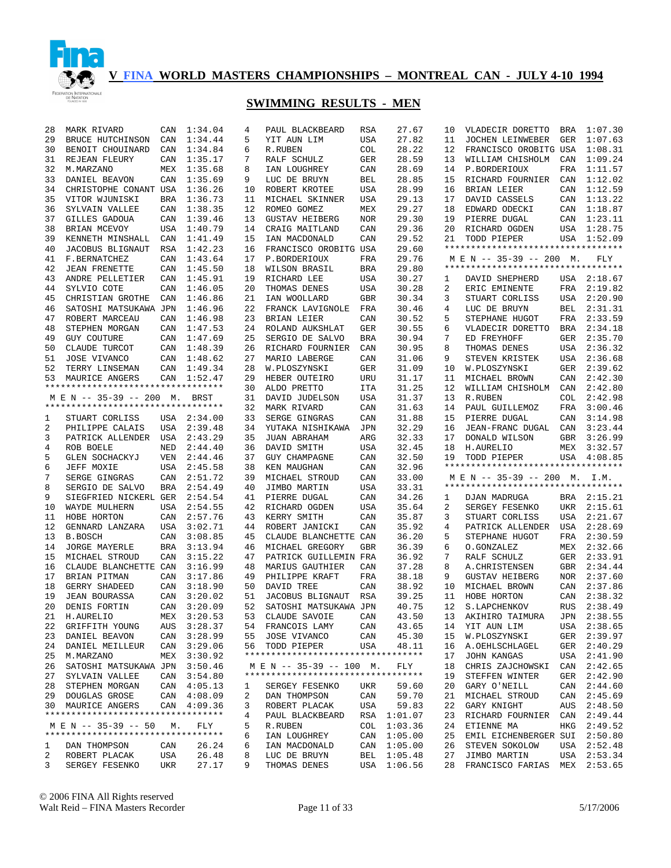

| 28 | MARK RIVARD                                         | CAN        | 1:34.04     | 4  | PAUL BLACKBEARD                    | <b>RSA</b> | 27.67       | 10 | VLADECIR DORETTO                   |     | BRA 1:07.30        |
|----|-----------------------------------------------------|------------|-------------|----|------------------------------------|------------|-------------|----|------------------------------------|-----|--------------------|
| 29 | BRUCE HUTCHINSON                                    | CAN        | 1:34.44     | 5  | YIT AUN LIM                        | USA        | 27.82       | 11 | JOCHEN LEINWEBER                   | GER | 1:07.63            |
| 30 | BENOIT CHOUINARD                                    | CAN        | 1:34.84     | 6  | R.RUBEN                            | COL        | 28.22       | 12 | FRANCISCO OROBITG USA              |     | 1:08.31            |
| 31 | REJEAN FLEURY                                       | CAN        | 1:35.17     | 7  | RALF SCHULZ                        | GER        | 28.59       | 13 | WILLIAM CHISHOLM                   | CAN | 1:09.24            |
| 32 | M.MARZANO                                           | MEX        | 1:35.68     | 8  | IAN LOUGHREY                       | CAN        | 28.69       | 14 | P.BORDERIOUX                       | FRA | 1:11.57            |
| 33 | DANIEL BEAVON                                       | CAN        | 1:35.69     | 9  | LUC DE BRUYN                       | BEL        | 28.85       | 15 | RICHARD FOURNIER                   | CAN | 1:12.02            |
| 34 | CHRISTOPHE CONANT USA                               |            | 1:36.26     | 10 | ROBERT KROTEE                      | USA        | 28.99       | 16 | BRIAN LEIER                        | CAN | 1:12.59            |
| 35 | VITOR WJUNISKI                                      | <b>BRA</b> | 1:36.73     | 11 | MICHAEL SKINNER                    | USA        | 29.13       | 17 | DAVID CASSELS                      |     | CAN 1:13.22        |
| 36 | SYLVAIN VALLEE                                      | CAN        | 1:38.35     | 12 | ROMEO GOMEZ                        | MEX        | 29.27       | 18 | EDWARD ODECKI                      | CAN | 1:18.87            |
| 37 | GILLES GADOUA                                       | CAN        | 1:39.46     | 13 | <b>GUSTAV HEIBERG</b>              | <b>NOR</b> | 29.30       | 19 | PIERRE DUGAL                       | CAN | 1:23.11            |
| 38 | BRIAN MCEVOY                                        | <b>USA</b> | 1:40.79     | 14 | CRAIG MAITLAND                     | CAN        | 29.36       | 20 | RICHARD OGDEN                      |     | USA 1:28.75        |
| 39 | KENNETH MINSHALL                                    | CAN        | 1:41.49     | 15 | IAN MACDONALD                      | CAN        | 29.52       | 21 | TODD PIEPER                        |     | USA 1:52.09        |
| 40 | JACOBUS BLIGNAUT                                    | RSA        | 1:42.23     | 16 | FRANCISCO OROBITG USA              |            | 29.60       |    | ********************************** |     |                    |
| 41 | F.BERNATCHEZ                                        | CAN        | 1:43.64     | 17 | P.BORDERIOUX                       | FRA        | 29.76       |    | M E N -- 35-39 -- 200 M.           |     | FLY                |
| 42 | <b>JEAN FRENETTE</b>                                | CAN        | 1:45.50     | 18 | WILSON BRASIL                      | <b>BRA</b> | 29.80       |    | ********************************** |     |                    |
| 43 | ANDRE PELLETIER                                     | CAN        | 1:45.91     | 19 | RICHARD LEE                        | USA        | 30.27       | 1  | DAVID SHEPHERD                     | USA | 2:18.67            |
| 44 | SYLVIO COTE                                         | CAN        | 1:46.05     | 20 | THOMAS DENES                       | USA        | 30.28       | 2  | ERIC EMINENTE                      | FRA | 2:19.82            |
| 45 | CHRISTIAN GROTHE                                    | CAN        | 1:46.86     | 21 | IAN WOOLLARD                       | GBR        | 30.34       | 3  | STUART CORLISS                     | USA | 2:20.90            |
| 46 | SATOSHI MATSUKAWA JPN                               |            | 1:46.96     | 22 | FRANCK LAVIGNOLE                   | FRA        | 30.46       | 4  | LUC DE BRUYN                       | BEL | 2:31.31            |
| 47 | ROBERT MARCEAU                                      | CAN        | 1:46.98     | 23 | BRIAN LEIER                        | CAN        | 30.52       | 5  | STEPHANE HUGOT                     | FRA | 2:33.59            |
| 48 | STEPHEN MORGAN                                      | CAN        | 1:47.53     | 24 | ROLAND AUKSHLAT                    | GER        | 30.55       | 6  | VLADECIR DORETTO                   | BRA | 2:34.18            |
| 49 | <b>GUY COUTURE</b>                                  | CAN        | 1:47.69     | 25 | SERGIO DE SALVO                    | BRA        | 30.94       | 7  | ED FREYHOFF                        | GER | 2:35.70            |
| 50 | CLAUDE TURCOT                                       | CAN        | 1:48.39     | 26 | RICHARD FOURNIER                   | CAN        | 30.95       | 8  | THOMAS DENES                       | USA | 2:36.32            |
| 51 | JOSE VIVANCO                                        | CAN        | 1:48.62     | 27 | MARIO LABERGE                      | CAN        | 31.06       | 9  | STEVEN KRISTEK                     | USA | 2:36.68            |
| 52 | TERRY LINSEMAN                                      | CAN        | 1:49.34     | 28 | W.PLOSZYNSKI                       | GER        | 31.09       | 10 | W.PLOSZYNSKI                       | GER | 2:39.62            |
|    |                                                     |            | 1:52.47     | 29 | HEBER OUTEIRO                      |            | 31.17       | 11 | MICHAEL BROWN                      | CAN | 2:42.30            |
| 53 | MAURICE ANGERS<br>********************************* | CAN        |             | 30 | ALDO PRETTO                        | URU        | 31.25       | 12 |                                    | CAN | 2:42.80            |
|    | M E N -- 35-39 -- 200 M.                            |            |             | 31 | DAVID JUDELSON                     | ITA        | 31.37       | 13 | WILLIAM CHISHOLM<br>R.RUBEN        | COL | 2:42.98            |
|    | **********************************                  |            | BRST        |    |                                    | USA        |             |    |                                    |     |                    |
|    |                                                     |            |             | 32 | MARK RIVARD                        | CAN        | 31.63       | 14 | PAUL GUILLEMOZ                     | FRA | 3:00.46<br>3:14.98 |
| 1  | STUART CORLISS                                      |            | USA 2:34.00 | 33 | SERGE GINGRAS                      | CAN        | 31.88       | 15 | PIERRE DUGAL                       | CAN |                    |
| 2  | PHILIPPE CALAIS                                     | USA        | 2:39.48     | 34 | YUTAKA NISHIKAWA                   | JPN        | 32.29       | 16 | JEAN-FRANC DUGAL                   | CAN | 3:23.44            |
| 3  | PATRICK ALLENDER                                    | USA        | 2:43.29     | 35 | JUAN ABRAHAM                       | ARG        | 32.33       | 17 | DONALD WILSON                      | GBR | 3:26.99            |
|    |                                                     |            |             |    |                                    |            |             |    |                                    |     |                    |
| 4  | ROB BOELE                                           | NED        | 2:44.40     | 36 | DAVID SMITH                        | USA        | 32.45       | 18 | H.AURELIO                          | MEX | 3:32.57            |
| 5  | GLEN SOCHACKYJ                                      | <b>VEN</b> | 2:44.46     | 37 | <b>GUY CHAMPAGNE</b>               | CAN        | 32.50       | 19 | TODD PIEPER                        | USA | 4:08.85            |
| 6  | JEFF MOXIE                                          | USA        | 2:45.58     | 38 | KEN MAUGHAN                        | CAN        | 32.96       |    | ********************************** |     |                    |
| 7  | SERGE GINGRAS                                       | CAN        | 2:51.72     | 39 | MICHAEL STROUD                     | CAN        | 33.00       |    | M E N -- 35-39 -- 200 M. I.M.      |     |                    |
| 8  | SERGIO DE SALVO                                     | <b>BRA</b> | 2:54.49     | 40 | JIMBO MARTIN                       | USA        | 33.31       |    | ********************************** |     |                    |
| 9  | SIEGFRIED NICKERL GER                               |            | 2:54.54     | 41 | PIERRE DUGAL                       | CAN        | 34.26       | 1  | DJAN MADRUGA                       |     | BRA 2:15.21        |
| 10 | WAYDE MULHERN                                       | USA        | 2:54.55     | 42 | RICHARD OGDEN                      | USA        | 35.64       | 2  | SERGEY FESENKO                     | UKR | 2:15.61            |
| 11 | HOBE HORTON                                         | CAN        | 2:57.76     | 43 | KERRY SMITH                        | CAN        | 35.87       | 3  | STUART CORLISS                     | USA | 2:21.67            |
| 12 | GENNARD LANZARA                                     | USA        | 3:02.71     | 44 | ROBERT JANICKI                     | CAN        | 35.92       | 4  | PATRICK ALLENDER                   | USA | 2:28.69            |
| 13 | <b>B.BOSCH</b>                                      | CAN        | 3:08.85     | 45 | CLAUDE BLANCHETTE CAN              |            | 36.20       | 5  | STEPHANE HUGOT                     | FRA | 2:30.59            |
| 14 | JORGE MAYERLE                                       | BRA        | 3:13.94     | 46 | MICHAEL GREGORY                    | GBR        | 36.39       | 6  | O.GONZALEZ                         | MEX | 2:32.66            |
| 15 | MICHAEL STROUD                                      | CAN        | 3:15.22     | 47 | PATRICK GUILLEMIN FRA              |            | 36.92       | 7  | RALF SCHULZ                        | GER | 2:33.91            |
| 16 | CLAUDE BLANCHETTE CAN                               |            | 3:16.99     | 48 | MARIUS GAUTHIER                    | CAN        | 37.28       | 8  | A. CHRISTENSEN                     | GBR | 2:34.44            |
| 17 | BRIAN PITMAN                                        | CAN        | 3:17.86     | 49 | PHILIPPE KRAFT                     | FRA        | 38.18       | 9  | <b>GUSTAV HEIBERG</b>              | NOR | 2:37.60            |
| 18 | GERRY SHADEED                                       | CAN        | 3:18.90     | 50 | DAVID TREE                         | CAN        | 38.92       | 10 | MICHAEL BROWN                      | CAN | 2:37.86            |
| 19 | <b>JEAN BOURASSA</b>                                | CAN        | 3:20.02     | 51 | JACOBUS BLIGNAUT                   | RSA        | 39.25       | 11 | HOBE HORTON                        | CAN | 2:38.32            |
| 20 | DENIS FORTIN                                        |            | CAN 3:20.09 | 52 | SATOSHI MATSUKAWA JPN              |            | 40.75       | 12 | S.LAPCHENKOV                       | RUS | 2:38.49            |
|    | 21 H.AURELIO                                        |            | MEX 3:20.53 |    | 53 CLAUDE SAVOIE                   | CAN        | 43.50       |    | 13 AKIHIRO TAIMURA JPN 2:38.55     |     |                    |
|    | 22 GRIFFITH YOUNG                                   |            | AUS 3:28.37 |    | 54 FRANCOIS LAMY                   | CAN        | 43.65       |    | 14 YIT AUN LIM                     |     | USA 2:38.65        |
|    | 23 DANIEL BEAVON                                    |            | CAN 3:28.99 |    | 55 JOSE VIVANCO                    | CAN        | 45.30       | 15 | W.PLOSZYNSKI                       |     | GER 2:39.97        |
|    | 24 DANIEL MEILLEUR                                  |            | CAN 3:29.06 |    | 56 TODD PIEPER                     | USA        | 48.11       | 16 | A.OEHLSCHLAGEL                     |     | GER 2:40.29        |
| 25 | M.MARZANO                                           |            | MEX 3:30.92 |    | ********************************** |            |             | 17 | JOHN KANGAS                        |     | USA 2:41.90        |
| 26 | SATOSHI MATSUKAWA JPN 3:50.46                       |            |             |    | M E N -- 35-39 -- 100 M.           |            | FLY         | 18 | CHRIS ZAJCHOWSKI                   |     | CAN 2:42.65        |
|    | 27 SYLVAIN VALLEE                                   |            | CAN 3:54.80 |    | ********************************** |            |             | 19 | STEFFEN WINTER                     |     | GER 2:42.90        |
|    | 28 STEPHEN MORGAN                                   |            | CAN 4:05.13 | 1  | SERGEY FESENKO                     | UKR        | 59.60       | 20 | GARY O'NEILL                       |     | CAN 2:44.60        |
|    | 29 DOUGLAS GROSE                                    |            | CAN 4:08.09 | 2  | DAN THOMPSON                       | CAN        | 59.70       | 21 | MICHAEL STROUD                     |     | CAN 2:45.69        |
|    | 30 MAURICE ANGERS                                   |            | CAN 4:09.36 | 3  | ROBERT PLACAK                      | USA        | 59.83       | 22 | GARY KNIGHT                        | AUS | 2:48.50            |
|    | **********************************                  |            |             | 4  | PAUL BLACKBEARD                    |            | RSA 1:01.07 | 23 | RICHARD FOURNIER CAN 2:49.44       |     |                    |
|    | M E N -- 35-39 -- 50 M.                             |            | FLY         | 5  | R.RUBEN                            |            | COL 1:03.36 | 24 | ETIENNE MA                         | HKG | 2:49.52            |
|    | **********************************                  |            |             | 6  | IAN LOUGHREY                       | CAN        | 1:05.00     | 25 | EMIL EICHENBERGER SUI 2:50.80      |     |                    |
| 1  | DAN THOMPSON                                        | CAN        | 26.24       | 6  | IAN MACDONALD                      | CAN        | 1:05.00     | 26 | STEVEN SOKOLOW                     |     | USA 2:52.48        |
| 2  | ROBERT PLACAK                                       | USA        | 26.48       | 8  | LUC DE BRUYN                       | BEL        | 1:05.48     | 27 | JIMBO MARTIN                       |     | USA 2:53.34        |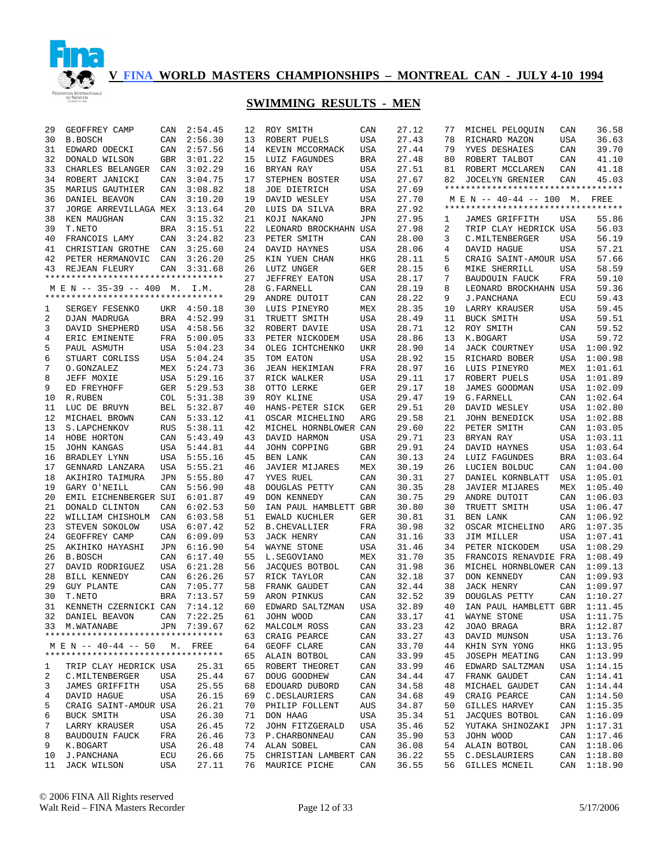

| 29       | GEOFFREY CAMP                      | CAN        | 2:54.45            | 12       | ROY SMITH                     | CAN        | 27.12          | 77       | MICHEL PELOQUIN                      | CAN        | 36.58              |
|----------|------------------------------------|------------|--------------------|----------|-------------------------------|------------|----------------|----------|--------------------------------------|------------|--------------------|
| 30       | <b>B.BOSCH</b>                     | CAN        | 2:56.30            | 13       | ROBERT PUELS                  | USA        | 27.43          | 78       | RICHARD MAZON                        | <b>USA</b> | 36.63              |
| 31       | EDWARD ODECKI                      | CAN        | 2:57.56            | 14       | KEVIN MCCORMACK               | USA        | 27.44          | 79       | YVES DESHAIES                        | CAN        | 39.70              |
| 32       | DONALD WILSON                      | <b>GBR</b> | 3:01.22            | 15       | LUIZ FAGUNDES                 | <b>BRA</b> | 27.48          | 80       | ROBERT TALBOT                        | CAN        | 41.10              |
| 33       | CHARLES BELANGER                   | CAN        | 3:02.29            | 16       | BRYAN RAY                     | USA        | 27.51          | 81       | ROBERT MCCLAREN                      | CAN        | 41.18              |
| 34       | ROBERT JANICKI                     | CAN        | 3:04.75            | 17       | STEPHEN BOSTER                | USA        | 27.67          | 82       | <b>JOCELYN GRENIER</b>               | CAN        | 45.03              |
| 35       | MARIUS GAUTHIER                    | CAN        | 3:08.82            | 18       | <b>JOE DIETRICH</b>           | USA        | 27.69          |          | **********************************   |            |                    |
| 36       | DANIEL BEAVON                      | CAN        | 3:10.20            | 19       | DAVID WESLEY                  | USA        | 27.70          |          | M E N -- 40-44 -- 100 M. FREE        |            |                    |
| 37       | JORGE ARREVILLAGA MEX              |            | 3:13.64            | 20       | LUIS DA SILVA                 | <b>BRA</b> | 27.92          |          | **********************************   |            |                    |
| 38       | KEN MAUGHAN                        | CAN        | 3:15.32            | 21       | KOJI NAKANO                   | JPN        | 27.95          | 1        | JAMES GRIFFITH                       | USA        | 55.86              |
| 39       | T.NETO                             | <b>BRA</b> | 3:15.51            | 22       | LEONARD BROCKHAHN USA         |            | 27.98          | 2        | TRIP CLAY HEDRICK USA                |            | 56.03              |
| 40       | FRANCOIS LAMY                      | CAN        | 3:24.82            | 23       | PETER SMITH                   | CAN        | 28.00          | 3        | C. MILTENBERGER                      | <b>USA</b> | 56.19              |
| 41       | CHRISTIAN GROTHE                   | CAN        | 3:25.60            | 24       | DAVID HAYNES                  | USA        | 28.06          | 4        | DAVID HAGUE                          | <b>USA</b> | 57.21              |
| 42       | PETER HERMANOVIC                   | CAN        | 3:26.20            | 25       | KIN YUEN CHAN                 | HKG        | 28.11          | 5        | CRAIG SAINT-AMOUR USA                |            | 57.66              |
| 43       | REJEAN FLEURY                      | CAN        | 3:31.68            | 26       | LUTZ UNGER                    | GER        | 28.15          | 6        | MIKE SHERRILL                        | USA        | 58.59              |
|          | ********************************** |            |                    | 27       | JEFFREY EATON                 | USA        | 28.17          | 7        | BAUDOUIN FAUCK                       | FRA        | 59.10              |
|          | M E N -- 35-39 -- 400 M.           |            | I.M.               | 28       | G. FARNELL                    | CAN        | 28.19          | 8        | LEONARD BROCKHAHN USA                |            | 59.36              |
|          | ********************************** |            |                    | 29       | ANDRE DUTOIT                  | CAN        | 28.22          | 9        | J.PANCHANA                           | ECU        | 59.43              |
| 1        | SERGEY FESENKO                     |            | UKR 4:50.18        | 30       | LUIS PINEYRO                  | MEX        | 28.35          | 10       | LARRY KRAUSER                        | <b>USA</b> | 59.45              |
| 2        | DJAN MADRUGA                       | BRA        | 4:52.99            | 31       | TRUETT SMITH                  | USA        | 28.49          | 11       | BUCK SMITH                           | <b>USA</b> | 59.51              |
| 3        | DAVID SHEPHERD                     | USA        | 4:58.56            | 32       | ROBERT DAVIE                  | USA        | 28.71          | 12       | ROY SMITH                            | CAN        | 59.52              |
| 4        | ERIC EMINENTE                      | FRA        | 5:00.05            | 33       | PETER NICKODEM                | USA        | 28.86          | 13       | K.BOGART                             | USA        | 59.72              |
| 5        | PAUL ASMUTH                        | USA        | 5:04.23            | 34       | OLEG ICHTCHENKO               | UKR        | 28.90          | 14       | <b>JACK COURTNEY</b>                 | USA        | 1:00.92            |
| 6        | STUART CORLISS                     | USA        | 5:04.24            | 35       | TOM EATON                     | USA        | 28.92          | 15       | RICHARD BOBER                        | USA        | 1:00.98            |
| 7        | O.GONZALEZ                         | MEX        | 5:24.73            | 36       | <b>JEAN HEKIMIAN</b>          | FRA        | 28.97          | 16       | LUIS PINEYRO                         | MEX        | 1:01.61            |
| 8        | JEFF MOXIE                         | USA        | 5:29.16            | 37       | RICK WALKER                   | USA        | 29.11          | 17       | ROBERT PUELS                         | USA        | 1:01.89            |
| 9        | ED FREYHOFF                        | GER        | 5:29.53            | 38       | OTTO LERKE                    | GER        | 29.17          | 18       | <b>JAMES GOODMAN</b>                 | USA        | 1:02.09            |
| 10       | R.RUBEN                            | COL        | 5:31.38            | 39       | ROY KLINE                     | USA        | 29.47          | 19       | G. FARNELL                           | CAN        | 1:02.64            |
| 11       | LUC DE BRUYN                       | BEL        | 5:32.87            | 40       | HANS-PETER SICK               | GER        | 29.51          | 20       | DAVID WESLEY                         | USA        | 1:02.80            |
| 12       | MICHAEL BROWN                      | CAN        | 5:33.12            | 41       | OSCAR MICHELINO               | ARG        | 29.58          | 21       | <b>JOHN BENEDICK</b>                 | USA        | 1:02.88            |
| 13       | S.LAPCHENKOV                       | RUS        | 5:38.11            | 42       | MICHEL HORNBLOWER CAN         |            | 29.60          | 22       | PETER SMITH                          | CAN        | 1:03.05            |
| 14       | HOBE HORTON                        | CAN        | 5:43.49            | 43       | DAVID HARMON                  | USA        | 29.71          | 23       | BRYAN RAY                            | USA        | 1:03.11            |
| 15       | <b>JOHN KANGAS</b>                 | <b>USA</b> | 5:44.81            | 44       | JOHN COPPING                  | <b>GBR</b> | 29.91          | 24       | DAVID HAYNES                         | USA        | 1:03.64            |
| 16       | BRADLEY LYNN                       | <b>USA</b> | 5:55.16            | 45       | BEN LANK                      | CAN        | 30.13          | 24       | LUIZ FAGUNDES                        | BRA        | 1:03.64            |
| 17       | GENNARD LANZARA                    | <b>USA</b> | 5:55.21            | 46       | JAVIER MIJARES                | MEX        | 30.19          | 26       | LUCIEN BOLDUC                        | CAN        | 1:04.00            |
| 18       | AKIHIRO TAIMURA                    | <b>JPN</b> | 5:55.80            | 47       | YVES RUEL                     | CAN        | 30.31          | 27       | DANIEL KORNBLATT                     | USA        | 1:05.01            |
| 19       | GARY O'NEILL                       | CAN        | 5:56.90            | 48       | DOUGLAS PETTY                 | CAN        | 30.35          | 28       | JAVIER MIJARES                       | MEX        | 1:05.40            |
| 20       | EMIL EICHENBERGER SUI              |            | 6:01.87            | 49       | DON KENNEDY                   | CAN        | 30.75          | 29       | ANDRE DUTOIT                         | CAN        | 1:06.03            |
| 21       | DONALD CLINTON                     | CAN        | 6:02.53            | 50       | IAN PAUL HAMBLETT             | GBR        | 30.80          | 30       | TRUETT SMITH                         | USA        | 1:06.47            |
| 22       | WILLIAM CHISHOLM                   | CAN        | 6:03.58            | 51       | EWALD KUCHLER                 | GER        | 30.81          | 31       | BEN LANK                             | CAN        | 1:06.92            |
| 23       | STEVEN SOKOLOW                     | USA        | 6:07.42            | 52       | <b>B. CHEVALLIER</b>          | FRA        | 30.98          | 32       | OSCAR MICHELINO                      | ARG        | 1:07.35            |
| 24       | GEOFFREY CAMP                      | CAN        | 6:09.09            | 53       | JACK HENRY                    | CAN        | 31.16          | 33       | JIM MILLER                           |            | USA 1:07.41        |
| 25       | AKIHIKO HAYASHI                    | JPN        | 6:16.90            | 54       | WAYNE STONE                   | USA        | 31.46          | 34       | PETER NICKODEM                       | USA        | 1:08.29            |
| 26<br>27 | B.BOSCH                            | CAN        | 6:17.40            | 55       | L.SEGOVIANO                   | MEX        | 31.70          | 35       | FRANCOIS RENAVDIE FRA                |            | 1:08.49            |
| 28       | DAVID RODRIGUEZ<br>BILL KENNEDY    | USA<br>CAN | 6:21.28<br>6:26.26 | 56<br>57 | JACQUES BOTBOL<br>RICK TAYLOR | CAN<br>CAN | 31.98<br>32.18 | 36<br>37 | MICHEL HORNBLOWER CAN<br>DON KENNEDY | CAN        | 1:09.13<br>1:09.93 |
| 29       | <b>GUY PLANTE</b>                  | CAN        | 7:05.77            | 58       | FRANK GAUDET                  | CAN        | 32.44          | 38       | JACK HENRY                           | CAN        | 1:09.97            |
| 30       | T.NETO                             | <b>BRA</b> | 7:13.57            | 59       | ARON PINKUS                   | CAN        | 32.52          | 39       | DOUGLAS PETTY                        | CAN        | 1:10.27            |
| 31       | KENNETH CZERNICKI CAN              |            | 7:14.12            | 60       | EDWARD SALTZMAN               | USA        | 32.89          | 40       | IAN PAUL HAMBLETT GBR                |            | 1:11.45            |
|          | 32 DANIEL BEAVON CAN 7:22.25       |            |                    |          | 61 JOHN WOOD                  | CAN        | 33.17          | 41       | WAYNE STONE                          |            | USA 1:11.75        |
|          | 33 M.WATANABE                      |            | JPN 7:39.67        |          | 62 MALCOLM ROSS               | CAN        | 33.23          | 42       | JOAO BRAGA                           |            | BRA 1:12.87        |
|          | ********************************** |            |                    | 63       | CRAIG PEARCE                  | CAN        | 33.27          | 43       | DAVID MUNSON                         |            | USA 1:13.76        |
|          | M E N -- 40-44 -- 50 M. FREE       |            |                    |          | 64 GEOFF CLARE                | CAN        | 33.70          | 44       | KHIN SYN YONG                        |            | HKG 1:13.95        |
|          | ********************************** |            |                    |          | 65 ALAIN BOTBOL               | CAN        | 33.99          | 45       | JOSEPH MEATING                       |            | CAN 1:13.99        |
| 1        | TRIP CLAY HEDRICK USA              |            | 25.31              | 65       | ROBERT THEORET                | CAN        | 33.99          | 46       | EDWARD SALTZMAN                      |            | USA 1:14.15        |
| 2        | C.MILTENBERGER                     | USA        | 25.44              | 67       | DOUG GOODHEW                  | CAN        | 34.44          | 47       | FRANK GAUDET                         |            | CAN 1:14.41        |
| 3        | JAMES GRIFFITH                     | USA        | 25.55              | 68       | EDOUARD DUBORD                | CAN        | 34.58          | 48       | MICHAEL GAUDET                       |            | CAN 1:14.44        |
| 4        | DAVID HAGUE                        | USA        | 26.15              |          | 69 C.DESLAURIERS              | CAN        | 34.68          | 49       | CRAIG PEARCE                         |            | CAN 1:14.50        |
| 5        | CRAIG SAINT-AMOUR USA              |            | 26.21              |          | 70 PHILIP FOLLENT             | AUS        | 34.87          | 50       | GILLES HARVEY                        |            | CAN 1:15.35        |
| 6        | BUCK SMITH                         | USA        | 26.30              |          | 71 DON HAAG                   | USA        | 35.34          | 51       | JACQUES BOTBOL                       |            | CAN 1:16.09        |
| 7        | LARRY KRAUSER                      | USA        | 26.45              | 72       | JOHN FITZGERALD               | USA        | 35.46          | 52       | YUTAKA SHINOZAKI                     |            | JPN 1:17.31        |
| 8        | <b>BAUDOUIN FAUCK</b>              | FRA        | 26.46              |          | 73 P. CHARBONNEAU             | CAN        | 35.90          | 53       | JOHN WOOD                            |            | CAN 1:17.46        |
| 9        | K.BOGART                           | USA        | 26.48              |          | 74 ALAN SOBEL                 | CAN        | 36.08          | 54       | ALAIN BOTBOL                         |            | CAN 1:18.06        |
| 10       | J.PANCHANA                         | ECU        | 26.66              |          | 75 CHRISTIAN LAMBERT CAN      |            | 36.22          | 55       | C.DESLAURIERS                        |            | CAN 1:18.80        |
| 11       | JACK WILSON                        | USA        | 27.11              | 76       | MAURICE PICHE                 | CAN        | 36.55          | 56       | GILLES MCNEIL                        |            | CAN 1:18.90        |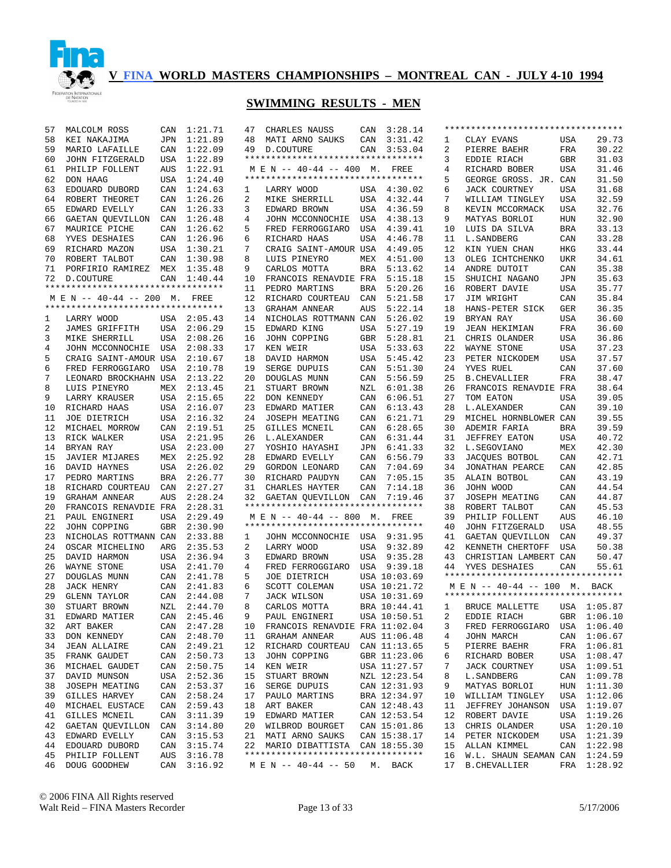

| 57 | MALCOLM ROSS                       | CAN        | 1:21.71     | 47 | CHARLES NAUSS                      | CAN        | 3:28.14      |    | ********************************** |            |             |
|----|------------------------------------|------------|-------------|----|------------------------------------|------------|--------------|----|------------------------------------|------------|-------------|
| 58 | KEI NAKAJIMA                       | <b>JPN</b> | 1:21.89     | 48 | MATI ARNO SAUKS                    | CAN        | 3:31.42      | 1  | CLAY EVANS                         | USA        | 29.73       |
| 59 | MARIO LAFAILLE                     | CAN        | 1:22.09     | 49 | D.COUTURE                          | CAN        | 3:53.04      | 2  | PIERRE BAEHR                       | FRA        | 30.22       |
| 60 | JOHN FITZGERALD                    | <b>USA</b> | 1:22.89     |    | ********************************** |            |              | 3  | EDDIE RIACH                        | <b>GBR</b> | 31.03       |
| 61 | PHILIP FOLLENT                     | <b>AUS</b> | 1:22.91     |    | M E N -- 40-44 -- 400 M. FREE      |            |              | 4  | RICHARD BOBER                      | <b>USA</b> | 31.46       |
| 62 | DON HAAG                           | USA        | 1:24.40     |    | ********************************** |            |              | 5  | GEORGE GROSS. JR. CAN              |            | 31.50       |
| 63 | EDOUARD DUBORD                     | CAN        | 1:24.63     | 1  | LARRY WOOD                         |            | USA 4:30.02  | 6  | <b>JACK COURTNEY</b>               | <b>USA</b> | 31.68       |
| 64 | ROBERT THEORET                     | CAN        | 1:26.26     | 2  | MIKE SHERRILL                      |            | USA 4:32.44  | 7  | WILLIAM TINGLEY                    | <b>USA</b> | 32.59       |
| 65 | EDWARD EVELLY                      | CAN        | 1:26.33     | 3  | EDWARD BROWN                       | USA        | 4:36.59      | 8  | KEVIN MCCORMACK                    | <b>USA</b> | 32.76       |
| 66 | GAETAN QUEVILLON                   | CAN        | 1:26.48     | 4  | JOHN MCCONNOCHIE                   | USA        | 4:38.13      | 9  | MATYAS BORLOI                      | HUN        | 32.90       |
| 67 | MAURICE PICHE                      | CAN        | 1:26.62     | 5  | FRED FERROGGIARO                   | USA        | 4:39.41      | 10 | LUIS DA SILVA                      | <b>BRA</b> | 33.13       |
|    |                                    |            |             |    |                                    |            |              |    |                                    |            |             |
| 68 | YVES DESHAIES                      | CAN        | 1:26.96     | 6  | RICHARD HAAS                       | USA        | 4:46.78      | 11 | L. SANDBERG                        | CAN        | 33.28       |
| 69 | RICHARD MAZON                      | USA        | 1:30.21     | 7  | CRAIG SAINT-AMOUR USA              |            | 4:49.05      | 12 | KIN YUEN CHAN                      | <b>HKG</b> | 33.44       |
| 70 | ROBERT TALBOT                      | CAN        | 1:30.98     | 8  | LUIS PINEYRO                       | MEX        | 4:51.00      | 13 | OLEG ICHTCHENKO                    | <b>UKR</b> | 34.61       |
| 71 | PORFIRIO RAMIREZ                   | MEX        | 1:35.48     | 9  | CARLOS MOTTA                       | <b>BRA</b> | 5:13.62      | 14 | ANDRE DUTOIT                       | CAN        | 35.38       |
| 72 | D.COUTURE                          | CAN        | 1:40.44     | 10 | FRANCOIS RENAVDIE FRA              |            | 5:15.18      | 15 | SHUICHI NAGANO                     | <b>JPN</b> | 35.63       |
|    | ********************************** |            |             | 11 | PEDRO MARTINS                      | <b>BRA</b> | 5:20.26      | 16 | ROBERT DAVIE                       | <b>USA</b> | 35.77       |
|    | M E N -- 40-44 -- 200 M. FREE      |            |             | 12 | RICHARD COURTEAU                   | CAN        | 5:21.58      | 17 | JIM WRIGHT                         | CAN        | 35.84       |
|    | ********************************** |            |             | 13 | <b>GRAHAM ANNEAR</b>               | AUS        | 5:22.14      | 18 | HANS-PETER SICK                    | <b>GER</b> | 36.35       |
| 1  | LARRY WOOD                         |            | USA 2:05.43 | 14 | NICHOLAS ROTTMANN CAN              |            | 5:26.02      | 19 | BRYAN RAY                          | <b>USA</b> | 36.60       |
| 2  | JAMES GRIFFITH                     | USA        | 2:06.29     | 15 | EDWARD KING                        | USA        | 5:27.19      | 19 | <b>JEAN HEKIMIAN</b>               | FRA        | 36.60       |
| 3  | MIKE SHERRILL                      | USA        | 2:08.26     | 16 | JOHN COPPING                       | GBR        | 5:28.81      | 21 | CHRIS OLANDER                      | USA        | 36.86       |
| 4  | JOHN MCCONNOCHIE USA               |            | 2:08.33     | 17 | KEN WEIR                           | USA        | 5:33.63      | 22 | WAYNE STONE                        | USA        | 37.23       |
| 5  | CRAIG SAINT-AMOUR USA              |            | 2:10.67     | 18 | DAVID HARMON                       | USA        | 5:45.42      | 23 | PETER NICKODEM                     | <b>USA</b> | 37.57       |
| 6  | FRED FERROGGIARO                   | USA        | 2:10.78     | 19 | <b>SERGE DUPUIS</b>                | CAN        | 5:51.30      | 24 | YVES RUEL                          | CAN        | 37.60       |
| 7  | LEONARD BROCKHAHN USA              |            | 2:13.22     | 20 | DOUGLAS MUNN                       | CAN        | 5:56.59      | 25 | <b>B. CHEVALLIER</b>               | FRA        | 38.47       |
| 8  | LUIS PINEYRO                       | MEX        | 2:13.45     | 21 | STUART BROWN                       | NZL        | 6:01.38      | 26 | FRANCOIS RENAVDIE FRA              |            | 38.64       |
| 9  | LARRY KRAUSER                      | USA        | 2:15.65     | 22 | DON KENNEDY                        | CAN        | 6:06.51      | 27 | TOM EATON                          | <b>USA</b> | 39.05       |
| 10 | RICHARD HAAS                       | USA        | 2:16.07     | 23 | EDWARD MATIER                      | CAN        | 6:13.43      | 28 | L.ALEXANDER                        | CAN        | 39.10       |
| 11 | <b>JOE DIETRICH</b>                |            | USA 2:16.32 | 24 | JOSEPH MEATING                     | CAN        | 6:21.71      | 29 | MICHEL HORNBLOWER CAN              |            | 39.55       |
| 12 | MICHAEL MORROW                     | CAN        | 2:19.51     | 25 | GILLES MCNEIL                      | CAN        | 6:28.65      | 30 | ADEMIR FARIA                       | <b>BRA</b> | 39.59       |
|    |                                    |            |             |    |                                    |            |              |    | <b>JEFFREY EATON</b>               |            |             |
| 13 | RICK WALKER                        |            | USA 2:21.95 | 26 | L.ALEXANDER                        | CAN        | 6:31.44      | 31 |                                    | <b>USA</b> | 40.72       |
| 14 | BRYAN RAY                          | USA        | 2:23.00     | 27 | YOSHIO HAYASHI                     | JPN        | 6:41.33      | 32 | L.SEGOVIANO                        | MEX        | 42.30       |
| 15 | JAVIER MIJARES                     |            | MEX 2:25.92 | 28 | EDWARD EVELLY                      | CAN        | 6:56.79      | 33 | JACQUES BOTBOL                     | CAN        | 42.71       |
| 16 | DAVID HAYNES                       | USA        | 2:26.02     | 29 | GORDON LEONARD                     | CAN        | 7:04.69      | 34 | <b>JONATHAN PEARCE</b>             | CAN        | 42.85       |
| 17 | PEDRO MARTINS                      | BRA        | 2:26.77     | 30 | RICHARD PAUDYN                     | CAN        | 7:05.15      | 35 | ALAIN BOTBOL                       | CAN        | 43.19       |
| 18 | RICHARD COURTEAU                   | CAN        | 2:27.27     | 31 | CHARLES HAYTER                     | CAN        | 7:14.18      | 36 | JOHN WOOD                          | CAN        | 44.54       |
| 19 | <b>GRAHAM ANNEAR</b>               | AUS        | 2:28.24     | 32 | GAETAN QUEVILLON                   | CAN        | 7:19.46      | 37 | JOSEPH MEATING                     | CAN        | 44.87       |
| 20 | FRANCOIS RENAVDIE FRA              |            | 2:28.31     |    | ********************************** |            |              | 38 | ROBERT TALBOT                      | CAN        | 45.53       |
| 21 | PAUL ENGINERI                      | <b>USA</b> | 2:29.49     |    | M E N -- 40-44 -- 800 M.           |            | FREE         | 39 | PHILIP FOLLENT                     | AUS        | 46.10       |
| 22 | JOHN COPPING                       | <b>GBR</b> | 2:30.90     |    | ********************************** |            |              | 40 | JOHN FITZGERALD                    | <b>USA</b> | 48.55       |
| 23 | NICHOLAS ROTTMANN CAN              |            | 2:33.88     | 1  | JOHN MCCONNOCHIE                   |            | USA 9:31.95  | 41 | GAETAN QUEVILLON                   | CAN        | 49.37       |
| 24 | OSCAR MICHELINO                    | ARG        | 2:35.53     | 2  | LARRY WOOD                         |            | USA 9:32.89  | 42 | KENNETH CHERTOFF                   | USA        | 50.38       |
| 25 | DAVID HARMON                       | USA        | 2:36.94     | 3  | EDWARD BROWN                       |            | USA 9:35.28  | 43 | CHRISTIAN LAMBERT CAN              |            | 50.47       |
| 26 | WAYNE STONE                        |            | USA 2:41.70 | 4  | FRED FERROGGIARO                   |            | USA 9:39.18  | 44 | YVES DESHAIES                      | CAN        | 55.61       |
| 27 | DOUGLAS MUNN                       |            | CAN 2:41.78 | 5  | JOE DIETRICH                       |            | USA 10:03.69 |    | ********************************** |            |             |
| 28 | <b>JACK HENRY</b>                  | CAN        | 2:41.83     | 6  | SCOTT COLEMAN                      |            | USA 10:21.72 |    | M E N -- 40-44 -- 100 M. BACK      |            |             |
| 29 | <b>GLENN TAYLOR</b>                | CAN        | 2:44.08     | 7  | <b>JACK WILSON</b>                 |            | USA 10:31.69 |    | ********************************** |            |             |
| 30 | STUART BROWN                       | NZL        | 2:44.70     | 8  | CARLOS MOTTA                       |            | BRA 10:44.41 | 1  | BRUCE MALLETTE                     |            | USA 1:05.87 |
| 31 | EDWARD MATIER                      |            | CAN 2:45.46 | 9  | PAUL ENGINERI                      |            | USA 10:50.51 | 2  | EDDIE RIACH                        |            | GBR 1:06.10 |
| 32 | ART BAKER                          |            | CAN 2:47.28 |    | 10 FRANCOIS RENAVDIE FRA 11:02.04  |            |              | 3  | FRED FERROGGIARO USA 1:06.40       |            |             |
| 33 | DON KENNEDY                        |            | CAN 2:48.70 |    | 11 GRAHAM ANNEAR                   |            | AUS 11:06.48 | 4  | JOHN MARCH                         |            | CAN 1:06.67 |
| 34 | <b>JEAN ALLAIRE</b>                |            | CAN 2:49.21 | 12 | RICHARD COURTEAU                   |            | CAN 11:13.65 | 5  | PIERRE BAEHR                       |            | FRA 1:06.81 |
| 35 | FRANK GAUDET                       |            | CAN 2:50.73 | 13 | JOHN COPPING                       |            | GBR 11:23.06 | 6  | RICHARD BOBER                      |            | USA 1:08.47 |
| 36 | MICHAEL GAUDET                     |            | CAN 2:50.75 | 14 | KEN WEIR                           |            | USA 11:27.57 | 7  | JACK COURTNEY                      |            | USA 1:09.51 |
| 37 | DAVID MUNSON                       |            | USA 2:52.36 | 15 | STUART BROWN                       |            | NZL 12:23.54 | 8  | L. SANDBERG                        |            | CAN 1:09.78 |
| 38 | JOSEPH MEATING                     |            | CAN 2:53.37 | 16 | SERGE DUPUIS                       |            | CAN 12:31.93 | 9  | MATYAS BORLOI                      |            | HUN 1:11.30 |
| 39 | GILLES HARVEY                      |            | CAN 2:58.24 |    | 17 PAULO MARTINS                   |            | BRA 12:34.97 | 10 | WILLIAM TINGLEY                    |            | USA 1:12.06 |
| 40 | MICHAEL EUSTACE                    |            | CAN 2:59.43 | 18 | ART BAKER                          |            | CAN 12:48.43 | 11 | JEFFREY JOHANSON                   |            | USA 1:19.07 |
| 41 | <b>GILLES MCNEIL</b>               |            | CAN 3:11.39 | 19 | EDWARD MATIER                      |            | CAN 12:53.54 | 12 | ROBERT DAVIE                       |            | USA 1:19.26 |
| 42 | GAETAN OUEVILLON                   |            | CAN 3:14.80 |    | 20 WILBROD BOURGET                 |            | CAN 15:01.86 | 13 | CHRIS OLANDER                      |            | USA 1:20.10 |
| 43 | EDWARD EVELLY                      |            | CAN 3:15.53 |    | 21 MATI ARNO SAUKS                 |            | CAN 15:38.17 | 14 | PETER NICKODEM                     |            | USA 1:21.39 |
| 44 | EDOUARD DUBORD                     |            | CAN 3:15.74 |    | 22 MARIO DIBATTISTA CAN 18:55.30   |            |              | 15 | ALLAN KIMMEL                       |            | CAN 1:22.98 |
| 45 | PHILIP FOLLENT                     |            | AUS 3:16.78 |    | ********************************** |            |              | 16 | W.L. SHAUN SEAMAN CAN 1:24.59      |            |             |
|    | 46 DOUG GOODHEW                    |            | CAN 3:16.92 |    | M E N -- 40-44 -- 50 M. BACK       |            |              |    | 17 B. CHEVALLIER                   |            | FRA 1:28.92 |
|    |                                    |            |             |    |                                    |            |              |    |                                    |            |             |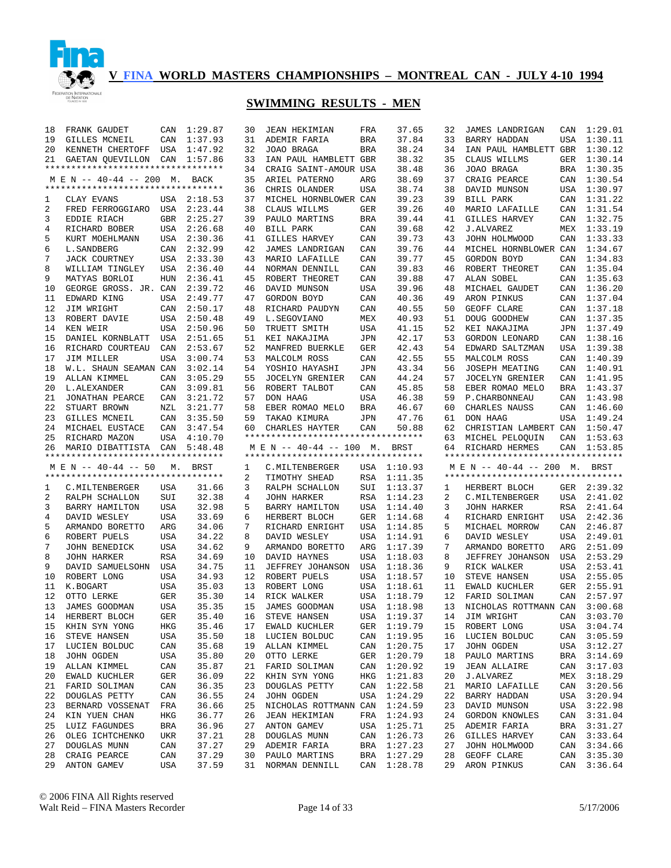

| 18 | FRANK GAUDET                       | CAN        | 1:29.87     | 30 | <b>JEAN HEKIMIAN</b>               | FRA        | 37.65                      | 32 | <b>JAMES LANDRIGAN</b>             |     | CAN 1:29.01 |
|----|------------------------------------|------------|-------------|----|------------------------------------|------------|----------------------------|----|------------------------------------|-----|-------------|
| 19 | GILLES MCNEIL                      | CAN        | 1:37.93     | 31 | ADEMIR FARIA                       | BRA        | 37.84                      | 33 | BARRY HADDAN                       | USA | 1:30.11     |
| 20 | KENNETH CHERTOFF USA               |            | 1:47.92     | 32 | JOAO BRAGA                         | <b>BRA</b> | 38.24                      | 34 | IAN PAUL HAMBLETT GBR              |     | 1:30.12     |
| 21 | GAETAN QUEVILLON CAN 1:57.86       |            |             | 33 | IAN PAUL HAMBLETT GBR              |            | 38.32                      | 35 | CLAUS WILLMS                       | GER | 1:30.14     |
|    | ********************************** |            |             | 34 | CRAIG SAINT-AMOUR USA              |            | 38.48                      | 36 | JOAO BRAGA                         |     | BRA 1:30.35 |
|    | M E N -- 40-44 -- 200 M. BACK      |            |             | 35 | ARIEL PATERNO                      | ARG        | 38.69                      | 37 | CRAIG PEARCE                       |     | CAN 1:30.54 |
|    | ********************************** |            |             | 36 | CHRIS OLANDER                      | USA        | 38.74                      | 38 | DAVID MUNSON                       |     | USA 1:30.97 |
| 1  | CLAY EVANS                         |            | USA 2:18.53 | 37 | MICHEL HORNBLOWER CAN              |            | 39.23                      | 39 | <b>BILL PARK</b>                   | CAN | 1:31.22     |
| 2  | FRED FERROGGIARO USA               |            | 2:23.44     | 38 | CLAUS WILLMS                       | GER        | 39.26                      | 40 | MARIO LAFAILLE                     | CAN | 1:31.54     |
| 3  | EDDIE RIACH                        | GBR        | 2:25.27     | 39 | PAULO MARTINS                      | <b>BRA</b> | 39.44                      | 41 | GILLES HARVEY                      | CAN | 1:32.75     |
| 4  | RICHARD BOBER                      | USA        | 2:26.68     | 40 | BILL PARK                          | CAN        | 39.68                      | 42 | J.ALVAREZ                          | MEX | 1:33.19     |
| 5  | KURT MOEHLMANN                     | USA        | 2:30.36     | 41 | <b>GILLES HARVEY</b>               | CAN        | 39.73                      | 43 | JOHN HOLMWOOD                      | CAN | 1:33.33     |
| 6  | L. SANDBERG                        | CAN        | 2:32.99     | 42 | JAMES LANDRIGAN                    | CAN        | 39.76                      | 44 | MICHEL HORNBLOWER CAN              |     | 1:34.67     |
| 7  | <b>JACK COURTNEY</b>               | USA        | 2:33.30     | 43 | MARIO LAFAILLE                     | CAN        | 39.77                      | 45 | GORDON BOYD                        | CAN | 1:34.83     |
| 8  | WILLIAM TINGLEY                    | <b>USA</b> | 2:36.40     | 44 | NORMAN DENNILL                     | CAN        | 39.83                      | 46 | ROBERT THEORET                     | CAN | 1:35.04     |
| 9  | MATYAS BORLOI                      | <b>HUN</b> | 2:36.41     | 45 | ROBERT THEORET                     | CAN        | 39.88                      | 47 | ALAN SOBEL                         | CAN | 1:35.63     |
| 10 | GEORGE GROSS. JR. CAN              |            | 2:39.72     | 46 | DAVID MUNSON                       | USA        | 39.96                      | 48 | MICHAEL GAUDET                     | CAN | 1:36.20     |
| 11 | EDWARD KING                        | USA        | 2:49.77     | 47 | GORDON BOYD                        | CAN        | 40.36                      | 49 | ARON PINKUS                        | CAN | 1:37.04     |
| 12 | JIM WRIGHT                         | CAN        | 2:50.17     | 48 | RICHARD PAUDYN                     | CAN        | 40.55                      | 50 | GEOFF CLARE                        | CAN | 1:37.18     |
| 13 | ROBERT DAVIE                       | USA        | 2:50.48     | 49 | L.SEGOVIANO                        | MEX        | 40.93                      | 51 | DOUG GOODHEW                       |     | CAN 1:37.35 |
| 14 | KEN WEIR                           | USA        | 2:50.96     | 50 | TRUETT SMITH                       | USA        | 41.15                      | 52 | KEI NAKAJIMA                       |     | JPN 1:37.49 |
| 15 | DANIEL KORNBLATT                   | USA        | 2:51.65     | 51 | KEI NAKAJIMA                       | JPN        | 42.17                      | 53 | GORDON LEONARD                     | CAN | 1:38.16     |
| 16 | RICHARD COURTEAU                   | CAN        | 2:53.67     | 52 | MANFRED BUERKLE                    | GER        | 42.43                      | 54 | EDWARD SALTZMAN                    | USA | 1:39.38     |
| 17 | JIM MILLER                         | <b>USA</b> | 3:00.74     | 53 | MALCOLM ROSS                       | CAN        | 42.55                      | 55 | MALCOLM ROSS                       | CAN | 1:40.39     |
| 18 | W.L. SHAUN SEAMAN CAN              |            | 3:02.14     | 54 | YOSHIO HAYASHI                     | JPN        | 43.34                      | 56 | JOSEPH MEATING                     | CAN | 1:40.91     |
| 19 | ALLAN KIMMEL                       | CAN        | 3:05.29     | 55 | <b>JOCELYN GRENIER</b>             | CAN        | 44.24                      | 57 | <b>JOCELYN GRENIER</b>             | CAN | 1:41.95     |
| 20 | L.ALEXANDER                        | CAN        | 3:09.81     | 56 | ROBERT TALBOT                      | CAN        | 45.85                      | 58 | EBER ROMAO MELO                    | BRA | 1:43.37     |
| 21 | JONATHAN PEARCE                    | CAN        | 3:21.72     | 57 | DON HAAG                           | USA        | 46.38                      | 59 | P. CHARBONNEAU                     | CAN | 1:43.98     |
| 22 | STUART BROWN                       | NZL        | 3:21.77     | 58 | EBER ROMAO MELO                    | BRA        | 46.67                      | 60 | CHARLES NAUSS                      | CAN | 1:46.60     |
| 23 | GILLES MCNEIL                      | CAN        | 3:35.50     | 59 | TAKAO KIMURA                       | JPN        | 47.76                      | 61 | DON HAAG                           | USA | 1:49.24     |
| 24 | MICHAEL EUSTACE                    | CAN        | 3:47.54     | 60 | CHARLES HAYTER                     | CAN        | 50.88                      | 62 | CHRISTIAN LAMBERT CAN              |     | 1:50.47     |
| 25 |                                    | USA        | 4:10.70     |    | ********************************** |            |                            | 63 | MICHEL PELOQUIN                    | CAN |             |
|    | RICHARD MAZON                      |            |             |    |                                    |            |                            |    |                                    |     | 1:53.63     |
|    |                                    |            |             |    |                                    |            |                            |    |                                    |     |             |
| 26 | MARIO DIBATTISTA CAN               |            | 5:48.48     |    | $M \to N$ -- 40-44 -- 100 M.       |            | BRST                       | 64 | RICHARD HERMES                     | CAN | 1:53.85     |
|    | ********************************** |            |             |    | *********************************  |            |                            |    | ********************************** |     |             |
|    | M E N -- 40-44 -- 50               | М.         | BRST        | 1  | C. MILTENBERGER                    |            | USA 1:10.93                |    | M E N -- 40-44 -- 200 M.           |     | BRST        |
|    | ********************************** |            |             | 2  | TIMOTHY SHEAD                      | RSA        | 1:11.35                    |    | ********************************** |     |             |
| 1  | C.MILTENBERGER                     | USA        | 31.66       | 3  | RALPH SCHALLON                     | SUI        | 1:13.37                    | 1  | HERBERT BLOCH                      |     | GER 2:39.32 |
| 2  | RALPH SCHALLON                     | SUI        | 32.38       | 4  | <b>JOHN HARKER</b>                 | RSA        | 1:14.23                    | 2  | C. MILTENBERGER                    | USA | 2:41.02     |
| 3  | BARRY HAMILTON                     | <b>USA</b> | 32.98       | 5  | BARRY HAMILTON                     | USA        | 1:14.40                    | 3  | <b>JOHN HARKER</b>                 | RSA | 2:41.64     |
| 4  | DAVID WESLEY                       | <b>USA</b> | 33.69       | 6  | HERBERT BLOCH                      | GER        | 1:14.68                    | 4  | RICHARD ENRIGHT                    | USA | 2:42.36     |
| 5  | ARMANDO BORETTO                    | ARG        | 34.06       | 7  | RICHARD ENRIGHT                    | USA        | 1:14.85                    | 5  | MICHAEL MORROW                     | CAN | 2:46.87     |
| 6  | ROBERT PUELS                       | <b>USA</b> | 34.22       | 8  | DAVID WESLEY                       | USA        | 1:14.91                    | 6  | DAVID WESLEY                       | USA | 2:49.01     |
| 7  | JOHN BENEDICK                      | USA        | 34.62       | 9  | ARMANDO BORETTO                    | ARG        | 1:17.39                    | 7  | ARMANDO BORETTO                    | ARG | 2:51.09     |
| 8  | <b>JOHN HARKER</b>                 | <b>RSA</b> | 34.69       | 10 | DAVID HAYNES                       | USA        | 1:18.03                    | 8  | JEFFREY JOHANSON                   | USA | 2:53.29     |
| 9  | DAVID SAMUELSOHN                   | USA        | 34.75       | 11 | JEFFREY JOHANSON                   | USA        | 1:18.36                    | 9  | RICK WALKER                        | USA | 2:53.41     |
| 10 | ROBERT LONG                        | USA        | 34.93       | 12 | ROBERT PUELS                       | USA        | 1:18.57                    | 10 | STEVE HANSEN                       | USA | 2:55.05     |
| 11 | K.BOGART                           | USA        | 35.03       | 13 | ROBERT LONG                        | USA        | 1:18.61                    | 11 | EWALD KUCHLER                      | GER | 2:55.91     |
| 12 | OTTO LERKE                         | GER        | 35.30       | 14 | RICK WALKER                        | USA        | 1:18.79                    | 12 | FARID SOLIMAN                      | CAN | 2:57.97     |
| 13 | JAMES GOODMAN                      | USA        | 35.35       | 15 | JAMES GOODMAN                      |            | USA 1:18.98                | 13 | NICHOLAS ROTTMANN CAN              |     | 3:00.68     |
|    | 14 HERBERT BLOCH                   | GER        |             |    | 35.40 16 STEVE HANSEN              |            | USA 1:19.37                |    | 14 JIM WRIGHT CAN 3:03.70          |     |             |
| 15 | KHIN SYN YONG                      | HKG        | 35.46       | 17 | EWALD KUCHLER                      |            | GER 1:19.79                | 15 | ROBERT LONG                        |     | USA 3:04.74 |
| 16 | STEVE HANSEN                       | USA        | 35.50       |    | 18 LUCIEN BOLDUC                   |            | CAN 1:19.95                | 16 | LUCIEN BOLDUC                      |     | CAN 3:05.59 |
| 17 | LUCIEN BOLDUC                      | CAN        | 35.68       | 19 | ALLAN KIMMEL                       |            | CAN 1:20.75                | 17 | JOHN OGDEN                         |     | USA 3:12.27 |
| 18 | JOHN OGDEN                         | USA        | 35.80       | 20 | OTTO LERKE                         |            | GER 1:20.79                | 18 | PAULO MARTINS                      |     | BRA 3:14.69 |
| 19 | ALLAN KIMMEL                       | CAN        | 35.87       | 21 | FARID SOLIMAN                      |            | CAN 1:20.92                | 19 | JEAN ALLAIRE                       |     | CAN 3:17.03 |
| 20 | EWALD KUCHLER                      | GER        | 36.09       | 22 | KHIN SYN YONG                      |            | HKG 1:21.83                | 20 | J.ALVAREZ                          |     | MEX 3:18.29 |
| 21 | FARID SOLIMAN                      | CAN        | 36.35       | 23 | DOUGLAS PETTY                      |            | CAN 1:22.58                | 21 | MARIO LAFAILLE                     |     | CAN 3:20.56 |
| 22 | <b>DOUGLAS PETTY</b>               | CAN        | 36.55       | 24 | JOHN OGDEN                         |            | USA 1:24.29                | 22 | BARRY HADDAN                       |     | USA 3:20.94 |
| 23 | BERNARD VOSSENAT                   | FRA        | 36.66       | 25 | NICHOLAS ROTTMANN CAN 1:24.59      |            |                            | 23 | DAVID MUNSON                       |     | USA 3:22.98 |
| 24 | KIN YUEN CHAN                      | HKG        | 36.77       | 26 | <b>JEAN HEKIMIAN</b>               |            | FRA 1:24.93                | 24 | GORDON KNOWLES                     |     | CAN 3:31.04 |
| 25 | LUIZ FAGUNDES                      | BRA        | 36.96       | 27 | ANTON GAMEV                        |            | USA 1:25.71                | 25 | ADEMIR FARIA                       |     | BRA 3:31.27 |
| 26 | OLEG ICHTCHENKO                    | UKR        | 37.21       |    | 28 DOUGLAS MUNN                    |            | CAN 1:26.73                | 26 | GILLES HARVEY                      | CAN | 3:33.64     |
| 27 | DOUGLAS MUNN                       | CAN        | 37.27       | 29 | ADEMIR FARIA                       |            | BRA 1:27.23                | 27 | JOHN HOLMWOOD                      |     | CAN 3:34.66 |
| 28 | CRAIG PEARCE                       | CAN        | 37.29       |    | 30 PAULO MARTINS                   |            | BRA 1:27.29<br>CAN 1:28.78 | 28 | GEOFF CLARE                        |     | CAN 3:35.30 |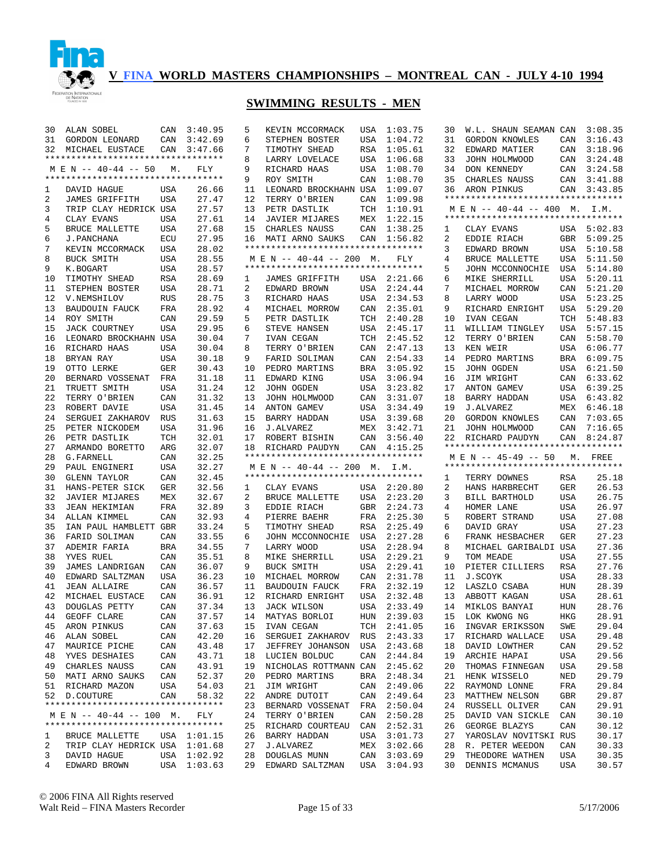

#### **SWIMMING RESULTS - MEN**

| 30     | ALAN SOBEL                         | CAN        | 3:40.95                    | 5        | KEVIN MCCORMACK                    | USA        | 1:03.75            | 30       | W.L. SHAUN SEAMAN CAN              |              | 3:08.35        |
|--------|------------------------------------|------------|----------------------------|----------|------------------------------------|------------|--------------------|----------|------------------------------------|--------------|----------------|
| 31     | GORDON LEONARD                     | CAN        | 3:42.69                    | 6        | STEPHEN BOSTER                     | USA        | 1:04.72            | 31       | <b>GORDON KNOWLES</b>              | CAN          | 3:16.43        |
| 32     | MICHAEL EUSTACE                    | CAN        | 3:47.66                    | 7        | TIMOTHY SHEAD                      | RSA        | 1:05.61            | 32       | EDWARD MATIER                      | CAN          | 3:18.96        |
|        | ********************************** |            |                            | 8        | LARRY LOVELACE                     | USA        | 1:06.68            | 33       | JOHN HOLMWOOD                      | CAN          | 3:24.48        |
|        | M E N -- 40-44 -- 50               | М.         | FLY                        | 9        | RICHARD HAAS                       | USA        | 1:08.70            | 34       | DON KENNEDY                        | CAN          | 3:24.58        |
|        | ********************************** |            |                            | 9        | ROY SMITH                          | CAN        | 1:08.70            | 35       | CHARLES NAUSS                      | CAN          | 3:41.88        |
| 1      | DAVID HAGUE                        | USA        | 26.66                      | 11       | LEONARD BROCKHAHN USA              |            | 1:09.07            | 36       | ARON PINKUS                        | CAN          | 3:43.85        |
| 2      | <b>JAMES GRIFFITH</b>              | USA        | 27.47                      | 12       | TERRY O'BRIEN                      | CAN        | 1:09.98            |          | ********************************** |              |                |
| 3      | TRIP CLAY HEDRICK USA              |            | 27.57                      | 13       | PETR DASTLIK                       | TCH        | 1:10.91            |          | $M \to N$ -- 40-44 -- 400 M.       |              | I.M.           |
| 4      | CLAY EVANS                         | USA        | 27.61                      | 14       | JAVIER MIJARES                     | MEX        | 1:22.15            |          | ********************************** |              |                |
| 5      | BRUCE MALLETTE                     | USA        | 27.68                      | 15       | CHARLES NAUSS                      | CAN        | 1:38.25            | 1        | CLAY EVANS                         |              | USA 5:02.83    |
| 6      | J.PANCHANA                         | ECU        | 27.95                      | 16       | MATI ARNO SAUKS                    | CAN        | 1:56.82            | 2        | EDDIE RIACH                        | GBR          | 5:09.25        |
| 7      | KEVIN MCCORMACK                    | USA        | 28.02                      |          | ********************************** |            |                    | 3        | EDWARD BROWN                       | USA          | 5:10.58        |
| 8      | BUCK SMITH                         | USA        | 28.55                      |          | M E N -- 40-44 -- 200 M.           |            | <b>FLY</b>         | 4        | BRUCE MALLETTE                     | USA          | 5:11.50        |
| 9      | K.BOGART                           | USA        | 28.57                      |          | ********************************** |            |                    | 5        | JOHN MCCONNOCHIE                   | USA          | 5:14.80        |
| 10     | TIMOTHY SHEAD                      | RSA        | 28.69                      | 1        | JAMES GRIFFITH                     | USA        | 2:21.66            | 6        | MIKE SHERRILL                      | USA          | 5:20.11        |
| 11     | STEPHEN BOSTER                     | USA        | 28.71                      | 2        | EDWARD BROWN                       | USA        | 2:24.44            | 7        | MICHAEL MORROW                     | CAN          | 5:21.20        |
| 12     | V.NEMSHILOV                        | RUS        | 28.75                      | 3        | RICHARD HAAS                       | USA        | 2:34.53            | 8        | LARRY WOOD                         | USA          | 5:23.25        |
| 13     | <b>BAUDOUIN FAUCK</b>              | FRA        | 28.92                      | 4        | MICHAEL MORROW                     | CAN        | 2:35.01            | 9        | RICHARD ENRIGHT                    | <b>USA</b>   | 5:29.20        |
| 14     | ROY SMITH                          | CAN        | 29.59                      | 5        | PETR DASTLIK                       | TCH        | 2:40.28            | 10       | IVAN CEGAN                         | TCH          | 5:48.83        |
| 15     | <b>JACK COURTNEY</b>               | USA        | 29.95                      | 6        | STEVE HANSEN                       | USA        | 2:45.17            | 11       | WILLIAM TINGLEY                    | USA          | 5:57.15        |
| 16     | LEONARD BROCKHAHN USA              |            | 30.04                      | 7        | IVAN CEGAN                         | TCH        | 2:45.52            | 12       | TERRY O'BRIEN                      | CAN          | 5:58.70        |
| 16     | RICHARD HAAS                       | USA        | 30.04                      | 8        | TERRY O'BRIEN                      | CAN        | 2:47.13            | 13       | KEN WEIR                           | USA          | 6:06.77        |
| 18     | BRYAN RAY                          | USA        | 30.18                      | 9        | FARID SOLIMAN                      | CAN        | 2:54.33            | 14       | PEDRO MARTINS                      | BRA          | 6:09.75        |
| 19     | OTTO LERKE                         | GER        | 30.43                      | 10       | PEDRO MARTINS                      | BRA        | 3:05.92            | 15       | JOHN OGDEN                         | USA          | 6:21.50        |
| 20     | BERNARD VOSSENAT                   | FRA        | 31.18                      | 11       | EDWARD KING                        | USA        | 3:06.94            | 16       | JIM WRIGHT                         | CAN          | 6:33.62        |
| 21     | TRUETT SMITH                       | USA        | 31.24                      | 12       | JOHN OGDEN                         | USA        | 3:23.82            | 17       | ANTON GAMEV                        | USA          | 6:39.25        |
| 22     | TERRY O'BRIEN                      | CAN        | 31.32                      | 13       | JOHN HOLMWOOD                      | CAN        | 3:31.07            | 18       | BARRY HADDAN                       | USA          | 6:43.82        |
| 23     | ROBERT DAVIE                       | USA        | 31.45                      | 14       | <b>ANTON GAMEV</b>                 | USA        | 3:34.49            | 19       | <b>J.ALVAREZ</b>                   | MEX          | 6:46.18        |
| 24     | SERGUEI ZAKHAROV                   | RUS        | 31.63                      | 15       | BARRY HADDAN                       | USA        | 3:39.68            | 20       | GORDON KNOWLES                     | CAN          | 7:03.65        |
| 25     | PETER NICKODEM                     | USA        | 31.96                      | 16       | J.ALVAREZ                          | MEX        | 3:42.71            | 21       | JOHN HOLMWOOD                      | CAN          | 7:16.65        |
| 26     | PETR DASTLIK                       | TCH        | 32.01                      | 17       | ROBERT BISHIN                      | CAN        | 3:56.40            | 22       | RICHARD PAUDYN                     | CAN          | 8:24.87        |
|        |                                    |            |                            |          |                                    |            |                    |          |                                    |              |                |
| 27     | ARMANDO BORETTO                    | ARG        | 32.07                      | 18       | RICHARD PAUDYN                     | CAN        | 4:15.25            |          | ********************************** |              |                |
| 28     | G. FARNELL                         | CAN        | 32.25                      |          | *********************************  |            |                    |          | M E N -- 45-49 -- 50               |              | M. FREE        |
| 29     | PAUL ENGINERI                      | USA        | 32.27                      |          | $M \to N$ -- 40-44 -- 200 M.       |            | I.M.               |          | ********************************** |              |                |
| 30     | <b>GLENN TAYLOR</b>                | CAN        | 32.45                      |          | *********************************  |            |                    | 1        | TERRY DOWNES                       | RSA          | 25.18          |
| 31     | HANS-PETER SICK                    | GER        | 32.56                      | 1        | CLAY EVANS                         | USA        | 2:20.80            | 2        | HANS HARBRECHT                     | <b>GER</b>   | 26.53          |
| 32     | <b>JAVIER MIJARES</b>              | MEX        | 32.67                      | 2        | BRUCE MALLETTE                     | USA        | 2:23.20            | 3        | BILL BARTHOLD                      | <b>USA</b>   | 26.75          |
| 33     | <b>JEAN HEKIMIAN</b>               | FRA        | 32.89                      | 3        | EDDIE RIACH                        | <b>GBR</b> | 2:24.73            | 4        | HOMER LANE                         | <b>USA</b>   | 26.97          |
| 34     | ALLAN KIMMEL                       | CAN        | 32.93                      | 4        | PIERRE BAEHR                       | FRA        | 2:25.30            | 5        | ROBERT STRAND                      | <b>USA</b>   | 27.08          |
| 35     | IAN PAUL HAMBLETT GBR              |            | 33.24                      | 5        | TIMOTHY SHEAD                      | RSA        | 2:25.49            | 6        | DAVID GRAY                         | <b>USA</b>   | 27.23          |
| 36     | FARID SOLIMAN                      | CAN        | 33.55                      | 6        | JOHN MCCONNOCHIE                   | USA        | 2:27.28            | 6        | FRANK HESBACHER                    | <b>GER</b>   | 27.23          |
| 37     | ADEMIR FARIA                       | <b>BRA</b> | 34.55                      | 7        | LARRY WOOD                         | USA        | 2:28.94            | 8        | MICHAEL GARIBALDI USA              |              | 27.36          |
| 38     | YVES RUEL                          | CAN        | 35.51                      | 8        | MIKE SHERRILL                      | USA        | 2:29.21            | 9        | TOM MEADE                          | <b>USA</b>   | 27.55          |
| 39     | JAMES LANDRIGAN                    | CAN        | 36.07                      | 9        | <b>BUCK SMITH</b>                  | USA        | 2:29.41            | 10       | PIETER CILLIERS                    | <b>RSA</b>   | 27.76          |
| 40     | EDWARD SALTZMAN                    | USA        | 36.23                      | 10       | MICHAEL MORROW                     | CAN        | 2:31.78            | 11       | J.SCOYK                            | <b>USA</b>   | 28.33          |
| 41     | <b>JEAN ALLAIRE</b>                | CAN        | 36.57                      | 11       | <b>BAUDOUIN FAUCK</b>              | FRA        | 2:32.19            | 12       | LASZLO CSABA                       | <b>HUN</b>   | 28.39          |
| 42     | MICHAEL EUSTACE                    | CAN        | 36.91                      | 12       | RICHARD ENRIGHT                    | USA        | 2:32.48            | 13       | ABBOTT KAGAN                       | <b>USA</b>   | 28.61          |
| 43     | <b>DOUGLAS PETTY</b>               | CAN        | 37.34                      | 13       | JACK WILSON                        | USA        | 2:33.49            |          | 14 MIKLOS BANYAI                   | <b>HUN</b>   | 28.76          |
| 44     | GEOFF CLARE                        | CAN        | 37.57                      | 14       | MATYAS BORLOI                      |            | HUN 2:39.03        |          | 15 LOK KWONG NG                    | $_{\rm HKG}$ | 28.91          |
| 45     | ARON PINKUS                        | CAN        | 37.63                      | 15       | IVAN CEGAN                         |            | TCH 2:41.05        | 16       | INGVAR ERIKSSON                    | SWE          | 29.04          |
| 46     | ALAN SOBEL                         | CAN        | 42.20                      | 16       | SERGUEI ZAKHAROV                   | RUS        | 2:43.33            | 17       | RICHARD WALLACE                    | USA          | 29.48          |
| 47     | MAURICE PICHE                      | CAN        | 43.48                      | 17       | JEFFREY JOHANSON                   | USA        | 2:43.68            | 18       | DAVID LOWTHER                      | CAN          | 29.52          |
| 48     | YVES DESHAIES                      | CAN        | 43.71                      | 18       | LUCIEN BOLDUC                      | CAN        | 2:44.84            | 19       | ARCHIE HAPAI                       | USA          | 29.56          |
| 49     | CHARLES NAUSS                      | CAN        | 43.91                      | 19       | NICHOLAS ROTTMANN CAN              |            | 2:45.62            | 20       | THOMAS FINNEGAN                    | USA          | 29.58          |
| 50     | MATI ARNO SAUKS                    | CAN        | 52.37                      | 20       | PEDRO MARTINS                      | BRA        | 2:48.34            | 21       | HENK WISSELO                       | NED          | 29.79          |
|        | 51 RICHARD MAZON                   | USA        | 54.03                      | 21       | JIM WRIGHT                         | CAN        | 2:49.06            | 22       | RAYMOND LONNE                      | FRA          | 29.84          |
| 52     | D.COUTURE                          | CAN        | 58.32                      | 22       | ANDRE DUTOIT                       | CAN        | 2:49.64            | 23       | MATTHEW NELSON                     | GBR          | 29.87          |
|        | ********************************** |            |                            | 23       | BERNARD VOSSENAT                   | FRA        | 2:50.04            | 24       | RUSSELL OLIVER                     | CAN          | 29.91          |
|        | M E N -- 40-44 -- 100 M.           |            | FLY                        | 24       | TERRY O'BRIEN                      | CAN        | 2:50.28            | 25       | DAVID VAN SICKLE                   | CAN          | 30.10          |
|        | ********************************** |            |                            | 25       | RICHARD COURTEAU                   | CAN        | 2:52.31            | 26       | GEORGE BLAZYS                      | CAN          | 30.12          |
| 1      | BRUCE MALLETTE                     |            | USA 1:01.15                | 26       | BARRY HADDAN                       | USA        | 3:01.73            | 27       | YAROSLAV NOVITSKI RUS              |              | 30.17          |
| 2      | TRIP CLAY HEDRICK USA 1:01.68      |            |                            | 27       | J.ALVAREZ                          | MEX        | 3:02.66            | 28       | R. PETER WEEDON                    | CAN          | 30.33          |
| 3<br>4 | DAVID HAGUE<br>EDWARD BROWN        |            | USA 1:02.92<br>USA 1:03.63 | 28<br>29 | DOUGLAS MUNN<br>EDWARD SALTZMAN    | CAN<br>USA | 3:03.69<br>3:04.93 | 29<br>30 | THEODORE WATHEN<br>DENNIS MCMANUS  | USA<br>USA   | 30.35<br>30.57 |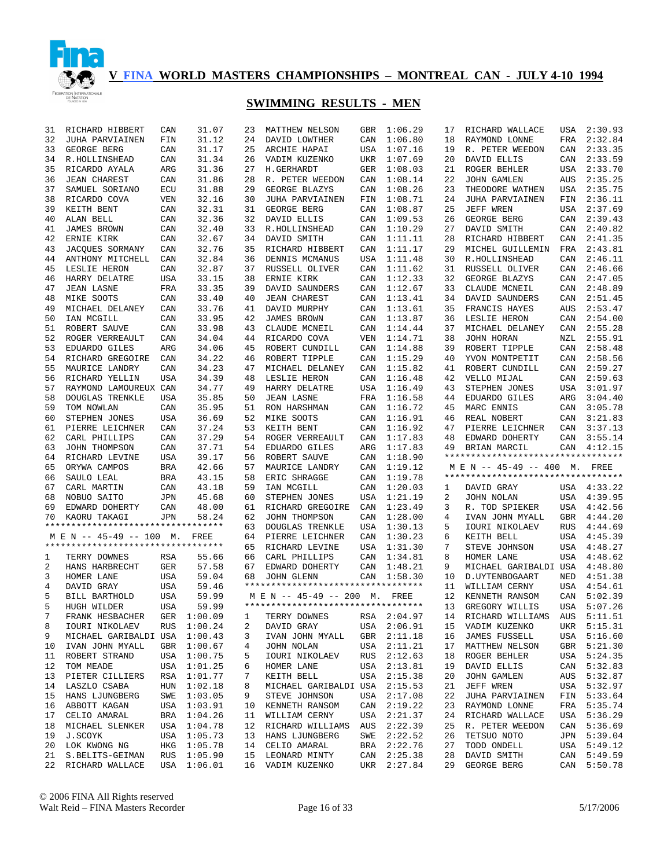

| 31       | RICHARD HIBBERT                    | CAN        | 31.07                  | 23 | MATTHEW NELSON                                   | GBR | 1:06.29                    | 17       | RICHARD WALLACE                    | USA        | 2:30.93                    |
|----------|------------------------------------|------------|------------------------|----|--------------------------------------------------|-----|----------------------------|----------|------------------------------------|------------|----------------------------|
| 32       | JUHA PARVIAINEN                    | FIN        | 31.12                  | 24 | DAVID LOWTHER                                    | CAN | 1:06.80                    | 18       | RAYMOND LONNE                      | FRA        | 2:32.84                    |
| 33       | GEORGE BERG                        | CAN        | 31.17                  | 25 | ARCHIE HAPAI                                     | USA | 1:07.16                    | 19       | R. PETER WEEDON                    | CAN        | 2:33.35                    |
| 34       | R.HOLLINSHEAD                      | CAN        | 31.34                  | 26 | VADIM KUZENKO                                    | UKR | 1:07.69                    | 20       | DAVID ELLIS                        | CAN        | 2:33.59                    |
| 35       | RICARDO AYALA                      | ARG        | 31.36                  | 27 | H.GERHARDT                                       | GER | 1:08.03                    | 21       | ROGER BEHLER                       | USA        | 2:33.70                    |
| 36       | <b>JEAN CHAREST</b>                | CAN        | 31.86                  | 28 | R. PETER WEEDON                                  | CAN | 1:08.14                    | 22       | JOHN GAMLEN                        | AUS        | 2:35.25                    |
| 37       | SAMUEL SORIANO                     | ECU        | 31.88                  | 29 | GEORGE BLAZYS                                    | CAN | 1:08.26                    | 23       | THEODORE WATHEN                    | <b>USA</b> | 2:35.75                    |
| 38       | RICARDO COVA                       | VEN        | 32.16                  | 30 | JUHA PARVIAINEN                                  | FIN | 1:08.71                    | 24       | <b>JUHA PARVIAINEN</b>             | FIN        | 2:36.11                    |
| 39       | KEITH BENT                         | CAN        | 32.31                  | 31 | GEORGE BERG                                      | CAN | 1:08.87                    | 25       | JEFF WREN                          | USA        | 2:37.69                    |
| 40       | ALAN BELL                          | CAN        | 32.36                  | 32 | DAVID ELLIS                                      | CAN | 1:09.53                    | 26       | GEORGE BERG                        | CAN        | 2:39.43                    |
| 41       | JAMES BROWN                        | CAN        | 32.40                  | 33 | R.HOLLINSHEAD                                    | CAN | 1:10.29                    | 27       | DAVID SMITH                        | CAN        | 2:40.82                    |
| 42       | ERNIE KIRK                         | CAN        | 32.67                  | 34 | DAVID SMITH                                      | CAN | 1:11.11                    | 28       | RICHARD HIBBERT                    | CAN        | 2:41.35                    |
| 43       | JACOUES SORMANY                    | CAN        | 32.76                  | 35 | RICHARD HIBBERT                                  | CAN | 1:11.17                    | 29       | MICHEL GUILLEMIN                   | FRA        | 2:43.81                    |
| 44       | ANTHONY MITCHELL                   | CAN        | 32.84                  | 36 | DENNIS MCMANUS                                   | USA | 1:11.48                    | 30       | R.HOLLINSHEAD                      | CAN        | 2:46.11                    |
| 45       | LESLIE HERON                       | CAN        | 32.87                  | 37 | RUSSELL OLIVER                                   | CAN | 1:11.62                    | 31       | RUSSELL OLIVER                     | CAN        | 2:46.66                    |
| 46       | HARRY DELATRE                      | <b>USA</b> | 33.15                  | 38 | ERNIE KIRK                                       | CAN | 1:12.33                    | 32       | GEORGE BLAZYS                      | CAN        | 2:47.05                    |
| 47       | <b>JEAN LASNE</b>                  | FRA        | 33.35                  | 39 | DAVID SAUNDERS                                   | CAN | 1:12.67                    | 33       | CLAUDE MCNEIL                      | CAN        | 2:48.89                    |
| 48       |                                    |            |                        | 40 | <b>JEAN CHAREST</b>                              | CAN | 1:13.41                    | 34       |                                    |            | 2:51.45                    |
|          | MIKE SOOTS                         | CAN        | 33.40                  |    |                                                  |     |                            |          | DAVID SAUNDERS                     | CAN        |                            |
| 49       | MICHAEL DELANEY                    | CAN        | 33.76                  | 41 | DAVID MURPHY                                     | CAN | 1:13.61                    | 35       | FRANCIS HAYES                      | AUS        | 2:53.47                    |
| 50       | IAN MCGILL                         | CAN        | 33.95                  | 42 | <b>JAMES BROWN</b>                               | CAN | 1:13.87                    | 36       | LESLIE HERON                       | CAN        | 2:54.00                    |
| 51       | ROBERT SAUVE                       | CAN        | 33.98                  | 43 | CLAUDE MCNEIL                                    | CAN | 1:14.44                    | 37       | MICHAEL DELANEY                    | CAN        | 2:55.28                    |
| 52       | ROGER VERREAULT                    | CAN        | 34.04                  | 44 | RICARDO COVA                                     | VEN | 1:14.71                    | 38       | JOHN HORAN                         | NZL        | 2:55.91                    |
| 53       | EDUARDO GILES                      | ARG        | 34.06                  | 45 | ROBERT CUNDILL                                   | CAN | 1:14.88                    | 39       | ROBERT TIPPLE                      | CAN        | 2:58.48                    |
| 54       | RICHARD GREGOIRE                   | CAN        | 34.22                  | 46 | ROBERT TIPPLE                                    | CAN | 1:15.29                    | 40       | YVON MONTPETIT                     | CAN        | 2:58.56                    |
| 55       | MAURICE LANDRY                     | CAN        | 34.23                  | 47 | MICHAEL DELANEY                                  | CAN | 1:15.82                    | 41       | ROBERT CUNDILL                     | CAN        | 2:59.27                    |
| 56       | RICHARD YELLIN                     | <b>USA</b> | 34.39                  | 48 | LESLIE HERON                                     | CAN | 1:16.48                    | 42       | VELLO MIJAL                        | CAN        | 2:59.63                    |
| 57       | RAYMOND LAMOUREUX CAN              |            | 34.77                  | 49 | HARRY DELATRE                                    | USA | 1:16.49                    | 43       | STEPHEN JONES                      | USA        | 3:01.97                    |
| 58       | <b>DOUGLAS TRENKLE</b>             | <b>USA</b> | 35.85                  | 50 | <b>JEAN LASNE</b>                                | FRA | 1:16.58                    | 44       | EDUARDO GILES                      | ARG        | 3:04.40                    |
| 59       | TOM NOWLAN                         | CAN        | 35.95                  | 51 | RON HARSHMAN                                     | CAN | 1:16.72                    | 45       | MARC ENNIS                         | CAN        | 3:05.78                    |
| 60       | STEPHEN JONES                      | USA        | 36.69                  | 52 | MIKE SOOTS                                       | CAN | 1:16.91                    | 46       | REAL NOBERT                        | CAN        | 3:21.83                    |
| 61       | PIERRE LEICHNER                    | CAN        | 37.24                  | 53 | KEITH BENT                                       | CAN | 1:16.92                    | 47       | PIERRE LEICHNER                    | CAN        | 3:37.13                    |
| 62       | CARL PHILLIPS                      | CAN        | 37.29                  | 54 | ROGER VERREAULT                                  | CAN | 1:17.83                    | 48       | EDWARD DOHERTY                     | CAN        | 3:55.14                    |
|          |                                    |            |                        |    |                                                  |     |                            |          |                                    |            |                            |
| 63       | JOHN THOMPSON                      | CAN        | 37.71                  | 54 | EDUARDO GILES                                    | ARG | 1:17.83                    | 49       | BRIAN MARCIL                       |            | CAN 4:12.15                |
| 64       | RICHARD LEVINE                     | USA        | 39.17                  | 56 | ROBERT SAUVE                                     | CAN | 1:18.90                    |          | ********************************** |            |                            |
| 65       | ORYWA CAMPOS                       | BRA        | 42.66                  | 57 | MAURICE LANDRY                                   | CAN | 1:19.12                    |          | M E N -- 45-49 -- 400 M. FREE      |            |                            |
| 66       | SAULO LEAL                         | <b>BRA</b> | 43.15                  | 58 | ERIC SHRAGGE                                     | CAN | 1:19.78                    |          | ********************************** |            |                            |
| 67       | CARL MARTIN                        | CAN        | 43.18                  | 59 | IAN MCGILL                                       | CAN | 1:20.03                    | 1        | DAVID GRAY                         |            | USA 4:33.22                |
| 68       | NOBUO SAITO                        | JPN        | 45.68                  | 60 | STEPHEN JONES                                    | USA | 1:21.19                    | 2        | JOHN NOLAN                         |            | USA 4:39.95                |
| 69       | EDWARD DOHERTY                     | CAN        | 48.00                  | 61 | RICHARD GREGOIRE                                 | CAN | 1:23.49                    | 3        | R. TOD SPIEKER                     | USA        | 4:42.56                    |
| 70       | KAORU TAKAGI                       | JPN        | 58.24                  | 62 | JOHN THOMPSON                                    | CAN | 1:28.00                    | 4        | IVAN JOHN MYALL                    | GBR        | 4:44.20                    |
|          | ********************************** |            |                        | 63 | DOUGLAS TRENKLE                                  | USA | 1:30.13                    | 5        | IOURI NIKOLAEV                     | RUS        | 4:44.69                    |
|          | M E N -- 45-49 -- 100 M.           |            | FREE                   | 64 | PIERRE LEICHNER                                  | CAN | 1:30.23                    | 6        | KEITH BELL                         | USA        | 4:45.39                    |
|          | ********************************** |            |                        |    |                                                  |     |                            | 7        |                                    |            |                            |
|          | TERRY DOWNES                       |            |                        | 65 | RICHARD LEVINE                                   | USA | 1:31.30                    | 8        | STEVE JOHNSON                      | USA        | 4:48.27                    |
| 1<br>2   |                                    | RSA        | 55.66                  | 66 | CARL PHILLIPS                                    | CAN | 1:34.81                    | 9        | HOMER LANE                         | USA        | 4:48.62                    |
|          | HANS HARBRECHT                     | GER        | 57.58                  | 67 | EDWARD DOHERTY                                   | CAN | 1:48.21                    | 10       | MICHAEL GARIBALDI USA              |            | 4:48.80                    |
| 3        | HOMER LANE                         | USA        | 59.04                  | 68 | JOHN GLENN<br>********************************** | CAN | 1:58.30                    |          | D. UYTENBOGAART                    | NED        | 4:51.38                    |
| 4        | DAVID GRAY                         | USA        | 59.46                  |    |                                                  |     |                            | 11       | WILLIAM CERNY                      | USA        | 4:54.61                    |
| 5        | BILL BARTHOLD                      | USA        | 59.99                  |    | M E N -- 45-49 -- 200 M.                         |     | FREE                       | 12       | KENNETH RANSOM                     | CAN        | 5:02.39                    |
| 5        | HUGH WILDER                        | USA        | 59.99                  |    | **********************************               |     |                            | 13       | GREGORY WILLIS                     | USA        | 5:07.26                    |
| 7        | FRANK HESBACHER GER 1:00.09        |            |                        |    | 1 TERRY DOWNES RSA 2:04.97                       |     |                            |          | 14 RICHARD WILLIAMS AUS 5:11.51    |            |                            |
| 8        | IOURI NIKOLAEV                     |            | RUS 1:00.24            | 2  | DAVID GRAY                                       |     | USA 2:06.91                | 15       | VADIM KUZENKO                      |            | UKR 5:15.31                |
| 9        | MICHAEL GARIBALDI USA 1:00.43      |            |                        | 3  | IVAN JOHN MYALL                                  |     | GBR 2:11.18                | 16       | JAMES FUSSELL                      |            | USA 5:16.60                |
| 10       | IVAN JOHN MYALL                    |            | GBR 1:00.67            | 4  | JOHN NOLAN                                       |     | USA 2:11.21                | 17       | MATTHEW NELSON                     | GBR        | 5:21.30                    |
| 11       | ROBERT STRAND                      |            | USA 1:00.75            | 5  | IOURI NIKOLAEV                                   |     | RUS 2:12.63                | 18       | ROGER BEHLER                       |            | USA 5:24.35                |
| 12       | TOM MEADE                          |            | USA 1:01.25            | 6  | HOMER LANE                                       |     | USA 2:13.81                | 19       | DAVID ELLIS                        |            | CAN 5:32.83                |
| 13       | PIETER CILLIERS                    |            | RSA 1:01.77            | 7  | KEITH BELL                                       |     | USA 2:15.38                | 20       | JOHN GAMLEN                        | AUS        | 5:32.87                    |
| 14       | LASZLO CSABA                       |            | HUN 1:02.18            | 8  | MICHAEL GARIBALDI USA                            |     | 2:15.53                    | 21       | JEFF WREN                          |            | USA 5:32.97                |
| 15       | HANS LJUNGBERG                     | SWE        | 1:03.05                | 9  | STEVE JOHNSON                                    | USA | 2:17.08                    | 22       | JUHA PARVIAINEN                    |            | FIN 5:33.64                |
| 16       | ABBOTT KAGAN                       |            | USA 1:03.91            | 10 | KENNETH RANSOM                                   | CAN | 2:19.22                    | 23       | RAYMOND LONNE                      |            | FRA 5:35.74                |
| 17       | CELIO AMARAL                       |            | BRA 1:04.26            | 11 | WILLIAM CERNY                                    |     | USA 2:21.37                | 24       | RICHARD WALLACE                    |            | USA 5:36.29                |
| 18       | MICHAEL SLENKER                    |            | USA 1:04.78            | 12 | RICHARD WILLIAMS                                 |     | AUS 2:22.39                | 25       | R. PETER WEEDON                    | CAN        | 5:36.69                    |
| 19       | J.SCOYK                            |            | USA 1:05.73            | 13 | HANS LJUNGBERG                                   | SWE | 2:22.52                    | 26       | TETSUO NOTO                        |            | JPN 5:39.04                |
| 20       | LOK KWONG NG                       |            | HKG 1:05.78            |    | 14 CELIO AMARAL                                  |     | BRA 2:22.76                | 27       | TODD ONDELL                        |            | USA 5:49.12                |
| 21<br>22 | S.BELITS-GEIMAN<br>RICHARD WALLACE | RUS        | 1:05.90<br>USA 1:06.01 |    | 15 LEONARD MINTY<br>16 VADIM KUZENKO             |     | CAN 2:25.38<br>UKR 2:27.84 | 28<br>29 | DAVID SMITH<br>GEORGE BERG         |            | CAN 5:49.59<br>CAN 5:50.78 |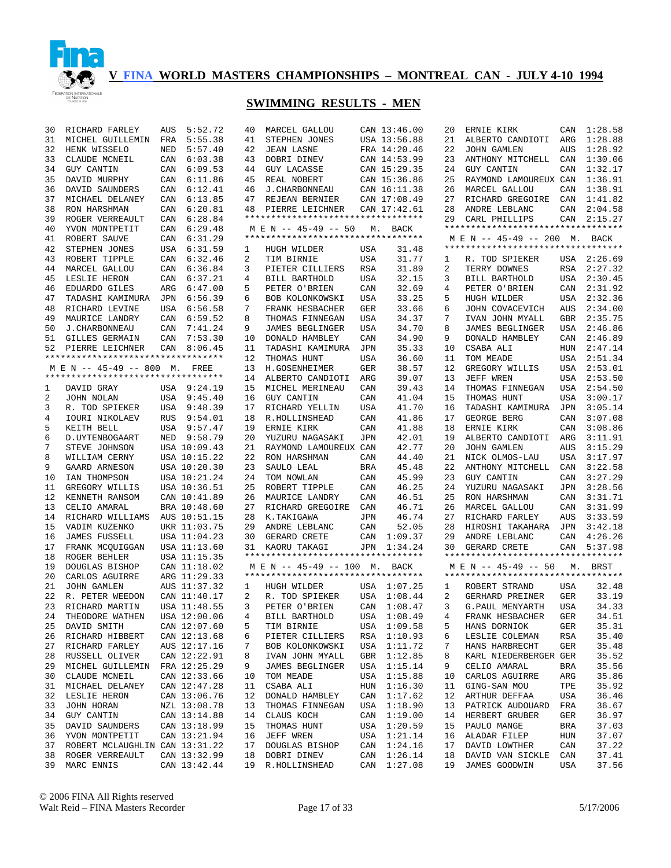

| 5:55.38<br>USA 13:56.88<br>ALBERTO CANDIOTI<br>1:28.88<br>31<br>MICHEL GUILLEMIN<br>FRA<br>41<br>STEPHEN JONES<br>21<br>ARG<br>32<br>HENK WISSELO<br>5:57.40<br>42<br><b>JEAN LASNE</b><br>FRA 14:20.46<br>22<br><b>JOHN GAMLEN</b><br>AUS<br>1:28.92<br>NED<br>33<br>CLAUDE MCNEIL<br>6:03.38<br>43<br>DOBRI DINEV<br>CAN 14:53.99<br>23<br>CAN<br>1:30.06<br>CAN<br>ANTHONY MITCHELL<br>34<br><b>GUY CANTIN</b><br>CAN<br>6:09.53<br>44<br><b>GUY LACASSE</b><br>CAN 15:29.35<br>24<br><b>GUY CANTIN</b><br>CAN<br>1:32.17<br>1:36.91<br>35<br>DAVID MURPHY<br>CAN<br>6:11.86<br>45<br>REAL NOBERT<br>CAN 15:36.86<br>25<br>RAYMOND LAMOUREUX CAN<br>36<br>DAVID SAUNDERS<br>6:12.41<br>46<br><b>J. CHARBONNEAU</b><br>CAN 16:11.38<br>26<br>MARCEL GALLOU<br>CAN<br>1:38.91<br>CAN<br>37<br>MICHAEL DELANEY<br>CAN<br>6:13.85<br>47<br>REJEAN BERNIER<br>CAN 17:08.49<br>27<br>RICHARD GREGOIRE<br>CAN<br>1:41.82<br>38<br>RON HARSHMAN<br>CAN<br>6:20.81<br>28<br>ANDRE LEBLANC<br>CAN<br>2:04.58<br>48<br>PIERRE LEICHNER<br>CAN 17:42.61<br>*********************************<br>39<br>ROGER VERREAULT<br>6:28.84<br>29<br>CARL PHILLIPS<br>CAN 2:15.27<br>CAN<br>**********************************<br>40<br>YVON MONTPETIT<br>6:29.48<br>CAN<br>M E N -- 45-49 -- 50<br>М.<br>BACK<br>**********************************<br>41<br>ROBERT SAUVE<br>CAN<br>6:31.29<br>M E N -- 45-49 -- 200 M. BACK<br>**********************************<br>42<br>STEPHEN JONES<br>USA 6:31.59<br>USA<br>31.48<br>1<br>HUGH WILDER<br>43<br>ROBERT TIPPLE<br>CAN<br>6:32.46<br>2<br>USA<br>31.77<br>USA 2:26.69<br>TIM BIRNIE<br>R. TOD SPIEKER<br>1<br>44<br>MARCEL GALLOU<br>CAN<br>6:36.84<br>3<br>RSA<br>31.89<br>2<br>RSA<br>2:27.32<br>PIETER CILLIERS<br>TERRY DOWNES<br>45<br>LESLIE HERON<br>6:37.21<br>4<br>USA<br>32.15<br>3<br>USA 2:30.45<br>CAN<br>BILL BARTHOLD<br>BILL BARTHOLD<br>46<br>EDUARDO GILES<br>ARG<br>6:47.00<br>5<br>PETER O'BRIEN<br>CAN<br>32.69<br>CAN<br>2:31.92<br>4<br>PETER O'BRIEN<br>33.25<br>2:32.36<br>47<br>JPN<br>6:56.39<br>5<br>USA<br>TADASHI KAMIMURA<br>6<br>BOB KOLONKOWSKI<br>USA<br>HUGH WILDER<br>2:34.00<br>USA 6:56.58<br>7<br>GER<br>33.66<br>AUS<br>48<br>RICHARD LEVINE<br>FRANK HESBACHER<br>6<br>JOHN COVACEVICH<br>2:35.75<br>49<br>CAN<br>6:59.52<br>8<br>34.37<br>7<br>GBR<br>MAURICE LANDRY<br>THOMAS FINNEGAN<br>USA<br>IVAN JOHN MYALL<br>9<br>2:46.86<br>50<br><b>J. CHARBONNEAU</b><br>CAN<br>7:41.24<br>34.70<br>8<br><b>JAMES BEGLINGER</b><br>USA<br><b>JAMES BEGLINGER</b><br>USA<br>CAN<br>7:53.30<br>10<br>34.90<br>9<br>CAN<br>2:46.89<br>51<br><b>GILLES GERMAIN</b><br>DONALD HAMBLEY<br>CAN<br>DONALD HAMBLEY<br>11<br>35.33<br>CSABA ALI<br>2:47.14<br>52<br>PIERRE LEICHNER<br>CAN<br>8:06.45<br>TADASHI KAMIMURA<br>JPN<br>10<br>HUN<br>**********************************<br>12<br>THOMAS HUNT<br>36.60<br>11<br>TOM MEADE<br>USA<br>2:51.34<br>USA<br>13<br>M E N -- 45-49 -- 800 M. FREE<br>H.GOSENHEIMER<br>38.57<br>12<br>GREGORY WILLIS<br>USA<br>2:53.01<br>GER<br>**********************************<br>14<br>39.07<br>13<br>JEFF WREN<br>USA 2:53.50<br>ALBERTO CANDIOTI<br>ARG<br>15<br>MICHEL MERINEAU<br>39.43<br>THOMAS FINNEGAN<br>USA<br>2:54.50<br>1<br>DAVID GRAY<br>USA 9:24.19<br>CAN<br>14<br>2<br>USA 9:45.40<br>16<br>GUY CANTIN<br>41.04<br>15<br>THOMAS HUNT<br>3:00.17<br>JOHN NOLAN<br>CAN<br>USA<br>3<br>USA 9:48.39<br>41.70<br>TADASHI KAMIMURA<br>3:05.14<br>R. TOD SPIEKER<br>17<br>RICHARD YELLIN<br>USA<br>16<br>JPN<br>4<br><b>IOURI NIKOLAEV</b><br><b>RUS</b><br>9:54.01<br>18<br>R.HOLLINSHEAD<br>CAN<br>41.86<br>17<br><b>GEORGE BERG</b><br>CAN<br>3:07.08<br>5<br>KEITH BELL<br>USA 9:57.47<br>19<br>ERNIE KIRK<br>CAN<br>41.88<br>18<br>ERNIE KIRK<br>CAN<br>3:08.86<br>6<br>D. UYTENBOGAART<br>NED<br>9:58.79<br>20<br>YUZURU NAGASAKI<br>42.01<br>19<br>ALBERTO CANDIOTI<br>ARG<br>3:11.91<br>JPN<br>7<br>STEVE JOHNSON<br>USA 10:09.43<br>21<br>RAYMOND LAMOUREUX CAN<br>42.77<br>20<br><b>JOHN GAMLEN</b><br>AUS<br>3:15.29<br>8<br>WILLIAM CERNY<br>USA 10:15.22<br>22<br>RON HARSHMAN<br>44.40<br>21<br>NICK OLMOS-LAU<br><b>USA</b><br>3:17.97<br>CAN<br>9<br>GAARD ARNESON<br>USA 10:20.30<br>23<br>SAULO LEAL<br><b>BRA</b><br>45.48<br>22<br>ANTHONY MITCHELL<br>CAN<br>3:22.58<br>23<br>3:27.29<br>IAN THOMPSON<br>USA 10:21.24<br>24<br>CAN<br>45.99<br><b>GUY CANTIN</b><br>CAN<br>10<br>TOM NOWLAN<br>46.25<br>3:28.56<br>11<br>GREGORY WILLIS<br>USA 10:36.51<br>25<br>ROBERT TIPPLE<br>CAN<br>24<br>YUZURU NAGASAKI<br>JPN<br>46.51<br>3:31.71<br>12<br>KENNETH RANSOM<br>CAN 10:41.89<br>26<br>MAURICE LANDRY<br>CAN<br>25<br>RON HARSHMAN<br>CAN<br>46.71<br>3:31.99<br>13<br>CELIO AMARAL<br>BRA 10:48.60<br>27<br>RICHARD GREGOIRE<br>CAN<br>26<br>MARCEL GALLOU<br>CAN<br>46.74<br>27<br>3:33.59<br>14<br>RICHARD WILLIAMS<br>AUS 10:51.15<br>28<br>K.TAKIGAWA<br>RICHARD FARLEY<br>AUS<br>JPN<br>52.05<br>3:42.18<br>15<br>VADIM KUZENKO<br>UKR 11:03.75<br>29<br>ANDRE LEBLANC<br>CAN<br>28<br>HIROSHI TAKAHARA<br>JPN<br>1:09.37<br>4:26.26<br>16<br><b>JAMES FUSSELL</b><br>USA 11:04.23<br>30<br>GERARD CRETE<br>CAN<br>29<br>ANDRE LEBLANC<br>CAN<br>17<br>USA 11:13.60<br>1:34.24<br>CAN<br>5:37.98<br>FRANK MCQUIGGAN<br>31<br>KAORU TAKAGI<br>JPN<br>30<br>GERARD CRETE<br>**********************************<br>**********************************<br>18<br>USA 11:15.35<br>ROGER BEHLER<br>19<br>CAN 11:18.02<br>M E N -- 45-49 -- 50<br>DOUGLAS BISHOP<br>M E N -- 45-49 -- 100 M.<br>BACK<br>M. BRST<br>**********************************<br>**********************************<br>20<br>ARG 11:29.33<br>CARLOS AGUIRRE<br>21<br>JOHN GAMLEN<br>AUS 11:37.32<br>USA 1:07.25<br>1<br>HUGH WILDER<br>ROBERT STRAND<br>USA<br>32.48<br>1<br>33.19<br>22<br>CAN 11:40.17<br>USA<br>1:08.44<br><b>GER</b><br>R. PETER WEEDON<br>2<br>R. TOD SPIEKER<br>2<br>GERHARD PREINER<br>23<br>RICHARD MARTIN<br>USA 11:48.55<br>3<br>CAN<br>1:08.47<br>3<br>G. PAUL MENYARTH<br>USA<br>34.33<br>PETER O'BRIEN<br>USA 1:08.49<br>${\tt GER}$<br>34.51<br>24<br>THEODORE WATHEN<br>USA 12:00.06<br>BILL BARTHOLD<br>FRANK HESBACHER<br>4<br>4<br>CAN 12:07.60<br>USA 1:09.58<br>35.31<br>25<br>DAVID SMITH<br>5<br>TIM BIRNIE<br>5<br>HANS DORNIOK<br>GER<br>RICHARD HIBBERT<br>CAN 12:13.68<br>RSA 1:10.93<br>RSA<br>35.40<br>26<br>6<br>PIETER CILLIERS<br>LESLIE COLEMAN<br>6<br>RICHARD FARLEY<br>AUS 12:17.16<br>BOB KOLONKOWSKI<br>USA 1:11.72<br>HANS HARBRECHT<br>GER<br>35.48<br>27<br>7<br>7<br>RUSSELL OLIVER<br>CAN 12:22.91<br>IVAN JOHN MYALL<br>GBR 1:12.85<br>KARL NIEDERBERGER GER<br>35.52<br>28<br>8<br>8<br>MICHEL GUILLEMIN<br>FRA 12:25.29<br><b>JAMES BEGLINGER</b><br>USA 1:15.14<br>9<br>CELIO AMARAL<br><b>BRA</b><br>35.56<br>29<br>9<br>CLAUDE MCNEIL<br>CAN 12:33.66<br>TOM MEADE<br>USA<br>1:15.88<br>CARLOS AGUIRRE<br>ARG<br>35.86<br>30<br>10<br>10<br>MICHAEL DELANEY<br>CAN 12:47.28<br>CSABA ALI<br>HUN 1:16.30<br>GING-SAN MOU<br>TPE<br>35.92<br>31<br>11<br>11<br>LESLIE HERON<br>CAN 13:06.76<br>12<br>DONALD HAMBLEY<br>CAN<br>1:17.62<br>12<br>ARTHUR DEFFAA<br><b>USA</b><br>36.46<br>32<br>33<br>JOHN HORAN<br>NZL 13:08.78<br>THOMAS FINNEGAN<br>USA 1:18.90<br>13<br>PATRICK AUDOUARD<br>FRA<br>36.67<br>13<br>GUY CANTIN<br>CAN 13:14.88<br>14<br>CLAUS KOCH<br>CAN 1:19.00<br>14<br>HERBERT GRUBER<br>GER<br>36.97<br>34<br>CAN 13:18.99<br>USA 1:20.59<br>37.03<br>DAVID SAUNDERS<br>THOMAS HUNT<br>15<br>PAULO MANGE<br>BRA<br>35<br>15<br>CAN 13:21.94<br>37.07<br>YVON MONTPETIT<br>16<br>JEFF WREN<br>USA<br>1:21.14<br>ALADAR FILEP<br>HUN<br>36<br>16<br>CAN 1:24.16<br>ROBERT MCLAUGHLIN CAN 13:31.22<br>DOUGLAS BISHOP<br>17<br>DAVID LOWTHER<br>CAN<br>37.22<br>37<br>17<br>1:26.14<br>CAN 13:32.99<br>18<br>DOBRI DINEV<br>CAN<br>DAVID VAN SICKLE<br>CAN<br>37.41<br>38<br>ROGER VERREAULT<br>18<br>CAN 1:27.08<br>37.56<br>39<br>MARC ENNIS<br>CAN 13:42.44<br>19<br>R.HOLLINSHEAD<br>19<br>JAMES GOODWIN<br>USA | 30 | RICHARD FARLEY | AUS | 5:52.72 | 40 | MARCEL GALLOU | CAN 13:46.00 | 20 | ERNIE KIRK | CAN | 1:28.58 |
|----------------------------------------------------------------------------------------------------------------------------------------------------------------------------------------------------------------------------------------------------------------------------------------------------------------------------------------------------------------------------------------------------------------------------------------------------------------------------------------------------------------------------------------------------------------------------------------------------------------------------------------------------------------------------------------------------------------------------------------------------------------------------------------------------------------------------------------------------------------------------------------------------------------------------------------------------------------------------------------------------------------------------------------------------------------------------------------------------------------------------------------------------------------------------------------------------------------------------------------------------------------------------------------------------------------------------------------------------------------------------------------------------------------------------------------------------------------------------------------------------------------------------------------------------------------------------------------------------------------------------------------------------------------------------------------------------------------------------------------------------------------------------------------------------------------------------------------------------------------------------------------------------------------------------------------------------------------------------------------------------------------------------------------------------------------------------------------------------------------------------------------------------------------------------------------------------------------------------------------------------------------------------------------------------------------------------------------------------------------------------------------------------------------------------------------------------------------------------------------------------------------------------------------------------------------------------------------------------------------------------------------------------------------------------------------------------------------------------------------------------------------------------------------------------------------------------------------------------------------------------------------------------------------------------------------------------------------------------------------------------------------------------------------------------------------------------------------------------------------------------------------------------------------------------------------------------------------------------------------------------------------------------------------------------------------------------------------------------------------------------------------------------------------------------------------------------------------------------------------------------------------------------------------------------------------------------------------------------------------------------------------------------------------------------------------------------------------------------------------------------------------------------------------------------------------------------------------------------------------------------------------------------------------------------------------------------------------------------------------------------------------------------------------------------------------------------------------------------------------------------------------------------------------------------------------------------------------------------------------------------------------------------------------------------------------------------------------------------------------------------------------------------------------------------------------------------------------------------------------------------------------------------------------------------------------------------------------------------------------------------------------------------------------------------------------------------------------------------------------------------------------------------------------------------------------------------------------------------------------------------------------------------------------------------------------------------------------------------------------------------------------------------------------------------------------------------------------------------------------------------------------------------------------------------------------------------------------------------------------------------------------------------------------------------------------------------------------------------------------------------------------------------------------------------------------------------------------------------------------------------------------------------------------------------------------------------------------------------------------------------------------------------------------------------------------------------------------------------------------------------------------------------------------------------------------------------------------------------------------------------------------------------------------------------------------------------------------------------------------------------------------------------------------------------------------------------------------------------------------------------------------------------------------------------------------------------------------------------------------------------------------------------------------------------------------------------------------------------------------------------------------------------------------------------------------------------------------------------------------------------------------------------------------------------------------------------------------------------------------------------------------------------------------------------------------------------------------------------------------------------------------------------------------------------------------------------------------------------------------------------------------------------------------------------------------------------------------------------------------------------------------------------------------------------------------------------------------------------------------------------------------------------------------------------------------------------------------------------------------------------------------------------------------------------------------------------------------------------------------------------------------------------------------------------------------------------------------------------------------------------------------------------------------------------------------------------------------------------------------------------------------------------------------------------------------------------------------------------------------------------------------------------------------------------------------------------------------------------------------------------------------------------------------------------------------------------------------------------------------------------------------|----|----------------|-----|---------|----|---------------|--------------|----|------------|-----|---------|
|                                                                                                                                                                                                                                                                                                                                                                                                                                                                                                                                                                                                                                                                                                                                                                                                                                                                                                                                                                                                                                                                                                                                                                                                                                                                                                                                                                                                                                                                                                                                                                                                                                                                                                                                                                                                                                                                                                                                                                                                                                                                                                                                                                                                                                                                                                                                                                                                                                                                                                                                                                                                                                                                                                                                                                                                                                                                                                                                                                                                                                                                                                                                                                                                                                                                                                                                                                                                                                                                                                                                                                                                                                                                                                                                                                                                                                                                                                                                                                                                                                                                                                                                                                                                                                                                                                                                                                                                                                                                                                                                                                                                                                                                                                                                                                                                                                                                                                                                                                                                                                                                                                                                                                                                                                                                                                                                                                                                                                                                                                                                                                                                                                                                                                                                                                                                                                                                                                                                                                                                                                                                                                                                                                                                                                                                                                                                                                                                                                                                                                                                                                                                                                                                                                                                                                                                                                                                                                                                                                                                                                                                                                                                                                                                                                                                                                                                                                                                                                                                                                                                                                                                                                                                                                                                                                                                                                                                                                                                                                                                                |    |                |     |         |    |               |              |    |            |     |         |
|                                                                                                                                                                                                                                                                                                                                                                                                                                                                                                                                                                                                                                                                                                                                                                                                                                                                                                                                                                                                                                                                                                                                                                                                                                                                                                                                                                                                                                                                                                                                                                                                                                                                                                                                                                                                                                                                                                                                                                                                                                                                                                                                                                                                                                                                                                                                                                                                                                                                                                                                                                                                                                                                                                                                                                                                                                                                                                                                                                                                                                                                                                                                                                                                                                                                                                                                                                                                                                                                                                                                                                                                                                                                                                                                                                                                                                                                                                                                                                                                                                                                                                                                                                                                                                                                                                                                                                                                                                                                                                                                                                                                                                                                                                                                                                                                                                                                                                                                                                                                                                                                                                                                                                                                                                                                                                                                                                                                                                                                                                                                                                                                                                                                                                                                                                                                                                                                                                                                                                                                                                                                                                                                                                                                                                                                                                                                                                                                                                                                                                                                                                                                                                                                                                                                                                                                                                                                                                                                                                                                                                                                                                                                                                                                                                                                                                                                                                                                                                                                                                                                                                                                                                                                                                                                                                                                                                                                                                                                                                                                                |    |                |     |         |    |               |              |    |            |     |         |
|                                                                                                                                                                                                                                                                                                                                                                                                                                                                                                                                                                                                                                                                                                                                                                                                                                                                                                                                                                                                                                                                                                                                                                                                                                                                                                                                                                                                                                                                                                                                                                                                                                                                                                                                                                                                                                                                                                                                                                                                                                                                                                                                                                                                                                                                                                                                                                                                                                                                                                                                                                                                                                                                                                                                                                                                                                                                                                                                                                                                                                                                                                                                                                                                                                                                                                                                                                                                                                                                                                                                                                                                                                                                                                                                                                                                                                                                                                                                                                                                                                                                                                                                                                                                                                                                                                                                                                                                                                                                                                                                                                                                                                                                                                                                                                                                                                                                                                                                                                                                                                                                                                                                                                                                                                                                                                                                                                                                                                                                                                                                                                                                                                                                                                                                                                                                                                                                                                                                                                                                                                                                                                                                                                                                                                                                                                                                                                                                                                                                                                                                                                                                                                                                                                                                                                                                                                                                                                                                                                                                                                                                                                                                                                                                                                                                                                                                                                                                                                                                                                                                                                                                                                                                                                                                                                                                                                                                                                                                                                                                                |    |                |     |         |    |               |              |    |            |     |         |
|                                                                                                                                                                                                                                                                                                                                                                                                                                                                                                                                                                                                                                                                                                                                                                                                                                                                                                                                                                                                                                                                                                                                                                                                                                                                                                                                                                                                                                                                                                                                                                                                                                                                                                                                                                                                                                                                                                                                                                                                                                                                                                                                                                                                                                                                                                                                                                                                                                                                                                                                                                                                                                                                                                                                                                                                                                                                                                                                                                                                                                                                                                                                                                                                                                                                                                                                                                                                                                                                                                                                                                                                                                                                                                                                                                                                                                                                                                                                                                                                                                                                                                                                                                                                                                                                                                                                                                                                                                                                                                                                                                                                                                                                                                                                                                                                                                                                                                                                                                                                                                                                                                                                                                                                                                                                                                                                                                                                                                                                                                                                                                                                                                                                                                                                                                                                                                                                                                                                                                                                                                                                                                                                                                                                                                                                                                                                                                                                                                                                                                                                                                                                                                                                                                                                                                                                                                                                                                                                                                                                                                                                                                                                                                                                                                                                                                                                                                                                                                                                                                                                                                                                                                                                                                                                                                                                                                                                                                                                                                                                                |    |                |     |         |    |               |              |    |            |     |         |
|                                                                                                                                                                                                                                                                                                                                                                                                                                                                                                                                                                                                                                                                                                                                                                                                                                                                                                                                                                                                                                                                                                                                                                                                                                                                                                                                                                                                                                                                                                                                                                                                                                                                                                                                                                                                                                                                                                                                                                                                                                                                                                                                                                                                                                                                                                                                                                                                                                                                                                                                                                                                                                                                                                                                                                                                                                                                                                                                                                                                                                                                                                                                                                                                                                                                                                                                                                                                                                                                                                                                                                                                                                                                                                                                                                                                                                                                                                                                                                                                                                                                                                                                                                                                                                                                                                                                                                                                                                                                                                                                                                                                                                                                                                                                                                                                                                                                                                                                                                                                                                                                                                                                                                                                                                                                                                                                                                                                                                                                                                                                                                                                                                                                                                                                                                                                                                                                                                                                                                                                                                                                                                                                                                                                                                                                                                                                                                                                                                                                                                                                                                                                                                                                                                                                                                                                                                                                                                                                                                                                                                                                                                                                                                                                                                                                                                                                                                                                                                                                                                                                                                                                                                                                                                                                                                                                                                                                                                                                                                                                                |    |                |     |         |    |               |              |    |            |     |         |
|                                                                                                                                                                                                                                                                                                                                                                                                                                                                                                                                                                                                                                                                                                                                                                                                                                                                                                                                                                                                                                                                                                                                                                                                                                                                                                                                                                                                                                                                                                                                                                                                                                                                                                                                                                                                                                                                                                                                                                                                                                                                                                                                                                                                                                                                                                                                                                                                                                                                                                                                                                                                                                                                                                                                                                                                                                                                                                                                                                                                                                                                                                                                                                                                                                                                                                                                                                                                                                                                                                                                                                                                                                                                                                                                                                                                                                                                                                                                                                                                                                                                                                                                                                                                                                                                                                                                                                                                                                                                                                                                                                                                                                                                                                                                                                                                                                                                                                                                                                                                                                                                                                                                                                                                                                                                                                                                                                                                                                                                                                                                                                                                                                                                                                                                                                                                                                                                                                                                                                                                                                                                                                                                                                                                                                                                                                                                                                                                                                                                                                                                                                                                                                                                                                                                                                                                                                                                                                                                                                                                                                                                                                                                                                                                                                                                                                                                                                                                                                                                                                                                                                                                                                                                                                                                                                                                                                                                                                                                                                                                                |    |                |     |         |    |               |              |    |            |     |         |
|                                                                                                                                                                                                                                                                                                                                                                                                                                                                                                                                                                                                                                                                                                                                                                                                                                                                                                                                                                                                                                                                                                                                                                                                                                                                                                                                                                                                                                                                                                                                                                                                                                                                                                                                                                                                                                                                                                                                                                                                                                                                                                                                                                                                                                                                                                                                                                                                                                                                                                                                                                                                                                                                                                                                                                                                                                                                                                                                                                                                                                                                                                                                                                                                                                                                                                                                                                                                                                                                                                                                                                                                                                                                                                                                                                                                                                                                                                                                                                                                                                                                                                                                                                                                                                                                                                                                                                                                                                                                                                                                                                                                                                                                                                                                                                                                                                                                                                                                                                                                                                                                                                                                                                                                                                                                                                                                                                                                                                                                                                                                                                                                                                                                                                                                                                                                                                                                                                                                                                                                                                                                                                                                                                                                                                                                                                                                                                                                                                                                                                                                                                                                                                                                                                                                                                                                                                                                                                                                                                                                                                                                                                                                                                                                                                                                                                                                                                                                                                                                                                                                                                                                                                                                                                                                                                                                                                                                                                                                                                                                                |    |                |     |         |    |               |              |    |            |     |         |
|                                                                                                                                                                                                                                                                                                                                                                                                                                                                                                                                                                                                                                                                                                                                                                                                                                                                                                                                                                                                                                                                                                                                                                                                                                                                                                                                                                                                                                                                                                                                                                                                                                                                                                                                                                                                                                                                                                                                                                                                                                                                                                                                                                                                                                                                                                                                                                                                                                                                                                                                                                                                                                                                                                                                                                                                                                                                                                                                                                                                                                                                                                                                                                                                                                                                                                                                                                                                                                                                                                                                                                                                                                                                                                                                                                                                                                                                                                                                                                                                                                                                                                                                                                                                                                                                                                                                                                                                                                                                                                                                                                                                                                                                                                                                                                                                                                                                                                                                                                                                                                                                                                                                                                                                                                                                                                                                                                                                                                                                                                                                                                                                                                                                                                                                                                                                                                                                                                                                                                                                                                                                                                                                                                                                                                                                                                                                                                                                                                                                                                                                                                                                                                                                                                                                                                                                                                                                                                                                                                                                                                                                                                                                                                                                                                                                                                                                                                                                                                                                                                                                                                                                                                                                                                                                                                                                                                                                                                                                                                                                                |    |                |     |         |    |               |              |    |            |     |         |
|                                                                                                                                                                                                                                                                                                                                                                                                                                                                                                                                                                                                                                                                                                                                                                                                                                                                                                                                                                                                                                                                                                                                                                                                                                                                                                                                                                                                                                                                                                                                                                                                                                                                                                                                                                                                                                                                                                                                                                                                                                                                                                                                                                                                                                                                                                                                                                                                                                                                                                                                                                                                                                                                                                                                                                                                                                                                                                                                                                                                                                                                                                                                                                                                                                                                                                                                                                                                                                                                                                                                                                                                                                                                                                                                                                                                                                                                                                                                                                                                                                                                                                                                                                                                                                                                                                                                                                                                                                                                                                                                                                                                                                                                                                                                                                                                                                                                                                                                                                                                                                                                                                                                                                                                                                                                                                                                                                                                                                                                                                                                                                                                                                                                                                                                                                                                                                                                                                                                                                                                                                                                                                                                                                                                                                                                                                                                                                                                                                                                                                                                                                                                                                                                                                                                                                                                                                                                                                                                                                                                                                                                                                                                                                                                                                                                                                                                                                                                                                                                                                                                                                                                                                                                                                                                                                                                                                                                                                                                                                                                                |    |                |     |         |    |               |              |    |            |     |         |
|                                                                                                                                                                                                                                                                                                                                                                                                                                                                                                                                                                                                                                                                                                                                                                                                                                                                                                                                                                                                                                                                                                                                                                                                                                                                                                                                                                                                                                                                                                                                                                                                                                                                                                                                                                                                                                                                                                                                                                                                                                                                                                                                                                                                                                                                                                                                                                                                                                                                                                                                                                                                                                                                                                                                                                                                                                                                                                                                                                                                                                                                                                                                                                                                                                                                                                                                                                                                                                                                                                                                                                                                                                                                                                                                                                                                                                                                                                                                                                                                                                                                                                                                                                                                                                                                                                                                                                                                                                                                                                                                                                                                                                                                                                                                                                                                                                                                                                                                                                                                                                                                                                                                                                                                                                                                                                                                                                                                                                                                                                                                                                                                                                                                                                                                                                                                                                                                                                                                                                                                                                                                                                                                                                                                                                                                                                                                                                                                                                                                                                                                                                                                                                                                                                                                                                                                                                                                                                                                                                                                                                                                                                                                                                                                                                                                                                                                                                                                                                                                                                                                                                                                                                                                                                                                                                                                                                                                                                                                                                                                                |    |                |     |         |    |               |              |    |            |     |         |
|                                                                                                                                                                                                                                                                                                                                                                                                                                                                                                                                                                                                                                                                                                                                                                                                                                                                                                                                                                                                                                                                                                                                                                                                                                                                                                                                                                                                                                                                                                                                                                                                                                                                                                                                                                                                                                                                                                                                                                                                                                                                                                                                                                                                                                                                                                                                                                                                                                                                                                                                                                                                                                                                                                                                                                                                                                                                                                                                                                                                                                                                                                                                                                                                                                                                                                                                                                                                                                                                                                                                                                                                                                                                                                                                                                                                                                                                                                                                                                                                                                                                                                                                                                                                                                                                                                                                                                                                                                                                                                                                                                                                                                                                                                                                                                                                                                                                                                                                                                                                                                                                                                                                                                                                                                                                                                                                                                                                                                                                                                                                                                                                                                                                                                                                                                                                                                                                                                                                                                                                                                                                                                                                                                                                                                                                                                                                                                                                                                                                                                                                                                                                                                                                                                                                                                                                                                                                                                                                                                                                                                                                                                                                                                                                                                                                                                                                                                                                                                                                                                                                                                                                                                                                                                                                                                                                                                                                                                                                                                                                                |    |                |     |         |    |               |              |    |            |     |         |
|                                                                                                                                                                                                                                                                                                                                                                                                                                                                                                                                                                                                                                                                                                                                                                                                                                                                                                                                                                                                                                                                                                                                                                                                                                                                                                                                                                                                                                                                                                                                                                                                                                                                                                                                                                                                                                                                                                                                                                                                                                                                                                                                                                                                                                                                                                                                                                                                                                                                                                                                                                                                                                                                                                                                                                                                                                                                                                                                                                                                                                                                                                                                                                                                                                                                                                                                                                                                                                                                                                                                                                                                                                                                                                                                                                                                                                                                                                                                                                                                                                                                                                                                                                                                                                                                                                                                                                                                                                                                                                                                                                                                                                                                                                                                                                                                                                                                                                                                                                                                                                                                                                                                                                                                                                                                                                                                                                                                                                                                                                                                                                                                                                                                                                                                                                                                                                                                                                                                                                                                                                                                                                                                                                                                                                                                                                                                                                                                                                                                                                                                                                                                                                                                                                                                                                                                                                                                                                                                                                                                                                                                                                                                                                                                                                                                                                                                                                                                                                                                                                                                                                                                                                                                                                                                                                                                                                                                                                                                                                                                                |    |                |     |         |    |               |              |    |            |     |         |
|                                                                                                                                                                                                                                                                                                                                                                                                                                                                                                                                                                                                                                                                                                                                                                                                                                                                                                                                                                                                                                                                                                                                                                                                                                                                                                                                                                                                                                                                                                                                                                                                                                                                                                                                                                                                                                                                                                                                                                                                                                                                                                                                                                                                                                                                                                                                                                                                                                                                                                                                                                                                                                                                                                                                                                                                                                                                                                                                                                                                                                                                                                                                                                                                                                                                                                                                                                                                                                                                                                                                                                                                                                                                                                                                                                                                                                                                                                                                                                                                                                                                                                                                                                                                                                                                                                                                                                                                                                                                                                                                                                                                                                                                                                                                                                                                                                                                                                                                                                                                                                                                                                                                                                                                                                                                                                                                                                                                                                                                                                                                                                                                                                                                                                                                                                                                                                                                                                                                                                                                                                                                                                                                                                                                                                                                                                                                                                                                                                                                                                                                                                                                                                                                                                                                                                                                                                                                                                                                                                                                                                                                                                                                                                                                                                                                                                                                                                                                                                                                                                                                                                                                                                                                                                                                                                                                                                                                                                                                                                                                                |    |                |     |         |    |               |              |    |            |     |         |
|                                                                                                                                                                                                                                                                                                                                                                                                                                                                                                                                                                                                                                                                                                                                                                                                                                                                                                                                                                                                                                                                                                                                                                                                                                                                                                                                                                                                                                                                                                                                                                                                                                                                                                                                                                                                                                                                                                                                                                                                                                                                                                                                                                                                                                                                                                                                                                                                                                                                                                                                                                                                                                                                                                                                                                                                                                                                                                                                                                                                                                                                                                                                                                                                                                                                                                                                                                                                                                                                                                                                                                                                                                                                                                                                                                                                                                                                                                                                                                                                                                                                                                                                                                                                                                                                                                                                                                                                                                                                                                                                                                                                                                                                                                                                                                                                                                                                                                                                                                                                                                                                                                                                                                                                                                                                                                                                                                                                                                                                                                                                                                                                                                                                                                                                                                                                                                                                                                                                                                                                                                                                                                                                                                                                                                                                                                                                                                                                                                                                                                                                                                                                                                                                                                                                                                                                                                                                                                                                                                                                                                                                                                                                                                                                                                                                                                                                                                                                                                                                                                                                                                                                                                                                                                                                                                                                                                                                                                                                                                                                                |    |                |     |         |    |               |              |    |            |     |         |
|                                                                                                                                                                                                                                                                                                                                                                                                                                                                                                                                                                                                                                                                                                                                                                                                                                                                                                                                                                                                                                                                                                                                                                                                                                                                                                                                                                                                                                                                                                                                                                                                                                                                                                                                                                                                                                                                                                                                                                                                                                                                                                                                                                                                                                                                                                                                                                                                                                                                                                                                                                                                                                                                                                                                                                                                                                                                                                                                                                                                                                                                                                                                                                                                                                                                                                                                                                                                                                                                                                                                                                                                                                                                                                                                                                                                                                                                                                                                                                                                                                                                                                                                                                                                                                                                                                                                                                                                                                                                                                                                                                                                                                                                                                                                                                                                                                                                                                                                                                                                                                                                                                                                                                                                                                                                                                                                                                                                                                                                                                                                                                                                                                                                                                                                                                                                                                                                                                                                                                                                                                                                                                                                                                                                                                                                                                                                                                                                                                                                                                                                                                                                                                                                                                                                                                                                                                                                                                                                                                                                                                                                                                                                                                                                                                                                                                                                                                                                                                                                                                                                                                                                                                                                                                                                                                                                                                                                                                                                                                                                                |    |                |     |         |    |               |              |    |            |     |         |
|                                                                                                                                                                                                                                                                                                                                                                                                                                                                                                                                                                                                                                                                                                                                                                                                                                                                                                                                                                                                                                                                                                                                                                                                                                                                                                                                                                                                                                                                                                                                                                                                                                                                                                                                                                                                                                                                                                                                                                                                                                                                                                                                                                                                                                                                                                                                                                                                                                                                                                                                                                                                                                                                                                                                                                                                                                                                                                                                                                                                                                                                                                                                                                                                                                                                                                                                                                                                                                                                                                                                                                                                                                                                                                                                                                                                                                                                                                                                                                                                                                                                                                                                                                                                                                                                                                                                                                                                                                                                                                                                                                                                                                                                                                                                                                                                                                                                                                                                                                                                                                                                                                                                                                                                                                                                                                                                                                                                                                                                                                                                                                                                                                                                                                                                                                                                                                                                                                                                                                                                                                                                                                                                                                                                                                                                                                                                                                                                                                                                                                                                                                                                                                                                                                                                                                                                                                                                                                                                                                                                                                                                                                                                                                                                                                                                                                                                                                                                                                                                                                                                                                                                                                                                                                                                                                                                                                                                                                                                                                                                                |    |                |     |         |    |               |              |    |            |     |         |
|                                                                                                                                                                                                                                                                                                                                                                                                                                                                                                                                                                                                                                                                                                                                                                                                                                                                                                                                                                                                                                                                                                                                                                                                                                                                                                                                                                                                                                                                                                                                                                                                                                                                                                                                                                                                                                                                                                                                                                                                                                                                                                                                                                                                                                                                                                                                                                                                                                                                                                                                                                                                                                                                                                                                                                                                                                                                                                                                                                                                                                                                                                                                                                                                                                                                                                                                                                                                                                                                                                                                                                                                                                                                                                                                                                                                                                                                                                                                                                                                                                                                                                                                                                                                                                                                                                                                                                                                                                                                                                                                                                                                                                                                                                                                                                                                                                                                                                                                                                                                                                                                                                                                                                                                                                                                                                                                                                                                                                                                                                                                                                                                                                                                                                                                                                                                                                                                                                                                                                                                                                                                                                                                                                                                                                                                                                                                                                                                                                                                                                                                                                                                                                                                                                                                                                                                                                                                                                                                                                                                                                                                                                                                                                                                                                                                                                                                                                                                                                                                                                                                                                                                                                                                                                                                                                                                                                                                                                                                                                                                                |    |                |     |         |    |               |              |    |            |     |         |
|                                                                                                                                                                                                                                                                                                                                                                                                                                                                                                                                                                                                                                                                                                                                                                                                                                                                                                                                                                                                                                                                                                                                                                                                                                                                                                                                                                                                                                                                                                                                                                                                                                                                                                                                                                                                                                                                                                                                                                                                                                                                                                                                                                                                                                                                                                                                                                                                                                                                                                                                                                                                                                                                                                                                                                                                                                                                                                                                                                                                                                                                                                                                                                                                                                                                                                                                                                                                                                                                                                                                                                                                                                                                                                                                                                                                                                                                                                                                                                                                                                                                                                                                                                                                                                                                                                                                                                                                                                                                                                                                                                                                                                                                                                                                                                                                                                                                                                                                                                                                                                                                                                                                                                                                                                                                                                                                                                                                                                                                                                                                                                                                                                                                                                                                                                                                                                                                                                                                                                                                                                                                                                                                                                                                                                                                                                                                                                                                                                                                                                                                                                                                                                                                                                                                                                                                                                                                                                                                                                                                                                                                                                                                                                                                                                                                                                                                                                                                                                                                                                                                                                                                                                                                                                                                                                                                                                                                                                                                                                                                                |    |                |     |         |    |               |              |    |            |     |         |
|                                                                                                                                                                                                                                                                                                                                                                                                                                                                                                                                                                                                                                                                                                                                                                                                                                                                                                                                                                                                                                                                                                                                                                                                                                                                                                                                                                                                                                                                                                                                                                                                                                                                                                                                                                                                                                                                                                                                                                                                                                                                                                                                                                                                                                                                                                                                                                                                                                                                                                                                                                                                                                                                                                                                                                                                                                                                                                                                                                                                                                                                                                                                                                                                                                                                                                                                                                                                                                                                                                                                                                                                                                                                                                                                                                                                                                                                                                                                                                                                                                                                                                                                                                                                                                                                                                                                                                                                                                                                                                                                                                                                                                                                                                                                                                                                                                                                                                                                                                                                                                                                                                                                                                                                                                                                                                                                                                                                                                                                                                                                                                                                                                                                                                                                                                                                                                                                                                                                                                                                                                                                                                                                                                                                                                                                                                                                                                                                                                                                                                                                                                                                                                                                                                                                                                                                                                                                                                                                                                                                                                                                                                                                                                                                                                                                                                                                                                                                                                                                                                                                                                                                                                                                                                                                                                                                                                                                                                                                                                                                                |    |                |     |         |    |               |              |    |            |     |         |
|                                                                                                                                                                                                                                                                                                                                                                                                                                                                                                                                                                                                                                                                                                                                                                                                                                                                                                                                                                                                                                                                                                                                                                                                                                                                                                                                                                                                                                                                                                                                                                                                                                                                                                                                                                                                                                                                                                                                                                                                                                                                                                                                                                                                                                                                                                                                                                                                                                                                                                                                                                                                                                                                                                                                                                                                                                                                                                                                                                                                                                                                                                                                                                                                                                                                                                                                                                                                                                                                                                                                                                                                                                                                                                                                                                                                                                                                                                                                                                                                                                                                                                                                                                                                                                                                                                                                                                                                                                                                                                                                                                                                                                                                                                                                                                                                                                                                                                                                                                                                                                                                                                                                                                                                                                                                                                                                                                                                                                                                                                                                                                                                                                                                                                                                                                                                                                                                                                                                                                                                                                                                                                                                                                                                                                                                                                                                                                                                                                                                                                                                                                                                                                                                                                                                                                                                                                                                                                                                                                                                                                                                                                                                                                                                                                                                                                                                                                                                                                                                                                                                                                                                                                                                                                                                                                                                                                                                                                                                                                                                                |    |                |     |         |    |               |              |    |            |     |         |
|                                                                                                                                                                                                                                                                                                                                                                                                                                                                                                                                                                                                                                                                                                                                                                                                                                                                                                                                                                                                                                                                                                                                                                                                                                                                                                                                                                                                                                                                                                                                                                                                                                                                                                                                                                                                                                                                                                                                                                                                                                                                                                                                                                                                                                                                                                                                                                                                                                                                                                                                                                                                                                                                                                                                                                                                                                                                                                                                                                                                                                                                                                                                                                                                                                                                                                                                                                                                                                                                                                                                                                                                                                                                                                                                                                                                                                                                                                                                                                                                                                                                                                                                                                                                                                                                                                                                                                                                                                                                                                                                                                                                                                                                                                                                                                                                                                                                                                                                                                                                                                                                                                                                                                                                                                                                                                                                                                                                                                                                                                                                                                                                                                                                                                                                                                                                                                                                                                                                                                                                                                                                                                                                                                                                                                                                                                                                                                                                                                                                                                                                                                                                                                                                                                                                                                                                                                                                                                                                                                                                                                                                                                                                                                                                                                                                                                                                                                                                                                                                                                                                                                                                                                                                                                                                                                                                                                                                                                                                                                                                                |    |                |     |         |    |               |              |    |            |     |         |
|                                                                                                                                                                                                                                                                                                                                                                                                                                                                                                                                                                                                                                                                                                                                                                                                                                                                                                                                                                                                                                                                                                                                                                                                                                                                                                                                                                                                                                                                                                                                                                                                                                                                                                                                                                                                                                                                                                                                                                                                                                                                                                                                                                                                                                                                                                                                                                                                                                                                                                                                                                                                                                                                                                                                                                                                                                                                                                                                                                                                                                                                                                                                                                                                                                                                                                                                                                                                                                                                                                                                                                                                                                                                                                                                                                                                                                                                                                                                                                                                                                                                                                                                                                                                                                                                                                                                                                                                                                                                                                                                                                                                                                                                                                                                                                                                                                                                                                                                                                                                                                                                                                                                                                                                                                                                                                                                                                                                                                                                                                                                                                                                                                                                                                                                                                                                                                                                                                                                                                                                                                                                                                                                                                                                                                                                                                                                                                                                                                                                                                                                                                                                                                                                                                                                                                                                                                                                                                                                                                                                                                                                                                                                                                                                                                                                                                                                                                                                                                                                                                                                                                                                                                                                                                                                                                                                                                                                                                                                                                                                                |    |                |     |         |    |               |              |    |            |     |         |
|                                                                                                                                                                                                                                                                                                                                                                                                                                                                                                                                                                                                                                                                                                                                                                                                                                                                                                                                                                                                                                                                                                                                                                                                                                                                                                                                                                                                                                                                                                                                                                                                                                                                                                                                                                                                                                                                                                                                                                                                                                                                                                                                                                                                                                                                                                                                                                                                                                                                                                                                                                                                                                                                                                                                                                                                                                                                                                                                                                                                                                                                                                                                                                                                                                                                                                                                                                                                                                                                                                                                                                                                                                                                                                                                                                                                                                                                                                                                                                                                                                                                                                                                                                                                                                                                                                                                                                                                                                                                                                                                                                                                                                                                                                                                                                                                                                                                                                                                                                                                                                                                                                                                                                                                                                                                                                                                                                                                                                                                                                                                                                                                                                                                                                                                                                                                                                                                                                                                                                                                                                                                                                                                                                                                                                                                                                                                                                                                                                                                                                                                                                                                                                                                                                                                                                                                                                                                                                                                                                                                                                                                                                                                                                                                                                                                                                                                                                                                                                                                                                                                                                                                                                                                                                                                                                                                                                                                                                                                                                                                                |    |                |     |         |    |               |              |    |            |     |         |
|                                                                                                                                                                                                                                                                                                                                                                                                                                                                                                                                                                                                                                                                                                                                                                                                                                                                                                                                                                                                                                                                                                                                                                                                                                                                                                                                                                                                                                                                                                                                                                                                                                                                                                                                                                                                                                                                                                                                                                                                                                                                                                                                                                                                                                                                                                                                                                                                                                                                                                                                                                                                                                                                                                                                                                                                                                                                                                                                                                                                                                                                                                                                                                                                                                                                                                                                                                                                                                                                                                                                                                                                                                                                                                                                                                                                                                                                                                                                                                                                                                                                                                                                                                                                                                                                                                                                                                                                                                                                                                                                                                                                                                                                                                                                                                                                                                                                                                                                                                                                                                                                                                                                                                                                                                                                                                                                                                                                                                                                                                                                                                                                                                                                                                                                                                                                                                                                                                                                                                                                                                                                                                                                                                                                                                                                                                                                                                                                                                                                                                                                                                                                                                                                                                                                                                                                                                                                                                                                                                                                                                                                                                                                                                                                                                                                                                                                                                                                                                                                                                                                                                                                                                                                                                                                                                                                                                                                                                                                                                                                                |    |                |     |         |    |               |              |    |            |     |         |
|                                                                                                                                                                                                                                                                                                                                                                                                                                                                                                                                                                                                                                                                                                                                                                                                                                                                                                                                                                                                                                                                                                                                                                                                                                                                                                                                                                                                                                                                                                                                                                                                                                                                                                                                                                                                                                                                                                                                                                                                                                                                                                                                                                                                                                                                                                                                                                                                                                                                                                                                                                                                                                                                                                                                                                                                                                                                                                                                                                                                                                                                                                                                                                                                                                                                                                                                                                                                                                                                                                                                                                                                                                                                                                                                                                                                                                                                                                                                                                                                                                                                                                                                                                                                                                                                                                                                                                                                                                                                                                                                                                                                                                                                                                                                                                                                                                                                                                                                                                                                                                                                                                                                                                                                                                                                                                                                                                                                                                                                                                                                                                                                                                                                                                                                                                                                                                                                                                                                                                                                                                                                                                                                                                                                                                                                                                                                                                                                                                                                                                                                                                                                                                                                                                                                                                                                                                                                                                                                                                                                                                                                                                                                                                                                                                                                                                                                                                                                                                                                                                                                                                                                                                                                                                                                                                                                                                                                                                                                                                                                                |    |                |     |         |    |               |              |    |            |     |         |
|                                                                                                                                                                                                                                                                                                                                                                                                                                                                                                                                                                                                                                                                                                                                                                                                                                                                                                                                                                                                                                                                                                                                                                                                                                                                                                                                                                                                                                                                                                                                                                                                                                                                                                                                                                                                                                                                                                                                                                                                                                                                                                                                                                                                                                                                                                                                                                                                                                                                                                                                                                                                                                                                                                                                                                                                                                                                                                                                                                                                                                                                                                                                                                                                                                                                                                                                                                                                                                                                                                                                                                                                                                                                                                                                                                                                                                                                                                                                                                                                                                                                                                                                                                                                                                                                                                                                                                                                                                                                                                                                                                                                                                                                                                                                                                                                                                                                                                                                                                                                                                                                                                                                                                                                                                                                                                                                                                                                                                                                                                                                                                                                                                                                                                                                                                                                                                                                                                                                                                                                                                                                                                                                                                                                                                                                                                                                                                                                                                                                                                                                                                                                                                                                                                                                                                                                                                                                                                                                                                                                                                                                                                                                                                                                                                                                                                                                                                                                                                                                                                                                                                                                                                                                                                                                                                                                                                                                                                                                                                                                                |    |                |     |         |    |               |              |    |            |     |         |
|                                                                                                                                                                                                                                                                                                                                                                                                                                                                                                                                                                                                                                                                                                                                                                                                                                                                                                                                                                                                                                                                                                                                                                                                                                                                                                                                                                                                                                                                                                                                                                                                                                                                                                                                                                                                                                                                                                                                                                                                                                                                                                                                                                                                                                                                                                                                                                                                                                                                                                                                                                                                                                                                                                                                                                                                                                                                                                                                                                                                                                                                                                                                                                                                                                                                                                                                                                                                                                                                                                                                                                                                                                                                                                                                                                                                                                                                                                                                                                                                                                                                                                                                                                                                                                                                                                                                                                                                                                                                                                                                                                                                                                                                                                                                                                                                                                                                                                                                                                                                                                                                                                                                                                                                                                                                                                                                                                                                                                                                                                                                                                                                                                                                                                                                                                                                                                                                                                                                                                                                                                                                                                                                                                                                                                                                                                                                                                                                                                                                                                                                                                                                                                                                                                                                                                                                                                                                                                                                                                                                                                                                                                                                                                                                                                                                                                                                                                                                                                                                                                                                                                                                                                                                                                                                                                                                                                                                                                                                                                                                                |    |                |     |         |    |               |              |    |            |     |         |
|                                                                                                                                                                                                                                                                                                                                                                                                                                                                                                                                                                                                                                                                                                                                                                                                                                                                                                                                                                                                                                                                                                                                                                                                                                                                                                                                                                                                                                                                                                                                                                                                                                                                                                                                                                                                                                                                                                                                                                                                                                                                                                                                                                                                                                                                                                                                                                                                                                                                                                                                                                                                                                                                                                                                                                                                                                                                                                                                                                                                                                                                                                                                                                                                                                                                                                                                                                                                                                                                                                                                                                                                                                                                                                                                                                                                                                                                                                                                                                                                                                                                                                                                                                                                                                                                                                                                                                                                                                                                                                                                                                                                                                                                                                                                                                                                                                                                                                                                                                                                                                                                                                                                                                                                                                                                                                                                                                                                                                                                                                                                                                                                                                                                                                                                                                                                                                                                                                                                                                                                                                                                                                                                                                                                                                                                                                                                                                                                                                                                                                                                                                                                                                                                                                                                                                                                                                                                                                                                                                                                                                                                                                                                                                                                                                                                                                                                                                                                                                                                                                                                                                                                                                                                                                                                                                                                                                                                                                                                                                                                                |    |                |     |         |    |               |              |    |            |     |         |
|                                                                                                                                                                                                                                                                                                                                                                                                                                                                                                                                                                                                                                                                                                                                                                                                                                                                                                                                                                                                                                                                                                                                                                                                                                                                                                                                                                                                                                                                                                                                                                                                                                                                                                                                                                                                                                                                                                                                                                                                                                                                                                                                                                                                                                                                                                                                                                                                                                                                                                                                                                                                                                                                                                                                                                                                                                                                                                                                                                                                                                                                                                                                                                                                                                                                                                                                                                                                                                                                                                                                                                                                                                                                                                                                                                                                                                                                                                                                                                                                                                                                                                                                                                                                                                                                                                                                                                                                                                                                                                                                                                                                                                                                                                                                                                                                                                                                                                                                                                                                                                                                                                                                                                                                                                                                                                                                                                                                                                                                                                                                                                                                                                                                                                                                                                                                                                                                                                                                                                                                                                                                                                                                                                                                                                                                                                                                                                                                                                                                                                                                                                                                                                                                                                                                                                                                                                                                                                                                                                                                                                                                                                                                                                                                                                                                                                                                                                                                                                                                                                                                                                                                                                                                                                                                                                                                                                                                                                                                                                                                                |    |                |     |         |    |               |              |    |            |     |         |
|                                                                                                                                                                                                                                                                                                                                                                                                                                                                                                                                                                                                                                                                                                                                                                                                                                                                                                                                                                                                                                                                                                                                                                                                                                                                                                                                                                                                                                                                                                                                                                                                                                                                                                                                                                                                                                                                                                                                                                                                                                                                                                                                                                                                                                                                                                                                                                                                                                                                                                                                                                                                                                                                                                                                                                                                                                                                                                                                                                                                                                                                                                                                                                                                                                                                                                                                                                                                                                                                                                                                                                                                                                                                                                                                                                                                                                                                                                                                                                                                                                                                                                                                                                                                                                                                                                                                                                                                                                                                                                                                                                                                                                                                                                                                                                                                                                                                                                                                                                                                                                                                                                                                                                                                                                                                                                                                                                                                                                                                                                                                                                                                                                                                                                                                                                                                                                                                                                                                                                                                                                                                                                                                                                                                                                                                                                                                                                                                                                                                                                                                                                                                                                                                                                                                                                                                                                                                                                                                                                                                                                                                                                                                                                                                                                                                                                                                                                                                                                                                                                                                                                                                                                                                                                                                                                                                                                                                                                                                                                                                                |    |                |     |         |    |               |              |    |            |     |         |
|                                                                                                                                                                                                                                                                                                                                                                                                                                                                                                                                                                                                                                                                                                                                                                                                                                                                                                                                                                                                                                                                                                                                                                                                                                                                                                                                                                                                                                                                                                                                                                                                                                                                                                                                                                                                                                                                                                                                                                                                                                                                                                                                                                                                                                                                                                                                                                                                                                                                                                                                                                                                                                                                                                                                                                                                                                                                                                                                                                                                                                                                                                                                                                                                                                                                                                                                                                                                                                                                                                                                                                                                                                                                                                                                                                                                                                                                                                                                                                                                                                                                                                                                                                                                                                                                                                                                                                                                                                                                                                                                                                                                                                                                                                                                                                                                                                                                                                                                                                                                                                                                                                                                                                                                                                                                                                                                                                                                                                                                                                                                                                                                                                                                                                                                                                                                                                                                                                                                                                                                                                                                                                                                                                                                                                                                                                                                                                                                                                                                                                                                                                                                                                                                                                                                                                                                                                                                                                                                                                                                                                                                                                                                                                                                                                                                                                                                                                                                                                                                                                                                                                                                                                                                                                                                                                                                                                                                                                                                                                                                                |    |                |     |         |    |               |              |    |            |     |         |
|                                                                                                                                                                                                                                                                                                                                                                                                                                                                                                                                                                                                                                                                                                                                                                                                                                                                                                                                                                                                                                                                                                                                                                                                                                                                                                                                                                                                                                                                                                                                                                                                                                                                                                                                                                                                                                                                                                                                                                                                                                                                                                                                                                                                                                                                                                                                                                                                                                                                                                                                                                                                                                                                                                                                                                                                                                                                                                                                                                                                                                                                                                                                                                                                                                                                                                                                                                                                                                                                                                                                                                                                                                                                                                                                                                                                                                                                                                                                                                                                                                                                                                                                                                                                                                                                                                                                                                                                                                                                                                                                                                                                                                                                                                                                                                                                                                                                                                                                                                                                                                                                                                                                                                                                                                                                                                                                                                                                                                                                                                                                                                                                                                                                                                                                                                                                                                                                                                                                                                                                                                                                                                                                                                                                                                                                                                                                                                                                                                                                                                                                                                                                                                                                                                                                                                                                                                                                                                                                                                                                                                                                                                                                                                                                                                                                                                                                                                                                                                                                                                                                                                                                                                                                                                                                                                                                                                                                                                                                                                                                                |    |                |     |         |    |               |              |    |            |     |         |
|                                                                                                                                                                                                                                                                                                                                                                                                                                                                                                                                                                                                                                                                                                                                                                                                                                                                                                                                                                                                                                                                                                                                                                                                                                                                                                                                                                                                                                                                                                                                                                                                                                                                                                                                                                                                                                                                                                                                                                                                                                                                                                                                                                                                                                                                                                                                                                                                                                                                                                                                                                                                                                                                                                                                                                                                                                                                                                                                                                                                                                                                                                                                                                                                                                                                                                                                                                                                                                                                                                                                                                                                                                                                                                                                                                                                                                                                                                                                                                                                                                                                                                                                                                                                                                                                                                                                                                                                                                                                                                                                                                                                                                                                                                                                                                                                                                                                                                                                                                                                                                                                                                                                                                                                                                                                                                                                                                                                                                                                                                                                                                                                                                                                                                                                                                                                                                                                                                                                                                                                                                                                                                                                                                                                                                                                                                                                                                                                                                                                                                                                                                                                                                                                                                                                                                                                                                                                                                                                                                                                                                                                                                                                                                                                                                                                                                                                                                                                                                                                                                                                                                                                                                                                                                                                                                                                                                                                                                                                                                                                                |    |                |     |         |    |               |              |    |            |     |         |
|                                                                                                                                                                                                                                                                                                                                                                                                                                                                                                                                                                                                                                                                                                                                                                                                                                                                                                                                                                                                                                                                                                                                                                                                                                                                                                                                                                                                                                                                                                                                                                                                                                                                                                                                                                                                                                                                                                                                                                                                                                                                                                                                                                                                                                                                                                                                                                                                                                                                                                                                                                                                                                                                                                                                                                                                                                                                                                                                                                                                                                                                                                                                                                                                                                                                                                                                                                                                                                                                                                                                                                                                                                                                                                                                                                                                                                                                                                                                                                                                                                                                                                                                                                                                                                                                                                                                                                                                                                                                                                                                                                                                                                                                                                                                                                                                                                                                                                                                                                                                                                                                                                                                                                                                                                                                                                                                                                                                                                                                                                                                                                                                                                                                                                                                                                                                                                                                                                                                                                                                                                                                                                                                                                                                                                                                                                                                                                                                                                                                                                                                                                                                                                                                                                                                                                                                                                                                                                                                                                                                                                                                                                                                                                                                                                                                                                                                                                                                                                                                                                                                                                                                                                                                                                                                                                                                                                                                                                                                                                                                                |    |                |     |         |    |               |              |    |            |     |         |
|                                                                                                                                                                                                                                                                                                                                                                                                                                                                                                                                                                                                                                                                                                                                                                                                                                                                                                                                                                                                                                                                                                                                                                                                                                                                                                                                                                                                                                                                                                                                                                                                                                                                                                                                                                                                                                                                                                                                                                                                                                                                                                                                                                                                                                                                                                                                                                                                                                                                                                                                                                                                                                                                                                                                                                                                                                                                                                                                                                                                                                                                                                                                                                                                                                                                                                                                                                                                                                                                                                                                                                                                                                                                                                                                                                                                                                                                                                                                                                                                                                                                                                                                                                                                                                                                                                                                                                                                                                                                                                                                                                                                                                                                                                                                                                                                                                                                                                                                                                                                                                                                                                                                                                                                                                                                                                                                                                                                                                                                                                                                                                                                                                                                                                                                                                                                                                                                                                                                                                                                                                                                                                                                                                                                                                                                                                                                                                                                                                                                                                                                                                                                                                                                                                                                                                                                                                                                                                                                                                                                                                                                                                                                                                                                                                                                                                                                                                                                                                                                                                                                                                                                                                                                                                                                                                                                                                                                                                                                                                                                                |    |                |     |         |    |               |              |    |            |     |         |
|                                                                                                                                                                                                                                                                                                                                                                                                                                                                                                                                                                                                                                                                                                                                                                                                                                                                                                                                                                                                                                                                                                                                                                                                                                                                                                                                                                                                                                                                                                                                                                                                                                                                                                                                                                                                                                                                                                                                                                                                                                                                                                                                                                                                                                                                                                                                                                                                                                                                                                                                                                                                                                                                                                                                                                                                                                                                                                                                                                                                                                                                                                                                                                                                                                                                                                                                                                                                                                                                                                                                                                                                                                                                                                                                                                                                                                                                                                                                                                                                                                                                                                                                                                                                                                                                                                                                                                                                                                                                                                                                                                                                                                                                                                                                                                                                                                                                                                                                                                                                                                                                                                                                                                                                                                                                                                                                                                                                                                                                                                                                                                                                                                                                                                                                                                                                                                                                                                                                                                                                                                                                                                                                                                                                                                                                                                                                                                                                                                                                                                                                                                                                                                                                                                                                                                                                                                                                                                                                                                                                                                                                                                                                                                                                                                                                                                                                                                                                                                                                                                                                                                                                                                                                                                                                                                                                                                                                                                                                                                                                                |    |                |     |         |    |               |              |    |            |     |         |
|                                                                                                                                                                                                                                                                                                                                                                                                                                                                                                                                                                                                                                                                                                                                                                                                                                                                                                                                                                                                                                                                                                                                                                                                                                                                                                                                                                                                                                                                                                                                                                                                                                                                                                                                                                                                                                                                                                                                                                                                                                                                                                                                                                                                                                                                                                                                                                                                                                                                                                                                                                                                                                                                                                                                                                                                                                                                                                                                                                                                                                                                                                                                                                                                                                                                                                                                                                                                                                                                                                                                                                                                                                                                                                                                                                                                                                                                                                                                                                                                                                                                                                                                                                                                                                                                                                                                                                                                                                                                                                                                                                                                                                                                                                                                                                                                                                                                                                                                                                                                                                                                                                                                                                                                                                                                                                                                                                                                                                                                                                                                                                                                                                                                                                                                                                                                                                                                                                                                                                                                                                                                                                                                                                                                                                                                                                                                                                                                                                                                                                                                                                                                                                                                                                                                                                                                                                                                                                                                                                                                                                                                                                                                                                                                                                                                                                                                                                                                                                                                                                                                                                                                                                                                                                                                                                                                                                                                                                                                                                                                                |    |                |     |         |    |               |              |    |            |     |         |
|                                                                                                                                                                                                                                                                                                                                                                                                                                                                                                                                                                                                                                                                                                                                                                                                                                                                                                                                                                                                                                                                                                                                                                                                                                                                                                                                                                                                                                                                                                                                                                                                                                                                                                                                                                                                                                                                                                                                                                                                                                                                                                                                                                                                                                                                                                                                                                                                                                                                                                                                                                                                                                                                                                                                                                                                                                                                                                                                                                                                                                                                                                                                                                                                                                                                                                                                                                                                                                                                                                                                                                                                                                                                                                                                                                                                                                                                                                                                                                                                                                                                                                                                                                                                                                                                                                                                                                                                                                                                                                                                                                                                                                                                                                                                                                                                                                                                                                                                                                                                                                                                                                                                                                                                                                                                                                                                                                                                                                                                                                                                                                                                                                                                                                                                                                                                                                                                                                                                                                                                                                                                                                                                                                                                                                                                                                                                                                                                                                                                                                                                                                                                                                                                                                                                                                                                                                                                                                                                                                                                                                                                                                                                                                                                                                                                                                                                                                                                                                                                                                                                                                                                                                                                                                                                                                                                                                                                                                                                                                                                                |    |                |     |         |    |               |              |    |            |     |         |
|                                                                                                                                                                                                                                                                                                                                                                                                                                                                                                                                                                                                                                                                                                                                                                                                                                                                                                                                                                                                                                                                                                                                                                                                                                                                                                                                                                                                                                                                                                                                                                                                                                                                                                                                                                                                                                                                                                                                                                                                                                                                                                                                                                                                                                                                                                                                                                                                                                                                                                                                                                                                                                                                                                                                                                                                                                                                                                                                                                                                                                                                                                                                                                                                                                                                                                                                                                                                                                                                                                                                                                                                                                                                                                                                                                                                                                                                                                                                                                                                                                                                                                                                                                                                                                                                                                                                                                                                                                                                                                                                                                                                                                                                                                                                                                                                                                                                                                                                                                                                                                                                                                                                                                                                                                                                                                                                                                                                                                                                                                                                                                                                                                                                                                                                                                                                                                                                                                                                                                                                                                                                                                                                                                                                                                                                                                                                                                                                                                                                                                                                                                                                                                                                                                                                                                                                                                                                                                                                                                                                                                                                                                                                                                                                                                                                                                                                                                                                                                                                                                                                                                                                                                                                                                                                                                                                                                                                                                                                                                                                                |    |                |     |         |    |               |              |    |            |     |         |
|                                                                                                                                                                                                                                                                                                                                                                                                                                                                                                                                                                                                                                                                                                                                                                                                                                                                                                                                                                                                                                                                                                                                                                                                                                                                                                                                                                                                                                                                                                                                                                                                                                                                                                                                                                                                                                                                                                                                                                                                                                                                                                                                                                                                                                                                                                                                                                                                                                                                                                                                                                                                                                                                                                                                                                                                                                                                                                                                                                                                                                                                                                                                                                                                                                                                                                                                                                                                                                                                                                                                                                                                                                                                                                                                                                                                                                                                                                                                                                                                                                                                                                                                                                                                                                                                                                                                                                                                                                                                                                                                                                                                                                                                                                                                                                                                                                                                                                                                                                                                                                                                                                                                                                                                                                                                                                                                                                                                                                                                                                                                                                                                                                                                                                                                                                                                                                                                                                                                                                                                                                                                                                                                                                                                                                                                                                                                                                                                                                                                                                                                                                                                                                                                                                                                                                                                                                                                                                                                                                                                                                                                                                                                                                                                                                                                                                                                                                                                                                                                                                                                                                                                                                                                                                                                                                                                                                                                                                                                                                                                                |    |                |     |         |    |               |              |    |            |     |         |
|                                                                                                                                                                                                                                                                                                                                                                                                                                                                                                                                                                                                                                                                                                                                                                                                                                                                                                                                                                                                                                                                                                                                                                                                                                                                                                                                                                                                                                                                                                                                                                                                                                                                                                                                                                                                                                                                                                                                                                                                                                                                                                                                                                                                                                                                                                                                                                                                                                                                                                                                                                                                                                                                                                                                                                                                                                                                                                                                                                                                                                                                                                                                                                                                                                                                                                                                                                                                                                                                                                                                                                                                                                                                                                                                                                                                                                                                                                                                                                                                                                                                                                                                                                                                                                                                                                                                                                                                                                                                                                                                                                                                                                                                                                                                                                                                                                                                                                                                                                                                                                                                                                                                                                                                                                                                                                                                                                                                                                                                                                                                                                                                                                                                                                                                                                                                                                                                                                                                                                                                                                                                                                                                                                                                                                                                                                                                                                                                                                                                                                                                                                                                                                                                                                                                                                                                                                                                                                                                                                                                                                                                                                                                                                                                                                                                                                                                                                                                                                                                                                                                                                                                                                                                                                                                                                                                                                                                                                                                                                                                                |    |                |     |         |    |               |              |    |            |     |         |
|                                                                                                                                                                                                                                                                                                                                                                                                                                                                                                                                                                                                                                                                                                                                                                                                                                                                                                                                                                                                                                                                                                                                                                                                                                                                                                                                                                                                                                                                                                                                                                                                                                                                                                                                                                                                                                                                                                                                                                                                                                                                                                                                                                                                                                                                                                                                                                                                                                                                                                                                                                                                                                                                                                                                                                                                                                                                                                                                                                                                                                                                                                                                                                                                                                                                                                                                                                                                                                                                                                                                                                                                                                                                                                                                                                                                                                                                                                                                                                                                                                                                                                                                                                                                                                                                                                                                                                                                                                                                                                                                                                                                                                                                                                                                                                                                                                                                                                                                                                                                                                                                                                                                                                                                                                                                                                                                                                                                                                                                                                                                                                                                                                                                                                                                                                                                                                                                                                                                                                                                                                                                                                                                                                                                                                                                                                                                                                                                                                                                                                                                                                                                                                                                                                                                                                                                                                                                                                                                                                                                                                                                                                                                                                                                                                                                                                                                                                                                                                                                                                                                                                                                                                                                                                                                                                                                                                                                                                                                                                                                                |    |                |     |         |    |               |              |    |            |     |         |
|                                                                                                                                                                                                                                                                                                                                                                                                                                                                                                                                                                                                                                                                                                                                                                                                                                                                                                                                                                                                                                                                                                                                                                                                                                                                                                                                                                                                                                                                                                                                                                                                                                                                                                                                                                                                                                                                                                                                                                                                                                                                                                                                                                                                                                                                                                                                                                                                                                                                                                                                                                                                                                                                                                                                                                                                                                                                                                                                                                                                                                                                                                                                                                                                                                                                                                                                                                                                                                                                                                                                                                                                                                                                                                                                                                                                                                                                                                                                                                                                                                                                                                                                                                                                                                                                                                                                                                                                                                                                                                                                                                                                                                                                                                                                                                                                                                                                                                                                                                                                                                                                                                                                                                                                                                                                                                                                                                                                                                                                                                                                                                                                                                                                                                                                                                                                                                                                                                                                                                                                                                                                                                                                                                                                                                                                                                                                                                                                                                                                                                                                                                                                                                                                                                                                                                                                                                                                                                                                                                                                                                                                                                                                                                                                                                                                                                                                                                                                                                                                                                                                                                                                                                                                                                                                                                                                                                                                                                                                                                                                                |    |                |     |         |    |               |              |    |            |     |         |
|                                                                                                                                                                                                                                                                                                                                                                                                                                                                                                                                                                                                                                                                                                                                                                                                                                                                                                                                                                                                                                                                                                                                                                                                                                                                                                                                                                                                                                                                                                                                                                                                                                                                                                                                                                                                                                                                                                                                                                                                                                                                                                                                                                                                                                                                                                                                                                                                                                                                                                                                                                                                                                                                                                                                                                                                                                                                                                                                                                                                                                                                                                                                                                                                                                                                                                                                                                                                                                                                                                                                                                                                                                                                                                                                                                                                                                                                                                                                                                                                                                                                                                                                                                                                                                                                                                                                                                                                                                                                                                                                                                                                                                                                                                                                                                                                                                                                                                                                                                                                                                                                                                                                                                                                                                                                                                                                                                                                                                                                                                                                                                                                                                                                                                                                                                                                                                                                                                                                                                                                                                                                                                                                                                                                                                                                                                                                                                                                                                                                                                                                                                                                                                                                                                                                                                                                                                                                                                                                                                                                                                                                                                                                                                                                                                                                                                                                                                                                                                                                                                                                                                                                                                                                                                                                                                                                                                                                                                                                                                                                                |    |                |     |         |    |               |              |    |            |     |         |
|                                                                                                                                                                                                                                                                                                                                                                                                                                                                                                                                                                                                                                                                                                                                                                                                                                                                                                                                                                                                                                                                                                                                                                                                                                                                                                                                                                                                                                                                                                                                                                                                                                                                                                                                                                                                                                                                                                                                                                                                                                                                                                                                                                                                                                                                                                                                                                                                                                                                                                                                                                                                                                                                                                                                                                                                                                                                                                                                                                                                                                                                                                                                                                                                                                                                                                                                                                                                                                                                                                                                                                                                                                                                                                                                                                                                                                                                                                                                                                                                                                                                                                                                                                                                                                                                                                                                                                                                                                                                                                                                                                                                                                                                                                                                                                                                                                                                                                                                                                                                                                                                                                                                                                                                                                                                                                                                                                                                                                                                                                                                                                                                                                                                                                                                                                                                                                                                                                                                                                                                                                                                                                                                                                                                                                                                                                                                                                                                                                                                                                                                                                                                                                                                                                                                                                                                                                                                                                                                                                                                                                                                                                                                                                                                                                                                                                                                                                                                                                                                                                                                                                                                                                                                                                                                                                                                                                                                                                                                                                                                                |    |                |     |         |    |               |              |    |            |     |         |
|                                                                                                                                                                                                                                                                                                                                                                                                                                                                                                                                                                                                                                                                                                                                                                                                                                                                                                                                                                                                                                                                                                                                                                                                                                                                                                                                                                                                                                                                                                                                                                                                                                                                                                                                                                                                                                                                                                                                                                                                                                                                                                                                                                                                                                                                                                                                                                                                                                                                                                                                                                                                                                                                                                                                                                                                                                                                                                                                                                                                                                                                                                                                                                                                                                                                                                                                                                                                                                                                                                                                                                                                                                                                                                                                                                                                                                                                                                                                                                                                                                                                                                                                                                                                                                                                                                                                                                                                                                                                                                                                                                                                                                                                                                                                                                                                                                                                                                                                                                                                                                                                                                                                                                                                                                                                                                                                                                                                                                                                                                                                                                                                                                                                                                                                                                                                                                                                                                                                                                                                                                                                                                                                                                                                                                                                                                                                                                                                                                                                                                                                                                                                                                                                                                                                                                                                                                                                                                                                                                                                                                                                                                                                                                                                                                                                                                                                                                                                                                                                                                                                                                                                                                                                                                                                                                                                                                                                                                                                                                                                                |    |                |     |         |    |               |              |    |            |     |         |
|                                                                                                                                                                                                                                                                                                                                                                                                                                                                                                                                                                                                                                                                                                                                                                                                                                                                                                                                                                                                                                                                                                                                                                                                                                                                                                                                                                                                                                                                                                                                                                                                                                                                                                                                                                                                                                                                                                                                                                                                                                                                                                                                                                                                                                                                                                                                                                                                                                                                                                                                                                                                                                                                                                                                                                                                                                                                                                                                                                                                                                                                                                                                                                                                                                                                                                                                                                                                                                                                                                                                                                                                                                                                                                                                                                                                                                                                                                                                                                                                                                                                                                                                                                                                                                                                                                                                                                                                                                                                                                                                                                                                                                                                                                                                                                                                                                                                                                                                                                                                                                                                                                                                                                                                                                                                                                                                                                                                                                                                                                                                                                                                                                                                                                                                                                                                                                                                                                                                                                                                                                                                                                                                                                                                                                                                                                                                                                                                                                                                                                                                                                                                                                                                                                                                                                                                                                                                                                                                                                                                                                                                                                                                                                                                                                                                                                                                                                                                                                                                                                                                                                                                                                                                                                                                                                                                                                                                                                                                                                                                                |    |                |     |         |    |               |              |    |            |     |         |
|                                                                                                                                                                                                                                                                                                                                                                                                                                                                                                                                                                                                                                                                                                                                                                                                                                                                                                                                                                                                                                                                                                                                                                                                                                                                                                                                                                                                                                                                                                                                                                                                                                                                                                                                                                                                                                                                                                                                                                                                                                                                                                                                                                                                                                                                                                                                                                                                                                                                                                                                                                                                                                                                                                                                                                                                                                                                                                                                                                                                                                                                                                                                                                                                                                                                                                                                                                                                                                                                                                                                                                                                                                                                                                                                                                                                                                                                                                                                                                                                                                                                                                                                                                                                                                                                                                                                                                                                                                                                                                                                                                                                                                                                                                                                                                                                                                                                                                                                                                                                                                                                                                                                                                                                                                                                                                                                                                                                                                                                                                                                                                                                                                                                                                                                                                                                                                                                                                                                                                                                                                                                                                                                                                                                                                                                                                                                                                                                                                                                                                                                                                                                                                                                                                                                                                                                                                                                                                                                                                                                                                                                                                                                                                                                                                                                                                                                                                                                                                                                                                                                                                                                                                                                                                                                                                                                                                                                                                                                                                                                                |    |                |     |         |    |               |              |    |            |     |         |
|                                                                                                                                                                                                                                                                                                                                                                                                                                                                                                                                                                                                                                                                                                                                                                                                                                                                                                                                                                                                                                                                                                                                                                                                                                                                                                                                                                                                                                                                                                                                                                                                                                                                                                                                                                                                                                                                                                                                                                                                                                                                                                                                                                                                                                                                                                                                                                                                                                                                                                                                                                                                                                                                                                                                                                                                                                                                                                                                                                                                                                                                                                                                                                                                                                                                                                                                                                                                                                                                                                                                                                                                                                                                                                                                                                                                                                                                                                                                                                                                                                                                                                                                                                                                                                                                                                                                                                                                                                                                                                                                                                                                                                                                                                                                                                                                                                                                                                                                                                                                                                                                                                                                                                                                                                                                                                                                                                                                                                                                                                                                                                                                                                                                                                                                                                                                                                                                                                                                                                                                                                                                                                                                                                                                                                                                                                                                                                                                                                                                                                                                                                                                                                                                                                                                                                                                                                                                                                                                                                                                                                                                                                                                                                                                                                                                                                                                                                                                                                                                                                                                                                                                                                                                                                                                                                                                                                                                                                                                                                                                                |    |                |     |         |    |               |              |    |            |     |         |
|                                                                                                                                                                                                                                                                                                                                                                                                                                                                                                                                                                                                                                                                                                                                                                                                                                                                                                                                                                                                                                                                                                                                                                                                                                                                                                                                                                                                                                                                                                                                                                                                                                                                                                                                                                                                                                                                                                                                                                                                                                                                                                                                                                                                                                                                                                                                                                                                                                                                                                                                                                                                                                                                                                                                                                                                                                                                                                                                                                                                                                                                                                                                                                                                                                                                                                                                                                                                                                                                                                                                                                                                                                                                                                                                                                                                                                                                                                                                                                                                                                                                                                                                                                                                                                                                                                                                                                                                                                                                                                                                                                                                                                                                                                                                                                                                                                                                                                                                                                                                                                                                                                                                                                                                                                                                                                                                                                                                                                                                                                                                                                                                                                                                                                                                                                                                                                                                                                                                                                                                                                                                                                                                                                                                                                                                                                                                                                                                                                                                                                                                                                                                                                                                                                                                                                                                                                                                                                                                                                                                                                                                                                                                                                                                                                                                                                                                                                                                                                                                                                                                                                                                                                                                                                                                                                                                                                                                                                                                                                                                                |    |                |     |         |    |               |              |    |            |     |         |
|                                                                                                                                                                                                                                                                                                                                                                                                                                                                                                                                                                                                                                                                                                                                                                                                                                                                                                                                                                                                                                                                                                                                                                                                                                                                                                                                                                                                                                                                                                                                                                                                                                                                                                                                                                                                                                                                                                                                                                                                                                                                                                                                                                                                                                                                                                                                                                                                                                                                                                                                                                                                                                                                                                                                                                                                                                                                                                                                                                                                                                                                                                                                                                                                                                                                                                                                                                                                                                                                                                                                                                                                                                                                                                                                                                                                                                                                                                                                                                                                                                                                                                                                                                                                                                                                                                                                                                                                                                                                                                                                                                                                                                                                                                                                                                                                                                                                                                                                                                                                                                                                                                                                                                                                                                                                                                                                                                                                                                                                                                                                                                                                                                                                                                                                                                                                                                                                                                                                                                                                                                                                                                                                                                                                                                                                                                                                                                                                                                                                                                                                                                                                                                                                                                                                                                                                                                                                                                                                                                                                                                                                                                                                                                                                                                                                                                                                                                                                                                                                                                                                                                                                                                                                                                                                                                                                                                                                                                                                                                                                                |    |                |     |         |    |               |              |    |            |     |         |
|                                                                                                                                                                                                                                                                                                                                                                                                                                                                                                                                                                                                                                                                                                                                                                                                                                                                                                                                                                                                                                                                                                                                                                                                                                                                                                                                                                                                                                                                                                                                                                                                                                                                                                                                                                                                                                                                                                                                                                                                                                                                                                                                                                                                                                                                                                                                                                                                                                                                                                                                                                                                                                                                                                                                                                                                                                                                                                                                                                                                                                                                                                                                                                                                                                                                                                                                                                                                                                                                                                                                                                                                                                                                                                                                                                                                                                                                                                                                                                                                                                                                                                                                                                                                                                                                                                                                                                                                                                                                                                                                                                                                                                                                                                                                                                                                                                                                                                                                                                                                                                                                                                                                                                                                                                                                                                                                                                                                                                                                                                                                                                                                                                                                                                                                                                                                                                                                                                                                                                                                                                                                                                                                                                                                                                                                                                                                                                                                                                                                                                                                                                                                                                                                                                                                                                                                                                                                                                                                                                                                                                                                                                                                                                                                                                                                                                                                                                                                                                                                                                                                                                                                                                                                                                                                                                                                                                                                                                                                                                                                                |    |                |     |         |    |               |              |    |            |     |         |
|                                                                                                                                                                                                                                                                                                                                                                                                                                                                                                                                                                                                                                                                                                                                                                                                                                                                                                                                                                                                                                                                                                                                                                                                                                                                                                                                                                                                                                                                                                                                                                                                                                                                                                                                                                                                                                                                                                                                                                                                                                                                                                                                                                                                                                                                                                                                                                                                                                                                                                                                                                                                                                                                                                                                                                                                                                                                                                                                                                                                                                                                                                                                                                                                                                                                                                                                                                                                                                                                                                                                                                                                                                                                                                                                                                                                                                                                                                                                                                                                                                                                                                                                                                                                                                                                                                                                                                                                                                                                                                                                                                                                                                                                                                                                                                                                                                                                                                                                                                                                                                                                                                                                                                                                                                                                                                                                                                                                                                                                                                                                                                                                                                                                                                                                                                                                                                                                                                                                                                                                                                                                                                                                                                                                                                                                                                                                                                                                                                                                                                                                                                                                                                                                                                                                                                                                                                                                                                                                                                                                                                                                                                                                                                                                                                                                                                                                                                                                                                                                                                                                                                                                                                                                                                                                                                                                                                                                                                                                                                                                                |    |                |     |         |    |               |              |    |            |     |         |
|                                                                                                                                                                                                                                                                                                                                                                                                                                                                                                                                                                                                                                                                                                                                                                                                                                                                                                                                                                                                                                                                                                                                                                                                                                                                                                                                                                                                                                                                                                                                                                                                                                                                                                                                                                                                                                                                                                                                                                                                                                                                                                                                                                                                                                                                                                                                                                                                                                                                                                                                                                                                                                                                                                                                                                                                                                                                                                                                                                                                                                                                                                                                                                                                                                                                                                                                                                                                                                                                                                                                                                                                                                                                                                                                                                                                                                                                                                                                                                                                                                                                                                                                                                                                                                                                                                                                                                                                                                                                                                                                                                                                                                                                                                                                                                                                                                                                                                                                                                                                                                                                                                                                                                                                                                                                                                                                                                                                                                                                                                                                                                                                                                                                                                                                                                                                                                                                                                                                                                                                                                                                                                                                                                                                                                                                                                                                                                                                                                                                                                                                                                                                                                                                                                                                                                                                                                                                                                                                                                                                                                                                                                                                                                                                                                                                                                                                                                                                                                                                                                                                                                                                                                                                                                                                                                                                                                                                                                                                                                                                                |    |                |     |         |    |               |              |    |            |     |         |
|                                                                                                                                                                                                                                                                                                                                                                                                                                                                                                                                                                                                                                                                                                                                                                                                                                                                                                                                                                                                                                                                                                                                                                                                                                                                                                                                                                                                                                                                                                                                                                                                                                                                                                                                                                                                                                                                                                                                                                                                                                                                                                                                                                                                                                                                                                                                                                                                                                                                                                                                                                                                                                                                                                                                                                                                                                                                                                                                                                                                                                                                                                                                                                                                                                                                                                                                                                                                                                                                                                                                                                                                                                                                                                                                                                                                                                                                                                                                                                                                                                                                                                                                                                                                                                                                                                                                                                                                                                                                                                                                                                                                                                                                                                                                                                                                                                                                                                                                                                                                                                                                                                                                                                                                                                                                                                                                                                                                                                                                                                                                                                                                                                                                                                                                                                                                                                                                                                                                                                                                                                                                                                                                                                                                                                                                                                                                                                                                                                                                                                                                                                                                                                                                                                                                                                                                                                                                                                                                                                                                                                                                                                                                                                                                                                                                                                                                                                                                                                                                                                                                                                                                                                                                                                                                                                                                                                                                                                                                                                                                                |    |                |     |         |    |               |              |    |            |     |         |
|                                                                                                                                                                                                                                                                                                                                                                                                                                                                                                                                                                                                                                                                                                                                                                                                                                                                                                                                                                                                                                                                                                                                                                                                                                                                                                                                                                                                                                                                                                                                                                                                                                                                                                                                                                                                                                                                                                                                                                                                                                                                                                                                                                                                                                                                                                                                                                                                                                                                                                                                                                                                                                                                                                                                                                                                                                                                                                                                                                                                                                                                                                                                                                                                                                                                                                                                                                                                                                                                                                                                                                                                                                                                                                                                                                                                                                                                                                                                                                                                                                                                                                                                                                                                                                                                                                                                                                                                                                                                                                                                                                                                                                                                                                                                                                                                                                                                                                                                                                                                                                                                                                                                                                                                                                                                                                                                                                                                                                                                                                                                                                                                                                                                                                                                                                                                                                                                                                                                                                                                                                                                                                                                                                                                                                                                                                                                                                                                                                                                                                                                                                                                                                                                                                                                                                                                                                                                                                                                                                                                                                                                                                                                                                                                                                                                                                                                                                                                                                                                                                                                                                                                                                                                                                                                                                                                                                                                                                                                                                                                                |    |                |     |         |    |               |              |    |            |     |         |
|                                                                                                                                                                                                                                                                                                                                                                                                                                                                                                                                                                                                                                                                                                                                                                                                                                                                                                                                                                                                                                                                                                                                                                                                                                                                                                                                                                                                                                                                                                                                                                                                                                                                                                                                                                                                                                                                                                                                                                                                                                                                                                                                                                                                                                                                                                                                                                                                                                                                                                                                                                                                                                                                                                                                                                                                                                                                                                                                                                                                                                                                                                                                                                                                                                                                                                                                                                                                                                                                                                                                                                                                                                                                                                                                                                                                                                                                                                                                                                                                                                                                                                                                                                                                                                                                                                                                                                                                                                                                                                                                                                                                                                                                                                                                                                                                                                                                                                                                                                                                                                                                                                                                                                                                                                                                                                                                                                                                                                                                                                                                                                                                                                                                                                                                                                                                                                                                                                                                                                                                                                                                                                                                                                                                                                                                                                                                                                                                                                                                                                                                                                                                                                                                                                                                                                                                                                                                                                                                                                                                                                                                                                                                                                                                                                                                                                                                                                                                                                                                                                                                                                                                                                                                                                                                                                                                                                                                                                                                                                                                                |    |                |     |         |    |               |              |    |            |     |         |
|                                                                                                                                                                                                                                                                                                                                                                                                                                                                                                                                                                                                                                                                                                                                                                                                                                                                                                                                                                                                                                                                                                                                                                                                                                                                                                                                                                                                                                                                                                                                                                                                                                                                                                                                                                                                                                                                                                                                                                                                                                                                                                                                                                                                                                                                                                                                                                                                                                                                                                                                                                                                                                                                                                                                                                                                                                                                                                                                                                                                                                                                                                                                                                                                                                                                                                                                                                                                                                                                                                                                                                                                                                                                                                                                                                                                                                                                                                                                                                                                                                                                                                                                                                                                                                                                                                                                                                                                                                                                                                                                                                                                                                                                                                                                                                                                                                                                                                                                                                                                                                                                                                                                                                                                                                                                                                                                                                                                                                                                                                                                                                                                                                                                                                                                                                                                                                                                                                                                                                                                                                                                                                                                                                                                                                                                                                                                                                                                                                                                                                                                                                                                                                                                                                                                                                                                                                                                                                                                                                                                                                                                                                                                                                                                                                                                                                                                                                                                                                                                                                                                                                                                                                                                                                                                                                                                                                                                                                                                                                                                                |    |                |     |         |    |               |              |    |            |     |         |
|                                                                                                                                                                                                                                                                                                                                                                                                                                                                                                                                                                                                                                                                                                                                                                                                                                                                                                                                                                                                                                                                                                                                                                                                                                                                                                                                                                                                                                                                                                                                                                                                                                                                                                                                                                                                                                                                                                                                                                                                                                                                                                                                                                                                                                                                                                                                                                                                                                                                                                                                                                                                                                                                                                                                                                                                                                                                                                                                                                                                                                                                                                                                                                                                                                                                                                                                                                                                                                                                                                                                                                                                                                                                                                                                                                                                                                                                                                                                                                                                                                                                                                                                                                                                                                                                                                                                                                                                                                                                                                                                                                                                                                                                                                                                                                                                                                                                                                                                                                                                                                                                                                                                                                                                                                                                                                                                                                                                                                                                                                                                                                                                                                                                                                                                                                                                                                                                                                                                                                                                                                                                                                                                                                                                                                                                                                                                                                                                                                                                                                                                                                                                                                                                                                                                                                                                                                                                                                                                                                                                                                                                                                                                                                                                                                                                                                                                                                                                                                                                                                                                                                                                                                                                                                                                                                                                                                                                                                                                                                                                                |    |                |     |         |    |               |              |    |            |     |         |
|                                                                                                                                                                                                                                                                                                                                                                                                                                                                                                                                                                                                                                                                                                                                                                                                                                                                                                                                                                                                                                                                                                                                                                                                                                                                                                                                                                                                                                                                                                                                                                                                                                                                                                                                                                                                                                                                                                                                                                                                                                                                                                                                                                                                                                                                                                                                                                                                                                                                                                                                                                                                                                                                                                                                                                                                                                                                                                                                                                                                                                                                                                                                                                                                                                                                                                                                                                                                                                                                                                                                                                                                                                                                                                                                                                                                                                                                                                                                                                                                                                                                                                                                                                                                                                                                                                                                                                                                                                                                                                                                                                                                                                                                                                                                                                                                                                                                                                                                                                                                                                                                                                                                                                                                                                                                                                                                                                                                                                                                                                                                                                                                                                                                                                                                                                                                                                                                                                                                                                                                                                                                                                                                                                                                                                                                                                                                                                                                                                                                                                                                                                                                                                                                                                                                                                                                                                                                                                                                                                                                                                                                                                                                                                                                                                                                                                                                                                                                                                                                                                                                                                                                                                                                                                                                                                                                                                                                                                                                                                                                                |    |                |     |         |    |               |              |    |            |     |         |
|                                                                                                                                                                                                                                                                                                                                                                                                                                                                                                                                                                                                                                                                                                                                                                                                                                                                                                                                                                                                                                                                                                                                                                                                                                                                                                                                                                                                                                                                                                                                                                                                                                                                                                                                                                                                                                                                                                                                                                                                                                                                                                                                                                                                                                                                                                                                                                                                                                                                                                                                                                                                                                                                                                                                                                                                                                                                                                                                                                                                                                                                                                                                                                                                                                                                                                                                                                                                                                                                                                                                                                                                                                                                                                                                                                                                                                                                                                                                                                                                                                                                                                                                                                                                                                                                                                                                                                                                                                                                                                                                                                                                                                                                                                                                                                                                                                                                                                                                                                                                                                                                                                                                                                                                                                                                                                                                                                                                                                                                                                                                                                                                                                                                                                                                                                                                                                                                                                                                                                                                                                                                                                                                                                                                                                                                                                                                                                                                                                                                                                                                                                                                                                                                                                                                                                                                                                                                                                                                                                                                                                                                                                                                                                                                                                                                                                                                                                                                                                                                                                                                                                                                                                                                                                                                                                                                                                                                                                                                                                                                                |    |                |     |         |    |               |              |    |            |     |         |
|                                                                                                                                                                                                                                                                                                                                                                                                                                                                                                                                                                                                                                                                                                                                                                                                                                                                                                                                                                                                                                                                                                                                                                                                                                                                                                                                                                                                                                                                                                                                                                                                                                                                                                                                                                                                                                                                                                                                                                                                                                                                                                                                                                                                                                                                                                                                                                                                                                                                                                                                                                                                                                                                                                                                                                                                                                                                                                                                                                                                                                                                                                                                                                                                                                                                                                                                                                                                                                                                                                                                                                                                                                                                                                                                                                                                                                                                                                                                                                                                                                                                                                                                                                                                                                                                                                                                                                                                                                                                                                                                                                                                                                                                                                                                                                                                                                                                                                                                                                                                                                                                                                                                                                                                                                                                                                                                                                                                                                                                                                                                                                                                                                                                                                                                                                                                                                                                                                                                                                                                                                                                                                                                                                                                                                                                                                                                                                                                                                                                                                                                                                                                                                                                                                                                                                                                                                                                                                                                                                                                                                                                                                                                                                                                                                                                                                                                                                                                                                                                                                                                                                                                                                                                                                                                                                                                                                                                                                                                                                                                                |    |                |     |         |    |               |              |    |            |     |         |
|                                                                                                                                                                                                                                                                                                                                                                                                                                                                                                                                                                                                                                                                                                                                                                                                                                                                                                                                                                                                                                                                                                                                                                                                                                                                                                                                                                                                                                                                                                                                                                                                                                                                                                                                                                                                                                                                                                                                                                                                                                                                                                                                                                                                                                                                                                                                                                                                                                                                                                                                                                                                                                                                                                                                                                                                                                                                                                                                                                                                                                                                                                                                                                                                                                                                                                                                                                                                                                                                                                                                                                                                                                                                                                                                                                                                                                                                                                                                                                                                                                                                                                                                                                                                                                                                                                                                                                                                                                                                                                                                                                                                                                                                                                                                                                                                                                                                                                                                                                                                                                                                                                                                                                                                                                                                                                                                                                                                                                                                                                                                                                                                                                                                                                                                                                                                                                                                                                                                                                                                                                                                                                                                                                                                                                                                                                                                                                                                                                                                                                                                                                                                                                                                                                                                                                                                                                                                                                                                                                                                                                                                                                                                                                                                                                                                                                                                                                                                                                                                                                                                                                                                                                                                                                                                                                                                                                                                                                                                                                                                                |    |                |     |         |    |               |              |    |            |     |         |
|                                                                                                                                                                                                                                                                                                                                                                                                                                                                                                                                                                                                                                                                                                                                                                                                                                                                                                                                                                                                                                                                                                                                                                                                                                                                                                                                                                                                                                                                                                                                                                                                                                                                                                                                                                                                                                                                                                                                                                                                                                                                                                                                                                                                                                                                                                                                                                                                                                                                                                                                                                                                                                                                                                                                                                                                                                                                                                                                                                                                                                                                                                                                                                                                                                                                                                                                                                                                                                                                                                                                                                                                                                                                                                                                                                                                                                                                                                                                                                                                                                                                                                                                                                                                                                                                                                                                                                                                                                                                                                                                                                                                                                                                                                                                                                                                                                                                                                                                                                                                                                                                                                                                                                                                                                                                                                                                                                                                                                                                                                                                                                                                                                                                                                                                                                                                                                                                                                                                                                                                                                                                                                                                                                                                                                                                                                                                                                                                                                                                                                                                                                                                                                                                                                                                                                                                                                                                                                                                                                                                                                                                                                                                                                                                                                                                                                                                                                                                                                                                                                                                                                                                                                                                                                                                                                                                                                                                                                                                                                                                                |    |                |     |         |    |               |              |    |            |     |         |
|                                                                                                                                                                                                                                                                                                                                                                                                                                                                                                                                                                                                                                                                                                                                                                                                                                                                                                                                                                                                                                                                                                                                                                                                                                                                                                                                                                                                                                                                                                                                                                                                                                                                                                                                                                                                                                                                                                                                                                                                                                                                                                                                                                                                                                                                                                                                                                                                                                                                                                                                                                                                                                                                                                                                                                                                                                                                                                                                                                                                                                                                                                                                                                                                                                                                                                                                                                                                                                                                                                                                                                                                                                                                                                                                                                                                                                                                                                                                                                                                                                                                                                                                                                                                                                                                                                                                                                                                                                                                                                                                                                                                                                                                                                                                                                                                                                                                                                                                                                                                                                                                                                                                                                                                                                                                                                                                                                                                                                                                                                                                                                                                                                                                                                                                                                                                                                                                                                                                                                                                                                                                                                                                                                                                                                                                                                                                                                                                                                                                                                                                                                                                                                                                                                                                                                                                                                                                                                                                                                                                                                                                                                                                                                                                                                                                                                                                                                                                                                                                                                                                                                                                                                                                                                                                                                                                                                                                                                                                                                                                                |    |                |     |         |    |               |              |    |            |     |         |
|                                                                                                                                                                                                                                                                                                                                                                                                                                                                                                                                                                                                                                                                                                                                                                                                                                                                                                                                                                                                                                                                                                                                                                                                                                                                                                                                                                                                                                                                                                                                                                                                                                                                                                                                                                                                                                                                                                                                                                                                                                                                                                                                                                                                                                                                                                                                                                                                                                                                                                                                                                                                                                                                                                                                                                                                                                                                                                                                                                                                                                                                                                                                                                                                                                                                                                                                                                                                                                                                                                                                                                                                                                                                                                                                                                                                                                                                                                                                                                                                                                                                                                                                                                                                                                                                                                                                                                                                                                                                                                                                                                                                                                                                                                                                                                                                                                                                                                                                                                                                                                                                                                                                                                                                                                                                                                                                                                                                                                                                                                                                                                                                                                                                                                                                                                                                                                                                                                                                                                                                                                                                                                                                                                                                                                                                                                                                                                                                                                                                                                                                                                                                                                                                                                                                                                                                                                                                                                                                                                                                                                                                                                                                                                                                                                                                                                                                                                                                                                                                                                                                                                                                                                                                                                                                                                                                                                                                                                                                                                                                                |    |                |     |         |    |               |              |    |            |     |         |
|                                                                                                                                                                                                                                                                                                                                                                                                                                                                                                                                                                                                                                                                                                                                                                                                                                                                                                                                                                                                                                                                                                                                                                                                                                                                                                                                                                                                                                                                                                                                                                                                                                                                                                                                                                                                                                                                                                                                                                                                                                                                                                                                                                                                                                                                                                                                                                                                                                                                                                                                                                                                                                                                                                                                                                                                                                                                                                                                                                                                                                                                                                                                                                                                                                                                                                                                                                                                                                                                                                                                                                                                                                                                                                                                                                                                                                                                                                                                                                                                                                                                                                                                                                                                                                                                                                                                                                                                                                                                                                                                                                                                                                                                                                                                                                                                                                                                                                                                                                                                                                                                                                                                                                                                                                                                                                                                                                                                                                                                                                                                                                                                                                                                                                                                                                                                                                                                                                                                                                                                                                                                                                                                                                                                                                                                                                                                                                                                                                                                                                                                                                                                                                                                                                                                                                                                                                                                                                                                                                                                                                                                                                                                                                                                                                                                                                                                                                                                                                                                                                                                                                                                                                                                                                                                                                                                                                                                                                                                                                                                                |    |                |     |         |    |               |              |    |            |     |         |
|                                                                                                                                                                                                                                                                                                                                                                                                                                                                                                                                                                                                                                                                                                                                                                                                                                                                                                                                                                                                                                                                                                                                                                                                                                                                                                                                                                                                                                                                                                                                                                                                                                                                                                                                                                                                                                                                                                                                                                                                                                                                                                                                                                                                                                                                                                                                                                                                                                                                                                                                                                                                                                                                                                                                                                                                                                                                                                                                                                                                                                                                                                                                                                                                                                                                                                                                                                                                                                                                                                                                                                                                                                                                                                                                                                                                                                                                                                                                                                                                                                                                                                                                                                                                                                                                                                                                                                                                                                                                                                                                                                                                                                                                                                                                                                                                                                                                                                                                                                                                                                                                                                                                                                                                                                                                                                                                                                                                                                                                                                                                                                                                                                                                                                                                                                                                                                                                                                                                                                                                                                                                                                                                                                                                                                                                                                                                                                                                                                                                                                                                                                                                                                                                                                                                                                                                                                                                                                                                                                                                                                                                                                                                                                                                                                                                                                                                                                                                                                                                                                                                                                                                                                                                                                                                                                                                                                                                                                                                                                                                                |    |                |     |         |    |               |              |    |            |     |         |
|                                                                                                                                                                                                                                                                                                                                                                                                                                                                                                                                                                                                                                                                                                                                                                                                                                                                                                                                                                                                                                                                                                                                                                                                                                                                                                                                                                                                                                                                                                                                                                                                                                                                                                                                                                                                                                                                                                                                                                                                                                                                                                                                                                                                                                                                                                                                                                                                                                                                                                                                                                                                                                                                                                                                                                                                                                                                                                                                                                                                                                                                                                                                                                                                                                                                                                                                                                                                                                                                                                                                                                                                                                                                                                                                                                                                                                                                                                                                                                                                                                                                                                                                                                                                                                                                                                                                                                                                                                                                                                                                                                                                                                                                                                                                                                                                                                                                                                                                                                                                                                                                                                                                                                                                                                                                                                                                                                                                                                                                                                                                                                                                                                                                                                                                                                                                                                                                                                                                                                                                                                                                                                                                                                                                                                                                                                                                                                                                                                                                                                                                                                                                                                                                                                                                                                                                                                                                                                                                                                                                                                                                                                                                                                                                                                                                                                                                                                                                                                                                                                                                                                                                                                                                                                                                                                                                                                                                                                                                                                                                                |    |                |     |         |    |               |              |    |            |     |         |
|                                                                                                                                                                                                                                                                                                                                                                                                                                                                                                                                                                                                                                                                                                                                                                                                                                                                                                                                                                                                                                                                                                                                                                                                                                                                                                                                                                                                                                                                                                                                                                                                                                                                                                                                                                                                                                                                                                                                                                                                                                                                                                                                                                                                                                                                                                                                                                                                                                                                                                                                                                                                                                                                                                                                                                                                                                                                                                                                                                                                                                                                                                                                                                                                                                                                                                                                                                                                                                                                                                                                                                                                                                                                                                                                                                                                                                                                                                                                                                                                                                                                                                                                                                                                                                                                                                                                                                                                                                                                                                                                                                                                                                                                                                                                                                                                                                                                                                                                                                                                                                                                                                                                                                                                                                                                                                                                                                                                                                                                                                                                                                                                                                                                                                                                                                                                                                                                                                                                                                                                                                                                                                                                                                                                                                                                                                                                                                                                                                                                                                                                                                                                                                                                                                                                                                                                                                                                                                                                                                                                                                                                                                                                                                                                                                                                                                                                                                                                                                                                                                                                                                                                                                                                                                                                                                                                                                                                                                                                                                                                                |    |                |     |         |    |               |              |    |            |     |         |
|                                                                                                                                                                                                                                                                                                                                                                                                                                                                                                                                                                                                                                                                                                                                                                                                                                                                                                                                                                                                                                                                                                                                                                                                                                                                                                                                                                                                                                                                                                                                                                                                                                                                                                                                                                                                                                                                                                                                                                                                                                                                                                                                                                                                                                                                                                                                                                                                                                                                                                                                                                                                                                                                                                                                                                                                                                                                                                                                                                                                                                                                                                                                                                                                                                                                                                                                                                                                                                                                                                                                                                                                                                                                                                                                                                                                                                                                                                                                                                                                                                                                                                                                                                                                                                                                                                                                                                                                                                                                                                                                                                                                                                                                                                                                                                                                                                                                                                                                                                                                                                                                                                                                                                                                                                                                                                                                                                                                                                                                                                                                                                                                                                                                                                                                                                                                                                                                                                                                                                                                                                                                                                                                                                                                                                                                                                                                                                                                                                                                                                                                                                                                                                                                                                                                                                                                                                                                                                                                                                                                                                                                                                                                                                                                                                                                                                                                                                                                                                                                                                                                                                                                                                                                                                                                                                                                                                                                                                                                                                                                                |    |                |     |         |    |               |              |    |            |     |         |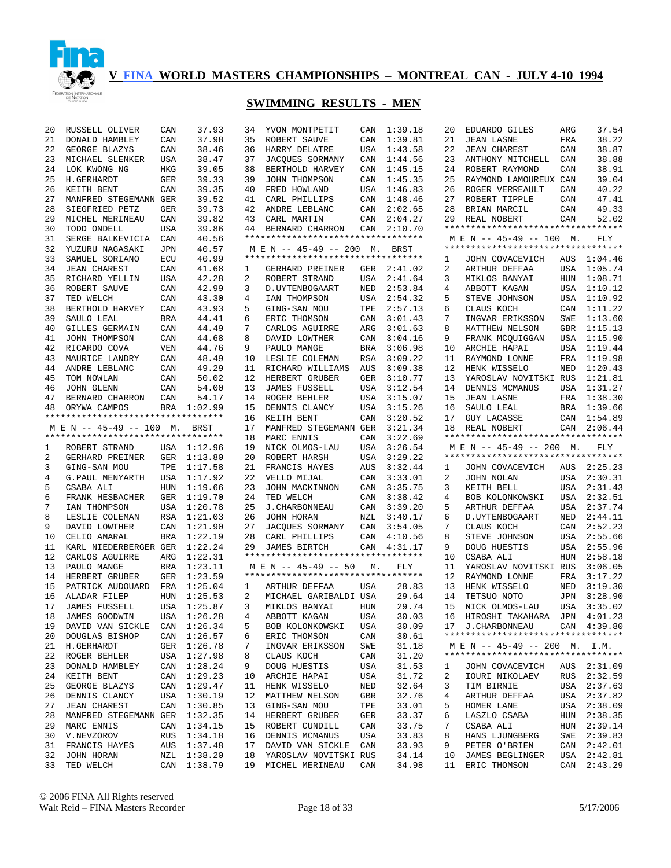

# **SWIMMING RESULTS - MEN**

| 20<br>RUSSELL OLIVER<br>CAN<br>37.93<br>34<br>YVON MONTPETIT<br>CAN<br>1:39.18<br>37.98<br>21<br>DONALD HAMBLEY<br>CAN<br>35<br>ROBERT SAUVE<br>CAN<br>1:39.81<br>22<br>GEORGE BLAZYS<br>CAN<br>38.46<br>36<br>HARRY DELATRE<br>USA<br>1:43.58<br>23<br>MICHAEL SLENKER<br>USA<br>38.47<br>37<br>JACQUES SORMANY<br>CAN<br>1:44.56<br>24<br>39.05<br>1:45.15<br>LOK KWONG NG<br>HKG<br>38<br>BERTHOLD HARVEY<br>CAN<br>25<br>39.33<br>39<br>1:45.35<br>H.GERHARDT<br>GER<br>JOHN THOMPSON<br>CAN<br>26<br>39.35<br>40<br>KEITH BENT<br>CAN<br>FRED HOWLAND<br>USA<br>1:46.83<br>27<br>41<br>MANFRED STEGEMANN GER<br>39.52<br>CARL PHILLIPS<br>CAN<br>1:48.46<br>28<br>39.73<br>SIEGFRIED PETZ<br>GER<br>42<br>ANDRE LEBLANC<br>CAN<br>2:02.65<br>29<br>39.82<br>43<br>MICHEL MERINEAU<br>CAN<br>CARL MARTIN<br>CAN<br>2:04.27<br>30<br>39.86<br>TODD ONDELL<br>USA<br>44<br>BERNARD CHARRON<br>CAN<br>2:10.70<br>**********************************<br>31<br>40.56<br>SERGE BALKEVICIA<br>CAN<br>32<br>40.57<br>M E N -- 45-49 -- 200 M.<br>YUZURU NAGASAKI<br>JPN<br>BRST<br>**********************************<br>33<br>40.99<br>SAMUEL SORIANO<br>ECU<br>34<br>41.68<br><b>JEAN CHAREST</b><br>CAN<br>2:41.02<br>GERHARD PREINER<br>GER<br>ı.<br>35<br>42.28<br>2<br>2:41.64<br>RICHARD YELLIN<br>USA<br>ROBERT STRAND<br>USA<br>36<br>42.99<br>3<br>2:53.84<br>ROBERT SAUVE<br>CAN<br>D. UYTENBOGAART<br>NED<br>37<br>4<br>2:54.32<br>TED WELCH<br>CAN<br>43.30<br>IAN THOMPSON<br>USA<br>38<br>43.93<br>5<br>2:57.13<br>BERTHOLD HARVEY<br>CAN<br>GING-SAN MOU<br>TPE<br>39<br>3:01.43<br>44.41<br>6<br>SAULO LEAL<br>BRA<br>ERIC THOMSON<br>CAN<br>44.49<br>3:01.63<br>40<br>7<br>GILLES GERMAIN<br>CAN<br>CARLOS AGUIRRE<br>ARG<br>41<br>44.68<br>8<br>3:04.16<br>JOHN THOMPSON<br>CAN<br>DAVID LOWTHER<br>CAN<br>42<br>44.76<br>9<br>3:06.98<br>RICARDO COVA<br>VEN<br>PAULO MANGE<br>BRA<br>43<br>MAURICE LANDRY<br>48.49<br>10<br>3:09.22<br>CAN<br>LESLIE COLEMAN<br>RSA<br>44<br>49.29<br>11<br>3:09.38<br>ANDRE LEBLANC<br>CAN<br>RICHARD WILLIAMS<br><b>AUS</b><br>45<br>12<br>3:10.77<br>TOM NOWLAN<br>CAN<br>50.02<br>HERBERT GRUBER<br>GER<br>46<br>54.00<br>13<br>3:12.54<br><b>JOHN GLENN</b><br>CAN<br><b>JAMES FUSSELL</b><br>USA<br>47<br>54.17<br>14<br>3:15.07<br>BERNARD CHARRON<br>CAN<br>ROGER BEHLER<br>USA<br>48<br>1:02.99<br>15<br>3:15.26<br>ORYWA CAMPOS<br>BRA<br>DENNIS CLANCY<br>USA<br>**********************************<br>16<br>3:20.52<br>KEITH BENT<br>CAN<br>M E N -- 45-49 -- 100<br>17<br>3:21.34<br>М.<br>BRST<br>MANFRED STEGEMANN GER<br>**********************************<br>18<br>3:22.69<br>MARC ENNIS<br>CAN<br>19<br>NICK OLMOS-LAU<br>3:26.54<br>1<br>ROBERT STRAND<br>USA<br>1:12.96<br>USA<br>20<br>2<br>GERHARD PREINER<br>GER<br>1:13.80<br>ROBERT HARSH<br>USA<br>3:29.22<br>3<br>21<br>3:32.44<br>GING-SAN MOU<br>TPE<br>1:17.58<br>FRANCIS HAYES<br>AUS<br>4<br>G.PAUL MENYARTH<br>1:17.92<br>22<br>CAN<br>3:33.01<br>USA<br>VELLO MIJAL<br>5<br>CSABA ALI<br>1:19.66<br>23<br>CAN<br>3:35.75<br>HUN<br>JOHN MACKINNON<br>6<br>1:19.70<br>24<br>3:38.42<br>FRANK HESBACHER<br>GER<br>TED WELCH<br>CAN<br>7<br>1:20.78<br>25<br>IAN THOMPSON<br>USA<br><b>J. CHARBONNEAU</b><br>CAN<br>3:39.20<br>8<br>1:21.03<br>26<br>LESLIE COLEMAN<br>RSA<br>JOHN HORAN<br>NZL<br>3:40.17<br>9<br>CAN<br>1:21.90<br>27<br>DAVID LOWTHER<br>JACQUES SORMANY<br>CAN<br>3:54.05<br>1:22.19<br>28<br>4:10.56<br>10<br>CELIO AMARAL<br>BRA<br>CARL PHILLIPS<br>CAN<br>1:22.24<br>29<br>11<br>KARL NIEDERBERGER GER<br>JAMES BIRTCH<br>CAN<br>4:31.17<br>*********************************<br>12<br>1:22.31<br>CARLOS AGUIRRE<br>ARG<br>13<br>M E N -- 45-49 -- 50<br>PAULO MANGE<br>BRA<br>1:23.11<br>М.<br>FLY<br>**********************************<br>14<br>GER<br>1:23.59<br>HERBERT GRUBER<br>1:25.04<br>15<br>PATRICK AUDOUARD<br>FRA<br>USA<br>28.83<br>1<br>ARTHUR DEFFAA<br>16<br>ALADAR FILEP<br>HUN<br>1:25.53<br>2<br>MICHAEL GARIBALDI USA<br>29.64<br>17<br>3<br>29.74<br>JAMES FUSSELL<br><b>USA</b><br>1:25.87<br>MIKLOS BANYAI<br>HUN<br>18<br>JAMES GOODWIN<br>USA<br>1:26.28<br>4<br>ABBOTT KAGAN<br>USA<br>30.03<br>CAN<br>1:26.34<br>5<br>USA<br>30.09<br>19<br>DAVID VAN SICKLE<br>BOB KOLONKOWSKI<br>20<br>CAN<br>1:26.57<br>6<br>CAN<br>30.61<br>DOUGLAS BISHOP<br>ERIC THOMSON<br>21<br>H.GERHARDT<br>GER<br>1:26.78<br>7<br>INGVAR ERIKSSON<br>SWE<br>31.18<br>22<br>ROGER BEHLER<br>USA<br>1:27.98<br>8<br>CLAUS KOCH<br>CAN<br>31.20<br>23<br>CAN<br>1:28.24<br>9<br>DOUG HUESTIS<br>USA<br>31.53<br>DONALD HAMBLEY<br>24<br>CAN<br>1:29.23<br>USA<br>31.72<br>KEITH BENT<br>10<br>ARCHIE HAPAI<br>25<br>CAN<br>1:29.47<br>11<br>HENK WISSELO<br>NED<br>32.64<br>GEORGE BLAZYS<br>26<br>1:30.19<br>12<br>32.76<br>DENNIS CLANCY<br>USA<br>MATTHEW NELSON<br>GBR<br>27<br>CAN<br>1:30.85<br>13<br>TPE<br>33.01<br><b>JEAN CHAREST</b><br>GING-SAN MOU<br>28<br>1:32.35<br>14<br>33.37<br>MANFRED STEGEMANN GER<br>HERBERT GRUBER<br>GER<br>29<br>MARC ENNIS<br>CAN<br>1:34.15<br>15<br>ROBERT CUNDILL<br>CAN<br>33.75<br>30<br>V.NEVZOROV<br><b>RUS</b><br>1:34.18<br>16<br>DENNIS MCMANUS<br>USA<br>33.83<br>31<br>FRANCIS HAYES<br>AUS<br>1:37.48<br>17<br>DAVID VAN SICKLE<br>CAN<br>33.93<br>32<br>NZL<br>1:38.20<br>18<br>34.14<br>JOHN HORAN<br>YAROSLAV NOVITSKI RUS<br>33<br>CAN<br>19<br>MICHEL MERINEAU<br>CAN |           |         |  |       |
|--------------------------------------------------------------------------------------------------------------------------------------------------------------------------------------------------------------------------------------------------------------------------------------------------------------------------------------------------------------------------------------------------------------------------------------------------------------------------------------------------------------------------------------------------------------------------------------------------------------------------------------------------------------------------------------------------------------------------------------------------------------------------------------------------------------------------------------------------------------------------------------------------------------------------------------------------------------------------------------------------------------------------------------------------------------------------------------------------------------------------------------------------------------------------------------------------------------------------------------------------------------------------------------------------------------------------------------------------------------------------------------------------------------------------------------------------------------------------------------------------------------------------------------------------------------------------------------------------------------------------------------------------------------------------------------------------------------------------------------------------------------------------------------------------------------------------------------------------------------------------------------------------------------------------------------------------------------------------------------------------------------------------------------------------------------------------------------------------------------------------------------------------------------------------------------------------------------------------------------------------------------------------------------------------------------------------------------------------------------------------------------------------------------------------------------------------------------------------------------------------------------------------------------------------------------------------------------------------------------------------------------------------------------------------------------------------------------------------------------------------------------------------------------------------------------------------------------------------------------------------------------------------------------------------------------------------------------------------------------------------------------------------------------------------------------------------------------------------------------------------------------------------------------------------------------------------------------------------------------------------------------------------------------------------------------------------------------------------------------------------------------------------------------------------------------------------------------------------------------------------------------------------------------------------------------------------------------------------------------------------------------------------------------------------------------------------------------------------------------------------------------------------------------------------------------------------------------------------------------------------------------------------------------------------------------------------------------------------------------------------------------------------------------------------------------------------------------------------------------------------------------------------------------------------------------------------------------------------------------------------------------------------------------------------------------------------------------------------------------------------------------------------------------------------------------------------------------------------------------------------------------------------------------------------------------------------------------------------------------------------------------------------------------------------------------------------------------------------------------------------------------------------------------------------------------------------------------------------------------------------------------------------------------------------------------------------------------------------------------------------------------------------------------------------------------------------------------------------------------------------------------------------------------------------------------------------------------------------------------------------------------------------------------------------------------------------------------------------------------------------------------------------|-----------|---------|--|-------|
|                                                                                                                                                                                                                                                                                                                                                                                                                                                                                                                                                                                                                                                                                                                                                                                                                                                                                                                                                                                                                                                                                                                                                                                                                                                                                                                                                                                                                                                                                                                                                                                                                                                                                                                                                                                                                                                                                                                                                                                                                                                                                                                                                                                                                                                                                                                                                                                                                                                                                                                                                                                                                                                                                                                                                                                                                                                                                                                                                                                                                                                                                                                                                                                                                                                                                                                                                                                                                                                                                                                                                                                                                                                                                                                                                                                                                                                                                                                                                                                                                                                                                                                                                                                                                                                                                                                                                                                                                                                                                                                                                                                                                                                                                                                                                                                                                                                                                                                                                                                                                                                                                                                                                                                                                                                                                                                                                                                                  |           |         |  |       |
|                                                                                                                                                                                                                                                                                                                                                                                                                                                                                                                                                                                                                                                                                                                                                                                                                                                                                                                                                                                                                                                                                                                                                                                                                                                                                                                                                                                                                                                                                                                                                                                                                                                                                                                                                                                                                                                                                                                                                                                                                                                                                                                                                                                                                                                                                                                                                                                                                                                                                                                                                                                                                                                                                                                                                                                                                                                                                                                                                                                                                                                                                                                                                                                                                                                                                                                                                                                                                                                                                                                                                                                                                                                                                                                                                                                                                                                                                                                                                                                                                                                                                                                                                                                                                                                                                                                                                                                                                                                                                                                                                                                                                                                                                                                                                                                                                                                                                                                                                                                                                                                                                                                                                                                                                                                                                                                                                                                                  |           |         |  |       |
|                                                                                                                                                                                                                                                                                                                                                                                                                                                                                                                                                                                                                                                                                                                                                                                                                                                                                                                                                                                                                                                                                                                                                                                                                                                                                                                                                                                                                                                                                                                                                                                                                                                                                                                                                                                                                                                                                                                                                                                                                                                                                                                                                                                                                                                                                                                                                                                                                                                                                                                                                                                                                                                                                                                                                                                                                                                                                                                                                                                                                                                                                                                                                                                                                                                                                                                                                                                                                                                                                                                                                                                                                                                                                                                                                                                                                                                                                                                                                                                                                                                                                                                                                                                                                                                                                                                                                                                                                                                                                                                                                                                                                                                                                                                                                                                                                                                                                                                                                                                                                                                                                                                                                                                                                                                                                                                                                                                                  |           |         |  |       |
|                                                                                                                                                                                                                                                                                                                                                                                                                                                                                                                                                                                                                                                                                                                                                                                                                                                                                                                                                                                                                                                                                                                                                                                                                                                                                                                                                                                                                                                                                                                                                                                                                                                                                                                                                                                                                                                                                                                                                                                                                                                                                                                                                                                                                                                                                                                                                                                                                                                                                                                                                                                                                                                                                                                                                                                                                                                                                                                                                                                                                                                                                                                                                                                                                                                                                                                                                                                                                                                                                                                                                                                                                                                                                                                                                                                                                                                                                                                                                                                                                                                                                                                                                                                                                                                                                                                                                                                                                                                                                                                                                                                                                                                                                                                                                                                                                                                                                                                                                                                                                                                                                                                                                                                                                                                                                                                                                                                                  |           |         |  |       |
|                                                                                                                                                                                                                                                                                                                                                                                                                                                                                                                                                                                                                                                                                                                                                                                                                                                                                                                                                                                                                                                                                                                                                                                                                                                                                                                                                                                                                                                                                                                                                                                                                                                                                                                                                                                                                                                                                                                                                                                                                                                                                                                                                                                                                                                                                                                                                                                                                                                                                                                                                                                                                                                                                                                                                                                                                                                                                                                                                                                                                                                                                                                                                                                                                                                                                                                                                                                                                                                                                                                                                                                                                                                                                                                                                                                                                                                                                                                                                                                                                                                                                                                                                                                                                                                                                                                                                                                                                                                                                                                                                                                                                                                                                                                                                                                                                                                                                                                                                                                                                                                                                                                                                                                                                                                                                                                                                                                                  |           |         |  |       |
|                                                                                                                                                                                                                                                                                                                                                                                                                                                                                                                                                                                                                                                                                                                                                                                                                                                                                                                                                                                                                                                                                                                                                                                                                                                                                                                                                                                                                                                                                                                                                                                                                                                                                                                                                                                                                                                                                                                                                                                                                                                                                                                                                                                                                                                                                                                                                                                                                                                                                                                                                                                                                                                                                                                                                                                                                                                                                                                                                                                                                                                                                                                                                                                                                                                                                                                                                                                                                                                                                                                                                                                                                                                                                                                                                                                                                                                                                                                                                                                                                                                                                                                                                                                                                                                                                                                                                                                                                                                                                                                                                                                                                                                                                                                                                                                                                                                                                                                                                                                                                                                                                                                                                                                                                                                                                                                                                                                                  |           |         |  |       |
|                                                                                                                                                                                                                                                                                                                                                                                                                                                                                                                                                                                                                                                                                                                                                                                                                                                                                                                                                                                                                                                                                                                                                                                                                                                                                                                                                                                                                                                                                                                                                                                                                                                                                                                                                                                                                                                                                                                                                                                                                                                                                                                                                                                                                                                                                                                                                                                                                                                                                                                                                                                                                                                                                                                                                                                                                                                                                                                                                                                                                                                                                                                                                                                                                                                                                                                                                                                                                                                                                                                                                                                                                                                                                                                                                                                                                                                                                                                                                                                                                                                                                                                                                                                                                                                                                                                                                                                                                                                                                                                                                                                                                                                                                                                                                                                                                                                                                                                                                                                                                                                                                                                                                                                                                                                                                                                                                                                                  |           |         |  |       |
|                                                                                                                                                                                                                                                                                                                                                                                                                                                                                                                                                                                                                                                                                                                                                                                                                                                                                                                                                                                                                                                                                                                                                                                                                                                                                                                                                                                                                                                                                                                                                                                                                                                                                                                                                                                                                                                                                                                                                                                                                                                                                                                                                                                                                                                                                                                                                                                                                                                                                                                                                                                                                                                                                                                                                                                                                                                                                                                                                                                                                                                                                                                                                                                                                                                                                                                                                                                                                                                                                                                                                                                                                                                                                                                                                                                                                                                                                                                                                                                                                                                                                                                                                                                                                                                                                                                                                                                                                                                                                                                                                                                                                                                                                                                                                                                                                                                                                                                                                                                                                                                                                                                                                                                                                                                                                                                                                                                                  |           |         |  |       |
|                                                                                                                                                                                                                                                                                                                                                                                                                                                                                                                                                                                                                                                                                                                                                                                                                                                                                                                                                                                                                                                                                                                                                                                                                                                                                                                                                                                                                                                                                                                                                                                                                                                                                                                                                                                                                                                                                                                                                                                                                                                                                                                                                                                                                                                                                                                                                                                                                                                                                                                                                                                                                                                                                                                                                                                                                                                                                                                                                                                                                                                                                                                                                                                                                                                                                                                                                                                                                                                                                                                                                                                                                                                                                                                                                                                                                                                                                                                                                                                                                                                                                                                                                                                                                                                                                                                                                                                                                                                                                                                                                                                                                                                                                                                                                                                                                                                                                                                                                                                                                                                                                                                                                                                                                                                                                                                                                                                                  |           |         |  |       |
|                                                                                                                                                                                                                                                                                                                                                                                                                                                                                                                                                                                                                                                                                                                                                                                                                                                                                                                                                                                                                                                                                                                                                                                                                                                                                                                                                                                                                                                                                                                                                                                                                                                                                                                                                                                                                                                                                                                                                                                                                                                                                                                                                                                                                                                                                                                                                                                                                                                                                                                                                                                                                                                                                                                                                                                                                                                                                                                                                                                                                                                                                                                                                                                                                                                                                                                                                                                                                                                                                                                                                                                                                                                                                                                                                                                                                                                                                                                                                                                                                                                                                                                                                                                                                                                                                                                                                                                                                                                                                                                                                                                                                                                                                                                                                                                                                                                                                                                                                                                                                                                                                                                                                                                                                                                                                                                                                                                                  |           |         |  |       |
|                                                                                                                                                                                                                                                                                                                                                                                                                                                                                                                                                                                                                                                                                                                                                                                                                                                                                                                                                                                                                                                                                                                                                                                                                                                                                                                                                                                                                                                                                                                                                                                                                                                                                                                                                                                                                                                                                                                                                                                                                                                                                                                                                                                                                                                                                                                                                                                                                                                                                                                                                                                                                                                                                                                                                                                                                                                                                                                                                                                                                                                                                                                                                                                                                                                                                                                                                                                                                                                                                                                                                                                                                                                                                                                                                                                                                                                                                                                                                                                                                                                                                                                                                                                                                                                                                                                                                                                                                                                                                                                                                                                                                                                                                                                                                                                                                                                                                                                                                                                                                                                                                                                                                                                                                                                                                                                                                                                                  |           |         |  |       |
|                                                                                                                                                                                                                                                                                                                                                                                                                                                                                                                                                                                                                                                                                                                                                                                                                                                                                                                                                                                                                                                                                                                                                                                                                                                                                                                                                                                                                                                                                                                                                                                                                                                                                                                                                                                                                                                                                                                                                                                                                                                                                                                                                                                                                                                                                                                                                                                                                                                                                                                                                                                                                                                                                                                                                                                                                                                                                                                                                                                                                                                                                                                                                                                                                                                                                                                                                                                                                                                                                                                                                                                                                                                                                                                                                                                                                                                                                                                                                                                                                                                                                                                                                                                                                                                                                                                                                                                                                                                                                                                                                                                                                                                                                                                                                                                                                                                                                                                                                                                                                                                                                                                                                                                                                                                                                                                                                                                                  |           |         |  |       |
|                                                                                                                                                                                                                                                                                                                                                                                                                                                                                                                                                                                                                                                                                                                                                                                                                                                                                                                                                                                                                                                                                                                                                                                                                                                                                                                                                                                                                                                                                                                                                                                                                                                                                                                                                                                                                                                                                                                                                                                                                                                                                                                                                                                                                                                                                                                                                                                                                                                                                                                                                                                                                                                                                                                                                                                                                                                                                                                                                                                                                                                                                                                                                                                                                                                                                                                                                                                                                                                                                                                                                                                                                                                                                                                                                                                                                                                                                                                                                                                                                                                                                                                                                                                                                                                                                                                                                                                                                                                                                                                                                                                                                                                                                                                                                                                                                                                                                                                                                                                                                                                                                                                                                                                                                                                                                                                                                                                                  |           |         |  |       |
|                                                                                                                                                                                                                                                                                                                                                                                                                                                                                                                                                                                                                                                                                                                                                                                                                                                                                                                                                                                                                                                                                                                                                                                                                                                                                                                                                                                                                                                                                                                                                                                                                                                                                                                                                                                                                                                                                                                                                                                                                                                                                                                                                                                                                                                                                                                                                                                                                                                                                                                                                                                                                                                                                                                                                                                                                                                                                                                                                                                                                                                                                                                                                                                                                                                                                                                                                                                                                                                                                                                                                                                                                                                                                                                                                                                                                                                                                                                                                                                                                                                                                                                                                                                                                                                                                                                                                                                                                                                                                                                                                                                                                                                                                                                                                                                                                                                                                                                                                                                                                                                                                                                                                                                                                                                                                                                                                                                                  |           |         |  |       |
|                                                                                                                                                                                                                                                                                                                                                                                                                                                                                                                                                                                                                                                                                                                                                                                                                                                                                                                                                                                                                                                                                                                                                                                                                                                                                                                                                                                                                                                                                                                                                                                                                                                                                                                                                                                                                                                                                                                                                                                                                                                                                                                                                                                                                                                                                                                                                                                                                                                                                                                                                                                                                                                                                                                                                                                                                                                                                                                                                                                                                                                                                                                                                                                                                                                                                                                                                                                                                                                                                                                                                                                                                                                                                                                                                                                                                                                                                                                                                                                                                                                                                                                                                                                                                                                                                                                                                                                                                                                                                                                                                                                                                                                                                                                                                                                                                                                                                                                                                                                                                                                                                                                                                                                                                                                                                                                                                                                                  |           |         |  |       |
|                                                                                                                                                                                                                                                                                                                                                                                                                                                                                                                                                                                                                                                                                                                                                                                                                                                                                                                                                                                                                                                                                                                                                                                                                                                                                                                                                                                                                                                                                                                                                                                                                                                                                                                                                                                                                                                                                                                                                                                                                                                                                                                                                                                                                                                                                                                                                                                                                                                                                                                                                                                                                                                                                                                                                                                                                                                                                                                                                                                                                                                                                                                                                                                                                                                                                                                                                                                                                                                                                                                                                                                                                                                                                                                                                                                                                                                                                                                                                                                                                                                                                                                                                                                                                                                                                                                                                                                                                                                                                                                                                                                                                                                                                                                                                                                                                                                                                                                                                                                                                                                                                                                                                                                                                                                                                                                                                                                                  |           |         |  |       |
|                                                                                                                                                                                                                                                                                                                                                                                                                                                                                                                                                                                                                                                                                                                                                                                                                                                                                                                                                                                                                                                                                                                                                                                                                                                                                                                                                                                                                                                                                                                                                                                                                                                                                                                                                                                                                                                                                                                                                                                                                                                                                                                                                                                                                                                                                                                                                                                                                                                                                                                                                                                                                                                                                                                                                                                                                                                                                                                                                                                                                                                                                                                                                                                                                                                                                                                                                                                                                                                                                                                                                                                                                                                                                                                                                                                                                                                                                                                                                                                                                                                                                                                                                                                                                                                                                                                                                                                                                                                                                                                                                                                                                                                                                                                                                                                                                                                                                                                                                                                                                                                                                                                                                                                                                                                                                                                                                                                                  |           |         |  |       |
|                                                                                                                                                                                                                                                                                                                                                                                                                                                                                                                                                                                                                                                                                                                                                                                                                                                                                                                                                                                                                                                                                                                                                                                                                                                                                                                                                                                                                                                                                                                                                                                                                                                                                                                                                                                                                                                                                                                                                                                                                                                                                                                                                                                                                                                                                                                                                                                                                                                                                                                                                                                                                                                                                                                                                                                                                                                                                                                                                                                                                                                                                                                                                                                                                                                                                                                                                                                                                                                                                                                                                                                                                                                                                                                                                                                                                                                                                                                                                                                                                                                                                                                                                                                                                                                                                                                                                                                                                                                                                                                                                                                                                                                                                                                                                                                                                                                                                                                                                                                                                                                                                                                                                                                                                                                                                                                                                                                                  |           |         |  |       |
|                                                                                                                                                                                                                                                                                                                                                                                                                                                                                                                                                                                                                                                                                                                                                                                                                                                                                                                                                                                                                                                                                                                                                                                                                                                                                                                                                                                                                                                                                                                                                                                                                                                                                                                                                                                                                                                                                                                                                                                                                                                                                                                                                                                                                                                                                                                                                                                                                                                                                                                                                                                                                                                                                                                                                                                                                                                                                                                                                                                                                                                                                                                                                                                                                                                                                                                                                                                                                                                                                                                                                                                                                                                                                                                                                                                                                                                                                                                                                                                                                                                                                                                                                                                                                                                                                                                                                                                                                                                                                                                                                                                                                                                                                                                                                                                                                                                                                                                                                                                                                                                                                                                                                                                                                                                                                                                                                                                                  |           |         |  |       |
|                                                                                                                                                                                                                                                                                                                                                                                                                                                                                                                                                                                                                                                                                                                                                                                                                                                                                                                                                                                                                                                                                                                                                                                                                                                                                                                                                                                                                                                                                                                                                                                                                                                                                                                                                                                                                                                                                                                                                                                                                                                                                                                                                                                                                                                                                                                                                                                                                                                                                                                                                                                                                                                                                                                                                                                                                                                                                                                                                                                                                                                                                                                                                                                                                                                                                                                                                                                                                                                                                                                                                                                                                                                                                                                                                                                                                                                                                                                                                                                                                                                                                                                                                                                                                                                                                                                                                                                                                                                                                                                                                                                                                                                                                                                                                                                                                                                                                                                                                                                                                                                                                                                                                                                                                                                                                                                                                                                                  |           |         |  |       |
|                                                                                                                                                                                                                                                                                                                                                                                                                                                                                                                                                                                                                                                                                                                                                                                                                                                                                                                                                                                                                                                                                                                                                                                                                                                                                                                                                                                                                                                                                                                                                                                                                                                                                                                                                                                                                                                                                                                                                                                                                                                                                                                                                                                                                                                                                                                                                                                                                                                                                                                                                                                                                                                                                                                                                                                                                                                                                                                                                                                                                                                                                                                                                                                                                                                                                                                                                                                                                                                                                                                                                                                                                                                                                                                                                                                                                                                                                                                                                                                                                                                                                                                                                                                                                                                                                                                                                                                                                                                                                                                                                                                                                                                                                                                                                                                                                                                                                                                                                                                                                                                                                                                                                                                                                                                                                                                                                                                                  |           |         |  |       |
|                                                                                                                                                                                                                                                                                                                                                                                                                                                                                                                                                                                                                                                                                                                                                                                                                                                                                                                                                                                                                                                                                                                                                                                                                                                                                                                                                                                                                                                                                                                                                                                                                                                                                                                                                                                                                                                                                                                                                                                                                                                                                                                                                                                                                                                                                                                                                                                                                                                                                                                                                                                                                                                                                                                                                                                                                                                                                                                                                                                                                                                                                                                                                                                                                                                                                                                                                                                                                                                                                                                                                                                                                                                                                                                                                                                                                                                                                                                                                                                                                                                                                                                                                                                                                                                                                                                                                                                                                                                                                                                                                                                                                                                                                                                                                                                                                                                                                                                                                                                                                                                                                                                                                                                                                                                                                                                                                                                                  |           |         |  |       |
|                                                                                                                                                                                                                                                                                                                                                                                                                                                                                                                                                                                                                                                                                                                                                                                                                                                                                                                                                                                                                                                                                                                                                                                                                                                                                                                                                                                                                                                                                                                                                                                                                                                                                                                                                                                                                                                                                                                                                                                                                                                                                                                                                                                                                                                                                                                                                                                                                                                                                                                                                                                                                                                                                                                                                                                                                                                                                                                                                                                                                                                                                                                                                                                                                                                                                                                                                                                                                                                                                                                                                                                                                                                                                                                                                                                                                                                                                                                                                                                                                                                                                                                                                                                                                                                                                                                                                                                                                                                                                                                                                                                                                                                                                                                                                                                                                                                                                                                                                                                                                                                                                                                                                                                                                                                                                                                                                                                                  |           |         |  |       |
|                                                                                                                                                                                                                                                                                                                                                                                                                                                                                                                                                                                                                                                                                                                                                                                                                                                                                                                                                                                                                                                                                                                                                                                                                                                                                                                                                                                                                                                                                                                                                                                                                                                                                                                                                                                                                                                                                                                                                                                                                                                                                                                                                                                                                                                                                                                                                                                                                                                                                                                                                                                                                                                                                                                                                                                                                                                                                                                                                                                                                                                                                                                                                                                                                                                                                                                                                                                                                                                                                                                                                                                                                                                                                                                                                                                                                                                                                                                                                                                                                                                                                                                                                                                                                                                                                                                                                                                                                                                                                                                                                                                                                                                                                                                                                                                                                                                                                                                                                                                                                                                                                                                                                                                                                                                                                                                                                                                                  |           |         |  |       |
|                                                                                                                                                                                                                                                                                                                                                                                                                                                                                                                                                                                                                                                                                                                                                                                                                                                                                                                                                                                                                                                                                                                                                                                                                                                                                                                                                                                                                                                                                                                                                                                                                                                                                                                                                                                                                                                                                                                                                                                                                                                                                                                                                                                                                                                                                                                                                                                                                                                                                                                                                                                                                                                                                                                                                                                                                                                                                                                                                                                                                                                                                                                                                                                                                                                                                                                                                                                                                                                                                                                                                                                                                                                                                                                                                                                                                                                                                                                                                                                                                                                                                                                                                                                                                                                                                                                                                                                                                                                                                                                                                                                                                                                                                                                                                                                                                                                                                                                                                                                                                                                                                                                                                                                                                                                                                                                                                                                                  |           |         |  |       |
|                                                                                                                                                                                                                                                                                                                                                                                                                                                                                                                                                                                                                                                                                                                                                                                                                                                                                                                                                                                                                                                                                                                                                                                                                                                                                                                                                                                                                                                                                                                                                                                                                                                                                                                                                                                                                                                                                                                                                                                                                                                                                                                                                                                                                                                                                                                                                                                                                                                                                                                                                                                                                                                                                                                                                                                                                                                                                                                                                                                                                                                                                                                                                                                                                                                                                                                                                                                                                                                                                                                                                                                                                                                                                                                                                                                                                                                                                                                                                                                                                                                                                                                                                                                                                                                                                                                                                                                                                                                                                                                                                                                                                                                                                                                                                                                                                                                                                                                                                                                                                                                                                                                                                                                                                                                                                                                                                                                                  |           |         |  |       |
|                                                                                                                                                                                                                                                                                                                                                                                                                                                                                                                                                                                                                                                                                                                                                                                                                                                                                                                                                                                                                                                                                                                                                                                                                                                                                                                                                                                                                                                                                                                                                                                                                                                                                                                                                                                                                                                                                                                                                                                                                                                                                                                                                                                                                                                                                                                                                                                                                                                                                                                                                                                                                                                                                                                                                                                                                                                                                                                                                                                                                                                                                                                                                                                                                                                                                                                                                                                                                                                                                                                                                                                                                                                                                                                                                                                                                                                                                                                                                                                                                                                                                                                                                                                                                                                                                                                                                                                                                                                                                                                                                                                                                                                                                                                                                                                                                                                                                                                                                                                                                                                                                                                                                                                                                                                                                                                                                                                                  |           |         |  |       |
|                                                                                                                                                                                                                                                                                                                                                                                                                                                                                                                                                                                                                                                                                                                                                                                                                                                                                                                                                                                                                                                                                                                                                                                                                                                                                                                                                                                                                                                                                                                                                                                                                                                                                                                                                                                                                                                                                                                                                                                                                                                                                                                                                                                                                                                                                                                                                                                                                                                                                                                                                                                                                                                                                                                                                                                                                                                                                                                                                                                                                                                                                                                                                                                                                                                                                                                                                                                                                                                                                                                                                                                                                                                                                                                                                                                                                                                                                                                                                                                                                                                                                                                                                                                                                                                                                                                                                                                                                                                                                                                                                                                                                                                                                                                                                                                                                                                                                                                                                                                                                                                                                                                                                                                                                                                                                                                                                                                                  |           |         |  |       |
|                                                                                                                                                                                                                                                                                                                                                                                                                                                                                                                                                                                                                                                                                                                                                                                                                                                                                                                                                                                                                                                                                                                                                                                                                                                                                                                                                                                                                                                                                                                                                                                                                                                                                                                                                                                                                                                                                                                                                                                                                                                                                                                                                                                                                                                                                                                                                                                                                                                                                                                                                                                                                                                                                                                                                                                                                                                                                                                                                                                                                                                                                                                                                                                                                                                                                                                                                                                                                                                                                                                                                                                                                                                                                                                                                                                                                                                                                                                                                                                                                                                                                                                                                                                                                                                                                                                                                                                                                                                                                                                                                                                                                                                                                                                                                                                                                                                                                                                                                                                                                                                                                                                                                                                                                                                                                                                                                                                                  |           |         |  |       |
|                                                                                                                                                                                                                                                                                                                                                                                                                                                                                                                                                                                                                                                                                                                                                                                                                                                                                                                                                                                                                                                                                                                                                                                                                                                                                                                                                                                                                                                                                                                                                                                                                                                                                                                                                                                                                                                                                                                                                                                                                                                                                                                                                                                                                                                                                                                                                                                                                                                                                                                                                                                                                                                                                                                                                                                                                                                                                                                                                                                                                                                                                                                                                                                                                                                                                                                                                                                                                                                                                                                                                                                                                                                                                                                                                                                                                                                                                                                                                                                                                                                                                                                                                                                                                                                                                                                                                                                                                                                                                                                                                                                                                                                                                                                                                                                                                                                                                                                                                                                                                                                                                                                                                                                                                                                                                                                                                                                                  |           |         |  |       |
|                                                                                                                                                                                                                                                                                                                                                                                                                                                                                                                                                                                                                                                                                                                                                                                                                                                                                                                                                                                                                                                                                                                                                                                                                                                                                                                                                                                                                                                                                                                                                                                                                                                                                                                                                                                                                                                                                                                                                                                                                                                                                                                                                                                                                                                                                                                                                                                                                                                                                                                                                                                                                                                                                                                                                                                                                                                                                                                                                                                                                                                                                                                                                                                                                                                                                                                                                                                                                                                                                                                                                                                                                                                                                                                                                                                                                                                                                                                                                                                                                                                                                                                                                                                                                                                                                                                                                                                                                                                                                                                                                                                                                                                                                                                                                                                                                                                                                                                                                                                                                                                                                                                                                                                                                                                                                                                                                                                                  |           |         |  |       |
|                                                                                                                                                                                                                                                                                                                                                                                                                                                                                                                                                                                                                                                                                                                                                                                                                                                                                                                                                                                                                                                                                                                                                                                                                                                                                                                                                                                                                                                                                                                                                                                                                                                                                                                                                                                                                                                                                                                                                                                                                                                                                                                                                                                                                                                                                                                                                                                                                                                                                                                                                                                                                                                                                                                                                                                                                                                                                                                                                                                                                                                                                                                                                                                                                                                                                                                                                                                                                                                                                                                                                                                                                                                                                                                                                                                                                                                                                                                                                                                                                                                                                                                                                                                                                                                                                                                                                                                                                                                                                                                                                                                                                                                                                                                                                                                                                                                                                                                                                                                                                                                                                                                                                                                                                                                                                                                                                                                                  |           |         |  |       |
|                                                                                                                                                                                                                                                                                                                                                                                                                                                                                                                                                                                                                                                                                                                                                                                                                                                                                                                                                                                                                                                                                                                                                                                                                                                                                                                                                                                                                                                                                                                                                                                                                                                                                                                                                                                                                                                                                                                                                                                                                                                                                                                                                                                                                                                                                                                                                                                                                                                                                                                                                                                                                                                                                                                                                                                                                                                                                                                                                                                                                                                                                                                                                                                                                                                                                                                                                                                                                                                                                                                                                                                                                                                                                                                                                                                                                                                                                                                                                                                                                                                                                                                                                                                                                                                                                                                                                                                                                                                                                                                                                                                                                                                                                                                                                                                                                                                                                                                                                                                                                                                                                                                                                                                                                                                                                                                                                                                                  |           |         |  |       |
|                                                                                                                                                                                                                                                                                                                                                                                                                                                                                                                                                                                                                                                                                                                                                                                                                                                                                                                                                                                                                                                                                                                                                                                                                                                                                                                                                                                                                                                                                                                                                                                                                                                                                                                                                                                                                                                                                                                                                                                                                                                                                                                                                                                                                                                                                                                                                                                                                                                                                                                                                                                                                                                                                                                                                                                                                                                                                                                                                                                                                                                                                                                                                                                                                                                                                                                                                                                                                                                                                                                                                                                                                                                                                                                                                                                                                                                                                                                                                                                                                                                                                                                                                                                                                                                                                                                                                                                                                                                                                                                                                                                                                                                                                                                                                                                                                                                                                                                                                                                                                                                                                                                                                                                                                                                                                                                                                                                                  |           |         |  |       |
|                                                                                                                                                                                                                                                                                                                                                                                                                                                                                                                                                                                                                                                                                                                                                                                                                                                                                                                                                                                                                                                                                                                                                                                                                                                                                                                                                                                                                                                                                                                                                                                                                                                                                                                                                                                                                                                                                                                                                                                                                                                                                                                                                                                                                                                                                                                                                                                                                                                                                                                                                                                                                                                                                                                                                                                                                                                                                                                                                                                                                                                                                                                                                                                                                                                                                                                                                                                                                                                                                                                                                                                                                                                                                                                                                                                                                                                                                                                                                                                                                                                                                                                                                                                                                                                                                                                                                                                                                                                                                                                                                                                                                                                                                                                                                                                                                                                                                                                                                                                                                                                                                                                                                                                                                                                                                                                                                                                                  |           |         |  |       |
|                                                                                                                                                                                                                                                                                                                                                                                                                                                                                                                                                                                                                                                                                                                                                                                                                                                                                                                                                                                                                                                                                                                                                                                                                                                                                                                                                                                                                                                                                                                                                                                                                                                                                                                                                                                                                                                                                                                                                                                                                                                                                                                                                                                                                                                                                                                                                                                                                                                                                                                                                                                                                                                                                                                                                                                                                                                                                                                                                                                                                                                                                                                                                                                                                                                                                                                                                                                                                                                                                                                                                                                                                                                                                                                                                                                                                                                                                                                                                                                                                                                                                                                                                                                                                                                                                                                                                                                                                                                                                                                                                                                                                                                                                                                                                                                                                                                                                                                                                                                                                                                                                                                                                                                                                                                                                                                                                                                                  |           |         |  |       |
|                                                                                                                                                                                                                                                                                                                                                                                                                                                                                                                                                                                                                                                                                                                                                                                                                                                                                                                                                                                                                                                                                                                                                                                                                                                                                                                                                                                                                                                                                                                                                                                                                                                                                                                                                                                                                                                                                                                                                                                                                                                                                                                                                                                                                                                                                                                                                                                                                                                                                                                                                                                                                                                                                                                                                                                                                                                                                                                                                                                                                                                                                                                                                                                                                                                                                                                                                                                                                                                                                                                                                                                                                                                                                                                                                                                                                                                                                                                                                                                                                                                                                                                                                                                                                                                                                                                                                                                                                                                                                                                                                                                                                                                                                                                                                                                                                                                                                                                                                                                                                                                                                                                                                                                                                                                                                                                                                                                                  |           |         |  |       |
|                                                                                                                                                                                                                                                                                                                                                                                                                                                                                                                                                                                                                                                                                                                                                                                                                                                                                                                                                                                                                                                                                                                                                                                                                                                                                                                                                                                                                                                                                                                                                                                                                                                                                                                                                                                                                                                                                                                                                                                                                                                                                                                                                                                                                                                                                                                                                                                                                                                                                                                                                                                                                                                                                                                                                                                                                                                                                                                                                                                                                                                                                                                                                                                                                                                                                                                                                                                                                                                                                                                                                                                                                                                                                                                                                                                                                                                                                                                                                                                                                                                                                                                                                                                                                                                                                                                                                                                                                                                                                                                                                                                                                                                                                                                                                                                                                                                                                                                                                                                                                                                                                                                                                                                                                                                                                                                                                                                                  |           |         |  |       |
|                                                                                                                                                                                                                                                                                                                                                                                                                                                                                                                                                                                                                                                                                                                                                                                                                                                                                                                                                                                                                                                                                                                                                                                                                                                                                                                                                                                                                                                                                                                                                                                                                                                                                                                                                                                                                                                                                                                                                                                                                                                                                                                                                                                                                                                                                                                                                                                                                                                                                                                                                                                                                                                                                                                                                                                                                                                                                                                                                                                                                                                                                                                                                                                                                                                                                                                                                                                                                                                                                                                                                                                                                                                                                                                                                                                                                                                                                                                                                                                                                                                                                                                                                                                                                                                                                                                                                                                                                                                                                                                                                                                                                                                                                                                                                                                                                                                                                                                                                                                                                                                                                                                                                                                                                                                                                                                                                                                                  |           |         |  |       |
|                                                                                                                                                                                                                                                                                                                                                                                                                                                                                                                                                                                                                                                                                                                                                                                                                                                                                                                                                                                                                                                                                                                                                                                                                                                                                                                                                                                                                                                                                                                                                                                                                                                                                                                                                                                                                                                                                                                                                                                                                                                                                                                                                                                                                                                                                                                                                                                                                                                                                                                                                                                                                                                                                                                                                                                                                                                                                                                                                                                                                                                                                                                                                                                                                                                                                                                                                                                                                                                                                                                                                                                                                                                                                                                                                                                                                                                                                                                                                                                                                                                                                                                                                                                                                                                                                                                                                                                                                                                                                                                                                                                                                                                                                                                                                                                                                                                                                                                                                                                                                                                                                                                                                                                                                                                                                                                                                                                                  |           |         |  |       |
|                                                                                                                                                                                                                                                                                                                                                                                                                                                                                                                                                                                                                                                                                                                                                                                                                                                                                                                                                                                                                                                                                                                                                                                                                                                                                                                                                                                                                                                                                                                                                                                                                                                                                                                                                                                                                                                                                                                                                                                                                                                                                                                                                                                                                                                                                                                                                                                                                                                                                                                                                                                                                                                                                                                                                                                                                                                                                                                                                                                                                                                                                                                                                                                                                                                                                                                                                                                                                                                                                                                                                                                                                                                                                                                                                                                                                                                                                                                                                                                                                                                                                                                                                                                                                                                                                                                                                                                                                                                                                                                                                                                                                                                                                                                                                                                                                                                                                                                                                                                                                                                                                                                                                                                                                                                                                                                                                                                                  |           |         |  |       |
|                                                                                                                                                                                                                                                                                                                                                                                                                                                                                                                                                                                                                                                                                                                                                                                                                                                                                                                                                                                                                                                                                                                                                                                                                                                                                                                                                                                                                                                                                                                                                                                                                                                                                                                                                                                                                                                                                                                                                                                                                                                                                                                                                                                                                                                                                                                                                                                                                                                                                                                                                                                                                                                                                                                                                                                                                                                                                                                                                                                                                                                                                                                                                                                                                                                                                                                                                                                                                                                                                                                                                                                                                                                                                                                                                                                                                                                                                                                                                                                                                                                                                                                                                                                                                                                                                                                                                                                                                                                                                                                                                                                                                                                                                                                                                                                                                                                                                                                                                                                                                                                                                                                                                                                                                                                                                                                                                                                                  |           |         |  |       |
|                                                                                                                                                                                                                                                                                                                                                                                                                                                                                                                                                                                                                                                                                                                                                                                                                                                                                                                                                                                                                                                                                                                                                                                                                                                                                                                                                                                                                                                                                                                                                                                                                                                                                                                                                                                                                                                                                                                                                                                                                                                                                                                                                                                                                                                                                                                                                                                                                                                                                                                                                                                                                                                                                                                                                                                                                                                                                                                                                                                                                                                                                                                                                                                                                                                                                                                                                                                                                                                                                                                                                                                                                                                                                                                                                                                                                                                                                                                                                                                                                                                                                                                                                                                                                                                                                                                                                                                                                                                                                                                                                                                                                                                                                                                                                                                                                                                                                                                                                                                                                                                                                                                                                                                                                                                                                                                                                                                                  |           |         |  |       |
|                                                                                                                                                                                                                                                                                                                                                                                                                                                                                                                                                                                                                                                                                                                                                                                                                                                                                                                                                                                                                                                                                                                                                                                                                                                                                                                                                                                                                                                                                                                                                                                                                                                                                                                                                                                                                                                                                                                                                                                                                                                                                                                                                                                                                                                                                                                                                                                                                                                                                                                                                                                                                                                                                                                                                                                                                                                                                                                                                                                                                                                                                                                                                                                                                                                                                                                                                                                                                                                                                                                                                                                                                                                                                                                                                                                                                                                                                                                                                                                                                                                                                                                                                                                                                                                                                                                                                                                                                                                                                                                                                                                                                                                                                                                                                                                                                                                                                                                                                                                                                                                                                                                                                                                                                                                                                                                                                                                                  |           |         |  |       |
|                                                                                                                                                                                                                                                                                                                                                                                                                                                                                                                                                                                                                                                                                                                                                                                                                                                                                                                                                                                                                                                                                                                                                                                                                                                                                                                                                                                                                                                                                                                                                                                                                                                                                                                                                                                                                                                                                                                                                                                                                                                                                                                                                                                                                                                                                                                                                                                                                                                                                                                                                                                                                                                                                                                                                                                                                                                                                                                                                                                                                                                                                                                                                                                                                                                                                                                                                                                                                                                                                                                                                                                                                                                                                                                                                                                                                                                                                                                                                                                                                                                                                                                                                                                                                                                                                                                                                                                                                                                                                                                                                                                                                                                                                                                                                                                                                                                                                                                                                                                                                                                                                                                                                                                                                                                                                                                                                                                                  |           |         |  |       |
|                                                                                                                                                                                                                                                                                                                                                                                                                                                                                                                                                                                                                                                                                                                                                                                                                                                                                                                                                                                                                                                                                                                                                                                                                                                                                                                                                                                                                                                                                                                                                                                                                                                                                                                                                                                                                                                                                                                                                                                                                                                                                                                                                                                                                                                                                                                                                                                                                                                                                                                                                                                                                                                                                                                                                                                                                                                                                                                                                                                                                                                                                                                                                                                                                                                                                                                                                                                                                                                                                                                                                                                                                                                                                                                                                                                                                                                                                                                                                                                                                                                                                                                                                                                                                                                                                                                                                                                                                                                                                                                                                                                                                                                                                                                                                                                                                                                                                                                                                                                                                                                                                                                                                                                                                                                                                                                                                                                                  |           |         |  |       |
|                                                                                                                                                                                                                                                                                                                                                                                                                                                                                                                                                                                                                                                                                                                                                                                                                                                                                                                                                                                                                                                                                                                                                                                                                                                                                                                                                                                                                                                                                                                                                                                                                                                                                                                                                                                                                                                                                                                                                                                                                                                                                                                                                                                                                                                                                                                                                                                                                                                                                                                                                                                                                                                                                                                                                                                                                                                                                                                                                                                                                                                                                                                                                                                                                                                                                                                                                                                                                                                                                                                                                                                                                                                                                                                                                                                                                                                                                                                                                                                                                                                                                                                                                                                                                                                                                                                                                                                                                                                                                                                                                                                                                                                                                                                                                                                                                                                                                                                                                                                                                                                                                                                                                                                                                                                                                                                                                                                                  |           |         |  |       |
|                                                                                                                                                                                                                                                                                                                                                                                                                                                                                                                                                                                                                                                                                                                                                                                                                                                                                                                                                                                                                                                                                                                                                                                                                                                                                                                                                                                                                                                                                                                                                                                                                                                                                                                                                                                                                                                                                                                                                                                                                                                                                                                                                                                                                                                                                                                                                                                                                                                                                                                                                                                                                                                                                                                                                                                                                                                                                                                                                                                                                                                                                                                                                                                                                                                                                                                                                                                                                                                                                                                                                                                                                                                                                                                                                                                                                                                                                                                                                                                                                                                                                                                                                                                                                                                                                                                                                                                                                                                                                                                                                                                                                                                                                                                                                                                                                                                                                                                                                                                                                                                                                                                                                                                                                                                                                                                                                                                                  |           |         |  |       |
|                                                                                                                                                                                                                                                                                                                                                                                                                                                                                                                                                                                                                                                                                                                                                                                                                                                                                                                                                                                                                                                                                                                                                                                                                                                                                                                                                                                                                                                                                                                                                                                                                                                                                                                                                                                                                                                                                                                                                                                                                                                                                                                                                                                                                                                                                                                                                                                                                                                                                                                                                                                                                                                                                                                                                                                                                                                                                                                                                                                                                                                                                                                                                                                                                                                                                                                                                                                                                                                                                                                                                                                                                                                                                                                                                                                                                                                                                                                                                                                                                                                                                                                                                                                                                                                                                                                                                                                                                                                                                                                                                                                                                                                                                                                                                                                                                                                                                                                                                                                                                                                                                                                                                                                                                                                                                                                                                                                                  |           |         |  |       |
|                                                                                                                                                                                                                                                                                                                                                                                                                                                                                                                                                                                                                                                                                                                                                                                                                                                                                                                                                                                                                                                                                                                                                                                                                                                                                                                                                                                                                                                                                                                                                                                                                                                                                                                                                                                                                                                                                                                                                                                                                                                                                                                                                                                                                                                                                                                                                                                                                                                                                                                                                                                                                                                                                                                                                                                                                                                                                                                                                                                                                                                                                                                                                                                                                                                                                                                                                                                                                                                                                                                                                                                                                                                                                                                                                                                                                                                                                                                                                                                                                                                                                                                                                                                                                                                                                                                                                                                                                                                                                                                                                                                                                                                                                                                                                                                                                                                                                                                                                                                                                                                                                                                                                                                                                                                                                                                                                                                                  |           |         |  |       |
|                                                                                                                                                                                                                                                                                                                                                                                                                                                                                                                                                                                                                                                                                                                                                                                                                                                                                                                                                                                                                                                                                                                                                                                                                                                                                                                                                                                                                                                                                                                                                                                                                                                                                                                                                                                                                                                                                                                                                                                                                                                                                                                                                                                                                                                                                                                                                                                                                                                                                                                                                                                                                                                                                                                                                                                                                                                                                                                                                                                                                                                                                                                                                                                                                                                                                                                                                                                                                                                                                                                                                                                                                                                                                                                                                                                                                                                                                                                                                                                                                                                                                                                                                                                                                                                                                                                                                                                                                                                                                                                                                                                                                                                                                                                                                                                                                                                                                                                                                                                                                                                                                                                                                                                                                                                                                                                                                                                                  |           |         |  |       |
|                                                                                                                                                                                                                                                                                                                                                                                                                                                                                                                                                                                                                                                                                                                                                                                                                                                                                                                                                                                                                                                                                                                                                                                                                                                                                                                                                                                                                                                                                                                                                                                                                                                                                                                                                                                                                                                                                                                                                                                                                                                                                                                                                                                                                                                                                                                                                                                                                                                                                                                                                                                                                                                                                                                                                                                                                                                                                                                                                                                                                                                                                                                                                                                                                                                                                                                                                                                                                                                                                                                                                                                                                                                                                                                                                                                                                                                                                                                                                                                                                                                                                                                                                                                                                                                                                                                                                                                                                                                                                                                                                                                                                                                                                                                                                                                                                                                                                                                                                                                                                                                                                                                                                                                                                                                                                                                                                                                                  |           |         |  |       |
|                                                                                                                                                                                                                                                                                                                                                                                                                                                                                                                                                                                                                                                                                                                                                                                                                                                                                                                                                                                                                                                                                                                                                                                                                                                                                                                                                                                                                                                                                                                                                                                                                                                                                                                                                                                                                                                                                                                                                                                                                                                                                                                                                                                                                                                                                                                                                                                                                                                                                                                                                                                                                                                                                                                                                                                                                                                                                                                                                                                                                                                                                                                                                                                                                                                                                                                                                                                                                                                                                                                                                                                                                                                                                                                                                                                                                                                                                                                                                                                                                                                                                                                                                                                                                                                                                                                                                                                                                                                                                                                                                                                                                                                                                                                                                                                                                                                                                                                                                                                                                                                                                                                                                                                                                                                                                                                                                                                                  |           |         |  |       |
|                                                                                                                                                                                                                                                                                                                                                                                                                                                                                                                                                                                                                                                                                                                                                                                                                                                                                                                                                                                                                                                                                                                                                                                                                                                                                                                                                                                                                                                                                                                                                                                                                                                                                                                                                                                                                                                                                                                                                                                                                                                                                                                                                                                                                                                                                                                                                                                                                                                                                                                                                                                                                                                                                                                                                                                                                                                                                                                                                                                                                                                                                                                                                                                                                                                                                                                                                                                                                                                                                                                                                                                                                                                                                                                                                                                                                                                                                                                                                                                                                                                                                                                                                                                                                                                                                                                                                                                                                                                                                                                                                                                                                                                                                                                                                                                                                                                                                                                                                                                                                                                                                                                                                                                                                                                                                                                                                                                                  |           |         |  |       |
|                                                                                                                                                                                                                                                                                                                                                                                                                                                                                                                                                                                                                                                                                                                                                                                                                                                                                                                                                                                                                                                                                                                                                                                                                                                                                                                                                                                                                                                                                                                                                                                                                                                                                                                                                                                                                                                                                                                                                                                                                                                                                                                                                                                                                                                                                                                                                                                                                                                                                                                                                                                                                                                                                                                                                                                                                                                                                                                                                                                                                                                                                                                                                                                                                                                                                                                                                                                                                                                                                                                                                                                                                                                                                                                                                                                                                                                                                                                                                                                                                                                                                                                                                                                                                                                                                                                                                                                                                                                                                                                                                                                                                                                                                                                                                                                                                                                                                                                                                                                                                                                                                                                                                                                                                                                                                                                                                                                                  |           |         |  |       |
|                                                                                                                                                                                                                                                                                                                                                                                                                                                                                                                                                                                                                                                                                                                                                                                                                                                                                                                                                                                                                                                                                                                                                                                                                                                                                                                                                                                                                                                                                                                                                                                                                                                                                                                                                                                                                                                                                                                                                                                                                                                                                                                                                                                                                                                                                                                                                                                                                                                                                                                                                                                                                                                                                                                                                                                                                                                                                                                                                                                                                                                                                                                                                                                                                                                                                                                                                                                                                                                                                                                                                                                                                                                                                                                                                                                                                                                                                                                                                                                                                                                                                                                                                                                                                                                                                                                                                                                                                                                                                                                                                                                                                                                                                                                                                                                                                                                                                                                                                                                                                                                                                                                                                                                                                                                                                                                                                                                                  |           |         |  |       |
|                                                                                                                                                                                                                                                                                                                                                                                                                                                                                                                                                                                                                                                                                                                                                                                                                                                                                                                                                                                                                                                                                                                                                                                                                                                                                                                                                                                                                                                                                                                                                                                                                                                                                                                                                                                                                                                                                                                                                                                                                                                                                                                                                                                                                                                                                                                                                                                                                                                                                                                                                                                                                                                                                                                                                                                                                                                                                                                                                                                                                                                                                                                                                                                                                                                                                                                                                                                                                                                                                                                                                                                                                                                                                                                                                                                                                                                                                                                                                                                                                                                                                                                                                                                                                                                                                                                                                                                                                                                                                                                                                                                                                                                                                                                                                                                                                                                                                                                                                                                                                                                                                                                                                                                                                                                                                                                                                                                                  |           |         |  |       |
|                                                                                                                                                                                                                                                                                                                                                                                                                                                                                                                                                                                                                                                                                                                                                                                                                                                                                                                                                                                                                                                                                                                                                                                                                                                                                                                                                                                                                                                                                                                                                                                                                                                                                                                                                                                                                                                                                                                                                                                                                                                                                                                                                                                                                                                                                                                                                                                                                                                                                                                                                                                                                                                                                                                                                                                                                                                                                                                                                                                                                                                                                                                                                                                                                                                                                                                                                                                                                                                                                                                                                                                                                                                                                                                                                                                                                                                                                                                                                                                                                                                                                                                                                                                                                                                                                                                                                                                                                                                                                                                                                                                                                                                                                                                                                                                                                                                                                                                                                                                                                                                                                                                                                                                                                                                                                                                                                                                                  |           |         |  |       |
|                                                                                                                                                                                                                                                                                                                                                                                                                                                                                                                                                                                                                                                                                                                                                                                                                                                                                                                                                                                                                                                                                                                                                                                                                                                                                                                                                                                                                                                                                                                                                                                                                                                                                                                                                                                                                                                                                                                                                                                                                                                                                                                                                                                                                                                                                                                                                                                                                                                                                                                                                                                                                                                                                                                                                                                                                                                                                                                                                                                                                                                                                                                                                                                                                                                                                                                                                                                                                                                                                                                                                                                                                                                                                                                                                                                                                                                                                                                                                                                                                                                                                                                                                                                                                                                                                                                                                                                                                                                                                                                                                                                                                                                                                                                                                                                                                                                                                                                                                                                                                                                                                                                                                                                                                                                                                                                                                                                                  |           |         |  |       |
|                                                                                                                                                                                                                                                                                                                                                                                                                                                                                                                                                                                                                                                                                                                                                                                                                                                                                                                                                                                                                                                                                                                                                                                                                                                                                                                                                                                                                                                                                                                                                                                                                                                                                                                                                                                                                                                                                                                                                                                                                                                                                                                                                                                                                                                                                                                                                                                                                                                                                                                                                                                                                                                                                                                                                                                                                                                                                                                                                                                                                                                                                                                                                                                                                                                                                                                                                                                                                                                                                                                                                                                                                                                                                                                                                                                                                                                                                                                                                                                                                                                                                                                                                                                                                                                                                                                                                                                                                                                                                                                                                                                                                                                                                                                                                                                                                                                                                                                                                                                                                                                                                                                                                                                                                                                                                                                                                                                                  |           |         |  |       |
|                                                                                                                                                                                                                                                                                                                                                                                                                                                                                                                                                                                                                                                                                                                                                                                                                                                                                                                                                                                                                                                                                                                                                                                                                                                                                                                                                                                                                                                                                                                                                                                                                                                                                                                                                                                                                                                                                                                                                                                                                                                                                                                                                                                                                                                                                                                                                                                                                                                                                                                                                                                                                                                                                                                                                                                                                                                                                                                                                                                                                                                                                                                                                                                                                                                                                                                                                                                                                                                                                                                                                                                                                                                                                                                                                                                                                                                                                                                                                                                                                                                                                                                                                                                                                                                                                                                                                                                                                                                                                                                                                                                                                                                                                                                                                                                                                                                                                                                                                                                                                                                                                                                                                                                                                                                                                                                                                                                                  |           |         |  |       |
|                                                                                                                                                                                                                                                                                                                                                                                                                                                                                                                                                                                                                                                                                                                                                                                                                                                                                                                                                                                                                                                                                                                                                                                                                                                                                                                                                                                                                                                                                                                                                                                                                                                                                                                                                                                                                                                                                                                                                                                                                                                                                                                                                                                                                                                                                                                                                                                                                                                                                                                                                                                                                                                                                                                                                                                                                                                                                                                                                                                                                                                                                                                                                                                                                                                                                                                                                                                                                                                                                                                                                                                                                                                                                                                                                                                                                                                                                                                                                                                                                                                                                                                                                                                                                                                                                                                                                                                                                                                                                                                                                                                                                                                                                                                                                                                                                                                                                                                                                                                                                                                                                                                                                                                                                                                                                                                                                                                                  |           |         |  |       |
|                                                                                                                                                                                                                                                                                                                                                                                                                                                                                                                                                                                                                                                                                                                                                                                                                                                                                                                                                                                                                                                                                                                                                                                                                                                                                                                                                                                                                                                                                                                                                                                                                                                                                                                                                                                                                                                                                                                                                                                                                                                                                                                                                                                                                                                                                                                                                                                                                                                                                                                                                                                                                                                                                                                                                                                                                                                                                                                                                                                                                                                                                                                                                                                                                                                                                                                                                                                                                                                                                                                                                                                                                                                                                                                                                                                                                                                                                                                                                                                                                                                                                                                                                                                                                                                                                                                                                                                                                                                                                                                                                                                                                                                                                                                                                                                                                                                                                                                                                                                                                                                                                                                                                                                                                                                                                                                                                                                                  |           |         |  |       |
|                                                                                                                                                                                                                                                                                                                                                                                                                                                                                                                                                                                                                                                                                                                                                                                                                                                                                                                                                                                                                                                                                                                                                                                                                                                                                                                                                                                                                                                                                                                                                                                                                                                                                                                                                                                                                                                                                                                                                                                                                                                                                                                                                                                                                                                                                                                                                                                                                                                                                                                                                                                                                                                                                                                                                                                                                                                                                                                                                                                                                                                                                                                                                                                                                                                                                                                                                                                                                                                                                                                                                                                                                                                                                                                                                                                                                                                                                                                                                                                                                                                                                                                                                                                                                                                                                                                                                                                                                                                                                                                                                                                                                                                                                                                                                                                                                                                                                                                                                                                                                                                                                                                                                                                                                                                                                                                                                                                                  |           |         |  |       |
|                                                                                                                                                                                                                                                                                                                                                                                                                                                                                                                                                                                                                                                                                                                                                                                                                                                                                                                                                                                                                                                                                                                                                                                                                                                                                                                                                                                                                                                                                                                                                                                                                                                                                                                                                                                                                                                                                                                                                                                                                                                                                                                                                                                                                                                                                                                                                                                                                                                                                                                                                                                                                                                                                                                                                                                                                                                                                                                                                                                                                                                                                                                                                                                                                                                                                                                                                                                                                                                                                                                                                                                                                                                                                                                                                                                                                                                                                                                                                                                                                                                                                                                                                                                                                                                                                                                                                                                                                                                                                                                                                                                                                                                                                                                                                                                                                                                                                                                                                                                                                                                                                                                                                                                                                                                                                                                                                                                                  |           |         |  |       |
|                                                                                                                                                                                                                                                                                                                                                                                                                                                                                                                                                                                                                                                                                                                                                                                                                                                                                                                                                                                                                                                                                                                                                                                                                                                                                                                                                                                                                                                                                                                                                                                                                                                                                                                                                                                                                                                                                                                                                                                                                                                                                                                                                                                                                                                                                                                                                                                                                                                                                                                                                                                                                                                                                                                                                                                                                                                                                                                                                                                                                                                                                                                                                                                                                                                                                                                                                                                                                                                                                                                                                                                                                                                                                                                                                                                                                                                                                                                                                                                                                                                                                                                                                                                                                                                                                                                                                                                                                                                                                                                                                                                                                                                                                                                                                                                                                                                                                                                                                                                                                                                                                                                                                                                                                                                                                                                                                                                                  |           |         |  |       |
|                                                                                                                                                                                                                                                                                                                                                                                                                                                                                                                                                                                                                                                                                                                                                                                                                                                                                                                                                                                                                                                                                                                                                                                                                                                                                                                                                                                                                                                                                                                                                                                                                                                                                                                                                                                                                                                                                                                                                                                                                                                                                                                                                                                                                                                                                                                                                                                                                                                                                                                                                                                                                                                                                                                                                                                                                                                                                                                                                                                                                                                                                                                                                                                                                                                                                                                                                                                                                                                                                                                                                                                                                                                                                                                                                                                                                                                                                                                                                                                                                                                                                                                                                                                                                                                                                                                                                                                                                                                                                                                                                                                                                                                                                                                                                                                                                                                                                                                                                                                                                                                                                                                                                                                                                                                                                                                                                                                                  |           |         |  |       |
|                                                                                                                                                                                                                                                                                                                                                                                                                                                                                                                                                                                                                                                                                                                                                                                                                                                                                                                                                                                                                                                                                                                                                                                                                                                                                                                                                                                                                                                                                                                                                                                                                                                                                                                                                                                                                                                                                                                                                                                                                                                                                                                                                                                                                                                                                                                                                                                                                                                                                                                                                                                                                                                                                                                                                                                                                                                                                                                                                                                                                                                                                                                                                                                                                                                                                                                                                                                                                                                                                                                                                                                                                                                                                                                                                                                                                                                                                                                                                                                                                                                                                                                                                                                                                                                                                                                                                                                                                                                                                                                                                                                                                                                                                                                                                                                                                                                                                                                                                                                                                                                                                                                                                                                                                                                                                                                                                                                                  |           |         |  |       |
|                                                                                                                                                                                                                                                                                                                                                                                                                                                                                                                                                                                                                                                                                                                                                                                                                                                                                                                                                                                                                                                                                                                                                                                                                                                                                                                                                                                                                                                                                                                                                                                                                                                                                                                                                                                                                                                                                                                                                                                                                                                                                                                                                                                                                                                                                                                                                                                                                                                                                                                                                                                                                                                                                                                                                                                                                                                                                                                                                                                                                                                                                                                                                                                                                                                                                                                                                                                                                                                                                                                                                                                                                                                                                                                                                                                                                                                                                                                                                                                                                                                                                                                                                                                                                                                                                                                                                                                                                                                                                                                                                                                                                                                                                                                                                                                                                                                                                                                                                                                                                                                                                                                                                                                                                                                                                                                                                                                                  |           |         |  |       |
|                                                                                                                                                                                                                                                                                                                                                                                                                                                                                                                                                                                                                                                                                                                                                                                                                                                                                                                                                                                                                                                                                                                                                                                                                                                                                                                                                                                                                                                                                                                                                                                                                                                                                                                                                                                                                                                                                                                                                                                                                                                                                                                                                                                                                                                                                                                                                                                                                                                                                                                                                                                                                                                                                                                                                                                                                                                                                                                                                                                                                                                                                                                                                                                                                                                                                                                                                                                                                                                                                                                                                                                                                                                                                                                                                                                                                                                                                                                                                                                                                                                                                                                                                                                                                                                                                                                                                                                                                                                                                                                                                                                                                                                                                                                                                                                                                                                                                                                                                                                                                                                                                                                                                                                                                                                                                                                                                                                                  |           |         |  |       |
|                                                                                                                                                                                                                                                                                                                                                                                                                                                                                                                                                                                                                                                                                                                                                                                                                                                                                                                                                                                                                                                                                                                                                                                                                                                                                                                                                                                                                                                                                                                                                                                                                                                                                                                                                                                                                                                                                                                                                                                                                                                                                                                                                                                                                                                                                                                                                                                                                                                                                                                                                                                                                                                                                                                                                                                                                                                                                                                                                                                                                                                                                                                                                                                                                                                                                                                                                                                                                                                                                                                                                                                                                                                                                                                                                                                                                                                                                                                                                                                                                                                                                                                                                                                                                                                                                                                                                                                                                                                                                                                                                                                                                                                                                                                                                                                                                                                                                                                                                                                                                                                                                                                                                                                                                                                                                                                                                                                                  |           |         |  |       |
|                                                                                                                                                                                                                                                                                                                                                                                                                                                                                                                                                                                                                                                                                                                                                                                                                                                                                                                                                                                                                                                                                                                                                                                                                                                                                                                                                                                                                                                                                                                                                                                                                                                                                                                                                                                                                                                                                                                                                                                                                                                                                                                                                                                                                                                                                                                                                                                                                                                                                                                                                                                                                                                                                                                                                                                                                                                                                                                                                                                                                                                                                                                                                                                                                                                                                                                                                                                                                                                                                                                                                                                                                                                                                                                                                                                                                                                                                                                                                                                                                                                                                                                                                                                                                                                                                                                                                                                                                                                                                                                                                                                                                                                                                                                                                                                                                                                                                                                                                                                                                                                                                                                                                                                                                                                                                                                                                                                                  |           |         |  |       |
|                                                                                                                                                                                                                                                                                                                                                                                                                                                                                                                                                                                                                                                                                                                                                                                                                                                                                                                                                                                                                                                                                                                                                                                                                                                                                                                                                                                                                                                                                                                                                                                                                                                                                                                                                                                                                                                                                                                                                                                                                                                                                                                                                                                                                                                                                                                                                                                                                                                                                                                                                                                                                                                                                                                                                                                                                                                                                                                                                                                                                                                                                                                                                                                                                                                                                                                                                                                                                                                                                                                                                                                                                                                                                                                                                                                                                                                                                                                                                                                                                                                                                                                                                                                                                                                                                                                                                                                                                                                                                                                                                                                                                                                                                                                                                                                                                                                                                                                                                                                                                                                                                                                                                                                                                                                                                                                                                                                                  |           |         |  |       |
|                                                                                                                                                                                                                                                                                                                                                                                                                                                                                                                                                                                                                                                                                                                                                                                                                                                                                                                                                                                                                                                                                                                                                                                                                                                                                                                                                                                                                                                                                                                                                                                                                                                                                                                                                                                                                                                                                                                                                                                                                                                                                                                                                                                                                                                                                                                                                                                                                                                                                                                                                                                                                                                                                                                                                                                                                                                                                                                                                                                                                                                                                                                                                                                                                                                                                                                                                                                                                                                                                                                                                                                                                                                                                                                                                                                                                                                                                                                                                                                                                                                                                                                                                                                                                                                                                                                                                                                                                                                                                                                                                                                                                                                                                                                                                                                                                                                                                                                                                                                                                                                                                                                                                                                                                                                                                                                                                                                                  |           |         |  |       |
|                                                                                                                                                                                                                                                                                                                                                                                                                                                                                                                                                                                                                                                                                                                                                                                                                                                                                                                                                                                                                                                                                                                                                                                                                                                                                                                                                                                                                                                                                                                                                                                                                                                                                                                                                                                                                                                                                                                                                                                                                                                                                                                                                                                                                                                                                                                                                                                                                                                                                                                                                                                                                                                                                                                                                                                                                                                                                                                                                                                                                                                                                                                                                                                                                                                                                                                                                                                                                                                                                                                                                                                                                                                                                                                                                                                                                                                                                                                                                                                                                                                                                                                                                                                                                                                                                                                                                                                                                                                                                                                                                                                                                                                                                                                                                                                                                                                                                                                                                                                                                                                                                                                                                                                                                                                                                                                                                                                                  |           |         |  |       |
|                                                                                                                                                                                                                                                                                                                                                                                                                                                                                                                                                                                                                                                                                                                                                                                                                                                                                                                                                                                                                                                                                                                                                                                                                                                                                                                                                                                                                                                                                                                                                                                                                                                                                                                                                                                                                                                                                                                                                                                                                                                                                                                                                                                                                                                                                                                                                                                                                                                                                                                                                                                                                                                                                                                                                                                                                                                                                                                                                                                                                                                                                                                                                                                                                                                                                                                                                                                                                                                                                                                                                                                                                                                                                                                                                                                                                                                                                                                                                                                                                                                                                                                                                                                                                                                                                                                                                                                                                                                                                                                                                                                                                                                                                                                                                                                                                                                                                                                                                                                                                                                                                                                                                                                                                                                                                                                                                                                                  |           |         |  |       |
|                                                                                                                                                                                                                                                                                                                                                                                                                                                                                                                                                                                                                                                                                                                                                                                                                                                                                                                                                                                                                                                                                                                                                                                                                                                                                                                                                                                                                                                                                                                                                                                                                                                                                                                                                                                                                                                                                                                                                                                                                                                                                                                                                                                                                                                                                                                                                                                                                                                                                                                                                                                                                                                                                                                                                                                                                                                                                                                                                                                                                                                                                                                                                                                                                                                                                                                                                                                                                                                                                                                                                                                                                                                                                                                                                                                                                                                                                                                                                                                                                                                                                                                                                                                                                                                                                                                                                                                                                                                                                                                                                                                                                                                                                                                                                                                                                                                                                                                                                                                                                                                                                                                                                                                                                                                                                                                                                                                                  |           |         |  |       |
|                                                                                                                                                                                                                                                                                                                                                                                                                                                                                                                                                                                                                                                                                                                                                                                                                                                                                                                                                                                                                                                                                                                                                                                                                                                                                                                                                                                                                                                                                                                                                                                                                                                                                                                                                                                                                                                                                                                                                                                                                                                                                                                                                                                                                                                                                                                                                                                                                                                                                                                                                                                                                                                                                                                                                                                                                                                                                                                                                                                                                                                                                                                                                                                                                                                                                                                                                                                                                                                                                                                                                                                                                                                                                                                                                                                                                                                                                                                                                                                                                                                                                                                                                                                                                                                                                                                                                                                                                                                                                                                                                                                                                                                                                                                                                                                                                                                                                                                                                                                                                                                                                                                                                                                                                                                                                                                                                                                                  | TED WELCH | 1:38.79 |  | 34.98 |

| 20             | EDUARDO GILES                                     | ARG | 37.54                  |
|----------------|---------------------------------------------------|-----|------------------------|
| 21             | <b>JEAN LASNE</b>                                 | FRA | 38.22                  |
| 22             | <b>JEAN CHAREST</b>                               | CAN | 38.87                  |
| 23             | ANTHONY MITCHELL                                  | CAN | 38.88                  |
| 24             | ROBERT RAYMOND                                    | CAN | 38.91                  |
| 25             | RAYMOND LAMOUREUX CAN                             |     | 39.04                  |
|                | 26 ROGER VERREAULT CAN                            |     | 40.22                  |
| 27             | ROBERT TIPPLE                                     | CAN | 47.41                  |
| 28             | BRIAN MARCIL                                      | CAN | 49.33                  |
| 29             | REAL NOBERT                                       | CAN | 52.02                  |
|                | **********************************                |     |                        |
|                | MEN -- 45-49 -- 100 M. FLY                        |     |                        |
|                | *********************************                 |     |                        |
| $\mathbf{1}$   | JOHN COVACEVICH AUS                               |     | 1:04.46                |
| 2              | ARTHUR DEFFAA                                     | USA | 1:05.74                |
| 3              | MIKLOS BANYAI                                     | HUN | 1:08.71                |
| 4              | ABBOTT KAGAN                                      | USA | 1:10.12                |
| 5              | STEVE JOHNSON                                     | USA | 1:10.92                |
| б.             | CLAUS KOCH                                        | CAN | 1:11.22                |
| 7              | INGVAR ERIKSSON                                   | SWE | 1:13.60                |
| 8              | MATTHEW NELSON                                    | GBR | 1:15.13                |
| 9              | FRANK MCQUIGGAN                                   | USA | 1:15.90                |
| 10             | ARCHIE HAPAI                                      | USA | 1:19.44                |
| 11             | RAYMOND LONNE                                     | FRA | 1:19.98                |
| 12             | HENK WISSELO                                      | NED | 1:20.43                |
|                | YAROSLAV NOVITSKI RUS                             |     | 1:21.81                |
| 13             | 14 DENNIS MCMANUS USA                             |     |                        |
|                |                                                   |     | 1:31.27                |
| 15             | JEAN LASNE                                        | FRA | 1:38.30                |
| 16             | SAULO LEAL                                        | BRA | 1:39.66                |
| 17             | GUY LACASSE                                       | CAN | 1:54.89                |
| 18             | REAL NOBERT<br>********************************** | CAN | 2:06.44                |
|                | MEN -- 45-49 -- 200 M. FLY                        |     |                        |
|                |                                                   |     |                        |
|                |                                                   |     |                        |
|                | **********************************                |     |                        |
| 1              | JOHN COVACEVICH AUS                               |     | 2:25.23                |
| $\overline{a}$ | JOHN NOLAN                                        | USA | 2:30.31                |
| 3              | KEITH BELL                                        | USA | 2:31.43                |
| $\overline{4}$ | BOB KOLONKOWSKI                                   | USA | 2:32.51                |
| 5              | ARTHUR DEFFAA                                     | USA | 2:37.74                |
| б.             | D. UYTENBOGAART                                   | NED | 2:44.11                |
| 7              | CLAUS KOCH                                        | CAN | 2:52.23                |
| 8              | STEVE JOHNSON                                     | USA | 2:55.66                |
| 9              | DOUG HUESTIS                                      | USA | 2:55.96                |
| 10             | CSABA ALI                                         | HUN | 2:58.18                |
| 11             | YAROSLAV NOVITSKI RUS                             |     | 3:06.05                |
|                | 12 RAYMOND LONNE                                  | FRA | 3:17.22                |
| 13             | HENK WISSELO                                      | NED | 3:19.30                |
| 14             | TETSUO NOTO                                       | JPN | 3:28.90                |
| 15             | NICK OLMOS-LAU                                    | USA | 3:35.02                |
|                | 16 HIROSHI TAKAHARA JPN 4:01.23                   |     |                        |
| 17             | J.CHARBONNEAU                                     |     | CAN 4:39.80            |
|                | *********************************                 |     |                        |
|                | M E N -- 45-49 -- 200 M. I.M.                     |     |                        |
|                | **********************************                |     |                        |
| 1              | JOHN COVACEVICH AUS 2:31.09                       |     |                        |
| 2              | IOURI NIKOLAEV                                    | RUS | 2:32.59                |
| 3              | TIM BIRNIE                                        | USA | 2:37.63                |
| 4              | ARTHUR DEFFAA                                     |     | USA 2:37.82            |
| 5              | HOMER LANE                                        | USA | 2:38.09                |
| 6              | LASZLO CSABA                                      |     | HUN 2:38.35            |
| 7              | CSABA ALI                                         | HUN | 2:39.14                |
| 8              | HANS LJUNGBERG                                    |     | SWE 2:39.83            |
| 9              | PETER O'BRIEN                                     | CAN | 2:42.01                |
| 10<br>11       | JAMES BEGLINGER<br>ERIC THOMSON                   | CAN | USA 2:42.81<br>2:43.29 |

© 2006 FINA All Rights reserved Walt Reid – FINA Masters Recorder Page 18 of 33 5/17/2006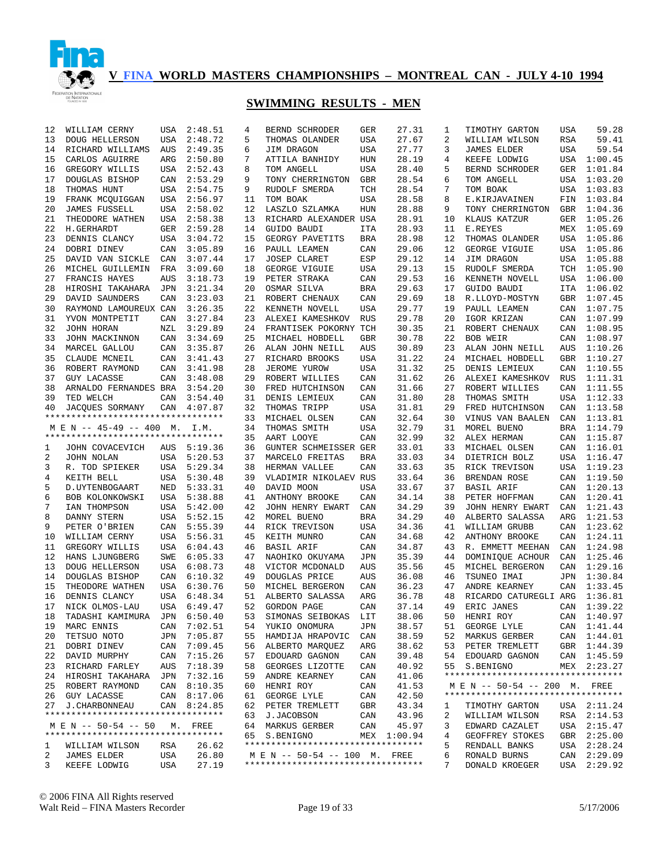

| 12      | WILLIAM CERNY                      | USA        | 2:48.51        | 4  | BERND SCHRODER                                                     | GER        | 27.31       | 1  | TIMOTHY GARTON                     | USA | 59.28       |
|---------|------------------------------------|------------|----------------|----|--------------------------------------------------------------------|------------|-------------|----|------------------------------------|-----|-------------|
| 13      | DOUG HELLERSON                     | USA        | 2:48.72        | 5  | THOMAS OLANDER                                                     | USA        | 27.67       | 2  | WILLIAM WILSON                     | RSA | 59.41       |
| 14      | RICHARD WILLIAMS                   | AUS        | 2:49.35        | 6  | JIM DRAGON                                                         | USA        | 27.77       | 3  | <b>JAMES ELDER</b>                 | USA | 59.54       |
| 15      | CARLOS AGUIRRE                     | ARG        | 2:50.80        | 7  | ATTILA BANHIDY                                                     | HUN        | 28.19       | 4  | KEEFE LODWIG                       |     | USA 1:00.45 |
| 16      | GREGORY WILLIS                     | USA        | 2:52.43        | 8  | TOM ANGELL                                                         | USA        | 28.40       | 5  | BERND SCHRODER                     | GER | 1:01.84     |
| 17      | DOUGLAS BISHOP                     | CAN        | 2:53.29        | 9  | TONY CHERRINGTON                                                   | GBR        | 28.54       | 6  | TOM ANGELL                         |     | USA 1:03.20 |
| 18      | THOMAS HUNT                        | USA        | 2:54.75        | 9  | RUDOLF SMERDA                                                      | TCH        | 28.54       | 7  | TOM BOAK                           |     | USA 1:03.83 |
| 19      | FRANK MCOUIGGAN                    | USA        | 2:56.97        | 11 | TOM BOAK                                                           | USA        | 28.58       | 8  | E.KIRJAVAINEN                      | FIN | 1:03.84     |
| 20      | <b>JAMES FUSSELL</b>               | USA        | 2:58.02        | 12 | LASZLO SZLAMKA                                                     | HUN        | 28.88       | 9  | TONY CHERRINGTON                   | GBR | 1:04.36     |
| 21      | THEODORE WATHEN                    | USA        | 2:58.38        | 13 | RICHARD ALEXANDER USA                                              |            | 28.91       | 10 | KLAUS KATZUR                       | GER | 1:05.26     |
| 22      | H.GERHARDT                         | GER        | 2:59.28        | 14 | GUIDO BAUDI                                                        | ITA        | 28.93       | 11 | E.REYES                            |     | MEX 1:05.69 |
| 23      | DENNIS CLANCY                      | USA        | 3:04.72        | 15 | GEORGY PAVETITS                                                    | <b>BRA</b> | 28.98       | 12 | THOMAS OLANDER                     |     | USA 1:05.86 |
| 24      | DOBRI DINEV                        | CAN        | 3:05.89        | 16 | PAULL LEAMEN                                                       | CAN        | 29.06       | 12 | GEORGE VIGUIE                      |     | USA 1:05.86 |
| 25      | DAVID VAN SICKLE                   | CAN        | 3:07.44        | 17 | <b>JOSEP CLARET</b>                                                | ESP        | 29.12       | 14 | JIM DRAGON                         |     | USA 1:05.88 |
| 26      | MICHEL GUILLEMIN                   | FRA        | 3:09.60        | 18 | GEORGE VIGUIE                                                      | USA        | 29.13       | 15 | RUDOLF SMERDA                      |     | TCH 1:05.90 |
| 27      | FRANCIS HAYES                      | <b>AUS</b> | 3:18.73        | 19 | PETER STRAKA                                                       | CAN        | 29.53       | 16 | KENNETH NOVELL                     |     | USA 1:06.00 |
| 28      | HIROSHI TAKAHARA                   | JPN        | 3:21.34        | 20 | OSMAR SILVA                                                        | <b>BRA</b> | 29.63       | 17 | GUIDO BAUDI                        |     | ITA 1:06.02 |
| 29      | DAVID SAUNDERS                     | CAN        | 3:23.03        | 21 | ROBERT CHENAUX                                                     | CAN        | 29.69       | 18 | R.LLOYD-MOSTYN                     | GBR | 1:07.45     |
| 30      | RAYMOND LAMOUREUX CAN              |            | 3:26.35        | 22 | KENNETH NOVELL                                                     | USA        | 29.77       | 19 | PAULL LEAMEN                       | CAN | 1:07.75     |
| 31      | YVON MONTPETIT                     | CAN        | 3:27.84        | 23 | ALEXEI KAMESHKOV                                                   | <b>RUS</b> | 29.78       | 20 | IGOR KRIZAN                        | CAN | 1:07.99     |
| 32      | JOHN HORAN                         | NZL        | 3:29.89        | 24 | FRANTISEK POKORNY TCH                                              |            | 30.35       | 21 | ROBERT CHENAUX                     | CAN | 1:08.95     |
| 33      | JOHN MACKINNON                     | CAN        | 3:34.69        | 25 | MICHAEL HOBDELL                                                    | GBR        | 30.78       | 22 | BOB WEIR                           | CAN | 1:08.97     |
| 34      |                                    | CAN        | 3:35.87        | 26 | ALAN JOHN NEILL                                                    | AUS        | 30.89       | 23 | ALAN JOHN NEILL                    | AUS | 1:10.26     |
|         | MARCEL GALLOU                      |            |                |    | RICHARD BROOKS                                                     |            | 31.22       |    |                                    |     |             |
| 35      | CLAUDE MCNEIL                      | CAN        | 3:41.43        | 27 |                                                                    | USA        |             | 24 | MICHAEL HOBDELL                    | GBR | 1:10.27     |
| 36      | ROBERT RAYMOND                     | CAN        | 3:41.98        | 28 | JEROME YUROW                                                       | USA        | 31.32       | 25 | DENIS LEMIEUX                      | CAN | 1:10.55     |
| 37      | <b>GUY LACASSE</b>                 | CAN        | 3:48.08        | 29 | ROBERT WILLIES                                                     | CAN        | 31.62       | 26 | ALEXEI KAMESHKOV                   | RUS | 1:11.31     |
| 38      | ARNALDO FERNANDES BRA              |            | 3:54.20        | 30 | FRED HUTCHINSON                                                    | CAN        | 31.66       | 27 | ROBERT WILLIES                     | CAN | 1:11.55     |
| 39      | TED WELCH                          | CAN        | 3:54.40        | 31 | DENIS LEMIEUX                                                      | CAN        | 31.80       | 28 | THOMAS SMITH                       | USA | 1:12.33     |
| 40      | <b>JACOUES SORMANY</b>             | CAN        | 4:07.87        | 32 | THOMAS TRIPP                                                       | USA        | 31.81       | 29 | FRED HUTCHINSON                    | CAN | 1:13.58     |
|         | ********************************** |            |                | 33 | MICHAEL OLSEN                                                      | CAN        | 32.64       | 30 | VINUS VAN BAALEN                   | CAN | 1:13.81     |
|         | M E N -- 45-49 -- 400 M.           |            | I.M.           | 34 | THOMAS SMITH                                                       | USA        | 32.79       | 31 | MOREL BUENO                        | BRA | 1:14.79     |
|         | ********************************** |            |                | 35 | AART LOOYE                                                         | CAN        | 32.99       | 32 | ALEX HERMAN                        | CAN | 1:15.87     |
| 1       | JOHN COVACEVICH                    | AUS        | 5:19.36        | 36 | GUNTER SCHMEISSER GER                                              |            | 33.01       | 33 | MICHAEL OLSEN                      | CAN | 1:16.01     |
| 2       | JOHN NOLAN                         | USA        | 5:20.53        | 37 | MARCELO FREITAS                                                    | BRA        | 33.03       | 34 | DIETRICH BOLZ                      | USA | 1:16.47     |
| 3       | R. TOD SPIEKER                     |            | USA 5:29.34    | 38 | HERMAN VALLEE                                                      | CAN        | 33.63       | 35 | RICK TREVISON                      | USA | 1:19.23     |
| 4       | KEITH BELL                         | USA        | 5:30.48        | 39 | VLADIMIR NIKOLAEV RUS                                              |            | 33.64       | 36 | BRENDAN ROSE                       | CAN | 1:19.50     |
| 5       | D. UYTENBOGAART                    | NED        | 5:33.31        | 40 | DAVID MOON                                                         | USA        | 33.67       | 37 | <b>BASIL ARIF</b>                  | CAN | 1:20.13     |
| 6       | BOB KOLONKOWSKI                    | USA        | 5:38.88        | 41 | ANTHONY BROOKE                                                     | CAN        | 34.14       | 38 | PETER HOFFMAN                      | CAN | 1:20.41     |
| 7       | IAN THOMPSON                       | USA        | 5:42.00        | 42 | JOHN HENRY EWART                                                   | CAN        | 34.29       | 39 | JOHN HENRY EWART                   | CAN | 1:21.43     |
| 8       | DANNY STERN                        | USA        | 5:52.15        | 42 | MOREL BUENO                                                        | <b>BRA</b> | 34.29       | 40 | ALBERTO SALASSA                    | ARG | 1:21.53     |
| 9       | PETER O'BRIEN                      | CAN        | 5:55.39        | 44 | RICK TREVISON                                                      | USA        | 34.36       | 41 | WILLIAM GRUBB                      | CAN | 1:23.62     |
| 10      | WILLIAM CERNY                      |            | USA 5:56.31    | 45 | KEITH MUNRO                                                        | CAN        | 34.68       | 42 | ANTHONY BROOKE                     | CAN | 1:24.11     |
| 11      | GREGORY WILLIS                     | USA        | 6:04.43        | 46 | <b>BASIL ARIF</b>                                                  | CAN        | 34.87       | 43 | R. EMMETT MEEHAN                   | CAN | 1:24.98     |
| 12      | HANS LJUNGBERG                     | SWE        | 6:05.33        | 47 | NAOHIKO OKUYAMA                                                    | JPN        | 35.39       | 44 | DOMINIQUE ACHOUR                   | CAN | 1:25.46     |
| 13      | <b>DOUG HELLERSON</b>              | USA        | 6:08.73        | 48 | VICTOR MCDONALD                                                    | AUS        | 35.56       | 45 | MICHEL BERGERON                    | CAN | 1:29.16     |
| 14      | DOUGLAS BISHOP                     | CAN        | 6:10.32        | 49 | DOUGLAS PRICE                                                      | AUS        | 36.08       | 46 | TSUNEO IMAI                        | JPN | 1:30.84     |
| 15      | THEODORE WATHEN                    | USA        | 6:30.76        | 50 | MICHEL BERGERON                                                    | CAN        | 36.23       | 47 | ANDRE KEARNEY                      | CAN | 1:33.45     |
| 16      | DENNIS CLANCY                      |            | USA 6:48.34    | 51 | ALBERTO SALASSA                                                    | ARG        | 36.78       | 48 | RICARDO CATUREGLI ARG              |     | 1:36.81     |
| 17      | NICK OLMOS-LAU                     |            | USA 6:49.47    | 52 | GORDON PAGE                                                        | CAN        | 37.14       | 49 | ERIC JANES                         |     | CAN 1:39.22 |
| 18      | TADASHI KAMIMURA JPN 6:50.40       |            |                | 53 | SIMONAS SEIBOKAS LIT                                               |            | 38.06       |    | 50 HENRI ROY                       |     | CAN 1:40.97 |
| 19      | MARC ENNIS                         |            | CAN 7:02.51    |    | 54 YUKIO ONOMURA                                                   | JPN        | 38.57       | 51 | GEORGE LYLE                        |     | CAN 1:41.44 |
| 20      | TETSUO NOTO                        | JPN        | 7:05.87        | 55 | HAMDIJA HRAPOVIC                                                   | CAN        | 38.59       | 52 | MARKUS GERBER                      |     | CAN 1:44.01 |
| 21      | DOBRI DINEV                        | CAN        | 7:09.45        | 56 | ALBERTO MARQUEZ                                                    | ARG        | 38.62       | 53 | PETER TREMLETT                     |     | GBR 1:44.39 |
| 22      | DAVID MURPHY                       | CAN        | 7:15.26        | 57 | EDOUARD GAGNON                                                     | CAN        | 39.48       | 54 | EDOUARD GAGNON                     |     | CAN 1:45.59 |
| 23      | RICHARD FARLEY                     | AUS        | 7:18.39        | 58 | GEORGES LIZOTTE                                                    | CAN        | 40.92       | 55 | S.BENIGNO                          |     | MEX 2:23.27 |
| 24      | HIROSHI TAKAHARA                   | JPN        | 7:32.16        | 59 | ANDRE KEARNEY                                                      | CAN        | 41.06       |    | ********************************** |     |             |
| 25      | ROBERT RAYMOND                     |            | CAN 8:10.35    | 60 | HENRI ROY                                                          | CAN        | 41.53       |    | M E N -- 50-54 -- 200 M. FREE      |     |             |
|         | 26 GUY LACASSE                     |            | CAN 8:17.06    | 61 | GEORGE LYLE                                                        | CAN        | 42.50       |    | ********************************** |     |             |
| 27      | <b>J. CHARBONNEAU</b>              |            | CAN 8:24.85    | 62 | PETER TREMLETT                                                     | GBR        | 43.34       | ı  | TIMOTHY GARTON                     |     | USA 2:11.24 |
|         | ********************************** |            |                | 63 | J.JACOBSON                                                         | CAN        | 43.96       | 2  | WILLIAM WILSON                     |     | RSA 2:14.53 |
|         | M E N -- 50-54 -- 50               | М.         | FREE           | 64 | MARKUS GERBER                                                      | CAN        | 45.97       | 3  | EDWARD CAZALET                     |     | USA 2:15.47 |
|         | ********************************** |            |                | 65 | S.BENIGNO                                                          |            | MEX 1:00.94 | 4  | GEOFFREY STOKES                    |     | GBR 2:25.00 |
|         |                                    |            |                |    | **********************************                                 |            |             | 5  |                                    | USA | 2:28.24     |
| ı.<br>2 | WILLIAM WILSON<br>JAMES ELDER      | RSA<br>USA | 26.62<br>26.80 |    |                                                                    |            |             | 6  | RENDALL BANKS                      |     |             |
| 3       |                                    |            |                |    | M E N -- 50-54 -- 100 M. FREE<br>********************************* |            |             | 7  | RONALD BURNS                       | CAN | 2:29.09     |
|         | KEEFE LODWIG                       | USA        | 27.19          |    |                                                                    |            |             |    | DONALD KROEGER                     | USA | 2:29.92     |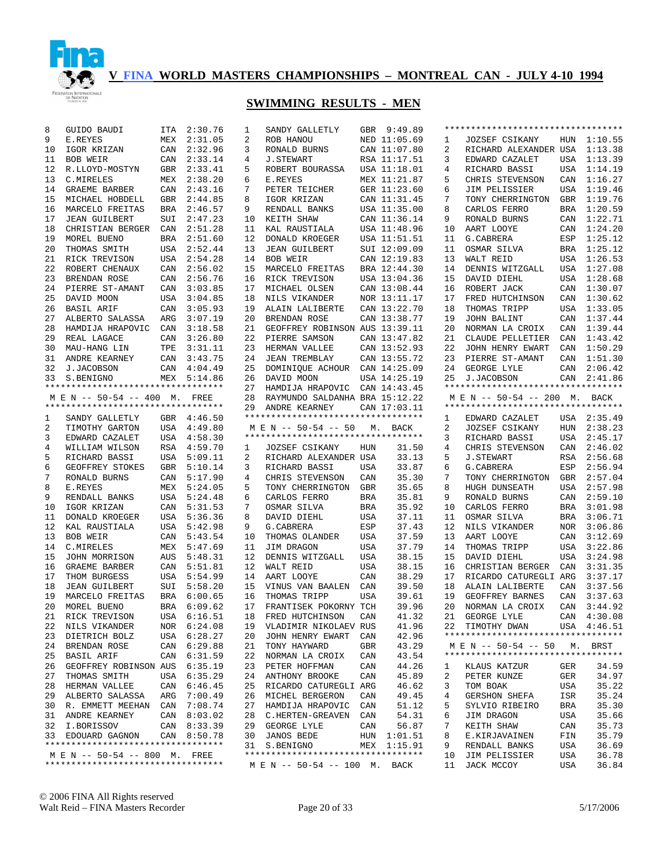

| 8  | GUIDO BAUDI                        |     | ITA 2:30.76 | 1  | SANDY GALLETLY                     |            | GBR 9:49.89  |    | ********************************** |     |             |
|----|------------------------------------|-----|-------------|----|------------------------------------|------------|--------------|----|------------------------------------|-----|-------------|
| 9  | E.REYES                            |     | MEX 2:31.05 | 2  | ROB HANOU                          |            | NED 11:05.69 | 1  | <b>JOZSEF CSIKANY</b>              |     | HUN 1:10.55 |
| 10 | IGOR KRIZAN                        | CAN | 2:32.96     | 3  | RONALD BURNS                       |            | CAN 11:07.80 | 2  | RICHARD ALEXANDER USA 1:13.38      |     |             |
| 11 | BOB WEIR                           |     | CAN 2:33.14 | 4  | <b>J.STEWART</b>                   |            | RSA 11:17.51 | 3  | EDWARD CAZALET                     |     | USA 1:13.39 |
| 12 | R.LLOYD-MOSTYN                     |     | GBR 2:33.41 | 5  | ROBERT BOURASSA                    |            | USA 11:18.01 | 4  | RICHARD BASSI                      |     | USA 1:14.19 |
| 13 | C.MIRELES                          | MEX | 2:38.20     | 6  | E.REYES                            |            | MEX 11:21.87 | 5  | CHRIS STEVENSON                    |     | CAN 1:16.27 |
| 14 | <b>GRAEME BARBER</b>               | CAN | 2:43.16     | 7  | PETER TEICHER                      |            | GER 11:23.60 | 6  | JIM PELISSIER                      | USA | 1:19.46     |
| 15 | MICHAEL HOBDELL                    | GBR | 2:44.85     | 8  | IGOR KRIZAN                        |            | CAN 11:31.45 | 7  | TONY CHERRINGTON                   |     | GBR 1:19.76 |
| 16 | MARCELO FREITAS                    | BRA | 2:46.57     | 9  | RENDALL BANKS                      |            | USA 11:35.00 | 8  | CARLOS FERRO                       | BRA | 1:20.59     |
| 17 | <b>JEAN GUILBERT</b>               | SUI | 2:47.23     | 10 | KEITH SHAW                         |            | CAN 11:36.14 | 9  | RONALD BURNS                       |     | CAN 1:22.71 |
| 18 | CHRISTIAN BERGER                   | CAN | 2:51.28     | 11 | KAL RAUSTIALA                      |            | USA 11:48.96 | 10 | AART LOOYE                         |     | CAN 1:24.20 |
| 19 | MOREL BUENO                        | BRA | 2:51.60     | 12 | DONALD KROEGER                     |            | USA 11:51.51 | 11 | G. CABRERA                         |     | ESP 1:25.12 |
| 20 | THOMAS SMITH                       |     | USA 2:52.44 | 13 | <b>JEAN GUILBERT</b>               |            | SUI 12:09.09 | 11 | OSMAR SILVA                        |     | BRA 1:25.12 |
| 21 | RICK TREVISON                      |     | USA 2:54.28 | 14 | BOB WEIR                           |            | CAN 12:19.83 | 13 | WALT REID                          |     | USA 1:26.53 |
| 22 | ROBERT CHENAUX                     | CAN | 2:56.02     | 15 | MARCELO FREITAS                    |            | BRA 12:44.30 | 14 | DENNIS WITZGALL                    |     | USA 1:27.08 |
| 23 | BRENDAN ROSE                       |     | CAN 2:56.76 | 16 | RICK TREVISON                      |            | USA 13:04.36 | 15 | DAVID DIEHL                        |     | USA 1:28.68 |
| 24 | PIERRE ST-AMANT                    | CAN | 3:03.85     | 17 | MICHAEL OLSEN                      |            | CAN 13:08.44 | 16 | ROBERT JACK                        |     | CAN 1:30.07 |
| 25 | DAVID MOON                         | USA | 3:04.85     | 18 | NILS VIKANDER                      |            | NOR 13:11.17 | 17 | FRED HUTCHINSON                    |     | CAN 1:30.62 |
| 26 | BASIL ARIF                         |     | CAN 3:05.93 | 19 | ALAIN LALIBERTE                    |            | CAN 13:22.70 | 18 | THOMAS TRIPP                       |     | USA 1:33.05 |
| 27 | ALBERTO SALASSA                    | ARG | 3:07.19     | 20 | BRENDAN ROSE                       |            | CAN 13:38.77 | 19 | JOHN BALINT                        |     | CAN 1:37.44 |
| 28 | HAMDIJA HRAPOVIC                   | CAN | 3:18.58     | 21 | GEOFFREY ROBINSON AUS 13:39.11     |            |              | 20 | NORMAN LA CROIX                    |     | CAN 1:39.44 |
| 29 | REAL LAGACE                        | CAN | 3:26.80     | 22 | PIERRE SAMSON                      |            | CAN 13:47.82 | 21 | CLAUDE PELLETIER                   |     | CAN 1:43.42 |
| 30 | MAU-HANG LIN                       | TPE | 3:31.11     | 23 | HERMAN VALLEE                      |            | CAN 13:52.93 | 22 | JOHN HENRY EWART                   |     | CAN 1:50.29 |
| 31 | ANDRE KEARNEY                      |     | CAN 3:43.75 | 24 | <b>JEAN TREMBLAY</b>               |            | CAN 13:55.72 | 23 | PIERRE ST-AMANT                    |     | CAN 1:51.30 |
| 32 | J.JACOBSON                         |     | CAN 4:04.49 | 25 | DOMINIQUE ACHOUR                   |            | CAN 14:25.09 | 24 | GEORGE LYLE                        |     | CAN 2:06.42 |
| 33 | S.BENIGNO                          |     | MEX 5:14.86 | 26 | DAVID MOON                         |            | USA 14:25.19 | 25 | J.JACOBSON                         |     | CAN 2:41.86 |
|    | ********************************** |     |             | 27 | HAMDIJA HRAPOVIC CAN 14:43.45      |            |              |    | ********************************** |     |             |
|    | M E N -- 50-54 -- 400 M. FREE      |     |             | 28 | RAYMUNDO SALDANHA BRA 15:12.22     |            |              |    | M E N -- 50-54 -- 200 M. BACK      |     |             |
|    | *********************************  |     |             | 29 | ANDRE KEARNEY                      |            | CAN 17:03.11 |    | ********************************** |     |             |
| 1  | SANDY GALLETLY                     |     | GBR 4:46.50 |    | *********************************  |            |              | 1  | EDWARD CAZALET                     |     | USA 2:35.49 |
| 2  | TIMOTHY GARTON                     |     | USA 4:49.80 |    | M E N -- 50-54 -- 50               |            | M. BACK      | 2  | JOZSEF CSIKANY                     | HUN | 2:38.23     |
| 3  | EDWARD CAZALET                     |     | USA 4:58.30 |    | ********************************** |            |              | 3  | RICHARD BASSI                      | USA | 2:45.17     |
| 4  | WILLIAM WILSON                     |     | RSA 4:59.70 | 1  | <b>JOZSEF CSIKANY</b>              | HUN        | 31.50        | 4  | CHRIS STEVENSON                    | CAN | 2:46.02     |
| 5  | RICHARD BASSI                      |     | USA 5:09.11 | 2  | RICHARD ALEXANDER USA              |            | 33.13        | 5  | <b>J.STEWART</b>                   | RSA | 2:56.68     |
| 6  | GEOFFREY STOKES                    |     | GBR 5:10.14 | 3  | RICHARD BASSI                      | USA        | 33.87        | 6  | G.CABRERA                          | ESP | 2:56.94     |
| 7  | RONALD BURNS                       |     | CAN 5:17.90 | 4  | CHRIS STEVENSON                    | CAN        | 35.30        | 7  | TONY CHERRINGTON                   | GBR | 2:57.04     |
| 8  | E.REYES                            |     | MEX 5:24.05 | 5  | TONY CHERRINGTON                   | GBR        | 35.65        | 8  | HUGH DUNSEATH                      |     | USA 2:57.98 |
| 9  | RENDALL BANKS                      |     | USA 5:24.48 | 6  | CARLOS FERRO                       | <b>BRA</b> | 35.81        | 9  | RONALD BURNS                       |     | CAN 2:59.10 |
| 10 | IGOR KRIZAN                        | CAN | 5:31.53     | 7  | OSMAR SILVA                        | <b>BRA</b> | 35.92        | 10 | CARLOS FERRO                       |     | BRA 3:01.98 |
| 11 | DONALD KROEGER                     |     | USA 5:36.36 | 8  | DAVID DIEHL                        | USA        | 37.11        | 11 | OSMAR SILVA                        | BRA | 3:06.71     |
| 12 | KAL RAUSTIALA                      |     | USA 5:42.98 | 9  | G. CABRERA                         | ESP        | 37.43        | 12 | NILS VIKANDER                      | NOR | 3:06.86     |
| 13 | BOB WEIR                           |     | CAN 5:43.54 | 10 | THOMAS OLANDER                     | USA        | 37.59        | 13 | AART LOOYE                         | CAN | 3:12.69     |
| 14 | C.MIRELES                          |     | MEX 5:47.69 | 11 | JIM DRAGON                         | USA        | 37.79        | 14 | THOMAS TRIPP                       | USA | 3:22.86     |
| 15 | JOHN MORRISON                      | AUS | 5:48.31     | 12 | DENNIS WITZGALL                    | USA        | 38.15        | 15 | DAVID DIEHL                        | USA | 3:24.98     |
| 16 | GRAEME BARBER                      |     | CAN 5:51.81 | 12 | WALT REID                          | USA        | 38.15        | 16 | CHRISTIAN BERGER                   | CAN | 3:31.35     |
| 17 | THOM BURGESS                       |     | USA 5:54.99 | 14 | AART LOOYE                         | CAN        | 38.29        | 17 | RICARDO CATUREGLI ARG              |     | 3:37.17     |
| 18 | <b>JEAN GUILBERT</b>               |     | SUI 5:58.20 | 15 | VINUS VAN BAALEN                   | CAN        | 39.50        | 18 | ALAIN LALIBERTE                    | CAN | 3:37.56     |
| 19 | MARCELO FREITAS                    |     | BRA 6:00.65 | 16 | THOMAS TRIPP                       | USA        | 39.61        | 19 | GEOFFREY BARNES                    | CAN | 3:37.63     |
| 20 | MOREL BUENO                        |     | BRA 6:09.62 | 17 | FRANTISEK POKORNY TCH              |            | 39.96        | 20 | NORMAN LA CROIX                    | CAN | 3:44.92     |
| 21 | RICK TREVISON                      |     | USA 6:16.51 |    | 18 FRED HUTCHINSON                 | CAN        | 41.32        |    | 21 GEORGE LYLE                     |     | CAN 4:30.08 |
| 22 | NILS VIKANDER                      |     | NOR 6:24.08 | 19 | VLADIMIR NIKOLAEV RUS              |            | 41.96        |    | 22 TIMOTHY DWAN                    |     | USA 4:46.51 |
| 23 | DIETRICH BOLZ                      |     | USA 6:28.27 | 20 | JOHN HENRY EWART                   | CAN        | 42.96        |    | ********************************** |     |             |
| 24 | BRENDAN ROSE                       |     | CAN 6:29.88 | 21 | TONY HAYWARD                       | GBR        | 43.29        |    | M E N -- 50-54 -- 50               |     | M. BRST     |
| 25 | BASIL ARIF                         |     | CAN 6:31.59 | 22 | NORMAN LA CROIX                    | CAN        | 43.54        |    | ********************************** |     |             |
| 26 | GEOFFREY ROBINSON AUS              |     | 6:35.19     | 23 | PETER HOFFMAN                      | CAN        | 44.26        | ı  | KLAUS KATZUR                       | GER | 34.59       |
| 27 | THOMAS SMITH                       |     | USA 6:35.29 | 24 | ANTHONY BROOKE                     | CAN        | 45.89        | 2  | PETER KUNZE                        | GER | 34.97       |
| 28 | HERMAN VALLEE                      | CAN | 6:46.45     | 25 | RICARDO CATUREGLI ARG              |            | 46.62        | 3  | TOM BOAK                           | USA | 35.22       |
| 29 | ALBERTO SALASSA                    | ARG | 7:00.49     | 26 | MICHEL BERGERON                    | CAN        | 49.45        | 4  | <b>GERSHON SHEFA</b>               | ISR | 35.24       |
| 30 | R. EMMETT MEEHAN                   | CAN | 7:08.74     | 27 | HAMDIJA HRAPOVIC                   | CAN        | 51.12        | 5  | SYLVIO RIBEIRO                     | BRA | 35.30       |
| 31 | ANDRE KEARNEY                      |     | CAN 8:03.02 | 28 | C.HERTEN-GREAVEN                   | CAN        | 54.31        | 6  | JIM DRAGON                         | USA | 35.66       |
| 32 | I.BORISSOV                         |     | CAN 8:33.39 | 29 | GEORGE LYLE                        | CAN        | 56.87        | 7  | KEITH SHAW                         | CAN | 35.73       |
| 33 | EDOUARD GAGNON                     | CAN | 8:50.78     | 30 | <b>JANOS BEDE</b>                  | HUN        | 1:01.51      | 8  | E.KIRJAVAINEN                      | FIN | 35.79       |
|    | ********************************** |     |             |    | 31 S.BENIGNO                       | MEX        | 1:15.91      | 9  | RENDALL BANKS                      | USA | 36.69       |
|    | M E N -- 50-54 -- 800 M. FREE      |     |             |    | ********************************** |            |              | 10 | JIM PELISSIER                      | USA | 36.78       |
|    | ********************************** |     |             |    | M E N -- 50-54 -- 100 M.           |            | BACK         | 11 | JACK MCCOY                         | USA | 36.84       |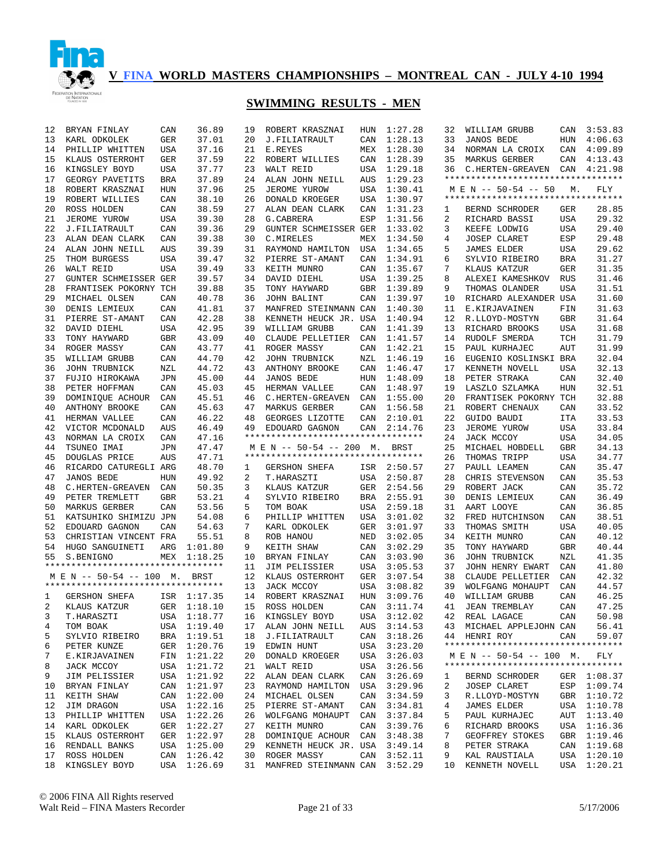

| 12 | BRYAN FINLAY                       | CAN        | 36.89       | 19       | ROBERT KRASZNAI                                                | HUN        | 1:27.28     | 32 | WILLIAM GRUBB                      | CAN        | 3:53.83     |
|----|------------------------------------|------------|-------------|----------|----------------------------------------------------------------|------------|-------------|----|------------------------------------|------------|-------------|
| 13 | KARL ODKOLEK                       | GER        | 37.01       | 20       | J.FILIATRAULT                                                  | CAN        | 1:28.13     | 33 | <b>JANOS BEDE</b>                  | HUN        | 4:06.63     |
| 14 | PHILLIP WHITTEN                    | <b>USA</b> | 37.16       | 21       | E.REYES                                                        | MEX        | 1:28.30     | 34 | NORMAN LA CROIX                    | CAN        | 4:09.89     |
| 15 | KLAUS OSTERROHT                    | GER        | 37.59       | 22       | ROBERT WILLIES                                                 | CAN        | 1:28.39     | 35 | MARKUS GERBER                      | CAN        | 4:13.43     |
| 16 | KINGSLEY BOYD                      | <b>USA</b> | 37.77       | 23       | WALT REID                                                      | USA        | 1:29.18     | 36 | C.HERTEN-GREAVEN CAN 4:21.98       |            |             |
| 17 | GEORGY PAVETITS                    | BRA        | 37.89       | 24       | ALAN JOHN NEILL                                                | AUS        | 1:29.23     |    | ********************************** |            |             |
| 18 | ROBERT KRASZNAI                    | HUN        | 37.96       | 25       | JEROME YUROW                                                   | USA        | 1:30.41     |    | M E N -- 50-54 -- 50               | М.         | FLY         |
| 19 | ROBERT WILLIES                     | CAN        | 38.10       | 26       | DONALD KROEGER                                                 | USA        | 1:30.97     |    | ********************************** |            |             |
| 20 | ROSS HOLDEN                        | CAN        | 38.59       | 27       | ALAN DEAN CLARK                                                | CAN        | 1:31.23     | 1  | BERND SCHRODER                     | GER        | 28.85       |
| 21 | JEROME YUROW                       | USA        | 39.30       | 28       | G. CABRERA                                                     | ESP        | 1:31.56     | 2  | RICHARD BASSI                      | <b>USA</b> | 29.32       |
| 22 | J.FILIATRAULT                      | CAN        | 39.36       | 29       | GUNTER SCHMEISSER GER                                          |            | 1:33.02     | 3  | KEEFE LODWIG                       | <b>USA</b> | 29.40       |
| 23 | ALAN DEAN CLARK                    | CAN        | 39.38       | 30       | C.MIRELES                                                      | MEX        | 1:34.50     | 4  | <b>JOSEP CLARET</b>                | ESP        | 29.48       |
| 24 | ALAN JOHN NEILL                    | <b>AUS</b> | 39.39       | 31       | RAYMOND HAMILTON                                               | USA        | 1:34.65     | 5  | <b>JAMES ELDER</b>                 | <b>USA</b> | 29.62       |
| 25 | THOM BURGESS                       | <b>USA</b> | 39.47       | 32       | PIERRE ST-AMANT                                                | CAN        | 1:34.91     | 6  | SYLVIO RIBEIRO                     | <b>BRA</b> | 31.27       |
| 26 | WALT REID                          | <b>USA</b> | 39.49       | 33       | KEITH MUNRO                                                    | CAN        | 1:35.67     | 7  | KLAUS KATZUR                       | <b>GER</b> | 31.35       |
| 27 | GUNTER SCHMEISSER GER              |            | 39.57       | 34       | DAVID DIEHL                                                    | USA        | 1:39.25     | 8  | ALEXEI KAMESHKOV                   | <b>RUS</b> | 31.46       |
| 28 | FRANTISEK POKORNY TCH              |            | 39.88       | 35       | TONY HAYWARD                                                   | GBR        | 1:39.89     | 9  | THOMAS OLANDER                     | <b>USA</b> | 31.51       |
| 29 | MICHAEL OLSEN                      | CAN        | 40.78       | 36       | <b>JOHN BALINT</b>                                             | CAN        | 1:39.97     | 10 | RICHARD ALEXANDER USA              |            | 31.60       |
| 30 | DENIS LEMIEUX                      | CAN        | 41.81       | 37       | MANFRED STEINMANN CAN                                          |            | 1:40.30     | 11 | E.KIRJAVAINEN                      | FIN        | 31.63       |
| 31 | PIERRE ST-AMANT                    | CAN        | 42.28       | 38       | KENNETH HEUCK JR. USA                                          |            | 1:40.94     | 12 | R.LLOYD-MOSTYN                     | <b>GBR</b> | 31.64       |
| 32 | DAVID DIEHL                        | <b>USA</b> | 42.95       | 39       | WILLIAM GRUBB                                                  | CAN        | 1:41.39     | 13 | RICHARD BROOKS                     | <b>USA</b> | 31.68       |
| 33 | TONY HAYWARD                       | GBR        | 43.09       | 40       | CLAUDE PELLETIER                                               | CAN        | 1:41.57     | 14 | RUDOLF SMERDA                      | TCH        | 31.79       |
| 34 | ROGER MASSY                        | CAN        | 43.77       | 41       | ROGER MASSY                                                    | CAN        | 1:42.21     | 15 | PAUL KURHAJEC                      | AUT        | 31.99       |
| 35 | WILLIAM GRUBB                      | CAN        | 44.70       | 42       | JOHN TRUBNICK                                                  | NZL        | 1:46.19     | 16 | EUGENIO KOSLINSKI BRA              |            | 32.04       |
| 36 | JOHN TRUBNICK                      | NZL        | 44.72       | 43       | ANTHONY BROOKE                                                 | CAN        | 1:46.47     | 17 | KENNETH NOVELL                     | <b>USA</b> | 32.13       |
| 37 | FUJIO HIROKAWA                     | JPN        | 45.00       | 44       | <b>JANOS BEDE</b>                                              | HUN        | 1:48.09     | 18 | PETER STRAKA                       | CAN        | 32.40       |
| 38 | PETER HOFFMAN                      | CAN        | 45.03       | 45       | HERMAN VALLEE                                                  | CAN        | 1:48.97     | 19 | LASZLO SZLAMKA                     | <b>HUN</b> | 32.51       |
| 39 | DOMINIQUE ACHOUR                   | CAN        | 45.51       | 46       | C.HERTEN-GREAVEN                                               | CAN        | 1:55.00     | 20 | FRANTISEK POKORNY TCH              |            | 32.88       |
| 40 | ANTHONY BROOKE                     | CAN        | 45.63       | 47       | MARKUS GERBER                                                  | CAN        | 1:56.58     | 21 | ROBERT CHENAUX                     | CAN        | 33.52       |
|    |                                    |            | 46.22       |          |                                                                |            |             |    |                                    |            | 33.53       |
| 41 | HERMAN VALLEE                      | CAN        |             | 48<br>49 | GEORGES LIZOTTE                                                | CAN        | 2:10.01     | 22 | GUIDO BAUDI                        | <b>ITA</b> | 33.84       |
| 42 | VICTOR MCDONALD                    | AUS        | 46.49       |          | EDOUARD GAGNON<br>**********************************           | CAN        | 2:14.76     | 23 | JEROME YUROW<br>JACK MCCOY         | <b>USA</b> | 34.05       |
| 43 | NORMAN LA CROIX                    | CAN        | 47.16       |          |                                                                |            |             | 24 |                                    | <b>USA</b> |             |
| 44 | TSUNEO IMAI                        | JPN        | 47.47       |          | M E N -- 50-54 -- 200 M.<br>********************************** |            | BRST        | 25 | MICHAEL HOBDELL                    | <b>GBR</b> | 34.13       |
| 45 | DOUGLAS PRICE                      | AUS        | 47.71       |          |                                                                |            |             | 26 | THOMAS TRIPP                       | <b>USA</b> | 34.77       |
| 46 | RICARDO CATUREGLI ARG              |            | 48.70       | 1        | GERSHON SHEFA                                                  | ISR        | 2:50.57     | 27 | PAULL LEAMEN                       | CAN        | 35.47       |
| 47 | <b>JANOS BEDE</b>                  | HUN        | 49.92       | 2        | T.HARASZTI                                                     | USA        | 2:50.87     | 28 | CHRIS STEVENSON                    | CAN        | 35.53       |
| 48 | C.HERTEN-GREAVEN                   | CAN        | 50.35       | 3        | KLAUS KATZUR                                                   | GER        | 2:54.56     | 29 | ROBERT JACK                        | CAN        | 35.72       |
| 49 | PETER TREMLETT                     | <b>GBR</b> | 53.21       | 4        | SYLVIO RIBEIRO                                                 | BRA        | 2:55.91     | 30 | DENIS LEMIEUX                      | CAN        | 36.49       |
| 50 | MARKUS GERBER                      | CAN        | 53.56       | 5        | TOM BOAK                                                       | USA        | 2:59.18     | 31 | AART LOOYE                         | CAN        | 36.85       |
| 51 | KATSUHIKO SHIMIZU JPN              |            | 54.08       | 6        | PHILLIP WHITTEN                                                | USA        | 3:01.02     | 32 | FRED HUTCHINSON                    | CAN        | 38.51       |
| 52 | EDOUARD GAGNON                     | CAN        | 54.63       | 7        | KARL ODKOLEK                                                   | GER        | 3:01.97     | 33 | THOMAS SMITH                       | <b>USA</b> | 40.05       |
| 53 | CHRISTIAN VINCENT FRA              |            | 55.51       | 8        | ROB HANOU                                                      | NED        | 3:02.05     | 34 | KEITH MUNRO                        | CAN        | 40.12       |
| 54 | HUGO SANGUINETI                    | ARG        | 1:01.80     | 9        | KEITH SHAW                                                     | CAN        | 3:02.29     | 35 | TONY HAYWARD                       | <b>GBR</b> | 40.44       |
| 55 | S.BENIGNO                          | MEX        | 1:18.25     | 10       | BRYAN FINLAY                                                   | CAN        | 3:03.90     | 36 | <b>JOHN TRUBNICK</b>               | NZL        | 41.35       |
|    | ********************************** |            |             | 11       | JIM PELISSIER                                                  | USA        | 3:05.53     | 37 | JOHN HENRY EWART                   | CAN        | 41.80       |
|    | M E N -- 50-54 -- 100 M. BRST      |            |             | 12       | KLAUS OSTERROHT                                                | <b>GER</b> | 3:07.54     | 38 | CLAUDE PELLETIER                   | CAN        | 42.32       |
|    | ********************************** |            |             | 13       | JACK MCCOY                                                     | USA        | 3:08.82     | 39 | WOLFGANG MOHAUPT                   | CAN        | 44.57       |
| 1  | GERSHON SHEFA                      |            | ISR 1:17.35 | 14       | ROBERT KRASZNAI                                                | HUN        | 3:09.76     | 40 | WILLIAM GRUBB                      | CAN        | 46.25       |
| 2  | KLAUS KATZUR                       |            | GER 1:18.10 | 15       | ROSS HOLDEN                                                    | CAN        | 3:11.74     | 41 | <b>JEAN TREMBLAY</b>               | CAN        | 47.25       |
| 3  | T.HARASZTI                         |            | USA 1:18.77 | 16       | KINGSLEY BOYD                                                  |            | USA 3:12.02 |    | 42 REAL LAGACE                     | CAN        | 50.98       |
| 4  | TOM BOAK                           |            | USA 1:19.40 |          | 17 ALAN JOHN NEILL                                             |            |             |    | 43 MICHAEL APPLEJOHN CAN           |            | 56.41       |
| 5  | SYLVIO RIBEIRO                     |            | BRA 1:19.51 | 18       | J.FILIATRAULT                                                  |            | CAN 3:18.26 |    | 44 HENRI ROY                       | CAN        | 59.07       |
| 6  | PETER KUNZE                        |            | GER 1:20.76 | 19       | EDWIN HUNT                                                     | USA        | 3:23.20     |    | ********************************** |            |             |
| 7  | E.KIRJAVAINEN                      |            | FIN 1:21.22 | 20       | DONALD KROEGER                                                 | USA        | 3:26.03     |    | M E N -- 50-54 -- 100 M.           |            | FLY         |
| 8  | JACK MCCOY                         |            | USA 1:21.72 | 21       | WALT REID                                                      | USA        | 3:26.56     |    | ********************************** |            |             |
| 9  | JIM PELISSIER                      |            | USA 1:21.92 | 22       | ALAN DEAN CLARK                                                | CAN        | 3:26.69     | 1  | BERND SCHRODER                     |            | GER 1:08.37 |
| 10 | BRYAN FINLAY                       |            | CAN 1:21.97 | 23       | RAYMOND HAMILTON                                               | USA        | 3:29.96     | 2  | JOSEP CLARET                       |            | ESP 1:09.74 |
| 11 | KEITH SHAW                         |            | CAN 1:22.00 |          | 24 MICHAEL OLSEN                                               | CAN        | 3:34.59     | 3  | R.LLOYD-MOSTYN                     |            | GBR 1:10.72 |
| 12 | JIM DRAGON                         |            | USA 1:22.16 |          | 25 PIERRE ST-AMANT                                             | CAN        | 3:34.81     | 4  | JAMES ELDER                        |            | USA 1:10.78 |
| 13 | PHILLIP WHITTEN                    |            | USA 1:22.26 | 26       | WOLFGANG MOHAUPT                                               | CAN        | 3:37.84     | 5  | PAUL KURHAJEC                      |            | AUT 1:13.40 |
| 14 | KARL ODKOLEK                       |            | GER 1:22.27 | 27       | KEITH MUNRO                                                    | CAN        | 3:39.76     | 6  | RICHARD BROOKS                     |            | USA 1:16.36 |
| 15 | KLAUS OSTERROHT                    |            | GER 1:22.97 |          | 28 DOMINIQUE ACHOUR CAN                                        |            | 3:48.38     | 7  | GEOFFREY STOKES                    |            | GBR 1:19.46 |
| 16 | RENDALL BANKS                      |            | USA 1:25.00 |          | 29 KENNETH HEUCK JR. USA                                       |            | 3:49.14     | 8  | PETER STRAKA                       |            | CAN 1:19.68 |
| 17 | ROSS HOLDEN                        |            | CAN 1:26.42 |          | 30 ROGER MASSY                                                 | CAN        | 3:52.11     | 9  | KAL RAUSTIALA                      |            | USA 1:20.10 |
|    | 18 KINGSLEY BOYD                   |            | USA 1:26.69 |          | 31 MANFRED STEINMANN CAN 3:52.29                               |            |             | 10 | KENNETH NOVELL                     |            | USA 1:20.21 |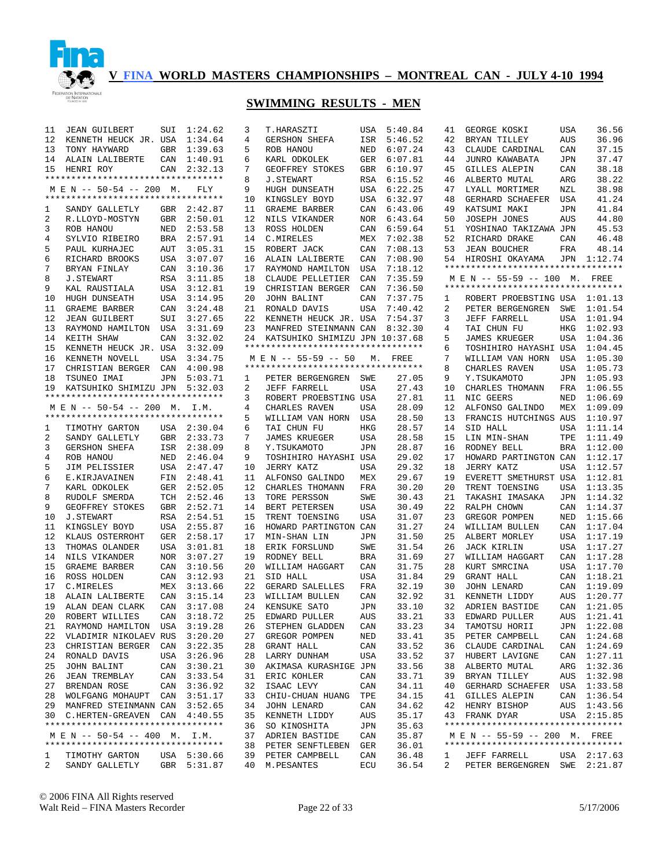

| 11             | <b>JEAN GUILBERT</b>               | SUI        | 1:24.62     | 3  | T.HARASZTI                                                 |            | USA 5:40.84 | 41 | GEORGE KOSKI                       | <b>USA</b> | 36.56       |
|----------------|------------------------------------|------------|-------------|----|------------------------------------------------------------|------------|-------------|----|------------------------------------|------------|-------------|
| 12             | KENNETH HEUCK JR. USA              |            | 1:34.64     | 4  | <b>GERSHON SHEFA</b>                                       | ISR        | 5:46.52     | 42 | BRYAN TILLEY                       | AUS        | 36.96       |
| 13             | TONY HAYWARD                       |            | GBR 1:39.63 | 5  | ROB HANOU                                                  | NED        | 6:07.24     | 43 | CLAUDE CARDINAL                    | CAN        | 37.15       |
| 14             | ALAIN LALIBERTE                    | CAN        | 1:40.91     | 6  | KARL ODKOLEK                                               | GER        | 6:07.81     | 44 | JUNRO KAWABATA                     | <b>JPN</b> | 37.47       |
| 15             | HENRI ROY                          | CAN        | 2:32.13     | 7  | GEOFFREY STOKES                                            | GBR        | 6:10.97     | 45 | GILLES ALEPIN                      | CAN        | 38.18       |
|                | ********************************** |            |             | 8  | <b>J.STEWART</b>                                           | RSA        | 6:15.52     | 46 | ALBERTO MUTAL                      | ARG        | 38.22       |
|                | M E N -- 50-54 -- 200 M.           |            | FLY         | 9  | HUGH DUNSEATH                                              | USA        | 6:22.25     | 47 | LYALL MORTIMER                     | NZL        | 38.98       |
|                | ********************************** |            |             | 10 | KINGSLEY BOYD                                              | USA        | 6:32.97     | 48 | GERHARD SCHAEFER                   | USA        | 41.24       |
| 1              | SANDY GALLETLY                     |            | GBR 2:42.87 | 11 | GRAEME BARBER                                              | CAN        | 6:43.06     | 49 | KATSUMI MAKI                       | JPN        | 41.84       |
| 2              | R.LLOYD-MOSTYN                     |            | GBR 2:50.01 | 12 | NILS VIKANDER                                              | <b>NOR</b> | 6:43.64     | 50 | <b>JOSEPH JONES</b>                | AUS        | 44.80       |
|                |                                    |            |             | 13 |                                                            | CAN        |             | 51 |                                    |            | 45.53       |
| 3              | ROB HANOU                          | NED        | 2:53.58     |    | ROSS HOLDEN                                                |            | 6:59.64     |    | YOSHINAO TAKIZAWA JPN              |            |             |
| 4              | SYLVIO RIBEIRO                     |            | BRA 2:57.91 | 14 | C. MIRELES                                                 | MEX        | 7:02.38     | 52 | RICHARD DRAKE                      | CAN        | 46.48       |
| 5              | PAUL KURHAJEC                      | AUT        | 3:05.31     | 15 | ROBERT JACK                                                | CAN        | 7:08.13     | 53 | <b>JEAN BOUCHER</b>                | FRA        | 48.14       |
| 6              | RICHARD BROOKS                     | USA        | 3:07.07     | 16 | ALAIN LALIBERTE                                            | CAN        | 7:08.90     | 54 | HIROSHI OKAYAMA                    |            | JPN 1:12.74 |
| 7              | BRYAN FINLAY                       | CAN        | 3:10.36     | 17 | RAYMOND HAMILTON                                           | USA        | 7:18.12     |    | ********************************** |            |             |
| 8              | <b>J.STEWART</b>                   | RSA        | 3:11.85     | 18 | CLAUDE PELLETIER                                           | CAN        | 7:35.59     |    | M E N -- 55-59 -- 100 M. FREE      |            |             |
| 9              | KAL RAUSTIALA                      | USA        | 3:12.81     | 19 | CHRISTIAN BERGER                                           | CAN        | 7:36.50     |    | ********************************** |            |             |
| 10             | HUGH DUNSEATH                      | USA        | 3:14.95     | 20 | JOHN BALINT                                                | CAN        | 7:37.75     | 1  | ROBERT PROEBSTING USA 1:01.13      |            |             |
| 11             | GRAEME BARBER                      | CAN        | 3:24.48     | 21 | RONALD DAVIS                                               | USA        | 7:40.42     | 2  | PETER BERGENGREN                   | SWE        | 1:01.54     |
| 12             | <b>JEAN GUILBERT</b>               | SUI        | 3:27.65     | 22 | KENNETH HEUCK JR. USA                                      |            | 7:54.37     | 3  | JEFF FARRELL                       | USA        | 1:01.94     |
| 13             | RAYMOND HAMILTON                   | USA        | 3:31.69     | 23 | MANFRED STEINMANN CAN                                      |            | 8:32.30     | 4  | TAI CHUN FU                        | HKG        | 1:02.93     |
| 14             | KEITH SHAW                         | CAN        | 3:32.02     | 24 | KATSUHIKO SHIMIZU JPN 10:37.68                             |            |             | 5  | <b>JAMES KRUEGER</b>               |            | USA 1:04.36 |
| 15             | KENNETH HEUCK JR. USA              |            | 3:32.09     |    | **********************************                         |            |             | 6  | TOSHIHIRO HAYASHI USA              |            | 1:04.45     |
|                |                                    |            | 3:34.75     |    |                                                            |            |             |    |                                    |            |             |
| 16             | KENNETH NOVELL                     | <b>USA</b> |             |    | M E N -- 55-59 -- 50<br>********************************** |            | M. FREE     | 7  | WILLIAM VAN HORN                   | USA        | 1:05.30     |
| 17             | CHRISTIAN BERGER CAN               |            | 4:00.98     |    |                                                            |            |             | 8  | CHARLES RAVEN                      | USA        | 1:05.73     |
| 18             | TSUNEO IMAI                        | JPN        | 5:03.71     | 1  | PETER BERGENGREN                                           | SWE        | 27.05       | 9  | Y.TSUKAMOTO                        |            | JPN 1:05.93 |
| 19             | KATSUHIKO SHIMIZU JPN              |            | 5:32.03     | 2  | JEFF FARRELL                                               | USA        | 27.43       | 10 | CHARLES THOMANN                    | FRA        | 1:06.55     |
|                | ********************************** |            |             | 3  | ROBERT PROEBSTING USA                                      |            | 27.81       | 11 | NIC GEERS                          | NED        | 1:06.69     |
|                | M E N -- 50-54 -- 200 M. I.M.      |            |             | 4  | CHARLES RAVEN                                              | USA        | 28.09       | 12 | ALFONSO GALINDO                    | MEX        | 1:09.09     |
|                | ********************************** |            |             | 5  | WILLIAM VAN HORN                                           | USA        | 28.50       | 13 | FRANCIS HUTCHINGS AUS              |            | 1:10.97     |
| 1              | TIMOTHY GARTON                     |            | USA 2:30.04 | 6  | TAI CHUN FU                                                | HKG        | 28.57       | 14 | SID HALL                           |            | USA 1:11.14 |
| 2              | SANDY GALLETLY                     |            | GBR 2:33.73 | 7  | <b>JAMES KRUEGER</b>                                       | USA        | 28.58       | 15 | LIN MIN-SHAN                       | TPE        | 1:11.49     |
| 3              | GERSHON SHEFA                      |            | ISR 2:38.09 | 8  | Y.TSUKAMOTO                                                | <b>JPN</b> | 28.87       | 16 | RODNEY BELL                        | BRA        | 1:12.00     |
| 4              | ROB HANOU                          | NED        | 2:46.04     | 9  | TOSHIHIRO HAYASHI USA                                      |            | 29.02       | 17 | HOWARD PARTINGTON CAN              |            | 1:12.17     |
| 5              | JIM PELISSIER                      |            | USA 2:47.47 | 10 | JERRY KATZ                                                 | USA        | 29.32       | 18 | JERRY KATZ                         | USA        | 1:12.57     |
| 6              | E.KIRJAVAINEN                      | FIN        | 2:48.41     | 11 | ALFONSO GALINDO                                            | MEX        | 29.67       | 19 | EVERETT SMETHURST USA              |            | 1:12.81     |
| 7              |                                    | GER        | 2:52.05     | 12 | CHARLES THOMANN                                            | FRA        | 30.20       | 20 | TRENT TOENSING                     | USA        | 1:13.35     |
|                | KARL ODKOLEK                       |            |             |    |                                                            |            |             | 21 |                                    |            |             |
| 8              | RUDOLF SMERDA                      |            | TCH 2:52.46 | 13 | TORE PERSSON                                               | SWE        | 30.43       |    | TAKASHI IMASAKA                    |            | JPN 1:14.32 |
| 9              | GEOFFREY STOKES                    | GBR        | 2:52.71     | 14 | BERT PETERSEN                                              | USA        | 30.49       | 22 | RALPH CHOWN                        | CAN        | 1:14.37     |
| 10             | J.STEWART                          | RSA        | 2:54.51     | 15 | TRENT TOENSING                                             | USA        | 31.07       | 23 | GREGOR POMPEN                      | NED        | 1:15.66     |
| 11             | KINGSLEY BOYD                      | USA        | 2:55.87     | 16 | HOWARD PARTINGTON CAN                                      |            | 31.27       | 24 | WILLIAM BULLEN                     |            | CAN 1:17.04 |
| 12             | KLAUS OSTERROHT                    | GER        | 2:58.17     | 17 | MIN-SHAN LIN                                               | JPN        | 31.50       | 25 | ALBERT MORLEY                      |            | USA 1:17.19 |
| 13             | THOMAS OLANDER                     |            | USA 3:01.81 | 18 | ERIK FORSLUND                                              | SWE        | 31.54       | 26 | <b>JACK KIRLIN</b>                 |            | USA 1:17.27 |
| 14             | NILS VIKANDER                      | NOR        | 3:07.27     | 19 | RODNEY BELL                                                | BRA        | 31.69       | 27 | WILLIAM HAGGART                    |            | CAN 1:17.28 |
| 15             | GRAEME BARBER                      | CAN        | 3:10.56     | 20 | WILLIAM HAGGART                                            | CAN        | 31.75       | 28 | KURT SMRCINA                       |            | USA 1:17.70 |
| 16             | ROSS HOLDEN                        | CAN        | 3:12.93     | 21 | SID HALL                                                   | USA        | 31.84       | 29 | GRANT HALL                         |            | CAN 1:18.21 |
| 17             | C.MIRELES                          | MEX        | 3:13.66     | 22 | GERARD SALELLES                                            | FRA        | 32.19       | 30 | <b>JOHN LENARD</b>                 | CAN        | 1:19.09     |
| 18             | ALAIN LALIBERTE                    | CAN        | 3:15.14     | 23 | WILLIAM BULLEN                                             | CAN        | 32.92       | 31 | KENNETH LIDDY                      | AUS        | 1:20.77     |
| 19             | ALAN DEAN CLARK                    | CAN        | 3:17.08     | 24 | KENSUKE SATO                                               | JPN        | 33.10       | 32 | ADRIEN BASTIDE                     |            | CAN 1:21.05 |
|                | 20 ROBERT WILLIES                  |            | CAN 3:18.72 |    | 25 EDWARD PULLER                                           | AUS        | 33.21       |    | 33 EDWARD PULLER                   |            | AUS 1:21.41 |
|                | 21 RAYMOND HAMILTON USA 3:19.28    |            |             |    | 26 STEPHEN GLADDEN                                         | CAN        | 33.23       | 34 | TAMOTSU HORII                      |            | JPN 1:22.08 |
|                |                                    |            |             |    |                                                            |            |             |    |                                    |            |             |
|                | 22 VLADIMIR NIKOLAEV RUS 3:20.20   |            |             |    | 27 GREGOR POMPEN                                           | NED        | 33.41       |    | 35 PETER CAMPBELL                  |            | CAN 1:24.68 |
|                | 23 CHRISTIAN BERGER CAN 3:22.35    |            |             |    | 28 GRANT HALL                                              | CAN        | 33.52       | 36 | CLAUDE CARDINAL                    |            | CAN 1:24.69 |
|                | 24 RONALD DAVIS                    |            | USA 3:26.96 |    | 28 LARRY DUNHAM                                            | USA        | 33.52       | 37 | HUBERT LAVIGNE                     |            | CAN 1:27.11 |
| 25             | JOHN BALINT                        |            | CAN 3:30.21 |    | 30 AKIMASA KURASHIGE JPN                                   |            | 33.56       | 38 | ALBERTO MUTAL                      |            | ARG 1:32.36 |
|                | 26 JEAN TREMBLAY                   |            | CAN 3:33.54 |    | 31 ERIC KOHLER                                             | CAN        | 33.71       | 39 | BRYAN TILLEY                       |            | AUS 1:32.98 |
|                | 27 BRENDAN ROSE                    |            | CAN 3:36.92 |    | 32 ISAAC LEVY                                              | CAN        | 34.11       | 40 | GERHARD SCHAEFER USA 1:33.58       |            |             |
|                | 28 WOLFGANG MOHAUPT CAN 3:51.17    |            |             |    | 33 CHIU-CHUAN HUANG                                        | TPE        | 34.15       | 41 | GILLES ALEPIN                      |            | CAN 1:36.54 |
|                | 29 MANFRED STEINMANN CAN 3:52.65   |            |             |    | 34 JOHN LENARD                                             | CAN        | 34.62       | 42 | HENRY BISHOP                       |            | AUS 1:43.56 |
|                | 30 C.HERTEN-GREAVEN CAN 4:40.55    |            |             |    | 35 KENNETH LIDDY                                           | AUS        | 35.17       |    | 43 FRANK DYAR                      |            | USA 2:15.85 |
|                | ********************************** |            |             |    | 36 SO KINOSHITA                                            | JPN        | 35.63       |    | ********************************** |            |             |
|                | M E N -- 50-54 -- 400 M. I.M.      |            |             |    | 37 ADRIEN BASTIDE                                          | CAN        | 35.87       |    | M E N -- 55-59 -- 200 M. FREE      |            |             |
|                | ********************************** |            |             |    | 38 PETER SENFTLEBEN GER                                    |            | 36.01       |    | ********************************** |            |             |
| 1              | TIMOTHY GARTON                     |            | USA 5:30.66 |    | 39 PETER CAMPBELL                                          | CAN        | 36.48       | 1  | JEFF FARRELL                       |            | USA 2:17.63 |
| $\overline{2}$ | SANDY GALLETLY                     |            | GBR 5:31.87 |    | 40 M.PESANTES                                              | ECU        | 36.54       | 2  | PETER BERGENGREN SWE 2:21.87       |            |             |
|                |                                    |            |             |    |                                                            |            |             |    |                                    |            |             |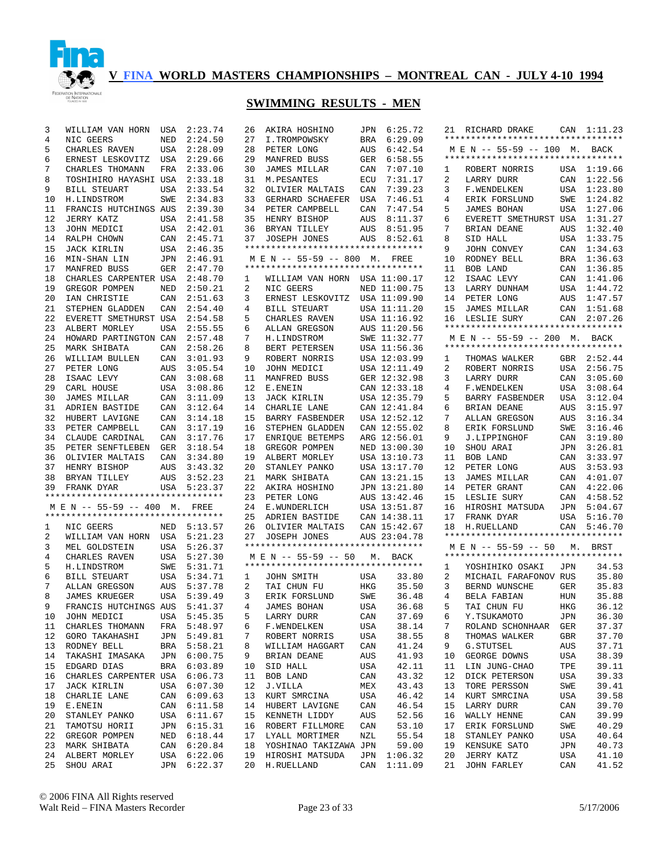

| 3  | WILLIAM VAN HORN                   | USA | 2:23.74                    | 26 | AKIRA HOSHINO                                              |     | JPN 6:25.72  |        | 21 RICHARD DRAKE                                           |     | CAN 1:11.23    |
|----|------------------------------------|-----|----------------------------|----|------------------------------------------------------------|-----|--------------|--------|------------------------------------------------------------|-----|----------------|
| 4  | NIC GEERS                          | NED | 2:24.50                    | 27 | I.TROMPOWSKY                                               | BRA | 6:29.09      |        | **********************************                         |     |                |
| 5  | CHARLES RAVEN                      |     | USA 2:28.09                | 28 | PETER LONG                                                 | AUS | 6:42.54      |        | M E N -- 55-59 -- 100 M. BACK                              |     |                |
| 6  | ERNEST LESKOVITZ                   | USA | 2:29.66                    | 29 | MANFRED BUSS                                               | GER | 6:58.55      |        | **********************************                         |     |                |
| 7  | CHARLES THOMANN                    | FRA | 2:33.06                    | 30 | JAMES MILLAR                                               | CAN | 7:07.10      | 1      | ROBERT NORRIS                                              |     | USA 1:19.66    |
| 8  | TOSHIHIRO HAYASHI USA 2:33.18      |     |                            | 31 | M. PESANTES                                                | ECU | 7:31.17      | 2      | LARRY DURR                                                 |     | CAN 1:22.56    |
| 9  | <b>BILL STEUART</b>                |     | USA 2:33.54                | 32 | OLIVIER MALTAIS                                            | CAN | 7:39.23      | 3      | F.WENDELKEN                                                |     | USA 1:23.80    |
| 10 | H.LINDSTROM                        | SWE | 2:34.83                    | 33 | GERHARD SCHAEFER                                           | USA | 7:46.51      | 4      | ERIK FORSLUND                                              | SWE | 1:24.82        |
| 11 | FRANCIS HUTCHINGS AUS              |     | 2:39.30                    |    | 34 PETER CAMPBELL                                          | CAN | 7:47.54      | 5      | <b>JAMES BOHAN</b>                                         |     | USA 1:27.06    |
| 12 | JERRY KATZ                         |     | USA 2:41.58                |    | 35 HENRY BISHOP                                            | AUS | 8:11.37      |        | EVERETT SMETHURST USA 1:31.27                              |     |                |
| 13 |                                    |     |                            |    |                                                            |     | AUS 8:51.95  | 6<br>7 |                                                            |     | AUS 1:32.40    |
|    | JOHN MEDICI                        |     | USA 2:42.01                | 36 | BRYAN TILLEY                                               |     | AUS 8:52.61  |        | BRIAN DEANE                                                |     |                |
| 14 | RALPH CHOWN                        |     | CAN 2:45.71                | 37 | <b>JOSEPH JONES</b><br>**********************************  |     |              | 8      | SID HALL                                                   |     | USA 1:33.75    |
| 15 | <b>JACK KIRLIN</b>                 |     | USA 2:46.35                |    |                                                            |     |              | 9      | JOHN CONVEY                                                |     | CAN 1:34.63    |
| 16 | MIN-SHAN LIN                       |     | JPN 2:46.91                |    | M E N -- 55-59 -- 800 M. FREE                              |     |              | 10     | RODNEY BELL                                                |     | BRA 1:36.63    |
| 17 | MANFRED BUSS                       |     | GER 2:47.70                |    | **********************************                         |     |              | 11     | BOB LAND                                                   |     | CAN 1:36.85    |
| 18 | CHARLES CARPENTER USA              |     | 2:48.70                    | 1  | WILLIAM VAN HORN USA 11:00.17                              |     |              | 12     | ISAAC LEVY                                                 |     | CAN 1:41.06    |
| 19 | GREGOR POMPEN                      | NED | 2:50.21                    | 2  | NIC GEERS                                                  |     | NED 11:00.75 | 13     | LARRY DUNHAM                                               |     | USA 1:44.72    |
| 20 | IAN CHRISTIE                       | CAN | 2:51.63                    | 3  | ERNEST LESKOVITZ                                           |     | USA 11:09.90 | 14     | PETER LONG                                                 |     | AUS 1:47.57    |
| 21 | STEPHEN GLADDEN                    | CAN | 2:54.40                    | 4  | <b>BILL STEUART</b>                                        |     | USA 11:11.20 | 15     | JAMES MILLAR                                               |     | CAN 1:51.68    |
| 22 | EVERETT SMETHURST USA              |     | 2:54.58                    | 5  | CHARLES RAVEN                                              |     | USA 11:16.92 |        | 16 LESLIE SURY                                             |     | CAN 2:07.26    |
| 23 | ALBERT MORLEY                      | USA | 2:55.55                    | 6  | ALLAN GREGSON                                              |     | AUS 11:20.56 |        | **********************************                         |     |                |
| 24 | HOWARD PARTINGTON CAN              |     | 2:57.48                    | 7  | H.LINDSTROM                                                |     | SWE 11:32.77 |        | M E N -- 55-59 -- 200 M. BACK                              |     |                |
| 25 | MARK SHIBATA                       | CAN | 2:58.26                    | 8  | BERT PETERSEN                                              |     | USA 11:56.36 |        | **********************************                         |     |                |
| 26 | WILLIAM BULLEN                     | CAN | 3:01.93                    | 9  | ROBERT NORRIS                                              |     | USA 12:03.99 | 1      | THOMAS WALKER                                              |     | GBR 2:52.44    |
| 27 | PETER LONG                         | AUS | 3:05.54                    | 10 | JOHN MEDICI                                                |     | USA 12:11.49 | 2      | ROBERT NORRIS                                              | USA | 2:56.75        |
| 28 | ISAAC LEVY                         |     | CAN 3:08.68                | 11 | MANFRED BUSS                                               |     | GER 12:32.98 | 3      | LARRY DURR                                                 | CAN | 3:05.60        |
| 29 | CARL HOUSE                         | USA | 3:08.86                    | 12 | E.ENEIN                                                    |     | CAN 12:33.18 | 4      | F.WENDELKEN                                                | USA | 3:08.64        |
| 30 | <b>JAMES MILLAR</b>                | CAN | 3:11.09                    | 13 | <b>JACK KIRLIN</b>                                         |     | USA 12:35.79 | 5      | <b>BARRY FASBENDER</b>                                     | USA | 3:12.04        |
| 31 | ADRIEN BASTIDE                     | CAN | 3:12.64                    | 14 | CHARLIE LANE                                               |     | CAN 12:41.84 | 6      | BRIAN DEANE                                                | AUS | 3:15.97        |
| 32 | HUBERT LAVIGNE                     | CAN | 3:14.18                    | 15 | BARRY FASBENDER                                            |     | USA 12:52.12 | 7      | <b>ALLAN GREGSON</b>                                       | AUS | 3:16.34        |
| 33 | PETER CAMPBELL                     | CAN | 3:17.19                    | 16 | STEPHEN GLADDEN                                            |     | CAN 12:55.02 | 8      | ERIK FORSLUND                                              | SWE | 3:16.46        |
| 34 | CLAUDE CARDINAL                    | CAN | 3:17.76                    | 17 | ENRIQUE BETEMPS                                            |     | ARG 12:56.01 | 9      | J.LIPPINGHOF                                               |     | CAN 3:19.80    |
| 35 | PETER SENFTLEBEN                   | GER | 3:18.54                    | 18 | GREGOR POMPEN                                              |     | NED 13:00.30 | 10     | SHOU ARAI                                                  | JPN | 3:26.81        |
| 36 | OLIVIER MALTAIS                    | CAN | 3:34.80                    | 19 | ALBERT MORLEY                                              |     | USA 13:10.73 | 11     | BOB LAND                                                   | CAN | 3:33.97        |
| 37 | HENRY BISHOP                       | AUS | 3:43.32                    | 20 | STANLEY PANKO                                              |     | USA 13:17.70 | 12     | PETER LONG                                                 | AUS | 3:53.93        |
| 38 | BRYAN TILLEY                       | AUS | 3:52.23                    | 21 | MARK SHIBATA                                               |     | CAN 13:21.15 | 13     | <b>JAMES MILLAR</b>                                        |     | CAN 4:01.07    |
| 39 | FRANK DYAR                         |     | USA 5:23.37                | 22 | AKIRA HOSHINO                                              |     | JPN 13:21.80 | 14     | PETER GRANT                                                | CAN | 4:22.06        |
|    | *********************************  |     |                            | 23 | PETER LONG                                                 |     | AUS 13:42.46 | 15     | LESLIE SURY                                                |     | CAN 4:58.52    |
|    | M E N -- 55-59 -- 400 M.           |     | FREE                       | 24 | E.WUNDERLICH                                               |     | USA 13:51.87 | 16     | HIROSHI MATSUDA                                            | JPN | 5:04.67        |
|    | ********************************** |     |                            | 25 | ADRIEN BASTIDE                                             |     | CAN 14:38.11 | 17     | FRANK DYAR                                                 |     | USA 5:16.70    |
| 1  | NIC GEERS                          |     | NED 5:13.57                | 26 | OLIVIER MALTAIS                                            |     | CAN 15:42.67 | 18     | H.RUELLAND                                                 |     | CAN 5:46.70    |
| 2  | WILLIAM VAN HORN USA 5:21.23       |     |                            | 27 | JOSEPH JONES                                               |     | AUS 23:04.78 |        | **********************************                         |     |                |
| 3  |                                    |     | USA 5:26.37                |    | **********************************                         |     |              |        |                                                            |     |                |
|    | MEL GOLDSTEIN                      |     |                            |    |                                                            |     |              |        | M E N -- 55-59 -- 50<br>********************************** | М.  | BRST           |
| 4  | CHARLES RAVEN                      |     | USA 5:27.30                |    | M E N -- 55-59 -- 50<br>********************************** |     | M. BACK      |        |                                                            |     |                |
| 5  | H.LINDSTROM                        |     | SWE 5:31.71<br>USA 5:34.71 |    |                                                            |     |              | 1      | YOSHIHIKO OSAKI                                            | JPN | 34.53<br>35.80 |
| 6  | BILL STEUART                       |     |                            | 1  | JOHN SMITH                                                 | USA | 33.80        | 2      | MICHAIL FARAFONOV RUS                                      |     |                |
| 7  | ALLAN GREGSON                      | AUS | 5:37.78                    | 2  | TAI CHUN FU                                                | HKG | 35.50        | 3      | BERND WUNSCHE                                              | GER | 35.83          |
| 8  | <b>JAMES KRUEGER</b>               |     | USA 5:39.49                | 3  | ERIK FORSLUND                                              | SWE | 36.48        | 4      | BELA FABIAN                                                | HUN | 35.88          |
| 9  | FRANCIS HUTCHINGS AUS              |     | 5:41.37                    | 4  | <b>JAMES BOHAN</b>                                         | USA | 36.68        | 5      | TAI CHUN FU                                                | HKG | 36.12          |
|    | 10 JOHN MEDICI USA 5:45.35         |     |                            |    | 5 LARRY DURR                                               | CAN | 37.69        | 6      | Y.TSUKAMOTO                                                | JPN | 36.30          |
| 11 | CHARLES THOMANN                    |     | FRA 5:48.97                | 6  | F.WENDELKEN                                                | USA | 38.14        | 7      | ROLAND SCHONHAAR GER                                       |     | 37.37          |
| 12 | GORO TAKAHASHI                     |     | JPN 5:49.81                | 7  | ROBERT NORRIS                                              | USA | 38.55        | 8      | THOMAS WALKER                                              | GBR | 37.70          |
| 13 | RODNEY BELL                        |     | BRA 5:58.21                | 8  | WILLIAM HAGGART                                            | CAN | 41.24        | 9      | G. STUTSEL                                                 | AUS | 37.71          |
| 14 | TAKASHI IMASAKA                    |     | JPN 6:00.75                | 9  | BRIAN DEANE                                                | AUS | 41.93        | 10     | GEORGE DOWNS                                               | USA | 38.39          |
| 15 | EDGARD DIAS                        |     | BRA 6:03.89                | 10 | SID HALL                                                   | USA | 42.11        | 11     | LIN JUNG-CHAO                                              | TPE | 39.11          |
| 16 | CHARLES CARPENTER USA 6:06.73      |     |                            | 11 | BOB LAND                                                   | CAN | 43.32        | 12     | DICK PETERSON                                              | USA | 39.33          |
| 17 | JACK KIRLIN                        |     | USA 6:07.30                | 12 | J.VILLA                                                    | MEX | 43.43        | 13     | TORE PERSSON                                               | SWE | 39.41          |
| 18 | CHARLIE LANE                       |     | CAN 6:09.63                | 13 | KURT SMRCINA                                               | USA | 46.42        | 14     | KURT SMRCINA                                               | USA | 39.58          |
| 19 | E.ENEIN                            |     | CAN 6:11.58                | 14 | HUBERT LAVIGNE                                             | CAN | 46.54        | 15     | LARRY DURR                                                 | CAN | 39.70          |
| 20 | STANLEY PANKO                      |     | USA 6:11.67                | 15 | KENNETH LIDDY                                              | AUS | 52.56        | 16     | WALLY HENNE                                                | CAN | 39.99          |
| 21 | TAMOTSU HORII                      |     | JPN 6:15.31                |    | 16 ROBERT FILLMORE                                         | CAN | 53.10        | 17     | ERIK FORSLUND                                              | SWE | 40.29          |
| 22 | GREGOR POMPEN                      |     | NED 6:18.44                |    | 17 LYALL MORTIMER                                          | NZL | 55.54        | 18     | STANLEY PANKO                                              | USA | 40.64          |
| 23 | MARK SHIBATA                       |     | CAN 6:20.84                |    | 18 YOSHINAO TAKIZAWA JPN                                   |     | 59.00        | 19     | KENSUKE SATO                                               | JPN | 40.73          |
| 24 | ALBERT MORLEY                      |     | USA 6:22.06                |    | 19 HIROSHI MATSUDA                                         | JPN | 1:06.32      | 20     | JERRY KATZ                                                 | USA | 41.10          |
| 25 | SHOU ARAI                          |     | JPN 6:22.37                |    | 20 H.RUELLAND                                              | CAN | 1:11.09      | 21     | JOHN FARLEY                                                | CAN | 41.52          |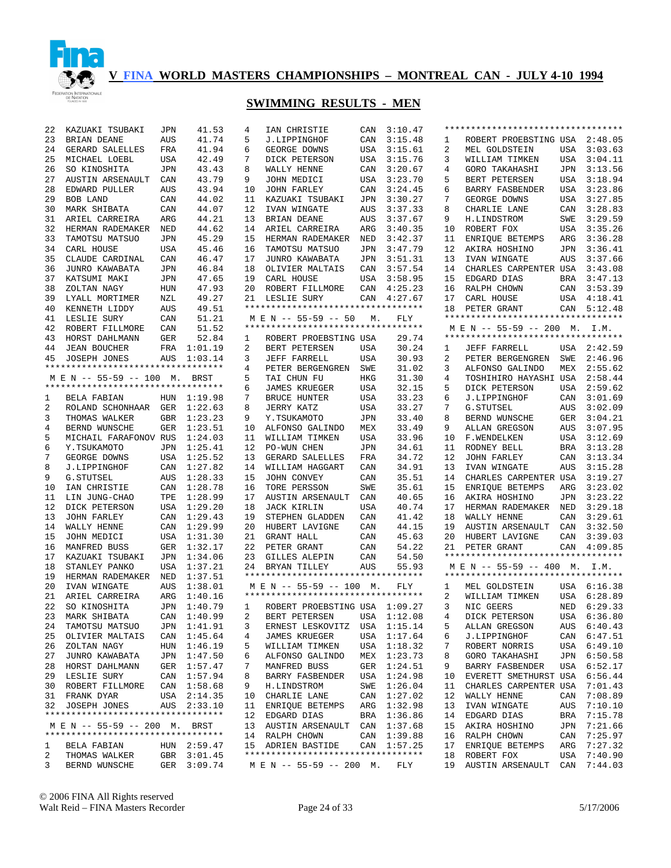

| 22     | KAZUAKI TSUBAKI                                                     | JPN        | 41.53                      | 4        | IAN CHRISTIE                                            | CAN | 3:10.47                    |          | ********************************** |            |                            |
|--------|---------------------------------------------------------------------|------------|----------------------------|----------|---------------------------------------------------------|-----|----------------------------|----------|------------------------------------|------------|----------------------------|
| 23     | BRIAN DEANE                                                         | AUS        | 41.74                      | 5        | J.LIPPINGHOF                                            | CAN | 3:15.48                    | 1        | ROBERT PROEBSTING USA 2:48.05      |            |                            |
| 24     | GERARD SALELLES                                                     | FRA        | 41.94                      | 6        | GEORGE DOWNS                                            | USA | 3:15.61                    | 2        | MEL GOLDSTEIN                      | USA        | 3:03.63                    |
| 25     | MICHAEL LOEBL                                                       | USA        | 42.49                      | 7        | DICK PETERSON                                           | USA | 3:15.76                    | 3        | WILLIAM TIMKEN                     | USA        | 3:04.11                    |
| 26     | SO KINOSHITA                                                        | <b>JPN</b> | 43.43                      | 8        | WALLY HENNE                                             | CAN | 3:20.67                    | 4        | <b>GORO TAKAHASHI</b>              | JPN        | 3:13.56                    |
| 27     | AUSTIN ARSENAULT                                                    | CAN        | 43.79                      | 9        | JOHN MEDICI                                             | USA | 3:23.70                    | 5        | BERT PETERSEN                      | USA        | 3:18.94                    |
| 28     | EDWARD PULLER                                                       | AUS        | 43.94                      | 10       | <b>JOHN FARLEY</b>                                      | CAN | 3:24.45                    | 6        | BARRY FASBENDER                    | USA        | 3:23.86                    |
| 29     | BOB LAND                                                            | CAN        | 44.02                      | 11       | KAZUAKI TSUBAKI                                         | JPN | 3:30.27                    | 7        | GEORGE DOWNS                       | USA        | 3:27.85                    |
| 30     | MARK SHIBATA                                                        | CAN        | 44.07                      | 12       | IVAN WINGATE                                            | AUS | 3:37.33                    | 8        | CHARLIE LANE                       | CAN        | 3:28.83                    |
| 31     | ARIEL CARREIRA                                                      | ARG        | 44.21                      | 13       | BRIAN DEANE                                             | AUS | 3:37.67                    | 9        | H.LINDSTROM                        | SWE        | 3:29.59                    |
| 32     | HERMAN RADEMAKER                                                    | <b>NED</b> | 44.62                      | 14       | ARIEL CARREIRA                                          | ARG | 3:40.35                    | 10       | ROBERT FOX                         | USA        | 3:35.26                    |
| 33     | TAMOTSU MATSUO                                                      | <b>JPN</b> | 45.29                      | 15       | HERMAN RADEMAKER                                        | NED | 3:42.37                    | 11       | ENRIOUE BETEMPS                    | ARG        | 3:36.28                    |
| 34     | CARL HOUSE                                                          | <b>USA</b> | 45.46                      | 16       | TAMOTSU MATSUO                                          | JPN | 3:47.79                    | 12       | AKIRA HOSHINO                      | JPN        | 3:36.41                    |
| 35     | CLAUDE CARDINAL                                                     | CAN        | 46.47                      | 17       | JUNRO KAWABATA                                          | JPN | 3:51.31                    | 13       | IVAN WINGATE                       | AUS        | 3:37.66                    |
| 36     | JUNRO KAWABATA                                                      | JPN        | 46.84                      | 18       | OLIVIER MALTAIS                                         | CAN | 3:57.54                    | 14       | CHARLES CARPENTER USA              |            | 3:43.08                    |
| 37     | KATSUMI MAKI                                                        | JPN        | 47.65                      | 19       | CARL HOUSE                                              | USA | 3:58.95                    | 15       | EDGARD DIAS                        | BRA        | 3:47.13                    |
| 38     | ZOLTAN NAGY                                                         | HUN        | 47.93                      | 20       | ROBERT FILLMORE                                         | CAN | 4:25.23                    | 16       | RALPH CHOWN                        | CAN        | 3:53.39                    |
| 39     | LYALL MORTIMER                                                      | NZL        | 49.27                      | 21       | LESLIE SURY                                             | CAN | 4:27.67                    | 17       | CARL HOUSE                         | USA        | 4:18.41                    |
| 40     | KENNETH LIDDY                                                       | AUS        | 49.51                      |          | **********************************                      |     |                            | 18       | PETER GRANT                        | CAN        | 5:12.48                    |
| 41     | LESLIE SURY                                                         | CAN        | 51.21                      |          | M E N -- 55-59 -- 50                                    | М.  | FLY                        |          | ********************************** |            |                            |
| 42     | ROBERT FILLMORE                                                     | CAN        | 51.52                      |          | **********************************                      |     |                            |          | M E N -- 55-59 -- 200 M. I.M.      |            |                            |
| 43     | HORST DAHLMANN                                                      | GER        | 52.84                      | 1        | ROBERT PROEBSTING USA                                   |     | 29.74                      |          | ********************************** |            |                            |
| 44     | <b>JEAN BOUCHER</b>                                                 |            | FRA 1:01.19                | 2        | BERT PETERSEN                                           | USA | 30.24                      | 1        | JEFF FARRELL                       |            | USA 2:42.59                |
| 45     | <b>JOSEPH JONES</b>                                                 | AUS        | 1:03.14                    | 3        | <b>JEFF FARRELL</b>                                     | USA | 30.93                      | 2        | PETER BERGENGREN                   | SWE        | 2:46.96                    |
|        | **********************************                                  |            |                            | 4        | PETER BERGENGREN                                        | SWE | 31.02                      | 3        | ALFONSO GALINDO                    | MEX        | 2:55.62                    |
|        | M E N -- 55-59 -- 100 M. BRST                                       |            |                            | 5        | TAI CHUN FU                                             | HKG | 31.30                      | 4        | TOSHIHIRO HAYASHI USA              |            | 2:58.44                    |
|        | **********************************                                  |            |                            | 6        | <b>JAMES KRUEGER</b>                                    | USA | 32.15                      | 5        | DICK PETERSON                      | USA        | 2:59.62                    |
| 1      | <b>BELA FABIAN</b>                                                  | HUN        | 1:19.98                    | 7        | <b>BRUCE HUNTER</b>                                     | USA | 33.23                      | 6        | J.LIPPINGHOF                       | CAN        | 3:01.69                    |
| 2      | ROLAND SCHONHAAR GER                                                |            | 1:22.63                    | 8        | JERRY KATZ                                              | USA | 33.27                      | 7        | G. STUTSEL                         | AUS        | 3:02.09                    |
| 3      | THOMAS WALKER                                                       | GBR        | 1:23.23                    | 9        | Y.TSUKAMOTO                                             | JPN | 33.40                      | 8        | BERND WUNSCHE                      | GER        | 3:04.21                    |
| 4      | BERND WUNSCHE                                                       | GER        | 1:23.51                    | 10       | ALFONSO GALINDO                                         | MEX | 33.49                      | 9        | ALLAN GREGSON                      | AUS        | 3:07.95                    |
| 5      | MICHAIL FARAFONOV RUS                                               |            | 1:24.03                    | 11       | WILLIAM TIMKEN                                          | USA | 33.96                      | 10       | F.WENDELKEN                        | USA        | 3:12.69                    |
| 6      | Y.TSUKAMOTO                                                         | JPN        | 1:25.41                    | 12       | PO-WUN CHEN                                             | JPN | 34.61                      | 11       | RODNEY BELL                        | <b>BRA</b> | 3:13.28                    |
| 7      | GEORGE DOWNS                                                        | USA        | 1:25.52                    | 13       | GERARD SALELLES                                         | FRA | 34.72                      | 12       | JOHN FARLEY                        | CAN        | 3:13.34                    |
| 8      | J.LIPPINGHOF                                                        | CAN        | 1:27.82                    | 14       | WILLIAM HAGGART                                         | CAN | 34.91                      | 13       | IVAN WINGATE                       | AUS        | 3:15.28                    |
| 9      | G.STUTSEL                                                           | AUS        | 1:28.33                    | 15       | JOHN CONVEY                                             | CAN | 35.51                      | 14       | CHARLES CARPENTER USA              |            | 3:19.27                    |
| 10     | IAN CHRISTIE                                                        | CAN        | 1:28.78                    | 16       | TORE PERSSON                                            | SWE | 35.61                      | 15       | ENRIQUE BETEMPS                    | ARG        | 3:23.02                    |
| 11     | LIN JUNG-CHAO                                                       | TPE        | 1:28.99                    | 17       | AUSTIN ARSENAULT                                        | CAN | 40.65                      | 16       | AKIRA HOSHINO                      | JPN        | 3:23.22                    |
| 12     | DICK PETERSON                                                       | USA        | 1:29.20                    | 18       | <b>JACK KIRLIN</b>                                      | USA | 40.74                      | 17       | HERMAN RADEMAKER                   | NED        | 3:29.18                    |
| 13     | <b>JOHN FARLEY</b>                                                  | CAN        | 1:29.43                    | 19       | STEPHEN GLADDEN                                         | CAN | 41.42                      | 18       | WALLY HENNE                        | CAN        | 3:29.61                    |
| 14     | WALLY HENNE                                                         | CAN        | 1:29.99                    | 20       | HUBERT LAVIGNE                                          | CAN | 44.15                      | 19       | AUSTIN ARSENAULT CAN               |            | 3:32.50                    |
| 15     | JOHN MEDICI                                                         |            | USA 1:31.30                | 21       | GRANT HALL                                              | CAN | 45.63                      | 20       | HUBERT LAVIGNE                     | CAN        | 3:39.03                    |
| 16     | MANFRED BUSS                                                        | GER        | 1:32.17                    | 22       | PETER GRANT                                             | CAN | 54.22                      | 21       | PETER GRANT                        | CAN        | 4:09.85                    |
| 17     | KAZUAKI TSUBAKI                                                     | JPN        | 1:34.06                    | 23       | GILLES ALEPIN                                           | CAN | 54.50                      |          | ********************************** |            |                            |
| 18     | STANLEY PANKO                                                       |            | USA 1:37.21                | 24       | BRYAN TILLEY                                            | AUS | 55.93                      |          | M E N -- 55-59 -- 400 M. I.M.      |            |                            |
| 19     | HERMAN RADEMAKER                                                    | NED        | 1:37.51                    |          | **********************************                      |     |                            |          | ********************************** |            |                            |
| 20     | IVAN WINGATE                                                        | AUS        | 1:38.01                    |          | M E N -- 55-59 -- 100 M.                                |     | FLY                        | 1        | MEL GOLDSTEIN                      |            | USA 6:16.38                |
| 21     | ARIEL CARREIRA                                                      | ARG        | 1:40.16                    |          | **********************************                      |     |                            | 2        | WILLIAM TIMKEN                     |            | USA 6:28.89                |
| 22     | SO KINOSHITA                                                        |            | JPN 1:40.79                | 1        | ROBERT PROEBSTING USA 1:09.27                           |     |                            | 3        | NIC GEERS                          |            | NED 6:29.33                |
|        | 23 MARK SHIBATA                                                     |            | CAN 1:40.99                |          | 2 BERT PETERSEN USA 1:12.08                             |     |                            |          | DICK PETERSON                      |            | USA 6:36.80                |
| 24     | TAMOTSU MATSUO                                                      |            | JPN 1:41.91                | 3        | ERNEST LESKOVITZ                                        |     | USA 1:15.14                | 5        | ALLAN GREGSON                      |            | AUS 6:40.43                |
| 25     | OLIVIER MALTAIS                                                     |            | CAN 1:45.64                | 4        | <b>JAMES KRUEGER</b>                                    |     | USA 1:17.64                | 6        | J.LIPPINGHOF                       |            | CAN 6:47.51                |
| 26     | ZOLTAN NAGY                                                         |            | HUN 1:46.19                | 5        | WILLIAM TIMKEN                                          |     | USA 1:18.32                | 7        | ROBERT NORRIS                      |            | USA 6:49.10                |
| 27     | JUNRO KAWABATA                                                      |            | JPN 1:47.50                | 6        | ALFONSO GALINDO                                         |     | MEX 1:23.73                | 8        | GORO TAKAHASHI                     |            | JPN 6:50.58                |
| 28     | HORST DAHLMANN                                                      |            | GER 1:57.47                | 7        | MANFRED BUSS                                            |     | GER 1:24.51                | 9        | BARRY FASBENDER                    |            | USA 6:52.17                |
|        | 29 LESLIE SURY                                                      |            | CAN 1:57.94                | 8        | BARRY FASBENDER                                         |     | USA 1:24.98                | 10       | EVERETT SMETHURST USA 6:56.44      |            |                            |
|        | 30 ROBERT FILLMORE                                                  |            | CAN 1:58.68                | 9        | H.LINDSTROM                                             |     | SWE 1:26.04                | 11       | CHARLES CARPENTER USA 7:01.43      |            |                            |
|        | 31 FRANK DYAR                                                       |            | USA 2:14.35                | 10       | CHARLIE LANE                                            |     | CAN 1:27.02                | 12       | WALLY HENNE                        |            | CAN 7:08.89                |
|        |                                                                     |            |                            |          |                                                         |     |                            | 13       | IVAN WINGATE                       |            |                            |
|        | 32 JOSEPH JONES<br>**********************************               |            | AUS 2:33.10                | 11<br>12 | ENRIQUE BETEMPS<br>EDGARD DIAS                          |     | ARG 1:32.98<br>BRA 1:36.86 | 14       | EDGARD DIAS                        | AUS<br>BRA | 7:10.10<br>7:15.78         |
|        |                                                                     |            |                            |          |                                                         |     |                            |          |                                    |            |                            |
|        | M E N -- 55-59 -- 200 M. BRST<br>********************************** |            |                            |          | 13 AUSTIN ARSENAULT                                     |     | CAN 1:37.68                | 15       | AKIRA HOSHINO                      | JPN        | 7:21.66                    |
|        |                                                                     |            |                            |          | 14 RALPH CHOWN                                          |     | CAN 1:39.88<br>CAN 1:57.25 | 16<br>17 | RALPH CHOWN                        | CAN        | 7:25.97                    |
| 1<br>2 | BELA FABIAN                                                         |            | HUN 2:59.47<br>GBR 3:01.45 |          | 15 ADRIEN BASTIDE<br>********************************** |     |                            | 18       | ENRIQUE BETEMPS<br>ROBERT FOX      |            | ARG 7:27.32<br>USA 7:40.90 |
| 3      | THOMAS WALKER                                                       |            | GER 3:09.74                |          | M E N -- 55-59 -- 200 M.                                |     |                            | 19       | AUSTIN ARSENAULT CAN 7:44.03       |            |                            |
|        | BERND WUNSCHE                                                       |            |                            |          |                                                         |     | FLY                        |          |                                    |            |                            |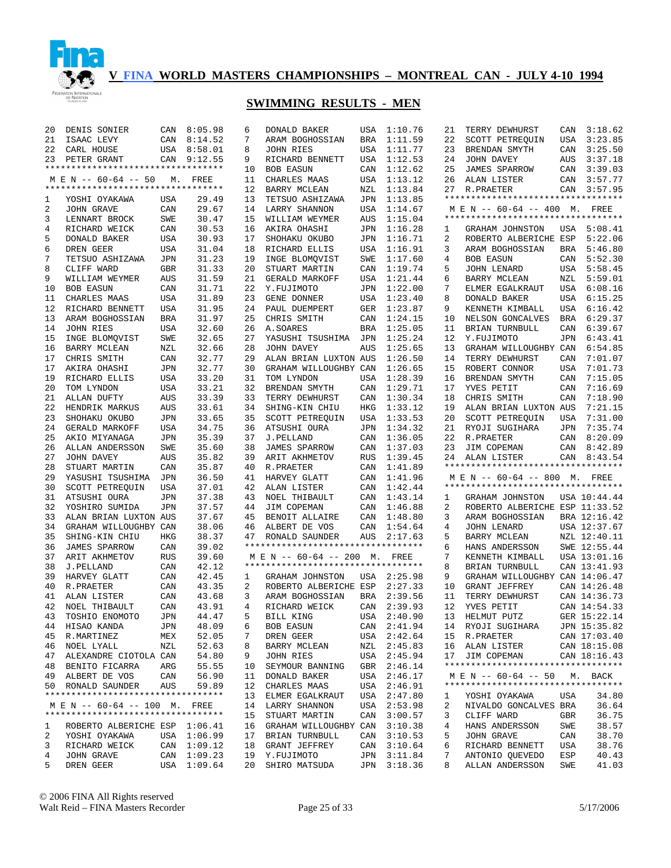

| 20 | DENIS SONIER                       |            | CAN 8:05.98 | 6  | DONALD BAKER                       | USA        | 1:10.76     | 21 | TERRY DEWHURST                                    | CAN        | 3:18.62      |
|----|------------------------------------|------------|-------------|----|------------------------------------|------------|-------------|----|---------------------------------------------------|------------|--------------|
| 21 | ISAAC LEVY                         | CAN        | 8:14.52     | 7  | ARAM BOGHOSSIAN                    | <b>BRA</b> | 1:11.59     | 22 | SCOTT PETREQUIN                                   | USA        | 3:23.85      |
| 22 | CARL HOUSE                         |            | USA 8:58.01 | 8  | JOHN RIES                          | USA        | 1:11.77     | 23 | BRENDAN SMYTH                                     | CAN        | 3:25.50      |
| 23 | PETER GRANT                        |            | CAN 9:12.55 | 9  | RICHARD BENNETT                    | USA        | 1:12.53     | 24 | JOHN DAVEY                                        | AUS        | 3:37.18      |
|    | ********************************** |            |             | 10 | <b>BOB EASUN</b>                   | CAN        | 1:12.62     | 25 | <b>JAMES SPARROW</b>                              | CAN        | 3:39.03      |
|    | M E N -- 60-64 -- 50               | М.         | FREE        | 11 | CHARLES MAAS                       | USA        | 1:13.12     | 26 | ALAN LISTER                                       | CAN        | 3:57.77      |
|    | ********************************** |            |             | 12 | BARRY MCLEAN                       | NZL        | 1:13.84     | 27 | R. PRAETER                                        | CAN        | 3:57.95      |
| 1  | YOSHI OYAKAWA                      | USA        | 29.49       | 13 | TETSUO ASHIZAWA                    | <b>JPN</b> | 1:13.85     |    | **********************************                |            |              |
| 2  | JOHN GRAVE                         | CAN        | 29.67       | 14 | LARRY SHANNON                      | USA        | 1:14.67     |    | M E N -- 60-64 -- 400 M. FREE                     |            |              |
| 3  | LENNART BROCK                      | SWE        | 30.47       | 15 | WILLIAM WEYMER                     | AUS        | 1:15.04     |    | *********************************                 |            |              |
|    |                                    |            |             |    |                                    |            |             |    |                                                   |            |              |
| 4  | RICHARD WEICK                      | CAN        | 30.53       | 16 | AKIRA OHASHI                       | JPN        | 1:16.28     | 1  | GRAHAM JOHNSTON                                   | USA        | 5:08.41      |
| 5  | DONALD BAKER                       | USA        | 30.93       | 17 | SHOHAKU OKUBO                      | <b>JPN</b> | 1:16.71     | 2  | ROBERTO ALBERICHE ESP                             |            | 5:22.06      |
| 6  | DREN GEER                          | USA        | 31.04       | 18 | RICHARD ELLIS                      | USA        | 1:16.91     | 3  | ARAM BOGHOSSIAN                                   | BRA        | 5:46.80      |
| 7  | TETSUO ASHIZAWA                    | JPN        | 31.23       | 19 | INGE BLOMQVIST                     | SWE        | 1:17.60     | 4  | <b>BOB EASUN</b>                                  | CAN        | 5:52.30      |
| 8  | CLIFF WARD                         | GBR        | 31.33       | 20 | STUART MARTIN                      | CAN        | 1:19.74     | 5  | JOHN LENARD                                       | USA        | 5:58.45      |
| 9  | WILLIAM WEYMER                     | AUS        | 31.59       | 21 | GERALD MARKOFF                     | USA        | 1:21.44     | 6  | BARRY MCLEAN                                      | NZL        | 5:59.01      |
| 10 | <b>BOB EASUN</b>                   | CAN        | 31.71       | 22 | Y.FUJIMOTO                         | JPN        | 1:22.00     | 7  | ELMER EGALKRAUT                                   | USA        | 6:08.16      |
| 11 | CHARLES MAAS                       | USA        | 31.89       | 23 | GENE DONNER                        | USA        | 1:23.40     | 8  | DONALD BAKER                                      | USA        | 6:15.25      |
| 12 | RICHARD BENNETT                    | USA        | 31.95       | 24 | PAUL DUEMPERT                      | GER        | 1:23.87     | 9  | KENNETH KIMBALL                                   | USA        | 6:16.42      |
| 13 | ARAM BOGHOSSIAN                    | <b>BRA</b> | 31.97       | 25 | CHRIS SMITH                        | CAN        | 1:24.15     | 10 | NELSON GONCALVES                                  | <b>BRA</b> | 6:29.37      |
| 14 | JOHN RIES                          | USA        | 32.60       | 26 | A.SOARES                           | <b>BRA</b> | 1:25.05     | 11 | BRIAN TURNBULL                                    | CAN        | 6:39.67      |
| 15 | INGE BLOMQVIST                     | SWE        | 32.65       | 27 | YASUSHI TSUSHIMA                   | JPN        | 1:25.24     | 12 | Y.FUJIMOTO                                        | JPN        | 6:43.41      |
| 16 | BARRY MCLEAN                       | NZL        | 32.66       | 28 | JOHN DAVEY                         | AUS        | 1:25.65     | 13 | GRAHAM WILLOUGHBY CAN                             |            | 6:54.85      |
|    | CHRIS SMITH                        |            |             |    |                                    |            | 1:26.50     |    |                                                   |            |              |
| 17 |                                    | CAN        | 32.77       | 29 | ALAN BRIAN LUXTON AUS              |            |             | 14 | TERRY DEWHURST                                    | CAN        | 7:01.07      |
| 17 | AKIRA OHASHI                       | JPN        | 32.77       | 30 | GRAHAM WILLOUGHBY CAN              |            | 1:26.65     | 15 | ROBERT CONNOR                                     | <b>USA</b> | 7:01.73      |
| 19 | RICHARD ELLIS                      | <b>USA</b> | 33.20       | 31 | TOM LYNDON                         | USA        | 1:28.39     | 16 | BRENDAN SMYTH                                     | CAN        | 7:15.05      |
| 20 | TOM LYNDON                         | <b>USA</b> | 33.21       | 32 | BRENDAN SMYTH                      | CAN        | 1:29.71     | 17 | YVES PETIT                                        | CAN        | 7:16.69      |
| 21 | ALLAN DUFTY                        | AUS        | 33.39       | 33 | TERRY DEWHURST                     | CAN        | 1:30.34     | 18 | CHRIS SMITH                                       | CAN        | 7:18.90      |
| 22 | HENDRIK MARKUS                     | AUS        | 33.61       | 34 | SHING-KIN CHIU                     | HKG        | 1:33.12     | 19 | ALAN BRIAN LUXTON AUS                             |            | 7:21.15      |
| 23 | SHOHAKU OKUBO                      | <b>JPN</b> | 33.65       | 35 | SCOTT PETREQUIN                    | USA        | 1:33.53     | 20 | SCOTT PETREQUIN                                   | USA        | 7:31.00      |
| 24 | GERALD MARKOFF                     | <b>USA</b> | 34.75       | 36 | ATSUSHI OURA                       | JPN        | 1:34.32     | 21 | RYOJI SUGIHARA                                    | JPN        | 7:35.74      |
| 25 | AKIO MIYANAGA                      | <b>JPN</b> | 35.39       | 37 | J.PELLAND                          | CAN        | 1:36.05     | 22 | R. PRAETER                                        | CAN        | 8:20.09      |
|    |                                    |            |             |    |                                    |            |             |    |                                                   |            |              |
| 26 |                                    |            |             | 38 |                                    | CAN        |             | 23 |                                                   |            |              |
|    | ALLAN ANDERSSON                    | SWE        | 35.60       |    | <b>JAMES SPARROW</b>               |            | 1:37.03     |    | JIM COPEMAN                                       | CAN        | 8:42.89      |
| 27 | JOHN DAVEY                         | AUS        | 35.82       | 39 | ARIT AKHMETOV                      | <b>RUS</b> | 1:39.45     | 24 | ALAN LISTER<br>********************************** |            | CAN 8:43.54  |
| 28 | STUART MARTIN                      | CAN        | 35.87       | 40 | R. PRAETER                         | CAN        | 1:41.89     |    |                                                   |            |              |
| 29 | YASUSHI TSUSHIMA                   | JPN        | 36.50       | 41 | HARVEY GLATT                       | CAN        | 1:41.96     |    | M E N -- 60-64 -- 800 M. FREE                     |            |              |
| 30 | SCOTT PETREQUIN                    | USA        | 37.01       | 42 | ALAN LISTER                        | CAN        | 1:42.44     |    | **********************************                |            |              |
| 31 | ATSUSHI OURA                       | JPN        | 37.38       | 43 | NOEL THIBAULT                      | CAN        | 1:43.14     | 1  | GRAHAM JOHNSTON                                   |            | USA 10:44.44 |
| 32 | YOSHIRO SUMIDA                     | JPN        | 37.57       | 44 | JIM COPEMAN                        | CAN        | 1:46.88     | 2  | ROBERTO ALBERICHE ESP 11:33.52                    |            |              |
| 33 | ALAN BRIAN LUXTON AUS              |            | 37.67       | 45 | BENOIT ALLAIRE                     | CAN        | 1:48.80     | 3  | ARAM BOGHOSSIAN                                   |            | BRA 12:16.42 |
| 34 | GRAHAM WILLOUGHBY CAN              |            | 38.06       | 46 | ALBERT DE VOS                      | CAN        | 1:54.64     | 4  | JOHN LENARD                                       |            | USA 12:37.67 |
| 35 | SHING-KIN CHIU                     | HKG        | 38.37       | 47 | RONALD SAUNDER                     | AUS        | 2:17.63     | 5  | BARRY MCLEAN                                      |            | NZL 12:40.11 |
| 36 | JAMES SPARROW                      | CAN        | 39.02       |    | ********************************** |            |             | 6  | HANS ANDERSSON                                    |            | SWE 12:55.44 |
| 37 | ARIT AKHMETOV                      | RUS        | 39.60       |    | M E N -- 60-64 -- 200 M.           |            | FREE        | 7  | KENNETH KIMBALL                                   |            | USA 13:01.16 |
| 38 | J.PELLAND                          | CAN        | 42.12       |    | ********************************** |            |             | 8  | BRIAN TURNBULL                                    |            | CAN 13:41.93 |
| 39 | HARVEY GLATT                       | CAN        | 42.45       | 1  | GRAHAM JOHNSTON                    |            | USA 2:25.98 | 9  | GRAHAM WILLOUGHBY CAN 14:06.47                    |            |              |
| 40 | R.PRAETER                          | CAN        | 43.35       | 2  | ROBERTO ALBERICHE ESP              |            | 2:27.33     | 10 | GRANT JEFFREY                                     |            | CAN 14:26.48 |
| 41 | ALAN LISTER                        | CAN        | 43.68       | 3  | ARAM BOGHOSSIAN                    | BRA        | 2:39.56     | 11 | TERRY DEWHURST                                    |            | CAN 14:36.73 |
| 42 | <b>NOEL THIBAULT</b>               | CAN        | 43.91       | 4  | RICHARD WEICK                      |            | CAN 2:39.93 | 12 | YVES PETIT                                        |            | CAN 14:54.33 |
|    |                                    |            |             |    |                                    |            |             |    |                                                   |            |              |
|    | 43 TOSHIO ENOMOTO                  | JPN        | 44.47       |    | 5 BILL KING                        |            | USA 2:40.90 |    | 13 HELMUT PUTZ                                    |            | GER 15:22.14 |
|    | 44 HISAO KANDA                     | JPN        | 48.09       | 6  | BOB EASUN                          |            | CAN 2:41.94 |    | 14 RYOJI SUGIHARA                                 |            | JPN 15:35.82 |
|    | 45 R.MARTINEZ                      | MEX        | 52.05       | 7  | DREN GEER                          |            | USA 2:42.64 |    | 15 R.PRAETER                                      |            | CAN 17:03.40 |
|    | 46 NOEL LYALL                      | NZL        | 52.63       | 8  | BARRY MCLEAN                       |            | NZL 2:45.83 |    | 16 ALAN LISTER                                    |            | CAN 18:15.08 |
|    | 47 ALEXANDRE CIOTOLA CAN           |            | 54.80       | 9  | JOHN RIES                          |            | USA 2:45.94 | 17 | JIM COPEMAN                                       |            | CAN 18:16.43 |
|    | 48 BENITO FICARRA                  | ARG        | 55.55       | 10 | SEYMOUR BANNING                    |            | GBR 2:46.14 |    | **********************************                |            |              |
|    | 49 ALBERT DE VOS                   | CAN        | 56.90       | 11 | DONALD BAKER                       |            | USA 2:46.17 |    | M E N -- 60-64 -- 50                              |            | M. BACK      |
|    | 50 RONALD SAUNDER                  | AUS        | 59.89       |    | 12 CHARLES MAAS                    |            | USA 2:46.91 |    | **********************************                |            |              |
|    | ********************************** |            |             | 13 | ELMER EGALKRAUT                    |            | USA 2:47.80 | 1  | YOSHI OYAKAWA                                     | USA        | 34.80        |
|    | M E N -- 60-64 -- 100 M. FREE      |            |             |    | 14 LARRY SHANNON                   |            | USA 2:53.98 | 2  | NIVALDO GONCALVES BRA                             |            | 36.64        |
|    | ********************************** |            |             | 15 | STUART MARTIN                      | CAN        | 3:00.57     | 3  | CLIFF WARD                                        | GBR        | 36.75        |
| 1  | ROBERTO ALBERICHE ESP 1:06.41      |            |             |    | 16 GRAHAM WILLOUGHBY CAN 3:10.38   |            |             | 4  | HANS ANDERSSON                                    | SWE        | 38.57        |
| 2  | YOSHI OYAKAWA                      |            | USA 1:06.99 |    | 17 BRIAN TURNBULL                  | CAN        | 3:10.53     | 5  | JOHN GRAVE                                        | CAN        | 38.70        |
| 3  | RICHARD WEICK                      |            | CAN 1:09.12 |    | 18 GRANT JEFFREY                   | CAN        | 3:10.64     | 6  | RICHARD BENNETT                                   | USA        | 38.76        |
| 4  | <b>JOHN GRAVE</b>                  |            | CAN 1:09.23 |    | 19 Y.FUJIMOTO                      | JPN        | 3:11.84     | 7  | ANTONIO QUEVEDO                                   | ESP        | 40.43        |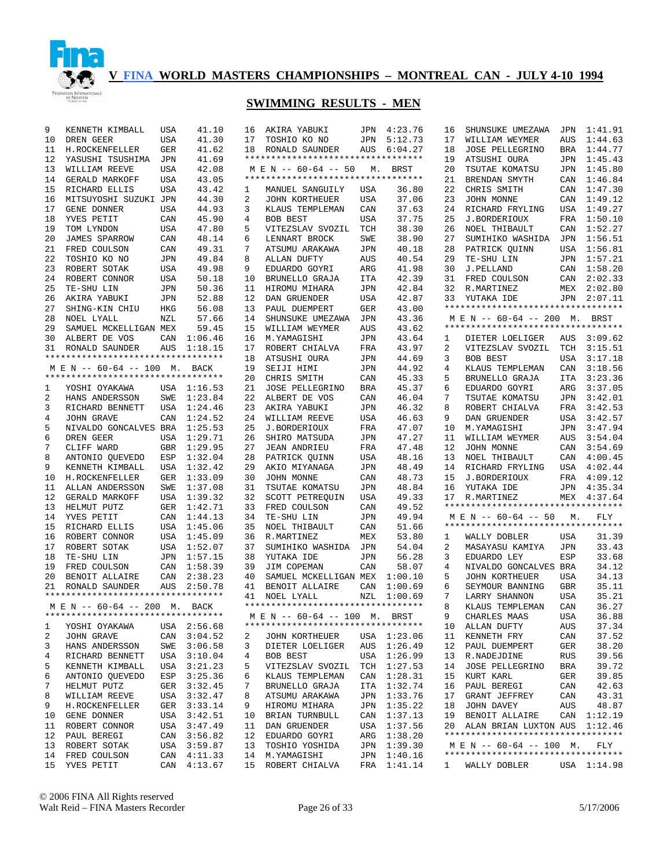

| 9  | KENNETH KIMBALL                    | USA        | 41.10       | 16 | AKIRA YABUKI                       |            | JPN 4:23.76 | 16           | SHUNSUKE UMEZAWA                                           | JPN        | 1:41.91     |
|----|------------------------------------|------------|-------------|----|------------------------------------|------------|-------------|--------------|------------------------------------------------------------|------------|-------------|
| 10 | DREN GEER                          | <b>USA</b> | 41.30       | 17 | TOSHIO KO NO                       | JPN        | 5:12.73     | 17           | WILLIAM WEYMER                                             | AUS        | 1:44.63     |
| 11 | H.ROCKENFELLER                     | <b>GER</b> | 41.62       | 18 | RONALD SAUNDER                     | AUS        | 6:04.27     | 18           | <b>JOSE PELLEGRINO</b>                                     | BRA        | 1:44.77     |
| 12 | YASUSHI TSUSHIMA                   | <b>JPN</b> | 41.69       |    | ********************************** |            |             | 19           | ATSUSHI OURA                                               | JPN        | 1:45.43     |
| 13 | WILLIAM REEVE                      | <b>USA</b> | 42.08       |    | M E N -- 60-64 -- 50               | М.         | BRST        | 20           | TSUTAE KOMATSU                                             | JPN        | 1:45.80     |
| 14 | GERALD MARKOFF                     | <b>USA</b> | 43.05       |    | ********************************** |            |             | 21           | BRENDAN SMYTH                                              | CAN        | 1:46.84     |
| 15 | RICHARD ELLIS                      | <b>USA</b> | 43.42       | 1  | MANUEL SANGUILY                    | USA        | 36.80       | 22           | CHRIS SMITH                                                | CAN        | 1:47.30     |
| 16 | MITSUYOSHI SUZUKI JPN              |            | 44.30       | 2  | <b>JOHN KORTHEUER</b>              | USA        | 37.06       | 23           | JOHN MONNE                                                 | CAN        | 1:49.12     |
| 17 | GENE DONNER                        | <b>USA</b> | 44.93       | 3  | KLAUS TEMPLEMAN                    | CAN        | 37.63       | 24           | RICHARD FRYLING                                            | USA        | 1:49.27     |
| 18 | YVES PETIT                         | CAN        | 45.90       | 4  | BOB BEST                           | USA        | 37.75       | 25           | J.BORDERIOUX                                               | FRA        | 1:50.10     |
| 19 | TOM LYNDON                         | <b>USA</b> | 47.80       | 5  | VITEZSLAV SVOZIL                   | TCH        | 38.30       | 26           | NOEL THIBAULT                                              | CAN        | 1:52.27     |
| 20 | JAMES SPARROW                      | CAN        | 48.14       | 6  | LENNART BROCK                      | SWE        | 38.90       | 27           | SUMIHIKO WASHIDA                                           | JPN        | 1:56.51     |
| 21 | FRED COULSON                       | CAN        | 49.31       | 7  | ATSUMU ARAKAWA                     | JPN        | 40.18       | 28           | PATRICK QUINN                                              |            | USA 1:56.81 |
| 22 | TOSHIO KO NO                       | JPN        | 49.84       | 8  | ALLAN DUFTY                        | AUS        | 40.54       | 29           | TE-SHU LIN                                                 |            | JPN 1:57.21 |
| 23 | ROBERT SOTAK                       | USA        | 49.98       | 9  | EDUARDO GOYRI                      | ARG        | 41.98       | 30           | J.PELLAND                                                  |            | CAN 1:58.20 |
| 24 | ROBERT CONNOR                      | USA        | 50.18       | 10 | BRUNELLO GRAJA                     | <b>ITA</b> | 42.39       | 31           | FRED COULSON                                               |            | CAN 2:02.33 |
| 25 | TE-SHU LIN                         | JPN        | 50.36       | 11 | HIROMU MIHARA                      |            | 42.84       | 32           |                                                            |            | MEX 2:02.80 |
|    |                                    |            |             |    |                                    | JPN        |             |              | R.MARTINEZ                                                 |            |             |
| 26 | AKIRA YABUKI                       | JPN        | 52.88       | 12 | DAN GRUENDER                       | USA        | 42.87       | 33           | YUTAKA IDE<br>**********************************           | JPN        | 2:07.11     |
| 27 | SHING-KIN CHIU                     | HKG        | 56.08       | 13 | PAUL DUEMPERT                      | GER        | 43.00       |              |                                                            |            |             |
| 28 | NOEL LYALL                         | NZL        | 57.66       | 14 | SHUNSUKE UMEZAWA                   | JPN        | 43.36       |              | M E N -- 60-64 -- 200 M. BRST                              |            |             |
| 29 | SAMUEL MCKELLIGAN MEX              |            | 59.45       | 15 | WILLIAM WEYMER                     | AUS        | 43.62       |              | **********************************                         |            |             |
| 30 | ALBERT DE VOS                      | CAN        | 1:06.46     | 16 | M.YAMAGISHI                        | JPN        | 43.64       | 1            | DIETER LOELIGER                                            | AUS        | 3:09.62     |
| 31 | RONALD SAUNDER                     | AUS        | 1:18.15     | 17 | ROBERT CHIALVA                     | FRA        | 43.97       | 2            | VITEZSLAV SVOZIL                                           | TCH        | 3:15.51     |
|    | ********************************** |            |             | 18 | ATSUSHI OURA                       | <b>JPN</b> | 44.69       | 3            | <b>BOB BEST</b>                                            | USA        | 3:17.18     |
|    | M E N -- 60-64 -- 100 M. BACK      |            |             | 19 | SEIJI HIMI                         | <b>JPN</b> | 44.92       | 4            | KLAUS TEMPLEMAN                                            | CAN        | 3:18.56     |
|    | ********************************** |            |             | 20 | CHRIS SMITH                        | CAN        | 45.33       | 5            | BRUNELLO GRAJA                                             | <b>ITA</b> | 3:23.36     |
| 1  | YOSHI OYAKAWA                      |            | USA 1:16.53 | 21 | JOSE PELLEGRINO                    | <b>BRA</b> | 45.37       | 6            | EDUARDO GOYRI                                              | ARG        | 3:37.05     |
| 2  | HANS ANDERSSON                     | SWE        | 1:23.84     | 22 | ALBERT DE VOS                      | CAN        | 46.04       | 7            | TSUTAE KOMATSU                                             | JPN        | 3:42.01     |
| 3  | RICHARD BENNETT                    | USA        | 1:24.46     | 23 | AKIRA YABUKI                       | JPN        | 46.32       | 8            | ROBERT CHIALVA                                             | FRA        | 3:42.53     |
| 4  | JOHN GRAVE                         | CAN        | 1:24.52     | 24 | WILLIAM REEVE                      | USA        | 46.63       | 9            | DAN GRUENDER                                               | USA        | 3:42.57     |
| 5  | NIVALDO GONCALVES BRA              |            | 1:25.53     | 25 | J.BORDERIOUX                       | FRA        | 47.07       | 10           | M.YAMAGISHI                                                | JPN        | 3:47.94     |
| 6  | DREN GEER                          | <b>USA</b> | 1:29.71     | 26 | SHIRO MATSUDA                      | JPN        | 47.27       | 11           | WILLIAM WEYMER                                             | AUS        | 3:54.04     |
| 7  | CLIFF WARD                         | GBR        | 1:29.95     | 27 | <b>JEAN ANDRIEU</b>                | FRA        | 47.48       | 12           | JOHN MONNE                                                 | CAN        | 3:54.69     |
| 8  | ANTONIO QUEVEDO                    | ESP        | 1:32.04     | 28 | PATRICK QUINN                      | USA        | 48.16       | 13           | NOEL THIBAULT                                              | CAN        | 4:00.45     |
| 9  | KENNETH KIMBALL                    | USA        | 1:32.42     | 29 | AKIO MIYANAGA                      | JPN        | 48.49       | 14           | RICHARD FRYLING                                            | USA        | 4:02.44     |
| 10 | H.ROCKENFELLER                     | GER        | 1:33.09     | 30 | JOHN MONNE                         | CAN        | 48.73       | 15           | J.BORDERIOUX                                               | FRA        | 4:09.12     |
| 11 | ALLAN ANDERSSON                    | SWE        | 1:37.08     | 31 | TSUTAE KOMATSU                     | JPN        | 48.84       | 16           | YUTAKA IDE                                                 | JPN        | 4:35.34     |
| 12 | <b>GERALD MARKOFF</b>              | USA        | 1:39.32     | 32 | SCOTT PETREQUIN                    | USA        | 49.33       | 17           | R.MARTINEZ                                                 |            | MEX 4:37.64 |
| 13 | HELMUT PUTZ                        | GER        | 1:42.71     | 33 | FRED COULSON                       | CAN        | 49.52       |              | **********************************                         |            |             |
| 14 |                                    |            |             | 34 |                                    |            | 49.94       |              |                                                            |            |             |
|    | YVES PETIT                         | CAN        | 1:44.13     |    | TE-SHU LIN                         | JPN        |             |              | M E N -- 60-64 -- 50<br>********************************** | М.         | FLY         |
| 15 | RICHARD ELLIS                      |            | USA 1:45.06 | 35 | NOEL THIBAULT                      | CAN        | 51.66       |              |                                                            |            |             |
| 16 | ROBERT CONNOR                      | USA        | 1:45.09     | 36 | R.MARTINEZ                         | MEX        | 53.80       | 1            | WALLY DOBLER                                               | <b>USA</b> | 31.39       |
| 17 | ROBERT SOTAK                       | USA        | 1:52.07     | 37 | SUMIHIKO WASHIDA                   | JPN        | 54.04       | 2            | MASAYASU KAMIYA                                            | JPN        | 33.43       |
| 18 | TE-SHU LIN                         | JPN        | 1:57.15     | 38 | YUTAKA IDE                         | JPN        | 56.28       | 3            | EDUARDO LEY                                                | ESP        | 33.68       |
| 19 | FRED COULSON                       | CAN        | 1:58.39     | 39 | JIM COPEMAN                        | CAN        | 58.07       | 4            | NIVALDO GONCALVES BRA                                      |            | 34.12       |
| 20 | BENOIT ALLAIRE                     | CAN        | 2:38.23     | 40 | SAMUEL MCKELLIGAN MEX              |            | 1:00.10     | 5            | JOHN KORTHEUER                                             | <b>USA</b> | 34.13       |
| 21 | RONALD SAUNDER                     | AUS        | 2:50.78     | 41 | BENOIT ALLAIRE                     | CAN        | 1:00.69     | 6            | SEYMOUR BANNING                                            | <b>GBR</b> | 35.11       |
|    | ********************************** |            |             | 41 | NOEL LYALL                         | NZL        | 1:00.69     | 7            | LARRY SHANNON                                              | <b>USA</b> | 35.21       |
|    | M E N -- 60-64 -- 200 M. BACK      |            |             |    | ********************************** |            |             | 8            | KLAUS TEMPLEMAN                                            | CAN        | 36.27       |
|    | ********************************** |            |             |    | MEN -- 60-64 -- 100 M. BRST        |            |             | $\circ$      | CHARLES MAAS                                               | USA        | 36.88       |
| 1  | YOSHI OYAKAWA                      |            | USA 2:56.68 |    | ********************************** |            |             |              | 10 ALLAN DUFTY                                             | AUS        | 37.34       |
| 2  | JOHN GRAVE                         |            | CAN 3:04.52 | 2  | JOHN KORTHEUER                     |            | USA 1:23.06 | 11           | KENNETH FRY                                                | CAN        | 37.52       |
| 3  | HANS ANDERSSON                     |            | SWE 3:06.58 | 3  | DIETER LOELIGER                    |            | AUS 1:26.49 | 12           | PAUL DUEMPERT                                              | GER        | 38.20       |
| 4  | RICHARD BENNETT                    |            | USA 3:10.04 | 4  | BOB BEST                           |            | USA 1:26.99 | 13           | R.NADEJDINE                                                | RUS        | 39.56       |
| 5  | KENNETH KIMBALL                    |            | USA 3:21.23 | 5  | VITEZSLAV SVOZIL                   |            | TCH 1:27.53 | 14           | JOSE PELLEGRINO                                            | BRA        | 39.72       |
| 6  | ANTONIO QUEVEDO                    |            | ESP 3:25.36 | 6  | KLAUS TEMPLEMAN                    |            | CAN 1:28.31 | 15           | KURT KARL                                                  | GER        | 39.85       |
| 7  | HELMUT PUTZ                        |            | GER 3:32.45 | 7  | BRUNELLO GRAJA                     |            | ITA 1:32.74 | 16           | PAUL BEREGI                                                | CAN        | 42.63       |
| 8  | WILLIAM REEVE                      |            | USA 3:32.47 | 8  | ATSUMU ARAKAWA                     |            | JPN 1:33.76 | 17           | GRANT JEFFREY                                              | CAN        | 43.31       |
| 9  | H.ROCKENFELLER                     |            | GER 3:33.14 | 9  | HIROMU MIHARA                      |            | JPN 1:35.22 | 18           | JOHN DAVEY                                                 | AUS        | 48.87       |
| 10 |                                    |            |             | 10 |                                    |            | CAN 1:37.13 | 19           | BENOIT ALLAIRE                                             |            | CAN 1:12.19 |
|    | GENE DONNER                        |            | USA 3:42.51 |    | BRIAN TURNBULL                     |            |             |              | ALAN BRIAN LUXTON AUS 1:12.46                              |            |             |
| 11 | ROBERT CONNOR                      |            | USA 3:47.49 | 11 | DAN GRUENDER                       |            | USA 1:37.56 | 20           | **********************************                         |            |             |
| 12 | PAUL BEREGI                        |            | CAN 3:56.82 | 12 | EDUARDO GOYRI                      |            | ARG 1:38.20 |              |                                                            |            |             |
| 13 | ROBERT SOTAK                       |            | USA 3:59.87 | 13 | TOSHIO YOSHIDA                     |            | JPN 1:39.30 |              | M E N -- 60-64 -- 100 M.                                   |            | FLY         |
| 14 | FRED COULSON                       |            | CAN 4:11.33 |    | 14 M.YAMAGISHI                     |            | JPN 1:40.16 |              | **********************************                         |            |             |
| 15 | YVES PETIT                         |            | CAN 4:13.67 |    | 15 ROBERT CHIALVA                  |            | FRA 1:41.14 | $\mathbf{1}$ | WALLY DOBLER                                               |            | USA 1:14.98 |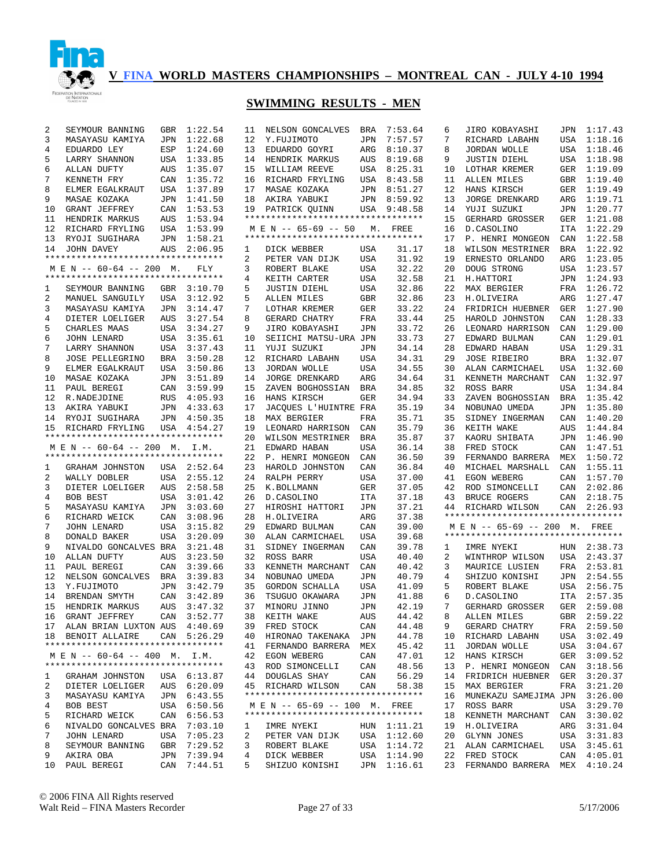

# **SWIMMING RESULTS - MEN**

| 2  | SEYMOUR BANNING                    | <b>GBR</b> | 1:22.54     | 11 | NELSON GONCALVES                                                    | BRA        | 7:53.64     | 6  | JIRO KOBAYASHI                     |     | JPN 1:17.43 |
|----|------------------------------------|------------|-------------|----|---------------------------------------------------------------------|------------|-------------|----|------------------------------------|-----|-------------|
| 3  | MASAYASU KAMIYA                    | <b>JPN</b> | 1:22.68     | 12 | Y.FUJIMOTO                                                          | JPN        | 7:57.57     | 7  | RICHARD LABAHN                     | USA | 1:18.16     |
| 4  | EDUARDO LEY                        | ESP        | 1:24.60     | 13 | EDUARDO GOYRI                                                       | ARG        | 8:10.37     | 8  | JORDAN WOLLE                       | USA | 1:18.46     |
| 5  | LARRY SHANNON                      | <b>USA</b> | 1:33.85     | 14 | HENDRIK MARKUS                                                      | AUS        | 8:19.68     | 9  | <b>JUSTIN DIEHL</b>                | USA | 1:18.98     |
| 6  | ALLAN DUFTY                        | AUS        | 1:35.07     | 15 | WILLIAM REEVE                                                       | USA        | 8:25.31     | 10 | LOTHAR KREMER                      | GER | 1:19.09     |
| 7  | KENNETH FRY                        | CAN        | 1:35.72     | 16 | RICHARD FRYLING                                                     | USA        | 8:43.58     | 11 | ALLEN MILES                        | GBR | 1:19.40     |
| 8  | ELMER EGALKRAUT                    | USA        | 1:37.89     | 17 | MASAE KOZAKA                                                        | JPN        | 8:51.27     | 12 | HANS KIRSCH                        | GER | 1:19.49     |
| 9  | MASAE KOZAKA                       | JPN        | 1:41.50     | 18 | AKIRA YABUKI                                                        | JPN        | 8:59.92     | 13 | <b>JORGE DRENKARD</b>              | ARG | 1:19.71     |
| 10 | GRANT JEFFREY                      | CAN        | 1:53.53     | 19 | PATRICK QUINN                                                       | USA        | 9:48.58     | 14 | YUJI SUZUKI                        |     | JPN 1:20.77 |
| 11 | HENDRIK MARKUS                     | AUS        | 1:53.94     |    | **********************************                                  |            |             | 15 | GERHARD GROSSER                    | GER | 1:21.08     |
|    |                                    |            |             |    |                                                                     |            |             |    |                                    |     |             |
| 12 | RICHARD FRYLING                    | USA        | 1:53.99     |    | M E N -- 65-69 -- 50<br>*********************************           | М.         | FREE        | 16 | D. CASOLINO                        | ITA | 1:22.29     |
| 13 | RYOJI SUGIHARA                     | JPN        | 1:58.21     |    |                                                                     |            |             | 17 | P. HENRI MONGEON                   |     | CAN 1:22.58 |
| 14 | JOHN DAVEY                         | AUS        | 2:06.95     | 1  | DICK WEBBER                                                         | USA        | 31.17       | 18 | WILSON MESTRINER                   | BRA | 1:22.92     |
|    | *********************************  |            |             | 2  | PETER VAN DIJK                                                      | USA        | 31.92       | 19 | ERNESTO ORLANDO                    | ARG | 1:23.05     |
|    | M E N -- 60-64 -- 200 M.           |            | FLY         | 3  | ROBERT BLAKE                                                        | USA        | 32.22       | 20 | DOUG STRONG                        | USA | 1:23.57     |
|    | ********************************** |            |             | 4  | KEITH CARTER                                                        | USA        | 32.58       | 21 | H.HATTORI                          |     | JPN 1:24.93 |
| 1  | SEYMOUR BANNING                    |            | GBR 3:10.70 | 5  | <b>JUSTIN DIEHL</b>                                                 | USA        | 32.86       | 22 | MAX BERGIER                        |     | FRA 1:26.72 |
| 2  | MANUEL SANGUILY                    | <b>USA</b> | 3:12.92     | 5  | ALLEN MILES                                                         | <b>GBR</b> | 32.86       | 23 | H.OLIVEIRA                         | ARG | 1:27.47     |
| 3  | MASAYASU KAMIYA                    | JPN        | 3:14.47     | 7  | LOTHAR KREMER                                                       | GER        | 33.22       | 24 | FRIDRICH HUEBNER                   | GER | 1:27.90     |
| 4  | DIETER LOELIGER                    | AUS        | 3:27.54     | 8  | GERARD CHATRY                                                       | FRA        | 33.44       | 25 | HAROLD JOHNSTON                    | CAN | 1:28.33     |
| 5  | CHARLES MAAS                       | <b>USA</b> | 3:34.27     | 9  | JIRO KOBAYASHI                                                      | JPN        | 33.72       | 26 | LEONARD HARRISON                   | CAN | 1:29.00     |
| 6  | <b>JOHN LENARD</b>                 | <b>USA</b> | 3:35.61     | 10 | SEIICHI MATSU-URA JPN                                               |            | 33.73       | 27 | EDWARD BULMAN                      | CAN | 1:29.01     |
| 7  | LARRY SHANNON                      | <b>USA</b> | 3:37.43     | 11 | YUJI SUZUKI                                                         | JPN        | 34.14       | 28 | EDWARD HABAN                       | USA | 1:29.31     |
| 8  | <b>JOSE PELLEGRINO</b>             | <b>BRA</b> | 3:50.28     | 12 | RICHARD LABAHN                                                      | USA        | 34.31       | 29 | <b>JOSE RIBEIRO</b>                | BRA | 1:32.07     |
| 9  | ELMER EGALKRAUT                    | USA        | 3:50.86     | 13 | JORDAN WOLLE                                                        | USA        | 34.55       | 30 | ALAN CARMICHAEL                    | USA | 1:32.60     |
|    |                                    |            |             |    |                                                                     |            |             |    |                                    |     |             |
| 10 | MASAE KOZAKA                       | <b>JPN</b> | 3:51.89     | 14 | JORGE DRENKARD                                                      | ARG        | 34.64       | 31 | KENNETH MARCHANT                   | CAN | 1:32.97     |
| 11 | PAUL BEREGI                        | CAN        | 3:59.99     | 15 | ZAVEN BOGHOSSIAN                                                    | <b>BRA</b> | 34.85       | 32 | ROSS BARR                          | USA | 1:34.84     |
| 12 | R.NADEJDINE                        | RUS        | 4:05.93     | 16 | HANS KIRSCH                                                         | <b>GER</b> | 34.94       | 33 | ZAVEN BOGHOSSIAN                   |     | BRA 1:35.42 |
| 13 | AKIRA YABUKI                       | JPN        | 4:33.63     | 17 | JACQUES L'HUINTRE FRA                                               |            | 35.19       | 34 | NOBUNAO UMEDA                      | JPN | 1:35.80     |
| 14 | RYOJI SUGIHARA                     | JPN        | 4:50.35     | 18 | MAX BERGIER                                                         | FRA        | 35.71       | 35 | SIDNEY INGERMAN                    | CAN | 1:40.20     |
| 15 | RICHARD FRYLING                    |            | USA 4:54.27 | 19 | LEONARD HARRISON                                                    | CAN        | 35.79       | 36 | KEITH WAKE                         | AUS | 1:44.84     |
|    | ********************************** |            |             | 20 | WILSON MESTRINER                                                    | <b>BRA</b> | 35.87       | 37 | KAORU SHIBATA                      |     | JPN 1:46.90 |
|    | M E N -- 60-64 -- 200 M. I.M.      |            |             | 21 | EDWARD HABAN                                                        | USA        | 36.14       | 38 | FRED STOCK                         |     | CAN 1:47.51 |
|    | ********************************** |            |             | 22 | P. HENRI MONGEON                                                    | CAN        | 36.50       | 39 | FERNANDO BARRERA                   |     | MEX 1:50.72 |
| 1  | GRAHAM JOHNSTON                    |            | USA 2:52.64 | 23 | HAROLD JOHNSTON                                                     | CAN        | 36.84       | 40 | MICHAEL MARSHALL                   | CAN | 1:55.11     |
| 2  | WALLY DOBLER                       |            | USA 2:55.12 | 24 | RALPH PERRY                                                         | USA        | 37.00       | 41 | EGON WEBERG                        | CAN | 1:57.70     |
| 3  | DIETER LOELIGER                    | AUS        | 2:58.58     | 25 | K.BOLLMANN                                                          | GER        | 37.05       | 42 | ROD SIMONCELLI                     | CAN | 2:02.86     |
| 4  | BOB BEST                           | USA        | 3:01.42     | 26 | D.CASOLINO                                                          | <b>ITA</b> | 37.18       | 43 | BRUCE ROGERS                       | CAN | 2:18.75     |
| 5  | MASAYASU KAMIYA                    | JPN        | 3:03.60     | 27 | HIROSHI HATTORI                                                     | JPN        | 37.21       | 44 | RICHARD WILSON                     | CAN | 2:26.93     |
| 6  | RICHARD WEICK                      | CAN        | 3:08.96     | 28 | H.OLIVEIRA                                                          | ARG        | 37.38       |    | ********************************** |     |             |
| 7  | JOHN LENARD                        | USA        | 3:15.82     | 29 | EDWARD BULMAN                                                       | CAN        | 39.00       |    | M E N -- 65-69 -- 200 M. FREE      |     |             |
| 8  | DONALD BAKER                       | <b>USA</b> | 3:20.09     | 30 | ALAN CARMICHAEL                                                     | USA        | 39.68       |    | ********************************** |     |             |
|    |                                    |            |             |    |                                                                     |            |             |    |                                    |     |             |
| 9  | NIVALDO GONCALVES BRA              |            | 3:21.48     | 31 | SIDNEY INGERMAN                                                     | CAN        | 39.78       | 1  | IMRE NYEKI                         | HUN | 2:38.73     |
| 10 | ALLAN DUFTY                        | AUS        | 3:23.50     | 32 | ROSS BARR                                                           | USA        | 40.40       | 2  | WINTHROP WILSON                    | USA | 2:43.37     |
| 11 | PAUL BEREGI                        | CAN        | 3:39.66     | 33 | KENNETH MARCHANT                                                    | CAN        | 40.42       | 3  | MAURICE LUSIEN                     | FRA | 2:53.81     |
| 12 | NELSON GONCALVES                   | BRA        | 3:39.83     | 34 | NOBUNAO UMEDA                                                       | JPN        | 40.79       | 4  | SHIZUO KONISHI                     | JPN | 2:54.55     |
| 13 | Y.FUJIMOTO                         | JPN        | 3:42.79     | 35 | <b>GORDON SCHALLA</b>                                               | USA        | 41.09       | 5  | ROBERT BLAKE                       | USA | 2:56.75     |
| 14 | BRENDAN SMYTH                      | CAN        | 3:42.89     | 36 | TSUGUO OKAWARA                                                      | JPN        | 41.88       | 6  | D.CASOLINO                         | ITA | 2:57.35     |
| 15 | HENDRIK MARKUS                     | AUS        | 3:47.32     |    | 37 MINORU JINNO                                                     | JPN        | 42.19       | 7  | GERHARD GROSSER                    |     | GER 2:59.08 |
|    | 16 GRANT JEFFREY                   |            | CAN 3:52.77 |    | 38 KEITH WAKE                                                       | AUS        | 44.42       | 8  | ALLEN MILES                        |     | GBR 2:59.22 |
|    | 17 ALAN BRIAN LUXTON AUS 4:40.69   |            |             |    | 39 FRED STOCK                                                       | CAN        | 44.48       | 9  | GERARD CHATRY                      |     | FRA 2:59.50 |
|    | 18 BENOIT ALLAIRE                  |            | CAN 5:26.29 |    | 40 HIRONAO TAKENAKA JPN                                             |            | 44.78       | 10 | RICHARD LABAHN                     |     | USA 3:02.49 |
|    | ********************************** |            |             |    | 41 FERNANDO BARRERA                                                 | MEX        | 45.42       | 11 | JORDAN WOLLE                       |     | USA 3:04.67 |
|    | M E N -- 60-64 -- 400 M. I.M.      |            |             |    | 42 EGON WEBERG                                                      | CAN        | 47.01       | 12 | HANS KIRSCH                        |     | GER 3:09.52 |
|    | ********************************** |            |             |    | 43 ROD SIMONCELLI                                                   | CAN        | 48.56       | 13 | P. HENRI MONGEON                   |     | CAN 3:18.56 |
| ı  | GRAHAM JOHNSTON                    |            | USA 6:13.87 |    | 44 DOUGLAS SHAY                                                     | CAN        | 56.29       | 14 | FRIDRICH HUEBNER                   | GER | 3:20.37     |
| 2  |                                    |            | AUS 6:20.09 |    | 45 RICHARD WILSON                                                   | CAN        | 58.38       | 15 | MAX BERGIER                        |     | FRA 3:21.20 |
|    | DIETER LOELIGER                    |            | JPN 6:43.55 |    | **********************************                                  |            |             |    |                                    |     |             |
| 3  | MASAYASU KAMIYA                    |            |             |    |                                                                     |            |             | 16 | MUNEKAZU SAMEJIMA JPN 3:26.00      |     |             |
| 4  | BOB BEST                           |            | USA 6:50.56 |    | M E N -- 65-69 -- 100 M. FREE<br>********************************** |            |             | 17 | ROSS BARR                          | USA | 3:29.70     |
| 5  | RICHARD WEICK                      |            | CAN 6:56.53 |    |                                                                     |            |             | 18 | KENNETH MARCHANT                   |     | CAN 3:30.02 |
| 6  | NIVALDO GONCALVES BRA 7:03.10      |            |             | 1  | IMRE NYEKI                                                          |            | HUN 1:11.21 | 19 | H.OLIVEIRA                         |     | ARG 3:31.04 |
| 7  | JOHN LENARD                        |            | USA 7:05.23 | 2  | PETER VAN DIJK                                                      |            | USA 1:12.60 | 20 | GLYNN JONES                        |     | USA 3:31.83 |
| 8  | SEYMOUR BANNING                    | GBR        | 7:29.52     | 3  | ROBERT BLAKE                                                        |            | USA 1:14.72 | 21 | ALAN CARMICHAEL                    |     | USA 3:45.61 |
| 9  | AKIRA OBA                          | JPN        | 7:39.94     | 4  | DICK WEBBER                                                         |            | USA 1:14.90 | 22 | FRED STOCK                         |     | CAN 4:05.01 |
|    |                                    |            | CAN 7:44.51 | 5  | SHIZUO KONISHI                                                      |            | JPN 1:16.61 | 23 | FERNANDO BARRERA MEX 4:10.24       |     |             |

© 2006 FINA All Rights reserved Walt Reid – FINA Masters Recorder Page 27 of 33 5/17/2006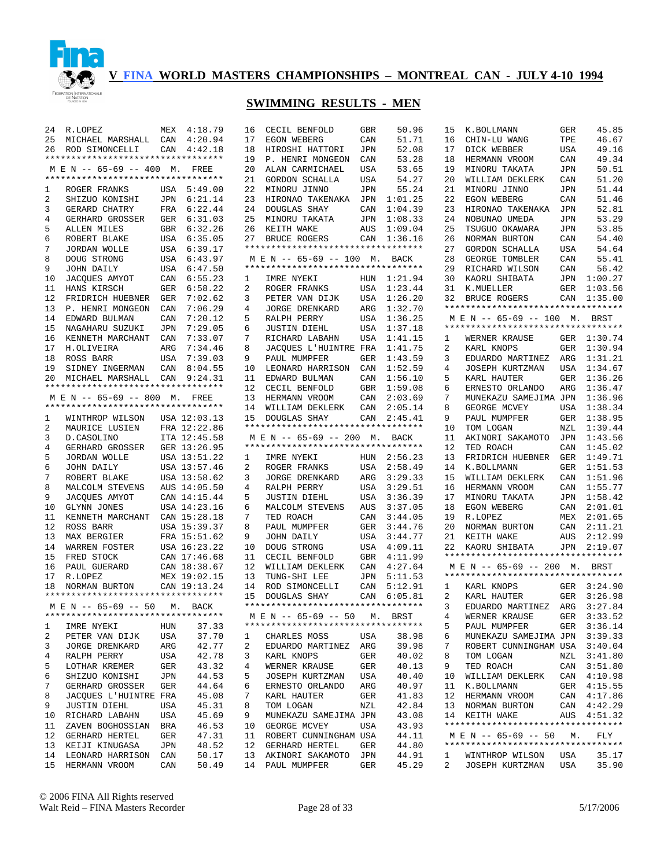

| 24             | R.LOPEZ                            |                | MEX 4:18.79  | 1              |
|----------------|------------------------------------|----------------|--------------|----------------|
|                |                                    |                |              |                |
| 25             | MICHAEL MARSHALL CAN 4:20.94       |                |              | 1              |
| 26             | ROD SIMONCELLI                     | CAN            | 4:42.18      | 1              |
|                | *********************************  |                |              | 1              |
|                |                                    |                |              |                |
|                | M E N -- 65-69 -- 400 M. FREE      |                |              | 2              |
|                | ********************************** |                |              | 2              |
| 1              | ROGER FRANKS                       | USA            | 5:49.00      | 2              |
| 2              | SHIZUO KONISHI                     | JPN            | 6:21.14      | 2              |
|                |                                    |                |              |                |
| 3              | GERARD CHATRY                      | FRA            | 6:22.44      | 2              |
| 4              | GERHARD GROSSER                    | GER            | 6:31.03      | 2              |
| 5              | ALLEN MILES                        | GBR            | 6:32.26      | 2              |
| 6              | ROBERT BLAKE                       | USA            | 6:35.05      | 2              |
|                |                                    |                |              |                |
| 7              | JORDAN WOLLE                       | USA            | 6:39.17      | $\star$        |
| 8              | DOUG STRONG                        | USA            | 6:43.97      | ÷.             |
| 9              | JOHN DAILY                         | USA            | 6:47.50      | $\star$        |
| 10             | JACQUES AMYOT                      | CAN            | 6:55.23      | 1              |
|                |                                    |                |              |                |
| 11             | HANS KIRSCH                        | GER            | 6:58.22      | 2              |
| 12             | FRIDRICH HUEBNER GER               |                | 7:02.62      | 3              |
| 13             | P. HENRI MONGEON                   | CAN            | 7:06.29      | $\overline{4}$ |
| 14             |                                    | $\mathtt{CAN}$ | 7:20.12      | 5              |
|                | EDWARD BULMAN                      |                |              |                |
| 15             | NAGAHARU SUZUKI                    | JPN            | 7:29.05      | 6              |
| 16             | KENNETH MARCHANT                   | CAN            | 7:33.07      | 7              |
| 17             | H.OLIVEIRA                         | ARG            | 7:34.46      | 8              |
|                |                                    |                |              |                |
| 18             | ROSS BARR                          | USA            | 7:39.03      | 9              |
| 19             | SIDNEY INGERMAN                    | CAN            | 8:04.55      | $\mathbf 1$    |
|                | 20 MICHAEL MARSHALL                |                | CAN 9:24.31  | 1              |
|                | ********************************** |                |              | 1              |
|                |                                    |                |              |                |
|                | M E N -- 65-69 -- 800 M. FREE      |                |              | 1              |
|                | ********************************** |                |              | 1              |
| $\mathbf{1}$   | WINTHROP WILSON USA 12:03.13       |                |              | 1              |
| $\overline{2}$ | MAURICE LUSIEN                     |                | FRA 12:22.86 | $\star$        |
|                |                                    |                |              |                |
| 3              | D.CASOLINO                         |                | ITA 12:45.58 | ÷.             |
| $\overline{4}$ | GERHARD GROSSER                    |                | GER 13:26.95 | $\star$        |
| 5              | JORDAN WOLLE                       |                | USA 13:51.22 | 1              |
| 6              | JOHN DAILY                         |                | USA 13:57.46 | 2              |
|                |                                    |                |              |                |
| 7              | ROBERT BLAKE                       |                | USA 13:58.62 | 3              |
| 8              | MALCOLM STEVENS                    |                | AUS 14:05.50 | $\overline{4}$ |
| 9              | JACQUES AMYOT                      |                | CAN 14:15.44 | 5              |
| 10             | GLYNN JONES                        |                | USA 14:23.16 | 6              |
|                |                                    |                |              |                |
| 11             | KENNETH MARCHANT                   |                | CAN 15:28.18 | 7              |
| 12             | ROSS BARR                          |                | USA 15:39.37 | 8              |
| 13             | MAX BERGIER                        |                | FRA 15:51.62 | 9              |
|                |                                    |                |              |                |
| 14             | WARREN FOSTER                      |                | USA 16:23.22 | 1              |
| 15             | FRED STOCK                         |                | CAN 17:46.68 | 1              |
|                | 16 PAUL GUERARD                    |                | CAN 18:38.67 | 1              |
| 17             | R.LOPEZ                            |                | MEX 19:02.15 | 1              |
|                |                                    |                |              |                |
|                | 18 NORMAN BURTON                   |                | CAN 19:13.24 | 1              |
|                | ********************************** |                |              | 1              |
|                | M E N -- 65-69 -- 50 M. BACK       |                |              | $\star$        |
|                | ********************************** |                |              | ×.             |
|                |                                    |                |              |                |
| 1              | IMRE NYEKI                         | HUN            | 37.33        | *              |
| 2              | PETER VAN DIJK                     | USA            | 37.70        | 1              |
| 3              | JORGE DRENKARD                     | ARG            | 42.77        | 2              |
| 4              |                                    |                |              |                |
|                | RALPH PERRY                        | USA            | 42.78        | 3              |
| 5              | LOTHAR KREMER                      | GER            | 43.32        | 4              |
| 6              | SHIZUO KONISHI                     | JPN            | 44.53        | 5              |
| 7              | GERHARD GROSSER                    | GER            | 44.64        | 6              |
|                |                                    |                |              |                |
| 8              | JACQUES L'HUINTRE                  | FRA            | 45.08        | 7              |
| 9              | JUSTIN DIEHL                       | USA            | 45.31        | 8              |
| 10             | RICHARD LABAHN                     | USA            | 45.69        | 9              |
| 11             | ZAVEN BOGHOSSIAN                   | BRA            | 46.53        | 1              |
|                |                                    |                |              |                |
| 12             | GERHARD HERTEL                     | GER            | 47.31        | 1              |
| 13             | KEIJI KINUGASA                     | JPN            | 48.52        | 1              |
| 14             | LEONARD HARRISON                   | CAN            | 50.17        | 1              |
| 15             | HERMANN VROOM                      | CAN            | 50.49        | 1              |
|                |                                    |                |              |                |

| 16             | CECIL BENFOLD                      | GBR        | 50.96          |
|----------------|------------------------------------|------------|----------------|
| 17             | EGON WEBERG                        | CAN        | 51.71          |
| 18             | HIROSHI HATTORI                    | JPN        | 52.08          |
| 19             | P. HENRI MONGEON                   | CAN        | 53.28          |
| 20             | ALAN CARMICHAEL                    | USA        | 53.65          |
| 21             | GORDON SCHALLA                     | USA        | 54.27          |
| 22             | MINORU JINNO                       |            | 55.24          |
|                |                                    | JPN        |                |
| 23             | HIRONAO TAKENAKA                   | JPN        | 1:01.25        |
| 24             | DOUGLAS SHAY                       | CAN        | 1:04.39        |
| 25             | MINORU TAKATA                      | JPN        | 1:08.33        |
| 26             | KEITH WAKE                         | AUS        | 1:09.04        |
| 27             | BRUCE ROGERS                       | CAN        | 1:36.16        |
|                | *********************************  |            |                |
|                | M E N -- 65-69 -- 100 M. BACK      |            |                |
|                | ********************************** |            |                |
| 1              | IMRE NYEKI                         | HUN        | 1:21.94        |
| $\overline{a}$ | ROGER FRANKS                       | USA        | 1:23.44        |
| 3              | PETER VAN DIJK                     | USA        | 1:26.20        |
| 4              |                                    |            |                |
|                | JORGE DRENKARD                     | ARG        | 1:32.70        |
| 5              | RALPH PERRY                        | USA        | 1:36.25        |
| б              | JUSTIN DIEHL                       | USA        | 1:37.18        |
| 7              | RICHARD LABAHN                     | USA        | 1:41.15        |
| 8              | JACQUES L'HUINTRE FRA              |            | 1:41.75        |
| 9              | PAUL MUMPFER                       | GER        | 1:43.59        |
| 10             | LEONARD HARRISON                   | CAN        | 1:52.59        |
| 11             | EDWARD BULMAN                      | CAN        | 1:56.10        |
| 12             | CECIL BENFOLD                      | GBR        | 1:59.08        |
| 13             | HERMANN VROOM                      | CAN        | 2:03.69        |
| 14             | WILLIAM DEKLERK                    | CAN        | 2:05.14        |
|                |                                    |            |                |
| 15             | SHAY<br>DOUGLAS                    | CAN        | 2:45.41        |
|                | ********************************** |            |                |
|                | M E N -- 65-69 -- 200 M.           |            | BACK           |
|                |                                    |            |                |
|                | *********************************  |            |                |
| 1              | IMRE NYEKI                         | HUN        | 2:56.23        |
| $\overline{2}$ | ROGER FRANKS                       | USA        | 2:58.49        |
|                |                                    |            |                |
| 3<br>4         | JORGE DRENKARD                     | ARG        | 3:29.33        |
|                | RALPH PERRY                        | USA        | 3:29.51        |
| 5              | JUSTIN DIEHL                       | USA        | 3:36.39        |
| 6              | MALCOLM STEVENS                    | AUS        | 3:37.05        |
| 7              | TED ROACH                          | CAN        | 3:44.05        |
| 8              | PAUL MUMPFER                       | GER        | 3:44.76        |
| 9              | JOHN DAILY                         | USA        | 3:44.77        |
| 10             | DOUG STRONG                        | USA        | 4:09.11        |
| 11             | CECIL BENFOLD                      | GBR        | 4:11.99        |
| 12             | WILLIAM DEKLERK                    | CAN        | 4:27.64        |
| 13             | TUNG-SHI LEE                       | JPN        | 5:11.53        |
| 14             | ROD SIMONCELLI                     | CAN        | 5:12.91        |
| 15             | DOUGLAS SHAY                       |            | 6:05.81        |
|                | ********************************** | CAN        |                |
|                |                                    |            |                |
|                | M E N -- 65-69 -- 50 M. BRST       |            |                |
|                | ********************************** |            |                |
| 1              | CHARLES MOSS                       | USA        | 38.98          |
| 2              | EDUARDO MARTINEZ                   | ARG        | 39.98          |
| 3              | KARL KNOPS                         | GER        | 40.02          |
| 4              | WERNER KRAUSE                      | GER        | 40.13          |
| 5              | JOSEPH KURTZMAN                    | USA        | 40.40          |
| б              | ERNESTO ORLANDO                    | ARG        | 40.97          |
| 7              | KARL HAUTER                        | GER        | 41.83          |
| 8              | TOM LOGAN                          | NZL        | 42.84          |
| 9              |                                    |            | 43.08          |
|                | MUNEKAZU SAMEJIMA JPN              |            |                |
| 10             | GEORGE MCVEY                       | USA        | 43.93          |
| 11             | ROBERT CUNNINGHAM USA              |            | 44.11          |
| 12             | GERHARD HERTEL                     | GER        | 44.80          |
| 13<br>14       | AKINORI SAKAMOTO<br>PAUL MUMPFER   | JPN<br>GER | 44.91<br>45.29 |

| 15           | K.BOLLMANN                                                          | GER            | 45.85        |
|--------------|---------------------------------------------------------------------|----------------|--------------|
| 16           | CHIN-LU WANG                                                        | TPE            | 46.67        |
| 17           | DICK WEBBER                                                         | USA            | 49.16        |
| 18           | HERMANN VROOM                                                       | CAN            | 49.34        |
| 19           | MINORU TAKATA                                                       | JPN            | 50.51        |
| 20           | WILLIAM DEKLERK                                                     | CAN            | 51.20        |
| 21           | MINORU JINNO                                                        | JPN            | 51.44        |
| 22           | EGON WEBERG                                                         | CAN            | 51.46        |
| 23           | HIRONAO TAKENAKA                                                    | JPN            | 52.81        |
| 24           | NOBUNAO UMEDA                                                       | JPN            | 53.29        |
| 25           | TSUGUO OKAWARA                                                      | JPN            | 53.85        |
| 26           | NORMAN BURTON                                                       | CAN            | 54.40        |
| 27           | GORDON SCHALLA                                                      | USA            | 54.64        |
| 28           | GEORGE TOMBLER                                                      | CAN            | 55.41        |
| 29           | RICHARD WILSON                                                      | CAN            | 56.42        |
| 30           | KAORU SHIBATA                                                       | JPN            | 1:00.27      |
| 31           | K.MUELLER                                                           | GER            | 1:03.56      |
| 32           | BRUCE ROGERS                                                        | CAN            | 1:35.00      |
|              | **********************************                                  |                |              |
|              | M E N -- 65-69 -- 100 M. BRST                                       |                |              |
|              | **********************************                                  |                |              |
| $\mathbf{1}$ | WERNER KRAUSE                                                       | GER            | 1:30.74      |
| 2            | KARL KNOPS                                                          | GER            | 1:30.94      |
| 3            | EDUARDO MARTINEZ                                                    | ARG            | 1:31.21      |
| 4            | JOSEPH KURTZMAN                                                     | USA            | 1:34.67      |
| 5            | KARL HAUTER                                                         | GER            | 1:36.26      |
| 6            | ERNESTO ORLANDO                                                     | ARG            | 1:36.47      |
| 7            | MUNEKAZU SAMEJIMA JPN                                               |                | 1:36.96      |
| 8            | GEORGE MCVEY                                                        | USA            | 1:38.34      |
| 9            | PAUL MUMPFER                                                        | GER            | 1:38.95      |
| 10           | TOM LOGAN                                                           | NZL            | 1:39.44      |
| 11           | AKINORI SAKAMOTO                                                    | JPN            | 1:43.56      |
| 12           | TED ROACH                                                           | CAN            | 1:45.02      |
| 13           | FRIDRICH HUEBNER                                                    |                | 1:49.71      |
| 14           |                                                                     | GER            | 1:51.53      |
|              | K.BOLLMANN                                                          | GER            |              |
| 15           | WILLIAM DEKLERK                                                     | CAN            | 1:51.96      |
| 16           | HERMANN VROOM                                                       | CAN            | 1:55.77      |
| 17           | MINORU TAKATA                                                       | JPN            | 1:58.42      |
| 18           | EGON WEBERG                                                         | CAN            | 2:01.01      |
| 19           | R.LOPEZ                                                             | MEX            | 2:01.65      |
| 20           | NORMAN BURTON                                                       | CAN            | 2:11.21      |
| 21           | KEITH WAKE                                                          | AUS            | 2:12.99      |
| 22           | KAORU SHIBATA                                                       | JPN            | 2:19.07      |
|              | **********************************<br>M E N -- 65-69 -- 200 M. BRST |                |              |
|              | **********************************                                  |                |              |
| $\mathbf{1}$ | KARL KNOPS                                                          | GER            | 3:24.90      |
| 2            | KARL HAUTER                                                         | GER            | 3:26.98      |
| 3            | EDUARDO MARTINEZ                                                    | ARG            | 3:27.84      |
| 4            | WERNER KRAUSE                                                       | GER            | 3:33.52      |
| 5            | PAUL MUMPFER                                                        | GER            | 3:36.14      |
| б.           | MUNEKAZU SAMEJIMA JPN                                               |                | 3:39.33      |
| 7            | ROBERT CUNNINGHAM USA                                               |                | 3:40.04      |
| 8            | TOM LOGAN                                                           | NZL            | 3:41.80      |
| 9            | TED ROACH                                                           | CAN            | 3:51.80      |
| 10           | WILLIAM DEKLERK                                                     | CAN            | 4:10.98      |
| 11           | K.BOLLMANN                                                          | GER            | 4:15.55      |
| 12           | HERMANN VROOM                                                       | $\mathtt{CAN}$ | 4:17.86      |
| 13           | NORMAN BURTON                                                       | CAN            | 4:42.29      |
| 14           | KEITH WAKE                                                          |                | AUS  4:51.32 |
|              | **********************************                                  |                |              |
|              | M E N -- 65-69 -- 50 M.                                             |                | FLY          |
|              | **********************************                                  |                |              |
|              | 1 WINTHROP WILSON USA                                               |                | 35.17        |
| 2            | JOSEPH KURTZMAN USA                                                 |                | 35.90        |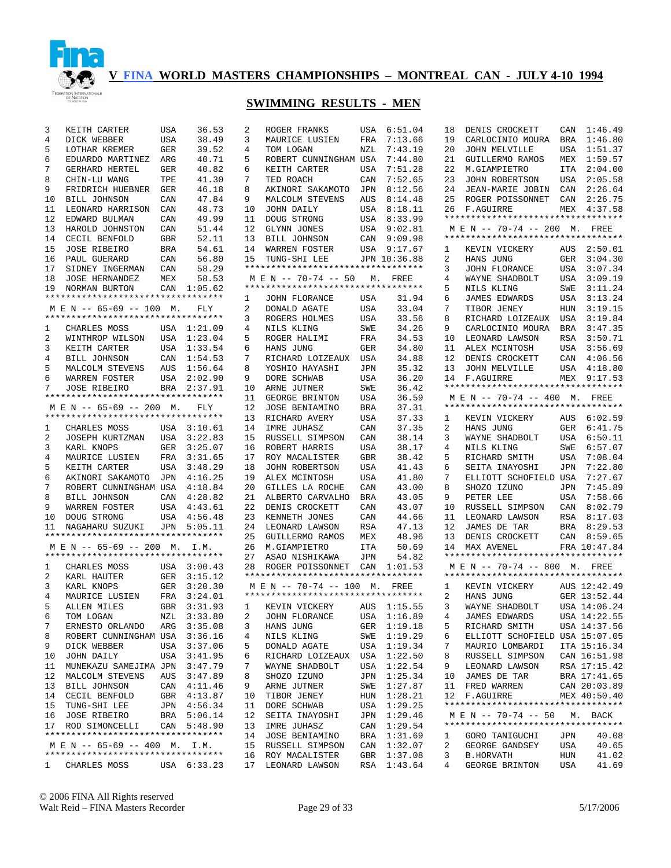

| 3            | KEITH CARTER                       | USA        | 36.53       | 2            | ROGER FRANKS                       | USA        | 6:51.04      | 18 | DENIS CROCKETT                     | CAN        | 1:46.49      |
|--------------|------------------------------------|------------|-------------|--------------|------------------------------------|------------|--------------|----|------------------------------------|------------|--------------|
| 4            | DICK WEBBER                        | USA        | 38.49       | 3            | MAURICE LUSIEN                     | FRA        | 7:13.66      | 19 | CARLOCINIO MOURA                   | <b>BRA</b> | 1:46.80      |
| 5            | LOTHAR KREMER                      | <b>GER</b> | 39.52       | 4            | TOM LOGAN                          | NZL        | 7:43.19      | 20 | JOHN MELVILLE                      | USA        | 1:51.37      |
| 6            | EDUARDO MARTINEZ                   | ARG        | 40.71       | 5            | ROBERT CUNNINGHAM USA              |            | 7:44.80      | 21 | GUILLERMO RAMOS                    | MEX        | 1:59.57      |
| 7            | <b>GERHARD HERTEL</b>              | GER        | 40.82       | 6            | KEITH CARTER                       | USA        | 7:51.28      | 22 | M.GIAMPIETRO                       | ITA        | 2:04.00      |
| 8            | CHIN-LU WANG                       | TPE        | 41.30       | 7            | TED ROACH                          | CAN        | 7:52.65      | 23 | JOHN ROBERTSON                     | USA        | 2:05.58      |
| 9            | FRIDRICH HUEBNER                   | GER        | 46.18       | 8            | AKINORI SAKAMOTO                   | JPN        | 8:12.56      | 24 | JEAN-MARIE JOBIN                   | CAN        | 2:26.64      |
| 10           | BILL JOHNSON                       | CAN        | 47.84       | 9            | MALCOLM STEVENS                    | AUS        | 8:14.48      | 25 | ROGER POISSONNET                   | CAN        | 2:26.75      |
| 11           | LEONARD HARRISON                   | CAN        | 48.73       | 10           | JOHN DAILY                         | USA        | 8:18.11      | 26 | F.AGUIRRE                          | MEX        | 4:37.58      |
| 12           | EDWARD BULMAN                      | CAN        | 49.99       | 11           | DOUG STRONG                        | USA        | 8:33.99      |    | ********************************** |            |              |
| 13           | HAROLD JOHNSTON                    | CAN        | 51.44       | 12           | GLYNN JONES                        | USA        | 9:02.81      |    | M E N -- 70-74 -- 200 M. FREE      |            |              |
| 14           | CECIL BENFOLD                      | GBR        | 52.11       | 13           | BILL JOHNSON                       | CAN        | 9:09.98      |    | ********************************** |            |              |
| 15           | <b>JOSE RIBEIRO</b>                | BRA        | 54.61       | 14           | WARREN FOSTER                      | USA        | 9:17.67      | 1  | KEVIN VICKERY                      | AUS        | 2:50.01      |
| 16           | PAUL GUERARD                       | CAN        | 56.80       | 15           | TUNG-SHI LEE                       |            | JPN 10:36.88 | 2  | HANS JUNG                          | GER        | 3:04.30      |
| 17           | SIDNEY INGERMAN                    | CAN        | 58.29       |              | ********************************** |            |              | 3  | <b>JOHN FLORANCE</b>               | USA        | 3:07.34      |
| 18           | <b>JOSE HERNANDEZ</b>              | MEX        | 58.53       |              | M E N -- 70-74 -- 50               |            | M. FREE      | 4  | WAYNE SHADBOLT                     | USA        | 3:09.19      |
| 19           | NORMAN BURTON                      | CAN        | 1:05.62     |              | *********************************  |            |              | 5  | NILS KLING                         | SWE        | 3:11.24      |
|              | ********************************** |            |             | 1            | <b>JOHN FLORANCE</b>               | USA        | 31.94        | 6  | <b>JAMES EDWARDS</b>               | USA        | 3:13.24      |
|              | M E N -- 65-69 -- 100 M.           |            | FLY         | 2            | DONALD AGATE                       | USA        | 33.04        | 7  | TIBOR JENEY                        | <b>HUN</b> | 3:19.15      |
|              | ********************************** |            |             | 3            | ROGERS HOLMES                      | USA        | 33.56        | 8  | RICHARD LOIZEAUX                   | USA        | 3:19.84      |
| 1            | CHARLES MOSS                       |            | USA 1:21.09 | 4            | NILS KLING                         | SWE        | 34.26        | 9  | CARLOCINIO MOURA                   | <b>BRA</b> | 3:47.35      |
| 2            | WINTHROP WILSON                    | USA        | 1:23.04     | 5            | ROGER HALIMI                       | FRA        | 34.53        | 10 | LEONARD LAWSON                     | RSA        | 3:50.71      |
| 3            | KEITH CARTER                       | USA        | 1:33.54     | 6            | HANS JUNG                          | GER        | 34.80        | 11 | ALEX MCINTOSH                      | <b>USA</b> | 3:56.69      |
| 4            | BILL JOHNSON                       | CAN        | 1:54.53     | 7            | RICHARD LOIZEAUX                   | USA        | 34.88        | 12 | DENIS CROCKETT                     | CAN        | 4:06.56      |
| 5            | MALCOLM STEVENS                    | AUS        | 1:56.64     | 8            | YOSHIO HAYASHI                     | JPN        | 35.32        | 13 | JOHN MELVILLE                      | USA        | 4:18.80      |
| 6            | WARREN FOSTER                      | USA        | 2:02.90     | 9            | DORE SCHWAB                        | USA        | 36.20        | 14 | F.AGUIRRE                          |            | MEX 9:17.53  |
| 7            | <b>JOSE RIBEIRO</b>                | BRA        | 2:37.91     | 10           | ARNE JUTNER                        | SWE        | 36.42        |    | ********************************** |            |              |
|              | ********************************** |            |             | 11           | GEORGE BRINTON                     | USA        | 36.59        |    | M E N -- 70-74 -- 400 M. FREE      |            |              |
|              | M E N -- 65-69 -- 200 M.           |            | FLY         | 12           | JOSE BENIAMINO                     | BRA        | 37.31        |    | ********************************** |            |              |
|              | ********************************** |            |             | 13           | RICHARD AVERY                      | USA        | 37.33        | 1  | KEVIN VICKERY                      |            | AUS 6:02.59  |
| 1            | CHARLES MOSS                       |            | USA 3:10.61 | 14           | IMRE JUHASZ                        | CAN        | 37.35        | 2  | HANS JUNG                          | GER        | 6:41.75      |
| 2            | JOSEPH KURTZMAN                    | USA        | 3:22.83     | 15           | RUSSELL SIMPSON                    | CAN        | 38.14        | 3  | WAYNE SHADBOLT                     | USA        | 6:50.11      |
| 3            | KARL KNOPS                         | GER        | 3:25.07     | 16           | ROBERT HARRIS                      | USA        | 38.17        | 4  | NILS KLING                         | SWE        | 6:57.07      |
| 4            | MAURICE LUSIEN                     | FRA        | 3:31.65     | 17           | ROY MACALISTER                     | GBR        | 38.42        | 5  | RICHARD SMITH                      | USA        | 7:08.04      |
| 5            | KEITH CARTER                       | USA        | 3:48.29     | 18           | JOHN ROBERTSON                     | USA        | 41.43        | 6  | SEITA INAYOSHI                     | JPN        | 7:22.80      |
| 6            | AKINORI SAKAMOTO                   | JPN        | 4:16.25     | 19           | ALEX MCINTOSH                      | USA        | 41.80        | 7  | ELLIOTT SCHOFIELD USA              |            | 7:27.67      |
| 7            | ROBERT CUNNINGHAM USA              |            | 4:18.84     | 20           | GILLES LA ROCHE                    | CAN        | 43.00        | 8  | SHOZO IZUNO                        | JPN        | 7:45.89      |
| 8            | <b>BILL JOHNSON</b>                | CAN        | 4:28.82     | 21           | ALBERTO CARVALHO                   | <b>BRA</b> | 43.05        | 9  | PETER LEE                          | <b>USA</b> | 7:58.66      |
| 9            | WARREN FOSTER                      | USA        | 4:43.61     | 22           | DENIS CROCKETT                     | CAN        | 43.07        | 10 | RUSSELL SIMPSON                    | CAN        | 8:02.79      |
| 10           | DOUG STRONG                        | USA        | 4:56.48     | 23           | KENNETH JONES                      | CAN        | 44.66        | 11 | LEONARD LAWSON                     | <b>RSA</b> | 8:17.03      |
| 11           | NAGAHARU SUZUKI                    |            | JPN 5:05.11 | 24           | LEONARD LAWSON                     | <b>RSA</b> | 47.13        | 12 | JAMES DE TAR                       | <b>BRA</b> | 8:29.53      |
|              | ********************************** |            |             | 25           | GUILLERMO RAMOS                    | MEX        | 48.96        | 13 | DENIS CROCKETT                     | CAN        | 8:59.65      |
|              | M E N -- 65-69 -- 200 M. I.M.      |            |             | 26           | M.GIAMPIETRO                       | <b>ITA</b> | 50.69        | 14 | MAX AVENEL                         |            | FRA 10:47.84 |
|              | ********************************** |            |             | 27           | ASAO NISHIKAWA                     | JPN        | 54.82        |    | ********************************** |            |              |
| 1            | CHARLES MOSS                       |            | USA 3:00.43 | 28           | ROGER POISSONNET                   | CAN        | 1:01.53      |    | M E N -- 70-74 -- 800 M. FREE      |            |              |
| 2            | KARL HAUTER                        | GER        | 3:15.12     |              | ********************************** |            |              |    | ********************************** |            |              |
| 3            | KARL KNOPS                         | GER        | 3:20.30     |              | M E N -- 70-74 -- 100 M. FREE      |            |              | 1  | KEVIN VICKERY                      |            | AUS 12:42.49 |
| 4            | MAURICE LUSIEN                     | FRA        | 3:24.01     |              | ********************************** |            |              | 2  | HANS JUNG                          |            | GER 13:52.44 |
| .5           | ALLEN MILES                        |            | GBR 3:31.93 | 1            | KEVIN VICKERY                      |            | AUS 1:15.55  | 3  | WAYNE SHADBOLT                     |            | USA 14:06.24 |
| 6            | TOM LOGAN                          |            | NZL 3:33.80 | $\mathbf{2}$ | JOHN FLORANCE                      |            | USA 1:16.89  | 4  | JAMES EDWARDS                      |            | USA 14:22.55 |
| 7            | ERNESTO ORLANDO                    |            | ARG 3:35.08 | 3            | HANS JUNG                          |            | GER 1:19.18  | 5  | RICHARD SMITH                      |            | USA 14:37.56 |
| 8            | ROBERT CUNNINGHAM USA 3:36.16      |            |             | 4            | NILS KLING                         | SWE        | 1:19.29      | 6  | ELLIOTT SCHOFIELD USA 15:07.05     |            |              |
| 9            | DICK WEBBER                        | USA        | 3:37.06     | 5            | DONALD AGATE                       | USA        | 1:19.34      | 7  | MAURIO LOMBARDI                    |            | ITA 15:16.34 |
| 10           | JOHN DAILY                         | USA        | 3:41.95     | 6            | RICHARD LOIZEAUX                   | USA        | 1:22.50      | 8  | RUSSELL SIMPSON                    |            | CAN 16:51.98 |
| 11           | MUNEKAZU SAMEJIMA JPN              |            | 3:47.79     | 7            | WAYNE SHADBOLT                     | USA        | 1:22.54      | 9  | LEONARD LAWSON                     |            | RSA 17:15.42 |
| 12           | MALCOLM STEVENS                    | AUS        | 3:47.89     | 8            | SHOZO IZUNO                        | JPN        | 1:25.34      | 10 | JAMES DE TAR                       |            | BRA 17:41.65 |
| 13           | BILL JOHNSON                       |            | CAN 4:11.46 | 9            | ARNE JUTNER                        | SWE        | 1:27.87      | 11 | FRED WARREN                        |            | CAN 20:03.89 |
| 14           | CECIL BENFOLD                      |            | GBR 4:13.87 | 10           | TIBOR JENEY                        | HUN        | 1:28.21      | 12 | F.AGUIRRE                          |            | MEX 40:50.40 |
| 15           | TUNG-SHI LEE                       |            | JPN 4:56.34 | 11           | DORE SCHWAB                        | USA        | 1:29.25      |    | ********************************** |            |              |
| 16           | <b>JOSE RIBEIRO</b>                |            | BRA 5:06.14 | 12           | SEITA INAYOSHI                     | JPN        | 1:29.46      |    | M E N -- 70-74 -- 50               |            | M. BACK      |
| 17           | ROD SIMONCELLI                     |            | CAN 5:48.90 | 13           | IMRE JUHASZ                        | CAN        | 1:29.54      |    | ********************************** |            |              |
|              | ********************************** |            |             | 14           | JOSE BENIAMINO                     | BRA        | 1:31.69      | ı  | GORO TANIGUCHI                     | JPN        | 40.08        |
|              | M E N -- 65-69 -- 400 M. I.M.      |            |             | 15           | RUSSELL SIMPSON                    | CAN        | 1:32.07      | 2  | GEORGE GANDSEY                     | USA        | 40.65        |
|              | ********************************** |            |             | 16           | ROY MACALISTER                     | GBR        | 1:37.08      | 3  | <b>B.HORVATH</b>                   | HUN        | 41.02        |
| $\mathbf{1}$ | CHARLES MOSS                       |            | USA 6:33.23 | 17           | LEONARD LAWSON                     | RSA        | 1:43.64      | 4  | GEORGE BRINTON                     | USA        | 41.69        |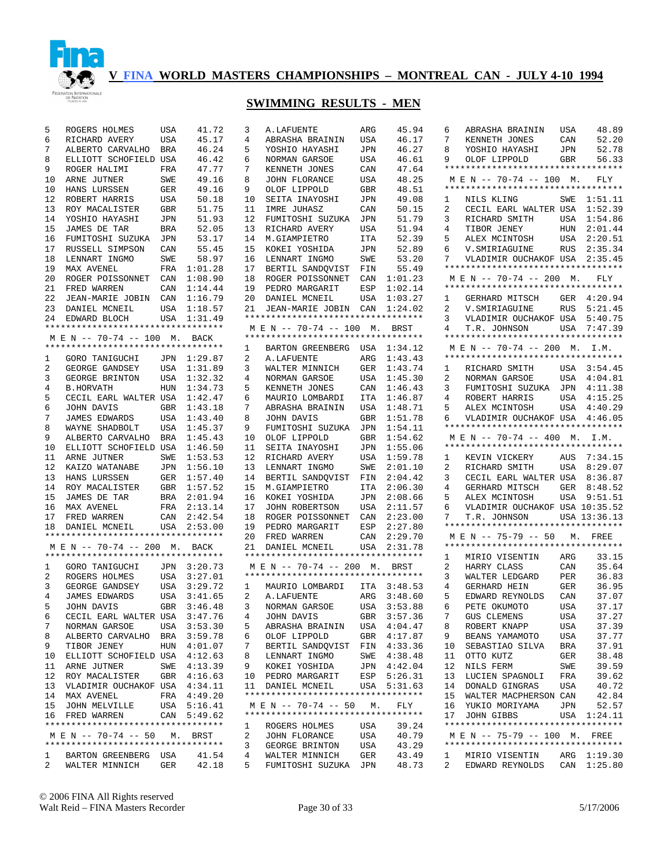

# **SWIMMING RESULTS - MEN**

| 5      | ROGERS HOLMES                                                 | USA        | 41.72              | 3      | A.LAFUENTE                         | ARG        | 45.94              | Е            |
|--------|---------------------------------------------------------------|------------|--------------------|--------|------------------------------------|------------|--------------------|--------------|
| 6      | RICHARD AVERY                                                 | USA        | 45.17              | 4      | ABRASHA BRAININ                    | USA        | 46.17              |              |
| 7      | ALBERTO CARVALHO                                              | BRA        | 46.24              | 5      | YOSHIO HAYASHI                     | JPN        | 46.27              | ε            |
| 8      | ELLIOTT SCHOFIELD USA                                         |            | 46.42              | 6      | NORMAN GARSOE                      | USA        | 46.61              | Š            |
| 9      | ROGER HALIMI                                                  | FRA        | 47.77              | 7      | KENNETH JONES                      | CAN        | 47.64              |              |
| 10     | ARNE JUTNER                                                   | SWE        | 49.16              | 8      | JOHN FLORANCE                      | USA        | 48.25              |              |
| 10     | HANS LURSSEN                                                  | GER        | 49.16              | 9      | OLOF LIPPOLD                       | GBR        | 48.51              |              |
| 12     | ROBERT HARRIS                                                 | USA        | 50.18              | 10     | SEITA INAYOSHI                     | JPN        | 49.08              | 1            |
| 13     | ROY MACALISTER                                                | GBR        | 51.75              | 11     | IMRE JUHASZ                        | CAN        | 50.15              |              |
| 14     | YOSHIO HAYASHI                                                | JPN        | 51.93              | 12     | FUMITOSHI SUZUKA                   | JPN        | 51.79              |              |
| 15     | JAMES DE TAR                                                  | BRA        | 52.05              | 13     | RICHARD AVERY                      | USA        | 51.94              |              |
| 16     | FUMITOSHI SUZUKA                                              | JPN        | 53.17              | 14     | M.GIAMPIETRO                       | ITA        | 52.39              |              |
| 17     | RUSSELL SIMPSON                                               | CAN        | 55.45              | 15     | KOKEI YOSHIDA                      | JPN        | 52.89              |              |
| 18     | LENNART INGMO                                                 | SWE        | 58.97              | 16     | LENNART INGMO                      | SWE        | 53.20              |              |
| 19     | MAX AVENEL                                                    | FRA        | 1:01.28            | 17     | BERTIL SANDQVIST                   | FIN        | 55.49              |              |
| 20     | ROGER POISSONNET                                              | CAN        | 1:08.90            | 18     | ROGER POISSONNET                   | CAN        | 1:01.23            |              |
| 21     | FRED WARREN                                                   | CAN        | 1:14.44            | 19     | PEDRO MARGARIT                     | ESP        | 1:02.14            |              |
| 22     | JEAN-MARIE JOBIN                                              | CAN        | 1:16.79            | 20     | DANIEL MCNEIL                      | USA        | 1:03.27            | 1            |
| 23     | DANIEL MCNEIL                                                 | USA        | 1:18.57            | 21     | JEAN-MARIE JOBIN                   | CAN        | 1:24.02            |              |
| 24     | EDWARD BLOCH                                                  | USA        | 1:31.49            |        | ********************************** |            |                    |              |
|        | **********************************                            |            |                    |        | M E N -- 70-74 -- 100 M.           |            | BRST               |              |
|        | M E N -- 70-74 -- 100 M.                                      |            | BACK               |        | ********************************** |            |                    |              |
|        | *********************************                             |            |                    | 1      | BARTON GREENBERG                   | USA        | 1:34.12            |              |
| 1      | GORO TANIGUCHI                                                | JPN        | 1:29.87            | 2      | A.LAFUENTE                         | ARG        | 1:43.43            |              |
| 2      | GEORGE GANDSEY                                                | USA        | 1:31.89            | 3      | WALTER MINNICH                     | GER        | 1:43.74            |              |
| 3      | GEORGE BRINTON                                                | USA        | 1:32.32            | 4      | NORMAN GARSOE                      | USA        | 1:45.30            |              |
| 4      | <b>B.HORVATH</b>                                              | HUN        | 1:34.73            | 5      | KENNETH JONES<br>MAURIO LOMBARDI   | CAN        | 1:46.43            |              |
| 5<br>6 | CECIL EARL WALTER USA<br>JOHN DAVIS                           |            | 1:42.47            | 6<br>7 |                                    | ITA        | 1:46.87            |              |
| 7      |                                                               | GBR<br>USA | 1:43.18<br>1:43.40 | 8      | ABRASHA BRAININ<br>JOHN DAVIS      | USA<br>GBR | 1:48.71<br>1:51.78 |              |
| 8      | <b>JAMES EDWARDS</b><br>WAYNE SHADBOLT                        | USA        | 1:45.37            | 9      | FUMITOSHI SUZUKA                   | <b>JPN</b> | 1:54.11            |              |
| 9      | ALBERTO CARVALHO                                              | BRA        | 1:45.43            | 10     | OLOF LIPPOLD                       | GBR        | 1:54.62            |              |
| 10     | ELLIOTT SCHOFIELD USA                                         |            | 1:46.50            | 11     | SEITA INAYOSHI                     | JPN        | 1:55.06            |              |
| 11     | ARNE JUTNER                                                   | SWE        | 1:53.53            | 12     | RICHARD AVERY                      | USA        | 1:59.78            | 1            |
| 12     | KAIZO WATANABE                                                | JPN        | 1:56.10            | 13     | LENNART INGMO                      | SWE        | 2:01.10            |              |
| 13     | HANS LURSSEN                                                  | GER        | 1:57.40            | 14     | BERTIL SANDQVIST                   | FIN        | 2:04.42            |              |
| 14     | ROY MACALISTER                                                | GBR        | 1:57.52            | 15     | M.GIAMPIETRO                       | ITA        | 2:06.30            |              |
| 15     | JAMES DE TAR                                                  | BRA        | 2:01.94            | 16     | KOKEI YOSHIDA                      | JPN        | 2:08.66            |              |
| 16     | MAX AVENEL                                                    | FRA        | 2:13.14            | 17     | JOHN ROBERTSON                     | USA        | 2:11.57            |              |
| 17     | FRED WARREN                                                   | CAN        | 2:42.54            | 18     | ROGER POISSONNET                   | CAN        | 2:23.00            |              |
| 18     | DANIEL MCNEIL                                                 | USA        | 2:53.00            | 19     | PEDRO MARGARIT                     | ESP        | 2:27.80            |              |
|        | **********************************                            |            |                    | 20     | FRED WARREN                        | CAN        | 2:29.70            |              |
|        | M E N -- 70-74 -- 200 M.                                      |            | BACK               | 21     | DANIEL MCNEIL                      | USA        | 2:31.78            |              |
|        | **********************************                            |            |                    |        | ********************************** |            |                    | 1            |
| 1      | GORO TANIGUCHI                                                |            | JPN 3:20.73        |        | M E N -- 70-74 -- 200 M.           |            | BRST               |              |
| 2      | ROGERS HOLMES                                                 |            | USA 3:27.01        |        | ********************************** |            |                    |              |
| 3      | GEORGE GANDSEY                                                | USA        | 3:29.72            | 1      | MAURIO LOMBARDI                    | ITA        | 3:48.53            |              |
| 4      | <b>JAMES EDWARDS</b>                                          | USA        | 3:41.65            | 2      | A.LAFUENTE                         | ARG        | 3:48.60            | F            |
| 5      | JOHN DAVIS                                                    | GBR        | 3:46.48            | 3      | NORMAN GARSOE                      | USA        | 3:53.88            | Е            |
| 6      | CECIL EARL WALTER USA                                         |            | 3:47.76            | 4      | JOHN DAVIS                         | GBR        | 3:57.36            |              |
| 7      | NORMAN GARSOE                                                 | USA        | 3:53.30            | 5      | ABRASHA BRAININ                    | USA        | 4:04.47            | ε            |
| 8      | ALBERTO CARVALHO                                              | BRA        | 3:59.78            | 6      | OLOF LIPPOLD                       | GBR        | 4:17.87            | Š            |
| 9      | TIBOR JENEY                                                   |            | HUN 4:01.07        | 7      | BERTIL SANDOVIST                   | FIN        | 4:33.36            | 1            |
| 10     | ELLIOTT SCHOFIELD USA 4:12.63                                 |            |                    | 8      | LENNART INGMO                      | SWE        | 4:38.48            | $\mathbf{1}$ |
| 11     | ARNE JUTNER                                                   | SWE        | 4:13.39            | 9      | KOKEI YOSHIDA                      | JPN        | 4:42.04            | 1            |
| 12     | ROY MACALISTER                                                |            | GBR 4:16.63        | 10     | PEDRO MARGARIT                     | ESP        | 5:26.31            | $\mathbf{1}$ |
| 13     | VLADIMIR OUCHAKOF USA                                         |            | 4:34.11            | 11     | DANIEL MCNEIL                      | USA        | 5:31.63            | $\mathbf{1}$ |
| 14     | MAX AVENEL                                                    | FRA        | 4:49.20            |        | ********************************** |            |                    | $\mathbf{1}$ |
| 15     | JOHN MELVILLE                                                 | USA        | 5:16.41            |        | M E N -- 70-74 -- 50               | <b>M.</b>  | FLY                | $\mathbf{1}$ |
| 16     | FRED WARREN                                                   | CAN        | 5:49.62            |        | ********************************** |            |                    | $\mathbf{1}$ |
|        | **********************************                            |            |                    | 1      | ROGERS HOLMES                      | USA        | 39.24              | ź            |
|        | M E N -- 70-74 -- 50 M.<br>********************************** |            | BRST               | 2      | JOHN FLORANCE                      | USA        | 40.79              |              |
|        |                                                               |            |                    | 3      | GEORGE BRINTON                     | USA        | 43.29              | ź            |
| 1<br>2 | BARTON GREENBERG                                              | USA        | 41.54              | 4<br>5 | WALTER MINNICH                     | GER        | 43.49              | 1            |
|        | WALTER MINNICH                                                | GER        | 42.18              |        | FUMITOSHI SUZUKA                   | JPN        | 48.73              | 2            |

| $7^{\circ}$          | ABRASHA BRAININ                                                     | USA            | 48.89                      |
|----------------------|---------------------------------------------------------------------|----------------|----------------------------|
|                      | KENNETH JONES                                                       | CAN            | 52.20                      |
| 8                    | YOSHIO HAYASHI JPN<br>OLOF LIPPOLD GBR                              | $\mathtt{JPN}$ | 52.78                      |
| 9                    |                                                                     |                | 56.33                      |
|                      | **********************************                                  |                |                            |
|                      | MEN -- 70-74 -- 100 M. FLY                                          |                |                            |
|                      | *********************************                                   |                |                            |
| $1 -$                | NILS KLING                                                          |                | SWE 1:51.11                |
| $\overline{2}$       | CECIL EARL WALTER USA                                               |                | 1:52.39                    |
| 3                    | RICHARD SMITH USA                                                   |                | 1:54.86                    |
| 4                    | TIBOR JENEY<br>ALEX MCINTOSH                                        | HUN            | 2:01.44                    |
| 5                    |                                                                     |                | USA 2:20.51                |
| б.<br>7 <sup>7</sup> | V.SMIRIAGUINE                                                       | RUS            | 2:35.34                    |
|                      | VLADIMIR OUCHAKOF USA 2:35.45<br>********************************** |                |                            |
|                      | M E N -- 70-74 -- 200 M.                                            |                | FLY                        |
|                      | **********************************                                  |                |                            |
|                      | 1 GERHARD MITSCH GER 4:20.94                                        |                |                            |
| $\mathbf{2}$         |                                                                     |                |                            |
| 3                    | V.SMIRIAGUINE RUS 5:21.45<br>VLADIMIR OUCHAKOF USA 5:40.75          |                |                            |
| $4\overline{ }$      | T.R. JOHNSON USA 7:47.39                                            |                |                            |
|                      | **********************************                                  |                |                            |
|                      | MEN -- 70-74 -- 200 M. I.M.                                         |                |                            |
|                      | **********************************                                  |                |                            |
| $\mathbf{1}$         |                                                                     |                | USA 3:54.45                |
| $\overline{2}$       | RICHARD SMITH<br>NORMAN GARSOE                                      | USA            | 4:04.81                    |
| 3                    |                                                                     |                |                            |
| 4                    | ROBERT HARRIS                                                       |                |                            |
| 5                    |                                                                     |                |                            |
| б.                   | VLADIMIR OUCHAKOF USA 4:46.05                                       |                |                            |
|                      | *********************************                                   |                |                            |
|                      | M E N -- 70-74 -- 400 M. I.M.                                       |                |                            |
|                      | **********************************                                  |                |                            |
|                      | 1 KEVIN VICKERY AUS 7:34.15<br>2 RICHARD SMITH USA 8:29.07          |                |                            |
|                      |                                                                     |                | USA 8:29.07<br>USA 8:36.87 |
|                      | CECIL EARL WALTER USA                                               |                |                            |
| 3                    |                                                                     |                |                            |
| 4                    |                                                                     |                |                            |
| 5                    | GERHARD MITSCH GER 8:48.52<br>ALEX MCINTOSH USA 9:51.51             |                |                            |
| б.                   |                                                                     |                |                            |
| 7                    | VLADIMIR OUCHAKOF USA 10:35.52<br>T.R. JOHNSON USA 13:36.13         |                |                            |
|                      | **********************************                                  |                |                            |
|                      | M E N -- 75-79 -- 50 M. FREE                                        |                |                            |
|                      | **********************************                                  |                |                            |
| $\mathbf{1}$         | MIRIO VISENTIN ARG                                                  |                | 33.15                      |
| $\overline{a}$       | HARRY CLASS                                                         |                | 35.64                      |
| 3                    | WALTER LEDGARD                                                      | CAN<br>PER     | 36.83                      |
| $\overline{4}$       | GERHARD HEIN                                                        |                | 36.95                      |
| 5                    | EDWARD REYNOLDS                                                     | GER<br>CAN     | 37.07                      |
| 6 —                  | PETE OKUMOTO                                                        | USA            | 37.17                      |
| $\overline{7}$       | GUS CLEMENS                                                         | USA            | 37.27                      |
| 8                    | ROBERT KNAPP                                                        | USA            | 37.39                      |
| 9                    | BEANS YAMAMOTO                                                      | USA            | 37.77                      |
| 10                   | SEBASTIAO SILVA                                                     | BRA            | 37.91                      |
| 11                   | OTTO KUTZ                                                           | GER            | 38.48                      |
| 12                   | NILS FERM                                                           | SWE            | 39.59                      |
| 13                   | LUCIEN SPAGNOLI                                                     | FRA            | 39.62                      |
| 14                   | DONALD GINGRAS                                                      | USA            | 40.72                      |
| 15                   | WALTER MACPHERSON CAN                                               |                | 42.84                      |
| 16                   | YUKIO MORIYAMA                                                      | JPN            | 52.57                      |
|                      | 17 JOHN GIBBS<br>**********************************                 |                | USA 1:24.11                |
|                      |                                                                     |                | FREE                       |
|                      | M E N -- 75-79 -- 100 M.<br>**********************************      |                |                            |
| $1 \quad$            | MIRIO VISENTIN ARG 1:19.30                                          |                |                            |

© 2006 FINA All Rights reserved Walt Reid – FINA Masters Recorder Page 30 of 33 5/17/2006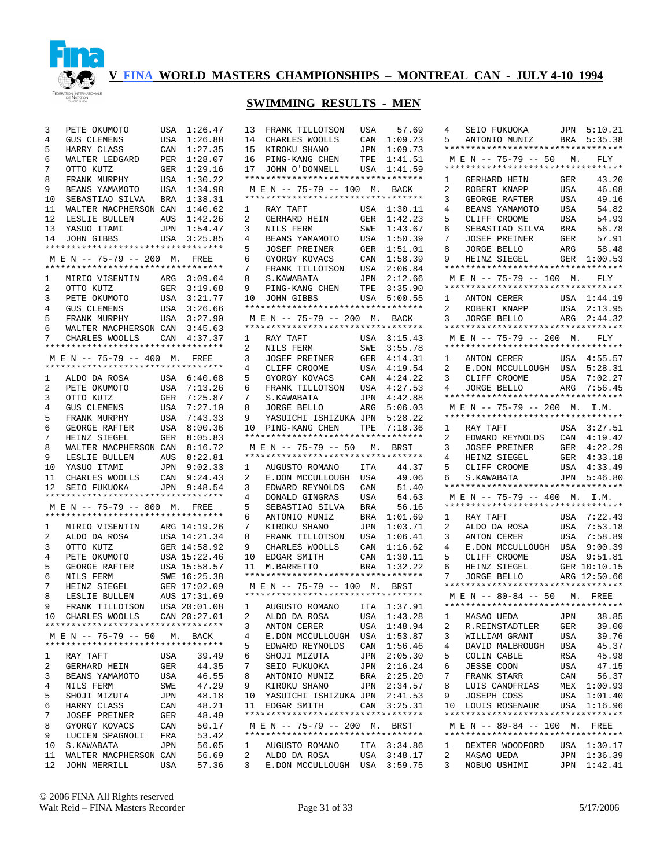

# **SWIMMING RESULTS - MEN**

| 3                       | PETE OKUMOTO                                                       | USA            | 1:26.47                      |
|-------------------------|--------------------------------------------------------------------|----------------|------------------------------|
| $\overline{4}$          | GUS CLEMENS                                                        | USA            | 1:26.88                      |
| 5                       | HARRY CLASS                                                        | CAN            | 1:27.35                      |
| 6                       | WALTER LEDGARD PER                                                 |                | 1:28.07                      |
| 7                       | OTTO KUTZ                                                          | GER            | 1:29.16                      |
| 8                       | FRANK MURPHY                                                       |                | 1:30.22                      |
| 9                       | BEANS YAMAMOTO                                                     | USA<br>USA     | 1:34.98                      |
|                         |                                                                    |                |                              |
|                         | 10 SEBASTIAO SILVA BRA 1:38.31<br>11 WALTER MACPHERSON CAN 1:40.62 |                |                              |
|                         |                                                                    |                |                              |
|                         | 12 LESLIE BULLEN AUS                                               |                | 1:42.26                      |
|                         | 13 YASUO ITAMI<br>14 JOHN GIBBS                                    | JPN            | 1:54.47                      |
|                         |                                                                    |                | USA 3:25.85                  |
|                         | **********************************                                 |                |                              |
|                         | M E N -- 75-79 -- 200 M. FREE                                      |                |                              |
|                         | **********************************                                 |                |                              |
| 1                       | MIRIO VISENTIN ARG 3:09.64                                         |                |                              |
| $\overline{a}$          | OTTO KUTZ                                                          | GER            | 3:19.68                      |
| $\overline{\mathbf{3}}$ | PETE OKUMOTO                                                       |                | USA 3:21.77                  |
| $\overline{4}$          | GUS CLEMENS                                                        | USA            | 3:26.66                      |
| 5                       | FRANK MURPHY                                                       |                | USA 3:27.90                  |
| б.                      | WALTER MACPHERSON CAN 3:45.63                                      |                |                              |
| 7 <sup>7</sup>          | CHARLES WOOLLS CAN 4:37.37                                         |                |                              |
|                         | **********************************                                 |                |                              |
|                         | M E N -- 75-79 -- 400 M. FREE                                      |                |                              |
|                         | *********************************                                  |                |                              |
|                         |                                                                    |                |                              |
|                         | 1 ALDO DA ROSA USA 6:40.68<br>PETE OKUMOTO                         |                |                              |
| 2                       |                                                                    |                | USA 7:13.26<br>GER 7:25.87   |
| 3                       | OTTO KUTZ                                                          |                |                              |
| 4                       | <b>GUS CLEMENS</b>                                                 |                | USA 7:27.10<br>USA 7:43.33   |
| 5                       | FRANK MURPHY                                                       |                |                              |
| 6                       | FRANK<br>GEORGE RAFTER                                             |                | USA 8:00.36<br>GER 8:05.83   |
| 7 <sup>7</sup>          | HEINZ SIEGEL                                                       |                |                              |
| 8                       | WALTER MACPHERSON CAN                                              |                |                              |
|                         |                                                                    |                | CAN 8:16.72<br>AUS 8:22.81   |
|                         |                                                                    |                |                              |
|                         | 9 LESLIE BULLEN<br>10 YASUO ITAMI<br>11 CHARLES WOOLLS             |                | JPN 9:02.33<br>CAN 9:24.43   |
|                         | 12 SEIO FUKUOKA                                                    |                | JPN 9:48.54                  |
|                         | **********************************                                 |                |                              |
|                         | M E N -- 75-79 -- 800 M. FREE                                      |                |                              |
|                         | **********************************                                 |                |                              |
|                         |                                                                    |                |                              |
| $\mathbf{1}$            | MIRIO VISENTIN ARG 14:19.26<br>ALDO DA ROSA USA 14:21.34           |                |                              |
| 2                       |                                                                    |                |                              |
| 3                       | OTTO KUTZ                                                          |                | GER 14:58.92                 |
| $\overline{4}$          | PETE OKUMOTO                                                       |                | USA 15:22.46                 |
| 5                       | GEORGE RAFTER USA $15:58.57$                                       |                |                              |
| 6                       | NILS FERM                                                          |                | SWE 16:25.38                 |
| 7                       | HEINZ SIEGEL<br>LESLIE BULLEN                                      |                | GER 17:02.09<br>AUS 17:31.69 |
| 8                       |                                                                    |                |                              |
| 9                       | FRANK TILLOTSON USA 20:01.08                                       |                |                              |
| 10                      | CHARLES WOOLLS                                                     |                | CAN 20:27.01                 |
|                         | **********************************                                 |                |                              |
|                         | M E N -- 75-79 -- 50 M. BACK                                       |                |                              |
|                         | **********************************                                 |                |                              |
| 1                       | RAY TAFT                                                           | USA            | 39.49                        |
| $\mathbf{2}$            | GERHARD HEIN                                                       |                | 44.35                        |
|                         |                                                                    | GER            |                              |
| 3                       | BEANS YAMAMOTO                                                     | USA            | 46.55                        |
| 4                       | NILS FERM                                                          | SWE            | 47.29                        |
| 5                       | SHOJI MIZUTA                                                       | JPN            | 48.18                        |
| 6                       | HARRY CLASS                                                        | $\mathtt{CAN}$ | 48.21                        |
| 7                       | JOSEF PREINER                                                      | GER            | 48.49                        |
| 8                       | GYORGY KOVACS                                                      | CAN            | 50.17                        |
| 9                       | LUCIEN SPAGNOLI                                                    | FRA            | 53.42                        |
| 10                      | S.KAWABATA                                                         | JPN            | 56.05                        |
| 11                      |                                                                    |                | 56.69                        |
|                         |                                                                    |                |                              |
| 12                      | WALTER MACPHERSON CAN<br>JOHN MERRILL                              | USA            | 57.36                        |

| 13<br>14<br>15<br>16<br>17<br>1<br>2<br>3<br>4<br>5<br>6<br>7<br>8<br>9 | FRANK TILLOTSON<br>CHARLES WOOLLS<br>KIROKU SHANO<br>PING-KANG CHEN<br>JOHN O'DONNELL USA<br>**********************************<br>M E N -- 75-79 -- 100 M. BACK<br>**********************************<br>RAY TAFT<br>GERHARD HEIN<br>NILS FERM<br>BEANS YAMAMOTO<br><b>JOSEF PREINER</b><br>GYORGY KOVACS<br>FRANK TILLOTSON<br>S.KAWABATA<br>PING-KANG CHEN | USA<br>CAN<br>JPN<br>TPE<br>USA<br>GER<br>SWE<br>USA<br>GER<br>CAN<br>USA<br>JPN<br>TPE | 57.69<br>1:09.23<br>1:09.73<br>1:41.51<br>1:41.59<br>1:30.11<br>1:42.23<br>1:43.67<br>1:50.39<br>1:51.01<br>1:58.39<br>2:06.84<br>2:12.66<br>3:35.90 |
|-------------------------------------------------------------------------|---------------------------------------------------------------------------------------------------------------------------------------------------------------------------------------------------------------------------------------------------------------------------------------------------------------------------------------------------------------|-----------------------------------------------------------------------------------------|------------------------------------------------------------------------------------------------------------------------------------------------------|
| 10                                                                      | JOHN GIBBS<br>**********************************                                                                                                                                                                                                                                                                                                              | USA                                                                                     | 5:00.55                                                                                                                                              |
|                                                                         | M E N -- 75-79 -- 200 M. BACK<br>*********************************                                                                                                                                                                                                                                                                                            |                                                                                         |                                                                                                                                                      |
| 1                                                                       | RAY TAFT                                                                                                                                                                                                                                                                                                                                                      |                                                                                         | USA 3:15.43                                                                                                                                          |
| $\overline{2}$                                                          | NILS FERM                                                                                                                                                                                                                                                                                                                                                     | SWE                                                                                     | 3:55.78                                                                                                                                              |
| 3                                                                       | JOSEF PREINER                                                                                                                                                                                                                                                                                                                                                 | GER                                                                                     | 4:14.31                                                                                                                                              |
| 4                                                                       | CLIFF CROOME                                                                                                                                                                                                                                                                                                                                                  | USA                                                                                     | 4:19.54                                                                                                                                              |
| 5<br>6                                                                  | GYORGY KOVACS<br>FRANK TILLOTSON                                                                                                                                                                                                                                                                                                                              | CAN<br>USA                                                                              | 4:24.22<br>4:27.53                                                                                                                                   |
| 7                                                                       | S.KAWABATA                                                                                                                                                                                                                                                                                                                                                    | JPN                                                                                     | 4:42.88                                                                                                                                              |
| 8                                                                       | JORGE BELLO                                                                                                                                                                                                                                                                                                                                                   | ARG                                                                                     | 5:06.03                                                                                                                                              |
| 9                                                                       | YASUICHI ISHIZUKA JPN                                                                                                                                                                                                                                                                                                                                         |                                                                                         | 5:28.22                                                                                                                                              |
| 10                                                                      | PING-KANG CHEN                                                                                                                                                                                                                                                                                                                                                | TPE                                                                                     | 7:18.36                                                                                                                                              |
|                                                                         | **********************************<br>M E N -- 75-79 -- 50 M. BRST                                                                                                                                                                                                                                                                                            |                                                                                         |                                                                                                                                                      |
|                                                                         | **********************************                                                                                                                                                                                                                                                                                                                            |                                                                                         |                                                                                                                                                      |
| $\mathbf{1}$                                                            | AUGUSTO ROMANO                                                                                                                                                                                                                                                                                                                                                | ITA                                                                                     | 44.37                                                                                                                                                |
| $\overline{2}$                                                          | E.DON MCCULLOUGH                                                                                                                                                                                                                                                                                                                                              | USA                                                                                     | 49.06                                                                                                                                                |
| 3                                                                       | EDWARD REYNOLDS                                                                                                                                                                                                                                                                                                                                               | CAN                                                                                     | 51.40                                                                                                                                                |
| 4                                                                       | DONALD GINGRAS                                                                                                                                                                                                                                                                                                                                                | USA                                                                                     | 54.63                                                                                                                                                |
| 5<br>6                                                                  | SEBASTIAO SILVA<br>ANTONIO MUNIZ                                                                                                                                                                                                                                                                                                                              | BRA<br>BRA                                                                              | 56.16<br>1:01.69                                                                                                                                     |
| 7                                                                       | KIROKU SHANO                                                                                                                                                                                                                                                                                                                                                  | JPN                                                                                     | 1:03.71                                                                                                                                              |
| 8                                                                       | FRANK TILLOTSON                                                                                                                                                                                                                                                                                                                                               | USA                                                                                     | 1:06.41                                                                                                                                              |
| 9                                                                       | CHARLES WOOLLS                                                                                                                                                                                                                                                                                                                                                | CAN                                                                                     | 1:16.62                                                                                                                                              |
| 10                                                                      | EDGAR SMITH                                                                                                                                                                                                                                                                                                                                                   | CAN                                                                                     | 1:30.11                                                                                                                                              |
| 11                                                                      | M.BARRETTO<br>*********************************                                                                                                                                                                                                                                                                                                               | BRA                                                                                     | 1:32.22                                                                                                                                              |
|                                                                         | M E N -- 75-79 -- 100 M. BRST                                                                                                                                                                                                                                                                                                                                 |                                                                                         |                                                                                                                                                      |
|                                                                         | **********************************                                                                                                                                                                                                                                                                                                                            |                                                                                         |                                                                                                                                                      |
| 1                                                                       | AUGUSTO ROMANO ITA 1:37.91                                                                                                                                                                                                                                                                                                                                    |                                                                                         |                                                                                                                                                      |
| 2                                                                       | ALDO DA ROSA                                                                                                                                                                                                                                                                                                                                                  | USA                                                                                     | 1:43.28                                                                                                                                              |
| 3<br>4                                                                  | ANTON CERER<br>E.DON MCCULLOUGH USA                                                                                                                                                                                                                                                                                                                           | USA                                                                                     | 1:48.94<br>1:53.87                                                                                                                                   |
| 5                                                                       | EDWARD REYNOLDS                                                                                                                                                                                                                                                                                                                                               | CAN                                                                                     | 1:56.46                                                                                                                                              |
| б.                                                                      | SHOJI MIZUTA                                                                                                                                                                                                                                                                                                                                                  | JPN                                                                                     | 2:05.30                                                                                                                                              |
| 7                                                                       | SEIO FUKUOKA                                                                                                                                                                                                                                                                                                                                                  | JPN                                                                                     | 2:16.24                                                                                                                                              |
| 8                                                                       | ANTONIO MUNIZ                                                                                                                                                                                                                                                                                                                                                 |                                                                                         | BRA 2:25.20                                                                                                                                          |
| 9                                                                       | KIROKU SHANO                                                                                                                                                                                                                                                                                                                                                  | JPN                                                                                     | 2:34.57                                                                                                                                              |
| 10<br>11                                                                | YASUICHI ISHIZUKA JPN 2:41.53<br>EDGAR SMITH                                                                                                                                                                                                                                                                                                                  |                                                                                         | CAN 3:25.31                                                                                                                                          |
|                                                                         | **********************************                                                                                                                                                                                                                                                                                                                            |                                                                                         |                                                                                                                                                      |
|                                                                         | M E N -- 75-79 -- 200 M. BRST                                                                                                                                                                                                                                                                                                                                 |                                                                                         |                                                                                                                                                      |
|                                                                         | *********************************                                                                                                                                                                                                                                                                                                                             |                                                                                         |                                                                                                                                                      |
| 1<br>$\mathbf{2}$                                                       | AUGUSTO ROMANO ITA 3:34.86<br>ALDO DA ROSA                                                                                                                                                                                                                                                                                                                    |                                                                                         |                                                                                                                                                      |
| 3                                                                       | E.DON MCCULLOUGH USA 3:59.75                                                                                                                                                                                                                                                                                                                                  |                                                                                         | USA 3:48.17                                                                                                                                          |
|                                                                         |                                                                                                                                                                                                                                                                                                                                                               |                                                                                         |                                                                                                                                                      |

| 4              |                                                                                                                                                                                                                                                             |            |                            |
|----------------|-------------------------------------------------------------------------------------------------------------------------------------------------------------------------------------------------------------------------------------------------------------|------------|----------------------------|
|                | SEIO FUKUOKA                                                                                                                                                                                                                                                |            | JPN 5:10.21                |
|                | ANTONIO MUNIZ BRA 5:35.38                                                                                                                                                                                                                                   |            |                            |
| 5              |                                                                                                                                                                                                                                                             |            |                            |
|                | **********************************                                                                                                                                                                                                                          |            |                            |
|                | M E N -- 75-79 -- 50 M. FLY                                                                                                                                                                                                                                 |            |                            |
|                |                                                                                                                                                                                                                                                             |            |                            |
|                | **********************************                                                                                                                                                                                                                          |            |                            |
| 1              | GERHARD HEIN                                                                                                                                                                                                                                                | GER        | 43.20                      |
|                |                                                                                                                                                                                                                                                             |            |                            |
| $\overline{2}$ | ROBERT KNAPP                                                                                                                                                                                                                                                | USA        | 46.08                      |
| 3              | GEORGE RAFTER                                                                                                                                                                                                                                               | USA        | 49.16                      |
| 4              |                                                                                                                                                                                                                                                             | USA        | 54.82                      |
|                | BEANS YAMAMOTO                                                                                                                                                                                                                                              |            |                            |
| 5              |                                                                                                                                                                                                                                                             | USA        | 54.93                      |
| 6              | CLIFF CROOME<br>SEBASTIAO SILVA                                                                                                                                                                                                                             | <b>BRA</b> | 56.78                      |
| 7              |                                                                                                                                                                                                                                                             | GER        | 57.91                      |
|                | JOSEF PREINER                                                                                                                                                                                                                                               |            |                            |
| 8              |                                                                                                                                                                                                                                                             |            |                            |
| 9              | JORGE BELLO ARG 58.48<br>HEINZ SIEGEL GER 1:00.53                                                                                                                                                                                                           |            |                            |
|                | **********************************                                                                                                                                                                                                                          |            |                            |
|                |                                                                                                                                                                                                                                                             |            |                            |
|                | M E N -- 75-79 -- 100 M. FLY                                                                                                                                                                                                                                |            |                            |
|                | **********************************                                                                                                                                                                                                                          |            |                            |
|                | ANTON CERER                                                                                                                                                                                                                                                 |            |                            |
| $\mathbf{1}$   |                                                                                                                                                                                                                                                             |            |                            |
| $\overline{2}$ |                                                                                                                                                                                                                                                             |            |                            |
| $3^{\circ}$    | $\begin{tabular}{lllllllllllll} \multicolumn{4}{c}{ANTON} & CERER & & USA & 1:44.19 \\ \multicolumn{4}{c}{ROBERT} & KNAPP & & USA & 2:13.95 \\ \multicolumn{4}{c}{JORGE} & BELLO & & ARG & 2:44.32 \\ \end{tabular}$                                        |            |                            |
|                | **********************************                                                                                                                                                                                                                          |            |                            |
|                |                                                                                                                                                                                                                                                             |            |                            |
|                | MEN -- 75-79 -- 200 M. FLY                                                                                                                                                                                                                                  |            |                            |
|                | **********************************                                                                                                                                                                                                                          |            |                            |
|                |                                                                                                                                                                                                                                                             |            |                            |
| 1              |                                                                                                                                                                                                                                                             |            |                            |
| $\overline{a}$ |                                                                                                                                                                                                                                                             |            |                            |
| 3              | $\begin{tabular}{llllll} \textbf{ANTON} \textbf{CERER} & \textbf{USA} & 4:55.57 \\ \textbf{E. DON} \textbf{MCCULLOUGH} & \textbf{USA} & 5:28.31 \\ \textbf{CLIFF} \textbf{CROOME} & \textbf{USA} & 7:02.27 \\ \end{tabular}$<br>CLIFF CROOME<br>JORGE BELLO |            |                            |
|                |                                                                                                                                                                                                                                                             |            |                            |
| 4              |                                                                                                                                                                                                                                                             |            | ARG 7:56.45                |
|                | **********************************                                                                                                                                                                                                                          |            |                            |
|                | MEN -- 75-79 -- 200 M. I.M.                                                                                                                                                                                                                                 |            |                            |
|                | **********************************                                                                                                                                                                                                                          |            |                            |
|                |                                                                                                                                                                                                                                                             |            |                            |
| $1 \quad$      | RAY TAFT                                                                                                                                                                                                                                                    |            | USA 3:27.51                |
| 2              | EDWARD REYNOLDS                                                                                                                                                                                                                                             | CAN        | 4:19.42                    |
|                |                                                                                                                                                                                                                                                             |            |                            |
| 3              |                                                                                                                                                                                                                                                             | GER        | 4:22.29                    |
|                |                                                                                                                                                                                                                                                             | GER        | 4:33.18                    |
| 4              |                                                                                                                                                                                                                                                             |            |                            |
|                | JOSEF PREINER<br>HEINZ SIEGEL                                                                                                                                                                                                                               |            |                            |
| 5              |                                                                                                                                                                                                                                                             | USA        |                            |
| 6              | CLIFF CROOME USA 4:33.49<br>S.KAWABATA JPN 5:46.80                                                                                                                                                                                                          |            |                            |
|                | **********************************                                                                                                                                                                                                                          |            |                            |
|                |                                                                                                                                                                                                                                                             |            |                            |
|                | M E N -- 75-79 -- 400 M. I.M.                                                                                                                                                                                                                               |            |                            |
|                | **********************************                                                                                                                                                                                                                          |            |                            |
| 1              | RAY TAFT                                                                                                                                                                                                                                                    |            | USA 7:22.43                |
|                |                                                                                                                                                                                                                                                             |            |                            |
| $\overline{2}$ |                                                                                                                                                                                                                                                             |            |                            |
| 3              | ALDO DA ROSA<br>ANTON CERER                                                                                                                                                                                                                                 |            | USA 7:53.18<br>USA 7:58.89 |
| 4              |                                                                                                                                                                                                                                                             |            | 9:00.39                    |
|                |                                                                                                                                                                                                                                                             |            |                            |
| 5              | ANTON CERER<br>E.DON MCCULLOUGH USA<br>CLIFE CROOME USA                                                                                                                                                                                                     |            |                            |
| б.             |                                                                                                                                                                                                                                                             |            |                            |
| 7              | CLIFF CROOME USA 9:51.81<br>HEINZ SIEGEL GER 10:10.15<br>JORGE BELLO ARG 12:50.66                                                                                                                                                                           |            |                            |
|                | **********************************                                                                                                                                                                                                                          |            |                            |
|                |                                                                                                                                                                                                                                                             |            |                            |
|                | M E N -- 80-84 -- 50 M. FREE                                                                                                                                                                                                                                |            |                            |
|                | **********************************                                                                                                                                                                                                                          |            |                            |
|                |                                                                                                                                                                                                                                                             |            | 38.85                      |
| 1              | MASAO UEDA                                                                                                                                                                                                                                                  | JPN        |                            |
| 2              | R.REINSTADTLER                                                                                                                                                                                                                                              | GER        | 39.00                      |
| 3              | WILLIAM GRANT                                                                                                                                                                                                                                               | USA        | 39.76                      |
| 4              | DAVID MALBROUGH                                                                                                                                                                                                                                             | USA        | 45.37                      |
|                |                                                                                                                                                                                                                                                             |            |                            |
| 5              | COLIN CABLE                                                                                                                                                                                                                                                 | RSA        | 45.98                      |
| 6              | <b>JESSE COON</b>                                                                                                                                                                                                                                           | USA        | 47.15                      |
| 7              | FRANK STARR                                                                                                                                                                                                                                                 | CAN        | 56.37                      |
|                |                                                                                                                                                                                                                                                             |            |                            |
| 8              | LUIS CANOFRIAS                                                                                                                                                                                                                                              | MEX        | 1:00.93                    |
| 9              | JOSEPH COSS                                                                                                                                                                                                                                                 | USA        | 1:01.40                    |
| 10             | LOUIS ROSENAUR                                                                                                                                                                                                                                              | USA        | 1:16.96                    |
|                | **********************************                                                                                                                                                                                                                          |            |                            |
|                |                                                                                                                                                                                                                                                             |            |                            |
|                | M E N -- 80-84 -- 100 M.                                                                                                                                                                                                                                    |            | FREE                       |
|                | *********************************                                                                                                                                                                                                                           |            |                            |
| $\mathbf{1}$   |                                                                                                                                                                                                                                                             |            | 1:30.17                    |
|                | DEXTER WOODFORD USA                                                                                                                                                                                                                                         |            |                            |
| 2<br>3         | MASAO UEDA<br>NOBUO USHIMI                                                                                                                                                                                                                                  | JPN<br>JPN | 1:36.39<br>1:42.41         |

© 2006 FINA All Rights reserved Walt Reid – FINA Masters Recorder Page 31 of 33 5/17/2006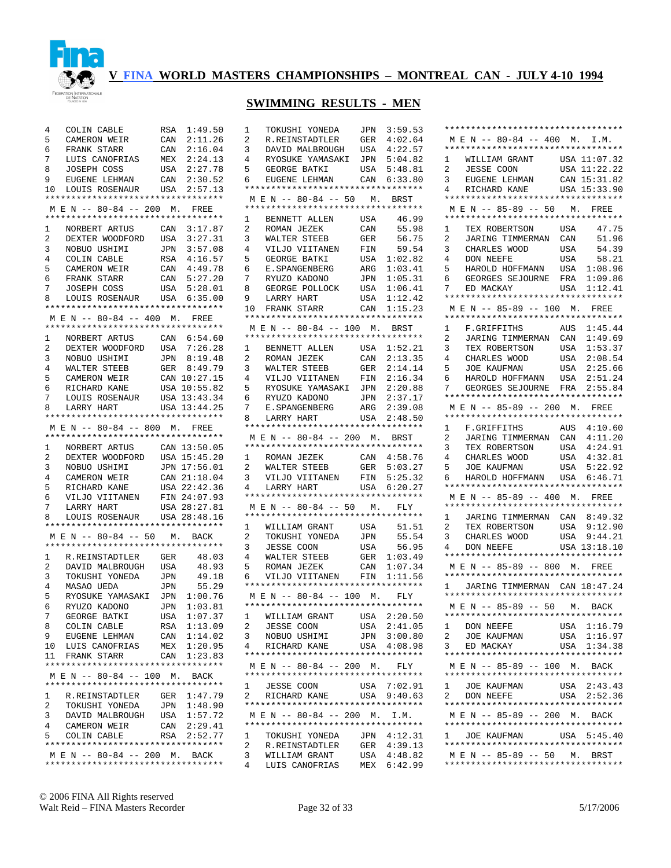

# **SWIMMING RESULTS - MEN**

| 4               | COLIN CABLE                                                            |            | RSA 1:49.50                  |
|-----------------|------------------------------------------------------------------------|------------|------------------------------|
| 5               | CAMERON WEIR                                                           | CAN        | 2:11.26                      |
| б.              | FRANK STARR                                                            |            | CAN 2:16.04                  |
| 7               | LUIS CANOFRIAS                                                         |            |                              |
| 8               | JOSEPH COSS                                                            |            | MEX 2:24.13<br>USA 2:27.78   |
| 9               | EUGENE LEHMAN                                                          | CAN        | 2:30.52                      |
| 10 <sup>1</sup> | LOUIS ROSENAUR USA                                                     |            | 2:57.13                      |
|                 | *********************************                                      |            |                              |
|                 | M E N -- 80-84 -- 200 M. FREE                                          |            |                              |
|                 | *********************************                                      |            |                              |
| 1               | NORBERT ARTUS                                                          | CAN        | 3:17.87                      |
| 2               |                                                                        |            | 3:27.31                      |
| 3               | DEXTER WOODFORD USA<br>NOBUO USHIMI JPN                                |            |                              |
| $\overline{4}$  | NOBUO USHIMI<br>COLIN CABLE RSA 4:16.57<br>CAMER CAN 4:49.78           |            |                              |
| 5               |                                                                        |            |                              |
| б.              |                                                                        |            | 5:27.20                      |
| 7               | FRANK STARR<br>JOSEPH COSS                                             | CAN<br>USA | 5:28.01                      |
|                 | 8 LOUIS ROSENAUR USA 6:35.00                                           |            |                              |
|                 | **********************************                                     |            |                              |
|                 | M E N -- 80-84 -- 400 M. FREE                                          |            |                              |
|                 | **********************************                                     |            |                              |
|                 |                                                                        |            |                              |
| $\mathbf{1}$    | NORBERT ARTUS CAN 6:54.60<br>DEXTER WOODFORD USA 7:26.28               |            |                              |
| 2               |                                                                        |            |                              |
| $\overline{3}$  | NOBUO USHIMI<br>WALTED STEEP                                           |            | JPN 8:19.48                  |
| $\overline{4}$  | WALTER STEEB                                                           | GER        | 8:49.79                      |
| 5               | CAMERON WEIR                                                           |            | CAN 10:27.15<br>USA 10:55.82 |
| б.              | RICHARD KANE                                                           |            |                              |
| 7               | RICHARD AAND CONTROLLOUIS ROSENAUR USA 13:43.34                        |            |                              |
| 8               | LARRY HART                                                             |            | USA 13:44.25                 |
|                 | *********************************                                      |            |                              |
|                 | M E N -- 80-84 -- 800 M. FREE                                          |            |                              |
|                 | **********************************                                     |            |                              |
| 1               | NORBERT ARTUS CAN 13:50.05                                             |            |                              |
| $\overline{a}$  | DEXTER WOODFORD USA 15:45.20                                           |            |                              |
| 3               |                                                                        |            |                              |
|                 |                                                                        |            |                              |
| $\overline{4}$  |                                                                        |            |                              |
| 5               | NOBUO USHIMI JPN 17:56.01<br>CAMERON WEIR CAN 21:18.04<br>RICHARD KANE |            | USA 22:42.36                 |
| б.              |                                                                        |            |                              |
| 7               | VILJO VIITANEN FIN 24:07.93<br>LARRY HART                              |            | USA 28:27.81                 |
| 8               |                                                                        |            |                              |
|                 | LOUIS ROSENAUR USA 28:48.16<br>**********************************      |            |                              |
|                 |                                                                        |            |                              |
|                 | M E N -- 80-84 -- 50 M. BACK<br>**********************************     |            |                              |
|                 |                                                                        |            |                              |
| 2               | 1 R.REINSTADTLER GER                                                   |            | 48.03                        |
|                 | DAVID MALBROUGH                                                        | USA        | 48.93                        |
| 3               |                                                                        |            | 49.18                        |
| $\overline{4}$  | TOKUSHI YONEDA JPN<br>MASAO UEDA JPN                                   |            | 55.29                        |
| 5               | RYOSUKE YAMASAKI JPN 1:00.76                                           |            |                              |
| б.              |                                                                        |            |                              |
| 7               | RYUZO KADONO JPN 1:03.81<br>GEORGE BATKI USA 1:07.37                   |            |                              |
| 8               | COLIN CABLE                                                            | RSA        | 1:13.09                      |
| 9               | EUGENE LEHMAN                                                          |            | CAN 1:14.02                  |
| 10              | LUIS CANOFRIAS                                                         | MEX        | 1:20.95                      |
| 11              | FRANK STARR                                                            |            | CAN 1:23.83                  |
|                 | **********************************                                     |            |                              |
|                 | M E N -- 80-84 -- 100 M. BACK                                          |            |                              |
|                 | **********************************                                     |            |                              |
| $\mathbf{1}$    | R.REINSTADTLER                                                         | GER        | 1:47.79                      |
| 2               | TOKUSHI YONEDA                                                         | JPN        | 1:48.90                      |
| 3               | DAVID MALBROUGH                                                        | USA        | 1:57.72                      |
| 4               | CAMERON WEIR                                                           | CAN        | 2:29.41                      |
| 5               | COLIN CABLE                                                            |            | CAN 2:29.41<br>RSA 2:52.77   |
|                 | **********************************                                     |            |                              |
|                 | M E N -- 80-84 -- 200 M. BACK<br>**********************************    |            |                              |

| 1              | TOKUSHI YONEDA                                                   | JPN         | 3:59.53                    |
|----------------|------------------------------------------------------------------|-------------|----------------------------|
| $\overline{2}$ | R.REINSTADTLER                                                   | GER         | 4:02.64                    |
| 3              | DAVID MALBROUGH                                                  | USA         | 4:22.57                    |
| 4              | DAVID MALBROUGH USA<br>RYOSUKE YAMASAKI JPN                      |             | 5:04.82                    |
| 5              |                                                                  | USA         | 5:48.81                    |
| 6              |                                                                  | CAN         | 6:33.80                    |
|                | **********************************                               |             |                            |
|                | MEN -- 80-84 -- 50 M. BRST                                       |             |                            |
|                | **********************************                               |             |                            |
| 1              | BENNETT ALLEN USA                                                |             | 46.99                      |
| $\overline{a}$ | ROMAN JEZEK<br>ROMAN JEZEK<br>WALTER STEEB                       | CAN         | 55.98                      |
| 3              |                                                                  | GER         | 56.75                      |
| $\overline{4}$ | VILJO VIITANEN                                                   | FIN<br>USA  | 59.54                      |
| 5              | GEORGE BATKI                                                     |             | 1:02.82                    |
| б.             | E.SPANGENBERG<br>RYUZO KADONO                                    | ARG         | 1:03.41                    |
| 7              |                                                                  | JPN         | 1:05.31                    |
| 8              | GEORGE POLLOCK                                                   | USA         | 1:06.41                    |
|                | 9    LARRY HART<br>10   FRANK  STARR                             | USA         | 1:12.42                    |
|                | **********************************                               | CAN         | 1:15.23                    |
|                | MEN -- 80-84 -- 100 M. BRST                                      |             |                            |
|                | **********************************                               |             |                            |
| $\mathbf{1}$   | BENNETT ALLEN USA                                                |             | 1:52.21                    |
| $\overline{2}$ |                                                                  | CAN         | 2:13.35                    |
| 3              | ROMAN JEZEK<br>WALTER STEEB                                      |             | 2:14.14                    |
| 4              | VILJO VIITANEN                                                   | GER<br>FIN  | 2:16.34                    |
| 5              | RYOSUKE YAMASAKI JPN                                             |             | 2:20.88                    |
| б              |                                                                  | JPN         | 2:37.17                    |
| 7              | RYUZO KADONO<br>E.SPANGENBERG                                    | ARG         | 2:39.08                    |
| 8              | LARRY HART                                                       | USA         | 2:48.50                    |
|                | **********************************                               |             |                            |
|                | M E N -- 80-84 -- 200 M. BRST                                    |             |                            |
|                | **********************************                               |             |                            |
| 1              | ROMAN JEZEK                                                      |             | CAN 4:58.76                |
| $\overline{2}$ | WALTER STEEB                                                     | GER         | 5:03.27                    |
| 3              | WALLER C.<br>VILJO VIITANEN                                      | FIN         | 5:25.32                    |
| $\overline{4}$ | LARRY HART                                                       |             | USA 6:20.27                |
|                |                                                                  |             |                            |
|                | **********************************                               |             |                            |
|                | M E N -- 80-84 -- 50 M.                                          |             | FLY                        |
|                | **********************************                               |             |                            |
| 1              | WILLIAM GRANT                                                    | USA         | 51.51                      |
| $\overline{c}$ |                                                                  | JPN         | 55.54                      |
| 3              | TOKUSHI YONEDA<br>JESSE COON                                     | USA         | 56.95                      |
| 4              |                                                                  | GER         | 1:03.49                    |
| 5              | WALTER STEEB<br>ROMAN JEZEK                                      | CAN         | 1:07.34                    |
| 6              | VILJO VIITANEN<br>*********************************              | FIN         | 1:11.56                    |
|                |                                                                  |             |                            |
|                | MEN -- 80-84 -- 100 M. FLY<br>********************************** |             |                            |
|                |                                                                  |             |                            |
| Ŧ.             | WILLIAM GRANT                                                    |             | 2:20.50                    |
| 2<br>3         | JESSE COON                                                       |             | USA 2:20.50<br>USA 2:41.05 |
| 4              | NOBUO USHIMI<br>RICHARD KANE                                     | JPN         | 3:00.80                    |
|                | **********************************                               |             | USA 4:08.98                |
|                | MEN -- 80-84 -- 200 M. FLY                                       |             |                            |
|                | **********************************                               |             |                            |
|                | 1 JESSE COON                                                     |             | USA 7:02.91                |
| $\mathbf{2}$   | RICHARD KANE USA 9:40.63                                         |             |                            |
|                | **********************************                               |             |                            |
|                | M E N -- 80-84 -- 200 M. I.M.                                    |             |                            |
|                | **********************************                               |             |                            |
| 1              | TOKUSHI YONEDA JPN 4:12.31                                       |             |                            |
| 2              | R.REINSTADTLER                                                   | ${\tt GER}$ | 4:39.13                    |
| 3<br>4         | WILLIAM GRANT<br>LUIS CANOFRIAS                                  | MEX         | USA 4:48.82<br>6:42.99     |

| **********************************                                                                                       |                         |
|--------------------------------------------------------------------------------------------------------------------------|-------------------------|
| M E N -- 80-84 -- 400 M. I.M.<br>**********************************                                                      |                         |
| $\mathbf{1}$<br>WILLIAM GRANT USA 11.07.000<br>JESSE COON USA 11:22.22<br>TESSE COON USA 11:22.22<br>TERMAN CAN 15:31.82 |                         |
| $\overline{2}$                                                                                                           |                         |
| EUGENE LEHMAN CAN 15:31.82<br>RICHARD KANE USA 15:33.90<br>3                                                             |                         |
| 4                                                                                                                        |                         |
| **********************************                                                                                       |                         |
| M E N -- 85-89 -- 50 M. FREE<br>**********************************                                                       |                         |
| $\mathbf{1}$                                                                                                             | 47.75                   |
| TEX ROBERTSON USA<br>JARING TIMMERMAN CAN<br>2                                                                           | 51.96                   |
| 3<br>CHARLES WOOD                                                                                                        | 54.39<br>USA            |
| 4<br>DON NEEFE                                                                                                           | USA<br>58.21            |
| HAROLD HOFFMANN<br>5                                                                                                     | USA<br>1:08.96          |
| 6<br>GEORGES SEJOURNE                                                                                                    | FRA<br>1:09.86          |
| 7<br>ED MACKAY                                                                                                           | USA<br>1:12.41          |
| **********************************                                                                                       |                         |
| M E N -- 85-89 -- 100 M.<br>**********************************                                                           | FREE                    |
| $\mathbf{1}$<br>F.GRIFFITHS                                                                                              | 1:45.44<br>AUS          |
| 2<br>JARING TIMMERMAN                                                                                                    | 1:49.69<br>CAN          |
| TEX ROBERTSON<br>3                                                                                                       | 1:53.37<br>USA          |
| 4                                                                                                                        | USA<br>2:08.54          |
| CHARLES WOOD<br>JOE KAUFMAN<br>5                                                                                         | USA<br>2:25.66          |
| б<br>HAROLD HOFFMANN                                                                                                     | USA<br>2:51.24          |
| GEORGES SEJOURNE FRA<br>7                                                                                                | 2:55.84                 |
| **********************************                                                                                       |                         |
| M E N -- 85-89 -- 200 M. FREE<br>**********************************                                                      |                         |
| 1<br>F.GRIFFITHS                                                                                                         | AUS  4:10.60            |
| JARING TIMMERMAN CAN<br>$\overline{2}$                                                                                   | 4:11.20                 |
| TEX ROBERTSON<br>3                                                                                                       | 4:24.91<br>USA          |
| CHARLES WOOD<br>JOE KAUFMAN<br>4                                                                                         | USA<br>4:32.81          |
| 5                                                                                                                        | $_{\rm USA}$<br>5:22.92 |
| HAROLD HOFFMANN USA 6:46.71<br>б.                                                                                        |                         |
| **********************************                                                                                       |                         |
| M E N -- 85-89 -- 400 M. FREE<br>**********************************                                                      |                         |
| $\mathbf{1}$<br>JARING TIMMERMAN CAN 8:49.32                                                                             |                         |
| 2                                                                                                                        | USA<br>9:12.90          |
| TEX ROBERTSON<br>CHARLES WOOD<br>DON NEEFF<br>3                                                                          | USA<br>9:44.21          |
| 4<br>DON NEEFE                                                                                                           | USA 13:18.10            |
| **********************************                                                                                       |                         |
| M E N -- 85-89 -- 800 M. FREE                                                                                            |                         |
| JARING TIMMERMAN CAN 18:47.24<br>$\mathbf{1}$                                                                            |                         |
| **********************************                                                                                       |                         |
| M E N -- 85-89 -- 50 M. BACK                                                                                             |                         |
|                                                                                                                          |                         |
| 1<br>DON NEEFE                                                                                                           | USA 1:16.79             |
| JOE KAUFMAN<br>2                                                                                                         | USA 1:16.97             |
| 3<br>ED MACKAY                                                                                                           | USA 1:34.38             |
| **********************************<br>M E N -- 85-89 -- 100 M. BACK                                                      |                         |
| **********************************                                                                                       |                         |
| 1 JOE KAUFMAN                                                                                                            | USA 2:43.43             |
| DON NEEFE<br>2                                                                                                           | USA 2:52.36             |
| **********************************                                                                                       |                         |
| M E N -- 85-89 -- 200 M. BACK                                                                                            |                         |
| **********************************                                                                                       |                         |
| 1 JOE KAUFMAN USA 5:45.40                                                                                                |                         |
|                                                                                                                          |                         |
| M E N -- 85-89 -- 50 M. BRST<br>**********************************                                                       |                         |

© 2006 FINA All Rights reserved Walt Reid – FINA Masters Recorder Page 32 of 33 5/17/2006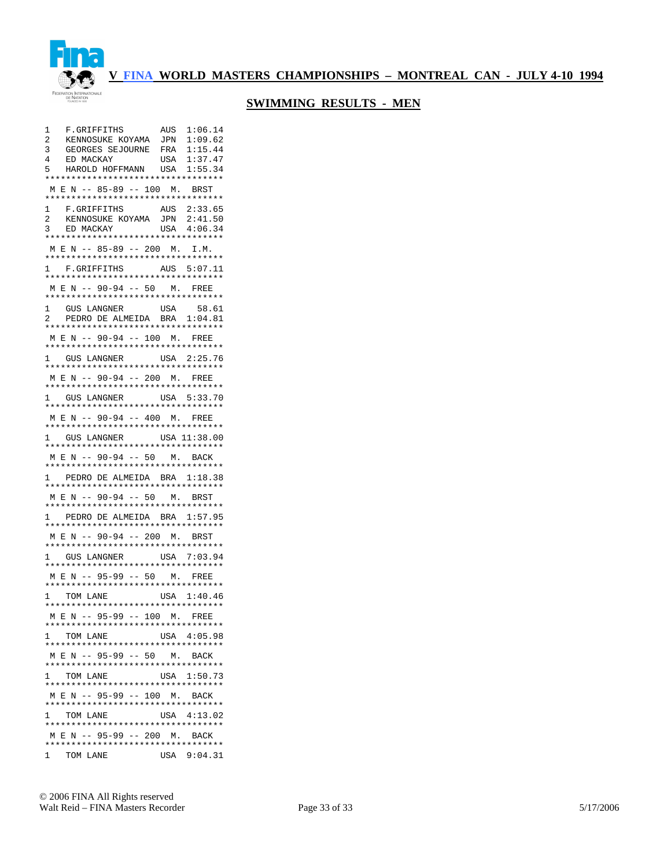

| 1<br>F.GRIFFITHS                                      | 1:06.14<br>AUS |
|-------------------------------------------------------|----------------|
| 2<br>KENNOSUKE KOYAMA                                 | 1:09.62<br>JPN |
| 3<br>GEORGES SEJOURNE                                 | 1:15.44<br>FRA |
| 4<br>ED MACKAY                                        | 1:37.47<br>USA |
| HAROLD HOFFMANN USA<br>5                              | 1:55.34        |
| **********************************                    |                |
| M E N -- 85-89 -- 100 M. BRST                         |                |
| *********************************                     |                |
| F.GRIFFITHS<br>1                                      | AUS 2:33.65    |
|                                                       |                |
| KENNOSUKE KOYAMA<br>2                                 | JPN<br>2:41.50 |
| 3<br>ED MACKAY<br>**********************************  | USA<br>4:06.34 |
|                                                       |                |
| MEN -- 85-89 -- 200 M. I.M.                           |                |
| *********************************                     |                |
| F.GRIFFITHS<br>$\mathbf{1}$                           | AUS 5:07.11    |
| **********************************                    |                |
| M E N -- 90-94 -- 50 M. FREE                          |                |
| **********************************                    |                |
| 1<br>GUS LANGNER                                      | USA<br>58.61   |
| PEDRO DE ALMEIDA BRA 1:04.81<br>2                     |                |
| **********************************                    |                |
| M E N -- 90-94 -- 100 M. FREE                         |                |
| **********************************                    |                |
|                                                       |                |
| GUS LANGNER<br>1<br>********************************* | USA 2:25.76    |
|                                                       |                |
| M E N -- 90-94 -- 200 M. FREE                         |                |
| **********************************                    |                |
| 1 GUS LANGNER                                         | USA 5:33.70    |
| **********************************                    |                |
| M E N -- 90-94 -- 400 M. FREE                         |                |
| **********************************                    |                |
| GUS LANGNER<br>1                                      | USA 11:38.00   |
| *********************************                     |                |
| M E N -- 90-94 -- 50 M. BACK                          |                |
| **********************************                    |                |
| PEDRO DE ALMEIDA BRA 1:18.38<br>1                     |                |
| **********************************                    |                |
| M E N -- 90-94 -- 50 M. BRST                          |                |
| **********************************                    |                |
| PEDRO DE ALMEIDA BRA 1:57.95<br>1                     |                |
| **********************************                    |                |
| MEN -- 90-94 -- 200 M. BRST                           |                |
| **********************************                    |                |
| GUS LANGNER<br>1                                      | USA 7:03.94    |
| **********************************                    |                |
| MEN -- 95-99 -- 50 M.                                 |                |
| **********************************                    | FREE           |
|                                                       |                |
| 1 TOM LANE                                            | USA 1:40.46    |
| *********************************                     |                |
| M E N -- 95-99 -- 100 M. FREE                         |                |
| **********************************                    |                |
| 1 TOM LANE                                            | USA 4:05.98    |
| **********************************                    |                |
| MEN -- 95-99 -- 50 M. BACK                            |                |
| **********************************                    |                |
| 1 TOM LANE                                            | USA 1:50.73    |
| **********************************                    |                |
| M E N -- 95-99 -- 100 M. BACK                         |                |
| **********************************                    |                |
| 1 TOM LANE                                            | USA 4:13.02    |
| **********************************                    |                |
| M E N -- 95-99 -- 200 M. BACK                         |                |
| **********************************                    |                |
| 1 TOM LANE                                            | USA 9:04.31    |
|                                                       |                |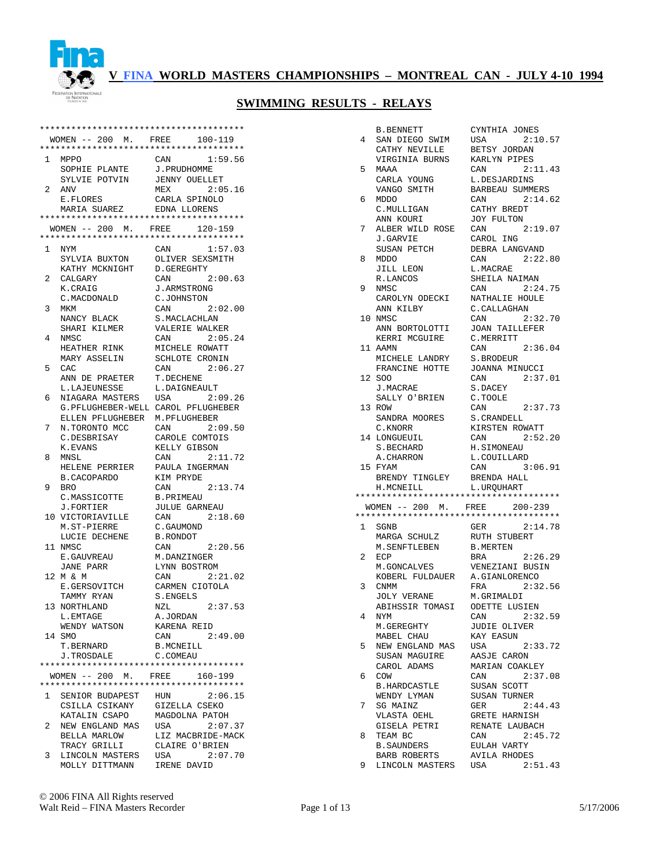

|              | ************************************** |                         |
|--------------|----------------------------------------|-------------------------|
|              | $WOMEN$ -- 200 M. FREE                 | $100 - 119$             |
|              | ************************************** |                         |
| $\mathbf{1}$ | MPPO                                   | CAN<br>1:59.56          |
|              | SOPHIE PLANTE                          | J.PRUDHOMME             |
|              | SYLVIE POTVIN                          | <b>JENNY OUELLET</b>    |
| 2            | ANV                                    | 2:05.16<br>MEX          |
|              | E.FLORES                               | CARLA SPINOLO           |
|              | MARIA SUAREZ                           | EDNA LLORENS            |
|              | ************************************** |                         |
|              | $WOMEN$ -- 200 M. FREE                 | 120-159                 |
|              | ************************************** |                         |
| 1.           | NYM                                    | CAN<br>1:57.03          |
|              | SYLVIA BUXTON                          | OLIVER SEXSMITH         |
|              | KATHY MCKNIGHT                         | D.GEREGHTY              |
| 2            | CALGARY                                | CAN<br>2:00.63          |
|              | K.CRAIG                                | <b>J.ARMSTRONG</b>      |
|              | C.MACDONALD                            | C.JOHNSTON              |
| 3            | MKM                                    | CAN<br>2:02.00          |
|              | NANCY BLACK                            | S. MACLACHLAN           |
|              | SHARI KILMER                           | VALERIE WALKER          |
| 4            | NMSC                                   | CAN<br>2:05.24          |
|              | HEATHER RINK                           | MICHELE ROWATT          |
|              | MARY ASSELIN                           | SCHLOTE CRONIN          |
| 5            | CAC                                    | 2:06.27<br>CAN          |
|              | ANN DE PRAETER                         | T.DECHENE               |
|              | L.LAJEUNESSE                           | L.DAIGNEAULT            |
| 6            | NIAGARA MASTERS                        | USA<br>2:09.26          |
|              | G. PFLUGHEBER-WELL CAROL PFLUGHEBER    |                         |
|              | ELLEN PFLUGHEBER                       | M.PFLUGHEBER            |
| 7            | N.TORONTO MCC                          | 2:09.50<br>CAN          |
|              | C.DESBRISAY                            | CAROLE COMTOIS          |
|              | K.EVANS                                | KELLY GIBSON            |
| 8            | MNSL                                   | 2:11.72<br>CAN          |
|              | HELENE PERRIER                         | PAULA INGERMAN          |
|              | B.CACOPARDO                            | KIM PRYDE               |
| 9            | <b>BRO</b>                             | 2:13.74<br>CAN          |
|              | C.MASSICOTTE                           | B.PRIMEAU               |
|              | J.FORTIER                              | <b>JULUE GARNEAU</b>    |
|              | 10 VICTORIAVILLE                       | 2:18.60<br>CAN          |
|              | M.ST-PIERRE                            | C.GAUMOND               |
|              | LUCIE DECHENE                          | B.RONDOT                |
|              | 11 NMSC                                | 2:20.56<br>CAN          |
|              | E.GAUVREAU                             | M.DANZINGER             |
|              | JANE PARR                              | LYNN BOSTROM<br>2:21.02 |
| 12           | MδEM                                   | CAN                     |
|              | E.GERSOVITCH                           | CARMEN CIOTOLA          |
|              | TAMMY RYAN<br>13 NORTHLAND             | S.ENGELS<br>2:37.53     |
|              |                                        | NZL                     |
|              | L.EMTAGE<br>WENDY WATSON               | A.JORDAN<br>KARENA REID |
|              | 14 SMO                                 | CAN<br>2:49.00          |
|              | T. BERNARD                             | <b>B.MCNEILL</b>        |
|              | <b>J.TROSDALE</b>                      | C.COMEAU                |
|              | ************************************** |                         |
|              | WOMEN -- 200 M.                        | FREE<br>160-199         |
|              | ************************************** |                         |
| 1            | SENIOR BUDAPEST HUN                    | 2:06.15                 |
|              | CSILLA CSIKANY                         | GIZELLA CSEKO           |
|              | KATALIN CSAPO                          | MAGDOLNA PATOH          |
| 2            | NEW ENGLAND MAS                        | USA<br>2:07.37          |
|              | BELLA MARLOW                           | LIZ MACBRIDE-MACK       |
|              | TRACY GRILLI                           | CLAIRE O'BRIEN          |
| 3            | LINCOLN MASTERS                        | USA<br>2:07.70          |
|              | MOLLY DITTMANN                         | IRENE DAVID             |

|    | <b>B.BENNETT</b>                                                       | CYNTHIA JONES           |
|----|------------------------------------------------------------------------|-------------------------|
| 4  | SAN DIEGO SWIM                                                         | 2:10.57<br>USA          |
|    | CATHY NEVILLE                                                          | BETSY JORDAN            |
|    | VIRGINIA BURNS                                                         | KARLYN PIPES            |
| 5  | MAAA                                                                   | CAN 2:11.43             |
|    | CARLA YOUNG                                                            | L.DESJARDINS            |
|    | VANGO SMITH                                                            | BARBEAU SUMMERS         |
| 6  | MDDO                                                                   | 2:14.62<br>CAN          |
|    | C.MULLIGAN                                                             | CATHY BREDT             |
|    | ANN KOURI                                                              | JOY FULTON              |
| 7  | ALBER WILD ROSE                                                        | CAN<br>2:19.07          |
|    | J.GARVIE                                                               | CAROL ING               |
|    | SUSAN PETCH                                                            | DEBRA LANGVAND          |
| 8  | MDDO                                                                   | CAN<br>2:22.80          |
|    | JILL LEON                                                              | L.MACRAE                |
|    | R.LANCOS                                                               | SHEILA NAIMAN           |
| 9  | NMSC                                                                   | 2:24.75<br>CAN          |
|    | CAROLYN ODECKI                                                         | NATHALIE HOULE          |
|    | ANN KILBY                                                              | C. CALLAGHAN            |
|    | 10 NMSC                                                                | CAN<br>2:32.70          |
|    | ANN BORTOLOTTI                                                         | <b>JOAN TAILLEFER</b>   |
|    | KERRI MCGUIRE                                                          | C.MERRITT               |
|    | 11 AAMN                                                                | 2:36.04<br>CAN          |
|    | MICHELE LANDRY                                                         | S.BRODEUR               |
|    | FRANCINE HOTTE                                                         | JOANNA MINUCCI          |
|    | 12 SOO                                                                 | 2:37.01<br>CAN          |
|    | J.MACRAE                                                               | S.DACEY                 |
|    | SALLY O'BRIEN                                                          | C.TOOLE                 |
| 13 | ROW                                                                    | CAN<br>2:37.73          |
|    | SANDRA MOORES                                                          | S. CRANDELL             |
|    | C.KNORR                                                                | KIRSTEN ROWATT          |
|    | 14 LONGUEUIL                                                           | 2:52.20<br>CAN          |
|    |                                                                        |                         |
|    | S.BECHARD                                                              | H.SIMONEAU              |
|    | A.CHARRON                                                              | L.COUILLARD             |
|    | 15 FYAM                                                                | CAN<br>3:06.91          |
|    | BRENDY TINGLEY                                                         | BRENDA HALL             |
|    | H.MCNEILL                                                              | L.URQUHART              |
|    | **************************************                                 |                         |
|    | WOMEN -- 200 M. FREE 200-239<br>************************************** |                         |
|    |                                                                        | GER<br>2:14.78          |
|    | 1 SGNB<br>MARGA SCHULZ                                                 | RUTH STUBERT            |
|    | M. SENFTLEBEN                                                          | <b>B.MERTEN</b>         |
| 2  | ECP                                                                    | <b>BRA</b><br>2:26.29   |
|    | M.GONCALVES                                                            | VENEZIANI BUSIN         |
|    | KOBERL FULDAUER                                                        | A.GIANLORENCO           |
| 3  | CNMM                                                                   | 2:32.56<br>FRA          |
|    | <b>JOLY VERANE</b>                                                     | M.GRIMALDI              |
|    | ABIHSSIR TOMASI                                                        | <b>ODETTE LUSIEN</b>    |
| 4  | NYM                                                                    | 2:32.59<br>CAN          |
|    | M.GEREGHTY                                                             | JUDIE OLIVER            |
|    | MABEL CHAU                                                             | KAY EASUN               |
| 5  | NEW ENGLAND MAS USA                                                    | 2:33.72                 |
|    | SUSAN MAGUIRE                                                          | AASJE CARON             |
|    | CAROL ADAMS                                                            | MARIAN COAKLEY          |
| 6  | COW                                                                    | CAN<br>2:37.08          |
|    | B.HARDCASTLE                                                           | SUSAN SCOTT             |
|    | WENDY LYMAN                                                            | SUSAN TURNER            |
| 7  | SG MAINZ                                                               | 2:44.43<br>GER          |
|    | VLASTA OEHL                                                            | GRETE HARNISH           |
|    | GISELA PETRI                                                           | RENATE LAUBACH          |
| 8  | TEAM BC                                                                | 2:45.72<br>CAN          |
|    | B.SAUNDERS                                                             | EULAH VARTY             |
| 9  | BARB ROBERTS<br>LINCOLN MASTERS USA                                    | AVILA RHODES<br>2:51.43 |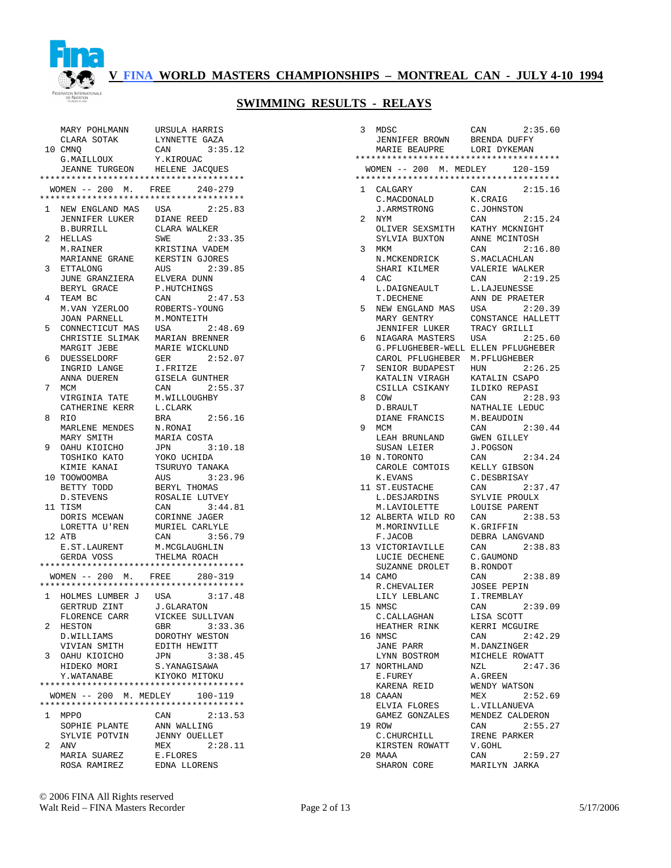

|   | MARY POHLMANN                          | URSULA HARRIS                     |
|---|----------------------------------------|-----------------------------------|
|   | CLARA SOTAK                            | LYNNETTE GAZA                     |
|   | 10 CMNO                                | CAN<br>3:35.12                    |
|   | G. MAILLOUX                            | Y.KIROUAC                         |
|   | JEANNE TURGEON HELENE JACQUES          |                                   |
|   | ************************************** |                                   |
|   | $WOMEN$ -- 200 M. FREE                 | $240 - 279$                       |
|   |                                        |                                   |
| 1 | NEW ENGLAND MAS USA                    | 2:25.83                           |
|   | JENNIFER LUKER DIANE REED              |                                   |
|   | B.BURRILL                              | CLARA WALKER                      |
| 2 | HELLAS                                 | 2:33.35<br>SWE                    |
|   | M.RAINER                               | KRISTINA VADEM                    |
|   | MARIANNE GRANE                         | KERSTIN GJORES                    |
| 3 | ETTALONG                               | 2:39.85<br>AUS                    |
|   | JUNE GRANZIERA                         | ELVERA DUNN                       |
|   | BERYL GRACE                            | P.HUTCHINGS                       |
| 4 | TEAM BC                                | 2:47.53<br>CAN                    |
|   | M.VAN YZERLOO                          | ROBERTS-YOUNG                     |
|   | JOAN PARNELL                           | M.MONTEITH                        |
| 5 | CONNECTICUT MAS                        | USA<br>2:48.69                    |
|   | CHRISTIE SLIMAK                        | MARIAN BRENNER                    |
|   | MARGIT JEBE                            | MARIE WICKLUND                    |
| 6 | DUESSELDORF                            | 2:52.07<br>GER                    |
|   | INGRID LANGE                           | I.FRITZE                          |
|   | ANNA DUEREN                            | <b>GISELA GUNTHER</b>             |
| 7 | MCM                                    | 2:55.37<br>CAN                    |
|   | VIRGINIA TATE<br>CATHERINE KERR        | M.WILLOUGHBY<br>L.CLARK           |
| 8 | RIO                                    | 2:56.16<br>BRA                    |
|   | MARLENE MENDES                         | N.RONAI                           |
|   | MARY SMITH                             | MARIA COSTA                       |
| 9 | OAHU KIOICHO                           | 3:10.18<br>JPN                    |
|   | TOSHIKO KATO                           | YOKO UCHIDA                       |
|   | KIMIE KANAI                            | TSURUYO TANAKA                    |
|   | 10 TOOWOOMBA                           | 3:23.96<br>AUS                    |
|   | BETTY TODD                             | BERYL THOMAS                      |
|   | D. STEVENS                             | ROSALIE LUTVEY                    |
|   | 11 TISM                                | CAN<br>3:44.81                    |
|   | DORIS MCEWAN                           | CORINNE JAGER                     |
|   | LORETTA U'REN                          | MURIEL CARLYLE                    |
|   | 12 ATB                                 | 3:56.79<br>CAN                    |
|   | E.ST.LAURENT                           | M.MCGLAUGHLIN                     |
|   | GERDA VOSS                             | THELMA ROACH                      |
|   | ************************************** |                                   |
|   | $WOMEN$ -- 200 M. FREE                 | 280-319                           |
|   | ************************************** |                                   |
| 1 | HOLMES LUMBER J USA 3:17.48            |                                   |
|   |                                        |                                   |
|   |                                        |                                   |
|   | GERTRUD ZINT J.GLARATON                |                                   |
| 2 | FLORENCE CARR<br>HESTON                | VICKEE SULLIVAN<br>3:33.36<br>GBR |
|   | D.WILLIAMS                             | DOROTHY WESTON                    |
|   | VIVIAN SMITH                           | EDITH HEWITT                      |
| 3 | OAHU KIOICHO                           | JPN<br>3:38.45                    |
|   | HIDEKO MORI                            | S.YANAGISAWA                      |
|   | Y.WATANABE                             | KIYOKO MITOKU                     |
|   |                                        |                                   |
|   | WOMEN -- 200 M. MEDLEY                 | 100-119                           |
|   | ************************************** |                                   |
| 1 | MPPO                                   | 2:13.53<br>CAN                    |
|   | SOPHIE PLANTE                          | ANN WALLING                       |
|   | SYLVIE POTVIN                          | <b>JENNY OUELLET</b>              |
| 2 | ANV                                    | 2:28.11<br>MEX                    |
|   | MARIA SUAREZ<br>ROSA RAMIREZ           | E.FLORES                          |

| 3            | MDSC                                                      | 2:35.60<br>CAN                   |
|--------------|-----------------------------------------------------------|----------------------------------|
|              | JENNIFER BROWN BRENDA DUFFY<br>MARIE BEAUPRE LORI DYKEMAN |                                  |
|              | **************************************                    |                                  |
|              | WOMEN -- 200 M. MEDLEY                                    | 120-159                          |
|              | **************************************                    |                                  |
| $\mathbf{1}$ | CALGARY                                                   | 2:15.16<br>CAN                   |
|              | C.MACDONALD                                               | K.CRAIG                          |
|              | J.ARMSTRONG                                               | C.JOHNSTON                       |
| 2            | NYM                                                       | CAN<br>2:15.24                   |
|              | OLIVER SEXSMITH                                           | KATHY MCKNIGHT<br>ANNE MCINTOSH  |
| 3            | SYLVIA BUXTON<br>MKM                                      | CAN<br>2:16.80                   |
|              | N.MCKENDRICK                                              | S. MACLACHLAN                    |
|              | SHARI KILMER                                              | VALERIE WALKER                   |
| 4            | CAC.                                                      | CAN<br>2:19.25                   |
|              | L.DAIGNEAULT                                              | L.LAJEUNESSE                     |
|              | T.DECHENE                                                 | ANN DE PRAETER                   |
| 5            | NEW ENGLAND MAS                                           | 2:20.39<br>USA                   |
|              | MARY GENTRY                                               | CONSTANCE HALLETT                |
|              | JENNIFER LUKER                                            | TRACY GRILLI                     |
| 6            | NIAGARA MASTERS                                           | USA<br>2:25.60                   |
|              | G. PFLUGHEBER-WELL ELLEN PFLUGHEBER<br>CAROL PFLUGHEBER   | M.PFLUGHEBER                     |
| 7            | SENIOR BUDAPEST                                           | 2:26.25<br>HUN                   |
|              | KATALIN VIRAGH                                            | KATALIN CSAPO                    |
|              | CSILLA CSIKANY                                            | ILDIKO REPASI                    |
| 8            | COM                                                       | CAN<br>2:28.93                   |
|              | D. BRAULT                                                 | NATHALIE LEDUC                   |
|              | DIANE FRANCIS                                             | M.BEAUDOIN                       |
| 9            | MCM                                                       | CAN<br>2:30.44                   |
|              | LEAH BRUNLAND                                             | <b>GWEN GILLEY</b>               |
|              | SUSAN LEIER                                               | J.POGSON<br>2:34.24              |
|              | 10 N.TORONTO<br>CAROLE COMTOIS                            | CAN<br>KELLY GIBSON              |
|              | K.EVANS                                                   | C.DESBRISAY                      |
|              | 11 ST. EUSTACHE                                           | CAN<br>2:37.47                   |
|              | L.DESJARDINS                                              | SYLVIE PROULX                    |
|              | M.LAVIOLETTE                                              | LOUISE PARENT                    |
|              | 12 ALBERTA WILD RO                                        | CAN<br>2:38.53                   |
|              | M.MORINVILLE                                              | K.GRIFFIN                        |
|              | F.JACOB                                                   | DEBRA LANGVAND                   |
|              | 13 VICTORIAVILLE                                          | CAN<br>2:38.83                   |
|              | LUCIE DECHENE<br>SUZANNE DROLET                           | C.GAUMOND<br><b>B.RONDOT</b>     |
|              | 14 CAMO                                                   | CAN<br>2:38.89                   |
|              | R.CHEVALIER                                               | <b>JOSEE PEPIN</b>               |
|              | LILY LEBLANC                                              | I.TREMBLAY                       |
|              | 15 NMSC                                                   | CAN<br>2:39.09                   |
|              | C. CALLAGHAN                                              | LISA SCOTT                       |
|              | HEATHER RINK                                              | KERRI MCGUIRE                    |
|              | 16 NMSC                                                   | 2:42.29<br>CAN                   |
|              | JANE PARR                                                 | M.DANZINGER                      |
|              | LYNN BOSTROM<br>17 NORTHLAND                              | MICHELE ROWATT<br>2:47.36<br>NZL |
|              | E.FUREY                                                   | A.GREEN                          |
|              | KARENA REID                                               | WENDY WATSON                     |
|              | 18 CAAAN                                                  | MEX<br>2:52.69                   |
|              | ELVIA FLORES                                              | L.VILLANUEVA                     |
|              | GAMEZ GONZALES                                            | MENDEZ CALDERON                  |
|              | 19 ROW                                                    | CAN<br>2:55.27                   |
|              | C. CHURCHILL                                              | IRENE PARKER                     |
|              | KIRSTEN ROWATT                                            | V.GOHL                           |
|              | 20 MAAA                                                   | CAN<br>2:59.27                   |
|              | SHARON CORE                                               | MARILYN JARKA                    |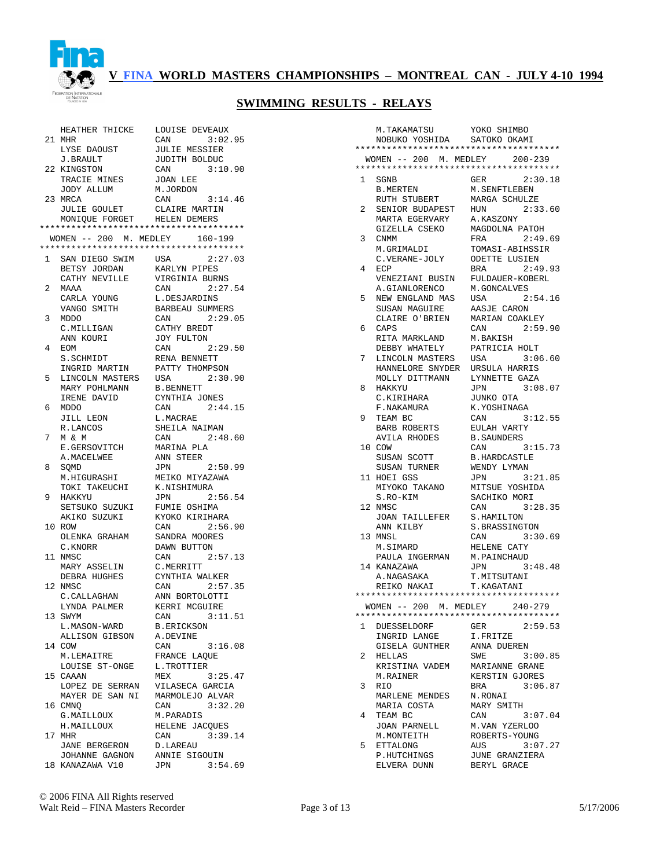

|           | HEATHER THICKE                            | LOUISE DEVEAUX            |
|-----------|-------------------------------------------|---------------------------|
|           | 21 MHR                                    | CAN<br>3:02.95            |
|           | LYSE DAOUST                               | <b>JULIE MESSIER</b>      |
|           | J.BRAULT                                  | JUDITH BOLDUC             |
|           | 22 KINGSTON                               | CAN 3:10.90               |
|           | TRACIE MINES                              | JOAN LEE                  |
|           | JODY ALLUM                                | M.JORDON                  |
|           | 23 MRCA                                   | 3:14.46<br>CAN            |
|           | <b>JULIE GOULET</b>                       | CLAIRE MARTIN             |
|           | MONIQUE FORGET HELEN DEMERS               |                           |
|           | **************************************    |                           |
|           | WOMEN -- 200 M. MEDLEY 160-199            |                           |
|           | **************************************    |                           |
| $1 \quad$ | SAN DIEGO SWIM USA                        | 2:27.03                   |
|           | BETSY JORDAN                              | KARLYN PIPES              |
|           | CATHY NEVILLE                             | VIRGINIA BURNS            |
| 2         | MAAA                                      | CAN 2:27.54               |
|           | CARLA YOUNG                               | L.DESJARDINS              |
|           | VANGO SMITH                               | <b>BARBEAU SUMMERS</b>    |
| 3         | MDDO                                      | CAN<br>2:29.05            |
|           | C.MILLIGAN<br>ANN KOURT<br>ANN KOURI      | CATHY BREDT<br>JOY FULTON |
| 4         | EOM                                       | 2:29.50<br>CAN            |
|           | S.SCHMIDT                                 | RENA BENNETT              |
|           | INGRID MARTIN                             | PATTY THOMPSON            |
| 5         | LINCOLN MASTERS                           | USA<br>2:30.90            |
|           |                                           | <b>B.BENNETT</b>          |
|           | MARY POHLMANN<br>IRENE DAVID<br>MDDO      | CYNTHIA JONES             |
| 6         | MDDO                                      | 2:44.15<br>CAN            |
|           | JILL LEON                                 | L.MACRAE                  |
|           | R.LANCOS                                  | SHEILA NAIMAN             |
| 7         | M & M                                     | CAN<br>2:48.60            |
|           |                                           | MARINA PLA                |
|           | E.GERSOVITCH<br>A.MACELWEE                | ANN STEER                 |
| 8         | SQMD                                      | JPN 2:50.99               |
|           | M.HIGURASHI                               | MEIKO MIYAZAWA            |
|           | TOKI TAKEUCHI                             | K.NISHIMURA               |
| 9         | HAKKYU                                    | 2:56.54<br>JPN            |
|           | SETSUKO SUZUKI<br>AKIKO SUZUKI            | FUMIE OSHIMA              |
|           |                                           | KYOKO KIRIHARA            |
|           | 10 ROW                                    | CAN<br>2:56.90            |
|           | OLENKA GRAHAM                             | SANDRA MOORES             |
|           | C.KNORR                                   | DAWN BUTTON               |
|           | 11 NMSC                                   | CAN 2:57.13               |
|           | MARY ASSELIN                              | C.MERRITT                 |
|           | DEBRA HUGHES                              | CYNTHIA WALKER<br>CAN     |
|           | 12 NMSC                                   | 2:57.35                   |
|           | C.CALLAGHAN<br>LYNDA PALMER KERRI MCGUIRE | ANN BORTOLOTTI            |
| 13        | SWYM                                      | CAN 3:11.51               |
|           | L.MASON-WARD                              | B.ERICKSON                |
|           | ALLISON GIBSON                            | A.DEVINE                  |
|           | 14 COW                                    | 3:16.08<br>CAN            |
|           | M.LEMAITRE                                | FRANCE LAQUE              |
|           | LOUISE ST-ONGE                            | L.TROTTIER                |
|           | 15 CAAAN                                  | MEX<br>3:25.47            |
|           | LOPEZ DE SERRAN                           | VILASECA GARCIA           |
|           | MAYER DE SAN NI                           | MARMOLEJO ALVAR           |
|           | 16 CMNQ                                   | 3:32.20<br>CAN            |
|           | G.MAILLOUX                                | M.PARADIS                 |
|           | H.MAILLOUX                                | HELENE JACQUES            |
|           | 17 MHR                                    | CAN<br>3:39.14            |
|           | JANE BERGERON                             | D.LAREAU                  |
|           | JOHANNE GAGNON                            | ANNIE SIGOUIN             |
|           | 18 KANAZAWA V10                           | 3:54.69<br><b>JPN</b>     |

|              | M.TAKAMATSU                            | YOKO SHIMBO                      |
|--------------|----------------------------------------|----------------------------------|
|              | NOBUKO YOSHIDA SATOKO OKAMI            |                                  |
|              | ************************************** |                                  |
|              | WOMEN -- 200 M. MEDLEY                 | $200 - 239$                      |
|              | ************************************** |                                  |
| 1            | SGNB                                   | GER<br>2:30.18                   |
|              | B.MERTEN                               | M. SENFTLEBEN                    |
|              | RUTH STUBERT                           | MARGA SCHULZE                    |
| 2            | SENIOR BUDAPEST                        | 2:33.60<br>HUN                   |
|              | MARTA EGERVARY                         | A.KASZONY                        |
| 3            | GIZELLA CSEKO<br>CNMM                  | MAGDOLNA PATOH<br>2:49.69<br>FRA |
|              | M.GRIMALDI                             | TOMASI-ABIHSSIR                  |
|              | C.VERANE-JOLY                          | <b>ODETTE LUSIEN</b>             |
| 4            | ECP                                    | 2:49.93<br>BRA                   |
|              | VENEZIANI BUSIN                        | FULDAUER-KOBERL                  |
|              | A.GIANLORENCO                          | M.GONCALVES                      |
| 5            | NEW ENGLAND MAS                        | USA 2:54.16                      |
|              | SUSAN MAGUIRE                          | AASJE CARON                      |
|              | CLAIRE O'BRIEN                         | MARIAN COAKLEY                   |
| 6            | CAPS                                   | 2:59.90<br>CAN                   |
|              | RITA MARKLAND                          | M.BAKISH                         |
|              | DEBBY WHATELY                          | PATRICIA HOLT                    |
| 7            | LINCOLN MASTERS                        | USA<br>3:06.60                   |
|              | HANNELORE SNYDER                       | URSULA HARRIS                    |
|              | MOLLY DITTMANN                         | LYNNETTE GAZA<br>JPN             |
| 8            | HAKKYU<br>C.KIRIHARA                   | 3:08.07<br>JUNKO OTA             |
|              | F.NAKAMURA                             | K.YOSHINAGA                      |
| 9            | TEAM BC                                | 3:12.55<br>CAN                   |
|              | BARB ROBERTS                           | EULAH VARTY                      |
|              | AVILA RHODES                           | <b>B. SAUNDERS</b>               |
|              | 10 COW                                 | 3:15.73<br>CAN                   |
|              | SUSAN SCOTT                            | <b>B.HARDCASTLE</b>              |
|              | SUSAN TURNER                           | WENDY LYMAN                      |
|              | 11 HOEI GSS                            | <b>JPN</b><br>3:21.85            |
|              | MIYOKO TAKANO                          | MITSUE YOSHIDA                   |
|              | S.RO-KIM                               | SACHIKO MORI                     |
|              | 12 NMSC                                | 3:28.35<br>CAN                   |
|              | <b>JOAN TAILLEFER</b><br>ANN KILBY     | S.HAMILTON<br>S.BRASSINGTON      |
|              | 13 MNSL                                | 3:30.69<br>CAN                   |
|              | M.SIMARD                               | HELENE CATY                      |
|              | PAULA INGERMAN                         | M.PAINCHAUD                      |
|              | 14 KANAZAWA                            | 3:48.48<br>JPN                   |
|              | A.NAGASAKA                             | T.MITSUTANI                      |
|              | REIKO NAKAI                            | T.KAGATANI                       |
|              | ************************************** |                                  |
|              | WOMEN -- 200 M. MEDLEY 240-279         |                                  |
|              | ********************************       |                                  |
| $\mathbf{1}$ | DUESSELDORF                            | 2:59.53<br>GER                   |
|              | INGRID LANGE<br>GISELA GUNTHER         | I.FRITZE<br>ANNA DUEREN          |
| 2            | HELLAS                                 | SWE<br>3:00.85                   |
|              | KRISTINA VADEM                         | MARIANNE GRANE                   |
|              | M.RAINER                               | KERSTIN GJORES                   |
| 3            | RIO                                    | BRA<br>3:06.87                   |
|              | MARLENE MENDES                         | N.RONAI                          |
|              | MARIA COSTA                            | MARY SMITH                       |
| 4            | TEAM BC                                | CAN<br>3:07.04                   |
|              | JOAN PARNELL                           | M.VAN YZERLOO                    |
|              | M.MONTEITH                             | ROBERTS-YOUNG                    |
| 5            | ETTALONG                               | AUS<br>3:07.27                   |
|              | P.HUTCHINGS                            | JUNE GRANZIERA                   |
|              | ELVERA DUNN                            | BERYL GRACE                      |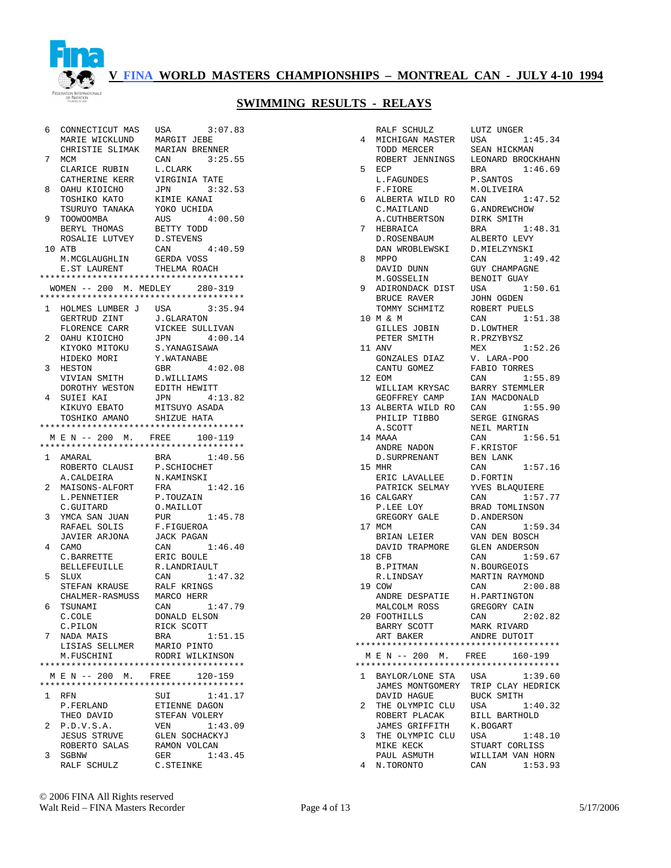

| 6              | CONNECTICUT MAS                | 3:07.83<br>USA                         |
|----------------|--------------------------------|----------------------------------------|
|                | MARIE WICKLUND                 | MARGIT JEBE                            |
|                | CHRISTIE SLIMAK                | MARIAN BRENNER                         |
| 7              | MCM                            | CAN<br>3:25.55                         |
|                | CLARICE RUBIN                  | L.CLARK                                |
|                | CATHERINE KERR                 | VIRGINIA TATE                          |
| 8              | OAHU KIOICHO                   | 3:32.53<br>JPN                         |
|                | TOSHIKO KATO                   | KIMIE KANAI                            |
|                | TSURUYO TANAKA                 | YOKO UCHIDA                            |
| 9              | TOOWOOMBA                      | AUS<br>4:00.50                         |
|                | BERYL THOMAS                   | BETTY TODD                             |
|                | ROSALIE LUTVEY                 | D.STEVENS                              |
|                | 10 ATB                         | CAN<br>4:40.59                         |
|                | M. MCGLAUGHLIN                 | GERDA VOSS                             |
|                | E.ST LAURENT                   | THELMA ROACH                           |
|                |                                | ************************************** |
|                | WOMEN -- 200 M. MEDLEY 280-319 |                                        |
|                |                                | ************************************** |
| 1              |                                | 3:35.94                                |
|                | HOLMES LUMBER J USA            |                                        |
|                | GERTRUD ZINT                   | J.GLARATON                             |
|                | FLORENCE CARR                  | VICKEE SULLIVAN                        |
| 2              | OAHU KIOICHO                   | JPN<br>4:00.14                         |
|                | KIYOKO MITOKU                  | S.YANAGISAWA                           |
|                | HIDEKO MORI                    | Y.WATANABE                             |
| 3              | HESTON                         | GBR<br>4:02.08                         |
|                | VIVIAN SMITH                   | D.WILLIAMS                             |
|                | DOROTHY WESTON                 | EDITH HEWITT                           |
| 4              | SUIEI KAI                      | 4:13.82<br>JPN                         |
|                | KIKUYO EBATO                   | MITSUYO ASADA                          |
|                | TOSHIKO AMANO SHIZUE HATA      |                                        |
|                |                                | ************************************** |
|                | M E N -- 200 M. FREE           | 100-119                                |
|                |                                |                                        |
|                | 1 AMARAL                       | 1:40.56<br>BRA                         |
|                |                                |                                        |
|                | ROBERTO CLAUSI                 | P.SCHIOCHET                            |
|                | A.CALDEIRA                     | N.KAMINSKI                             |
| 2              |                                | FRA<br>1:42.16                         |
|                | MAISONS-ALFORT<br>L.PENNETIER  | P.TOUZAIN                              |
|                | C.GUITARD                      | O.MAILLOT                              |
| 3              |                                | PUR                                    |
|                | YMCA SAN JUAN                  | 1:45.78                                |
|                | RAFAEL SOLIS                   | F.FIGUEROA                             |
|                | JAVIER ARJONA                  | JACK PAGAN                             |
| 4              | CAMO                           | 1:46.40<br>CAN                         |
|                | C.BARRETTE                     | ERIC BOULE                             |
|                | BELLEFEUILLE                   | R.LANDRIAULT                           |
| 5              | <b>SLUX</b>                    | 1:47.32<br>CAN                         |
|                | STEFAN KRAUSE                  | RALF KRINGS                            |
|                | CHALMER-RASMUSS                | MARCO HERR                             |
| 6              | TSUNAMI                        | 1:47.79<br>CAN                         |
|                | C.COLE                         | DONALD ELSON                           |
|                | C.PILON                        | RICK SCOTT                             |
| 7              | NADA MAIS                      | BRA<br>1:51.15                         |
|                | LISIAS SELLMER                 | MARIO PINTO                            |
|                | M. FUSCHINI                    | RODRI WILKINSON                        |
|                |                                | ************************************** |
|                | M E N -- 200 M. FREE           | $120 - 159$                            |
|                |                                | ************************************** |
| $\mathbf{1}$   | <b>RFN</b>                     | SUI<br>1:41.17                         |
|                | P.FERLAND                      | ETIENNE DAGON                          |
|                | THEO DAVID                     | STEFAN VOLERY                          |
| $\overline{a}$ | P.D.V.S.A.                     | VEN<br>1:43.09                         |
|                | <b>JESUS STRUVE</b>            | <b>GLEN SOCHACKYJ</b>                  |
|                | ROBERTO SALAS                  |                                        |
|                |                                | RAMON VOLCAN                           |
| 3              | SGBNW<br>RALF SCHULZ           | 1:43.45<br>GER<br>C.STEINKE            |

|              | RALF SCHULZ                            | LUTZ UNGER            |
|--------------|----------------------------------------|-----------------------|
| 4            | MICHIGAN MASTER                        | USA<br>1:45.34        |
|              | TODD MERCER                            | SEAN HICKMAN          |
|              |                                        |                       |
|              | ROBERT JENNINGS                        | LEONARD BROCKHAHN     |
| 5            | ECP                                    | 1:46.69<br>BRA        |
|              | L. FAGUNDES                            | P.SANTOS              |
|              | F.FIORE                                | M.OLIVEIRA            |
| 6            | ALBERTA WILD RO                        | 1:47.52<br>CAN        |
|              | C.MAITLAND                             | G. ANDREWCHOW         |
|              |                                        |                       |
|              | A.CUTHBERTSON                          | DIRK SMITH            |
| 7            | HEBRAICA                               | 1:48.31<br>BRA        |
|              | D.ROSENBAUM                            | ALBERTO LEVY          |
|              | DAN WROBLEWSKI                         | D.MIELZYNSKI          |
| 8            | <b>MPPO</b>                            | 1:49.42<br>CAN        |
|              | DAVID DUNN                             | <b>GUY CHAMPAGNE</b>  |
|              |                                        |                       |
|              | M.GOSSELIN                             | BENOIT GUAY           |
| 9            | ADIRONDACK DIST                        | USA<br>1:50.61        |
|              | BRUCE RAVER                            | JOHN OGDEN            |
|              | TOMMY SCHMITZ                          | ROBERT PUELS          |
| 10           | MδεΜ                                   | 1:51.38<br>CAN        |
|              | GILLES JOBIN                           | D.LOWTHER             |
|              |                                        |                       |
|              | PETER SMITH                            | R.PRZYBYSZ            |
|              | 11 ANV                                 | 1:52.26<br>MEX        |
|              | GONZALES DIAZ                          | V. LARA-POO           |
|              | CANTU GOMEZ                            | FABIO TORRES          |
|              | 12 EOM                                 | 1:55.89<br>CAN        |
|              | WILLIAM KRYSAC                         | <b>BARRY STEMMLER</b> |
|              |                                        |                       |
|              | GEOFFREY CAMP                          | IAN MACDONALD         |
|              | 13 ALBERTA WILD RO                     | CAN<br>1:55.90        |
|              | PHILIP TIBBO                           | SERGE GINGRAS         |
|              | A.SCOTT                                | NEIL MARTIN           |
|              | 14 MAAA                                | 1:56.51<br>CAN        |
|              | ANDRE NADON                            | F.KRISTOF             |
|              | D. SURPRENANT                          | BEN LANK              |
|              |                                        |                       |
|              | 15 MHR                                 | 1:57.16<br>CAN        |
|              | ERIC LAVALLEE                          | D.FORTIN              |
|              | PATRICK SELMAY                         | YVES BLAQUIERE        |
|              | 16 CALGARY                             | CAN<br>1:57.77        |
|              | P.LEE LOY                              | BRAD TOMLINSON        |
|              | GREGORY GALE                           | D.ANDERSON            |
|              | 17 MCM                                 | 1:59.34<br>CAN        |
|              |                                        |                       |
|              | BRIAN LEIER                            | VAN DEN BOSCH         |
|              | DAVID TRAPMORE                         | <b>GLEN ANDERSON</b>  |
|              | 18 CFB                                 | 1:59.67<br>CAN        |
|              | <b>B.PITMAN</b>                        | N.BOURGEOIS           |
|              | R.LINDSAY                              | MARTIN RAYMOND        |
|              | 19 COW                                 | CAN 2:00.88           |
|              |                                        |                       |
|              | ANDRE DESPATIE                         | H.PARTINGTON          |
|              | MALCOLM ROSS                           | GREGORY CAIN          |
|              | 20 FOOTHILLS                           | CAN 2:02.82           |
|              | BARRY SCOTT                            | MARK RIVARD           |
|              | ART BAKER                              | ANDRE DUTOIT          |
|              |                                        |                       |
|              | M E N -- 200 M. FREE                   |                       |
|              |                                        | 160-199               |
|              | ************************************** |                       |
| $\mathbf{1}$ | BAYLOR/LONE STA USA                    | 1:39.60               |
|              | JAMES MONTGOMERY                       | TRIP CLAY HEDRICK     |
|              | DAVID HAGUE                            | BUCK SMITH            |
| 2            | THE OLYMPIC CLU                        | USA<br>1:40.32        |
|              | ROBERT PLACAK                          | BILL BARTHOLD         |
|              |                                        |                       |
|              | JAMES GRIFFITH                         | K.BOGART              |
| 3            | THE OLYMPIC CLU                        | USA<br>1:48.10        |
|              | MIKE KECK                              | STUART CORLISS        |
|              | PAUL ASMUTH                            | WILLIAM VAN HORN      |
| 4            | N.TORONTO                              | CAN<br>1:53.93        |
|              |                                        |                       |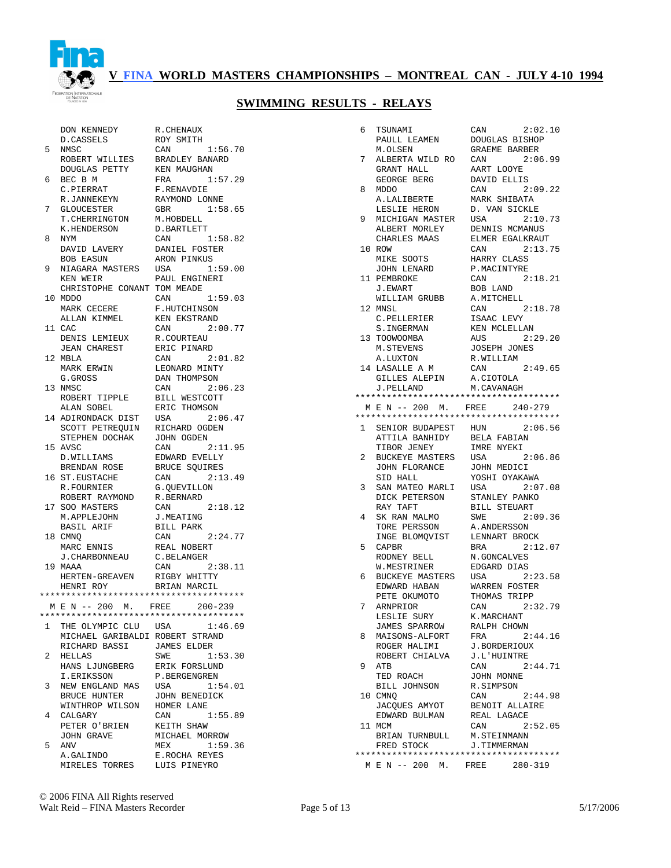

|              | DON KENNEDY                                                                                                                                                                                                                                                                                                                                                                                                                      | R. CHENAUX                    |
|--------------|----------------------------------------------------------------------------------------------------------------------------------------------------------------------------------------------------------------------------------------------------------------------------------------------------------------------------------------------------------------------------------------------------------------------------------|-------------------------------|
|              | D.CASSELS                                                                                                                                                                                                                                                                                                                                                                                                                        | ROY SMITH                     |
| 5            | NMSC                                                                                                                                                                                                                                                                                                                                                                                                                             | 1:56.70<br>CAN                |
|              | ROBERT WILLIES BRADLEY BANARD                                                                                                                                                                                                                                                                                                                                                                                                    |                               |
|              | DOUGLAS PETTY                                                                                                                                                                                                                                                                                                                                                                                                                    | KEN MAUGHAN                   |
| 6            | BEC B M                                                                                                                                                                                                                                                                                                                                                                                                                          | FRA 1:57.29                   |
|              | C.PIERRAT                                                                                                                                                                                                                                                                                                                                                                                                                        | F.RENAVDIE                    |
|              | R.JANNEKEYN                                                                                                                                                                                                                                                                                                                                                                                                                      | RAYMOND LONNE                 |
| 7            | GLOUCESTER GBR<br>T.CHERRINGTON M.HOBDELL                                                                                                                                                                                                                                                                                                                                                                                        | GBR 1:58.65                   |
|              | K.HENDERSON                                                                                                                                                                                                                                                                                                                                                                                                                      | D.BARTLETT                    |
| 8            | NYM                                                                                                                                                                                                                                                                                                                                                                                                                              | 1:58.82<br>CAN                |
|              | DAVID LAVERY                                                                                                                                                                                                                                                                                                                                                                                                                     | DANIEL FOSTER                 |
|              | BOB EASUN                                                                                                                                                                                                                                                                                                                                                                                                                        | ARON PINKUS                   |
| 9            | NIAGARA MASTERS USA 1:59.00                                                                                                                                                                                                                                                                                                                                                                                                      |                               |
|              | KEN WEIR                                                                                                                                                                                                                                                                                                                                                                                                                         | PAUL ENGINERI                 |
|              | CHRISTOPHE CONANT TOM MEADE                                                                                                                                                                                                                                                                                                                                                                                                      |                               |
|              | 10 MDDO                                                                                                                                                                                                                                                                                                                                                                                                                          | CAN 1:59.03                   |
|              |                                                                                                                                                                                                                                                                                                                                                                                                                                  | F.HUTCHINSON                  |
|              |                                                                                                                                                                                                                                                                                                                                                                                                                                  | KEN EKSTRAND                  |
|              | $\begin{tabular}{ll} \multicolumn{2}{l}{\begin{tabular}{l}c@{\hspace{1mm}}c@{\hspace{1mm}}c@{\hspace{1mm}}c@{\hspace{1mm}}c@{\hspace{1mm}}c@{\hspace{1mm}}c@{\hspace{1mm}}c@{\hspace{1mm}}c@{\hspace{1mm}}c@{\hspace{1mm}}c@{\hspace{1mm}}c@{\hspace{1mm}}c@{\hspace{1mm}}c@{\hspace{1mm}}c@{\hspace{1mm}}c@{\hspace{1mm}}c@{\hspace{1mm}}c@{\hspace{1mm}}c@{\hspace{1mm}}c@{\hspace{1mm}}c@{\hspace{1mm}}c@{\hspace{$<br>11 CAC | 2:00.77<br>CAN                |
|              | DENIS LEMIEUX<br>JEAN CHAREST                                                                                                                                                                                                                                                                                                                                                                                                    | R.COURTEAU                    |
|              |                                                                                                                                                                                                                                                                                                                                                                                                                                  | ERIC PINARD                   |
|              | 12 MBLA                                                                                                                                                                                                                                                                                                                                                                                                                          | CAN 2:01.82                   |
|              | MARK ERWIN                                                                                                                                                                                                                                                                                                                                                                                                                       | LEONARD MINTY                 |
|              | G.GROSS<br>13 NMSC                                                                                                                                                                                                                                                                                                                                                                                                               | DAN THOMPSON<br>CAN 2:06.23   |
|              | ROBERT TIPPLE                                                                                                                                                                                                                                                                                                                                                                                                                    | BILL WESTCOTT                 |
|              | ALAN SOBEL                                                                                                                                                                                                                                                                                                                                                                                                                       | ERIC THOMSON                  |
|              | 14 ADIRONDACK DIST                                                                                                                                                                                                                                                                                                                                                                                                               | USA 2:06.47                   |
|              | SCOTT PETREQUIN RICHARD OGDEN                                                                                                                                                                                                                                                                                                                                                                                                    |                               |
|              | STEPHEN DOCHAK                                                                                                                                                                                                                                                                                                                                                                                                                   | JOHN OGDEN                    |
|              | 15 AVSC                                                                                                                                                                                                                                                                                                                                                                                                                          | 2:11.95<br>CAN                |
|              | D.WILLIAMS                                                                                                                                                                                                                                                                                                                                                                                                                       | EDWARD EVELLY                 |
|              | BRENDAN ROSE                                                                                                                                                                                                                                                                                                                                                                                                                     | BRUCE SQUIRES                 |
|              | 16 ST.EUSTACHE                                                                                                                                                                                                                                                                                                                                                                                                                   | CAN 2:13.49                   |
|              | R.FOURNIER                                                                                                                                                                                                                                                                                                                                                                                                                       | G.QUEVILLON                   |
|              | ROBERT RAYMOND<br>SOO MASTERS<br>M.APPLEJOHN<br>BASIL ARIF                                                                                                                                                                                                                                                                                                                                                                       | R.BERNARD                     |
|              | 17 SOO MASTERS                                                                                                                                                                                                                                                                                                                                                                                                                   | CAN 2:18.12                   |
|              |                                                                                                                                                                                                                                                                                                                                                                                                                                  | J.MEATING                     |
|              | 18 CMNO                                                                                                                                                                                                                                                                                                                                                                                                                          | BILL PARK<br>CAN<br>2:24.77   |
|              | MARC ENNIS                                                                                                                                                                                                                                                                                                                                                                                                                       | REAL NOBERT                   |
|              | <b>J. CHARBONNEAU</b>                                                                                                                                                                                                                                                                                                                                                                                                            | C.BELANGER                    |
|              | 19 MAAA                                                                                                                                                                                                                                                                                                                                                                                                                          | 2:38.11<br>CAN                |
|              |                                                                                                                                                                                                                                                                                                                                                                                                                                  |                               |
|              | HERTEN-GREAVEN RIGBY WHITTY<br>HENRI ROY         BRIAN MARCIL                                                                                                                                                                                                                                                                                                                                                                    |                               |
|              | **************************************                                                                                                                                                                                                                                                                                                                                                                                           |                               |
|              | M E N -- 200 M. FREE 200-239                                                                                                                                                                                                                                                                                                                                                                                                     |                               |
|              | ****                                                                                                                                                                                                                                                                                                                                                                                                                             |                               |
| $\mathbf{1}$ | THE OLYMPIC CLU USA                                                                                                                                                                                                                                                                                                                                                                                                              | 1:46.69                       |
|              | MICHAEL GARIBALDI ROBERT STRAND                                                                                                                                                                                                                                                                                                                                                                                                  |                               |
| 2            | RICHARD BASSI<br>HELLAS                                                                                                                                                                                                                                                                                                                                                                                                          | JAMES ELDER                   |
|              | HANS LJUNGBERG ERIK FORSLUND                                                                                                                                                                                                                                                                                                                                                                                                     | SWE<br>1:53.30                |
|              | I.ERIKSSON                                                                                                                                                                                                                                                                                                                                                                                                                       | P.BERGENGREN                  |
| 3            | NEW ENGLAND MAS                                                                                                                                                                                                                                                                                                                                                                                                                  | USA<br>1:54.01                |
|              |                                                                                                                                                                                                                                                                                                                                                                                                                                  |                               |
|              | BRUCE HUNTER                                                                                                                                                                                                                                                                                                                                                                                                                     | JOHN BENEDICK                 |
|              | WINTHROP WILSON HOMER LANE                                                                                                                                                                                                                                                                                                                                                                                                       |                               |
| 4            | CALGARY                                                                                                                                                                                                                                                                                                                                                                                                                          | 1:55.89<br>CAN                |
|              | PETER O'BRIEN                                                                                                                                                                                                                                                                                                                                                                                                                    | KEITH SHAW                    |
|              | JOHN GRAVE                                                                                                                                                                                                                                                                                                                                                                                                                       | MICHAEL MORROW                |
| 5            | ANV                                                                                                                                                                                                                                                                                                                                                                                                                              | MEX<br>1:59.36                |
|              | A.GALINDO<br>MIRELES TORRES                                                                                                                                                                                                                                                                                                                                                                                                      | E.ROCHA REYES<br>LUIS PINEYRO |

| 6  | TSUNAMI<br>PAULL LEAMEN                | CAN<br>2:02.10<br>DOUGLAS BISHOP  |
|----|----------------------------------------|-----------------------------------|
|    | M.OLSEN                                | GRAEME BARBER                     |
| 7  | ALBERTA WILD RO                        | CAN<br>2:06.99                    |
|    | GRANT HALL                             | AART LOOYE                        |
|    | GEORGE BERG                            | DAVID ELLIS                       |
| 8  | <b>MDDO</b>                            | 2:09.22<br>CAN                    |
|    | A.LALIBERTE                            | MARK SHIBATA                      |
|    | LESLIE HERON                           | D. VAN SICKLE                     |
| 9  | MICHIGAN MASTER                        | USA<br>2:10.73                    |
|    | ALBERT MORLEY<br>CHARLES MAAS          | DENNIS MCMANUS<br>ELMER EGALKRAUT |
| 10 | ROW                                    | 2:13.75<br>CAN                    |
|    | MIKE SOOTS                             | HARRY CLASS                       |
|    | JOHN LENARD                            | P.MACINTYRE                       |
|    | 11 PEMBROKE                            | CAN<br>2:18.21                    |
|    | J.EWART                                | BOB LAND                          |
|    | WILLIAM GRUBB                          | A.MITCHELL                        |
|    | 12 MNSL                                | 2:18.78<br>CAN                    |
|    | C.PELLERIER                            | ISAAC LEVY                        |
|    | S.INGERMAN                             | KEN MCLELLAN                      |
|    | 13 TOOWOOMBA                           | 2:29.20<br>AUS                    |
|    | M. STEVENS                             | JOSEPH JONES                      |
|    | A.LUXTON<br>14 LASALLE A M             | R.WILLIAM<br>2:49.65<br>CAN       |
|    | GILLES ALEPIN                          | A.CIOTOLA                         |
|    | J.PELLAND                              | M. CAVANAGH                       |
|    | ************************************** |                                   |
|    | M E N -- 200 M. FREE                   | $240 - 279$                       |
|    | ************************************** |                                   |
| 1  | SENIOR BUDAPEST HUN                    | 2:06.56                           |
|    | ATTILA BANHIDY<br>TIBOR JENEY          | <b>BELA FABIAN</b><br>IMRE NYEKI  |
| 2  | BUCKEYE MASTERS                        | USA<br>2:06.86                    |
|    | JOHN FLORANCE                          | JOHN MEDICI                       |
|    | SID HALL                               | YOSHI OYAKAWA                     |
| 3  | SAN MATEO MARLI                        | 2:07.08<br>USA                    |
|    | DICK PETERSON                          | STANLEY PANKO                     |
|    | RAY TAFT                               | <b>BILL STEUART</b>               |
| 4  | SK RAN MALMO                           | SWE<br>2:09.36                    |
|    | TORE PERSSON                           | A. ANDERSSON                      |
|    | INGE BLOMQVIST<br>CAPBR                | LENNART BROCK<br>2:12.07          |
| 5  | RODNEY BELL                            | BRA<br>N.GONCALVES                |
|    | W.MESTRINER                            | EDGARD DIAS                       |
| 6  | BUCKEYE MASTERS                        | 2:23.58<br>USA                    |
|    | EDWARD HABAN                           | WARREN FOSTER                     |
|    | PETE OKUMOTO                           | THOMAS TRIPP                      |
| 7  | ARNPRIOR                               | 2:32.79<br>CAN                    |
|    | LESLIE SURY                            | K.MARCHANT                        |
|    | JAMES SPARROW                          | RALPH CHOWN                       |
| 8  | MAISONS-ALFORT                         | FRA<br>2:44.16                    |
|    | ROGER HALIMI                           | J.BORDERIOUX                      |
|    | ROBERT CHIALVA                         | J.L'HUINTRE                       |
| 9  | ATB                                    | 2:44.71<br>CAN                    |
|    | TED ROACH                              | JOHN MONNE                        |
|    | BILL JOHNSON<br>10 CMNQ                | R.SIMPSON<br>2:44.98<br>CAN       |
|    | JACQUES AMYOT                          | BENOIT ALLAIRE                    |
|    | EDWARD BULMAN                          | REAL LAGACE                       |
|    | 11 MCM                                 | CAN<br>2:52.05                    |
|    | BRIAN TURNBULL M.STEINMANN             |                                   |
|    | FRED STOCK                             | J.TIMMERMAN                       |
|    | ************************************** |                                   |
|    |                                        | M E N -- 200 M. FREE 280-319      |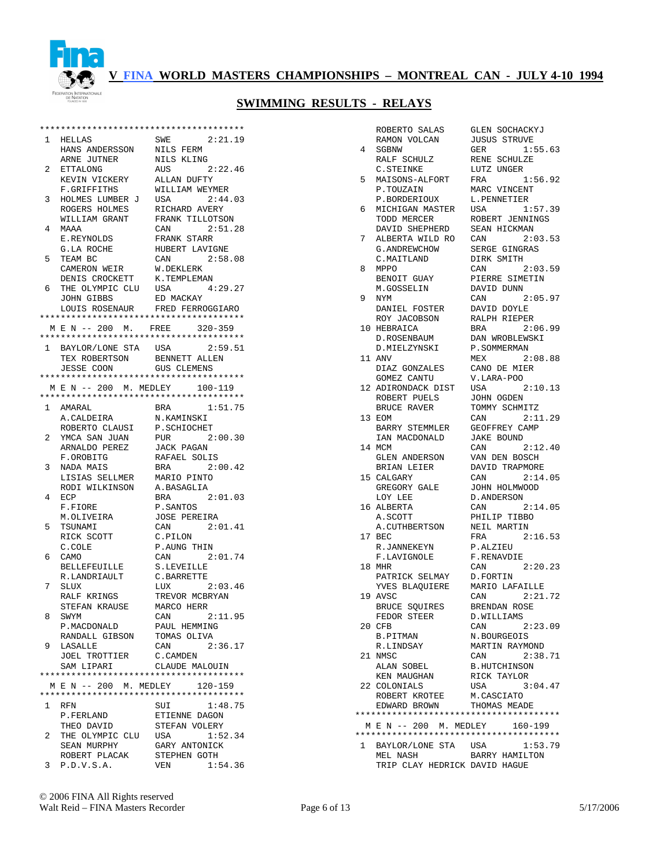

| $\mathbf{1}$   | HELLAS                                 | SWE<br>2:21.19                                           |
|----------------|----------------------------------------|----------------------------------------------------------|
|                | HANS ANDERSSON                         | NILS FERM                                                |
|                | ARNE JUTNER                            | NILS KLING                                               |
| 2              | ETTALONG                               | AUS<br>2:22.46                                           |
|                | KEVIN VICKERY                          | ALLAN DUFTY                                              |
|                | <b>F.GRIFFITHS</b>                     | WILLIAM WEYMER                                           |
| 3              | HOLMES LUMBER J                        | 2:44.03<br>USA                                           |
|                | ROGERS HOLMES                          | RICHARD AVERY                                            |
|                | WILLIAM GRANT                          | FRANK TILLOTSON                                          |
| 4              | MAAA                                   | CAN<br>2:51.28                                           |
|                | E.REYNOLDS                             | FRANK STARR                                              |
|                | G.LA ROCHE                             | HUBERT LAVIGNE                                           |
| 5              | TEAM BC                                | CAN 2:58.08                                              |
|                | CAMERON WEIR                           | W.DEKLERK                                                |
|                | DENIS CROCKETT                         | K.TEMPLEMAN                                              |
| 6              | THE OLYMPIC CLU USA                    | 4:29.27                                                  |
|                | JOHN GIBBS                             | ED MACKAY                                                |
|                |                                        | LOUIS ROSENAUR FRED FERROGGIARO                          |
|                | ************************************** |                                                          |
|                | M E N -- 200 M. FREE                   | $320 - 359$                                              |
|                |                                        | **************************************                   |
|                | 1 BAYLOR/LONE STA USA                  | 2:59.51                                                  |
|                | TEX ROBERTSON                          | BENNETT ALLEN                                            |
|                | JESSE COON                             | <b>GUS CLEMENS</b>                                       |
|                |                                        |                                                          |
|                | M E N -- 200 M. MEDLEY                 | $100 - 119$<br>**************************************    |
|                | 1 AMARAL                               | 1:51.75<br>BRA                                           |
|                | A.CALDEIRA                             | N.KAMINSKI                                               |
|                | ROBERTO CLAUSI                         | P.SCHIOCHET                                              |
| $^{2}$         | YMCA SAN JUAN                          | PUR<br>2:00.30                                           |
|                | ARNALDO PEREZ                          | JACK PAGAN                                               |
|                | F.OROBITG                              | RAFAEL SOLIS                                             |
| 3              | NADA MAIS                              | 2:00.42<br>BRA                                           |
|                | LISIAS SELLMER                         | MARIO PINTO                                              |
|                | RODI WILKINSON                         | A.BASAGLIA                                               |
| 4              | ECP                                    | 2:01.03<br>BRA                                           |
|                | F.FIORE                                | P.SANTOS                                                 |
|                | M.OLIVEIRA                             | <b>JOSE PEREIRA</b>                                      |
| 5              | TSUNAMI                                | 2:01.41<br>CAN                                           |
|                | RICK SCOTT                             | C.PILON                                                  |
|                | C.COLE                                 | P.AUNG THIN                                              |
| 6              | CAMO                                   | 2:01.74<br>CAN                                           |
|                | BELLEFEUILLE                           | S.LEVEILLE                                               |
|                | R.LANDRIAULT                           | C.BARRETTE                                               |
| 7              | SLUX                                   | 2:03.46<br>LUX                                           |
|                | RALF KRINGS                            | TREVOR MCBRYAN                                           |
|                | STEFAN KRAUSE                          | MARCO HERR                                               |
| 8              | SWYM                                   | CAN 2:11.95                                              |
|                | P. MACDONALD                           | PAUL HEMMING                                             |
|                | RANDALL GIBSON                         | TOMAS OLIVA                                              |
| 9              | LASALLE                                | CAN<br>2:36.17                                           |
|                | JOEL TROTTIER                          | C.CAMDEN                                                 |
|                | SAM LIPARI                             | CLAUDE MALOUIN<br>************************************** |
|                |                                        |                                                          |
|                | M E N -- 200 M. MEDLEY 120-159         | **************************************                   |
| $\mathbf{1}$   |                                        |                                                          |
|                | RFN<br>P.FERLAND                       | SUI<br>1:48.75<br>ETIENNE DAGON                          |
|                | THEO DAVID                             | STEFAN VOLERY                                            |
| $\overline{a}$ | THE OLYMPIC CLU                        | 1:52.34<br>USA                                           |
|                | SEAN MURPHY                            | GARY ANTONICK                                            |
|                | ROBERT PLACAK                          | STEPHEN GOTH                                             |
| 3              | P.D.V.S.A.                             | VEN 1:54.36                                              |
|                |                                        |                                                          |

|              | ROBERTO SALAS                                                           | <b>GLEN SOCHACKYJ</b>     |
|--------------|-------------------------------------------------------------------------|---------------------------|
|              | RAMON VOLCAN                                                            | JUSUS STRUVE              |
| 4            | SGBNW                                                                   | GER 1:55.63               |
|              | RALF SCHULZ                                                             | RENE SCHULZE              |
|              | C.STEINKE                                                               | LUTZ UNGER                |
| 5            | MAISONS-ALFORT                                                          | FRA<br>1:56.92            |
|              | P.TOUZAIN                                                               | MARC VINCENT              |
|              | P.BORDERIOUX                                                            | L.PENNETIER               |
| 6            | MICHIGAN MASTER USA 1:57.39                                             |                           |
|              | TODD MERCER                                                             | ROBERT JENNINGS           |
|              | DAVID SHEPHERD                                                          | SEAN HICKMAN              |
| 7            | ALBERTA WILD RO                                                         | 2:03.53<br>CAN            |
|              | G.ANDREWCHOW<br>C.MAITLAND                                              | SERGE GINGRAS             |
|              |                                                                         | DIRK SMITH                |
| 8            | MPPO                                                                    | CAN 2:03.59               |
|              | BENOIT GUAY                                                             | PIERRE SIMETIN            |
|              | M.GOSSELIN                                                              | DAVID DUNN                |
| 9            | NYM                                                                     | CAN<br>2:05.97            |
|              | DANIEL FOSTER DAVID DOYLE<br>ROY JACOBSON RALPH RIEPE<br>HEBRAICA BRA 2 |                           |
|              |                                                                         | RALPH RIEPER              |
|              | 10 HEBRAICA                                                             | 2:06.99<br>BRA            |
|              | D.ROSENBAUM                                                             | DAN WROBLEWSKI            |
|              | D. MIELZYNSKI                                                           | P.SOMMERMAN               |
|              | 11 ANV                                                                  | MEX 2:08.88               |
|              | DIAZ GONZALES CANO DE MIER<br>GOMEZ CANTU V.LARA-POO                    |                           |
|              |                                                                         |                           |
|              | 12 ADIRONDACK DIST USA 2:10.13                                          |                           |
|              | ROBERT PUELS<br>BRUCE RAVER                                             | JOHN OGDEN                |
|              |                                                                         | TOMMY SCHMITZ             |
|              | 13 EOM                                                                  | CAN<br>2:11.29            |
|              | BARRY STEMMLER GEOFFREY CAMP                                            |                           |
|              | IAN MACDONALD                                                           | JAKE BOUND                |
|              | 14 MCM                                                                  | 2:12.40<br>CAN            |
|              | GLEN ANDERSON<br>BRIAN LEIER                                            | VAN DEN BOSCH             |
|              |                                                                         | DAVID TRAPMORE            |
|              | 15 CALGARY<br>GREGORY GALE<br>GREGORY GALE                              | CAN 2:14.05               |
|              |                                                                         | JOHN HOLMWOOD             |
|              | LOY LEE                                                                 | D.ANDERSON<br>CAN 2:14.05 |
|              | 16 ALBERTA                                                              | PHILIP TIBBO              |
|              | A.SCOTT PHILIP TIBBO<br>A.CUTHBERTSON NEIL MARTIN                       |                           |
|              | 17 BEC                                                                  |                           |
|              | R.JANNEKEYN                                                             | FRA 2:16.53<br>P.ALZIEU   |
|              | F.LAVIGNOLE                                                             | F.RENAVDIE                |
|              | 18 MHR                                                                  | CAN 2:20.23               |
|              |                                                                         |                           |
|              | PATRICK SELMAY D.FORTIN<br>YVES BLAQUIERE MARIO LAFAILLE                |                           |
|              | 19 AVSC                                                                 | CAN 2:21.72               |
|              | BRUCE SQUIRES BRENDAN ROSE                                              |                           |
|              | FEDOR STEER                                                             | D.WILLIAMS                |
|              | 20 CFB                                                                  | CAN<br>2:23.09            |
|              | <b>B.PITMAN</b>                                                         | N.BOURGEOIS               |
|              | R.LINDSAY                                                               | MARTIN RAYMOND            |
|              | 21 NMSC                                                                 | 2:38.71<br>CAN            |
|              | ALAN SOBEL                                                              | <b>B.HUTCHINSON</b>       |
|              | KEN MAUGHAN                                                             | RICK TAYLOR               |
|              | 22 COLONIALS                                                            | USA<br>3:04.47            |
|              | ROBERT KROTEE                                                           | M.CASCIATO                |
|              | EDWARD BROWN                                                            | THOMAS MEADE              |
|              |                                                                         |                           |
|              | M E N -- 200 M. MEDLEY 160-199                                          |                           |
|              | **************************************                                  |                           |
| $\mathbf{1}$ | BAYLOR/LONE STA                                                         | USA<br>1:53.79            |
|              | MEL NASH                                                                | BARRY HAMILTON            |
|              | TRIP CLAY HEDRICK DAVID HAGUE                                           |                           |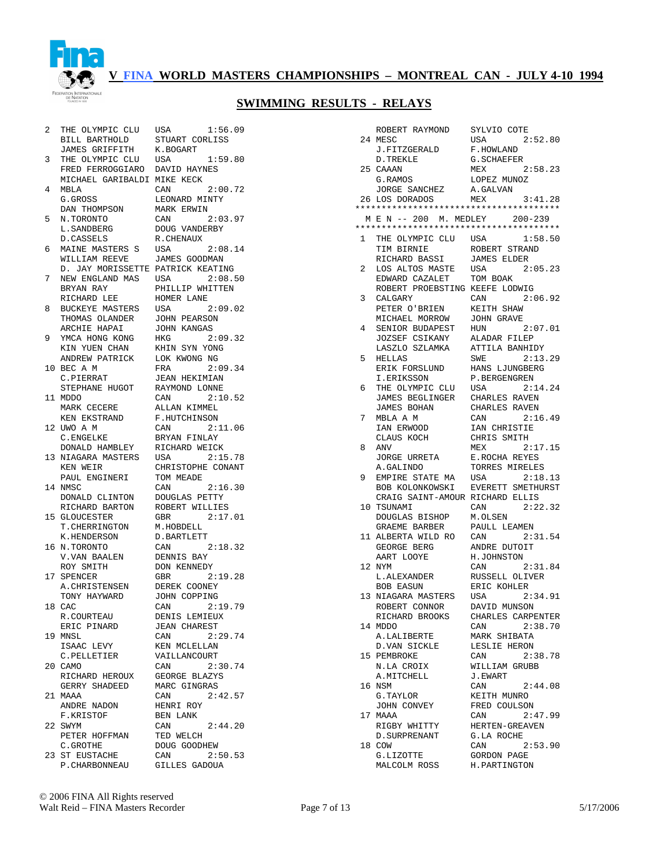

#### **SWIMMING RESULTS - RELAYS**

 2 THE OLYMPIC CLU USA 1:56.09 BILL BARTHOLD STUART CORLISS JAMES GRIFFITH K.BOGART 3 THE OLYMPIC CLU USA 1:59.80 FRED FERROGGIARO DAVID HAYNES MICHAEL GARIBALDI MIKE KECK 4 MBLA CAN 2:00.72 G.GROSS LEONARD MINTY DAN THOMPSON MARK ERWIN 5 N.TORONTO CAN 2:03.97 L.SANDBERG DOUG VANDERBY D.CASSELS R.CHENAUX 6 MAINE MASTERS S USA 2:08.14 WILLIAM REEVE JAMES GOODMAN D. JAY MORISSETTE PATRICK KEATING 7 NEW ENGLAND MAS USA 2:08.50 BRYAN RAY PHILLIP WHITTEN RICHARD LEE HOMER LANE 8 BUCKEYE MASTERS USA 2:09.02 THOMAS OLANDER JOHN PEARSON ARCHIE HAPAI JOHN KANGAS 9 YMCA HONG KONG HKG 2:09.32 KIN YUEN CHAN KHIN SYN YONG ANDREW PATRICK LOK KWONG NG 10 BEC A M FRA 2:09.34 C.PIERRAT JEAN HEKIMIAN STEPHANE HUGOT RAYMOND LONNE 11 MDDO CAN 2:10.52 MARK CECERE ALLAN KIMMEL KEN EKSTRAND F.HUTCHINSON 12 UWO A M CAN 2:11.06 C.ENGELKE BRYAN FINLAY DONALD HAMBLEY RICHARD WEICK<br>NIAGARA MASTERS USA 2:15.78 13 NIAGARA MASTERS USA KEN WEIR CHRISTOPHE CONANT PAUL ENGINERI TOM MEADE 14 NMSC CAN 2:16.30 DONALD CLINTON DOUGLAS PETTY RICHARD BARTON ROBERT WILLIES 15 GLOUCESTER GBR 2:17.01 T.CHERRINGTON M.HOBDELL<br>K.HENDERSON D.BARTLETT E. HENDERSON D.BARTLEII<br>
K.HENDERSON D.BARTLEII<br>
16 N.TORONTO CAN 2:18.32 16 N.TORONTO CAN 2:18.32 V.VAN BAALEN DENNIS BAY ROY SMITH DON KENNEDY 17 SPENCER GBR 2:19.28 A.CHRISTENSEN DEREK COONEY TONY HAYWARD JOHN COPPING 18 CAC CAN 2:19.79 R.COURTEAU DENIS LEMIEUX ERIC PINARD JEAN CHAREST 19 MNSL CAN 2:29.74 ISAAC LEVY KEN MCLELLAN C.PELLETIER VAILLANCOURT 20 CAMO CAN 2:30.74 RICHARD HEROUX GEORGE BLAZYS GERRY SHADEED MARC GINGRAS<br>21 MAAA CAN 2:42.57 21 MAAA CAN 2:42.57 ANDRE NADON HENRI ROY F.KRISTOF BEN LANK 22 SWYM CAN 2:44.20 PETER HOFFMAN TED WELCH C.GROTHE DOUG GOODHEW C.GROTHE DOUG GOODHEW<br>23 ST EUSTACHE CAN 2:50.53 P.CHARBONNEAU GILLES GADOUA

|    | ROBERT RAYMOND                         | SYLVIO COTE                 |
|----|----------------------------------------|-----------------------------|
|    | 24 MESC                                | USA<br>2:52.80              |
|    | J.FITZGERALD                           | F. HOWLAND                  |
|    | D.TREKLE                               | G.SCHAEFER                  |
|    |                                        |                             |
| 25 | CAAAN                                  | MEX<br>2:58.23              |
|    | G.RAMOS                                | LOPEZ MUNOZ                 |
|    | JORGE SANCHEZ                          | A.GALVAN                    |
|    | 26 LOS DORADOS                         | 3:41.28<br><b>MEX</b>       |
|    | ************************************** |                             |
|    | M E N -- 200 M. MEDLEY                 | $200 - 239$                 |
|    | ************************************** |                             |
|    |                                        |                             |
| 1  | THE OLYMPIC CLU USA                    | 1:58.50                     |
|    | TIM BIRNIE                             | ROBERT STRAND               |
|    | RICHARD BASSI                          | <b>JAMES ELDER</b>          |
| 2  | LOS ALTOS MASTE                        | 2:05.23<br>USA              |
|    | EDWARD CAZALET                         | TOM BOAK                    |
|    | ROBERT PROEBSTING KEEFE LODWIG         |                             |
| 3  | CALGARY                                | 2:06.92<br>CAN              |
|    |                                        |                             |
|    | PETER O'BRIEN                          | KEITH SHAW                  |
|    | MICHAEL MORROW                         | <b>JOHN GRAVE</b>           |
| 4  | SENIOR BUDAPEST                        | HUN<br>2:07.01              |
|    | JOZSEF CSIKANY                         | ALADAR FILEP                |
|    | LASZLO SZLAMKA                         | ATTILA BANHIDY              |
| 5  | HELLAS                                 | SWE<br>2:13.29              |
|    | ERIK FORSLUND                          |                             |
|    |                                        | HANS LJUNGBERG              |
|    | I.ERIKSSON                             | P.BERGENGREN                |
| 6  | THE OLYMPIC CLU                        | 2:14.24<br>USA              |
|    | JAMES BEGLINGER                        | CHARLES RAVEN               |
|    | JAMES BOHAN                            | CHARLES RAVEN               |
| 7  | MBLA A M                               | CAN<br>2:16.49              |
|    | IAN ERWOOD                             | IAN CHRISTIE                |
|    | CLAUS KOCH                             | CHRIS SMITH                 |
|    |                                        |                             |
| 8  | ANV                                    | 2:17.15<br>MEX              |
|    | JORGE URRETA                           | E.ROCHA REYES               |
|    | A.GALINDO                              | TORRES MIRELES              |
| 9  | EMPIRE STATE MA                        | USA<br>2:18.13              |
|    | BOB KOLONKOWSKI                        | EVERETT SMETHURST           |
|    |                                        |                             |
|    |                                        |                             |
|    | CRAIG SAINT-AMOUR RICHARD ELLIS        |                             |
| 10 | TSUNAMI                                | 2:22.32<br>CAN              |
|    | DOUGLAS BISHOP                         | M.OLSEN                     |
|    | GRAEME BARBER                          | PAULL LEAMEN                |
|    | 11 ALBERTA WILD RO                     | CAN<br>2:31.54              |
|    | GEORGE BERG                            | ANDRE DUTOIT                |
|    | AART LOOYE                             | H.JOHNSTON                  |
|    | 12 NYM                                 | CAN<br>2:31.84              |
|    |                                        |                             |
|    | L.ALEXANDER                            | RUSSELL OLIVER              |
|    | <b>BOB EASUN</b>                       | ERIC KOHLER                 |
|    | 13 NIAGARA MASTERS                     | USA<br>2:34.91              |
|    | ROBERT CONNOR                          | DAVID MUNSON                |
|    | RICHARD BROOKS                         | CHARLES CARPENTER           |
|    | 14 MDDO                                | CAN<br>2:38.70              |
|    | A.LALIBERTE                            | MARK SHIBATA                |
|    |                                        |                             |
|    | D.VAN SICKLE                           | LESLIE HERON                |
|    | 15 PEMBROKE                            | CAN<br>2:38.78              |
|    | N.LA CROIX                             | WILLIAM GRUBB               |
|    | A.MITCHELL                             | J.EWART                     |
|    | 16 NSM                                 | 2:44.08<br>CAN              |
|    | G.TAYLOR                               | KEITH MUNRO                 |
|    | JOHN CONVEY                            | FRED COULSON                |
|    | 17 MAAA                                | CAN<br>2:47.99              |
|    |                                        |                             |
|    | RIGBY WHITTY                           | HERTEN-GREAVEN              |
|    | <b>D. SURPRENANT</b>                   | G.LA ROCHE                  |
|    | 18 COW                                 | 2:53.90<br>CAN              |
|    | G.LIZOTTE<br>MALCOLM ROSS              | GORDON PAGE<br>H.PARTINGTON |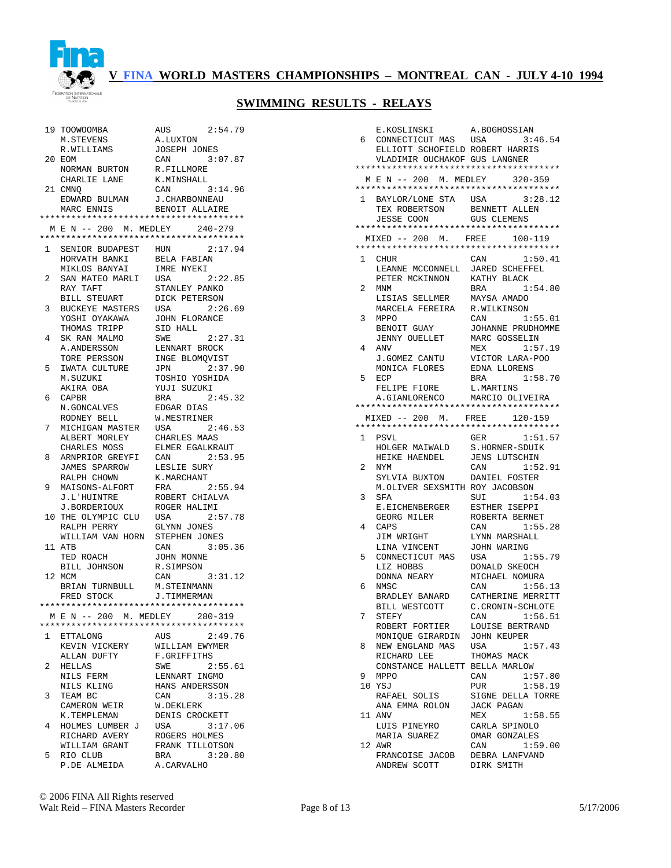

|              | 19 TOOWOOMBA                                         | AUS<br>2:54.79                         |
|--------------|------------------------------------------------------|----------------------------------------|
|              | M.STEVENS                                            | A.LUXTON                               |
|              | R.WILLIAMS                                           | <b>JOSEPH JONES</b>                    |
| 20           | EOM                                                  | CAN<br>3:07.87                         |
|              | NORMAN BURTON                                        | R.FILLMORE                             |
|              | CHARLIE LANE                                         | K.MINSHALL                             |
|              | 21 CMNO                                              | 3:14.96<br>CAN                         |
|              | EDWARD BULMAN<br>MARC ENNIS                          | J. CHARBONNEAU                         |
|              | MARC ENNIS                                           | BENOIT ALLAIRE                         |
|              |                                                      | ************************************** |
|              | M E N -- 200 M. MEDLEY 240-279                       |                                        |
|              | **************************************               |                                        |
| $\mathbf{1}$ | SENIOR BUDAPEST HUN                                  | 2:17.94                                |
|              | HORVATH BANKI                                        | BELA FABIAN                            |
|              | MIKLOS BANYAI                                        | IMRE NYEKI                             |
| 2            | SAN MATEO MARLI                                      | USA<br>2:22.85                         |
|              | RAY TAFT                                             | STANLEY PANKO                          |
|              | BILL STEUART                                         | DICK PETERSON                          |
| 3            | BUCKEYE MASTERS                                      | USA<br>2:26.69                         |
|              | YOSHI OYAKAWA                                        | <b>JOHN FLORANCE</b>                   |
|              | THOMAS TRIPP                                         | SID HALL                               |
| 4            | SK RAN MALMO                                         | 2:27.31<br>SWE                         |
|              | A. ANDERSSON                                         | LENNART BROCK                          |
|              | TORE PERSSON                                         | INGE BLOMQVIST                         |
| 5            | IWATA CULTURE                                        | 2:37.90<br><b>JPN</b>                  |
|              |                                                      |                                        |
|              | M.SUZUKI                                             | TOSHIO YOSHIDA                         |
|              | AKIRA OBA                                            | YUJI SUZUKI                            |
| 6            | CAPBR                                                | 2:45.32<br><b>BRA</b>                  |
|              | N.GONCALVES                                          | EDGAR DIAS                             |
|              | RODNEY BELL                                          | W.MESTRINER                            |
| 7            | MICHIGAN MASTER                                      | 2:46.53<br>USA                         |
|              | ALBERT MORLEY                                        | CHARLES MAAS                           |
|              | CHARLES MOSS                                         | ELMER EGALKRAUT                        |
| 8            | ARNPRIOR GREYFI                                      | 2:53.95<br>CAN                         |
|              | JAMES SPARROW                                        | LESLIE SURY                            |
|              | RALPH CHOWN                                          | K.MARCHANT                             |
| 9            | MAISONS-ALFORT                                       | 2:55.94<br>FRA                         |
|              | J.L'HUINTRE                                          | ROBERT CHIALVA                         |
|              | J.BORDERIOUX                                         | ROGER HALIMI                           |
|              |                                                      |                                        |
|              | 10 THE OLYMPIC CLU                                   | 2:57.78<br>USA                         |
|              | RALPH PERRY                                          | GLYNN JONES                            |
|              | WILLIAM VAN HORN                                     | STEPHEN JONES                          |
|              | 11 ATB                                               | CAN<br>3:05.36                         |
|              | TED ROACH                                            | JOHN MONNE                             |
|              | BILL JOHNSON                                         | R.SIMPSON                              |
|              | 12 MCM                                               | 3:31.12<br>CAN                         |
|              |                                                      | M.STEINMANN                            |
|              | BRIAN TURNBULL                                       | J.TIMMERMAN                            |
|              | FRED STOCK<br>************************************** |                                        |
|              |                                                      |                                        |
|              | MEN--200 M.MEDLEY 280-319                            |                                        |
|              |                                                      | ************************************** |
| $\mathbf{1}$ | ETTALONG                                             | AUS<br>2:49.76                         |
|              | KEVIN VICKERY                                        | WILLIAM EWYMER                         |
|              | ALLAN DUFTY                                          | F.GRIFFITHS                            |
| 2            | HELLAS                                               | 2:55.61<br>SWE                         |
|              | NILS FERM                                            | LENNART INGMO                          |
|              | NILS KLING                                           | HANS ANDERSSON                         |
| 3            | TEAM BC                                              | 3:15.28<br>CAN                         |
|              | CAMERON WEIR                                         | W.DEKLERK                              |
|              | K.TEMPLEMAN                                          | DENIS CROCKETT                         |
| 4            | HOLMES LUMBER J                                      | USA<br>3:17.06                         |
|              | RICHARD AVERY                                        | ROGERS HOLMES                          |
|              | WILLIAM GRANT                                        | FRANK TILLOTSON                        |
| 5            | RIO CLUB<br>P.DE ALMEIDA                             | 3:20.80<br>BRA<br>A.CARVALHO           |

|              | E.KOSLINSKI                            | A.BOGHOSSIAN                    |
|--------------|----------------------------------------|---------------------------------|
| 6            | CONNECTICUT MAS                        | USA<br>3:46.54                  |
|              | ELLIOTT SCHOFIELD ROBERT HARRIS        |                                 |
|              | VLADIMIR OUCHAKOF GUS LANGNER          |                                 |
|              | ************************************** |                                 |
|              | M E N -- 200 M. MEDLEY 320-359         |                                 |
|              | ************************************** |                                 |
| $\mathbf{1}$ | BAYLOR/LONE STA USA                    | 3:28.12                         |
|              | TEX ROBERTSON                          | BENNETT ALLEN                   |
|              | JESSE COON                             | <b>GUS CLEMENS</b>              |
|              | ************************************** |                                 |
|              | $MIXED$ -- 200 M. FREE                 | 100-119                         |
|              | ************************************** |                                 |
| 1            | <b>CHUR</b>                            | CAN<br>1:50.41                  |
|              | LEANNE MCCONNELL                       | <b>JARED SCHEFFEL</b>           |
|              | PETER MCKINNON                         | KATHY BLACK                     |
| 2            | MNM                                    | 1:54.80<br>BRA                  |
|              | LISIAS SELLMER                         | MAYSA AMADO                     |
|              | MARCELA FEREIRA                        | R.WILKINSON                     |
| 3            | <b>MPPO</b>                            | CAN<br>1:55.01                  |
|              | BENOIT GUAY                            | JOHANNE PRUDHOMME               |
|              | JENNY OUELLET                          | MARC GOSSELIN                   |
| 4            | ANV                                    | 1:57.19<br>MEX                  |
|              | J.GOMEZ CANTU                          | VICTOR LARA-POO                 |
|              | MONICA FLORES                          | EDNA LLORENS                    |
| 5            | ECP                                    | 1:58.70<br>BRA                  |
|              | FELIPE FIORE                           | L.MARTINS                       |
|              | A.GIANLORENCO MARCIO OLIVEIRA          |                                 |
|              | ************************************** |                                 |
|              | $MIXED$ -- 200 M. FREE                 | 120-159                         |
|              |                                        |                                 |
| 1            | <b>PSVL</b>                            | 1:51.57<br>GER                  |
|              | HOLGER MAIWALD                         | S.HORNER-SDUIK                  |
|              | HEIKE HAENDEL                          | <b>JENS LUTSCHIN</b>            |
| 2            | NYM                                    | 1:52.91<br>CAN                  |
|              | SYLVIA BUXTON                          | DANIEL FOSTER                   |
|              | M.OLIVER SEXSMITH ROY JACOBSON         |                                 |
| 3            | SFA                                    | 1:54.03<br>SUI                  |
|              | E.EICHENBERGER                         | ESTHER ISEPPI                   |
|              | GEORG MILER                            | ROBERTA BERNET                  |
| 4            | CAPS                                   | CAN<br>1:55.28                  |
|              |                                        |                                 |
|              | JIM WRIGHT                             | LYNN MARSHALL                   |
|              | LINA VINCENT                           | JOHN WARING                     |
| 5            | CONNECTICUT MAS<br>LIZ HOBBS           | USA<br>1:55.79<br>DONALD SKEOCH |
|              |                                        | MICHAEL NOMURA                  |
|              | DONNA NEARY                            |                                 |
| 6            | NMSC                                   | CAN<br>1:56.13                  |
|              | BRADLEY BANARD                         | CATHERINE MERRITT               |
|              | BILL WESTCOTT                          | C.CRONIN-SCHLOTE                |
| 7            | STEFY                                  | 1:56.51<br>CAN                  |
|              | ROBERT FORTIER                         | LOUISE BERTRAND                 |
|              | MONIOUE GIRARDIN                       | JOHN KEUPER                     |
| 8            | NEW ENGLAND MAS                        | USA<br>1:57.43                  |
|              | RICHARD LEE                            | THOMAS MACK                     |
|              | CONSTANCE HALLETT BELLA MARLOW         |                                 |
| 9            | MPPO                                   | CAN<br>1:57.80                  |
|              | 10 YSJ                                 | PUR<br>1:58.19                  |
|              | RAFAEL SOLIS                           | SIGNE DELLA TORRE               |
|              | ANA EMMA ROLON                         | JACK PAGAN                      |
|              | 11 ANV                                 | MEX<br>1:58.55                  |
|              | LUIS PINEYRO                           | CARLA SPINOLO                   |
|              | MARIA SUAREZ                           | OMAR GONZALES                   |
|              | 12 AWR                                 | CAN<br>1:59.00                  |
|              | FRANCOISE JACOB                        | DEBRA LANFVAND                  |
|              | ANDREW SCOTT                           | DIRK SMITH                      |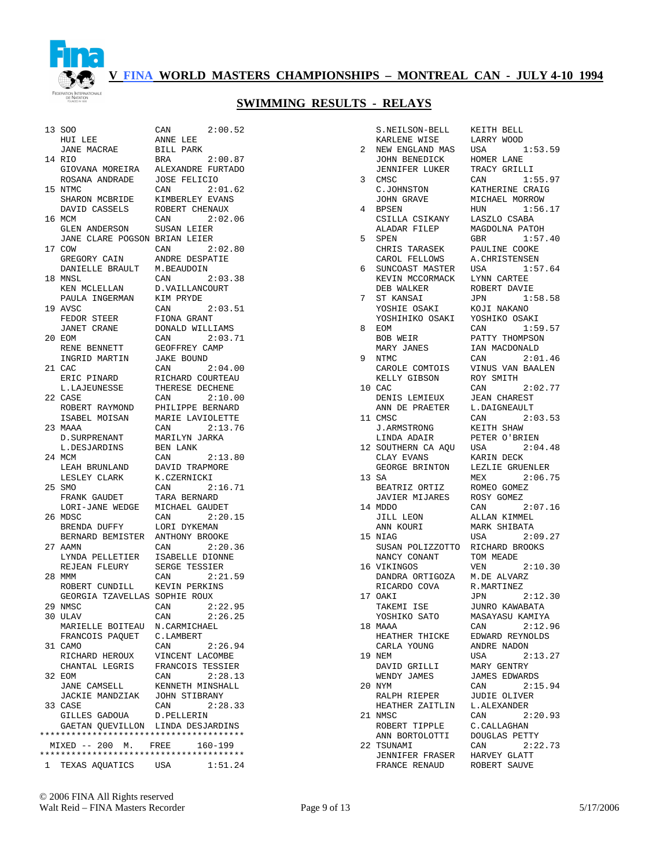

#### **SWIMMING RESULTS - RELAYS**

|      | 13 SOO                                 | 2:00.52<br>CAN                                                         |
|------|----------------------------------------|------------------------------------------------------------------------|
|      | HUI LEE                                | ANNE LEE                                                               |
|      | JANE MACRAE                            | BILL PARK                                                              |
|      | 14 RIO                                 | 2:00.87<br>BRA                                                         |
|      | GIOVANA MOREIRA                        | ALEXANDRE FURTADO                                                      |
|      | ROSANA ANDRADE                         | <b>JOSE FELICIO</b>                                                    |
|      | 15 NTMC                                | CAN<br>2:01.62                                                         |
|      | SHARON MCBRIDE                         | KIMBERLEY EVANS                                                        |
|      | DAVID CASSELS<br>16 MCM                | ROBERT CHENAUX<br>2:02.06<br>CAN                                       |
|      | GLEN ANDERSON                          | SUSAN LEIER                                                            |
|      | JANE CLARE POGSON BRIAN LEIER          |                                                                        |
| 17   | COW                                    | CAN<br>2:02.80                                                         |
|      | GREGORY CAIN                           | ANDRE DESPATIE                                                         |
|      | DANIELLE BRAULT                        | M.BEAUDOIN                                                             |
|      | 18 MNSL                                | CAN<br>2:03.38                                                         |
|      | KEN MCLELLAN                           | D. VAILLANCOURT                                                        |
|      | PAULA INGERMAN                         | KIM PRYDE                                                              |
|      | 19 AVSC                                | 2:03.51<br>CAN                                                         |
|      | FEDOR STEER                            | FIONA GRANT                                                            |
|      | <b>JANET CRANE</b>                     | DONALD WILLIAMS                                                        |
|      | 20 EOM                                 | 2:03.71<br>CAN                                                         |
|      | RENE BENNETT                           | GEOFFREY CAMP                                                          |
|      | INGRID MARTIN                          | <b>JAKE BOUND</b>                                                      |
| 21   | CAC.                                   | CAN<br>2:04.00                                                         |
|      | ERIC PINARD<br>L.LAJEUNESSE            | RICHARD COURTEAU<br>THERESE DECHENE                                    |
| 2.2. | CASE                                   | 2:10.00<br>CAN                                                         |
|      | ROBERT RAYMOND                         | PHILIPPE BERNARD                                                       |
|      | ISABEL MOISAN                          | MARIE LAVIOLETTE                                                       |
|      | 23 MAAA                                | CAN<br>2:13.76                                                         |
|      | D. SURPRENANT                          | MARILYN JARKA                                                          |
|      | L.DESJARDINS                           | BEN LANK                                                               |
| 24   | MCM                                    | CAN<br>2:13.80                                                         |
|      | LEAH BRUNLAND                          | DAVID TRAPMORE                                                         |
|      | LESLEY CLARK                           | K.CZERNICKI                                                            |
| 25   | SMO                                    | CAN<br>2:16.71                                                         |
|      | FRANK GAUDET                           | TARA BERNARD                                                           |
|      | LORI-JANE WEDGE                        | MICHAEL GAUDET                                                         |
| 26   | MDSC                                   | CAN<br>2:20.15                                                         |
|      | BRENDA DUFFY<br>BERNARD BEMISTER       | LORI DYKEMAN                                                           |
|      | 27 AAMN                                | ANTHONY BROOKE<br>2:20.36<br>CAN                                       |
|      | LYNDA PELLETIER                        | ISABELLE DIONNE                                                        |
|      | REJEAN FLEURY                          | <b>SERGE TESSIER</b>                                                   |
| 28   | MMM                                    | 2:21.59<br>CAN                                                         |
|      | ROBERT CUNDILL                         | KEVIN PERKINS                                                          |
|      | GEORGIA TZAVELLAS SOPHIE ROUX          |                                                                        |
|      | 29 NMSC                                | CAN<br>2:22.95                                                         |
|      | 30 ULAV                                | CAN<br>2:26.25                                                         |
|      | MARIELLE BOITEAU N.CARMICHAEL          |                                                                        |
|      |                                        |                                                                        |
|      | FRANCOIS PAQUET                        | C.LAMBERT                                                              |
|      | 31 CAMO                                | 2:26.94<br>CAN                                                         |
|      | RICHARD HEROUX                         | VINCENT LACOMBE                                                        |
|      | CHANTAL LEGRIS                         | FRANCOIS TESSIER                                                       |
|      | 32 EOM                                 | 2:28.13<br>CAN                                                         |
|      | JANE CAMSELL                           | KENNETH MINSHALL                                                       |
|      | JACKIE MANDZIAK<br>33 CASE             | JOHN STIBRANY<br>2:28.33                                               |
|      | GILLES GADOUA                          | CAN<br>D.PELLERIN                                                      |
|      | GAETAN QUEVILLON LINDA DESJARDINS      |                                                                        |
|      | ************************************** |                                                                        |
|      | MIXED -- 200 M. FREE                   | $160 - 199$                                                            |
|      |                                        | **************************************<br>1 TEXAS AQUATICS USA 1:51.24 |

 $2:00.87$ FURTADO<br>IO  $2:01.62$ EVANS<br>NAUX 2:02.06<br>R  $2:02.80$ atir  $2:03.38$ OURT  $2:03.51$  $2:03.71$ AMP  $2:04.00$ URTEAU CHENE  $2:10.00$ ERNARD  $\mathbf{R}$ TTR $\mathbf{R}$ 2:13.7<mark>6</mark><br>RKA  $2:13.80$  $2:16.71$ 2:20.15<br>AN  $2:20.36$ LONNE<br>LER  $2:21.59$  $2:22.95$  $2:26.25$  $2:26.94$ COMBE<sup>1</sup> **CSSIER**  $2:28.13$ NSHALL  $2:28.33$ ARDINS 0 - 199 \*\*\*\*\*\*\*\*\*\*\*\*\*\*\*\*\*\*\*\*\*\*\*\*\*\*\*\*\*\*\*\*\*\*\*\*\*\*\*  $1:51.24$ 

| KARLENE WISE<br>LARRY WOOD<br>NEW ENGLAND MAS<br>1:53.59<br>2<br>USA<br>HOMER LANE<br>JOHN BENEDICK<br>TRACY GRILLI<br>JENNIFER LUKER<br>3<br>1:55.97<br>CMSC<br>CAN<br>C.JOHNSTON<br>KATHERINE CRAIG<br>JOHN GRAVE<br>MICHAEL MORROW<br>4<br>BPSEN<br>1:56.17<br>HUN<br>CSILLA CSIKANY<br>LASZLO CSABA<br>ALADAR FILEP<br>MAGDOLNA PATOH<br>1:57.40<br>5<br>SPEN<br>GBR<br>CHRIS TARASEK<br>CAROL FELLOWS<br>PAULINE COOKE<br>A.CHRISTENSEN<br>SUNCOAST MASTER<br>1:57.64<br>6<br>USA<br>KEVIN MCCORMACK<br>LYNN CARTEE<br>DEB WALKER<br>ROBERT DAVIE<br>7<br>ST KANSAI<br>1:58.58<br>JPN<br>YOSHIE OSAKI<br>KOJI NAKANO<br>YOSHIHIKO OSAKI<br>YOSHIKO OSAKI<br>EOM<br>1:59.57<br>8<br>CAN<br>PATTY THOMPSON<br>BOB WEIR<br>IAN MACDONALD<br>MARY JANES<br>9<br>NTMC<br>2:01.46<br>CAN<br>CAROLE COMTOIS<br>KELLY GIBSON<br>VINUS VAN BAALEN<br>ROY SMITH<br>CAN 2:02.77<br>10 CAC<br>DENIS LEMIEUX<br><b>JEAN CHAREST</b><br>ANN DE PRAETER<br>L.DAIGNEAULT<br>CAN 2:03.53<br>11 CMSC<br><b>J.ARMSTRONG</b><br>KEITH SHAW<br>LINDA ADAIR<br>PETER O'BRIEN<br>12 SOUTHERN CA AQU USA<br>2:04.48<br>CLAY EVANS<br>KARIN DECK<br>GEORGE BRINTON<br>LEZLIE GRUENLER<br>13 SA<br>MEX 2:06.75<br>BEATRIZ ORTIZ<br>ROMEO GOMEZ<br>JAVIER MIJARES<br>ROSY GOMEZ<br>14 MDDO<br>CAN 2:07.16<br>JILL LEON<br>ALLAN KIMMEL<br>ANN KOURI<br>MARK SHIBATA<br>15 NIAG<br>USA<br>2:09.27<br>SUSAN POLIZZOTTO RICHARD BROOKS<br>TOM MEADE<br>NANCY CONANT<br>2:10.30<br>16 VIKINGOS<br>VEN<br>DANDRA ORTIGOZA<br>M.DE ALVARZ<br>RICARDO COVA<br>R.MARTINEZ<br>JPN 2:12.30<br>17 OAKI<br>TAKEMI ISE<br>JUNRO KAWABATA<br>YOSHIKO SATO<br>MASAYASU KAMIYA<br>2:12.96<br>18 MAAA<br>CAN<br>EDWARD REYNOLDS<br>HEATHER THICKE<br>ANDRE NADON<br>CARLA YOUNG<br>19 NEM<br>USA<br>2:13.27<br>DAVID GRILLI<br>MARY GENTRY<br>WENDY JAMES<br><b>JAMES EDWARDS</b><br>2:15.94<br>20 NYM<br>CAN<br><b>JUDIE OLIVER</b><br>RALPH RIEPER<br>HEATHER ZAITLIN L.ALEXANDER<br>21 NMSC<br>CAN<br>2:20.93<br>ROBERT TIPPLE<br>C.CALLAGHAN<br>ANN BORTOLOTTI<br>DOUGLAS PETTY<br>22 TSUNAMI<br>CAN<br>2:22.73<br>JENNIFER FRASER HARVEY GLATT | S.NEILSON-BELL | KEITH BELL |
|--------------------------------------------------------------------------------------------------------------------------------------------------------------------------------------------------------------------------------------------------------------------------------------------------------------------------------------------------------------------------------------------------------------------------------------------------------------------------------------------------------------------------------------------------------------------------------------------------------------------------------------------------------------------------------------------------------------------------------------------------------------------------------------------------------------------------------------------------------------------------------------------------------------------------------------------------------------------------------------------------------------------------------------------------------------------------------------------------------------------------------------------------------------------------------------------------------------------------------------------------------------------------------------------------------------------------------------------------------------------------------------------------------------------------------------------------------------------------------------------------------------------------------------------------------------------------------------------------------------------------------------------------------------------------------------------------------------------------------------------------------------------------------------------------------------------------------------------------------------------------------------------------------------------------------------------------------------------------------------------------------------------------------------------------------------------------------------------------------------|----------------|------------|
|                                                                                                                                                                                                                                                                                                                                                                                                                                                                                                                                                                                                                                                                                                                                                                                                                                                                                                                                                                                                                                                                                                                                                                                                                                                                                                                                                                                                                                                                                                                                                                                                                                                                                                                                                                                                                                                                                                                                                                                                                                                                                                              |                |            |
|                                                                                                                                                                                                                                                                                                                                                                                                                                                                                                                                                                                                                                                                                                                                                                                                                                                                                                                                                                                                                                                                                                                                                                                                                                                                                                                                                                                                                                                                                                                                                                                                                                                                                                                                                                                                                                                                                                                                                                                                                                                                                                              |                |            |
|                                                                                                                                                                                                                                                                                                                                                                                                                                                                                                                                                                                                                                                                                                                                                                                                                                                                                                                                                                                                                                                                                                                                                                                                                                                                                                                                                                                                                                                                                                                                                                                                                                                                                                                                                                                                                                                                                                                                                                                                                                                                                                              |                |            |
|                                                                                                                                                                                                                                                                                                                                                                                                                                                                                                                                                                                                                                                                                                                                                                                                                                                                                                                                                                                                                                                                                                                                                                                                                                                                                                                                                                                                                                                                                                                                                                                                                                                                                                                                                                                                                                                                                                                                                                                                                                                                                                              |                |            |
|                                                                                                                                                                                                                                                                                                                                                                                                                                                                                                                                                                                                                                                                                                                                                                                                                                                                                                                                                                                                                                                                                                                                                                                                                                                                                                                                                                                                                                                                                                                                                                                                                                                                                                                                                                                                                                                                                                                                                                                                                                                                                                              |                |            |
|                                                                                                                                                                                                                                                                                                                                                                                                                                                                                                                                                                                                                                                                                                                                                                                                                                                                                                                                                                                                                                                                                                                                                                                                                                                                                                                                                                                                                                                                                                                                                                                                                                                                                                                                                                                                                                                                                                                                                                                                                                                                                                              |                |            |
|                                                                                                                                                                                                                                                                                                                                                                                                                                                                                                                                                                                                                                                                                                                                                                                                                                                                                                                                                                                                                                                                                                                                                                                                                                                                                                                                                                                                                                                                                                                                                                                                                                                                                                                                                                                                                                                                                                                                                                                                                                                                                                              |                |            |
|                                                                                                                                                                                                                                                                                                                                                                                                                                                                                                                                                                                                                                                                                                                                                                                                                                                                                                                                                                                                                                                                                                                                                                                                                                                                                                                                                                                                                                                                                                                                                                                                                                                                                                                                                                                                                                                                                                                                                                                                                                                                                                              |                |            |
|                                                                                                                                                                                                                                                                                                                                                                                                                                                                                                                                                                                                                                                                                                                                                                                                                                                                                                                                                                                                                                                                                                                                                                                                                                                                                                                                                                                                                                                                                                                                                                                                                                                                                                                                                                                                                                                                                                                                                                                                                                                                                                              |                |            |
|                                                                                                                                                                                                                                                                                                                                                                                                                                                                                                                                                                                                                                                                                                                                                                                                                                                                                                                                                                                                                                                                                                                                                                                                                                                                                                                                                                                                                                                                                                                                                                                                                                                                                                                                                                                                                                                                                                                                                                                                                                                                                                              |                |            |
|                                                                                                                                                                                                                                                                                                                                                                                                                                                                                                                                                                                                                                                                                                                                                                                                                                                                                                                                                                                                                                                                                                                                                                                                                                                                                                                                                                                                                                                                                                                                                                                                                                                                                                                                                                                                                                                                                                                                                                                                                                                                                                              |                |            |
|                                                                                                                                                                                                                                                                                                                                                                                                                                                                                                                                                                                                                                                                                                                                                                                                                                                                                                                                                                                                                                                                                                                                                                                                                                                                                                                                                                                                                                                                                                                                                                                                                                                                                                                                                                                                                                                                                                                                                                                                                                                                                                              |                |            |
|                                                                                                                                                                                                                                                                                                                                                                                                                                                                                                                                                                                                                                                                                                                                                                                                                                                                                                                                                                                                                                                                                                                                                                                                                                                                                                                                                                                                                                                                                                                                                                                                                                                                                                                                                                                                                                                                                                                                                                                                                                                                                                              |                |            |
|                                                                                                                                                                                                                                                                                                                                                                                                                                                                                                                                                                                                                                                                                                                                                                                                                                                                                                                                                                                                                                                                                                                                                                                                                                                                                                                                                                                                                                                                                                                                                                                                                                                                                                                                                                                                                                                                                                                                                                                                                                                                                                              |                |            |
|                                                                                                                                                                                                                                                                                                                                                                                                                                                                                                                                                                                                                                                                                                                                                                                                                                                                                                                                                                                                                                                                                                                                                                                                                                                                                                                                                                                                                                                                                                                                                                                                                                                                                                                                                                                                                                                                                                                                                                                                                                                                                                              |                |            |
|                                                                                                                                                                                                                                                                                                                                                                                                                                                                                                                                                                                                                                                                                                                                                                                                                                                                                                                                                                                                                                                                                                                                                                                                                                                                                                                                                                                                                                                                                                                                                                                                                                                                                                                                                                                                                                                                                                                                                                                                                                                                                                              |                |            |
|                                                                                                                                                                                                                                                                                                                                                                                                                                                                                                                                                                                                                                                                                                                                                                                                                                                                                                                                                                                                                                                                                                                                                                                                                                                                                                                                                                                                                                                                                                                                                                                                                                                                                                                                                                                                                                                                                                                                                                                                                                                                                                              |                |            |
|                                                                                                                                                                                                                                                                                                                                                                                                                                                                                                                                                                                                                                                                                                                                                                                                                                                                                                                                                                                                                                                                                                                                                                                                                                                                                                                                                                                                                                                                                                                                                                                                                                                                                                                                                                                                                                                                                                                                                                                                                                                                                                              |                |            |
|                                                                                                                                                                                                                                                                                                                                                                                                                                                                                                                                                                                                                                                                                                                                                                                                                                                                                                                                                                                                                                                                                                                                                                                                                                                                                                                                                                                                                                                                                                                                                                                                                                                                                                                                                                                                                                                                                                                                                                                                                                                                                                              |                |            |
|                                                                                                                                                                                                                                                                                                                                                                                                                                                                                                                                                                                                                                                                                                                                                                                                                                                                                                                                                                                                                                                                                                                                                                                                                                                                                                                                                                                                                                                                                                                                                                                                                                                                                                                                                                                                                                                                                                                                                                                                                                                                                                              |                |            |
|                                                                                                                                                                                                                                                                                                                                                                                                                                                                                                                                                                                                                                                                                                                                                                                                                                                                                                                                                                                                                                                                                                                                                                                                                                                                                                                                                                                                                                                                                                                                                                                                                                                                                                                                                                                                                                                                                                                                                                                                                                                                                                              |                |            |
|                                                                                                                                                                                                                                                                                                                                                                                                                                                                                                                                                                                                                                                                                                                                                                                                                                                                                                                                                                                                                                                                                                                                                                                                                                                                                                                                                                                                                                                                                                                                                                                                                                                                                                                                                                                                                                                                                                                                                                                                                                                                                                              |                |            |
|                                                                                                                                                                                                                                                                                                                                                                                                                                                                                                                                                                                                                                                                                                                                                                                                                                                                                                                                                                                                                                                                                                                                                                                                                                                                                                                                                                                                                                                                                                                                                                                                                                                                                                                                                                                                                                                                                                                                                                                                                                                                                                              |                |            |
|                                                                                                                                                                                                                                                                                                                                                                                                                                                                                                                                                                                                                                                                                                                                                                                                                                                                                                                                                                                                                                                                                                                                                                                                                                                                                                                                                                                                                                                                                                                                                                                                                                                                                                                                                                                                                                                                                                                                                                                                                                                                                                              |                |            |
|                                                                                                                                                                                                                                                                                                                                                                                                                                                                                                                                                                                                                                                                                                                                                                                                                                                                                                                                                                                                                                                                                                                                                                                                                                                                                                                                                                                                                                                                                                                                                                                                                                                                                                                                                                                                                                                                                                                                                                                                                                                                                                              |                |            |
|                                                                                                                                                                                                                                                                                                                                                                                                                                                                                                                                                                                                                                                                                                                                                                                                                                                                                                                                                                                                                                                                                                                                                                                                                                                                                                                                                                                                                                                                                                                                                                                                                                                                                                                                                                                                                                                                                                                                                                                                                                                                                                              |                |            |
|                                                                                                                                                                                                                                                                                                                                                                                                                                                                                                                                                                                                                                                                                                                                                                                                                                                                                                                                                                                                                                                                                                                                                                                                                                                                                                                                                                                                                                                                                                                                                                                                                                                                                                                                                                                                                                                                                                                                                                                                                                                                                                              |                |            |
|                                                                                                                                                                                                                                                                                                                                                                                                                                                                                                                                                                                                                                                                                                                                                                                                                                                                                                                                                                                                                                                                                                                                                                                                                                                                                                                                                                                                                                                                                                                                                                                                                                                                                                                                                                                                                                                                                                                                                                                                                                                                                                              |                |            |
|                                                                                                                                                                                                                                                                                                                                                                                                                                                                                                                                                                                                                                                                                                                                                                                                                                                                                                                                                                                                                                                                                                                                                                                                                                                                                                                                                                                                                                                                                                                                                                                                                                                                                                                                                                                                                                                                                                                                                                                                                                                                                                              |                |            |
|                                                                                                                                                                                                                                                                                                                                                                                                                                                                                                                                                                                                                                                                                                                                                                                                                                                                                                                                                                                                                                                                                                                                                                                                                                                                                                                                                                                                                                                                                                                                                                                                                                                                                                                                                                                                                                                                                                                                                                                                                                                                                                              |                |            |
|                                                                                                                                                                                                                                                                                                                                                                                                                                                                                                                                                                                                                                                                                                                                                                                                                                                                                                                                                                                                                                                                                                                                                                                                                                                                                                                                                                                                                                                                                                                                                                                                                                                                                                                                                                                                                                                                                                                                                                                                                                                                                                              |                |            |
|                                                                                                                                                                                                                                                                                                                                                                                                                                                                                                                                                                                                                                                                                                                                                                                                                                                                                                                                                                                                                                                                                                                                                                                                                                                                                                                                                                                                                                                                                                                                                                                                                                                                                                                                                                                                                                                                                                                                                                                                                                                                                                              |                |            |
|                                                                                                                                                                                                                                                                                                                                                                                                                                                                                                                                                                                                                                                                                                                                                                                                                                                                                                                                                                                                                                                                                                                                                                                                                                                                                                                                                                                                                                                                                                                                                                                                                                                                                                                                                                                                                                                                                                                                                                                                                                                                                                              |                |            |
|                                                                                                                                                                                                                                                                                                                                                                                                                                                                                                                                                                                                                                                                                                                                                                                                                                                                                                                                                                                                                                                                                                                                                                                                                                                                                                                                                                                                                                                                                                                                                                                                                                                                                                                                                                                                                                                                                                                                                                                                                                                                                                              |                |            |
|                                                                                                                                                                                                                                                                                                                                                                                                                                                                                                                                                                                                                                                                                                                                                                                                                                                                                                                                                                                                                                                                                                                                                                                                                                                                                                                                                                                                                                                                                                                                                                                                                                                                                                                                                                                                                                                                                                                                                                                                                                                                                                              |                |            |
|                                                                                                                                                                                                                                                                                                                                                                                                                                                                                                                                                                                                                                                                                                                                                                                                                                                                                                                                                                                                                                                                                                                                                                                                                                                                                                                                                                                                                                                                                                                                                                                                                                                                                                                                                                                                                                                                                                                                                                                                                                                                                                              |                |            |
|                                                                                                                                                                                                                                                                                                                                                                                                                                                                                                                                                                                                                                                                                                                                                                                                                                                                                                                                                                                                                                                                                                                                                                                                                                                                                                                                                                                                                                                                                                                                                                                                                                                                                                                                                                                                                                                                                                                                                                                                                                                                                                              |                |            |
|                                                                                                                                                                                                                                                                                                                                                                                                                                                                                                                                                                                                                                                                                                                                                                                                                                                                                                                                                                                                                                                                                                                                                                                                                                                                                                                                                                                                                                                                                                                                                                                                                                                                                                                                                                                                                                                                                                                                                                                                                                                                                                              |                |            |
|                                                                                                                                                                                                                                                                                                                                                                                                                                                                                                                                                                                                                                                                                                                                                                                                                                                                                                                                                                                                                                                                                                                                                                                                                                                                                                                                                                                                                                                                                                                                                                                                                                                                                                                                                                                                                                                                                                                                                                                                                                                                                                              |                |            |
|                                                                                                                                                                                                                                                                                                                                                                                                                                                                                                                                                                                                                                                                                                                                                                                                                                                                                                                                                                                                                                                                                                                                                                                                                                                                                                                                                                                                                                                                                                                                                                                                                                                                                                                                                                                                                                                                                                                                                                                                                                                                                                              |                |            |
|                                                                                                                                                                                                                                                                                                                                                                                                                                                                                                                                                                                                                                                                                                                                                                                                                                                                                                                                                                                                                                                                                                                                                                                                                                                                                                                                                                                                                                                                                                                                                                                                                                                                                                                                                                                                                                                                                                                                                                                                                                                                                                              |                |            |
|                                                                                                                                                                                                                                                                                                                                                                                                                                                                                                                                                                                                                                                                                                                                                                                                                                                                                                                                                                                                                                                                                                                                                                                                                                                                                                                                                                                                                                                                                                                                                                                                                                                                                                                                                                                                                                                                                                                                                                                                                                                                                                              |                |            |
|                                                                                                                                                                                                                                                                                                                                                                                                                                                                                                                                                                                                                                                                                                                                                                                                                                                                                                                                                                                                                                                                                                                                                                                                                                                                                                                                                                                                                                                                                                                                                                                                                                                                                                                                                                                                                                                                                                                                                                                                                                                                                                              |                |            |
|                                                                                                                                                                                                                                                                                                                                                                                                                                                                                                                                                                                                                                                                                                                                                                                                                                                                                                                                                                                                                                                                                                                                                                                                                                                                                                                                                                                                                                                                                                                                                                                                                                                                                                                                                                                                                                                                                                                                                                                                                                                                                                              |                |            |
|                                                                                                                                                                                                                                                                                                                                                                                                                                                                                                                                                                                                                                                                                                                                                                                                                                                                                                                                                                                                                                                                                                                                                                                                                                                                                                                                                                                                                                                                                                                                                                                                                                                                                                                                                                                                                                                                                                                                                                                                                                                                                                              |                |            |
|                                                                                                                                                                                                                                                                                                                                                                                                                                                                                                                                                                                                                                                                                                                                                                                                                                                                                                                                                                                                                                                                                                                                                                                                                                                                                                                                                                                                                                                                                                                                                                                                                                                                                                                                                                                                                                                                                                                                                                                                                                                                                                              |                |            |
|                                                                                                                                                                                                                                                                                                                                                                                                                                                                                                                                                                                                                                                                                                                                                                                                                                                                                                                                                                                                                                                                                                                                                                                                                                                                                                                                                                                                                                                                                                                                                                                                                                                                                                                                                                                                                                                                                                                                                                                                                                                                                                              |                |            |
|                                                                                                                                                                                                                                                                                                                                                                                                                                                                                                                                                                                                                                                                                                                                                                                                                                                                                                                                                                                                                                                                                                                                                                                                                                                                                                                                                                                                                                                                                                                                                                                                                                                                                                                                                                                                                                                                                                                                                                                                                                                                                                              |                |            |
|                                                                                                                                                                                                                                                                                                                                                                                                                                                                                                                                                                                                                                                                                                                                                                                                                                                                                                                                                                                                                                                                                                                                                                                                                                                                                                                                                                                                                                                                                                                                                                                                                                                                                                                                                                                                                                                                                                                                                                                                                                                                                                              |                |            |
|                                                                                                                                                                                                                                                                                                                                                                                                                                                                                                                                                                                                                                                                                                                                                                                                                                                                                                                                                                                                                                                                                                                                                                                                                                                                                                                                                                                                                                                                                                                                                                                                                                                                                                                                                                                                                                                                                                                                                                                                                                                                                                              |                |            |
|                                                                                                                                                                                                                                                                                                                                                                                                                                                                                                                                                                                                                                                                                                                                                                                                                                                                                                                                                                                                                                                                                                                                                                                                                                                                                                                                                                                                                                                                                                                                                                                                                                                                                                                                                                                                                                                                                                                                                                                                                                                                                                              |                |            |
|                                                                                                                                                                                                                                                                                                                                                                                                                                                                                                                                                                                                                                                                                                                                                                                                                                                                                                                                                                                                                                                                                                                                                                                                                                                                                                                                                                                                                                                                                                                                                                                                                                                                                                                                                                                                                                                                                                                                                                                                                                                                                                              |                |            |
|                                                                                                                                                                                                                                                                                                                                                                                                                                                                                                                                                                                                                                                                                                                                                                                                                                                                                                                                                                                                                                                                                                                                                                                                                                                                                                                                                                                                                                                                                                                                                                                                                                                                                                                                                                                                                                                                                                                                                                                                                                                                                                              |                |            |
|                                                                                                                                                                                                                                                                                                                                                                                                                                                                                                                                                                                                                                                                                                                                                                                                                                                                                                                                                                                                                                                                                                                                                                                                                                                                                                                                                                                                                                                                                                                                                                                                                                                                                                                                                                                                                                                                                                                                                                                                                                                                                                              |                |            |
|                                                                                                                                                                                                                                                                                                                                                                                                                                                                                                                                                                                                                                                                                                                                                                                                                                                                                                                                                                                                                                                                                                                                                                                                                                                                                                                                                                                                                                                                                                                                                                                                                                                                                                                                                                                                                                                                                                                                                                                                                                                                                                              |                |            |
|                                                                                                                                                                                                                                                                                                                                                                                                                                                                                                                                                                                                                                                                                                                                                                                                                                                                                                                                                                                                                                                                                                                                                                                                                                                                                                                                                                                                                                                                                                                                                                                                                                                                                                                                                                                                                                                                                                                                                                                                                                                                                                              |                |            |
|                                                                                                                                                                                                                                                                                                                                                                                                                                                                                                                                                                                                                                                                                                                                                                                                                                                                                                                                                                                                                                                                                                                                                                                                                                                                                                                                                                                                                                                                                                                                                                                                                                                                                                                                                                                                                                                                                                                                                                                                                                                                                                              |                |            |
|                                                                                                                                                                                                                                                                                                                                                                                                                                                                                                                                                                                                                                                                                                                                                                                                                                                                                                                                                                                                                                                                                                                                                                                                                                                                                                                                                                                                                                                                                                                                                                                                                                                                                                                                                                                                                                                                                                                                                                                                                                                                                                              |                |            |
|                                                                                                                                                                                                                                                                                                                                                                                                                                                                                                                                                                                                                                                                                                                                                                                                                                                                                                                                                                                                                                                                                                                                                                                                                                                                                                                                                                                                                                                                                                                                                                                                                                                                                                                                                                                                                                                                                                                                                                                                                                                                                                              |                |            |
|                                                                                                                                                                                                                                                                                                                                                                                                                                                                                                                                                                                                                                                                                                                                                                                                                                                                                                                                                                                                                                                                                                                                                                                                                                                                                                                                                                                                                                                                                                                                                                                                                                                                                                                                                                                                                                                                                                                                                                                                                                                                                                              |                |            |
|                                                                                                                                                                                                                                                                                                                                                                                                                                                                                                                                                                                                                                                                                                                                                                                                                                                                                                                                                                                                                                                                                                                                                                                                                                                                                                                                                                                                                                                                                                                                                                                                                                                                                                                                                                                                                                                                                                                                                                                                                                                                                                              |                |            |
|                                                                                                                                                                                                                                                                                                                                                                                                                                                                                                                                                                                                                                                                                                                                                                                                                                                                                                                                                                                                                                                                                                                                                                                                                                                                                                                                                                                                                                                                                                                                                                                                                                                                                                                                                                                                                                                                                                                                                                                                                                                                                                              |                |            |
|                                                                                                                                                                                                                                                                                                                                                                                                                                                                                                                                                                                                                                                                                                                                                                                                                                                                                                                                                                                                                                                                                                                                                                                                                                                                                                                                                                                                                                                                                                                                                                                                                                                                                                                                                                                                                                                                                                                                                                                                                                                                                                              |                |            |

KEITH BELL **LARRY WOOD** HOMER LANE  $1:55.97$ KATHERINE CRAIG  $HUN$  1:56.17 LASZLO CSABA ALADAR FILEP MAGDOLNA PATOH PAULINE COOKE A.CHRISTENSEN LYNN CARTEE  $1:58.58$ KOJI NAKANO YOSHIKO OSAKI PATTY THOMPSON IAN MACDONALD VINUS VAN BAALEN  $2:02.77$ JEAN CHAREST L.DAIGNEAULT KEITH SHAW PETER O'BRIEN KARIN DECK  $2:06.75$ ROMEO GOMEZ  $2:07.16$ ALLAN KIMMEL MARK SHIBATA RICHARD BROOKS  $2:10.30$ M.DE ALVARZ  $2:12.30$ TINRO KAWARATA MASAYASU KAMIYA EDWARD REYNOLDS  $2:13.27$ MARY GENTRY  $2:15.94$  RALPH RIEPER JUDIE OLIVER  $CAN$  2:20.93 C.CALLAGHAN DOUGLAS PETTY HARVEY GLATT FRANCE RENAUD ROBERT SAUVE

© 2006 FINA All Rights reserved Walt Reid – FINA Masters Recorder Page 9 of 13 5/17/2006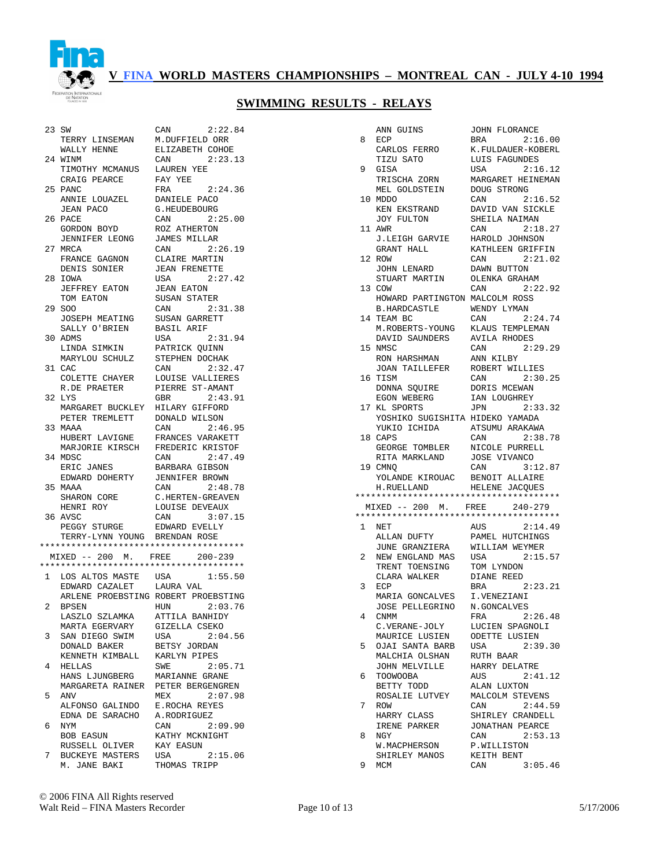

| 23 SW        |                                        | CAN<br>2:22.84                   |
|--------------|----------------------------------------|----------------------------------|
|              | TERRY LINSEMAN                         | M.DUFFIELD ORR                   |
|              | WALLY HENNE                            | ELIZABETH COHOE                  |
|              | 24 WINM                                | CAN<br>2:23.13                   |
|              | TIMOTHY MCMANUS                        | LAUREN YEE                       |
|              | CRAIG PEARCE                           | FAY YEE                          |
| 25           | PANC                                   | 2:24.36<br>FRA                   |
|              | ANNIE LOUAZEL                          | DANIELE PACO                     |
|              | JEAN PACO                              | G.HEUDEBOURG                     |
| 26           | PACE                                   | 2:25.00<br>CAN                   |
|              | GORDON BOYD                            | ROZ ATHERTON                     |
|              | JENNIFER LEONG                         | <b>JAMES MILLAR</b>              |
| 27           | MRCA                                   | CAN<br>2:26.19                   |
|              | FRANCE GAGNON                          | CLAIRE MARTIN                    |
|              | DENIS SONIER                           | <b>JEAN FRENETTE</b>             |
|              | 28 IOWA                                | 2:27.42<br>USA                   |
|              | JEFFREY EATON                          | <b>JEAN EATON</b>                |
|              | TOM EATON                              | SUSAN STATER                     |
| 29           | SOO                                    | CAN<br>2:31.38                   |
|              | JOSEPH MEATING                         | SUSAN GARRETT                    |
|              | SALLY O'BRIEN                          | BASIL ARIF                       |
| 30           | ADMS                                   | 2:31.94<br>USA                   |
|              | LINDA SIMKIN                           | PATRICK QUINN                    |
|              | MARYLOU SCHULZ                         | STEPHEN DOCHAK                   |
|              | 31 CAC                                 | CAN<br>2:32.47                   |
|              | COLETTE CHAYER                         | LOUISE VALLIERES                 |
|              | R.DE PRAETER                           | PIERRE ST-AMANT                  |
|              | 32 LYS                                 | 2:43.91<br>GBR                   |
|              | MARGARET BUCKLEY                       | HILARY GIFFORD                   |
|              | PETER TREMLETT                         | DONALD WILSON                    |
| 33           | MAAA                                   | 2:46.95<br>CAN                   |
|              | HUBERT LAVIGNE                         | FRANCES VARAKETT                 |
|              | MARJORIE KIRSCH                        | FREDERIC KRISTOF                 |
|              | 34 MDSC                                | 2:47.49<br>CAN                   |
|              | ERIC JANES                             | BARBARA GIBSON                   |
|              | EDWARD DOHERTY                         | <b>JENNIFER BROWN</b>            |
|              | 35 MAAA                                | CAN<br>2:48.78                   |
|              | SHARON CORE                            | C.HERTEN-GREAVEN                 |
|              | HENRI ROY<br>36 AVSC                   | LOUISE DEVEAUX<br>CAN<br>3:07.15 |
|              | PEGGY STURGE                           | EDWARD EVELLY                    |
|              | TERRY-LYNN YOUNG BRENDAN ROSE          |                                  |
|              | ************************************** |                                  |
|              | $MIXED$ -- 200 M. FREE                 | $200 - 239$                      |
|              | ************************************** |                                  |
| $\mathbf{1}$ | LOS ALTOS MASTE                        | USA<br>1:55.50                   |
|              | EDWARD CAZALET                         | LAURA VAL                        |
|              | ARLENE PROEBSTING ROBERT PROEBSTING    |                                  |
| 2            | <b>BPSEN</b>                           | 2:03.76<br>HUN                   |
|              | LASZLO SZLAMKA                         | ATTILA BANHIDY                   |
|              | MARTA EGERVARY                         | GIZELLA CSEKO                    |
| 3            | SAN DIEGO SWIM                         | USA<br>2:04.56                   |
|              | DONALD BAKER                           | BETSY JORDAN                     |
|              | KENNETH KIMBALL                        | KARLYN PIPES                     |
| 4            | HELLAS                                 | 2:05.71<br>SWE                   |
|              | HANS LJUNGBERG                         | MARIANNE GRANE                   |
|              | MARGARETA RAINER                       | PETER BERGENGREN                 |
| 5            | ANV                                    | MEX<br>2:07.98                   |
|              | ALFONSO GALINDO                        | E.ROCHA REYES                    |
|              | EDNA DE SARACHO                        | A.RODRIGUEZ                      |
| 6            | NYM                                    | CAN<br>2:09.90                   |
|              | BOB EASUN                              | KATHY MCKNIGHT                   |
|              | RUSSELL OLIVER                         | KAY EASUN                        |
| 7            | BUCKEYE MASTERS                        | USA<br>2:15.06                   |
|              | M. JANE BAKI                           | THOMAS TRIPP                     |
|              |                                        |                                  |

| DUFFIELD ORR         |
|----------------------|
| <b>IZABETH COHOE</b> |
| 2:23.13<br>N         |
| UREN YEE             |
| Y YEE                |
| A<br>2:24.36         |
| NIELE PACO           |
| HEUDEBOURG           |
| 2:25.00<br>N         |
| Z ATHERTON           |
| MES MILLAR           |
| 2:26.19<br>N         |
| AIRE MARTIN          |
| AN FRENETTE          |
| ΙA<br>2:27.42        |
| AN EATON:            |
| SAN STATER           |
| N<br>2:31.38         |
| SAN GARRETT          |
| SIL ARIF             |
| 2:31.94<br>ΙA        |
| TRICK QUINN          |
| <b>EPHEN DOCHAK</b>  |
| 2:32.47<br>N         |
| UISE VALLIERES       |
| ERRE ST-AMANT        |
| 2:43.91<br>ΙR        |
| LARY GIFFORD         |
| NALD WILSON          |
| N<br>2:46.95         |
| ANCES VARAKETT       |
| EDERIC KRISTOF       |
| 2:47.49<br>N         |
| RBARA GIBSON         |
| NNIFER BROWN:        |
| N<br>2:48.78         |
| HERTEN-GREAVEN       |
| UISE DEVEAUX         |
| 3:07.15<br>N         |
| WARD EVELLY          |
| ENDAN ROSE           |
| ***************      |
| E 200-239            |
| ***************      |
| ΙA<br>1:55.50        |
| URA VAL              |
| BERT PROEBSTING      |
| 2:03.76<br>ΙN        |
| TILA BANHIDY         |
| ZELLA CSEKO          |
| ΙA<br>2:04.56        |
| TSY JORDAN           |
| RLYN PIPES           |
| ΙE<br>2:05.71        |
| RIANNE GRANE         |
| TER BERGENGREN       |
| ΙX.<br>2:07.98       |
| ROCHA REYES          |
| RODRIGUEZ            |
| 2:09.90<br>N         |
| THY MCKNIGHT         |
| Y EASUN              |
| 2:15.06<br>¦A        |

|    | ANN GUINS                              | JOHN FLORANCE                   |
|----|----------------------------------------|---------------------------------|
| 8  | ECP                                    | BRA<br>2:16.00                  |
|    | CARLOS FERRO                           | K.FULDAUER-KOBERL               |
|    | TIZU SATO                              | LUIS FAGUNDES                   |
| 9  | GISA                                   | USA<br>2:16.12                  |
|    | TRISCHA ZORN                           | MARGARET HEINEMAN               |
|    | MEL GOLDSTEIN                          | DOUG STRONG                     |
| 10 | MDDO                                   | CAN<br>2:16.52                  |
|    | KEN EKSTRAND                           | DAVID VAN SICKLE                |
|    | JOY FULTON                             | SHEILA NAIMAN                   |
|    | 11 AWR                                 | CAN<br>2:18.27                  |
|    | J.LEIGH GARVIE                         | HAROLD JOHNSON                  |
|    | GRANT HALL                             | KATHLEEN GRIFFIN                |
|    | 12 ROW                                 | CAN<br>2:21.02                  |
|    | JOHN LENARD                            | DAWN BUTTON                     |
|    | STUART MARTIN                          | OLENKA GRAHAM                   |
| 13 | COW                                    | CAN<br>2:22.92                  |
|    | HOWARD PARTINGTON MALCOLM ROSS         |                                 |
|    | B.HARDCASTLE                           | WENDY LYMAN                     |
|    | 14 TEAM BC                             | 2:24.74<br>CAN                  |
|    | M.ROBERTS-YOUNG                        | KLAUS TEMPLEMAN                 |
|    | DAVID SAUNDERS                         | <b>AVILA RHODES</b>             |
|    | 15 NMSC                                | 2:29.29<br>CAN                  |
|    | RON HARSHMAN                           | ANN KILBY                       |
|    | JOAN TAILLEFER                         | ROBERT WILLIES                  |
|    | 16 TISM                                | 2:30.25<br>CAN                  |
|    | DONNA SQUIRE                           | DORIS MCEWAN                    |
|    | EGON WEBERG<br>17 KL SPORTS            | IAN LOUGHREY<br>JPN<br>2:33.32  |
|    | YOSHIKO SUGISHITA HIDEKO YAMADA        |                                 |
|    | YUKIO ICHIDA                           | ATSUMU ARAKAWA                  |
| 18 | CAPS                                   | CAN<br>2:38.78                  |
|    | GEORGE TOMBLER                         | NICOLE PURRELL                  |
|    | RITA MARKLAND                          | JOSE VIVANCO                    |
|    | 19 CMNO                                |                                 |
|    |                                        | 3:12.87<br>CAN                  |
|    |                                        | BENOIT ALLAIRE                  |
|    | YOLANDE KIROUAC<br>H.RUELLAND          | HELENE JACQUES                  |
|    |                                        |                                 |
|    | MIXED -- 200 M. FREE 240-279           |                                 |
|    | ************************************** |                                 |
| 1  | NET                                    | AUS<br>2:14.49                  |
|    | ALLAN DUFTY                            | PAMEL HUTCHINGS                 |
|    | JUNE GRANZIERA                         | WILLIAM WEYMER                  |
| 2  | NEW ENGLAND MAS                        | 2:15.57<br>USA                  |
|    | TRENT TOENSING                         | TOM LYNDON                      |
|    | CLARA WALKER                           | DIANE REED                      |
| 3  | ECP                                    | 2:23.21<br>BRA                  |
|    | MARIA GONCALVES                        | I.VENEZIANI                     |
|    | JOSE PELLEGRINO                        | N.GONCALVES                     |
| 4  | CNMM                                   | FRA 2:26.48                     |
|    | C.VERANE-JOLY                          | LUCIEN SPAGNOLI                 |
|    | MAURICE LUSIEN                         | ODETTE LUSIEN                   |
| 5  | OJAI SANTA BARB                        | 2:39.30<br>USA                  |
|    | MALCHIA OLSHAN<br>JOHN MELVILLE        | RUTH BAAR                       |
| 6  | TOOWOOBA                               | HARRY DELATRE<br>AUS<br>2:41.12 |
|    | BETTY TODD                             | ALAN LUXTON                     |
|    | ROSALIE LUTVEY                         | MALCOLM STEVENS                 |
| 7  | ROW                                    | 2:44.59<br>CAN                  |
|    | HARRY CLASS                            | SHIRLEY CRANDELL                |
|    | IRENE PARKER                           | JONATHAN PEARCE                 |
| 8  | NGY                                    | 2:53.13<br>CAN                  |
|    | W.MACPHERSON                           | P.WILLISTON                     |
| 9  | SHIRLEY MANOS<br>MCM                   | KEITH BENT<br>CAN<br>3:05.46    |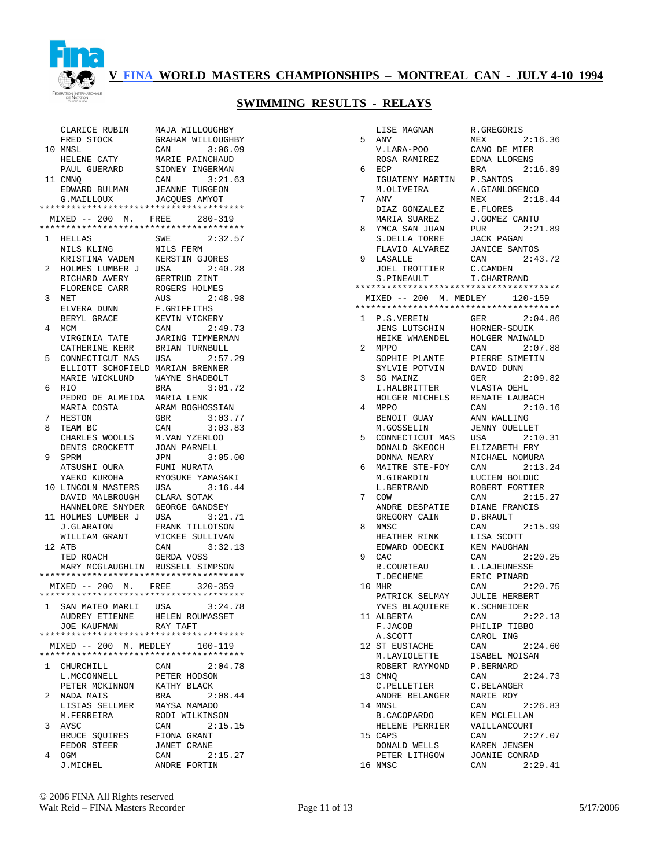

# **V FINA WORLD MASTERS CHAMPIONSHIPS – MONTREAL CAN - JULY 4-10 1994**

# **SWIMMING RESULTS - RELAYS**

|              | CLARICE RUBIN                                         | MAJA WILLOUGHBY                |
|--------------|-------------------------------------------------------|--------------------------------|
|              | FRED STOCK                                            | GRAHAM WILLOUGHBY              |
|              | 10 MNSL                                               | CAN<br>3:06.09                 |
|              | HELENE CATY                                           | MARIE PAINCHAUD                |
|              | PAUL GUERARD                                          | SIDNEY INGERMAN                |
|              | 11 CMNO                                               | CAN<br>3:21.63                 |
|              | EDWARD BULMAN                                         | <b>JEANNE TURGEON</b>          |
|              | G.MAILLOUX                                            | JACQUES AMYOT                  |
|              | **************************************                |                                |
|              | MIXED -- 200 M. FREE                                  | $280 - 319$                    |
|              | **************************************                |                                |
| 1            | HELLAS                                                | SWE<br>2:32.57                 |
|              | NILS KLING                                            | NILS FERM                      |
|              | KRISTINA VADEM                                        | KERSTIN GJORES                 |
| 2            | HOLMES LUMBER J                                       | USA<br>2:40.28                 |
|              | RICHARD AVERY                                         | GERTRUD ZINT                   |
|              | FLORENCE CARR                                         | ROGERS HOLMES                  |
| 3            | NET                                                   | 2:48.98<br>AUS                 |
|              | ELVERA DUNN                                           | F.GRIFFITHS                    |
|              | BERYL GRACE                                           | KEVIN VICKERY                  |
| 4            | MCM                                                   | 2:49.73<br>CAN                 |
|              | VIRGINIA TATE                                         | JARING TIMMERMAN               |
|              | CATHERINE KERR                                        | BRIAN TURNBULL                 |
| 5            | CONNECTICUT MAS                                       | 2:57.29<br>USA                 |
|              | ELLIOTT SCHOFIELD MARIAN BRENNER                      |                                |
|              | MARIE WICKLUND                                        | WAYNE SHADBOLT                 |
| 6            | RIO                                                   | BRA<br>3:01.72                 |
|              | PEDRO DE ALMEIDA<br>MARIA COSTA                       | MARIA LENK<br>ARAM BOGHOSSIAN  |
|              | <b>HESTON</b>                                         | 3:03.77<br>GBR                 |
| 7<br>8       | TEAM BC                                               | 3:03.83<br>CAN                 |
|              | CHARLES WOOLLS                                        | M.VAN YZERLOO                  |
|              | DENIS CROCKETT                                        | <b>JOAN PARNELL</b>            |
| 9            | SPRM                                                  | 3:05.00<br>JPN                 |
|              | ATSUSHI OURA                                          | FUMI MURATA                    |
|              | YAEKO KUROHA                                          | RYOSUKE YAMASAKI               |
|              | LINCOLN MASTERS                                       | 3:16.44<br>USA                 |
|              |                                                       |                                |
| 10           |                                                       |                                |
|              | DAVID MALBROUGH<br>HANNELORE SNYDER                   | CLARA SOTAK<br>GEORGE GANDSEY  |
|              | 11 HOLMES LUMBER J                                    | USA<br>3:21.71                 |
|              | J.GLARATON                                            | FRANK TILLOTSON                |
|              |                                                       | VICKEE SULLIVAN                |
|              | WILLIAM GRANT<br>12 ATB                               | CAN<br>3:32.13                 |
|              | TED ROACH                                             | GERDA VOSS                     |
|              | MARY MCGLAUGHLIN RUSSELL SIMPSON                      |                                |
|              | **************************************                |                                |
|              | MIXED -- 200 M. FREE                                  | $320 - 359$                    |
|              | **************************************                |                                |
| $\mathbf{1}$ |                                                       | 3:24.78                        |
|              | SAN MATEO MARLI USA<br>AUDREY ETIENNE HELEN ROUMASSET |                                |
|              | <b>JOE KAUFMAN</b>                                    | RAY TAFT                       |
|              |                                                       |                                |
|              | MIXED -- 200 M. MEDLEY 100-119                        |                                |
|              | **************************************                |                                |
| $\mathbf{1}$ | CHURCHILL                                             | CAN<br>2:04.78                 |
|              | L.MCCONNELL                                           | PETER HODSON                   |
|              | PETER MCKINNON                                        | KATHY BLACK                    |
| 2            | NADA MAIS                                             | 2:08.44<br>BRA                 |
|              | LISIAS SELLMER                                        | MAYSA MAMADO                   |
|              | M.FERREIRA                                            | RODI WILKINSON                 |
| 3            | AVSC                                                  | 2:15.15<br>CAN                 |
|              | <b>BRUCE SOUIRES</b>                                  | FIONA GRANT                    |
|              | FEDOR STEER                                           | <b>JANET CRANE</b>             |
| 4            | OGM<br>J.MICHEL                                       | CAN<br>2:15.27<br>ANDRE FORTIN |

|              | LISE MAGNAN                            | R.GREGORIS                             |
|--------------|----------------------------------------|----------------------------------------|
| 5            | ANV                                    | 2:16.36<br>MEX                         |
|              | V.LARA-POO                             | CANO DE MIER                           |
|              | ROSA RAMIREZ                           | EDNA LLORENS                           |
| 6            | ECP                                    | 2:16.89<br>BRA                         |
|              | IGUATEMY MARTIN                        | P. SANTOS                              |
|              | M.OLIVEIRA                             | A.GIANLORENCO                          |
| 7            | ANV                                    | MEX<br>2:18.44                         |
|              | DIAZ GONZALEZ                          | E.FLORES                               |
| 8            | MARIA SUAREZ                           | J.GOMEZ CANTU<br>PUR<br>2:21.89        |
|              | YMCA SAN JUAN<br>S.DELLA TORRE         | JACK PAGAN                             |
|              | FLAVIO ALVAREZ                         | <b>JANICE SANTOS</b>                   |
| 9            | LASALLE                                | 2:43.72<br>CAN                         |
|              | JOEL TROTTIER                          | C. CAMDEN                              |
|              | S.PINEAULT                             | I. CHARTRAND                           |
|              | ************************************** |                                        |
|              | MIXED -- 200 M. MEDLEY 120-159         |                                        |
|              | ************************************** |                                        |
| $\mathbf{1}$ | P.S.VEREIN                             | GER<br>2:04.86                         |
|              | JENS LUTSCHIN                          | HORNER-SDUIK                           |
|              | HEIKE WHAENDEL                         | HOLGER MAIWALD                         |
| 2            | <b>MPPO</b>                            | 2:07.88<br>CAN                         |
|              | SOPHIE PLANTE                          | PIERRE SIMETIN                         |
| 3            | SYLVIE POTVIN<br>SG MAINZ              | DAVID DUNN<br>2:09.82<br>GER           |
|              | I.HALBRITTER                           | VLASTA OEHL                            |
|              | HOLGER MICHELS                         | RENATE LAUBACH                         |
| 4            | MPPO                                   | 2:10.16<br>CAN                         |
|              | BENOIT GUAY                            | ANN WALLING                            |
|              | M.GOSSELIN                             | <b>JENNY OUELLET</b>                   |
| 5            | CONNECTICUT MAS                        | 2:10.31<br>USA                         |
|              | DONALD SKEOCH                          | ELIZABETH FRY                          |
|              | DONNA NEARY                            | MICHAEL NOMURA                         |
| 6            | MAITRE STE-FOY                         | 2:13.24<br>CAN                         |
|              | M.GIRARDIN<br>L.BERTRAND               | LUCIEN BOLDUC<br>ROBERT FORTIER        |
| 7            | COW                                    | CAN<br>2:15.27                         |
|              | ANDRE DESPATIE                         | DIANE FRANCIS                          |
|              | GREGORY CAIN                           | D.BRAULT                               |
| 8            | NMSC                                   | CAN<br>2:15.99                         |
|              | HEATHER RINK                           | LISA SCOTT                             |
|              | EDWARD ODECKI                          | <b>KEN MAUGHAN</b>                     |
| 9            | CAC                                    | 2:20.25<br>CAN                         |
|              | R.COURTEAU                             | L.LAJEUNESSE                           |
|              | T.DECHENE                              | ERIC PINARD                            |
| 10           | MHR<br>PATRICK SELMAY                  | CAN<br>2:20.75<br><b>JULIE HERBERT</b> |
|              | YVES BLAQUIERE                         | K.SCHNEIDER                            |
|              | 11 ALBERTA                             | CAN 2:22.13                            |
|              | F.JACOB                                | PHILIP TIBBO                           |
|              | A.SCOTT                                | CAROL ING                              |
|              | 12 ST EUSTACHE                         | CAN<br>2:24.60                         |
|              | M.LAVIOLETTE                           | ISABEL MOISAN                          |
|              | ROBERT RAYMOND                         | P.BERNARD                              |
|              | 13 CMNQ                                | 2:24.73<br>CAN                         |
|              | C.PELLETIER                            | C.BELANGER                             |
|              | ANDRE BELANGER                         | MARIE ROY                              |
|              | 14 MNSL                                | 2:26.83<br>CAN<br>KEN MCLELLAN         |
|              | B.CACOPARDO<br>HELENE PERRIER          | VAILLANCOURT                           |
|              | 15 CAPS                                | CAN<br>2:27.07                         |
|              | DONALD WELLS                           | KAREN JENSEN                           |
|              | PETER LITHGOW                          | JOANIE CONRAD                          |
|              | 16 NMSC                                | 2:29.41<br>CAN                         |
|              |                                        |                                        |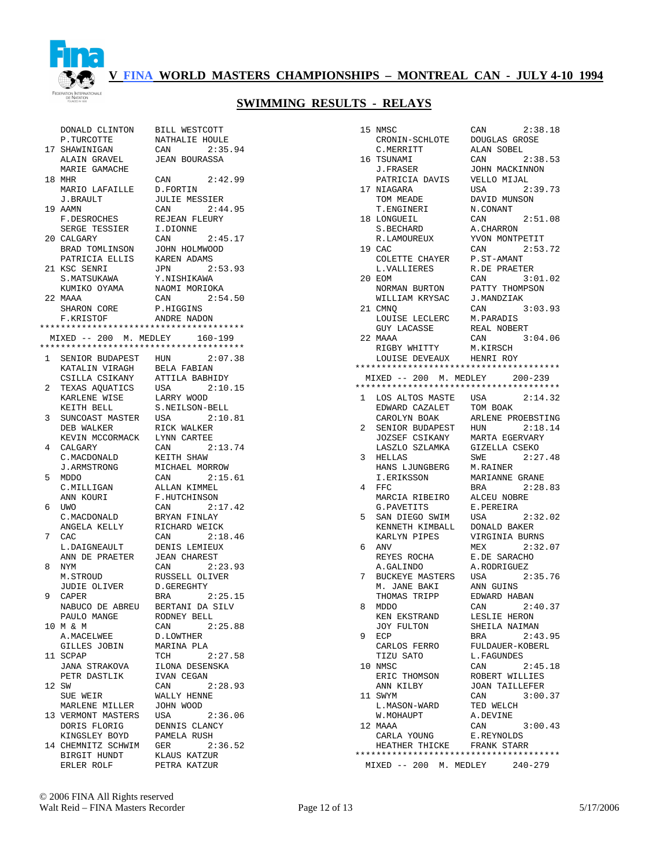

# **V FINA WORLD MASTERS CHAMPIONSHIPS – MONTREAL CAN - JULY 4-10 1994**

# **SWIMMING RESULTS - RELAYS**

|                | DONALD CLINTON                         | BILL WESTCOTT        |
|----------------|----------------------------------------|----------------------|
| 17             | P.TURCOTTE                             | NATHALIE HOULE       |
|                | SHAWINIGAN                             | 2:35.94<br>CAN       |
|                | ALAIN GRAVEL                           | <b>JEAN BOURASSA</b> |
|                | MARIE GAMACHE                          |                      |
|                | 18 MHR                                 | CAN<br>2:42.99       |
|                | MARIO LAFAILLE                         | D.FORTIN             |
|                | J.BRAULT                               | <b>JULIE MESSIER</b> |
|                | 19 AAMN                                | CAN<br>2:44.95       |
|                | F.DESROCHES                            | REJEAN FLEURY        |
|                | SERGE TESSIER                          | I.DIONNE             |
| 20             | CALGARY                                | 2:45.17<br>CAN       |
|                | BRAD TOMLINSON                         | JOHN HOLMWOOD        |
|                | PATRICIA ELLIS                         | KAREN ADAMS          |
|                | 21 KSC SENRI                           | 2:53.93<br>JPN       |
|                | S.MATSUKAWA                            | Y.NISHIKAWA          |
|                | KUMIKO OYAMA                           | NAOMI MORIOKA        |
|                | 22 MAAA                                | 2:54.50<br>CAN       |
|                | SHARON CORE                            | P.HIGGINS            |
|                | F.KRISTOF                              | ANDRE NADON          |
|                | ************************************** |                      |
|                | MIXED -- 200 M. MEDLEY 160-199         |                      |
|                | ************************************** |                      |
| $\mathbf{1}$   | SENIOR BUDAPEST HUN                    | 2:07.38              |
|                | KATALIN VIRAGH                         | BELA FABIAN          |
|                | CSILLA CSIKANY                         | ATTILA BABHIDY       |
| 2              | TEXAS AQUATICS USA                     | 2:10.15              |
|                | KARLENE WISE                           | LARRY WOOD           |
|                | KEITH BELL                             | S.NEILSON-BELL       |
| 3              | SUNCOAST MASTER                        | USA<br>2:10.81       |
|                | DEB WALKER                             | RICK WALKER          |
|                | KEVIN MCCORMACK                        | LYNN CARTEE          |
| $\overline{4}$ | CALGARY                                | 2:13.74<br>CAN       |
|                | C.MACDONALD                            | KEITH SHAW           |
|                | <b>J.ARMSTRONG</b>                     | MICHAEL MORROW       |
| 5              | MDDO                                   | CAN 2:15.61          |
|                | C.MILLIGAN                             | ALLAN KIMMEL         |
|                | ANN KOURI                              | F.HUTCHINSON         |
| 6              | UWO                                    | CAN<br>2:17.42       |
|                | C. MACDONALD                           | BRYAN FINLAY         |
|                | ANGELA KELLY                           | RICHARD WEICK        |
| 7              | CAC                                    | CAN<br>2:18.46       |
|                | L.DAIGNEAULT                           | DENIS LEMIEUX        |
|                | ANN DE PRAETER                         | <b>JEAN CHAREST</b>  |
| 8              | NYM                                    | 2:23.93<br>CAN       |
|                | M.STROUD                               | RUSSELL OLIVER       |
|                | JUDIE OLIVER                           | D.GEREGHTY           |
| 9              | CAPER                                  | BRA<br>2:25.15       |
|                | NABUCO DE ABREU BERTANI DA SILV        |                      |
|                | PAULO MANGE                            | RODNEY BELL          |
|                | 10 M & M                               | 2:25.88<br>CAN       |
|                | A.MACELWEE                             | D.LOWTHER            |
|                | GILLES JOBIN                           | MARINA PLA           |
|                | 11 SCPAP                               | TCH<br>2:27.58       |
|                | JANA STRAKOVA                          | ILONA DESENSKA       |
|                | PETR DASTLIK                           | IVAN CEGAN           |
|                | 12 SW                                  | CAN<br>2:28.93       |
|                | SUE WEIR                               | WALLY HENNE          |
|                | MARLENE MILLER                         | JOHN WOOD            |
|                | 13 VERMONT MASTERS USA                 | 2:36.06              |
|                | DORIS FLORIG                           | DENNIS CLANCY        |
|                | KINGSLEY BOYD                          | PAMELA RUSH          |
|                | 14 CHEMNITZ SCHWIM                     | GER<br>2:36.52       |
|                | BIRGIT HUNDT                           | KLAUS KATZUR         |
|                | ERLER ROLF                             | PETRA KATZUR         |
|                |                                        |                      |

|                | 15 NMSC                                | 2:38.18<br>CAN                         |
|----------------|----------------------------------------|----------------------------------------|
|                | CRONIN-SCHLOTE                         | DOUGLAS GROSE                          |
|                | C.MERRITT                              | ALAN SOBEL                             |
|                | 16 TSUNAMI                             | CAN<br>2:38.53                         |
|                | J.FRASER                               | JOHN MACKINNON                         |
|                | PATRICIA DAVIS                         | VELLO MIJAL                            |
|                | 17 NIAGARA                             | 2:39.73<br>USA                         |
|                | TOM MEADE                              | DAVID MUNSON                           |
|                | T.ENGINERI                             | N.CONANT                               |
|                | 18 LONGUEIL                            | CAN<br>2:51.08                         |
|                | S.BECHARD                              | A.CHARRON                              |
|                | R.LAMOUREUX                            | YVON MONTPETIT                         |
|                | 19 CAC                                 | CAN 2:53.72                            |
|                | COLETTE CHAYER                         | P.ST-AMANT                             |
|                | L.VALLIERES                            | R.DE PRAETER                           |
| 20             | EOM                                    | 3:01.02<br>CAN                         |
|                | NORMAN BURTON                          | PATTY THOMPSON                         |
|                | WILLIAM KRYSAC                         | J.MANDZIAK                             |
|                | 21 CMNO                                | CAN<br>3:03.93                         |
|                | LOUISE LECLERC                         | M.PARADIS                              |
|                | <b>GUY LACASSE</b>                     | REAL NOBERT                            |
|                | 22 MAAA                                | CAN<br>3:04.06                         |
|                | RIGBY WHITTY                           | M.KIRSCH                               |
|                | LOUISE DEVEAUX HENRI ROY               |                                        |
|                | ************************************** |                                        |
|                | MIXED -- 200 M. MEDLEY 200-239         |                                        |
|                | ************************************** |                                        |
|                | 1 LOS ALTOS MASTE USA                  | 2:14.32                                |
|                | EDWARD CAZALET<br>CAROLYN ROAK         | TOM BOAK                               |
|                | CAROLYN BOAK                           | ARLENE PROEBSTING                      |
| $\overline{a}$ | SENIOR BUDAPEST                        | 2:18.14<br>HUN                         |
|                | JOZSEF CSIKANY                         | MARTA EGERVARY                         |
|                | LASZLO SZLAMKA                         | GIZELLA CSEKO                          |
| 3              | HELLAS                                 | 2:27.48<br>SWE                         |
|                | HANS LJUNGBERG                         | M.RAINER                               |
|                | I.ERIKSSON                             | MARIANNE GRANE                         |
| 4              | FFC                                    | BRA<br>2:28.83                         |
|                | MARCIA RIBEIRO                         | ALCEU NOBRE                            |
|                | G.PAVETITS                             | E.PEREIRA                              |
| 5              | SAN DIEGO SWIM                         | 2:32.02<br>USA                         |
|                | KENNETH KIMBALL                        | DONALD BAKER                           |
|                | KARLYN PIPES                           | VIRGINIA BURNS                         |
| 6              | ANV                                    | MEX<br>2:32.07                         |
|                | REYES ROCHA                            | E.DE SARACHO                           |
|                | A.GALINDO                              | A.RODRIGUEZ                            |
| 7              | BUCKEYE MASTERS                        | 2:35.76<br>USA                         |
|                | M. JANE BAKI                           | ANN GUINS                              |
|                | THOMAS TRIPP                           | EDWARD HABAN                           |
| 8              | MDDO                                   | 2:40.37<br>CAN<br>LESLIE HERON         |
|                | KEN EKSTRAND                           |                                        |
| 9              | JOY FULTON                             | SHEILA NAIMAN<br>2:43.95               |
|                | ECP                                    | BRA                                    |
|                | CARLOS FERRO<br>TIZU SATO              | FULDAUER-KOBERL                        |
|                | 10 NMSC                                | L.FAGUNDES<br>2:45.18<br>CAN           |
|                | ERIC THOMSON                           | ROBERT WILLIES                         |
|                | ANN KILBY                              | <b>JOAN TAILLEFER</b>                  |
|                |                                        | CAN                                    |
|                | 11 SWYM                                | 3:00.37<br>TED WELCH                   |
|                | L.MASON-WARD<br>W.MOHAUPT              | A.DEVINE                               |
|                | 12 MAAA                                | CAN<br>3:00.43                         |
|                | CARLA YOUNG                            | E.REYNOLDS                             |
|                | HEATHER THICKE FRANK STARR             |                                        |
|                |                                        | ************************************** |
|                | MIXED -- 200 M. MEDLEY 240-279         |                                        |
|                |                                        |                                        |